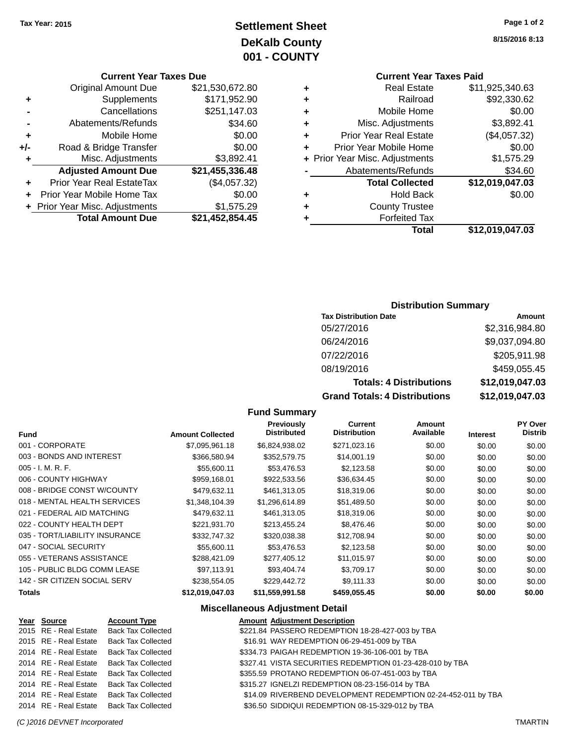# **Settlement Sheet Tax Year: 2015 Page 1 of 2 DeKalb County 001 - COUNTY**

## **Current Year Taxes Due**

|       | <b>Original Amount Due</b>     | \$21,530,672.80 |
|-------|--------------------------------|-----------------|
| ٠     | Supplements                    | \$171,952.90    |
|       | Cancellations                  | \$251,147.03    |
|       | Abatements/Refunds             | \$34.60         |
| ٠     | Mobile Home                    | \$0.00          |
| $+/-$ | Road & Bridge Transfer         | \$0.00          |
| ٠     | Misc. Adjustments              | \$3,892.41      |
|       | <b>Adjusted Amount Due</b>     | \$21,455,336.48 |
| ÷     | Prior Year Real EstateTax      | (\$4,057.32)    |
|       | Prior Year Mobile Home Tax     | \$0.00          |
|       | + Prior Year Misc. Adjustments | \$1,575.29      |
|       | <b>Total Amount Due</b>        | \$21,452,854.45 |
|       |                                |                 |

**8/15/2016 8:13**

# **Current Year Taxes Paid**

| ٠ | <b>Real Estate</b>             | \$11,925,340.63 |
|---|--------------------------------|-----------------|
| ٠ | Railroad                       | \$92,330.62     |
| ٠ | Mobile Home                    | \$0.00          |
| ٠ | Misc. Adjustments              | \$3,892.41      |
| ٠ | <b>Prior Year Real Estate</b>  | (\$4,057.32)    |
| ٠ | Prior Year Mobile Home         | \$0.00          |
|   | + Prior Year Misc. Adjustments | \$1,575.29      |
|   | Abatements/Refunds             | \$34.60         |
|   | <b>Total Collected</b>         | \$12,019,047.03 |
| ٠ | <b>Hold Back</b>               | \$0.00          |
| ٠ | <b>County Trustee</b>          |                 |
| ٠ | <b>Forfeited Tax</b>           |                 |
|   | Total                          | \$12,019,047.03 |
|   |                                |                 |

## **Distribution Summary**

| <b>Tax Distribution Date</b>         | Amount          |
|--------------------------------------|-----------------|
| 05/27/2016                           | \$2,316,984.80  |
| 06/24/2016                           | \$9,037,094.80  |
| 07/22/2016                           | \$205,911.98    |
| 08/19/2016                           | \$459,055.45    |
| <b>Totals: 4 Distributions</b>       | \$12,019,047.03 |
| <b>Grand Totals: 4 Distributions</b> | \$12,019,047.03 |

## **Fund Summary**

| <b>Fund</b>                    | <b>Amount Collected</b> | <b>Previously</b><br><b>Distributed</b> | Current<br><b>Distribution</b> | Amount<br>Available | <b>Interest</b> | <b>PY Over</b><br><b>Distrib</b> |
|--------------------------------|-------------------------|-----------------------------------------|--------------------------------|---------------------|-----------------|----------------------------------|
| 001 - CORPORATE                | \$7,095,961.18          | \$6,824,938.02                          | \$271,023.16                   | \$0.00              | \$0.00          | \$0.00                           |
| 003 - BONDS AND INTEREST       | \$366,580.94            | \$352,579.75                            | \$14,001.19                    | \$0.00              | \$0.00          | \$0.00                           |
| 005 - I. M. R. F.              | \$55,600.11             | \$53,476.53                             | \$2,123.58                     | \$0.00              | \$0.00          | \$0.00                           |
| 006 - COUNTY HIGHWAY           | \$959,168.01            | \$922,533.56                            | \$36,634.45                    | \$0.00              | \$0.00          | \$0.00                           |
| 008 - BRIDGE CONST W/COUNTY    | \$479.632.11            | \$461.313.05                            | \$18,319.06                    | \$0.00              | \$0.00          | \$0.00                           |
| 018 - MENTAL HEALTH SERVICES   | \$1.348.104.39          | \$1,296,614.89                          | \$51,489.50                    | \$0.00              | \$0.00          | \$0.00                           |
| 021 - FEDERAL AID MATCHING     | \$479,632.11            | \$461,313.05                            | \$18,319.06                    | \$0.00              | \$0.00          | \$0.00                           |
| 022 - COUNTY HEALTH DEPT       | \$221,931.70            | \$213,455.24                            | \$8,476.46                     | \$0.00              | \$0.00          | \$0.00                           |
| 035 - TORT/LIABILITY INSURANCE | \$332,747.32            | \$320,038.38                            | \$12,708.94                    | \$0.00              | \$0.00          | \$0.00                           |
| 047 - SOCIAL SECURITY          | \$55,600.11             | \$53,476.53                             | \$2,123.58                     | \$0.00              | \$0.00          | \$0.00                           |
| 055 - VETERANS ASSISTANCE      | \$288.421.09            | \$277,405.12                            | \$11.015.97                    | \$0.00              | \$0.00          | \$0.00                           |
| 105 - PUBLIC BLDG COMM LEASE   | \$97.113.91             | \$93.404.74                             | \$3,709.17                     | \$0.00              | \$0.00          | \$0.00                           |
| 142 - SR CITIZEN SOCIAL SERV   | \$238,554.05            | \$229,442.72                            | \$9.111.33                     | \$0.00              | \$0.00          | \$0.00                           |
| <b>Totals</b>                  | \$12,019,047.03         | \$11,559,991.58                         | \$459,055.45                   | \$0.00              | \$0.00          | \$0.00                           |

## **Miscellaneous Adjustment Detail**

| Year Source | <b>Account Type</b>                      | <b>Amount Adjustment Description</b>                          |
|-------------|------------------------------------------|---------------------------------------------------------------|
|             | 2015 RE - Real Estate Back Tax Collected | \$221.84 PASSERO REDEMPTION 18-28-427-003 by TBA              |
|             | 2015 RE - Real Estate Back Tax Collected | \$16.91 WAY REDEMPTION 06-29-451-009 by TBA                   |
|             | 2014 RE - Real Estate Back Tax Collected | \$334.73 PAIGAH REDEMPTION 19-36-106-001 by TBA               |
|             | 2014 RE - Real Estate Back Tax Collected | \$327.41 VISTA SECURITIES REDEMPTION 01-23-428-010 by TBA     |
|             | 2014 RE - Real Estate Back Tax Collected | \$355.59 PROTANO REDEMPTION 06-07-451-003 by TBA              |
|             | 2014 RE - Real Estate Back Tax Collected | \$315.27 IGNELZI REDEMPTION 08-23-156-014 by TBA              |
|             | 2014 RE - Real Estate Back Tax Collected | \$14.09 RIVERBEND DEVELOPMENT REDEMPTION 02-24-452-011 by TBA |
|             | 2014 RE - Real Estate Back Tax Collected | \$36.50 SIDDIQUI REDEMPTION 08-15-329-012 by TBA              |
|             |                                          |                                                               |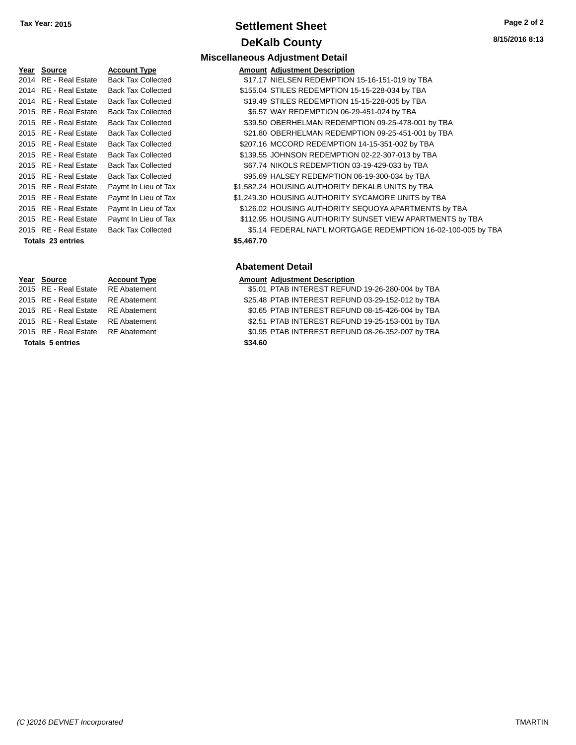# **Settlement Sheet Tax Year: 2015 Page 2 of 2 DeKalb County**

**Miscellaneous Adjustment Detail**

**8/15/2016 8:13**

# **Year Source Account Type Amount Adjustment Description** 2014 RE - Real Estate Back Tax Collected \$17.17 NIELSEN REDEMPTION 15-16-151-019 by TBA 2014 RE - Real Estate Back Tax Collected \$155.04 STILES REDEMPTION 15-15-228-034 by TBA 2014 RE - Real Estate Back Tax Collected \$19.49 STILES REDEMPTION 15-15-228-005 by TBA 2015 RE - Real Estate Back Tax Collected **6.57 WAY REDEMPTION 06-29-451-024 by TBA** 2015 RE - Real Estate Back Tax Collected **\$39.50 OBERHELMAN REDEMPTION 09-25-478-001** by TBA **Totals \$5,467.70 23 entries**

## 2015 RE - Real Estate Back Tax Collected \$21.80 OBERHELMAN REDEMPTION 09-25-451-001 by TBA 2015 RE - Real Estate Back Tax Collected \$207.16 MCCORD REDEMPTION 14-15-351-002 by TBA 2015 RE - Real Estate Back Tax Collected \$139.55 JOHNSON REDEMPTION 02-22-307-013 by TBA 2015 RE - Real Estate Back Tax Collected \$67.74 NIKOLS REDEMPTION 03-19-429-033 by TBA 2015 RE - Real Estate Back Tax Collected \$95.69 HALSEY REDEMPTION 06-19-300-034 by TBA 2015 RE - Real Estate Paymt In Lieu of Tax \$1,582.24 HOUSING AUTHORITY DEKALB UNITS by TBA 2015 RE - Real Estate Paymt In Lieu of Tax \$1,249.30 HOUSING AUTHORITY SYCAMORE UNITS by TBA 2015 RE - Real Estate Paymt In Lieu of Tax \$126.02 HOUSING AUTHORITY SEQUOYA APARTMENTS by TBA

# 2015 RE - Real Estate Paymt In Lieu of Tax **112.95 HOUSING AUTHORITY SUNSET VIEW APARTMENTS by TBA** 2015 RE - Real Estate Back Tax Collected \$5.14 FEDERAL NAT'L MORTGAGE REDEMPTION 16-02-100-005 by TBA

## **Abatement Detail**

## **Year Source Account Type Amount Adjustment Description**

2015 RE - Real Estate RE Abatement **\$5.01 PTAB INTEREST REFUND 19-26-280-004 by TBA** 2015 RE - Real Estate RE Abatement \$25.48 PTAB INTEREST REFUND 03-29-152-012 by TBA 2015 RE - Real Estate RE Abatement \$0.65 PTAB INTEREST REFUND 08-15-426-004 by TBA 2015 RE - Real Estate RE Abatement \$2.51 PTAB INTEREST REFUND 19-25-153-001 by TBA

- 2015 RE Real Estate RE Abatement \$0.95 PTAB INTEREST REFUND 08-26-352-007 by TBA
	-

**Totals \$34.60 5 entries**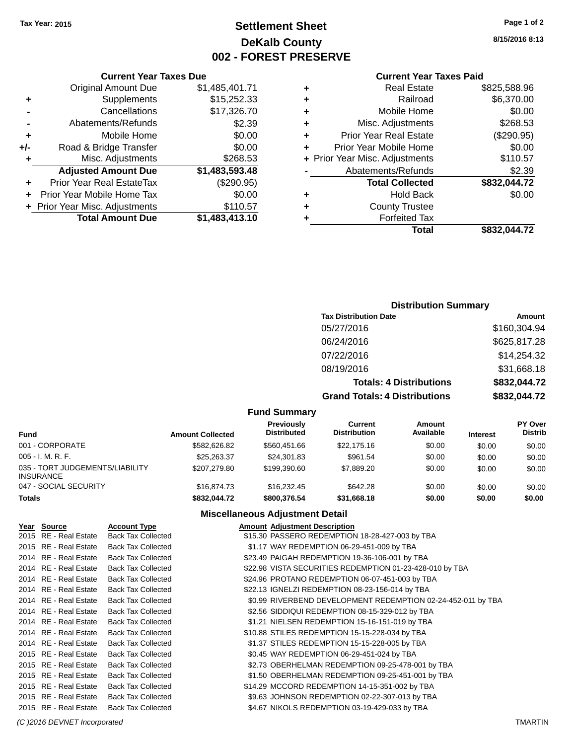# **Settlement Sheet Tax Year: 2015 Page 1 of 2 DeKalb County 002 - FOREST PRESERVE**

**8/15/2016 8:13**

## **Current Year Taxes Paid**

| ÷ | <b>Real Estate</b>             | \$825,588.96 |
|---|--------------------------------|--------------|
| ٠ | Railroad                       | \$6,370.00   |
| ٠ | Mobile Home                    | \$0.00       |
| ٠ | Misc. Adjustments              | \$268.53     |
| ٠ | <b>Prior Year Real Estate</b>  | (\$290.95)   |
| ٠ | Prior Year Mobile Home         | \$0.00       |
|   | + Prior Year Misc. Adjustments | \$110.57     |
|   | Abatements/Refunds             | \$2.39       |
|   | <b>Total Collected</b>         | \$832,044.72 |
| ٠ | <b>Hold Back</b>               | \$0.00       |
| ٠ | <b>County Trustee</b>          |              |
|   | <b>Forfeited Tax</b>           |              |
|   | Total                          | \$832,044.72 |

|     | <b>Current Year Taxes Due</b>  |                |
|-----|--------------------------------|----------------|
|     | <b>Original Amount Due</b>     | \$1,485,401.71 |
| ٠   | Supplements                    | \$15,252.33    |
|     | Cancellations                  | \$17,326.70    |
|     | Abatements/Refunds             | \$2.39         |
| ٠   | Mobile Home                    | \$0.00         |
| +/- | Road & Bridge Transfer         | \$0.00         |
| ٠   | Misc. Adjustments              | \$268.53       |
|     | <b>Adjusted Amount Due</b>     | \$1,483,593.48 |
|     | Prior Year Real EstateTax      | (\$290.95)     |
|     | Prior Year Mobile Home Tax     | \$0.00         |
|     | + Prior Year Misc. Adjustments | \$110.57       |
|     | <b>Total Amount Due</b>        | \$1,483,413.10 |

## **Distribution Summary**

| <b>Tax Distribution Date</b>         | Amount       |
|--------------------------------------|--------------|
| 05/27/2016                           | \$160,304.94 |
| 06/24/2016                           | \$625,817.28 |
| 07/22/2016                           | \$14,254.32  |
| 08/19/2016                           | \$31,668.18  |
| <b>Totals: 4 Distributions</b>       | \$832,044.72 |
| <b>Grand Totals: 4 Distributions</b> | \$832,044.72 |

## **Fund Summary**

| <b>Fund</b>                                         | <b>Amount Collected</b> | Previously<br><b>Distributed</b> | Current<br><b>Distribution</b> | Amount<br>Available | <b>Interest</b> | <b>PY Over</b><br><b>Distrib</b> |
|-----------------------------------------------------|-------------------------|----------------------------------|--------------------------------|---------------------|-----------------|----------------------------------|
| 001 - CORPORATE                                     | \$582.626.82            | \$560,451,66                     | \$22,175,16                    | \$0.00              | \$0.00          | \$0.00                           |
| $005 - I. M. R. F.$                                 | \$25,263,37             | \$24.301.83                      | \$961.54                       | \$0.00              | \$0.00          | \$0.00                           |
| 035 - TORT JUDGEMENTS/LIABILITY<br><b>INSURANCE</b> | \$207.279.80            | \$199,390.60                     | \$7,889.20                     | \$0.00              | \$0.00          | \$0.00                           |
| 047 - SOCIAL SECURITY                               | \$16,874.73             | \$16,232,45                      | \$642.28                       | \$0.00              | \$0.00          | \$0.00                           |
| <b>Totals</b>                                       | \$832.044.72            | \$800,376.54                     | \$31.668.18                    | \$0.00              | \$0.00          | \$0.00                           |

## **Miscellaneous Adjustment Detail**

| Year Source           | <b>Account Type</b>       | <b>Amount Adjustment Description</b>                         |
|-----------------------|---------------------------|--------------------------------------------------------------|
| 2015 RE - Real Estate | <b>Back Tax Collected</b> | \$15.30 PASSERO REDEMPTION 18-28-427-003 by TBA              |
| 2015 RE - Real Estate | <b>Back Tax Collected</b> | \$1.17 WAY REDEMPTION 06-29-451-009 by TBA                   |
| 2014 RE - Real Estate | <b>Back Tax Collected</b> | \$23.49 PAIGAH REDEMPTION 19-36-106-001 by TBA               |
| 2014 RE - Real Estate | <b>Back Tax Collected</b> | \$22.98 VISTA SECURITIES REDEMPTION 01-23-428-010 by TBA     |
| 2014 RE - Real Estate | <b>Back Tax Collected</b> | \$24.96 PROTANO REDEMPTION 06-07-451-003 by TBA              |
| 2014 RE - Real Estate | <b>Back Tax Collected</b> | \$22.13 IGNELZI REDEMPTION 08-23-156-014 by TBA              |
| 2014 RE - Real Estate | <b>Back Tax Collected</b> | \$0.99 RIVERBEND DEVELOPMENT REDEMPTION 02-24-452-011 by TBA |
| 2014 RE - Real Estate | <b>Back Tax Collected</b> | \$2.56 SIDDIQUI REDEMPTION 08-15-329-012 by TBA              |
| 2014 RE - Real Estate | <b>Back Tax Collected</b> | \$1.21 NIELSEN REDEMPTION 15-16-151-019 by TBA               |
| 2014 RE - Real Estate | <b>Back Tax Collected</b> | \$10.88 STILES REDEMPTION 15-15-228-034 by TBA               |
| 2014 RE - Real Estate | <b>Back Tax Collected</b> | \$1.37 STILES REDEMPTION 15-15-228-005 by TBA                |
| 2015 RE - Real Estate | <b>Back Tax Collected</b> | \$0.45 WAY REDEMPTION 06-29-451-024 by TBA                   |
| 2015 RE - Real Estate | <b>Back Tax Collected</b> | \$2.73 OBERHELMAN REDEMPTION 09-25-478-001 by TBA            |
| 2015 RE - Real Estate | <b>Back Tax Collected</b> | \$1.50 OBERHELMAN REDEMPTION 09-25-451-001 by TBA            |
| 2015 RE - Real Estate | <b>Back Tax Collected</b> | \$14.29 MCCORD REDEMPTION 14-15-351-002 by TBA               |
| 2015 RE - Real Estate | <b>Back Tax Collected</b> | \$9.63 JOHNSON REDEMPTION 02-22-307-013 by TBA               |
| 2015 RE - Real Estate | <b>Back Tax Collected</b> | \$4.67 NIKOLS REDEMPTION 03-19-429-033 by TBA                |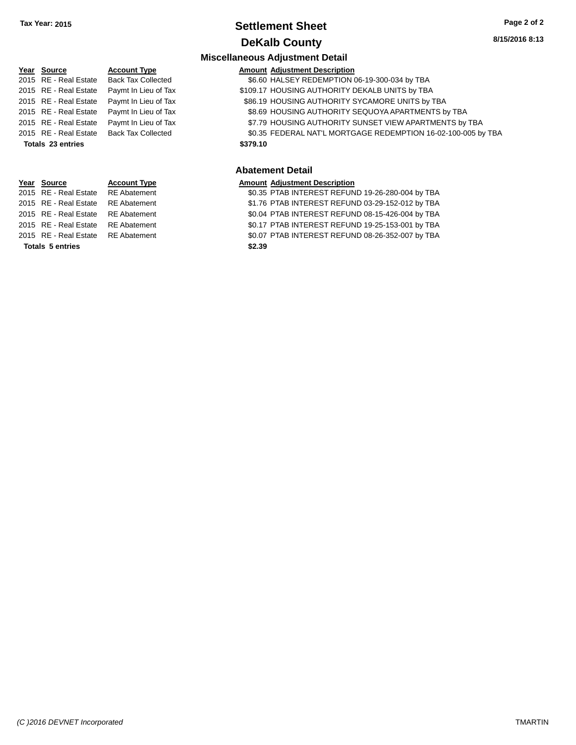# **Settlement Sheet Tax Year: 2015 Page 2 of 2 DeKalb County**

## **Miscellaneous Adjustment Detail Year** Source **Account Type Account Adjustment Description** 2015 RE - Real Estate Back Tax Collected \$6.60 HALSEY REDEMPTION 06-19-300-034 by TBA 2015 RE - Real Estate Paymt In Lieu of Tax S109.17 HOUSING AUTHORITY DEKALB UNITS by TBA 2015 RE - Real Estate Paymt In Lieu of Tax \$86.19 HOUSING AUTHORITY SYCAMORE UNITS by TBA 2015 RE - Real Estate Paymt In Lieu of Tax \$8.69 HOUSING AUTHORITY SEQUOYA APARTMENTS by TBA 2015 RE - Real Estate Paymt In Lieu of Tax **Fig.79 HOUSING AUTHORITY SUNSET VIEW APARTMENTS** by TBA 2015 RE - Real Estate Back Tax Collected \$0.35 FEDERAL NAT'L MORTGAGE REDEMPTION 16-02-100-005 by TBA **Totals \$379.10 23 entries Abatement Detail Year Source Account Type Amount Adjustment Description** \$0.35 PTAB INTEREST REFUND 19-26-280-004 by TBA

**Totals \$2.39 5 entries**

2015 RE - Real Estate \$1.76 PTAB INTEREST REFUND 03-29-152-012 by TBA RE Abatement 2015 RE - Real Estate RE Abatement \$0.04 PTAB INTEREST REFUND 08-15-426-004 by TBA 2015 RE - Real Estate RE Abatement \$0.17 PTAB INTEREST REFUND 19-25-153-001 by TBA 2015 RE - Real Estate \$0.07 PTAB INTEREST REFUND 08-26-352-007 by TBA RE Abatement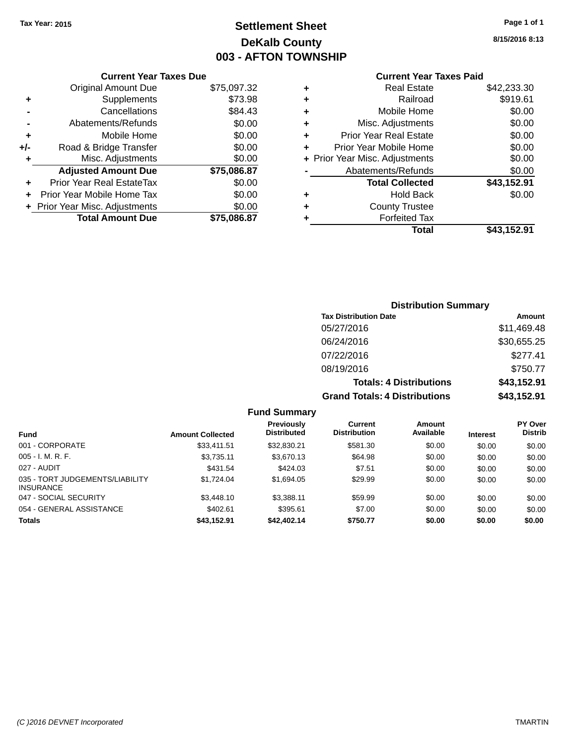# **Settlement Sheet Tax Year: 2015 Page 1 of 1 DeKalb County 003 - AFTON TOWNSHIP**

**8/15/2016 8:13**

|  | <b>Current Year Taxes Paid</b> |  |
|--|--------------------------------|--|
|--|--------------------------------|--|

|       | <b>Current Year Taxes Due</b>  |             |
|-------|--------------------------------|-------------|
|       | <b>Original Amount Due</b>     | \$75,097.32 |
| ٠     | Supplements                    | \$73.98     |
|       | Cancellations                  | \$84.43     |
|       | Abatements/Refunds             | \$0.00      |
| ٠     | Mobile Home                    | \$0.00      |
| $+/-$ | Road & Bridge Transfer         | \$0.00      |
| ٠     | Misc. Adjustments              | \$0.00      |
|       | <b>Adjusted Amount Due</b>     | \$75,086.87 |
| ٠     | Prior Year Real EstateTax      | \$0.00      |
| ÷     | Prior Year Mobile Home Tax     | \$0.00      |
|       | + Prior Year Misc. Adjustments | \$0.00      |
|       | <b>Total Amount Due</b>        | \$75,086.87 |
|       |                                |             |

|   | <b>Real Estate</b>             | \$42,233.30 |
|---|--------------------------------|-------------|
| ٠ | Railroad                       | \$919.61    |
| ٠ | Mobile Home                    | \$0.00      |
| ٠ | Misc. Adjustments              | \$0.00      |
| ٠ | <b>Prior Year Real Estate</b>  | \$0.00      |
| ٠ | Prior Year Mobile Home         | \$0.00      |
|   | + Prior Year Misc. Adjustments | \$0.00      |
|   | Abatements/Refunds             | \$0.00      |
|   | <b>Total Collected</b>         | \$43,152.91 |
| ٠ | <b>Hold Back</b>               | \$0.00      |
| ٠ | <b>County Trustee</b>          |             |
| ٠ | <b>Forfeited Tax</b>           |             |
|   | Total                          | \$43,152.91 |
|   |                                |             |

| <b>Distribution Summary</b>          |             |
|--------------------------------------|-------------|
| <b>Tax Distribution Date</b>         | Amount      |
| 05/27/2016                           | \$11,469.48 |
| 06/24/2016                           | \$30,655.25 |
| 07/22/2016                           | \$277.41    |
| 08/19/2016                           | \$750.77    |
| <b>Totals: 4 Distributions</b>       | \$43,152.91 |
| <b>Grand Totals: 4 Distributions</b> | \$43,152.91 |

|                                                     |                         | <b>Fund Summary</b>              |                                       |                     |                 |                                  |
|-----------------------------------------------------|-------------------------|----------------------------------|---------------------------------------|---------------------|-----------------|----------------------------------|
| <b>Fund</b>                                         | <b>Amount Collected</b> | Previously<br><b>Distributed</b> | <b>Current</b><br><b>Distribution</b> | Amount<br>Available | <b>Interest</b> | <b>PY Over</b><br><b>Distrib</b> |
| 001 - CORPORATE                                     | \$33.411.51             | \$32,830.21                      | \$581.30                              | \$0.00              | \$0.00          | \$0.00                           |
| $005 - I. M. R. F.$                                 | \$3,735.11              | \$3,670.13                       | \$64.98                               | \$0.00              | \$0.00          | \$0.00                           |
| 027 - AUDIT                                         | \$431.54                | \$424.03                         | \$7.51                                | \$0.00              | \$0.00          | \$0.00                           |
| 035 - TORT JUDGEMENTS/LIABILITY<br><b>INSURANCE</b> | \$1,724.04              | \$1,694.05                       | \$29.99                               | \$0.00              | \$0.00          | \$0.00                           |
| 047 - SOCIAL SECURITY                               | \$3,448.10              | \$3.388.11                       | \$59.99                               | \$0.00              | \$0.00          | \$0.00                           |
| 054 - GENERAL ASSISTANCE                            | \$402.61                | \$395.61                         | \$7.00                                | \$0.00              | \$0.00          | \$0.00                           |
| Totals                                              | \$43,152.91             | \$42,402.14                      | \$750.77                              | \$0.00              | \$0.00          | \$0.00                           |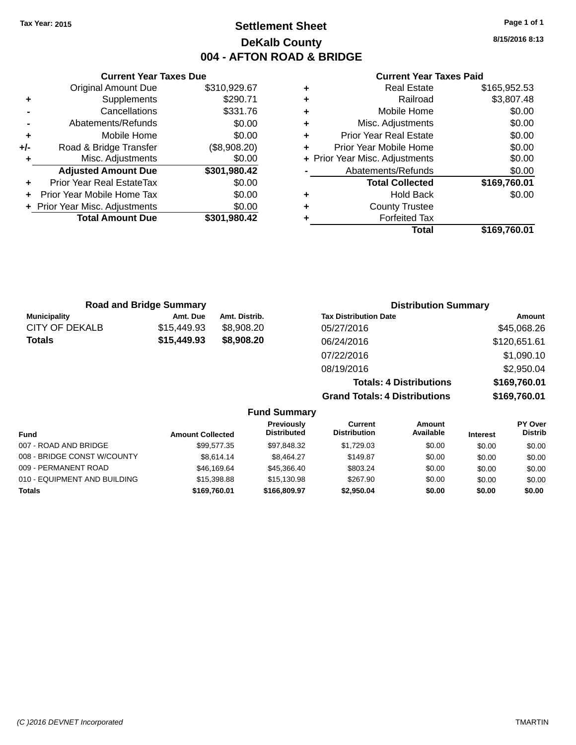# **Settlement Sheet Tax Year: 2015 Page 1 of 1 DeKalb County 004 - AFTON ROAD & BRIDGE**

**Current Year Taxes Due** Original Amount Due \$310,929.67 **+** Supplements \$290.71 **-** Cancellations \$331.76 **-** Abatements/Refunds \$0.00 **+** Mobile Home \$0.00 **+/-** Road & Bridge Transfer (\$8,908.20) **+** Misc. Adjustments \$0.00 **Adjusted Amount Due \$301,980.42 +** Prior Year Real EstateTax \$0.00 **+** Prior Year Mobile Home Tax \$0.00 **+ Prior Year Misc. Adjustments**  $$0.00$ **Total Amount Due \$301,980.42**

### **Current Year Taxes Paid**

| ٠ | <b>Real Estate</b>             | \$165,952.53 |
|---|--------------------------------|--------------|
| ٠ | Railroad                       | \$3,807.48   |
| ٠ | Mobile Home                    | \$0.00       |
| ٠ | Misc. Adjustments              | \$0.00       |
| ٠ | <b>Prior Year Real Estate</b>  | \$0.00       |
| ٠ | Prior Year Mobile Home         | \$0.00       |
|   | + Prior Year Misc. Adjustments | \$0.00       |
|   | Abatements/Refunds             | \$0.00       |
|   | <b>Total Collected</b>         | \$169,760.01 |
| ٠ | <b>Hold Back</b>               | \$0.00       |
| ٠ | <b>County Trustee</b>          |              |
|   | <b>Forfeited Tax</b>           |              |
|   | Total                          | \$169,760.01 |
|   |                                |              |

| <b>Road and Bridge Summary</b> |             |               | <b>Distribution Summary</b>    |              |  |
|--------------------------------|-------------|---------------|--------------------------------|--------------|--|
| <b>Municipality</b>            | Amt. Due    | Amt. Distrib. | <b>Tax Distribution Date</b>   | Amount       |  |
| CITY OF DEKALB                 | \$15,449.93 | \$8.908.20    | 05/27/2016                     | \$45,068.26  |  |
| <b>Totals</b>                  | \$15,449.93 | \$8,908.20    | 06/24/2016                     | \$120,651.61 |  |
|                                |             |               | 07/22/2016                     | \$1,090.10   |  |
|                                |             |               | 08/19/2016                     | \$2,950.04   |  |
|                                |             |               | <b>Totals: 4 Distributions</b> | \$169,760.01 |  |

**Grand Totals: 4 Distributions \$169,760.01**

|                              |                         |                                         | ************************************** |                            |                 | <b></b>                          |
|------------------------------|-------------------------|-----------------------------------------|----------------------------------------|----------------------------|-----------------|----------------------------------|
|                              |                         | <b>Fund Summary</b>                     |                                        |                            |                 |                                  |
| <b>Fund</b>                  | <b>Amount Collected</b> | <b>Previously</b><br><b>Distributed</b> | Current<br><b>Distribution</b>         | <b>Amount</b><br>Available | <b>Interest</b> | <b>PY Over</b><br><b>Distrib</b> |
| 007 - ROAD AND BRIDGE        | \$99,577.35             | \$97,848.32                             | \$1,729.03                             | \$0.00                     | \$0.00          | \$0.00                           |
| 008 - BRIDGE CONST W/COUNTY  | \$8.614.14              | \$8,464.27                              | \$149.87                               | \$0.00                     | \$0.00          | \$0.00                           |
| 009 - PERMANENT ROAD         | \$46,169.64             | \$45,366,40                             | \$803.24                               | \$0.00                     | \$0.00          | \$0.00                           |
| 010 - EQUIPMENT AND BUILDING | \$15,398.88             | \$15,130.98                             | \$267.90                               | \$0.00                     | \$0.00          | \$0.00                           |
| Totals                       | \$169,760.01            | \$166,809.97                            | \$2,950.04                             | \$0.00                     | \$0.00          | \$0.00                           |
|                              |                         |                                         |                                        |                            |                 |                                  |

**8/15/2016 8:13**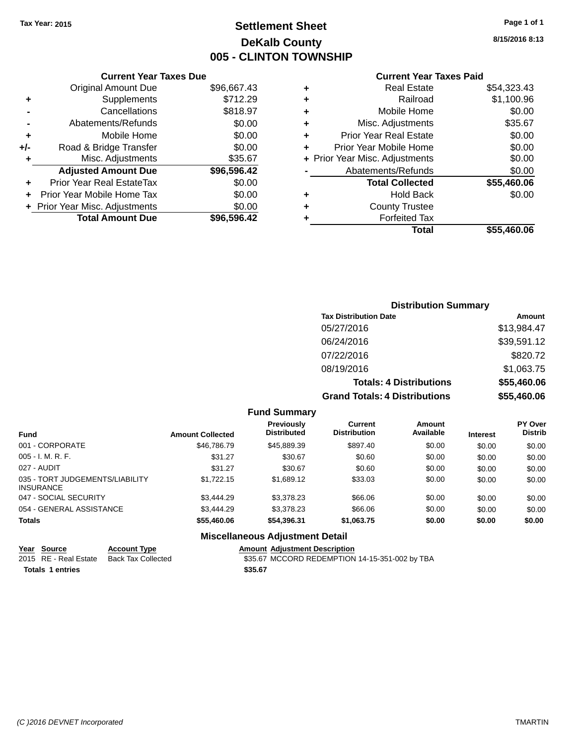# **Settlement Sheet Tax Year: 2015 Page 1 of 1 DeKalb County 005 - CLINTON TOWNSHIP**

**8/15/2016 8:13**

## **Current Year Taxes Paid**

|     | <b>Current Year Taxes Due</b>  |             |  |  |  |
|-----|--------------------------------|-------------|--|--|--|
|     | <b>Original Amount Due</b>     | \$96,667.43 |  |  |  |
| ٠   | Supplements                    | \$712.29    |  |  |  |
|     | Cancellations                  | \$818.97    |  |  |  |
|     | Abatements/Refunds             | \$0.00      |  |  |  |
| ٠   | Mobile Home                    | \$0.00      |  |  |  |
| +/- | Road & Bridge Transfer         | \$0.00      |  |  |  |
|     | Misc. Adjustments              | \$35.67     |  |  |  |
|     | <b>Adjusted Amount Due</b>     | \$96,596.42 |  |  |  |
| ٠   | Prior Year Real EstateTax      | \$0.00      |  |  |  |
|     | Prior Year Mobile Home Tax     | \$0.00      |  |  |  |
|     | + Prior Year Misc. Adjustments | \$0.00      |  |  |  |
|     | <b>Total Amount Due</b>        | \$96,596.42 |  |  |  |
|     |                                |             |  |  |  |

|                  | \$54,323.43                                                                                                                                                                                                                                          |
|------------------|------------------------------------------------------------------------------------------------------------------------------------------------------------------------------------------------------------------------------------------------------|
| Railroad         | \$1,100.96                                                                                                                                                                                                                                           |
|                  | \$0.00                                                                                                                                                                                                                                               |
|                  | \$35.67                                                                                                                                                                                                                                              |
|                  | \$0.00                                                                                                                                                                                                                                               |
|                  | \$0.00                                                                                                                                                                                                                                               |
|                  | \$0.00                                                                                                                                                                                                                                               |
|                  | \$0.00                                                                                                                                                                                                                                               |
|                  | \$55,460.06                                                                                                                                                                                                                                          |
| <b>Hold Back</b> | \$0.00                                                                                                                                                                                                                                               |
|                  |                                                                                                                                                                                                                                                      |
|                  |                                                                                                                                                                                                                                                      |
| Total            | \$55,460.06                                                                                                                                                                                                                                          |
|                  | <b>Real Estate</b><br>Mobile Home<br>Misc. Adjustments<br><b>Prior Year Real Estate</b><br>Prior Year Mobile Home<br>+ Prior Year Misc. Adjustments<br>Abatements/Refunds<br><b>Total Collected</b><br><b>County Trustee</b><br><b>Forfeited Tax</b> |

# **Distribution Summary Tax Distribution Date Amount** 05/27/2016 \$13,984.47 06/24/2016 \$39,591.12 07/22/2016 \$820.72 08/19/2016 \$1,063.75 **Totals: 4 Distributions \$55,460.06 Grand Totals: 4 Distributions \$55,460.06**

#### **Fund Summary**

| <b>Fund</b>                                         | <b>Amount Collected</b> | <b>Previously</b><br><b>Distributed</b> | Current<br><b>Distribution</b> | Amount<br>Available | <b>Interest</b> | <b>PY Over</b><br><b>Distrib</b> |
|-----------------------------------------------------|-------------------------|-----------------------------------------|--------------------------------|---------------------|-----------------|----------------------------------|
| 001 - CORPORATE                                     | \$46,786.79             | \$45,889.39                             | \$897.40                       | \$0.00              | \$0.00          | \$0.00                           |
| $005 - I. M. R. F.$                                 | \$31.27                 | \$30.67                                 | \$0.60                         | \$0.00              | \$0.00          | \$0.00                           |
| 027 - AUDIT                                         | \$31.27                 | \$30.67                                 | \$0.60                         | \$0.00              | \$0.00          | \$0.00                           |
| 035 - TORT JUDGEMENTS/LIABILITY<br><b>INSURANCE</b> | \$1,722.15              | \$1,689.12                              | \$33.03                        | \$0.00              | \$0.00          | \$0.00                           |
| 047 - SOCIAL SECURITY                               | \$3,444.29              | \$3,378,23                              | \$66.06                        | \$0.00              | \$0.00          | \$0.00                           |
| 054 - GENERAL ASSISTANCE                            | \$3.444.29              | \$3,378.23                              | \$66.06                        | \$0.00              | \$0.00          | \$0.00                           |
| <b>Totals</b>                                       | \$55,460.06             | \$54,396.31                             | \$1,063.75                     | \$0.00              | \$0.00          | \$0.00                           |

## **Miscellaneous Adjustment Detail**

|                         | Year Source | <b>Account Type</b>                      | <b>Amount Adiustment Description</b>           |
|-------------------------|-------------|------------------------------------------|------------------------------------------------|
|                         |             | 2015 RE - Real Estate Back Tax Collected | \$35.67 MCCORD REDEMPTION 14-15-351-002 by TBA |
| <b>Totals 1 entries</b> |             |                                          | \$35.67                                        |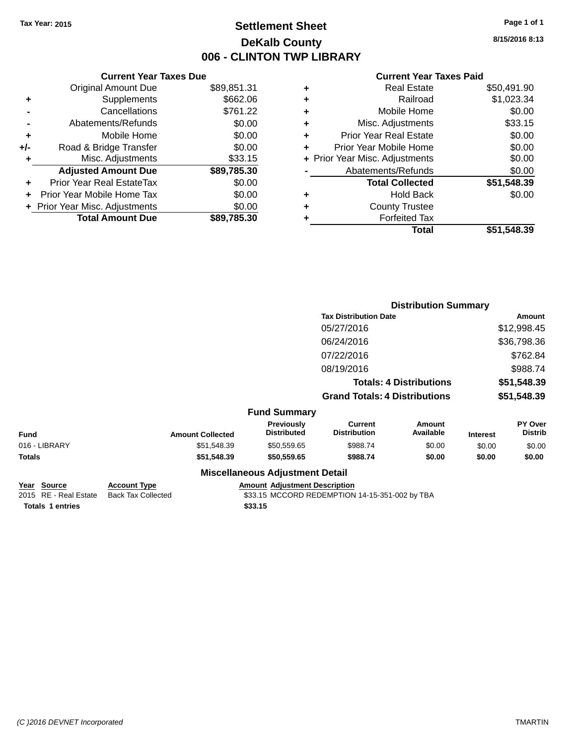# **Settlement Sheet Tax Year: 2015 Page 1 of 1 DeKalb County 006 - CLINTON TWP LIBRARY**

**8/15/2016 8:13**

## **Current Year Taxes Paid**

| <b>Original Amount Due</b>   | \$89,851.31                   |
|------------------------------|-------------------------------|
| Supplements                  | \$662.06                      |
| Cancellations                | \$761.22                      |
| Abatements/Refunds           | \$0.00                        |
| Mobile Home                  | \$0.00                        |
| Road & Bridge Transfer       | \$0.00                        |
| Misc. Adjustments            | \$33.15                       |
| <b>Adjusted Amount Due</b>   | \$89,785.30                   |
| Prior Year Real EstateTax    | \$0.00                        |
| Prior Year Mobile Home Tax   | \$0.00                        |
| Prior Year Misc. Adjustments | \$0.00                        |
| <b>Total Amount Due</b>      | \$89.785.30                   |
|                              | <b>Current Year Taxes Due</b> |

|   | <b>Real Estate</b>             | \$50,491.90 |
|---|--------------------------------|-------------|
| ٠ | Railroad                       | \$1,023.34  |
| ٠ | Mobile Home                    | \$0.00      |
| ٠ | Misc. Adjustments              | \$33.15     |
| ٠ | <b>Prior Year Real Estate</b>  | \$0.00      |
| ÷ | Prior Year Mobile Home         | \$0.00      |
|   | + Prior Year Misc. Adjustments | \$0.00      |
|   | Abatements/Refunds             | \$0.00      |
|   | <b>Total Collected</b>         | \$51,548.39 |
| ٠ | <b>Hold Back</b>               | \$0.00      |
| ٠ | <b>County Trustee</b>          |             |
| ٠ | <b>Forfeited Tax</b>           |             |
|   | Total                          | \$51,548.39 |
|   |                                |             |

|               |                         |                                        | <b>Distribution Summary</b>           |                                |                 |                           |
|---------------|-------------------------|----------------------------------------|---------------------------------------|--------------------------------|-----------------|---------------------------|
|               |                         |                                        | <b>Tax Distribution Date</b>          |                                |                 | <b>Amount</b>             |
|               |                         |                                        | 05/27/2016                            |                                |                 | \$12,998.45               |
|               |                         |                                        | 06/24/2016                            |                                |                 | \$36,798.36               |
|               |                         |                                        | 07/22/2016                            |                                |                 | \$762.84                  |
|               |                         |                                        | 08/19/2016                            |                                |                 | \$988.74                  |
|               |                         |                                        |                                       | <b>Totals: 4 Distributions</b> |                 | \$51,548.39               |
|               |                         |                                        | <b>Grand Totals: 4 Distributions</b>  |                                |                 | \$51,548.39               |
|               |                         | <b>Fund Summary</b>                    |                                       |                                |                 |                           |
| <b>Fund</b>   | <b>Amount Collected</b> | Previously<br><b>Distributed</b>       | <b>Current</b><br><b>Distribution</b> | Amount<br>Available            | <b>Interest</b> | PY Over<br><b>Distrib</b> |
| 016 - LIBRARY | \$51,548.39             | \$50,559.65                            | \$988.74                              | \$0.00                         | \$0.00          | \$0.00                    |
| Totals        | \$51,548.39             | \$50,559.65                            | \$988.74                              | \$0.00                         | \$0.00          | \$0.00                    |
|               |                         | <b>Miscellaneous Adjustment Detail</b> |                                       |                                |                 |                           |

| Year Source             | <b>Account Type</b> |         | <b>Amount Adiustment Description</b>           |  |
|-------------------------|---------------------|---------|------------------------------------------------|--|
| 2015 RE - Real Estate   | Back Tax Collected  |         | \$33.15 MCCORD REDEMPTION 14-15-351-002 by TBA |  |
| <b>Totals 1 entries</b> |                     | \$33.15 |                                                |  |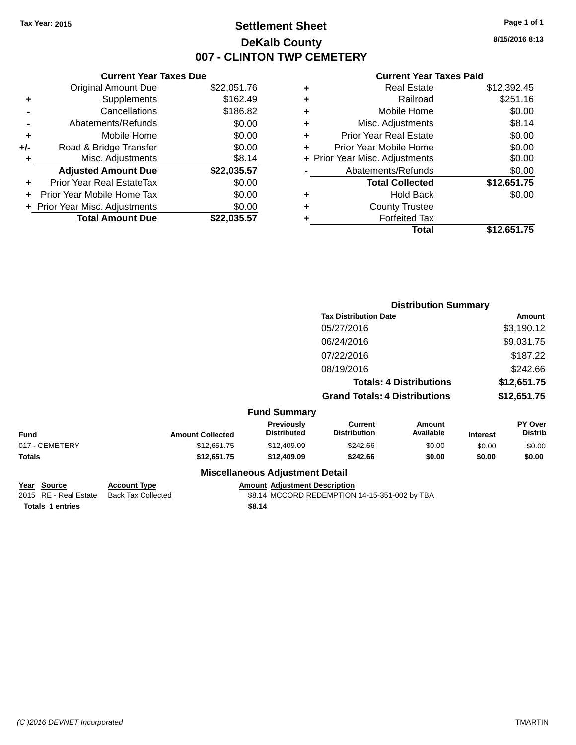# **Settlement Sheet Tax Year: 2015 Page 1 of 1 DeKalb County 007 - CLINTON TWP CEMETERY**

**8/15/2016 8:13**

#### **Current Year Taxes Paid**

|       | <b>Current Year Taxes Due</b> |             |
|-------|-------------------------------|-------------|
|       | <b>Original Amount Due</b>    | \$22,051.76 |
| ٠     | Supplements                   | \$162.49    |
|       | Cancellations                 | \$186.82    |
|       | Abatements/Refunds            | \$0.00      |
| ÷     | Mobile Home                   | \$0.00      |
| $+/-$ | Road & Bridge Transfer        | \$0.00      |
|       | Misc. Adjustments             | \$8.14      |
|       | <b>Adjusted Amount Due</b>    | \$22,035.57 |
| ÷     | Prior Year Real EstateTax     | \$0.00      |
|       | Prior Year Mobile Home Tax    | \$0.00      |
|       | Prior Year Misc. Adjustments  | \$0.00      |
|       | <b>Total Amount Due</b>       | \$22.035.57 |

| ٠ | <b>Real Estate</b>             | \$12,392.45 |
|---|--------------------------------|-------------|
| ٠ | Railroad                       | \$251.16    |
| ٠ | Mobile Home                    | \$0.00      |
| ٠ | Misc. Adjustments              | \$8.14      |
| ٠ | <b>Prior Year Real Estate</b>  | \$0.00      |
| ٠ | Prior Year Mobile Home         | \$0.00      |
|   | + Prior Year Misc. Adjustments | \$0.00      |
|   | Abatements/Refunds             | \$0.00      |
|   | <b>Total Collected</b>         | \$12,651.75 |
| ٠ | Hold Back                      | \$0.00      |
| ٠ | <b>County Trustee</b>          |             |
| ٠ | <b>Forfeited Tax</b>           |             |
|   | Total                          | \$12,651.75 |
|   |                                |             |

|                |                         |                                        | <b>Distribution Summary</b>           |                                |                 |                           |
|----------------|-------------------------|----------------------------------------|---------------------------------------|--------------------------------|-----------------|---------------------------|
|                |                         |                                        | <b>Tax Distribution Date</b>          |                                |                 | Amount                    |
|                |                         |                                        | 05/27/2016                            |                                |                 | \$3,190.12                |
|                |                         |                                        | 06/24/2016                            |                                |                 | \$9,031.75                |
|                |                         |                                        | 07/22/2016                            |                                |                 | \$187.22                  |
|                |                         |                                        | 08/19/2016                            |                                |                 | \$242.66                  |
|                |                         |                                        |                                       | <b>Totals: 4 Distributions</b> |                 | \$12,651.75               |
|                |                         |                                        | <b>Grand Totals: 4 Distributions</b>  |                                | \$12,651.75     |                           |
|                |                         | <b>Fund Summary</b>                    |                                       |                                |                 |                           |
| <b>Fund</b>    | <b>Amount Collected</b> | Previously<br><b>Distributed</b>       | <b>Current</b><br><b>Distribution</b> | Amount<br>Available            | <b>Interest</b> | PY Over<br><b>Distrib</b> |
| 017 - CEMETERY | \$12,651.75             | \$12,409.09                            | \$242.66                              | \$0.00                         | \$0.00          | \$0.00                    |
| Totals         | \$12,651.75             | \$12,409.09                            | \$242.66                              | \$0.00                         | \$0.00          | \$0.00                    |
|                |                         | <b>Miscellaneous Adjustment Detail</b> |                                       |                                |                 |                           |
|                |                         |                                        |                                       |                                |                 |                           |

**Year Source Account Type Amount Adjustment Description**  $$8.14$  MCCORD REDEMPTION 14-15-351-002 by TBA **Totals \$8.14 1 entries**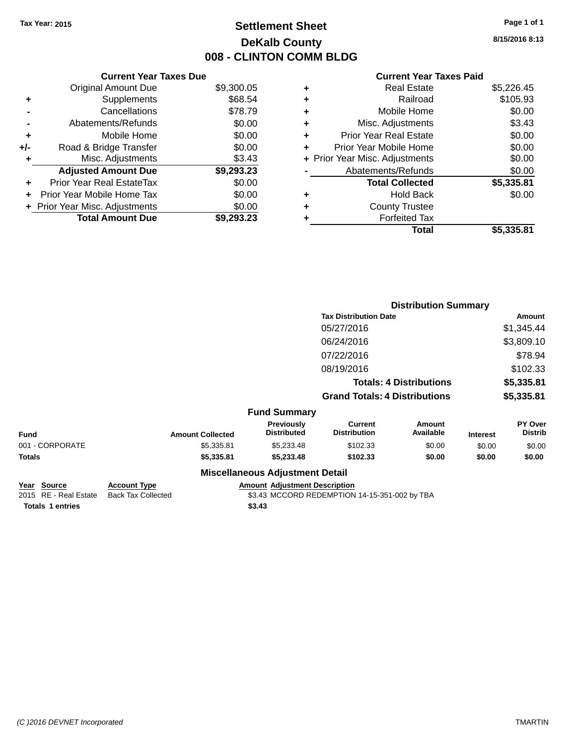# **Settlement Sheet Tax Year: 2015 Page 1 of 1 DeKalb County 008 - CLINTON COMM BLDG**

**8/15/2016 8:13**

## **Current Year Taxes Paid**

|     | <b>Current Year Taxes Due</b>  |            |
|-----|--------------------------------|------------|
|     | <b>Original Amount Due</b>     | \$9,300.05 |
| ٠   | Supplements                    | \$68.54    |
|     | Cancellations                  | \$78.79    |
|     | Abatements/Refunds             | \$0.00     |
| ٠   | Mobile Home                    | \$0.00     |
| +/- | Road & Bridge Transfer         | \$0.00     |
| ٠   | Misc. Adjustments              | \$3.43     |
|     | <b>Adjusted Amount Due</b>     | \$9,293.23 |
| ÷   | Prior Year Real EstateTax      | \$0.00     |
| ÷   | Prior Year Mobile Home Tax     | \$0.00     |
|     | + Prior Year Misc. Adjustments | \$0.00     |
|     | <b>Total Amount Due</b>        | \$9,293.23 |

|   | <b>Real Estate</b>             | \$5,226.45 |
|---|--------------------------------|------------|
| ٠ | Railroad                       | \$105.93   |
| ٠ | Mobile Home                    | \$0.00     |
| ٠ | Misc. Adjustments              | \$3.43     |
| ٠ | Prior Year Real Estate         | \$0.00     |
| ÷ | Prior Year Mobile Home         | \$0.00     |
|   | + Prior Year Misc. Adjustments | \$0.00     |
|   | Abatements/Refunds             | \$0.00     |
|   | <b>Total Collected</b>         | \$5,335.81 |
| ٠ | Hold Back                      | \$0.00     |
| ٠ | <b>County Trustee</b>          |            |
| ٠ | <b>Forfeited Tax</b>           |            |
|   | Total                          | \$5,335.81 |
|   |                                |            |

|                 |                         |                                        | <b>Distribution Summary</b>           |                                |                 |                           |
|-----------------|-------------------------|----------------------------------------|---------------------------------------|--------------------------------|-----------------|---------------------------|
|                 |                         |                                        | <b>Tax Distribution Date</b>          |                                |                 | <b>Amount</b>             |
|                 |                         |                                        | 05/27/2016                            |                                |                 | \$1,345.44                |
|                 |                         |                                        | 06/24/2016                            |                                |                 | \$3,809.10                |
|                 |                         |                                        | 07/22/2016                            |                                |                 | \$78.94                   |
|                 |                         |                                        | 08/19/2016                            |                                |                 | \$102.33                  |
|                 |                         |                                        |                                       | <b>Totals: 4 Distributions</b> |                 | \$5,335.81                |
|                 |                         |                                        | <b>Grand Totals: 4 Distributions</b>  |                                |                 | \$5,335.81                |
|                 |                         | <b>Fund Summary</b>                    |                                       |                                |                 |                           |
| <b>Fund</b>     | <b>Amount Collected</b> | Previously<br><b>Distributed</b>       | <b>Current</b><br><b>Distribution</b> | <b>Amount</b><br>Available     | <b>Interest</b> | PY Over<br><b>Distrib</b> |
| 001 - CORPORATE | \$5,335.81              | \$5,233.48                             | \$102.33                              | \$0.00                         | \$0.00          | \$0.00                    |
| Totals          | \$5,335.81              | \$5,233.48                             | \$102.33                              | \$0.00                         | \$0.00          | \$0.00                    |
|                 |                         | <b>Miscellaneous Adjustment Detail</b> |                                       |                                |                 |                           |

**Year Source Account Type Amount Adjustment Description**  $$3.43$  MCCORD REDEMPTION 14-15-351-002 by TBA **Totals \$3.43 1 entries**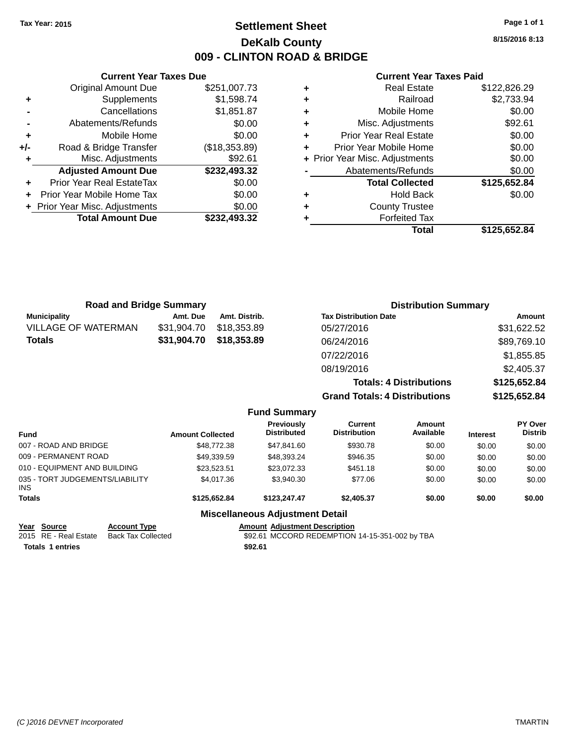# **Settlement Sheet Tax Year: 2015 Page 1 of 1 DeKalb County 009 - CLINTON ROAD & BRIDGE**

**8/15/2016 8:13**

### **Current Year Taxes Paid**

|       | <b>Current Year Taxes Due</b>    |               |
|-------|----------------------------------|---------------|
|       | <b>Original Amount Due</b>       | \$251,007.73  |
| ٠     | Supplements                      | \$1,598.74    |
|       | Cancellations                    | \$1,851.87    |
|       | Abatements/Refunds               | \$0.00        |
| ٠     | Mobile Home                      | \$0.00        |
| $+/-$ | Road & Bridge Transfer           | (\$18,353.89) |
|       | Misc. Adjustments                | \$92.61       |
|       | <b>Adjusted Amount Due</b>       | \$232,493.32  |
| ٠     | <b>Prior Year Real EstateTax</b> | \$0.00        |
|       | Prior Year Mobile Home Tax       | \$0.00        |
|       | + Prior Year Misc. Adjustments   | \$0.00        |
|       | <b>Total Amount Due</b>          | \$232.493.32  |
|       |                                  |               |

|   | <b>Real Estate</b>             | \$122,826.29 |
|---|--------------------------------|--------------|
| ٠ | Railroad                       | \$2,733.94   |
| ٠ | Mobile Home                    | \$0.00       |
| ٠ | Misc. Adjustments              | \$92.61      |
| ٠ | <b>Prior Year Real Estate</b>  | \$0.00       |
| ٠ | Prior Year Mobile Home         | \$0.00       |
|   | + Prior Year Misc. Adjustments | \$0.00       |
|   | Abatements/Refunds             | \$0.00       |
|   | <b>Total Collected</b>         | \$125,652.84 |
| ٠ | <b>Hold Back</b>               | \$0.00       |
| ٠ | <b>County Trustee</b>          |              |
| ٠ | <b>Forfeited Tax</b>           |              |
|   | Total                          | \$125,652.84 |
|   |                                |              |

| <b>Road and Bridge Summary</b> |             |                     | <b>Distribution Summary</b>          |              |
|--------------------------------|-------------|---------------------|--------------------------------------|--------------|
| <b>Municipality</b>            | Amt. Due    | Amt. Distrib.       | <b>Tax Distribution Date</b>         | Amount       |
| <b>VILLAGE OF WATERMAN</b>     | \$31,904.70 | \$18,353.89         | 05/27/2016                           | \$31,622.52  |
| <b>Totals</b>                  | \$31,904.70 | \$18,353.89         | 06/24/2016                           | \$89,769.10  |
|                                |             |                     | 07/22/2016                           | \$1,855.85   |
|                                |             |                     | 08/19/2016                           | \$2,405.37   |
|                                |             |                     | <b>Totals: 4 Distributions</b>       | \$125,652.84 |
|                                |             |                     | <b>Grand Totals: 4 Distributions</b> | \$125,652.84 |
|                                |             | <b>Eund Summary</b> |                                      |              |

|                                               |                     |                         | -                                       |                                |                     |                 |                           |
|-----------------------------------------------|---------------------|-------------------------|-----------------------------------------|--------------------------------|---------------------|-----------------|---------------------------|
| <b>Fund</b>                                   |                     | <b>Amount Collected</b> | <b>Previously</b><br><b>Distributed</b> | Current<br><b>Distribution</b> | Amount<br>Available | <b>Interest</b> | PY Over<br><b>Distrib</b> |
| 007 - ROAD AND BRIDGE                         |                     | \$48,772.38             | \$47,841.60                             | \$930.78                       | \$0.00              | \$0.00          | \$0.00                    |
| 009 - PERMANENT ROAD                          |                     | \$49,339.59             | \$48,393.24                             | \$946.35                       | \$0.00              | \$0.00          | \$0.00                    |
| 010 - EQUIPMENT AND BUILDING                  |                     | \$23.523.51             | \$23,072.33                             | \$451.18                       | \$0.00              | \$0.00          | \$0.00                    |
| 035 - TORT JUDGEMENTS/LIABILITY<br><b>INS</b> |                     | \$4,017.36              | \$3,940.30                              | \$77.06                        | \$0.00              | \$0.00          | \$0.00                    |
| <b>Totals</b>                                 |                     | \$125,652,84            | \$123,247,47                            | \$2,405.37                     | \$0.00              | \$0.00          | \$0.00                    |
|                                               |                     |                         | <b>Miscellaneous Adjustment Detail</b>  |                                |                     |                 |                           |
| Year Source                                   | <b>Account Type</b> |                         | <b>Amount Adiustment Description</b>    |                                |                     |                 |                           |

**<u>Year</u> Source Account Type**<br>2015 RE - Real Estate Back Tax Collected **Totals \$92.61 1 entries**

\$92.61 MCCORD REDEMPTION 14-15-351-002 by TBA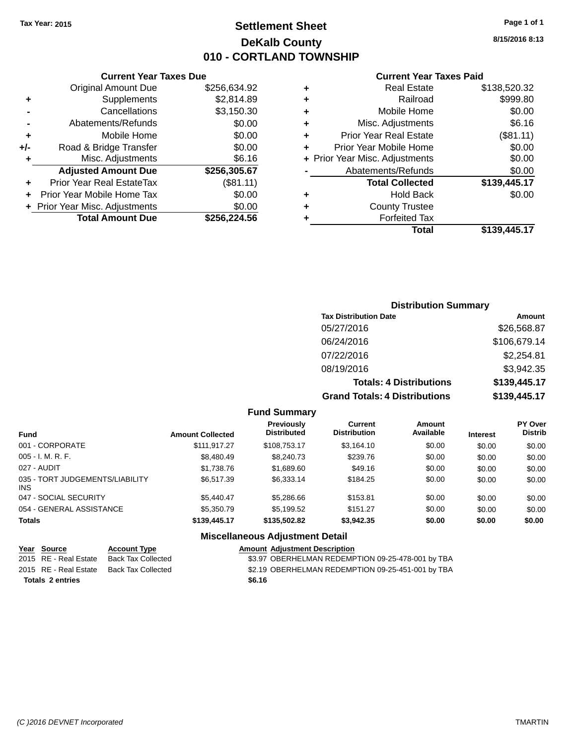# **Settlement Sheet Tax Year: 2015 Page 1 of 1 DeKalb County 010 - CORTLAND TOWNSHIP**

**Current Year Taxes Due**

| <b>Original Amount Due</b> | \$256,634.92                                              |
|----------------------------|-----------------------------------------------------------|
| Supplements                | \$2,814.89                                                |
| Cancellations              | \$3,150.30                                                |
| Abatements/Refunds         | \$0.00                                                    |
| Mobile Home                | \$0.00                                                    |
| Road & Bridge Transfer     | \$0.00                                                    |
| Misc. Adjustments          | \$6.16                                                    |
| <b>Adjusted Amount Due</b> | \$256,305.67                                              |
| Prior Year Real EstateTax  | (\$81.11)                                                 |
| Prior Year Mobile Home Tax | \$0.00                                                    |
|                            | \$0.00                                                    |
|                            |                                                           |
|                            | + Prior Year Misc. Adjustments<br><b>Total Amount Due</b> |

#### **Current Year Taxes Paid**

|   | <b>Real Estate</b>             | \$138,520.32 |
|---|--------------------------------|--------------|
| ٠ | Railroad                       | \$999.80     |
| ٠ | Mobile Home                    | \$0.00       |
| ٠ | Misc. Adjustments              | \$6.16       |
| ٠ | <b>Prior Year Real Estate</b>  | (\$81.11)    |
| ٠ | Prior Year Mobile Home         | \$0.00       |
|   | + Prior Year Misc. Adjustments | \$0.00       |
|   | Abatements/Refunds             | \$0.00       |
|   | <b>Total Collected</b>         | \$139,445.17 |
| ٠ | <b>Hold Back</b>               | \$0.00       |
| ٠ | <b>County Trustee</b>          |              |
| ٠ | <b>Forfeited Tax</b>           |              |
|   | Total                          | \$139,445.17 |
|   |                                |              |

# **Distribution Summary Tax Distribution Date Amount** 05/27/2016 \$26,568.87 06/24/2016 \$106,679.14 07/22/2016 \$2,254.81 08/19/2016 \$3,942.35 **Totals: 4 Distributions \$139,445.17 Grand Totals: 4 Distributions \$139,445.17**

#### **Fund Summary**

| <b>Fund</b>                             | <b>Amount Collected</b> | <b>Previously</b><br><b>Distributed</b> | Current<br><b>Distribution</b> | Amount<br>Available | <b>Interest</b> | <b>PY Over</b><br><b>Distrib</b> |
|-----------------------------------------|-------------------------|-----------------------------------------|--------------------------------|---------------------|-----------------|----------------------------------|
| 001 - CORPORATE                         | \$111.917.27            | \$108,753.17                            | \$3,164.10                     | \$0.00              | \$0.00          | \$0.00                           |
| $005 - I. M. R. F.$                     | \$8,480.49              | \$8,240.73                              | \$239.76                       | \$0.00              | \$0.00          | \$0.00                           |
| 027 - AUDIT                             | \$1,738.76              | \$1,689.60                              | \$49.16                        | \$0.00              | \$0.00          | \$0.00                           |
| 035 - TORT JUDGEMENTS/LIABILITY<br>INS. | \$6,517.39              | \$6,333.14                              | \$184.25                       | \$0.00              | \$0.00          | \$0.00                           |
| 047 - SOCIAL SECURITY                   | \$5.440.47              | \$5,286.66                              | \$153.81                       | \$0.00              | \$0.00          | \$0.00                           |
| 054 - GENERAL ASSISTANCE                | \$5,350.79              | \$5,199.52                              | \$151.27                       | \$0.00              | \$0.00          | \$0.00                           |
| <b>Totals</b>                           | \$139,445.17            | \$135,502.82                            | \$3,942.35                     | \$0.00              | \$0.00          | \$0.00                           |

## **Miscellaneous Adjustment Detail**

| Year Source             | <b>Account Type</b> | <b>Amount Adiustment Description</b>              |
|-------------------------|---------------------|---------------------------------------------------|
| 2015 RE - Real Estate   | Back Tax Collected  | \$3.97 OBERHELMAN REDEMPTION 09-25-478-001 by TBA |
| 2015 RE - Real Estate   | Back Tax Collected  | \$2.19 OBERHELMAN REDEMPTION 09-25-451-001 by TBA |
| <b>Totals 2 entries</b> |                     | \$6.16                                            |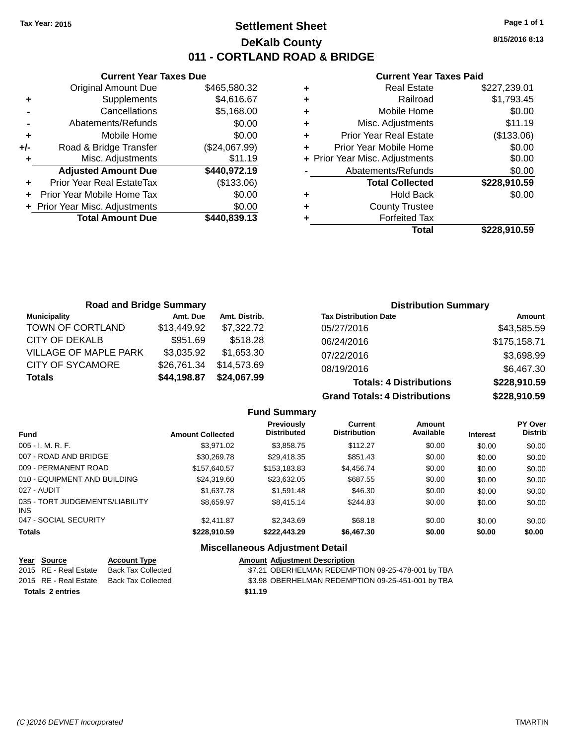# **Settlement Sheet Tax Year: 2015 Page 1 of 1 DeKalb County 011 - CORTLAND ROAD & BRIDGE**

**Current Year Taxes Due** Original Amount Due \$465,580.32 **+** Supplements \$4,616.67 **-** Cancellations \$5,168.00 **-** Abatements/Refunds \$0.00 **+** Mobile Home \$0.00 **+/-** Road & Bridge Transfer (\$24,067.99) **+** Misc. Adjustments \$11.19 **Adjusted Amount Due \$440,972.19 +** Prior Year Real EstateTax (\$133.06) **+** Prior Year Mobile Home Tax \$0.00 **+ Prior Year Misc. Adjustments**  $$0.00$ **Total Amount Due \$440,839.13**

#### **Current Year Taxes Paid**

| <b>Real Estate</b>             | \$227,239.01 |
|--------------------------------|--------------|
| Railroad                       | \$1,793.45   |
| Mobile Home                    | \$0.00       |
| Misc. Adjustments              | \$11.19      |
| <b>Prior Year Real Estate</b>  | (\$133.06)   |
| Prior Year Mobile Home         | \$0.00       |
| + Prior Year Misc. Adjustments | \$0.00       |
| Abatements/Refunds             | \$0.00       |
| <b>Total Collected</b>         | \$228,910.59 |
| <b>Hold Back</b>               | \$0.00       |
| <b>County Trustee</b>          |              |
| <b>Forfeited Tax</b>           |              |
| Total                          | \$228,910.59 |
|                                |              |

| <b>Road and Bridge Summary</b> |             |               | <b>Distribution Summary</b>    |              |
|--------------------------------|-------------|---------------|--------------------------------|--------------|
| <b>Municipality</b>            | Amt. Due    | Amt. Distrib. | <b>Tax Distribution Date</b>   | Amount       |
| TOWN OF CORTLAND               | \$13,449.92 | \$7,322.72    | 05/27/2016                     | \$43,585.59  |
| CITY OF DEKALB                 | \$951.69    | \$518.28      | 06/24/2016                     | \$175,158.71 |
| <b>VILLAGE OF MAPLE PARK</b>   | \$3,035.92  | \$1.653.30    | 07/22/2016                     | \$3,698.99   |
| <b>CITY OF SYCAMORE</b>        | \$26,761.34 | \$14.573.69   | 08/19/2016                     | \$6,467.30   |
| <b>Totals</b>                  | \$44,198.87 | \$24,067.99   | <b>Totals: 4 Distributions</b> | \$228,910.59 |

**Grand Totals: 4 Distributions \$228,910.59**

|                                         |                         | <b>Fund Summary</b>                     |                                       |                     |                 |                           |
|-----------------------------------------|-------------------------|-----------------------------------------|---------------------------------------|---------------------|-----------------|---------------------------|
| <b>Fund</b>                             | <b>Amount Collected</b> | <b>Previously</b><br><b>Distributed</b> | <b>Current</b><br><b>Distribution</b> | Amount<br>Available | <b>Interest</b> | PY Over<br><b>Distrib</b> |
| $005 - I. M. R. F.$                     | \$3.971.02              | \$3,858.75                              | \$112.27                              | \$0.00              | \$0.00          | \$0.00                    |
| 007 - ROAD AND BRIDGE                   | \$30.269.78             | \$29.418.35                             | \$851.43                              | \$0.00              | \$0.00          | \$0.00                    |
| 009 - PERMANENT ROAD                    | \$157,640.57            | \$153,183,83                            | \$4,456.74                            | \$0.00              | \$0.00          | \$0.00                    |
| 010 - EQUIPMENT AND BUILDING            | \$24.319.60             | \$23.632.05                             | \$687.55                              | \$0.00              | \$0.00          | \$0.00                    |
| 027 - AUDIT                             | \$1,637.78              | \$1,591.48                              | \$46.30                               | \$0.00              | \$0.00          | \$0.00                    |
| 035 - TORT JUDGEMENTS/LIABILITY<br>INS. | \$8.659.97              | \$8,415.14                              | \$244.83                              | \$0.00              | \$0.00          | \$0.00                    |
| 047 - SOCIAL SECURITY                   | \$2.411.87              | \$2.343.69                              | \$68.18                               | \$0.00              | \$0.00          | \$0.00                    |
| <b>Totals</b>                           | \$228,910.59            | \$222,443.29                            | \$6,467.30                            | \$0.00              | \$0.00          | \$0.00                    |

## **Miscellaneous Adjustment Detail**

| Year Source             | <b>Account Type</b> | <b>Amount Adjustment Description</b>              |
|-------------------------|---------------------|---------------------------------------------------|
| 2015 RE - Real Estate   | Back Tax Collected  | \$7.21 OBERHELMAN REDEMPTION 09-25-478-001 by TBA |
| 2015 RE - Real Estate   | Back Tax Collected  | \$3.98 OBERHELMAN REDEMPTION 09-25-451-001 by TBA |
| <b>Totals 2 entries</b> |                     | \$11.19                                           |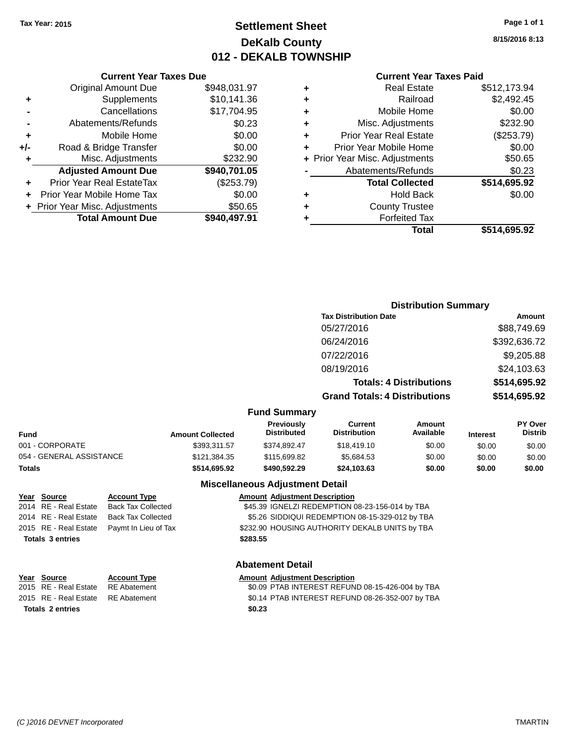# **Settlement Sheet Tax Year: 2015 Page 1 of 1 DeKalb County 012 - DEKALB TOWNSHIP**

**8/15/2016 8:13**

| <b>Current Year Taxes Paid</b> |  |  |  |
|--------------------------------|--|--|--|
|--------------------------------|--|--|--|

|     | <b>Current Year Taxes Due</b>  |              |
|-----|--------------------------------|--------------|
|     | <b>Original Amount Due</b>     | \$948,031.97 |
| ٠   | Supplements                    | \$10,141.36  |
|     | Cancellations                  | \$17,704.95  |
|     | Abatements/Refunds             | \$0.23       |
| ٠   | Mobile Home                    | \$0.00       |
| +/- | Road & Bridge Transfer         | \$0.00       |
| ٠   | Misc. Adjustments              | \$232.90     |
|     | <b>Adjusted Amount Due</b>     | \$940,701.05 |
| ٠   | Prior Year Real EstateTax      | (\$253.79)   |
|     | Prior Year Mobile Home Tax     | \$0.00       |
|     | + Prior Year Misc. Adjustments | \$50.65      |
|     | <b>Total Amount Due</b>        | \$940,497.91 |
|     |                                |              |

| ٠ | <b>Real Estate</b>             | \$512,173.94 |
|---|--------------------------------|--------------|
| ٠ | Railroad                       | \$2,492.45   |
| ٠ | Mobile Home                    | \$0.00       |
| ٠ | Misc. Adjustments              | \$232.90     |
| ٠ | <b>Prior Year Real Estate</b>  | (\$253.79)   |
| ٠ | Prior Year Mobile Home         | \$0.00       |
|   | + Prior Year Misc. Adjustments | \$50.65      |
|   | Abatements/Refunds             | \$0.23       |
|   | <b>Total Collected</b>         | \$514,695.92 |
| ٠ | <b>Hold Back</b>               | \$0.00       |
| ٠ | <b>County Trustee</b>          |              |
| ٠ | <b>Forfeited Tax</b>           |              |
|   | Total                          | \$514,695.92 |
|   |                                |              |

|                         |                                                                           | <b>Distribution Summary</b>    |                 |                                  |  |
|-------------------------|---------------------------------------------------------------------------|--------------------------------|-----------------|----------------------------------|--|
|                         | <b>Tax Distribution Date</b>                                              |                                |                 | Amount                           |  |
|                         | 05/27/2016                                                                |                                |                 | \$88,749.69                      |  |
|                         | 06/24/2016                                                                |                                |                 | \$392,636.72                     |  |
|                         | 07/22/2016                                                                |                                |                 | \$9,205.88                       |  |
|                         | 08/19/2016                                                                |                                |                 | \$24,103.63                      |  |
|                         |                                                                           | <b>Totals: 4 Distributions</b> |                 | \$514,695.92                     |  |
|                         | <b>Grand Totals: 4 Distributions</b>                                      |                                |                 | \$514,695.92                     |  |
| <b>Fund Summary</b>     |                                                                           |                                |                 |                                  |  |
| <b>Amount Collected</b> | <b>Previously</b><br>Current<br><b>Distributed</b><br><b>Distribution</b> | Amount<br>Available            | <b>Interest</b> | <b>PY Over</b><br><b>Distrib</b> |  |

| Fund                                                                                                                                                                                                                                                              | <b>Amount Collected</b> | Previouslv<br><b>Distributed</b> | Current<br>Distribution | Amount<br><b>Available</b> | <b>Interest</b> | PY Over<br><b>Distrib</b> |
|-------------------------------------------------------------------------------------------------------------------------------------------------------------------------------------------------------------------------------------------------------------------|-------------------------|----------------------------------|-------------------------|----------------------------|-----------------|---------------------------|
| 001 - CORPORATE                                                                                                                                                                                                                                                   | \$393.311.57            | \$374.892.47                     | \$18.419.10             | \$0.00                     | \$0.00          | \$0.00                    |
| $2.5$ $\leq$ $\leq$ $\leq$ $\leq$ $\leq$ $\leq$ $\leq$ $\leq$ $\leq$ $\leq$ $\leq$ $\leq$ $\leq$ $\leq$ $\leq$ $\leq$ $\leq$ $\leq$ $\leq$ $\leq$ $\leq$ $\leq$ $\leq$ $\leq$ $\leq$ $\leq$ $\leq$ $\leq$ $\leq$ $\leq$ $\leq$ $\leq$ $\leq$ $\leq$ $\leq$ $\leq$ |                         | $ - $                            | $\cdots$                | $\cdots$                   | ----            | ----                      |

| <b>Miscellaneous Adjustment Detail</b> |              |              |             |        |        |        |  |
|----------------------------------------|--------------|--------------|-------------|--------|--------|--------|--|
| Totals                                 | \$514.695.92 | \$490.592.29 | \$24,103,63 | \$0.00 | \$0.00 | \$0.00 |  |
| 054 - GENERAL ASSISTANCE               | \$121.384.35 | \$115,699.82 | \$5.684.53  | \$0.00 | \$0.00 | \$0.00 |  |

### Account Type **Amount Adjustment Description**

| Year Source             | <b>Account Type</b>                        |          | <b>Amount Adjustment Description</b>            |
|-------------------------|--------------------------------------------|----------|-------------------------------------------------|
| 2014 RE - Real Estate   | <b>Back Tax Collected</b>                  |          | \$45.39 IGNELZI REDEMPTION 08-23-156-014 by TBA |
| 2014 RE - Real Estate   | <b>Back Tax Collected</b>                  |          | \$5.26 SIDDIQUI REDEMPTION 08-15-329-012 by TBA |
|                         | 2015 RE - Real Estate Paymt In Lieu of Tax |          | \$232.90 HOUSING AUTHORITY DEKALB UNITS by TBA  |
| <b>Totals 3 entries</b> |                                            | \$283.55 |                                                 |
|                         |                                            |          |                                                 |

| <b>Abatement Detail</b> |  |
|-------------------------|--|
|-------------------------|--|

| Year Source                        | <b>Account Type</b> | <b>Amount Adiustment Description</b>             |
|------------------------------------|---------------------|--------------------------------------------------|
| 2015 RE - Real Estate              | RE Abatement        | \$0.09 PTAB INTEREST REFUND 08-15-426-004 by TBA |
| 2015 RE - Real Estate RE Abatement |                     | \$0.14 PTAB INTEREST REFUND 08-26-352-007 by TBA |
| <b>Totals 2 entries</b>            |                     | \$0.23                                           |

**Year Source**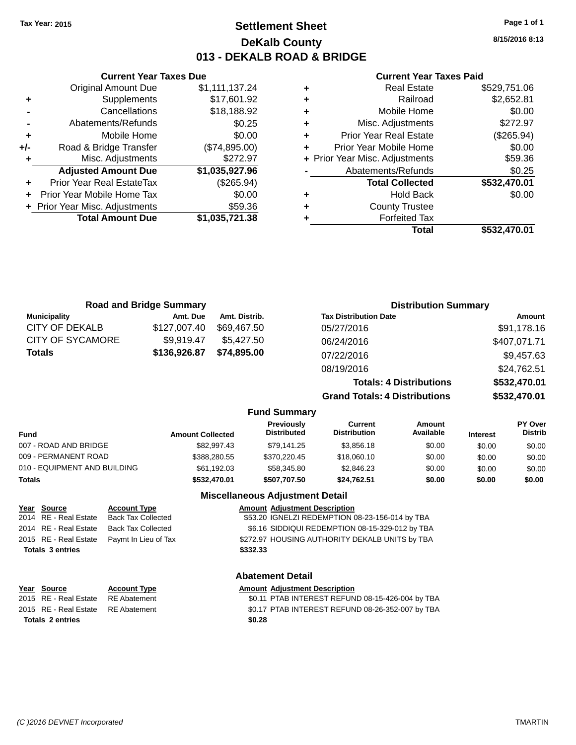# **Settlement Sheet Tax Year: 2015 Page 1 of 1 DeKalb County 013 - DEKALB ROAD & BRIDGE**

**8/15/2016 8:13**

#### **Current Year Taxes Paid**

| <b>Road and Bridge Summary</b>     |                         |               |                                         |                                       | <b>Distribution Summary</b>    |                 |                           |
|------------------------------------|-------------------------|---------------|-----------------------------------------|---------------------------------------|--------------------------------|-----------------|---------------------------|
| <b>Municipality</b>                | Amt. Due                | Amt. Distrib. |                                         | <b>Tax Distribution Date</b>          |                                |                 | Amount                    |
| CITY OF DEKALB                     | \$127,007.40            | \$69,467.50   |                                         | 05/27/2016                            |                                |                 | \$91,178.16               |
| <b>CITY OF SYCAMORE</b>            | \$9,919.47              | \$5,427.50    |                                         | 06/24/2016                            |                                |                 | \$407,071.71              |
| Totals                             | \$136,926.87            | \$74,895.00   |                                         | 07/22/2016                            |                                |                 | \$9,457.63                |
|                                    |                         |               |                                         | 08/19/2016                            |                                |                 | \$24,762.51               |
|                                    |                         |               |                                         |                                       | <b>Totals: 4 Distributions</b> |                 | \$532,470.01              |
|                                    |                         |               |                                         | <b>Grand Totals: 4 Distributions</b>  |                                |                 | \$532,470.01              |
|                                    |                         |               | <b>Fund Summary</b>                     |                                       |                                |                 |                           |
| Fund                               | <b>Amount Collected</b> |               | <b>Previously</b><br><b>Distributed</b> | <b>Current</b><br><b>Distribution</b> | Amount<br>Available            | <b>Interest</b> | PY Over<br><b>Distrib</b> |
| 007 - ROAD AND BRIDGE              |                         | \$82,997.43   | \$79,141.25                             | \$3,856.18                            | \$0.00                         | \$0.00          | \$0.00                    |
| 009 - PERMANENT ROAD               |                         | \$388,280.55  | \$370,220.45                            | \$18,060.10                           | \$0.00                         | \$0.00          | \$0.00                    |
| 010 - EQUIPMENT AND BUILDING       |                         | \$61,192.03   | \$58,345.80                             | \$2,846.23                            | \$0.00                         | \$0.00          | \$0.00                    |
| Totals                             |                         | \$532,470.01  | \$507,707.50                            | \$24,762.51                           | \$0.00                         | \$0.00          | \$0.00                    |
|                                    |                         |               | <b>Miscellaneous Adjustment Detail</b>  |                                       |                                |                 |                           |
| Year Source<br><b>Account Type</b> |                         |               | <b>Amount Adjustment Description</b>    |                                       |                                |                 |                           |

#### **Year Source Account Type Amount Adjustment Description** 2014 RE - Real Estate Back Tax Collected \$53.20 IGNELZI REDEMPTION 08-23-156-014 by TBA 2014 RE - Real Estate Back Tax Collected \$6.16 SIDDIQUI REDEMPTION 08-15-329-012 by TBA 2015 RE - Real Estate Paymt In Lieu of Tax **\$272.97 HOUSING AUTHORITY DEKALB UNITS by TBA Totals \$332.33 3 entries**

**Current Year Taxes Due** Original Amount Due \$1,111,137.24

**Adjusted Amount Due \$1,035,927.96**

**Total Amount Due \$1,035,721.38**

**+** Supplements \$17,601.92 **-** Cancellations \$18,188.92 **-** Abatements/Refunds **\$0.25 +** Mobile Home \$0.00 **+/-** Road & Bridge Transfer (\$74,895.00) **+** Misc. Adjustments \$272.97

**+** Prior Year Real EstateTax (\$265.94) **+** Prior Year Mobile Home Tax \$0.00 **+** Prior Year Misc. Adjustments \$59.36

## **Abatement Detail Year Source Account Type Amount Adjustment Description** 2015 RE - Real Estate \$0.11 PTAB INTEREST REFUND 08-15-426-004 by TBA RE Abatement 2015 RE - Real Estate RE Abatement \$0.17 PTAB INTEREST REFUND 08-26-352-007 by TBA **Totals \$0.28 2 entries**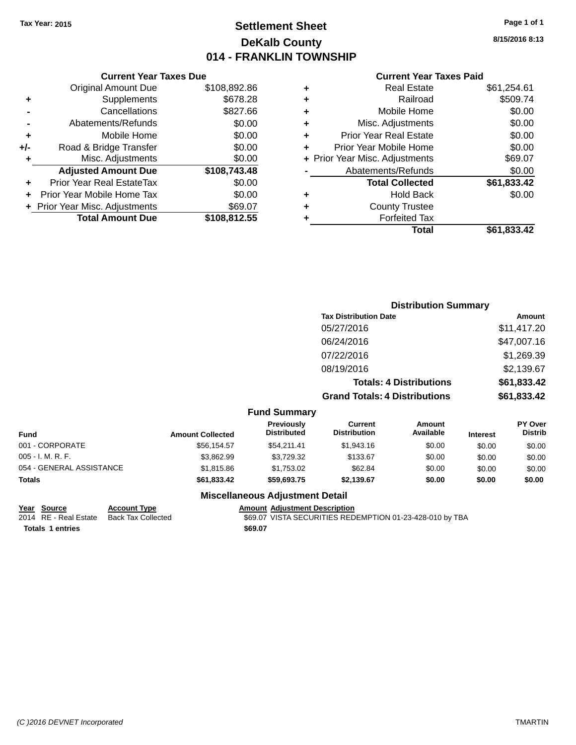# **Settlement Sheet Tax Year: 2015 Page 1 of 1 DeKalb County 014 - FRANKLIN TOWNSHIP**

**8/15/2016 8:13**

## **Current Year Taxes Paid**

|     | <b>Original Amount Due</b>       | \$108,892.86 |
|-----|----------------------------------|--------------|
| ٠   | Supplements                      | \$678.28     |
|     | Cancellations                    | \$827.66     |
|     | Abatements/Refunds               | \$0.00       |
| ÷   | Mobile Home                      | \$0.00       |
| +/- | Road & Bridge Transfer           | \$0.00       |
| ٠   | Misc. Adjustments                | \$0.00       |
|     | <b>Adjusted Amount Due</b>       | \$108,743.48 |
| ٠   | <b>Prior Year Real EstateTax</b> | \$0.00       |
| ٠   | Prior Year Mobile Home Tax       | \$0.00       |
|     | + Prior Year Misc. Adjustments   | \$69.07      |
|     | <b>Total Amount Due</b>          | \$108,812.55 |
|     |                                  |              |

**Current Year Taxes Due**

|   | <b>Real Estate</b>             | \$61,254.61 |
|---|--------------------------------|-------------|
| ٠ | Railroad                       | \$509.74    |
| ٠ | Mobile Home                    | \$0.00      |
| ٠ | Misc. Adjustments              | \$0.00      |
| ٠ | <b>Prior Year Real Estate</b>  | \$0.00      |
| ÷ | Prior Year Mobile Home         | \$0.00      |
|   | + Prior Year Misc. Adjustments | \$69.07     |
|   | Abatements/Refunds             | \$0.00      |
|   | <b>Total Collected</b>         | \$61,833.42 |
| ٠ | <b>Hold Back</b>               | \$0.00      |
|   | <b>County Trustee</b>          |             |
| ٠ | <b>Forfeited Tax</b>           |             |
|   | Total                          | \$61,833.42 |
|   |                                |             |

|                          |                         |                                  | <b>Distribution Summary</b>          |                                |                 |                           |
|--------------------------|-------------------------|----------------------------------|--------------------------------------|--------------------------------|-----------------|---------------------------|
|                          |                         |                                  | <b>Tax Distribution Date</b>         |                                |                 | <b>Amount</b>             |
|                          |                         |                                  | 05/27/2016                           |                                |                 | \$11,417.20               |
|                          |                         |                                  | 06/24/2016                           |                                |                 | \$47,007.16               |
|                          |                         |                                  | 07/22/2016                           |                                |                 | \$1,269.39                |
|                          |                         |                                  | 08/19/2016                           |                                |                 | \$2,139.67                |
|                          |                         |                                  |                                      | <b>Totals: 4 Distributions</b> |                 | \$61,833.42               |
|                          |                         |                                  | <b>Grand Totals: 4 Distributions</b> |                                |                 | \$61,833.42               |
|                          |                         | <b>Fund Summary</b>              |                                      |                                |                 |                           |
| <b>Fund</b>              | <b>Amount Collected</b> | Previously<br><b>Distributed</b> | Current<br><b>Distribution</b>       | <b>Amount</b><br>Available     | <b>Interest</b> | PY Over<br><b>Distrib</b> |
| 001 - CORPORATE          | \$56,154.57             | \$54,211.41                      | \$1,943.16                           | \$0.00                         | \$0.00          | \$0.00                    |
| $005 - I. M. R. F.$      | \$3,862.99              | \$3,729.32                       | \$133.67                             | \$0.00                         | \$0.00          | \$0.00                    |
| 054 - GENERAL ASSISTANCE | \$1,815.86              | \$1,753.02                       | \$62.84                              | \$0.00                         | \$0.00          | \$0.00                    |

## **Miscellaneous Adjustment Detail**

**Totals \$61,833.42 \$59,693.75 \$2,139.67 \$0.00 \$0.00 \$0.00**

**Year Source Account Type Amount Adjustment Description** \$69.07 VISTA SECURITIES REDEMPTION 01-23-428-010 by TBA **Totals 1 entries** \$69.07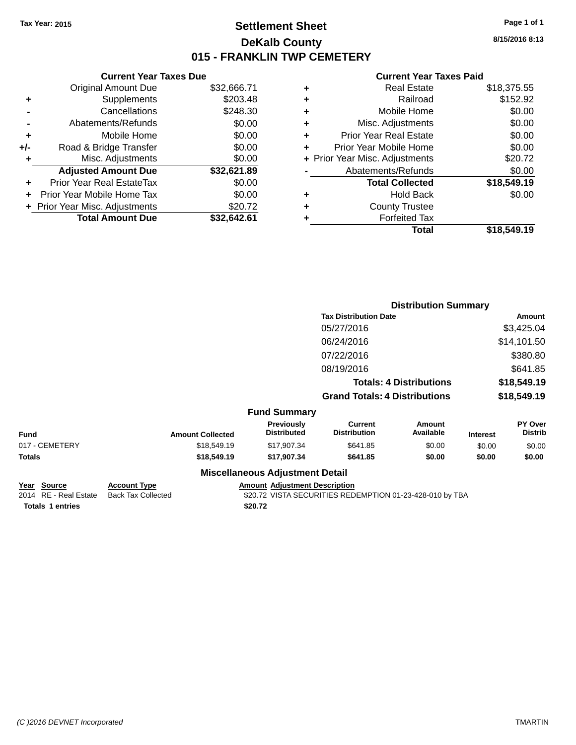# **Settlement Sheet Tax Year: 2015 Page 1 of 1 DeKalb County 015 - FRANKLIN TWP CEMETERY**

**8/15/2016 8:13**

## **Current Year Taxes Paid**

|     | <b>Current Year Taxes Due</b>     |             |
|-----|-----------------------------------|-------------|
|     | Original Amount Due               | \$32,666.71 |
| ٠   | Supplements                       | \$203.48    |
|     | Cancellations                     | \$248.30    |
|     | Abatements/Refunds                | \$0.00      |
| ٠   | Mobile Home                       | \$0.00      |
| +/- | Road & Bridge Transfer            | \$0.00      |
| ٠   | Misc. Adjustments                 | \$0.00      |
|     | <b>Adjusted Amount Due</b>        | \$32,621.89 |
| ٠   | Prior Year Real EstateTax         | \$0.00      |
|     | <b>Prior Year Mobile Home Tax</b> | \$0.00      |
|     | + Prior Year Misc. Adjustments    | \$20.72     |
|     | <b>Total Amount Due</b>           | \$32.642.61 |
|     |                                   |             |

| ٠ | <b>Real Estate</b>             | \$18,375.55 |
|---|--------------------------------|-------------|
| ٠ | Railroad                       | \$152.92    |
| ٠ | Mobile Home                    | \$0.00      |
| ٠ | Misc. Adjustments              | \$0.00      |
| ٠ | <b>Prior Year Real Estate</b>  | \$0.00      |
| ٠ | Prior Year Mobile Home         | \$0.00      |
|   | + Prior Year Misc. Adjustments | \$20.72     |
|   | Abatements/Refunds             | \$0.00      |
|   | <b>Total Collected</b>         | \$18,549.19 |
| ٠ | <b>Hold Back</b>               | \$0.00      |
| ٠ | <b>County Trustee</b>          |             |
| ٠ | <b>Forfeited Tax</b>           |             |
|   | Total                          | \$18,549.19 |
|   |                                |             |

|                |                         |                                        | <b>Distribution Summary</b>           |                                |                 |                           |
|----------------|-------------------------|----------------------------------------|---------------------------------------|--------------------------------|-----------------|---------------------------|
|                |                         |                                        | <b>Tax Distribution Date</b>          |                                |                 | Amount                    |
|                |                         |                                        | 05/27/2016                            |                                |                 | \$3,425.04                |
|                |                         |                                        | 06/24/2016                            |                                |                 | \$14,101.50               |
|                |                         |                                        | 07/22/2016                            |                                |                 | \$380.80                  |
|                |                         |                                        | 08/19/2016                            |                                |                 | \$641.85                  |
|                |                         |                                        |                                       | <b>Totals: 4 Distributions</b> |                 | \$18,549.19               |
|                |                         |                                        | <b>Grand Totals: 4 Distributions</b>  |                                |                 | \$18,549.19               |
|                |                         | <b>Fund Summary</b>                    |                                       |                                |                 |                           |
| <b>Fund</b>    | <b>Amount Collected</b> | Previously<br><b>Distributed</b>       | <b>Current</b><br><b>Distribution</b> | <b>Amount</b><br>Available     | <b>Interest</b> | PY Over<br><b>Distrib</b> |
| 017 - CEMETERY | \$18,549.19             | \$17,907.34                            | \$641.85                              | \$0.00                         | \$0.00          | \$0.00                    |
| Totals         | \$18,549.19             | \$17,907.34                            | \$641.85                              | \$0.00                         | \$0.00          | \$0.00                    |
|                |                         | <b>Miscellaneous Adjustment Detail</b> |                                       |                                |                 |                           |

| Year Source             | <b>Account Type</b> | <b>Amount Adiustment Description</b>                     |
|-------------------------|---------------------|----------------------------------------------------------|
| 2014 RE - Real Estate   | Back Tax Collected  | \$20.72 VISTA SECURITIES REDEMPTION 01-23-428-010 by TBA |
| <b>Totals 1 entries</b> |                     | \$20.72                                                  |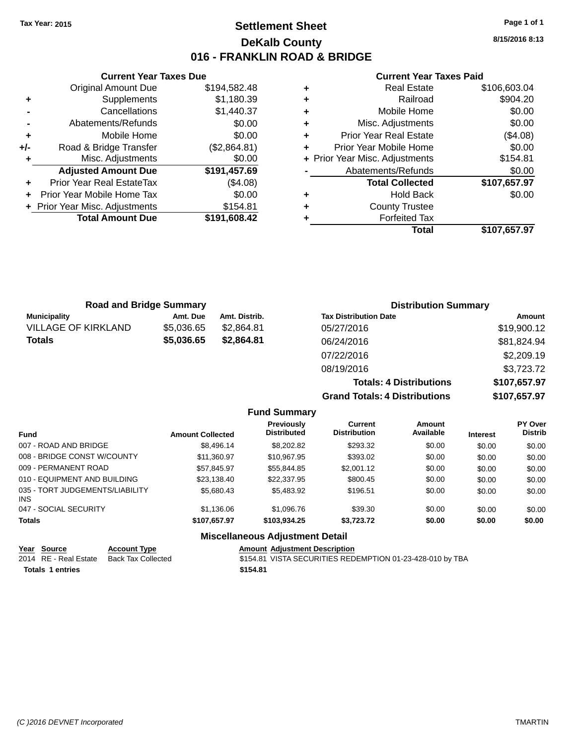# **Settlement Sheet Tax Year: 2015 Page 1 of 1 DeKalb County 016 - FRANKLIN ROAD & BRIDGE**

**8/15/2016 8:13**

#### **Current Year Taxes Paid**

|     | <b>Total Amount Due</b>        | \$191,608.42 |
|-----|--------------------------------|--------------|
|     | + Prior Year Misc. Adjustments | \$154.81     |
| ÷   | Prior Year Mobile Home Tax     | \$0.00       |
| ٠   | Prior Year Real EstateTax      | (\$4.08)     |
|     | <b>Adjusted Amount Due</b>     | \$191,457.69 |
| ٠   | Misc. Adjustments              | \$0.00       |
| +/- | Road & Bridge Transfer         | (\$2,864.81) |
| ٠   | Mobile Home                    | \$0.00       |
|     | Abatements/Refunds             | \$0.00       |
|     | Cancellations                  | \$1,440.37   |
| ٠   | Supplements                    | \$1,180.39   |
|     | <b>Original Amount Due</b>     | \$194,582.48 |
|     |                                |              |

**Current Year Taxes Due**

| <b>Real Estate</b>             | \$106,603.04 |
|--------------------------------|--------------|
| Railroad                       | \$904.20     |
| Mobile Home                    | \$0.00       |
| Misc. Adjustments              | \$0.00       |
| <b>Prior Year Real Estate</b>  | (\$4.08)     |
| Prior Year Mobile Home         | \$0.00       |
| + Prior Year Misc. Adjustments | \$154.81     |
| Abatements/Refunds             | \$0.00       |
| <b>Total Collected</b>         | \$107,657.97 |
| <b>Hold Back</b>               | \$0.00       |
| <b>County Trustee</b>          |              |
| <b>Forfeited Tax</b>           |              |
| Total                          | \$107,657.97 |
|                                |              |

|                            | <b>Road and Bridge Summary</b> |               | <b>Distribution Summary</b>    |              |
|----------------------------|--------------------------------|---------------|--------------------------------|--------------|
| <b>Municipality</b>        | Amt. Due                       | Amt. Distrib. | <b>Tax Distribution Date</b>   | Amount       |
| <b>VILLAGE OF KIRKLAND</b> | \$5,036.65                     | \$2,864.81    | 05/27/2016                     | \$19,900.12  |
| <b>Totals</b>              | \$5,036.65                     | \$2,864.81    | 06/24/2016                     | \$81,824.94  |
|                            |                                |               | 07/22/2016                     | \$2,209.19   |
|                            |                                |               | 08/19/2016                     | \$3,723.72   |
|                            |                                |               | <b>Totals: 4 Distributions</b> | \$107,657.97 |

**Grand Totals: 4 Distributions \$107,657.97**

|                                         |                         | <b>Fund Summary</b>                     |                                       |                     |                 |                                  |
|-----------------------------------------|-------------------------|-----------------------------------------|---------------------------------------|---------------------|-----------------|----------------------------------|
| <b>Fund</b>                             | <b>Amount Collected</b> | <b>Previously</b><br><b>Distributed</b> | <b>Current</b><br><b>Distribution</b> | Amount<br>Available | <b>Interest</b> | <b>PY Over</b><br><b>Distrib</b> |
| 007 - ROAD AND BRIDGE                   | \$8,496,14              | \$8,202.82                              | \$293.32                              | \$0.00              | \$0.00          | \$0.00                           |
| 008 - BRIDGE CONST W/COUNTY             | \$11,360.97             | \$10.967.95                             | \$393.02                              | \$0.00              | \$0.00          | \$0.00                           |
| 009 - PERMANENT ROAD                    | \$57.845.97             | \$55,844.85                             | \$2,001.12                            | \$0.00              | \$0.00          | \$0.00                           |
| 010 - EQUIPMENT AND BUILDING            | \$23.138.40             | \$22,337.95                             | \$800.45                              | \$0.00              | \$0.00          | \$0.00                           |
| 035 - TORT JUDGEMENTS/LIABILITY<br>INS. | \$5,680,43              | \$5,483.92                              | \$196.51                              | \$0.00              | \$0.00          | \$0.00                           |
| 047 - SOCIAL SECURITY                   | \$1.136.06              | \$1,096.76                              | \$39.30                               | \$0.00              | \$0.00          | \$0.00                           |
| <b>Totals</b>                           | \$107.657.97            | \$103.934.25                            | \$3.723.72                            | \$0.00              | \$0.00          | \$0.00                           |
|                                         |                         | <b>Miscellaneous Adjustment Detail</b>  |                                       |                     |                 |                                  |

#### **Year Source Account Type Amount Adjustment Description** \$154.81 VISTA SECURITIES REDEMPTION 01-23-428-010 by TBA **Totals \$154.81 1 entries**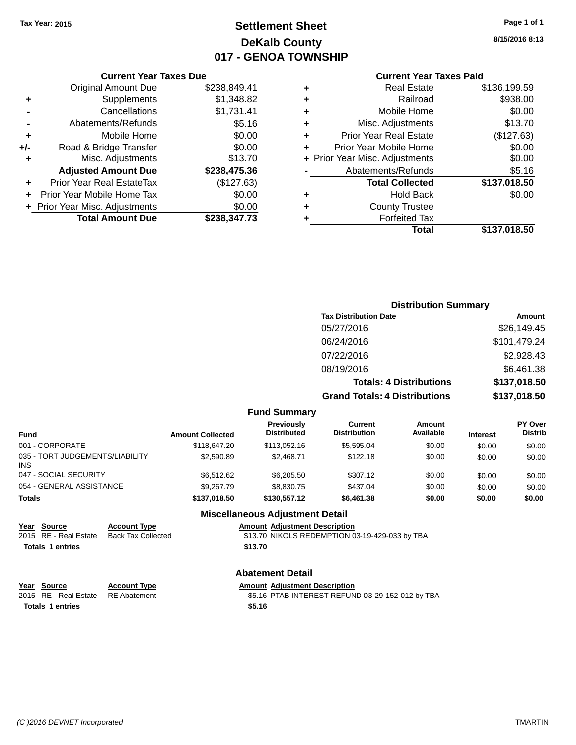# **Settlement Sheet Tax Year: 2015 Page 1 of 1 DeKalb County 017 - GENOA TOWNSHIP**

**8/15/2016 8:13**

| <b>Current Year Taxes Paid</b> |  |  |
|--------------------------------|--|--|
|                                |  |  |

|     | <b>Current Year Taxes Due</b>  |              |
|-----|--------------------------------|--------------|
|     | <b>Original Amount Due</b>     | \$238,849.41 |
| ٠   | Supplements                    | \$1,348.82   |
|     | Cancellations                  | \$1,731.41   |
|     | Abatements/Refunds             | \$5.16       |
| ٠   | Mobile Home                    | \$0.00       |
| +/- | Road & Bridge Transfer         | \$0.00       |
|     | Misc. Adjustments              | \$13.70      |
|     | <b>Adjusted Amount Due</b>     | \$238,475.36 |
| ٠   | Prior Year Real EstateTax      | (\$127.63)   |
|     | Prior Year Mobile Home Tax     | \$0.00       |
|     | + Prior Year Misc. Adjustments | \$0.00       |
|     | <b>Total Amount Due</b>        | \$238.347.73 |

| ٠ | <b>Real Estate</b>             | \$136,199.59 |
|---|--------------------------------|--------------|
| ٠ | Railroad                       | \$938.00     |
| ٠ | Mobile Home                    | \$0.00       |
| ٠ | Misc. Adjustments              | \$13.70      |
| ٠ | <b>Prior Year Real Estate</b>  | (\$127.63)   |
| ٠ | Prior Year Mobile Home         | \$0.00       |
|   | + Prior Year Misc. Adjustments | \$0.00       |
|   | Abatements/Refunds             | \$5.16       |
|   | <b>Total Collected</b>         | \$137,018.50 |
| ٠ | <b>Hold Back</b>               | \$0.00       |
| ٠ | <b>County Trustee</b>          |              |
| ٠ | <b>Forfeited Tax</b>           |              |
|   | Total                          | \$137,018.50 |
|   |                                |              |

|                     | <b>Distribution Summary</b>          |              |
|---------------------|--------------------------------------|--------------|
|                     | <b>Tax Distribution Date</b>         | Amount       |
|                     | 05/27/2016                           | \$26,149.45  |
|                     | 06/24/2016                           | \$101,479.24 |
|                     | 07/22/2016                           | \$2,928.43   |
|                     | 08/19/2016                           | \$6,461.38   |
|                     | <b>Totals: 4 Distributions</b>       | \$137,018.50 |
|                     | <b>Grand Totals: 4 Distributions</b> | \$137,018.50 |
| <b>Fund Summary</b> |                                      |              |

|                                               |                         | unu vunnnar y                           |                                |                     |                 |                                  |
|-----------------------------------------------|-------------------------|-----------------------------------------|--------------------------------|---------------------|-----------------|----------------------------------|
| Fund                                          | <b>Amount Collected</b> | <b>Previously</b><br><b>Distributed</b> | Current<br><b>Distribution</b> | Amount<br>Available | <b>Interest</b> | <b>PY Over</b><br><b>Distrib</b> |
| 001 - CORPORATE                               | \$118,647.20            | \$113,052.16                            | \$5,595.04                     | \$0.00              | \$0.00          | \$0.00                           |
| 035 - TORT JUDGEMENTS/LIABILITY<br><b>INS</b> | \$2,590.89              | \$2,468.71                              | \$122.18                       | \$0.00              | \$0.00          | \$0.00                           |
| 047 - SOCIAL SECURITY                         | \$6.512.62              | \$6,205.50                              | \$307.12                       | \$0.00              | \$0.00          | \$0.00                           |
| 054 - GENERAL ASSISTANCE                      | \$9.267.79              | \$8,830.75                              | \$437.04                       | \$0.00              | \$0.00          | \$0.00                           |
| <b>Totals</b>                                 | \$137,018.50            | \$130,557.12                            | \$6,461.38                     | \$0.00              | \$0.00          | \$0.00                           |
|                                               |                         | <b>Miscellaneous Adiustment Detail</b>  |                                |                     |                 |                                  |

|                         |                           | miscendricous Aujustricht Detail               |
|-------------------------|---------------------------|------------------------------------------------|
| Year Source             | <b>Account Type</b>       | <b>Amount Adjustment Description</b>           |
| 2015 RE - Real Estate   | <b>Back Tax Collected</b> | \$13.70 NIKOLS REDEMPTION 03-19-429-033 by TBA |
| <b>Totals 1 entries</b> |                           | \$13.70                                        |
|                         |                           | <b>Abatement Detail</b>                        |

| Year Source                        | <b>Account Type</b> | <b>Amount Adiustment Description</b>             |
|------------------------------------|---------------------|--------------------------------------------------|
| 2015 RE - Real Estate RE Abatement |                     | \$5.16 PTAB INTEREST REFUND 03-29-152-012 by TBA |
| Totals 1 entries                   |                     | \$5.16                                           |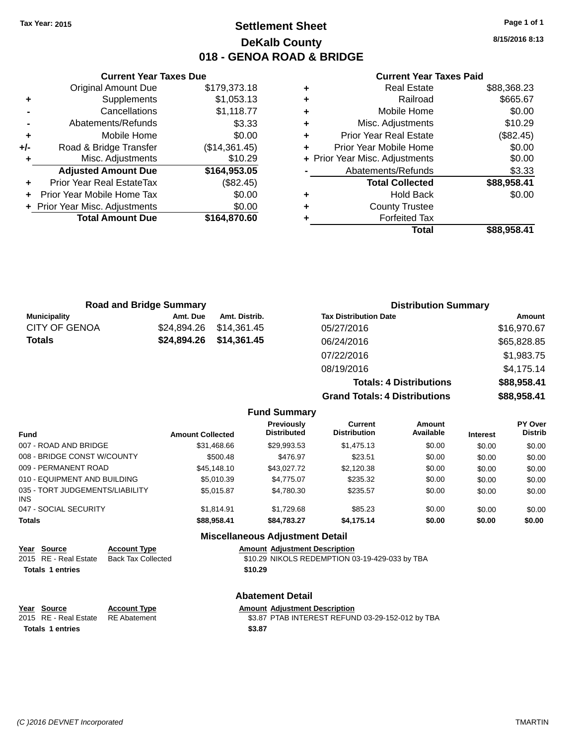# **Settlement Sheet Tax Year: 2015 Page 1 of 1 DeKalb County 018 - GENOA ROAD & BRIDGE**

**8/15/2016 8:13**

### **Current Year Taxes Paid**

|     | <b>Current Year Taxes Due</b>  |               |
|-----|--------------------------------|---------------|
|     | <b>Original Amount Due</b>     | \$179,373.18  |
| ٠   | Supplements                    | \$1,053.13    |
|     | Cancellations                  | \$1,118.77    |
|     | Abatements/Refunds             | \$3.33        |
| ٠   | Mobile Home                    | \$0.00        |
| +/- | Road & Bridge Transfer         | (\$14,361.45) |
| ٠   | Misc. Adjustments              | \$10.29       |
|     | <b>Adjusted Amount Due</b>     | \$164,953.05  |
|     | Prior Year Real EstateTax      | (\$82.45)     |
|     | Prior Year Mobile Home Tax     | \$0.00        |
|     | + Prior Year Misc. Adjustments | \$0.00        |
|     | <b>Total Amount Due</b>        | \$164,870.60  |
|     |                                |               |

| ٠ | <b>Real Estate</b>             | \$88,368.23 |
|---|--------------------------------|-------------|
| ٠ | Railroad                       | \$665.67    |
| ٠ | Mobile Home                    | \$0.00      |
| ٠ | Misc. Adjustments              | \$10.29     |
| ٠ | <b>Prior Year Real Estate</b>  | (\$82.45)   |
| ÷ | Prior Year Mobile Home         | \$0.00      |
|   | + Prior Year Misc. Adjustments | \$0.00      |
|   | Abatements/Refunds             | \$3.33      |
|   | <b>Total Collected</b>         | \$88,958.41 |
| ٠ | <b>Hold Back</b>               | \$0.00      |
| ٠ | <b>County Trustee</b>          |             |
| ٠ | <b>Forfeited Tax</b>           |             |
|   | Total                          | \$88.958.41 |
|   |                                |             |

|             |                                | <b>Distribution Summary</b>          |             |  |
|-------------|--------------------------------|--------------------------------------|-------------|--|
| Amt. Due    | Amt. Distrib.                  | <b>Tax Distribution Date</b>         | Amount      |  |
| \$24,894.26 | \$14.361.45                    | 05/27/2016                           | \$16,970.67 |  |
| \$24,894.26 | \$14,361.45                    | 06/24/2016                           | \$65,828.85 |  |
|             |                                | 07/22/2016                           | \$1,983.75  |  |
|             |                                | 08/19/2016                           | \$4,175.14  |  |
|             |                                | <b>Totals: 4 Distributions</b>       | \$88,958.41 |  |
|             |                                | <b>Grand Totals: 4 Distributions</b> | \$88,958.41 |  |
|             | <b>Road and Bridge Summary</b> |                                      |             |  |

|                                         |                         | <b>Fund Summary</b>                     |                                       |                     |                 |                           |
|-----------------------------------------|-------------------------|-----------------------------------------|---------------------------------------|---------------------|-----------------|---------------------------|
| <b>Fund</b>                             | <b>Amount Collected</b> | <b>Previously</b><br><b>Distributed</b> | <b>Current</b><br><b>Distribution</b> | Amount<br>Available | <b>Interest</b> | PY Over<br><b>Distrib</b> |
| 007 - ROAD AND BRIDGE                   | \$31.468.66             | \$29.993.53                             | \$1,475.13                            | \$0.00              | \$0.00          | \$0.00                    |
| 008 - BRIDGE CONST W/COUNTY             | \$500.48                | \$476.97                                | \$23.51                               | \$0.00              | \$0.00          | \$0.00                    |
| 009 - PERMANENT ROAD                    | \$45,148,10             | \$43.027.72                             | \$2,120.38                            | \$0.00              | \$0.00          | \$0.00                    |
| 010 - EQUIPMENT AND BUILDING            | \$5,010.39              | \$4,775.07                              | \$235.32                              | \$0.00              | \$0.00          | \$0.00                    |
| 035 - TORT JUDGEMENTS/LIABILITY<br>INS. | \$5.015.87              | \$4.780.30                              | \$235.57                              | \$0.00              | \$0.00          | \$0.00                    |
| 047 - SOCIAL SECURITY                   | \$1.814.91              | \$1.729.68                              | \$85.23                               | \$0.00              | \$0.00          | \$0.00                    |
| <b>Totals</b>                           | \$88,958,41             | \$84.783.27                             | \$4,175.14                            | \$0.00              | \$0.00          | \$0.00                    |
|                                         |                         | <b>Miscellaneous Adjustment Detail</b>  |                                       |                     |                 |                           |

| Year Source<br>2015 RE - Real Estate<br><b>Totals 1 entries</b> | <b>Account Type</b><br><b>Back Tax Collected</b> | <b>Amount Adiustment Description</b><br>\$10.29 NIKOLS REDEMPTION 03-19-429-033 by TBA<br>\$10.29 |
|-----------------------------------------------------------------|--------------------------------------------------|---------------------------------------------------------------------------------------------------|
|                                                                 |                                                  | <b>Abatement Detail</b>                                                                           |
| Year Source<br>2015 RE - Real Estate                            | <b>Account Type</b><br><b>RE</b> Abatement       | <b>Amount Adjustment Description</b><br>\$3.87 PTAB INTEREST REFUND 03-29-152-012 by TBA          |

**Totals \$3.87 1 entries**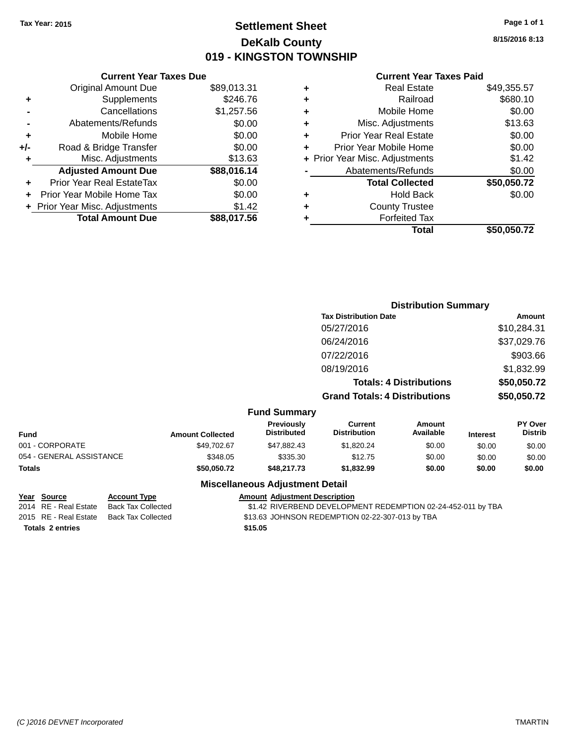# **Settlement Sheet Tax Year: 2015 Page 1 of 1 DeKalb County 019 - KINGSTON TOWNSHIP**

**8/15/2016 8:13**

## **Current Year Taxes Paid**

| <b>Current Year Taxes Due</b>  |             |
|--------------------------------|-------------|
| <b>Original Amount Due</b>     | \$89,013.31 |
| Supplements                    | \$246.76    |
| Cancellations                  | \$1,257.56  |
| Abatements/Refunds             | \$0.00      |
| Mobile Home                    | \$0.00      |
| Road & Bridge Transfer         | \$0.00      |
| Misc. Adjustments              | \$13.63     |
| <b>Adjusted Amount Due</b>     | \$88,016.14 |
| Prior Year Real EstateTax      | \$0.00      |
| Prior Year Mobile Home Tax     | \$0.00      |
| + Prior Year Misc. Adjustments | \$1.42      |
| <b>Total Amount Due</b>        | \$88.017.56 |
|                                |             |

|   | <b>Real Estate</b>             | \$49,355.57 |
|---|--------------------------------|-------------|
| ٠ | Railroad                       | \$680.10    |
| ٠ | Mobile Home                    | \$0.00      |
| ٠ | Misc. Adjustments              | \$13.63     |
| ٠ | <b>Prior Year Real Estate</b>  | \$0.00      |
| ÷ | Prior Year Mobile Home         | \$0.00      |
|   | + Prior Year Misc. Adjustments | \$1.42      |
|   | Abatements/Refunds             | \$0.00      |
|   | <b>Total Collected</b>         | \$50,050.72 |
| ٠ | <b>Hold Back</b>               | \$0.00      |
| ٠ | <b>County Trustee</b>          |             |
| ٠ | <b>Forfeited Tax</b>           |             |
|   | Total                          | \$50,050.72 |
|   |                                |             |

|                          |                         |                                  |                                       | <b>Distribution Summary</b>    |                 |                           |
|--------------------------|-------------------------|----------------------------------|---------------------------------------|--------------------------------|-----------------|---------------------------|
|                          |                         |                                  | <b>Tax Distribution Date</b>          |                                |                 | <b>Amount</b>             |
|                          |                         |                                  | 05/27/2016                            |                                |                 | \$10,284.31               |
|                          |                         |                                  | 06/24/2016                            |                                |                 | \$37,029.76               |
|                          |                         |                                  | 07/22/2016                            |                                |                 | \$903.66                  |
|                          |                         |                                  | 08/19/2016                            |                                |                 | \$1,832.99                |
|                          |                         |                                  |                                       | <b>Totals: 4 Distributions</b> |                 | \$50,050.72               |
|                          |                         |                                  | <b>Grand Totals: 4 Distributions</b>  |                                |                 | \$50,050.72               |
|                          |                         | <b>Fund Summary</b>              |                                       |                                |                 |                           |
| <b>Fund</b>              | <b>Amount Collected</b> | Previously<br><b>Distributed</b> | <b>Current</b><br><b>Distribution</b> | Amount<br>Available            | <b>Interest</b> | PY Over<br><b>Distrib</b> |
| 001 - CORPORATE          | \$49,702.67             | \$47,882.43                      | \$1,820.24                            | \$0.00                         | \$0.00          | \$0.00                    |
| 054 - GENERAL ASSISTANCE | \$348.05                | \$335.30                         | \$12.75                               | \$0.00                         | \$0.00          | \$0.00                    |
| <b>Totals</b>            | \$50,050.72             | \$48,217.73                      | \$1,832.99                            | \$0.00                         | \$0.00          | \$0.00                    |
|                          |                         |                                  |                                       |                                |                 |                           |

## **Miscellaneous Adjustment Detail**

# **Year Source Account Type Amount Adjustment Description**

\$1.42 RIVERBEND DEVELOPMENT REDEMPTION 02-24-452-011 by TBA 2015 RE - Real Estate Back Tax Collected \$13.63 JOHNSON REDEMPTION 02-22-307-013 by TBA

**Totals \$15.05 2 entries**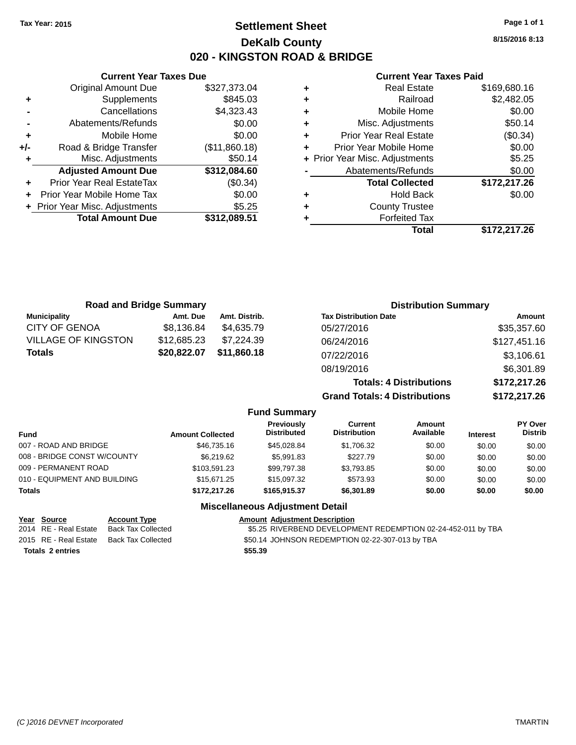**Original Amount Due** 

**Adjusted Amount Due** 

**Total Amount Due** 

**+** Supplements **-** Cancellations **-** Abatements/Refunds  $+$  Mobile Home **+/-** Road & Bridge Transfer **+** Misc. Adjustments

**+** Prior Year Real EstateTax **+** Prior Year Mobile Home Tax **+** Prior Year Misc. Adjustments

# **Settlement Sheet Tax Year: 2015 Page 1 of 1 DeKalb County 020 - KINGSTON ROAD & BRIDGE**

**8/15/2016 8:13**

**Total \$172,217.26**

## **Current Year Taxes Paid**

| <b>Current Year Taxes Due</b> |               |   | <b>Current Year Taxes Paid</b> |              |  |
|-------------------------------|---------------|---|--------------------------------|--------------|--|
| ่<br>เl Amount Due            | \$327,373.04  | ٠ | <b>Real Estate</b>             | \$169,680.16 |  |
| Supplements                   | \$845.03      | ٠ | Railroad                       | \$2,482.05   |  |
| Cancellations                 | \$4,323.43    | ٠ | Mobile Home                    | \$0.00       |  |
| าents/Refunds                 | \$0.00        | ٠ | Misc. Adjustments              | \$50.14      |  |
| Mobile Home                   | \$0.00        | ٠ | <b>Prior Year Real Estate</b>  | (\$0.34)     |  |
| ridge Transfer                | (\$11,860.18) | ٠ | Prior Year Mobile Home         | \$0.00       |  |
| :. Adjustments                | \$50.14       |   | + Prior Year Misc. Adjustments | \$5.25       |  |
| <b>Amount Due</b>             | \$312,084.60  |   | Abatements/Refunds             | \$0.00       |  |
| leal EstateTax≀               | (\$0.34)      |   | <b>Total Collected</b>         | \$172,217.26 |  |
| bile Home Tax                 | \$0.00        | ٠ | <b>Hold Back</b>               | \$0.00       |  |
| . Adjustments                 | \$5.25        | ÷ | <b>County Trustee</b>          |              |  |
| <b>Amount Due</b>             | \$312,089.51  |   | <b>Forfeited Tax</b>           |              |  |
|                               |               |   | Total                          | \$172.217.26 |  |

| Gullelli Italija kolu |              |
|-----------------------|--------------|
| Real Estate           | \$169,680.16 |

| <b>Road and Bridge Summary</b> |             |               | <b>Distribution Summary</b>    |              |  |
|--------------------------------|-------------|---------------|--------------------------------|--------------|--|
| <b>Municipality</b>            | Amt. Due    | Amt. Distrib. | <b>Tax Distribution Date</b>   | Amount       |  |
| CITY OF GENOA                  | \$8,136.84  | \$4.635.79    | 05/27/2016                     | \$35,357.60  |  |
| VILLAGE OF KINGSTON            | \$12,685.23 | \$7,224.39    | 06/24/2016                     | \$127,451.16 |  |
| Totals                         | \$20,822.07 | \$11,860.18   | 07/22/2016                     | \$3,106.61   |  |
|                                |             |               | 08/19/2016                     | \$6,301.89   |  |
|                                |             |               | <b>Totals: 4 Distributions</b> | \$172,217.26 |  |

**Grand Totals: 4 Distributions \$172,217.26**

| <b>Fund Summary</b>                    |                         |                                  |                                       |                     |                 |                           |  |
|----------------------------------------|-------------------------|----------------------------------|---------------------------------------|---------------------|-----------------|---------------------------|--|
| <b>Fund</b>                            | <b>Amount Collected</b> | Previously<br><b>Distributed</b> | <b>Current</b><br><b>Distribution</b> | Amount<br>Available | <b>Interest</b> | PY Over<br><b>Distrib</b> |  |
| 007 - ROAD AND BRIDGE                  | \$46,735.16             | \$45.028.84                      | \$1,706.32                            | \$0.00              | \$0.00          | \$0.00                    |  |
| 008 - BRIDGE CONST W/COUNTY            | \$6,219.62              | \$5,991.83                       | \$227.79                              | \$0.00              | \$0.00          | \$0.00                    |  |
| 009 - PERMANENT ROAD                   | \$103.591.23            | \$99.797.38                      | \$3,793.85                            | \$0.00              | \$0.00          | \$0.00                    |  |
| 010 - EQUIPMENT AND BUILDING           | \$15,671.25             | \$15,097.32                      | \$573.93                              | \$0.00              | \$0.00          | \$0.00                    |  |
| <b>Totals</b>                          | \$172,217.26            | \$165,915,37                     | \$6,301.89                            | \$0.00              | \$0.00          | \$0.00                    |  |
| <b>Miscellaneous Adjustment Detail</b> |                         |                                  |                                       |                     |                 |                           |  |

| Year Source           | <b>Account Type</b> | <b>Amount Adjustment Description</b>                         |
|-----------------------|---------------------|--------------------------------------------------------------|
| 2014 RE - Real Estate | Back Tax Collected  | \$5.25 RIVERBEND DEVELOPMENT REDEMPTION 02-24-452-011 by TBA |
| 2015 RE - Real Estate | Back Tax Collected  | \$50.14 JOHNSON REDEMPTION 02-22-307-013 by TBA              |
| Totals 2 entries      |                     | \$55.39                                                      |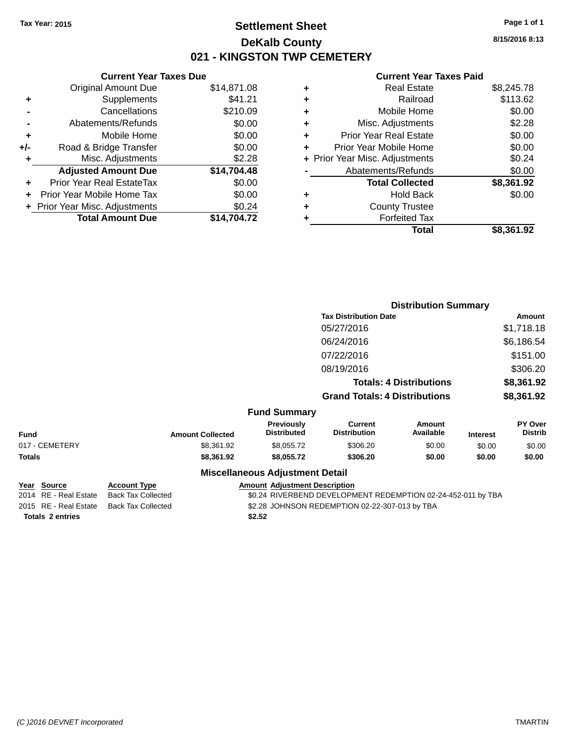# **Settlement Sheet Tax Year: 2015 Page 1 of 1 DeKalb County 021 - KINGSTON TWP CEMETERY**

**Current Year Taxes Due** Original Amount Due \$14,871.08 **+** Supplements \$41.21 **-** Cancellations \$210.09 **-** Abatements/Refunds \$0.00 **+** Mobile Home \$0.00 **+/-** Road & Bridge Transfer \$0.00 **+** Misc. Adjustments \$2.28 **Adjusted Amount Due \$14,704.48 +** Prior Year Real EstateTax \$0.00 **+** Prior Year Mobile Home Tax \$0.00 **+ Prior Year Misc. Adjustments**  $$0.24$ **Total Amount Due \$14,704.72**

#### **Current Year Taxes Paid**

| ٠ | <b>Real Estate</b>             | \$8,245.78 |
|---|--------------------------------|------------|
| ÷ | Railroad                       | \$113.62   |
| ٠ | Mobile Home                    | \$0.00     |
| ٠ | Misc. Adjustments              | \$2.28     |
| ٠ | <b>Prior Year Real Estate</b>  | \$0.00     |
| ٠ | Prior Year Mobile Home         | \$0.00     |
|   | + Prior Year Misc. Adjustments | \$0.24     |
|   | Abatements/Refunds             | \$0.00     |
|   | <b>Total Collected</b>         | \$8,361.92 |
| ٠ | <b>Hold Back</b>               | \$0.00     |
| ٠ | <b>County Trustee</b>          |            |
|   | <b>Forfeited Tax</b>           |            |
|   | Total                          | \$8,361.92 |
|   |                                |            |

|                |                         |                                        |                                       | <b>Distribution Summary</b>    |                 |                           |
|----------------|-------------------------|----------------------------------------|---------------------------------------|--------------------------------|-----------------|---------------------------|
|                |                         |                                        | <b>Tax Distribution Date</b>          |                                |                 | Amount                    |
|                |                         |                                        | 05/27/2016                            |                                |                 | \$1,718.18                |
|                |                         |                                        | 06/24/2016                            |                                |                 | \$6,186.54                |
|                |                         |                                        | 07/22/2016                            |                                |                 | \$151.00                  |
|                |                         |                                        | 08/19/2016                            |                                |                 | \$306.20                  |
|                |                         |                                        |                                       | <b>Totals: 4 Distributions</b> |                 | \$8,361.92                |
|                |                         |                                        | <b>Grand Totals: 4 Distributions</b>  |                                |                 | \$8,361.92                |
|                |                         | <b>Fund Summary</b>                    |                                       |                                |                 |                           |
| <b>Fund</b>    | <b>Amount Collected</b> | Previously<br><b>Distributed</b>       | <b>Current</b><br><b>Distribution</b> | <b>Amount</b><br>Available     | <b>Interest</b> | PY Over<br><b>Distrib</b> |
| 017 - CEMETERY | \$8,361.92              | \$8,055.72                             | \$306.20                              | \$0.00                         | \$0.00          | \$0.00                    |
| Totals         | \$8,361.92              | \$8,055.72                             | \$306.20                              | \$0.00                         | \$0.00          | \$0.00                    |
|                |                         | <b>Miscellaneous Adjustment Detail</b> |                                       |                                |                 |                           |

| Year Source             | <b>Account Type</b> |        | <b>Amount Adjustment Description</b>                         |
|-------------------------|---------------------|--------|--------------------------------------------------------------|
| 2014 RE - Real Estate   | Back Tax Collected  |        | \$0.24 RIVERBEND DEVELOPMENT REDEMPTION 02-24-452-011 by TBA |
| 2015 RE - Real Estate   | Back Tax Collected  |        | \$2.28 JOHNSON REDEMPTION 02-22-307-013 by TBA               |
| <b>Totals 2 entries</b> |                     | \$2.52 |                                                              |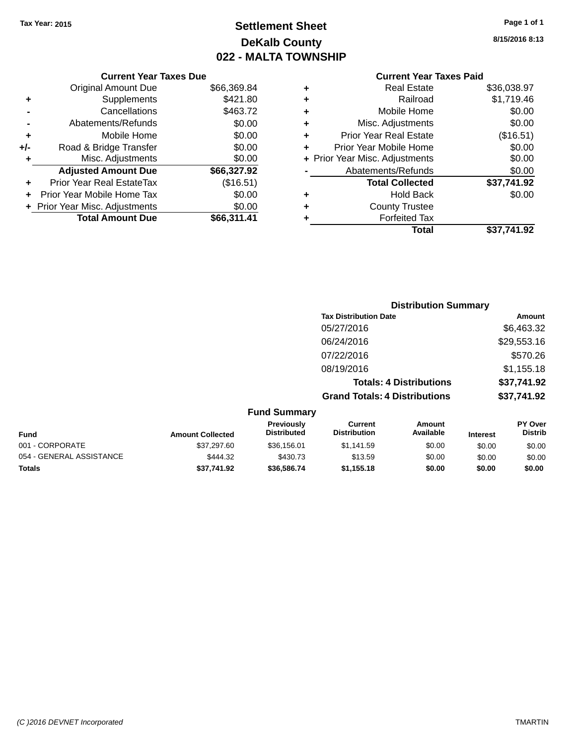# **Settlement Sheet Tax Year: 2015 Page 1 of 1 DeKalb County 022 - MALTA TOWNSHIP**

**8/15/2016 8:13**

|     | <b>Current Year Taxes Due</b>    |             |
|-----|----------------------------------|-------------|
|     | <b>Original Amount Due</b>       | \$66,369.84 |
| ٠   | Supplements                      | \$421.80    |
|     | Cancellations                    | \$463.72    |
|     | Abatements/Refunds               | \$0.00      |
| ٠   | Mobile Home                      | \$0.00      |
| +/- | Road & Bridge Transfer           | \$0.00      |
| ٠   | Misc. Adjustments                | \$0.00      |
|     | <b>Adjusted Amount Due</b>       | \$66,327.92 |
| ٠   | <b>Prior Year Real EstateTax</b> | (\$16.51)   |
|     | Prior Year Mobile Home Tax       | \$0.00      |
|     | + Prior Year Misc. Adjustments   | \$0.00      |
|     | <b>Total Amount Due</b>          | \$66,311,41 |
|     |                                  |             |

## **Current Year Taxes Paid +** Real Estate \$36,038.97 **+** Railroad \$1,719.46 **+** Mobile Home \$0.00 **+** Misc. Adjustments \$0.00 **+** Prior Year Real Estate (\$16.51) **+** Prior Year Mobile Home \$0.00<br> **+** Prior Year Misc. Adjustments \$0.00 **+ Prior Year Misc. Adjustments -** Abatements/Refunds \$0.00

|   | Total                  | \$37,741.92 |
|---|------------------------|-------------|
| ٠ | <b>Forfeited Tax</b>   |             |
| ٠ | <b>County Trustee</b>  |             |
| ٠ | <b>Hold Back</b>       | \$0.00      |
|   | <b>Total Collected</b> | \$37,741.92 |
|   | Avalentents/Telulus    | vv.vv       |

|                          |                         |                                  | <b>Distribution Summary</b>           |                                |                 |                           |
|--------------------------|-------------------------|----------------------------------|---------------------------------------|--------------------------------|-----------------|---------------------------|
|                          |                         |                                  | <b>Tax Distribution Date</b>          |                                |                 | Amount                    |
|                          |                         |                                  | 05/27/2016                            |                                |                 | \$6,463.32                |
|                          |                         |                                  | 06/24/2016                            |                                |                 | \$29,553.16               |
|                          |                         |                                  | 07/22/2016                            |                                |                 | \$570.26                  |
|                          |                         |                                  | 08/19/2016                            |                                |                 | \$1,155.18                |
|                          |                         |                                  |                                       | <b>Totals: 4 Distributions</b> |                 | \$37,741.92               |
|                          |                         |                                  | <b>Grand Totals: 4 Distributions</b>  |                                |                 | \$37,741.92               |
|                          |                         | <b>Fund Summary</b>              |                                       |                                |                 |                           |
| <b>Fund</b>              | <b>Amount Collected</b> | Previously<br><b>Distributed</b> | <b>Current</b><br><b>Distribution</b> | Amount<br>Available            | <b>Interest</b> | PY Over<br><b>Distrib</b> |
| 001 - CORPORATE          | \$37,297.60             | \$36,156.01                      | \$1,141.59                            | \$0.00                         | \$0.00          | \$0.00                    |
| 054 - GENERAL ASSISTANCE | \$444.32                | \$430.73                         | \$13.59                               | \$0.00                         | \$0.00          | \$0.00                    |

**Totals \$37,741.92 \$36,586.74 \$1,155.18 \$0.00 \$0.00 \$0.00**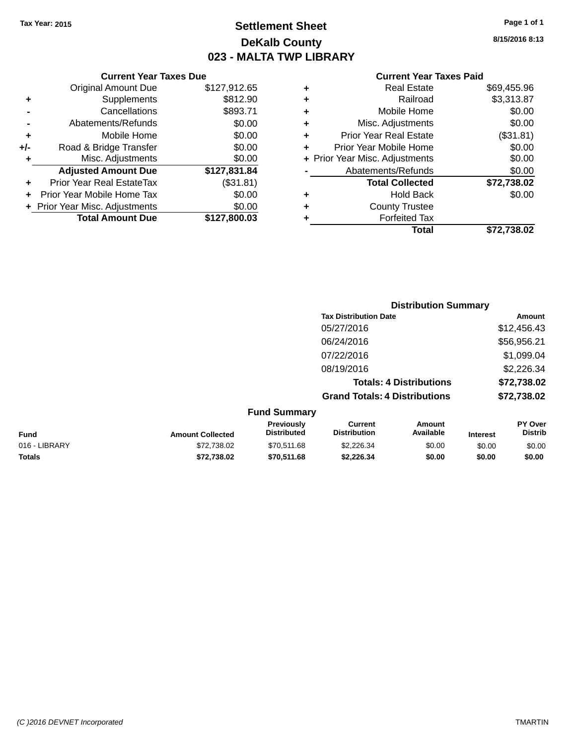# **Settlement Sheet Tax Year: 2015 Page 1 of 1 DeKalb County 023 - MALTA TWP LIBRARY**

**8/15/2016 8:13**

## **Current Year Taxes Paid**

|     | <b>Current Year Taxes Due</b>  |              |
|-----|--------------------------------|--------------|
|     | <b>Original Amount Due</b>     | \$127,912.65 |
| ÷   | Supplements                    | \$812.90     |
|     | Cancellations                  | \$893.71     |
|     | Abatements/Refunds             | \$0.00       |
| ٠   | Mobile Home                    | \$0.00       |
| +/- | Road & Bridge Transfer         | \$0.00       |
|     | Misc. Adjustments              | \$0.00       |
|     | <b>Adjusted Amount Due</b>     | \$127,831.84 |
| ÷   | Prior Year Real EstateTax      | (\$31.81)    |
|     | Prior Year Mobile Home Tax     | \$0.00       |
|     | + Prior Year Misc. Adjustments | \$0.00       |
|     | <b>Total Amount Due</b>        | \$127,800.03 |
|     |                                |              |

| ٠ | <b>Real Estate</b>             | \$69,455.96 |
|---|--------------------------------|-------------|
| ٠ | Railroad                       | \$3,313.87  |
| ٠ | Mobile Home                    | \$0.00      |
| ٠ | Misc. Adjustments              | \$0.00      |
| ٠ | <b>Prior Year Real Estate</b>  | (\$31.81)   |
| ٠ | Prior Year Mobile Home         | \$0.00      |
|   | + Prior Year Misc. Adjustments | \$0.00      |
|   | Abatements/Refunds             | \$0.00      |
|   | <b>Total Collected</b>         | \$72,738.02 |
| ٠ | Hold Back                      | \$0.00      |
| ٠ | <b>County Trustee</b>          |             |
| ٠ | <b>Forfeited Tax</b>           |             |
|   | Total                          | \$72,738.02 |
|   |                                |             |

|                     | <b>Distribution Summary</b>          |             |
|---------------------|--------------------------------------|-------------|
|                     | <b>Tax Distribution Date</b>         | Amount      |
|                     | 05/27/2016                           | \$12,456.43 |
|                     | 06/24/2016                           | \$56,956.21 |
|                     | 07/22/2016                           | \$1,099.04  |
|                     | 08/19/2016                           | \$2,226.34  |
|                     | <b>Totals: 4 Distributions</b>       | \$72,738.02 |
|                     | <b>Grand Totals: 4 Distributions</b> | \$72,738.02 |
| <b>Fund Summary</b> |                                      |             |

|               |                         | ------------------                      |                                |                     |                 |                                  |
|---------------|-------------------------|-----------------------------------------|--------------------------------|---------------------|-----------------|----------------------------------|
| <b>Fund</b>   | <b>Amount Collected</b> | <b>Previously</b><br><b>Distributed</b> | Current<br><b>Distribution</b> | Amount<br>Available | <b>Interest</b> | <b>PY Over</b><br><b>Distrib</b> |
| 016 - LIBRARY | \$72,738.02             | \$70.511.68                             | \$2,226,34                     | \$0.00              | \$0.00          | \$0.00                           |
| <b>Totals</b> | \$72.738.02             | \$70,511.68                             | \$2.226.34                     | \$0.00              | \$0.00          | \$0.00                           |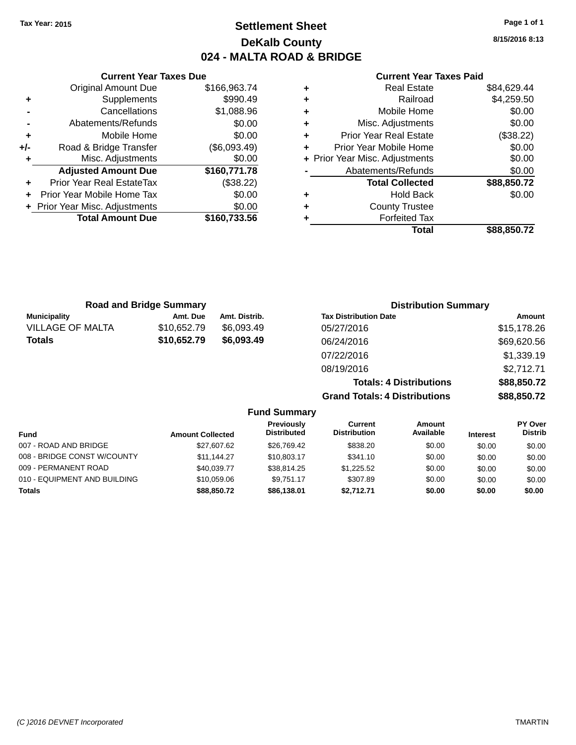# **Settlement Sheet Tax Year: 2015 Page 1 of 1 DeKalb County 024 - MALTA ROAD & BRIDGE**

**8/15/2016 8:13**

## **Current Year Taxes Paid**

|     | <b>Current Year Taxes Due</b>  |              |  |  |  |  |
|-----|--------------------------------|--------------|--|--|--|--|
|     | <b>Original Amount Due</b>     | \$166,963.74 |  |  |  |  |
| ٠   | Supplements                    | \$990.49     |  |  |  |  |
|     | Cancellations                  | \$1,088.96   |  |  |  |  |
|     | Abatements/Refunds             | \$0.00       |  |  |  |  |
| ٠   | Mobile Home                    | \$0.00       |  |  |  |  |
| +/- | Road & Bridge Transfer         | (\$6,093.49) |  |  |  |  |
| ٠   | Misc. Adjustments              | \$0.00       |  |  |  |  |
|     | <b>Adjusted Amount Due</b>     | \$160,771.78 |  |  |  |  |
|     | Prior Year Real EstateTax      | (\$38.22)    |  |  |  |  |
|     | Prior Year Mobile Home Tax     | \$0.00       |  |  |  |  |
|     | + Prior Year Misc. Adjustments | \$0.00       |  |  |  |  |
|     | <b>Total Amount Due</b>        | \$160,733.56 |  |  |  |  |
|     |                                |              |  |  |  |  |

|   | <b>Real Estate</b>             | \$84,629.44 |
|---|--------------------------------|-------------|
| ٠ | Railroad                       | \$4,259.50  |
| ٠ | Mobile Home                    | \$0.00      |
| ٠ | Misc. Adjustments              | \$0.00      |
| ٠ | Prior Year Real Estate         | (\$38.22)   |
| ÷ | Prior Year Mobile Home         | \$0.00      |
|   | + Prior Year Misc. Adjustments | \$0.00      |
|   | Abatements/Refunds             | \$0.00      |
|   | <b>Total Collected</b>         | \$88,850.72 |
| ٠ | <b>Hold Back</b>               | \$0.00      |
| ٠ | <b>County Trustee</b>          |             |
| ٠ | <b>Forfeited Tax</b>           |             |
|   | Total                          | \$88,850,72 |
|   |                                |             |

| <b>Road and Bridge Summary</b> |             |               | <b>Distribution Summary</b>          |             |
|--------------------------------|-------------|---------------|--------------------------------------|-------------|
| <b>Municipality</b>            | Amt. Due    | Amt. Distrib. | <b>Tax Distribution Date</b>         | Amount      |
| <b>VILLAGE OF MALTA</b>        | \$10,652.79 | \$6,093.49    | 05/27/2016                           | \$15,178.26 |
| <b>Totals</b>                  | \$10,652.79 | \$6,093.49    | 06/24/2016                           | \$69,620.56 |
|                                |             |               | 07/22/2016                           | \$1,339.19  |
|                                |             |               | 08/19/2016                           | \$2,712.71  |
|                                |             |               | <b>Totals: 4 Distributions</b>       | \$88,850.72 |
|                                |             |               | <b>Grand Totals: 4 Distributions</b> | \$88,850.72 |

|                              |                         | <b>Fund Summary</b>                     |                                |                     |                 |                                  |
|------------------------------|-------------------------|-----------------------------------------|--------------------------------|---------------------|-----------------|----------------------------------|
| Fund                         | <b>Amount Collected</b> | <b>Previously</b><br><b>Distributed</b> | Current<br><b>Distribution</b> | Amount<br>Available | <b>Interest</b> | <b>PY Over</b><br><b>Distrib</b> |
| 007 - ROAD AND BRIDGE        | \$27.607.62             | \$26.769.42                             | \$838.20                       | \$0.00              | \$0.00          | \$0.00                           |
| 008 - BRIDGE CONST W/COUNTY  | \$11.144.27             | \$10,803.17                             | \$341.10                       | \$0.00              | \$0.00          | \$0.00                           |
| 009 - PERMANENT ROAD         | \$40.039.77             | \$38,814.25                             | \$1.225.52                     | \$0.00              | \$0.00          | \$0.00                           |
| 010 - EQUIPMENT AND BUILDING | \$10,059.06             | \$9.751.17                              | \$307.89                       | \$0.00              | \$0.00          | \$0.00                           |
| <b>Totals</b>                | \$88,850.72             | \$86,138.01                             | \$2.712.71                     | \$0.00              | \$0.00          | \$0.00                           |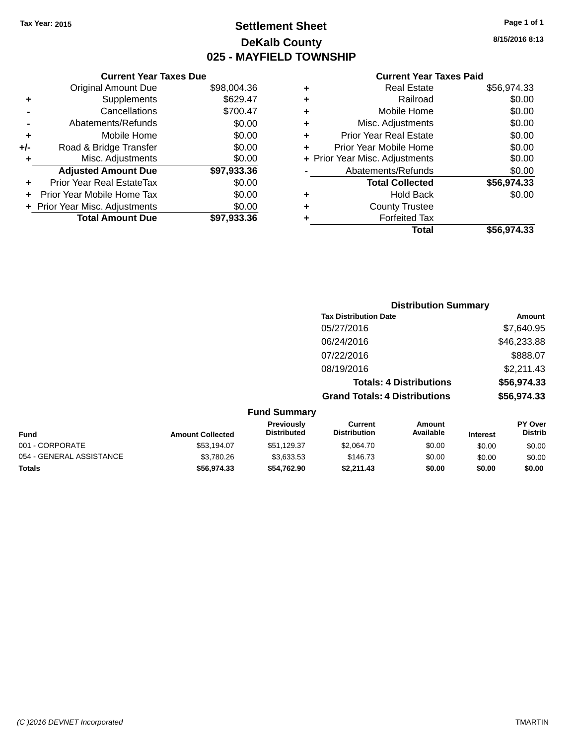# **Settlement Sheet Tax Year: 2015 Page 1 of 1 DeKalb County 025 - MAYFIELD TOWNSHIP**

**8/15/2016 8:13**

## **Current Year Taxes Paid**

|     | <b>Current Year Taxes Due</b>  |             |  |
|-----|--------------------------------|-------------|--|
|     | <b>Original Amount Due</b>     | \$98,004.36 |  |
| ٠   | Supplements                    | \$629.47    |  |
|     | Cancellations                  | \$700.47    |  |
|     | Abatements/Refunds             | \$0.00      |  |
| ٠   | Mobile Home                    | \$0.00      |  |
| +/- | Road & Bridge Transfer         | \$0.00      |  |
| ٠   | Misc. Adjustments              | \$0.00      |  |
|     | <b>Adjusted Amount Due</b>     | \$97,933.36 |  |
| ٠   | Prior Year Real EstateTax      | \$0.00      |  |
| ÷   | Prior Year Mobile Home Tax     | \$0.00      |  |
|     | + Prior Year Misc. Adjustments | \$0.00      |  |
|     | <b>Total Amount Due</b>        | \$97,933.36 |  |

| ٠ | <b>Real Estate</b>             | \$56,974.33 |
|---|--------------------------------|-------------|
| ٠ | Railroad                       | \$0.00      |
| ٠ | Mobile Home                    | \$0.00      |
| ٠ | Misc. Adjustments              | \$0.00      |
| ٠ | <b>Prior Year Real Estate</b>  | \$0.00      |
| ÷ | Prior Year Mobile Home         | \$0.00      |
|   | + Prior Year Misc. Adjustments | \$0.00      |
|   | Abatements/Refunds             | \$0.00      |
|   | <b>Total Collected</b>         | \$56,974.33 |
| ٠ | <b>Hold Back</b>               | \$0.00      |
| ٠ | <b>County Trustee</b>          |             |
| ÷ | <b>Forfeited Tax</b>           |             |
|   | Total                          | \$56,974.33 |
|   |                                |             |

|                          |                         |                                  |                                       | <b>Distribution Summary</b>    |                 |                           |
|--------------------------|-------------------------|----------------------------------|---------------------------------------|--------------------------------|-----------------|---------------------------|
|                          |                         |                                  | <b>Tax Distribution Date</b>          |                                |                 | Amount                    |
|                          |                         |                                  | 05/27/2016                            |                                |                 | \$7,640.95                |
|                          |                         |                                  | 06/24/2016                            |                                |                 | \$46,233.88               |
|                          |                         |                                  | 07/22/2016                            |                                |                 | \$888.07                  |
|                          |                         |                                  | 08/19/2016                            |                                |                 | \$2,211.43                |
|                          |                         |                                  |                                       | <b>Totals: 4 Distributions</b> |                 | \$56,974.33               |
|                          |                         |                                  | <b>Grand Totals: 4 Distributions</b>  |                                |                 | \$56,974.33               |
|                          |                         | <b>Fund Summary</b>              |                                       |                                |                 |                           |
| <b>Fund</b>              | <b>Amount Collected</b> | Previously<br><b>Distributed</b> | <b>Current</b><br><b>Distribution</b> | Amount<br>Available            | <b>Interest</b> | PY Over<br><b>Distrib</b> |
| 001 - CORPORATE          | \$53,194.07             | \$51,129.37                      | \$2,064.70                            | \$0.00                         | \$0.00          | \$0.00                    |
| 054 - GENERAL ASSISTANCE | \$3,780.26              | \$3,633.53                       | \$146.73                              | \$0.00                         | \$0.00          | \$0.00                    |

**Totals \$56,974.33 \$54,762.90 \$2,211.43 \$0.00 \$0.00 \$0.00**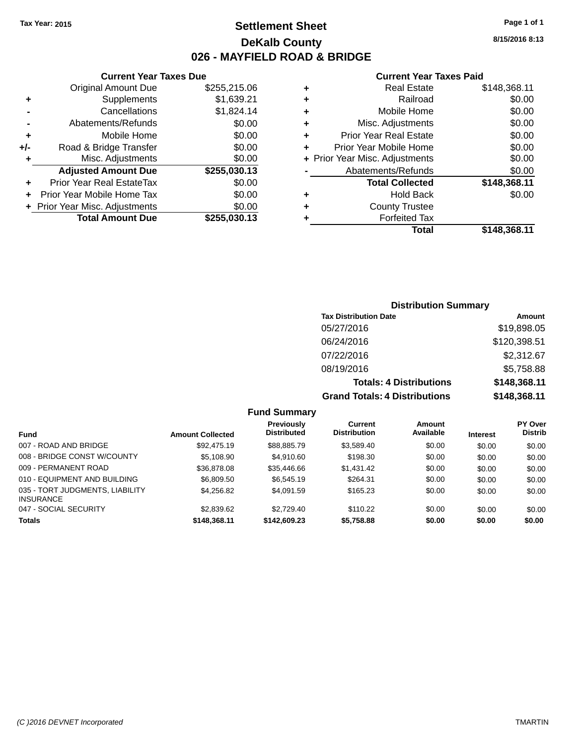# **Settlement Sheet Tax Year: 2015 Page 1 of 1 DeKalb County 026 - MAYFIELD ROAD & BRIDGE**

**Current Year Taxes Due**

| \$1,639.21<br>\$1,824.14<br>\$0.00<br>\$0.00 |
|----------------------------------------------|
|                                              |
|                                              |
|                                              |
|                                              |
| \$0.00                                       |
| \$0.00                                       |
| \$255,030.13                                 |
| \$0.00                                       |
| \$0.00                                       |
| \$0.00                                       |
| \$255,030.13                                 |
|                                              |

#### **Current Year Taxes Paid**

| ٠ | <b>Real Estate</b>             | \$148,368.11 |
|---|--------------------------------|--------------|
| ٠ | Railroad                       | \$0.00       |
| ٠ | Mobile Home                    | \$0.00       |
| ٠ | Misc. Adjustments              | \$0.00       |
| ٠ | <b>Prior Year Real Estate</b>  | \$0.00       |
| ٠ | Prior Year Mobile Home         | \$0.00       |
|   | + Prior Year Misc. Adjustments | \$0.00       |
|   | Abatements/Refunds             | \$0.00       |
|   | <b>Total Collected</b>         | \$148,368.11 |
| ٠ | <b>Hold Back</b>               | \$0.00       |
| ٠ | <b>County Trustee</b>          |              |
| ٠ | <b>Forfeited Tax</b>           |              |
|   | Total                          | \$148,368.11 |
|   |                                |              |

## **Distribution Summary Tax Distribution Date Amount** 05/27/2016 \$19,898.05 06/24/2016 \$120,398.51 07/22/2016 \$2,312.67 08/19/2016 \$5,758.88 **Totals: 4 Distributions \$148,368.11 Grand Totals: 4 Distributions \$148,368.11**

## **Fund Summary**

|                                                     |                         | <b>Previously</b>  | Current             | Amount    |                 | <b>PY Over</b> |
|-----------------------------------------------------|-------------------------|--------------------|---------------------|-----------|-----------------|----------------|
| <b>Fund</b>                                         | <b>Amount Collected</b> | <b>Distributed</b> | <b>Distribution</b> | Available | <b>Interest</b> | <b>Distrib</b> |
| 007 - ROAD AND BRIDGE                               | \$92,475.19             | \$88.885.79        | \$3.589.40          | \$0.00    | \$0.00          | \$0.00         |
| 008 - BRIDGE CONST W/COUNTY                         | \$5,108.90              | \$4.910.60         | \$198.30            | \$0.00    | \$0.00          | \$0.00         |
| 009 - PERMANENT ROAD                                | \$36,878.08             | \$35,446.66        | \$1.431.42          | \$0.00    | \$0.00          | \$0.00         |
| 010 - EQUIPMENT AND BUILDING                        | \$6,809.50              | \$6,545.19         | \$264.31            | \$0.00    | \$0.00          | \$0.00         |
| 035 - TORT JUDGMENTS, LIABILITY<br><b>INSURANCE</b> | \$4,256.82              | \$4.091.59         | \$165.23            | \$0.00    | \$0.00          | \$0.00         |
| 047 - SOCIAL SECURITY                               | \$2,839.62              | \$2,729.40         | \$110.22            | \$0.00    | \$0.00          | \$0.00         |
| <b>Totals</b>                                       | \$148,368.11            | \$142,609.23       | \$5,758.88          | \$0.00    | \$0.00          | \$0.00         |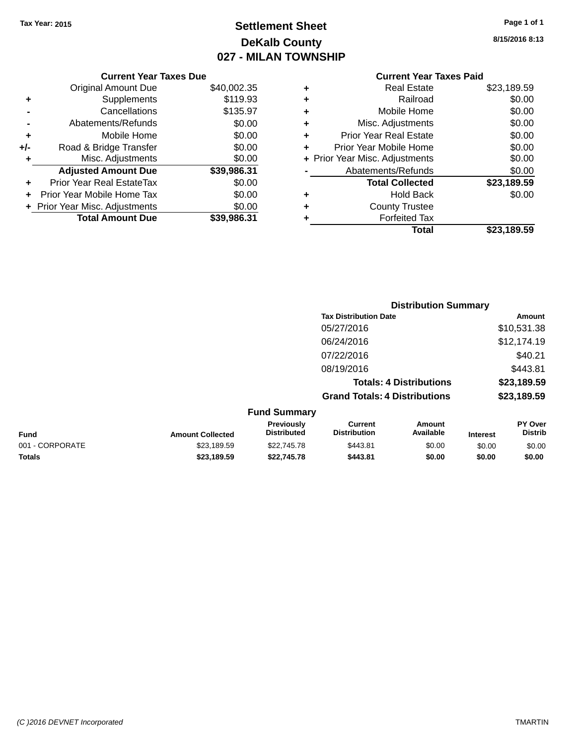# **Settlement Sheet Tax Year: 2015 Page 1 of 1 DeKalb County 027 - MILAN TOWNSHIP**

**8/15/2016 8:13**

|     | <b>Current Year Taxes Due</b>  |             |  |  |  |  |
|-----|--------------------------------|-------------|--|--|--|--|
|     | <b>Original Amount Due</b>     | \$40,002.35 |  |  |  |  |
| ٠   | Supplements                    | \$119.93    |  |  |  |  |
|     | \$135.97<br>Cancellations      |             |  |  |  |  |
|     | Abatements/Refunds             | \$0.00      |  |  |  |  |
| ٠   | Mobile Home                    | \$0.00      |  |  |  |  |
| +/- | Road & Bridge Transfer         | \$0.00      |  |  |  |  |
| ٠   | Misc. Adjustments              | \$0.00      |  |  |  |  |
|     | <b>Adjusted Amount Due</b>     | \$39,986.31 |  |  |  |  |
| ٠   | Prior Year Real EstateTax      | \$0.00      |  |  |  |  |
|     | Prior Year Mobile Home Tax     | \$0.00      |  |  |  |  |
|     | + Prior Year Misc. Adjustments | \$0.00      |  |  |  |  |
|     | <b>Total Amount Due</b>        | \$39,986.31 |  |  |  |  |
|     |                                |             |  |  |  |  |

# **Current Year Taxes Paid**

| ٠ | <b>Real Estate</b>             | \$23,189.59 |
|---|--------------------------------|-------------|
| ٠ | Railroad                       | \$0.00      |
| ٠ | Mobile Home                    | \$0.00      |
| ٠ | Misc. Adjustments              | \$0.00      |
| ٠ | <b>Prior Year Real Estate</b>  | \$0.00      |
| ٠ | Prior Year Mobile Home         | \$0.00      |
|   | + Prior Year Misc. Adjustments | \$0.00      |
|   | Abatements/Refunds             | \$0.00      |
|   | <b>Total Collected</b>         | \$23,189.59 |
| ٠ | <b>Hold Back</b>               | \$0.00      |
| ٠ | <b>County Trustee</b>          |             |
| ٠ | <b>Forfeited Tax</b>           |             |
|   | Total                          | \$23,189.59 |
|   |                                |             |

|                 |                         |                                  |                                       | <b>Distribution Summary</b>    |                 |                                  |
|-----------------|-------------------------|----------------------------------|---------------------------------------|--------------------------------|-----------------|----------------------------------|
|                 |                         |                                  | <b>Tax Distribution Date</b>          |                                |                 | <b>Amount</b>                    |
|                 |                         |                                  | 05/27/2016                            |                                |                 | \$10,531.38                      |
|                 |                         |                                  | 06/24/2016                            |                                |                 | \$12,174.19                      |
|                 |                         |                                  | 07/22/2016                            |                                |                 | \$40.21                          |
|                 |                         |                                  | 08/19/2016                            |                                |                 | \$443.81                         |
|                 |                         |                                  |                                       | <b>Totals: 4 Distributions</b> |                 | \$23,189.59                      |
|                 |                         |                                  | <b>Grand Totals: 4 Distributions</b>  |                                |                 | \$23,189.59                      |
|                 |                         | <b>Fund Summary</b>              |                                       |                                |                 |                                  |
| Fund            | <b>Amount Collected</b> | Previously<br><b>Distributed</b> | <b>Current</b><br><b>Distribution</b> | Amount<br>Available            | <b>Interest</b> | <b>PY Over</b><br><b>Distrib</b> |
| 001 - CORPORATE | \$23,189.59             | \$22,745.78                      | \$443.81                              | \$0.00                         | \$0.00          | \$0.00                           |
|                 |                         |                                  |                                       |                                |                 |                                  |

**Totals \$23,189.59 \$22,745.78 \$443.81 \$0.00 \$0.00 \$0.00**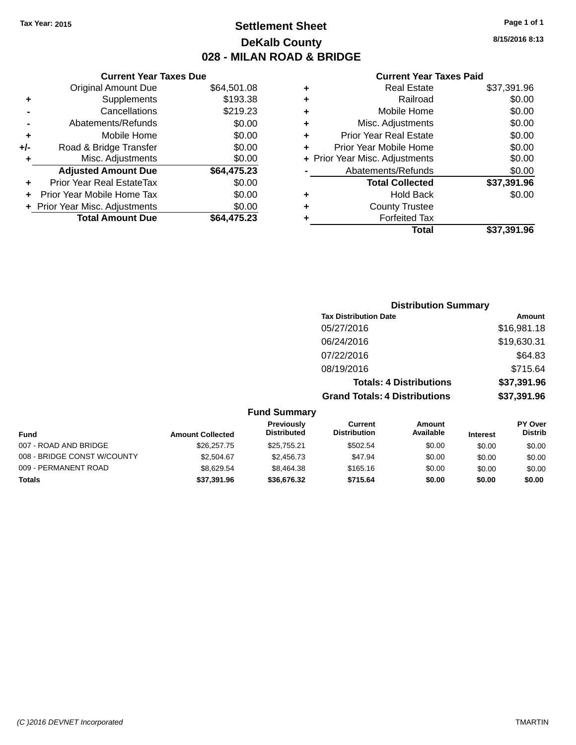# **Settlement Sheet Tax Year: 2015 Page 1 of 1 DeKalb County 028 - MILAN ROAD & BRIDGE**

**8/15/2016 8:13**

## **Current Year Taxes Paid**

|     | <b>Current Year Taxes Due</b>  |             |
|-----|--------------------------------|-------------|
|     | <b>Original Amount Due</b>     | \$64,501.08 |
| ٠   | Supplements                    | \$193.38    |
|     | Cancellations                  | \$219.23    |
|     | Abatements/Refunds             | \$0.00      |
| ٠   | Mobile Home                    | \$0.00      |
| +/- | Road & Bridge Transfer         | \$0.00      |
| ٠   | Misc. Adjustments              | \$0.00      |
|     | <b>Adjusted Amount Due</b>     | \$64,475.23 |
| ÷   | Prior Year Real EstateTax      | \$0.00      |
|     | Prior Year Mobile Home Tax     | \$0.00      |
|     | + Prior Year Misc. Adjustments | \$0.00      |
|     | <b>Total Amount Due</b>        | \$64.475.23 |
|     |                                |             |

| ٠ | <b>Real Estate</b>             | \$37,391.96 |
|---|--------------------------------|-------------|
| ٠ | Railroad                       | \$0.00      |
| ٠ | Mobile Home                    | \$0.00      |
| ٠ | Misc. Adjustments              | \$0.00      |
| ٠ | <b>Prior Year Real Estate</b>  | \$0.00      |
| ÷ | Prior Year Mobile Home         | \$0.00      |
|   | + Prior Year Misc. Adjustments | \$0.00      |
|   | Abatements/Refunds             | \$0.00      |
|   | <b>Total Collected</b>         | \$37,391.96 |
| ٠ | <b>Hold Back</b>               | \$0.00      |
| ٠ | <b>County Trustee</b>          |             |
| ٠ | <b>Forfeited Tax</b>           |             |
|   | Total                          | \$37,391.96 |
|   |                                |             |

|                             |                         |                                  | <b>Distribution Summary</b>          |                                |                 |                           |
|-----------------------------|-------------------------|----------------------------------|--------------------------------------|--------------------------------|-----------------|---------------------------|
|                             |                         |                                  | <b>Tax Distribution Date</b>         |                                |                 | Amount                    |
|                             |                         |                                  | 05/27/2016                           |                                |                 | \$16,981.18               |
|                             |                         |                                  | 06/24/2016                           |                                |                 | \$19,630.31               |
|                             |                         |                                  | 07/22/2016                           |                                |                 | \$64.83                   |
|                             |                         |                                  | 08/19/2016                           |                                |                 | \$715.64                  |
|                             |                         |                                  |                                      | <b>Totals: 4 Distributions</b> |                 | \$37,391.96               |
|                             |                         |                                  | <b>Grand Totals: 4 Distributions</b> |                                |                 | \$37,391.96               |
|                             |                         | <b>Fund Summary</b>              |                                      |                                |                 |                           |
| <b>Fund</b>                 | <b>Amount Collected</b> | Previously<br><b>Distributed</b> | Current<br><b>Distribution</b>       | <b>Amount</b><br>Available     | <b>Interest</b> | PY Over<br><b>Distrib</b> |
| 007 - ROAD AND BRIDGE       | \$26,257.75             | \$25,755.21                      | \$502.54                             | \$0.00                         | \$0.00          | \$0.00                    |
| 008 - BRIDGE CONST W/COUNTY | \$2,504.67              | \$2,456.73                       | \$47.94                              | \$0.00                         | \$0.00          | \$0.00                    |

009 - PERMANENT ROAD \$8,629.54 \$8,629.54 \$8,464.38 \$165.16 \$0.00 \$0.00 \$0.00 \$0.00 **Totals \$37,391.96 \$36,676.32 \$715.64 \$0.00 \$0.00 \$0.00**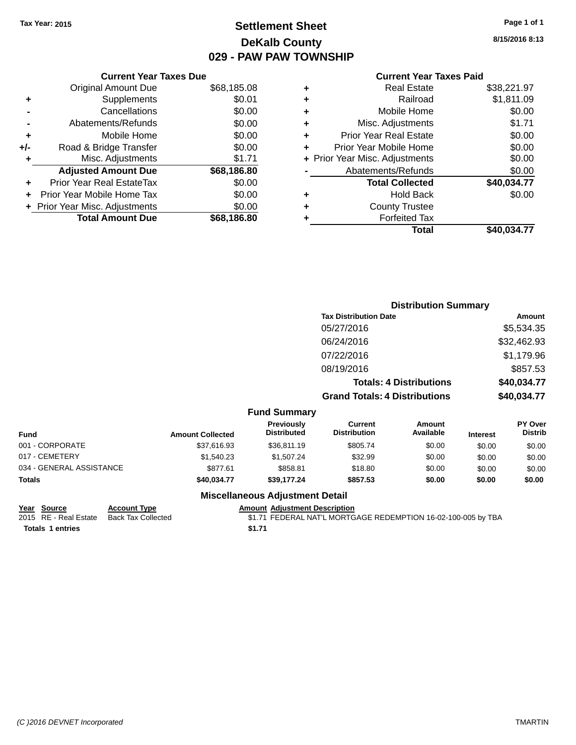# **Settlement Sheet Tax Year: 2015 Page 1 of 1 DeKalb County 029 - PAW PAW TOWNSHIP**

## **Current Year Taxes Due** Original Amount Due \$68,185.08 **+** Supplements \$0.01 **-** Cancellations \$0.00 **-** Abatements/Refunds \$0.00 **+** Mobile Home \$0.00 **+/-** Road & Bridge Transfer \$0.00 **+** Misc. Adjustments \$1.71 **Adjusted Amount Due \$68,186.80 +** Prior Year Real EstateTax \$0.00 **+** Prior Year Mobile Home Tax \$0.00 **+ Prior Year Misc. Adjustments**  $$0.00$

**Total Amount Due \$68,186.80**

## **Current Year Taxes Paid**

| ٠ | <b>Real Estate</b>             | \$38,221.97 |
|---|--------------------------------|-------------|
| ٠ | Railroad                       | \$1,811.09  |
| ٠ | Mobile Home                    | \$0.00      |
| ٠ | Misc. Adjustments              | \$1.71      |
| ٠ | <b>Prior Year Real Estate</b>  | \$0.00      |
| ٠ | Prior Year Mobile Home         | \$0.00      |
|   | + Prior Year Misc. Adjustments | \$0.00      |
|   | Abatements/Refunds             | \$0.00      |
|   | <b>Total Collected</b>         | \$40,034.77 |
| ٠ | <b>Hold Back</b>               | \$0.00      |
| ٠ | <b>County Trustee</b>          |             |
| ٠ | <b>Forfeited Tax</b>           |             |
|   | Total                          | \$40,034.77 |
|   |                                |             |

|                 |                         |                                  |                                       | <b>Distribution Summary</b>    |                 |                           |
|-----------------|-------------------------|----------------------------------|---------------------------------------|--------------------------------|-----------------|---------------------------|
|                 |                         |                                  | <b>Tax Distribution Date</b>          |                                |                 | Amount                    |
|                 |                         |                                  | 05/27/2016                            |                                |                 | \$5,534.35                |
|                 |                         |                                  | 06/24/2016                            |                                |                 | \$32,462.93               |
|                 |                         |                                  | 07/22/2016                            |                                |                 | \$1,179.96                |
|                 |                         |                                  | 08/19/2016                            |                                |                 | \$857.53                  |
|                 |                         |                                  |                                       | <b>Totals: 4 Distributions</b> |                 | \$40,034.77               |
|                 |                         |                                  | <b>Grand Totals: 4 Distributions</b>  |                                |                 | \$40,034.77               |
|                 |                         | <b>Fund Summary</b>              |                                       |                                |                 |                           |
| <b>Fund</b>     | <b>Amount Collected</b> | Previously<br><b>Distributed</b> | <b>Current</b><br><b>Distribution</b> | Amount<br>Available            | <b>Interest</b> | PY Over<br><b>Distrib</b> |
| 001 - CORPORATE | \$37,616.93             | \$36,811.19                      | \$805.74                              | \$0.00                         | \$0.00          | \$0.00                    |
|                 |                         |                                  |                                       |                                |                 |                           |

|                          | ---             | .  .        |          |        |        |        |
|--------------------------|-----------------|-------------|----------|--------|--------|--------|
| <b>Totals</b>            | \$40,034.77     | \$39.177.24 | \$857.53 | \$0.00 | \$0.00 | \$0.00 |
| 034 - GENERAL ASSISTANCE | \$877.61        | \$858.81    | \$18.80  | \$0.00 | \$0.00 | \$0.00 |
| 017 - CEMETERY           | \$1.540.23      | \$1.507.24  | \$32.99  | \$0.00 | \$0.00 | \$0.00 |
| 001 - CORPORATE          | \$37.616.93     | \$36,811.19 | \$805.74 | \$0.00 | \$0.00 | \$0.00 |
| .                        | Amvunt Oonceteu |             |          |        |        | ___    |

# **Miscellaneous Adjustment Detail**

**Year Source Account Type Amount Adjustment Description**

**Totals 1 entries** \$1.71

\$1.71 FEDERAL NAT'L MORTGAGE REDEMPTION 16-02-100-005 by TBA

**8/15/2016 8:13**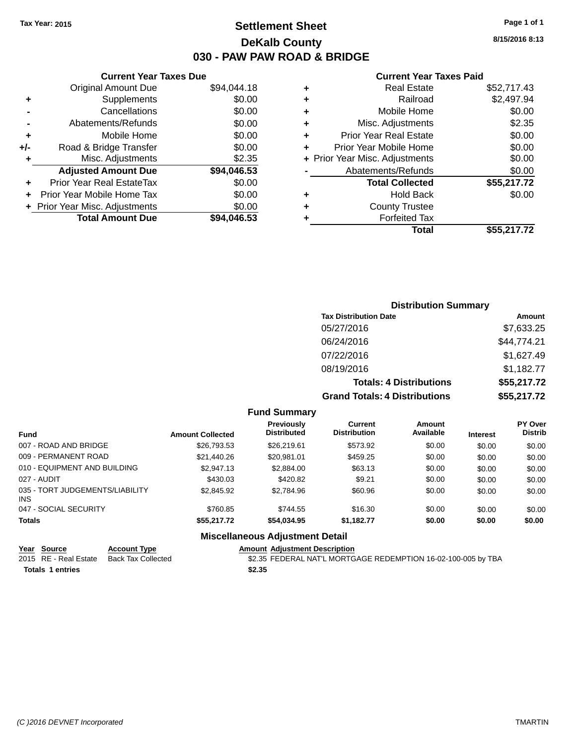# **Settlement Sheet Tax Year: 2015 Page 1 of 1 DeKalb County 030 - PAW PAW ROAD & BRIDGE**

**8/15/2016 8:13**

## **Current Year Taxes Paid**

|     | <b>Original Amount Due</b>       | \$94,044.18 |
|-----|----------------------------------|-------------|
| ٠   | Supplements                      | \$0.00      |
|     | Cancellations                    | \$0.00      |
|     | Abatements/Refunds               | \$0.00      |
| ٠   | Mobile Home                      | \$0.00      |
| +/- | Road & Bridge Transfer           | \$0.00      |
| ٠   | Misc. Adjustments                | \$2.35      |
|     | <b>Adjusted Amount Due</b>       | \$94,046.53 |
| ٠   | <b>Prior Year Real EstateTax</b> | \$0.00      |
| ٠   | Prior Year Mobile Home Tax       | \$0.00      |
|     | + Prior Year Misc. Adjustments   | \$0.00      |
|     | <b>Total Amount Due</b>          | \$94,046.53 |
|     |                                  |             |

**Current Year Taxes Due**

|   | <b>Real Estate</b>             | \$52,717.43 |
|---|--------------------------------|-------------|
| ٠ | Railroad                       | \$2,497.94  |
| ٠ | Mobile Home                    | \$0.00      |
| ٠ | Misc. Adjustments              | \$2.35      |
| ٠ | <b>Prior Year Real Estate</b>  | \$0.00      |
|   | Prior Year Mobile Home         | \$0.00      |
|   | + Prior Year Misc. Adjustments | \$0.00      |
|   | Abatements/Refunds             | \$0.00      |
|   | <b>Total Collected</b>         | \$55,217.72 |
| ٠ | <b>Hold Back</b>               | \$0.00      |
| ٠ | <b>County Trustee</b>          |             |
| ٠ | <b>Forfeited Tax</b>           |             |
|   | Total                          | \$55.217.72 |
|   |                                |             |

# **Distribution Summary Tax Distribution Date Amount** 05/27/2016 \$7,633.25 06/24/2016 \$44,774.21 07/22/2016 \$1,627.49 08/19/2016 \$1,182.77 **Totals: 4 Distributions \$55,217.72 Grand Totals: 4 Distributions \$55,217.72**

## **Fund Summary**

| <b>Fund</b>                                   | <b>Amount Collected</b> | Previously<br><b>Distributed</b> | Current<br><b>Distribution</b> | Amount<br>Available | <b>Interest</b> | <b>PY Over</b><br><b>Distrib</b> |
|-----------------------------------------------|-------------------------|----------------------------------|--------------------------------|---------------------|-----------------|----------------------------------|
| 007 - ROAD AND BRIDGE                         | \$26,793.53             | \$26,219.61                      | \$573.92                       | \$0.00              | \$0.00          | \$0.00                           |
| 009 - PERMANENT ROAD                          | \$21,440.26             | \$20.981.01                      | \$459.25                       | \$0.00              | \$0.00          | \$0.00                           |
| 010 - EQUIPMENT AND BUILDING                  | \$2.947.13              | \$2,884.00                       | \$63.13                        | \$0.00              | \$0.00          | \$0.00                           |
| 027 - AUDIT                                   | \$430.03                | \$420.82                         | \$9.21                         | \$0.00              | \$0.00          | \$0.00                           |
| 035 - TORT JUDGEMENTS/LIABILITY<br><b>INS</b> | \$2,845.92              | \$2,784.96                       | \$60.96                        | \$0.00              | \$0.00          | \$0.00                           |
| 047 - SOCIAL SECURITY                         | \$760.85                | \$744.55                         | \$16.30                        | \$0.00              | \$0.00          | \$0.00                           |
| <b>Totals</b>                                 | \$55,217.72             | \$54,034.95                      | \$1,182.77                     | \$0.00              | \$0.00          | \$0.00                           |

## **Miscellaneous Adjustment Detail**

| Year Source             | <b>Account Type</b> | <b>Amount Adiustment Description</b>                          |  |
|-------------------------|---------------------|---------------------------------------------------------------|--|
| 2015 RE - Real Estate   | Back Tax Collected  | \$2.35 FEDERAL NAT'L MORTGAGE REDEMPTION 16-02-100-005 by TBA |  |
| <b>Totals 1 entries</b> |                     | \$2.35                                                        |  |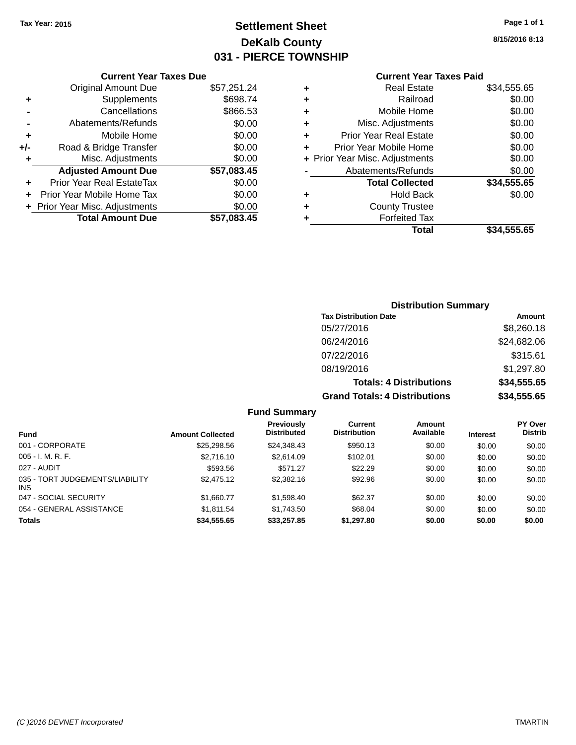# **Settlement Sheet Tax Year: 2015 Page 1 of 1 DeKalb County 031 - PIERCE TOWNSHIP**

#### **8/15/2016 8:13**

# **Current Year Taxes Paid**

|     | <b>Current Year Taxes Due</b>  |             |  |
|-----|--------------------------------|-------------|--|
|     | <b>Original Amount Due</b>     | \$57,251.24 |  |
| ٠   | Supplements                    | \$698.74    |  |
|     | Cancellations                  | \$866.53    |  |
|     | Abatements/Refunds             | \$0.00      |  |
| ٠   | Mobile Home                    | \$0.00      |  |
| +/- | Road & Bridge Transfer         | \$0.00      |  |
| ٠   | Misc. Adjustments              | \$0.00      |  |
|     | <b>Adjusted Amount Due</b>     | \$57,083.45 |  |
| ٠   | Prior Year Real EstateTax      | \$0.00      |  |
|     | Prior Year Mobile Home Tax     | \$0.00      |  |
|     | + Prior Year Misc. Adjustments | \$0.00      |  |
|     | <b>Total Amount Due</b>        | \$57.083.45 |  |
|     |                                |             |  |

|   | <b>Real Estate</b>             | \$34,555.65 |
|---|--------------------------------|-------------|
| ٠ | Railroad                       | \$0.00      |
| ٠ | Mobile Home                    | \$0.00      |
| ٠ | Misc. Adjustments              | \$0.00      |
| ٠ | <b>Prior Year Real Estate</b>  | \$0.00      |
| ÷ | Prior Year Mobile Home         | \$0.00      |
|   | + Prior Year Misc. Adjustments | \$0.00      |
|   | Abatements/Refunds             | \$0.00      |
|   | <b>Total Collected</b>         | \$34,555.65 |
| ٠ | <b>Hold Back</b>               | \$0.00      |
| ٠ | <b>County Trustee</b>          |             |
| ٠ | <b>Forfeited Tax</b>           |             |
|   | Total                          | \$34,555.65 |
|   |                                |             |

# **Distribution Summary Tax Distribution Date Amount** 05/27/2016 \$8,260.18 06/24/2016 \$24,682.06 07/22/2016 \$315.61 08/19/2016 \$1,297.80 **Totals: 4 Distributions \$34,555.65 Grand Totals: 4 Distributions \$34,555.65**

## **Fund Summary**

| <b>Fund</b>                             | <b>Amount Collected</b> | Previously<br><b>Distributed</b> | Current<br><b>Distribution</b> | Amount<br>Available | <b>Interest</b> | <b>PY Over</b><br><b>Distrib</b> |
|-----------------------------------------|-------------------------|----------------------------------|--------------------------------|---------------------|-----------------|----------------------------------|
| 001 - CORPORATE                         | \$25,298.56             | \$24,348.43                      | \$950.13                       | \$0.00              | \$0.00          | \$0.00                           |
| $005 - I. M. R. F.$                     | \$2,716.10              | \$2,614.09                       | \$102.01                       | \$0.00              | \$0.00          | \$0.00                           |
| 027 - AUDIT                             | \$593.56                | \$571.27                         | \$22.29                        | \$0.00              | \$0.00          | \$0.00                           |
| 035 - TORT JUDGEMENTS/LIABILITY<br>INS. | \$2,475.12              | \$2,382.16                       | \$92.96                        | \$0.00              | \$0.00          | \$0.00                           |
| 047 - SOCIAL SECURITY                   | \$1,660.77              | \$1,598.40                       | \$62.37                        | \$0.00              | \$0.00          | \$0.00                           |
| 054 - GENERAL ASSISTANCE                | \$1.811.54              | \$1.743.50                       | \$68.04                        | \$0.00              | \$0.00          | \$0.00                           |
| <b>Totals</b>                           | \$34,555.65             | \$33,257.85                      | \$1,297.80                     | \$0.00              | \$0.00          | \$0.00                           |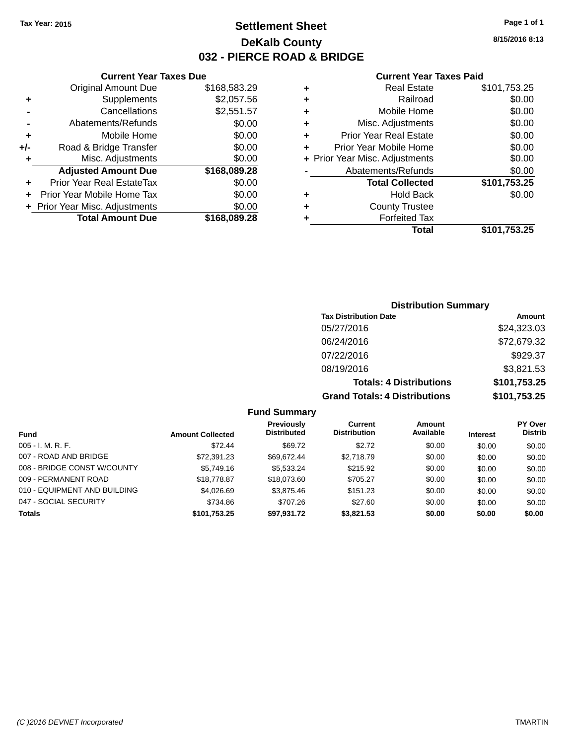# **Settlement Sheet Tax Year: 2015 Page 1 of 1 DeKalb County 032 - PIERCE ROAD & BRIDGE**

**Current Year Taxes Due**

| <b>Original Amount Due</b> | \$168,583.29                   |
|----------------------------|--------------------------------|
| Supplements                | \$2,057.56                     |
| Cancellations              | \$2,551.57                     |
| Abatements/Refunds         | \$0.00                         |
| Mobile Home                | \$0.00                         |
| Road & Bridge Transfer     | \$0.00                         |
| Misc. Adjustments          | \$0.00                         |
| <b>Adjusted Amount Due</b> | \$168,089.28                   |
| Prior Year Real EstateTax  | \$0.00                         |
| Prior Year Mobile Home Tax | \$0.00                         |
|                            | \$0.00                         |
| <b>Total Amount Due</b>    | \$168,089.28                   |
|                            | + Prior Year Misc. Adjustments |

#### **Current Year Taxes Paid**

|   | <b>Real Estate</b>             | \$101,753.25 |
|---|--------------------------------|--------------|
| ٠ | Railroad                       | \$0.00       |
| ٠ | Mobile Home                    | \$0.00       |
| ٠ | Misc. Adjustments              | \$0.00       |
| ٠ | <b>Prior Year Real Estate</b>  | \$0.00       |
| ٠ | Prior Year Mobile Home         | \$0.00       |
|   | + Prior Year Misc. Adjustments | \$0.00       |
|   | Abatements/Refunds             | \$0.00       |
|   | <b>Total Collected</b>         | \$101,753.25 |
| ٠ | <b>Hold Back</b>               | \$0.00       |
| ٠ | <b>County Trustee</b>          |              |
|   | <b>Forfeited Tax</b>           |              |
|   | Total                          | \$101,753.25 |
|   |                                |              |

# **Distribution Summary Tax Distribution Date Amount** 05/27/2016 \$24,323.03 06/24/2016 \$72,679.32 07/22/2016 \$929.37 08/19/2016 \$3,821.53 **Totals: 4 Distributions \$101,753.25 Grand Totals: 4 Distributions \$101,753.25**

## **Fund Summary**

|                              |                         | <b>Previously</b>  | Current             | Amount    |                 | <b>PY Over</b> |
|------------------------------|-------------------------|--------------------|---------------------|-----------|-----------------|----------------|
| Fund                         | <b>Amount Collected</b> | <b>Distributed</b> | <b>Distribution</b> | Available | <b>Interest</b> | <b>Distrib</b> |
| $005 - I. M. R. F.$          | \$72.44                 | \$69.72            | \$2.72              | \$0.00    | \$0.00          | \$0.00         |
| 007 - ROAD AND BRIDGE        | \$72.391.23             | \$69.672.44        | \$2,718.79          | \$0.00    | \$0.00          | \$0.00         |
| 008 - BRIDGE CONST W/COUNTY  | \$5,749.16              | \$5.533.24         | \$215.92            | \$0.00    | \$0.00          | \$0.00         |
| 009 - PERMANENT ROAD         | \$18,778.87             | \$18,073,60        | \$705.27            | \$0.00    | \$0.00          | \$0.00         |
| 010 - EQUIPMENT AND BUILDING | \$4.026.69              | \$3,875.46         | \$151.23            | \$0.00    | \$0.00          | \$0.00         |
| 047 - SOCIAL SECURITY        | \$734.86                | \$707.26           | \$27.60             | \$0.00    | \$0.00          | \$0.00         |
| <b>Totals</b>                | \$101,753.25            | \$97.931.72        | \$3,821,53          | \$0.00    | \$0.00          | \$0.00         |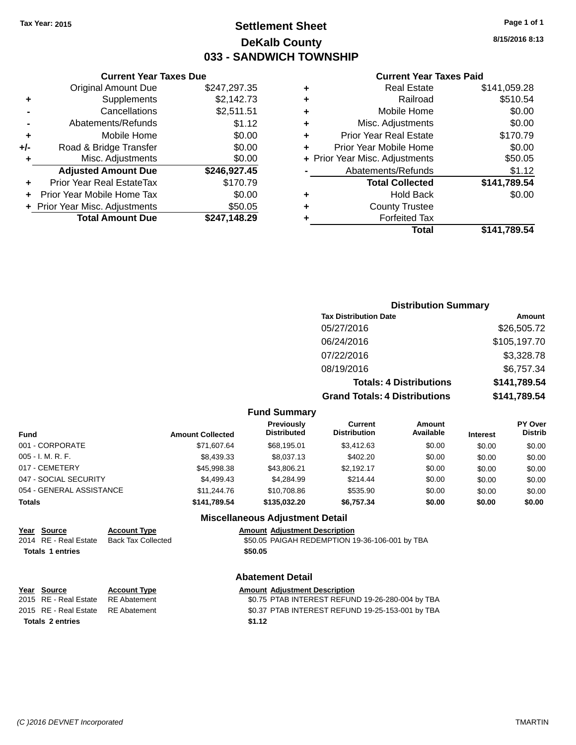# **Settlement Sheet Tax Year: 2015 Page 1 of 1 DeKalb County 033 - SANDWICH TOWNSHIP**

**8/15/2016 8:13**

## **Current Year Taxes Paid**

|     | <b>Current Year Taxes Due</b>  |              |  |
|-----|--------------------------------|--------------|--|
|     | <b>Original Amount Due</b>     | \$247,297.35 |  |
| ٠   | Supplements                    | \$2,142.73   |  |
|     | Cancellations                  | \$2,511.51   |  |
|     | Abatements/Refunds             | \$1.12       |  |
| ٠   | Mobile Home                    | \$0.00       |  |
| +/- | Road & Bridge Transfer         | \$0.00       |  |
| ٠   | Misc. Adjustments              | \$0.00       |  |
|     | <b>Adjusted Amount Due</b>     | \$246,927.45 |  |
| ٠   | Prior Year Real EstateTax      | \$170.79     |  |
|     | Prior Year Mobile Home Tax     | \$0.00       |  |
|     | + Prior Year Misc. Adjustments | \$50.05      |  |
|     | <b>Total Amount Due</b>        | \$247,148.29 |  |
|     |                                |              |  |

|   | <b>Real Estate</b>             | \$141,059.28 |
|---|--------------------------------|--------------|
| ٠ | Railroad                       | \$510.54     |
| ٠ | Mobile Home                    | \$0.00       |
| ٠ | Misc. Adjustments              | \$0.00       |
| ٠ | <b>Prior Year Real Estate</b>  | \$170.79     |
| ٠ | Prior Year Mobile Home         | \$0.00       |
|   | + Prior Year Misc. Adjustments | \$50.05      |
|   | Abatements/Refunds             | \$1.12       |
|   | <b>Total Collected</b>         | \$141,789.54 |
| ٠ | Hold Back                      | \$0.00       |
| ٠ | <b>County Trustee</b>          |              |
| ٠ | <b>Forfeited Tax</b>           |              |
|   | Total                          | \$141,789.54 |
|   |                                |              |

# **Distribution Summary Tax Distribution Date Amount** 05/27/2016 \$26,505.72 06/24/2016 \$105,197.70 07/22/2016 \$3,328.78 08/19/2016 \$6,757.34 **Totals: 4 Distributions \$141,789.54 Grand Totals: 4 Distributions \$141,789.54**

#### **Fund Summary**

| Fund                     | <b>Amount Collected</b> | Previously<br><b>Distributed</b> | Current<br><b>Distribution</b> | Amount<br>Available | <b>Interest</b> | <b>PY Over</b><br><b>Distrib</b> |
|--------------------------|-------------------------|----------------------------------|--------------------------------|---------------------|-----------------|----------------------------------|
| 001 - CORPORATE          | \$71,607.64             | \$68.195.01                      | \$3.412.63                     | \$0.00              | \$0.00          | \$0.00                           |
| 005 - I. M. R. F.        | \$8,439.33              | \$8,037.13                       | \$402.20                       | \$0.00              | \$0.00          | \$0.00                           |
| 017 - CEMETERY           | \$45,998.38             | \$43.806.21                      | \$2.192.17                     | \$0.00              | \$0.00          | \$0.00                           |
| 047 - SOCIAL SECURITY    | \$4.499.43              | \$4.284.99                       | \$214.44                       | \$0.00              | \$0.00          | \$0.00                           |
| 054 - GENERAL ASSISTANCE | \$11,244.76             | \$10,708.86                      | \$535.90                       | \$0.00              | \$0.00          | \$0.00                           |
| Totals                   | \$141,789.54            | \$135.032.20                     | \$6,757.34                     | \$0.00              | \$0.00          | \$0.00                           |

### **Miscellaneous Adjustment Detail**

# **Year Source Account Type Amount Adjustment Description**

\$50.05 PAIGAH REDEMPTION 19-36-106-001 by TBA **Totals \$50.05 1 entries**

#### **Abatement Detail**

#### **Year Source Account Type Amount Adjustment Description**<br>2015 RE - Real Estate RE Abatement **Amount 1997** SO.75 PTAB INTEREST REFUN \$0.75 PTAB INTEREST REFUND 19-26-280-004 by TBA 2015 RE - Real Estate RE Abatement \$0.37 PTAB INTEREST REFUND 19-25-153-001 by TBA **Totals \$1.12 2 entries**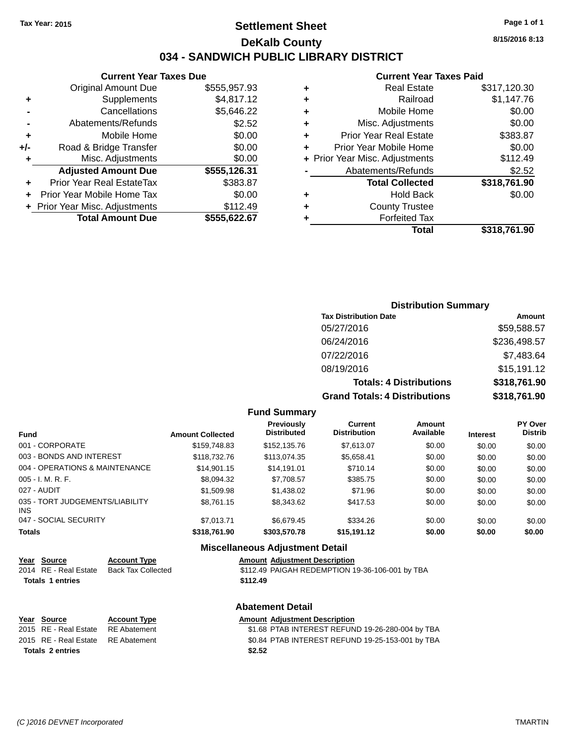# **Settlement Sheet Tax Year: 2015 Page 1 of 1 DeKalb County 034 - SANDWICH PUBLIC LIBRARY DISTRICT**

**Current Year Taxes Due**

|     | <b>Original Amount Due</b>       | \$555,957.93 |
|-----|----------------------------------|--------------|
|     | Supplements                      | \$4,817.12   |
|     | Cancellations                    | \$5,646.22   |
|     | Abatements/Refunds               | \$2.52       |
| ٠   | Mobile Home                      | \$0.00       |
| +/- | Road & Bridge Transfer           | \$0.00       |
|     | Misc. Adjustments                | \$0.00       |
|     | <b>Adjusted Amount Due</b>       | \$555,126.31 |
| ÷   | <b>Prior Year Real EstateTax</b> | \$383.87     |
|     | Prior Year Mobile Home Tax       | \$0.00       |
|     | + Prior Year Misc. Adjustments   | \$112.49     |
|     | <b>Total Amount Due</b>          | \$555,622.67 |
|     |                                  |              |

#### **Current Year Taxes Paid**

| ٠ | <b>Real Estate</b>             | \$317,120.30 |
|---|--------------------------------|--------------|
| ٠ | Railroad                       | \$1,147.76   |
| ٠ | Mobile Home                    | \$0.00       |
| ٠ | Misc. Adjustments              | \$0.00       |
| ٠ | <b>Prior Year Real Estate</b>  | \$383.87     |
| ٠ | Prior Year Mobile Home         | \$0.00       |
|   | + Prior Year Misc. Adjustments | \$112.49     |
|   | Abatements/Refunds             | \$2.52       |
|   | <b>Total Collected</b>         | \$318,761.90 |
| ٠ | <b>Hold Back</b>               | \$0.00       |
| ٠ | <b>County Trustee</b>          |              |
| ٠ | <b>Forfeited Tax</b>           |              |
|   | Total                          | \$318.761.90 |
|   |                                |              |

## **Distribution Summary Tax Distribution Date Amount** 05/27/2016 \$59,588.57 06/24/2016 \$236,498.57 07/22/2016 \$7,483.64 08/19/2016 \$15,191.12 **Totals: 4 Distributions \$318,761.90 Grand Totals: 4 Distributions \$318,761.90**

#### **Fund Summary**

| <b>Fund</b>                             | <b>Amount Collected</b> | Previously<br><b>Distributed</b> | Current<br><b>Distribution</b> | Amount<br>Available | <b>Interest</b> | <b>PY Over</b><br><b>Distrib</b> |
|-----------------------------------------|-------------------------|----------------------------------|--------------------------------|---------------------|-----------------|----------------------------------|
| 001 - CORPORATE                         | \$159,748.83            | \$152,135,76                     | \$7.613.07                     | \$0.00              | \$0.00          | \$0.00                           |
| 003 - BONDS AND INTEREST                | \$118,732.76            | \$113,074.35                     | \$5,658.41                     | \$0.00              | \$0.00          | \$0.00                           |
| 004 - OPERATIONS & MAINTENANCE          | \$14.901.15             | \$14.191.01                      | \$710.14                       | \$0.00              | \$0.00          | \$0.00                           |
| $005 - I. M. R. F.$                     | \$8,094.32              | \$7,708.57                       | \$385.75                       | \$0.00              | \$0.00          | \$0.00                           |
| 027 - AUDIT                             | \$1,509.98              | \$1,438.02                       | \$71.96                        | \$0.00              | \$0.00          | \$0.00                           |
| 035 - TORT JUDGEMENTS/LIABILITY<br>INS. | \$8,761.15              | \$8,343.62                       | \$417.53                       | \$0.00              | \$0.00          | \$0.00                           |
| 047 - SOCIAL SECURITY                   | \$7.013.71              | \$6.679.45                       | \$334.26                       | \$0.00              | \$0.00          | \$0.00                           |
| <b>Totals</b>                           | \$318,761.90            | \$303,570.78                     | \$15,191.12                    | \$0.00              | \$0.00          | \$0.00                           |

## **Miscellaneous Adjustment Detail Year Source Account Type Amount Adjustment Description** \$112.49 PAIGAH REDEMPTION 19-36-106-001 by TBA **Totals 1 entries** \$112.49 **Abatement Detail Year** Source **Account Type Account Adjustment Description** 2015 RE - Real Estate RE Abatement \$1.68 PTAB INTEREST REFUND 19-26-280-004 by TBA 2015 RE - Real Estate RE Abatement \$0.84 PTAB INTEREST REFUND 19-25-153-001 by TBA **Totals \$2.52 2 entries**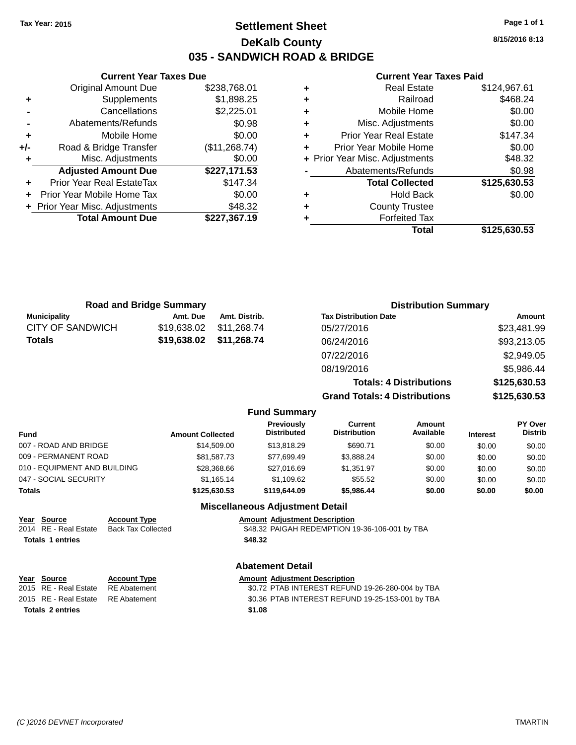### **Settlement Sheet Tax Year: 2015 Page 1 of 1 DeKalb County 035 - SANDWICH ROAD & BRIDGE**

**8/15/2016 8:13**

#### **Current Year Taxes Paid**

|                                | <b>Current Year Taxes Due</b>  |               |  |  |  |
|--------------------------------|--------------------------------|---------------|--|--|--|
|                                | Original Amount Due            | \$238,768.01  |  |  |  |
| \$1,898.25<br>Supplements<br>٠ |                                |               |  |  |  |
|                                | \$2,225.01<br>Cancellations    |               |  |  |  |
|                                | Abatements/Refunds             | \$0.98        |  |  |  |
| ٠                              | Mobile Home                    | \$0.00        |  |  |  |
| +/-                            | Road & Bridge Transfer         | (\$11,268.74) |  |  |  |
| ٠                              | Misc. Adjustments              | \$0.00        |  |  |  |
|                                | <b>Adjusted Amount Due</b>     | \$227,171.53  |  |  |  |
| ٠                              | Prior Year Real EstateTax      | \$147.34      |  |  |  |
| ÷                              | Prior Year Mobile Home Tax     | \$0.00        |  |  |  |
|                                | + Prior Year Misc. Adjustments | \$48.32       |  |  |  |
|                                | <b>Total Amount Due</b>        | \$227,367.19  |  |  |  |
|                                |                                |               |  |  |  |

| ٠ | <b>Real Estate</b>             | \$124,967.61 |
|---|--------------------------------|--------------|
| ٠ | Railroad                       | \$468.24     |
| ٠ | Mobile Home                    | \$0.00       |
| ٠ | Misc. Adjustments              | \$0.00       |
| ٠ | <b>Prior Year Real Estate</b>  | \$147.34     |
| ٠ | Prior Year Mobile Home         | \$0.00       |
|   | + Prior Year Misc. Adjustments | \$48.32      |
|   | Abatements/Refunds             | \$0.98       |
|   | <b>Total Collected</b>         | \$125,630.53 |
| ٠ | <b>Hold Back</b>               | \$0.00       |
| ٠ | <b>County Trustee</b>          |              |
| ٠ | <b>Forfeited Tax</b>           |              |
|   | Total                          | \$125,630.53 |
|   |                                |              |

| <b>Road and Bridge Summary</b>                                                                                         |                         |                                        |                                         |                                                | <b>Distribution Summary</b>    |                 |                           |
|------------------------------------------------------------------------------------------------------------------------|-------------------------|----------------------------------------|-----------------------------------------|------------------------------------------------|--------------------------------|-----------------|---------------------------|
| <b>Municipality</b>                                                                                                    | Amt. Due                | Amt. Distrib.                          |                                         | <b>Tax Distribution Date</b>                   |                                |                 | Amount                    |
| <b>CITY OF SANDWICH</b>                                                                                                | \$19,638.02             | \$11,268.74                            |                                         | 05/27/2016                                     |                                |                 | \$23,481.99               |
| Totals                                                                                                                 | \$19,638.02             | \$11,268.74                            |                                         | 06/24/2016                                     |                                |                 | \$93,213.05               |
|                                                                                                                        |                         |                                        |                                         | 07/22/2016                                     |                                |                 | \$2,949.05                |
|                                                                                                                        |                         |                                        |                                         | 08/19/2016                                     |                                |                 | \$5,986.44                |
|                                                                                                                        |                         |                                        |                                         |                                                | <b>Totals: 4 Distributions</b> |                 | \$125,630.53              |
|                                                                                                                        |                         |                                        |                                         | <b>Grand Totals: 4 Distributions</b>           |                                |                 | \$125,630.53              |
|                                                                                                                        |                         |                                        | <b>Fund Summary</b>                     |                                                |                                |                 |                           |
| Fund                                                                                                                   | <b>Amount Collected</b> |                                        | <b>Previously</b><br><b>Distributed</b> | <b>Current</b><br><b>Distribution</b>          | Amount<br>Available            | <b>Interest</b> | PY Over<br><b>Distrib</b> |
| 007 - ROAD AND BRIDGE                                                                                                  |                         | \$14,509.00                            | \$13,818.29                             | \$690.71                                       | \$0.00                         | \$0.00          | \$0.00                    |
| 009 - PERMANENT ROAD                                                                                                   |                         | \$81,587.73                            | \$77,699.49                             | \$3,888.24                                     | \$0.00                         | \$0.00          | \$0.00                    |
| 010 - EQUIPMENT AND BUILDING                                                                                           |                         | \$28,368.66                            | \$27,016.69                             | \$1,351.97                                     | \$0.00                         | \$0.00          | \$0.00                    |
| 047 - SOCIAL SECURITY                                                                                                  |                         | \$1,165.14                             | \$1,109.62                              | \$55.52                                        | \$0.00                         | \$0.00          | \$0.00                    |
| <b>Totals</b>                                                                                                          |                         | \$125,630.53                           | \$119,644.09                            | \$5,986.44                                     | \$0.00                         | \$0.00          | \$0.00                    |
|                                                                                                                        |                         | <b>Miscellaneous Adjustment Detail</b> |                                         |                                                |                                |                 |                           |
| <b>Account Type</b><br>Year<br>Source<br>2014 RE - Real Estate<br><b>Back Tax Collected</b><br><b>Totals 1 entries</b> |                         | \$48.32                                | <b>Amount Adjustment Description</b>    | \$48.32 PAIGAH REDEMPTION 19-36-106-001 by TBA |                                |                 |                           |

|                                    |                     | <b>Abatement Detail</b>                          |
|------------------------------------|---------------------|--------------------------------------------------|
| Year Source                        | <b>Account Type</b> | <b>Amount Adjustment Description</b>             |
| 2015 RE - Real Estate RE Abatement |                     | \$0.72 PTAB INTEREST REFUND 19-26-280-004 by TBA |
| 2015 RE - Real Estate RE Abatement |                     | \$0.36 PTAB INTEREST REFUND 19-25-153-001 by TBA |
| <b>Totals 2 entries</b>            |                     | \$1.08                                           |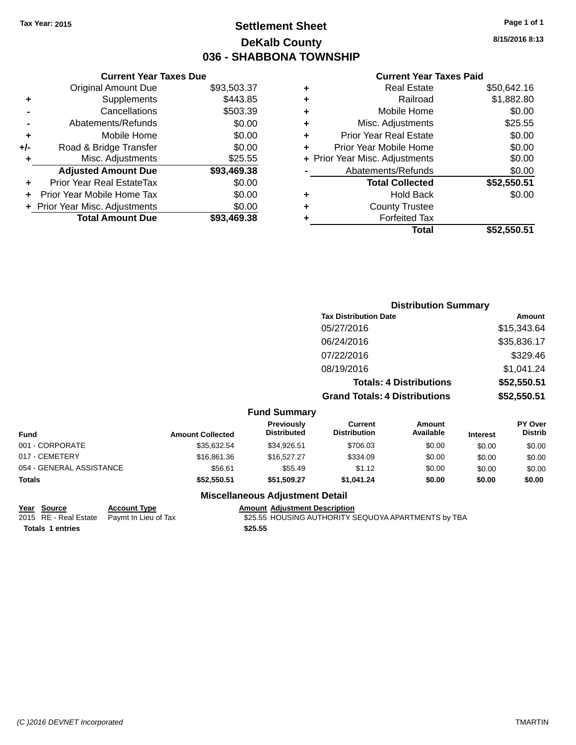### **Settlement Sheet Tax Year: 2015 Page 1 of 1 DeKalb County 036 - SHABBONA TOWNSHIP**

**8/15/2016 8:13**

#### **Current Year Taxes Paid**

|     | <b>Current Year Taxes Due</b>  |             |  |  |  |  |
|-----|--------------------------------|-------------|--|--|--|--|
|     | <b>Original Amount Due</b>     | \$93,503.37 |  |  |  |  |
| ٠   | \$443.85<br>Supplements        |             |  |  |  |  |
|     | Cancellations                  | \$503.39    |  |  |  |  |
|     | Abatements/Refunds             | \$0.00      |  |  |  |  |
| ٠   | Mobile Home                    | \$0.00      |  |  |  |  |
| +/- | Road & Bridge Transfer         | \$0.00      |  |  |  |  |
| ٠   | Misc. Adjustments              | \$25.55     |  |  |  |  |
|     | <b>Adjusted Amount Due</b>     | \$93,469.38 |  |  |  |  |
| ٠   | Prior Year Real EstateTax      | \$0.00      |  |  |  |  |
| ÷   | Prior Year Mobile Home Tax     | \$0.00      |  |  |  |  |
|     | + Prior Year Misc. Adjustments | \$0.00      |  |  |  |  |
|     | <b>Total Amount Due</b>        | \$93,469,38 |  |  |  |  |
|     |                                |             |  |  |  |  |

| ٠ | <b>Real Estate</b>             | \$50,642.16 |
|---|--------------------------------|-------------|
| ٠ | Railroad                       | \$1,882.80  |
| ٠ | Mobile Home                    | \$0.00      |
| ٠ | Misc. Adjustments              | \$25.55     |
| ٠ | <b>Prior Year Real Estate</b>  | \$0.00      |
| ٠ | Prior Year Mobile Home         | \$0.00      |
|   | + Prior Year Misc. Adjustments | \$0.00      |
|   | Abatements/Refunds             | \$0.00      |
|   | <b>Total Collected</b>         | \$52,550.51 |
| ٠ | <b>Hold Back</b>               | \$0.00      |
| ٠ | <b>County Trustee</b>          |             |
| ٠ | <b>Forfeited Tax</b>           |             |
|   | Total                          | \$52,550.51 |
|   |                                |             |

|                 |                         |                                  |                                       | <b>Distribution Summary</b>    |                 |                                  |
|-----------------|-------------------------|----------------------------------|---------------------------------------|--------------------------------|-----------------|----------------------------------|
|                 |                         |                                  | <b>Tax Distribution Date</b>          |                                |                 | Amount                           |
|                 |                         |                                  | 05/27/2016                            |                                |                 | \$15,343.64                      |
|                 |                         |                                  | 06/24/2016                            |                                |                 | \$35,836.17                      |
|                 |                         |                                  | 07/22/2016                            |                                |                 | \$329.46                         |
|                 |                         |                                  | 08/19/2016                            |                                |                 | \$1,041.24                       |
|                 |                         |                                  |                                       | <b>Totals: 4 Distributions</b> |                 | \$52,550.51                      |
|                 |                         |                                  | <b>Grand Totals: 4 Distributions</b>  |                                |                 | \$52,550.51                      |
|                 |                         | <b>Fund Summary</b>              |                                       |                                |                 |                                  |
| Fund            | <b>Amount Collected</b> | Previously<br><b>Distributed</b> | <b>Current</b><br><b>Distribution</b> | <b>Amount</b><br>Available     | <b>Interest</b> | <b>PY Over</b><br><b>Distrib</b> |
| 001 - CORPORATE | \$35,632.54             | \$34,926.51                      | \$706.03                              | \$0.00                         | \$0.00          | \$0.00                           |

| Fund                     | <b>Amount Collected</b> | PISH IDULEU | DISUIDUUOII | Avaliable | <b>Interest</b> | טו ווטוע |
|--------------------------|-------------------------|-------------|-------------|-----------|-----------------|----------|
| 001 - CORPORATE          | \$35.632.54             | \$34.926.51 | \$706.03    | \$0.00    | \$0.00          | \$0.00   |
| 017 - CEMETERY           | \$16,861,36             | \$16,527,27 | \$334.09    | \$0.00    | \$0.00          | \$0.00   |
| 054 - GENERAL ASSISTANCE | \$56.61                 | \$55.49     | \$1.12      | \$0.00    | \$0.00          | \$0.00   |
| Totals                   | \$52.550.51             | \$51.509.27 | \$1.041.24  | \$0.00    | \$0.00          | \$0.00   |
|                          |                         |             |             |           |                 |          |

| Year Source             | <b>Account Type</b>                        |         | <b>Amount Adjustment Description</b>                |
|-------------------------|--------------------------------------------|---------|-----------------------------------------------------|
|                         | 2015 RE - Real Estate Paymt In Lieu of Tax |         | \$25.55 HOUSING AUTHORITY SEQUOYA APARTMENTS by TBA |
| <b>Totals 1 entries</b> |                                            | \$25.55 |                                                     |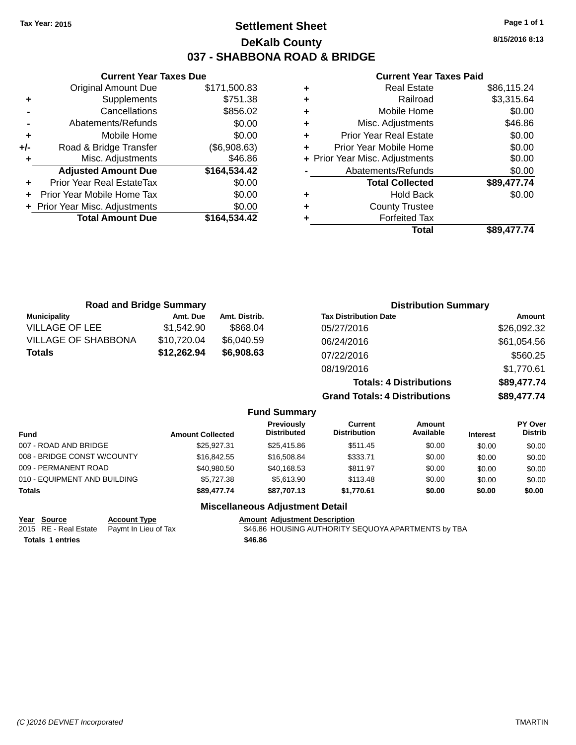**Current Year Taxes Due** Original Amount Due \$171,500.83

**Adjusted Amount Due \$164,534.42**

**Total Amount Due \$164,534.42**

**+** Supplements \$751.38 **-** Cancellations \$856.02 **-** Abatements/Refunds \$0.00 **+** Mobile Home \$0.00 **+/-** Road & Bridge Transfer (\$6,908.63) **+** Misc. Adjustments \$46.86

**+** Prior Year Real EstateTax \$0.00 **+** Prior Year Mobile Home Tax \$0.00 **+ Prior Year Misc. Adjustments**  $$0.00$ 

### **Settlement Sheet Tax Year: 2015 Page 1 of 1 DeKalb County 037 - SHABBONA ROAD & BRIDGE**

**8/15/2016 8:13**

#### **Current Year Taxes Paid**

|   | Total                          | \$89.477.74 |
|---|--------------------------------|-------------|
|   | <b>Forfeited Tax</b>           |             |
| ٠ | <b>County Trustee</b>          |             |
| ٠ | <b>Hold Back</b>               | \$0.00      |
|   | <b>Total Collected</b>         | \$89,477.74 |
|   | Abatements/Refunds             | \$0.00      |
|   | + Prior Year Misc. Adjustments | \$0.00      |
|   | Prior Year Mobile Home         | \$0.00      |
| ٠ | <b>Prior Year Real Estate</b>  | \$0.00      |
| ٠ | Misc. Adjustments              | \$46.86     |
| ٠ | Mobile Home                    | \$0.00      |
| ٠ | Railroad                       | \$3,315.64  |
| ٠ | <b>Real Estate</b>             | \$86,115.24 |
|   |                                |             |

| <b>Road and Bridge Summary</b> |                         |               |                                         |                                       | <b>Distribution Summary</b>    |                 |                           |
|--------------------------------|-------------------------|---------------|-----------------------------------------|---------------------------------------|--------------------------------|-----------------|---------------------------|
| <b>Municipality</b>            | Amt. Due                | Amt. Distrib. |                                         | <b>Tax Distribution Date</b>          |                                |                 | Amount                    |
| <b>VILLAGE OF LEE</b>          | \$1,542.90              | \$868.04      |                                         | 05/27/2016                            |                                |                 | \$26,092.32               |
| <b>VILLAGE OF SHABBONA</b>     | \$10,720.04             | \$6,040.59    |                                         | 06/24/2016                            |                                |                 | \$61,054.56               |
| <b>Totals</b>                  | \$12,262.94             | \$6,908.63    |                                         | 07/22/2016                            |                                |                 | \$560.25                  |
|                                |                         |               |                                         | 08/19/2016                            |                                |                 | \$1,770.61                |
|                                |                         |               |                                         |                                       | <b>Totals: 4 Distributions</b> |                 | \$89,477.74               |
|                                |                         |               |                                         | <b>Grand Totals: 4 Distributions</b>  |                                |                 | \$89,477.74               |
|                                |                         |               | <b>Fund Summary</b>                     |                                       |                                |                 |                           |
| <b>Fund</b>                    | <b>Amount Collected</b> |               | <b>Previously</b><br><b>Distributed</b> | <b>Current</b><br><b>Distribution</b> | <b>Amount</b><br>Available     | <b>Interest</b> | PY Over<br><b>Distrib</b> |
| 007 - ROAD AND BRIDGE          |                         | \$25,927.31   | \$25,415.86                             | \$511.45                              | \$0.00                         | \$0.00          | \$0.00                    |
| 008 - BRIDGE CONST W/COUNTY    |                         | \$16,842.55   | \$16,508.84                             | \$333.71                              | \$0.00                         | \$0.00          | \$0.00                    |
| 009 - PERMANENT ROAD           |                         | \$40,980.50   | \$40,168.53                             | \$811.97                              | \$0.00                         | \$0.00          | \$0.00                    |
| 010 - EQUIPMENT AND BUILDING   |                         | \$5,727.38    | \$5,613.90                              | \$113.48                              | \$0.00                         | \$0.00          | \$0.00                    |

#### **Totals \$89,477.74 \$87,707.13 \$1,770.61 \$0.00 \$0.00 \$0.00**

| Year Source             | <b>Account Type</b>                        | <b>Amount Adiustment Description</b>                |
|-------------------------|--------------------------------------------|-----------------------------------------------------|
|                         | 2015 RE - Real Estate Paymt In Lieu of Tax | \$46.86 HOUSING AUTHORITY SEQUOYA APARTMENTS by TBA |
| <b>Totals 1 entries</b> |                                            | \$46.86                                             |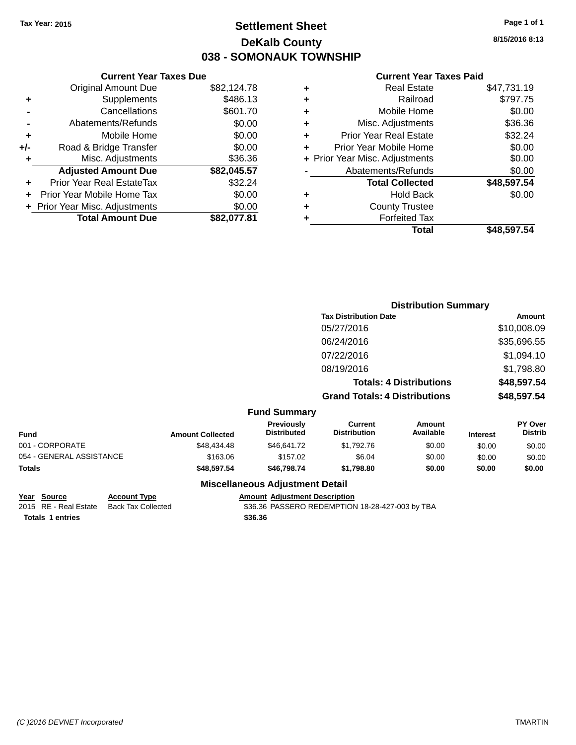### **Settlement Sheet Tax Year: 2015 Page 1 of 1 DeKalb County 038 - SOMONAUK TOWNSHIP**

**8/15/2016 8:13**

|  | <b>Current Year Taxes Paid</b> |  |  |  |
|--|--------------------------------|--|--|--|
|--|--------------------------------|--|--|--|

|     | <b>Current Year Taxes Due</b>  |             |
|-----|--------------------------------|-------------|
|     | <b>Original Amount Due</b>     | \$82,124.78 |
| ٠   | Supplements                    | \$486.13    |
|     | Cancellations                  | \$601.70    |
|     | Abatements/Refunds             | \$0.00      |
| ٠   | Mobile Home                    | \$0.00      |
| +/- | Road & Bridge Transfer         | \$0.00      |
| ٠   | Misc. Adjustments              | \$36.36     |
|     | <b>Adjusted Amount Due</b>     | \$82,045.57 |
|     | Prior Year Real EstateTax      | \$32.24     |
|     | Prior Year Mobile Home Tax     | \$0.00      |
|     | + Prior Year Misc. Adjustments | \$0.00      |
|     | <b>Total Amount Due</b>        | \$82,077.81 |
|     |                                |             |

| ٠ | <b>Real Estate</b>             | \$47,731.19 |
|---|--------------------------------|-------------|
| ٠ | Railroad                       | \$797.75    |
| ٠ | Mobile Home                    | \$0.00      |
| ٠ | Misc. Adjustments              | \$36.36     |
| ٠ | <b>Prior Year Real Estate</b>  | \$32.24     |
| ٠ | Prior Year Mobile Home         | \$0.00      |
|   | + Prior Year Misc. Adjustments | \$0.00      |
|   | Abatements/Refunds             | \$0.00      |
|   | <b>Total Collected</b>         | \$48,597.54 |
| ٠ | <b>Hold Back</b>               | \$0.00      |
| ٠ | <b>County Trustee</b>          |             |
|   | <b>Forfeited Tax</b>           |             |
|   | Total                          | \$48,597.54 |
|   |                                |             |

|                                |                         |                                        | <b>Distribution Summary</b>           |                            |                 |                           |
|--------------------------------|-------------------------|----------------------------------------|---------------------------------------|----------------------------|-----------------|---------------------------|
|                                |                         |                                        | <b>Tax Distribution Date</b>          |                            | Amount          |                           |
|                                |                         |                                        | 05/27/2016                            |                            |                 | \$10,008.09               |
|                                |                         |                                        | 06/24/2016                            |                            |                 | \$35,696.55               |
|                                |                         |                                        | 07/22/2016                            |                            |                 | \$1,094.10                |
|                                |                         |                                        | 08/19/2016                            |                            |                 | \$1,798.80                |
| <b>Totals: 4 Distributions</b> |                         |                                        | \$48,597.54                           |                            |                 |                           |
|                                |                         |                                        | <b>Grand Totals: 4 Distributions</b>  |                            |                 | \$48,597.54               |
|                                |                         | <b>Fund Summary</b>                    |                                       |                            |                 |                           |
| <b>Fund</b>                    | <b>Amount Collected</b> | Previously<br><b>Distributed</b>       | <b>Current</b><br><b>Distribution</b> | <b>Amount</b><br>Available | <b>Interest</b> | PY Over<br><b>Distrib</b> |
| 001 - CORPORATE                | \$48,434.48             | \$46,641.72                            | \$1,792.76                            | \$0.00                     | \$0.00          | \$0.00                    |
| 054 - GENERAL ASSISTANCE       | \$163.06                | \$157.02                               | \$6.04                                | \$0.00                     | \$0.00          | \$0.00                    |
| Totals                         | \$48,597.54             | \$46,798.74                            | \$1,798.80                            | \$0.00                     | \$0.00          | \$0.00                    |
|                                |                         | <b>Miscellaneous Adjustment Detail</b> |                                       |                            |                 |                           |

**Year Source Account Type Amount Adjustment Description** \$36.36 PASSERO REDEMPTION 18-28-427-003 by TBA **Totals \$36.36 1 entries**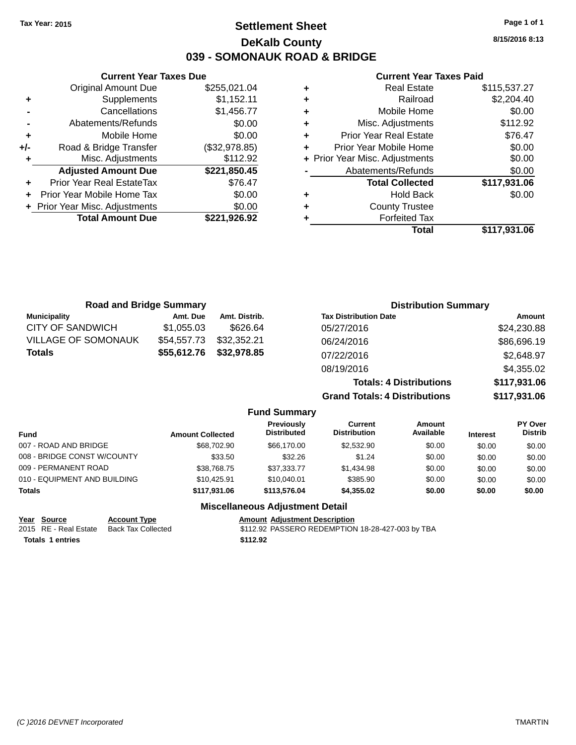### **Settlement Sheet Tax Year: 2015 Page 1 of 1 DeKalb County 039 - SOMONAUK ROAD & BRIDGE**

**8/15/2016 8:13**

#### **Current Year Taxes Paid**

|     | <b>Current Year Taxes Due</b>  |               |
|-----|--------------------------------|---------------|
|     | <b>Original Amount Due</b>     | \$255,021.04  |
| ٠   | Supplements                    | \$1,152.11    |
|     | Cancellations                  | \$1,456.77    |
|     | Abatements/Refunds             | \$0.00        |
| ٠   | Mobile Home                    | \$0.00        |
| +/- | Road & Bridge Transfer         | (\$32,978.85) |
|     | Misc. Adjustments              | \$112.92      |
|     | <b>Adjusted Amount Due</b>     | \$221,850.45  |
|     | Prior Year Real EstateTax      | \$76.47       |
|     | Prior Year Mobile Home Tax     | \$0.00        |
|     | + Prior Year Misc. Adjustments | \$0.00        |
|     | <b>Total Amount Due</b>        | \$221.926.92  |
|     |                                |               |

| ٠ | <b>Real Estate</b>             | \$115,537.27 |
|---|--------------------------------|--------------|
| ٠ | Railroad                       | \$2,204.40   |
| ٠ | Mobile Home                    | \$0.00       |
| ٠ | Misc. Adjustments              | \$112.92     |
| ٠ | <b>Prior Year Real Estate</b>  | \$76.47      |
| ٠ | Prior Year Mobile Home         | \$0.00       |
|   | + Prior Year Misc. Adjustments | \$0.00       |
|   | Abatements/Refunds             | \$0.00       |
|   | <b>Total Collected</b>         | \$117,931.06 |
| ٠ | <b>Hold Back</b>               | \$0.00       |
| ٠ | <b>County Trustee</b>          |              |
| ٠ | <b>Forfeited Tax</b>           |              |
|   | Total                          | \$117,931.06 |
|   |                                |              |

| <b>Road and Bridge Summary</b> |             |               | <b>Distribution Summary</b>          |              |  |
|--------------------------------|-------------|---------------|--------------------------------------|--------------|--|
| <b>Municipality</b>            | Amt. Due    | Amt. Distrib. | <b>Tax Distribution Date</b>         | Amount       |  |
| <b>CITY OF SANDWICH</b>        | \$1,055.03  | \$626.64      | 05/27/2016                           | \$24,230.88  |  |
| <b>VILLAGE OF SOMONAUK</b>     | \$54,557.73 | \$32,352.21   | 06/24/2016                           | \$86,696.19  |  |
| <b>Totals</b>                  | \$55,612.76 | \$32,978.85   | 07/22/2016                           | \$2,648.97   |  |
|                                |             |               | 08/19/2016                           | \$4,355.02   |  |
|                                |             |               | <b>Totals: 4 Distributions</b>       | \$117,931.06 |  |
|                                |             |               | <b>Grand Totals: 4 Distributions</b> | \$117,931.06 |  |

| <b>Fund Summary</b>          |                         |                                  |                                |                            |                 |                                  |
|------------------------------|-------------------------|----------------------------------|--------------------------------|----------------------------|-----------------|----------------------------------|
| <b>Fund</b>                  | <b>Amount Collected</b> | Previously<br><b>Distributed</b> | Current<br><b>Distribution</b> | <b>Amount</b><br>Available | <b>Interest</b> | <b>PY Over</b><br><b>Distrib</b> |
| 007 - ROAD AND BRIDGE        | \$68,702.90             | \$66,170,00                      | \$2,532.90                     | \$0.00                     | \$0.00          | \$0.00                           |
| 008 - BRIDGE CONST W/COUNTY  | \$33.50                 | \$32.26                          | \$1.24                         | \$0.00                     | \$0.00          | \$0.00                           |
| 009 - PERMANENT ROAD         | \$38,768.75             | \$37,333.77                      | \$1,434.98                     | \$0.00                     | \$0.00          | \$0.00                           |
| 010 - EQUIPMENT AND BUILDING | \$10.425.91             | \$10,040.01                      | \$385.90                       | \$0.00                     | \$0.00          | \$0.00                           |
| <b>Totals</b>                | \$117,931.06            | \$113,576.04                     | \$4,355.02                     | \$0.00                     | \$0.00          | \$0.00                           |
|                              |                         |                                  |                                |                            |                 |                                  |

| Year Source             | <b>Account Type</b>                      |          | <b>Amount Adiustment Description</b>             |
|-------------------------|------------------------------------------|----------|--------------------------------------------------|
|                         | 2015 RE - Real Estate Back Tax Collected |          | \$112.92 PASSERO REDEMPTION 18-28-427-003 by TBA |
| <b>Totals 1 entries</b> |                                          | \$112.92 |                                                  |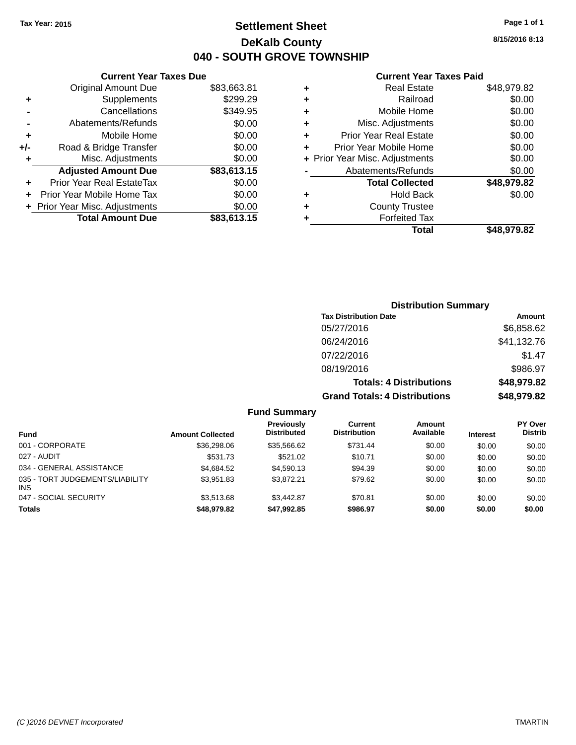**Original Amount Due** 

**Adjusted Amount Due** 

**Total Amount Due** 

**+** Supplements **-** Cancellations **-** Abatements/Refunds  $+$  Mobile Home **+/-** Road & Bridge Transfer **+** Misc. Adjustments

**+** Prior Year Real EstateTax \$0.00 **+** Prior Year Mobile Home Tax **+** Prior Year Misc. Adjustments

### **Settlement Sheet Tax Year: 2015 Page 1 of 1 DeKalb County 040 - SOUTH GROVE TOWNSHIP**

**8/15/2016 8:13**

#### **Current Year Taxes Paid**

| <b>Current Year Taxes Due</b> |             |   | <b>Current Year Taxes</b>      |  |
|-------------------------------|-------------|---|--------------------------------|--|
| ่<br>เl Amount Due            | \$83,663.81 | ÷ | <b>Real Estate</b>             |  |
| Supplements                   | \$299.29    | ÷ | Railroad                       |  |
| Cancellations                 | \$349.95    | ÷ | Mobile Home                    |  |
| าents/Refunds                 | \$0.00      | ÷ | Misc. Adjustments              |  |
| Mobile Home                   | \$0.00      | ÷ | <b>Prior Year Real Estate</b>  |  |
| ridge Transfer                | \$0.00      | ÷ | Prior Year Mobile Home         |  |
| . Adjustments                 | \$0.00      |   | + Prior Year Misc. Adjustments |  |
| <b>Amount Due</b>             | \$83,613.15 |   | Abatements/Refunds             |  |
| leal EstateTax≀               | \$0.00      |   | <b>Total Collected</b>         |  |
| bile Home Tax                 | \$0.00      | ٠ | <b>Hold Back</b>               |  |
| . Adjustments                 | \$0.00      | ÷ | <b>County Trustee</b>          |  |
| <b>Amount Due</b>             | \$83,613.15 | ٠ | <b>Forfeited Tax</b>           |  |
|                               |             |   | Total                          |  |

|                |   | odhoni Todh Taxoo Fala         |             |
|----------------|---|--------------------------------|-------------|
| $\overline{1}$ | ٠ | <b>Real Estate</b>             | \$48,979.82 |
| :9             | ٠ | Railroad                       | \$0.00      |
| 15             | ٠ | Mobile Home                    | \$0.00      |
| 10             | ٠ | Misc. Adjustments              | \$0.00      |
| 0              | ٠ | <b>Prior Year Real Estate</b>  | \$0.00      |
| 0              |   | Prior Year Mobile Home         | \$0.00      |
|                |   | + Prior Year Misc. Adjustments | \$0.00      |
| $\frac{10}{5}$ |   | Abatements/Refunds             | \$0.00      |
| 10             |   | <b>Total Collected</b>         | \$48,979.82 |
| 10             | ٠ | <b>Hold Back</b>               | \$0.00      |
|                | ٠ | <b>County Trustee</b>          |             |
| $\frac{10}{5}$ |   | <b>Forfeited Tax</b>           |             |
|                |   | Total                          | \$48,979.82 |

| <b>Distribution Summary</b>          |             |
|--------------------------------------|-------------|
| <b>Tax Distribution Date</b>         | Amount      |
| 05/27/2016                           | \$6,858.62  |
| 06/24/2016                           | \$41,132.76 |
| 07/22/2016                           | \$1.47      |
| 08/19/2016                           | \$986.97    |
| <b>Totals: 4 Distributions</b>       | \$48,979.82 |
| <b>Grand Totals: 4 Distributions</b> | \$48,979.82 |
|                                      |             |

| <b>Fund</b>                            | <b>Amount Collected</b> | Previously<br><b>Distributed</b> | Current<br><b>Distribution</b> | Amount<br>Available | <b>Interest</b> | PY Over<br><b>Distrib</b> |
|----------------------------------------|-------------------------|----------------------------------|--------------------------------|---------------------|-----------------|---------------------------|
| 001 - CORPORATE                        | \$36,298.06             | \$35,566.62                      | \$731.44                       | \$0.00              | \$0.00          | \$0.00                    |
| 027 - AUDIT                            | \$531.73                | \$521.02                         | \$10.71                        | \$0.00              | \$0.00          | \$0.00                    |
| 034 - GENERAL ASSISTANCE               | \$4,684.52              | \$4,590.13                       | \$94.39                        | \$0.00              | \$0.00          | \$0.00                    |
| 035 - TORT JUDGEMENTS/LIABILITY<br>INS | \$3.951.83              | \$3.872.21                       | \$79.62                        | \$0.00              | \$0.00          | \$0.00                    |
| 047 - SOCIAL SECURITY                  | \$3,513,68              | \$3,442.87                       | \$70.81                        | \$0.00              | \$0.00          | \$0.00                    |
| <b>Totals</b>                          | \$48,979.82             | \$47,992.85                      | \$986.97                       | \$0.00              | \$0.00          | \$0.00                    |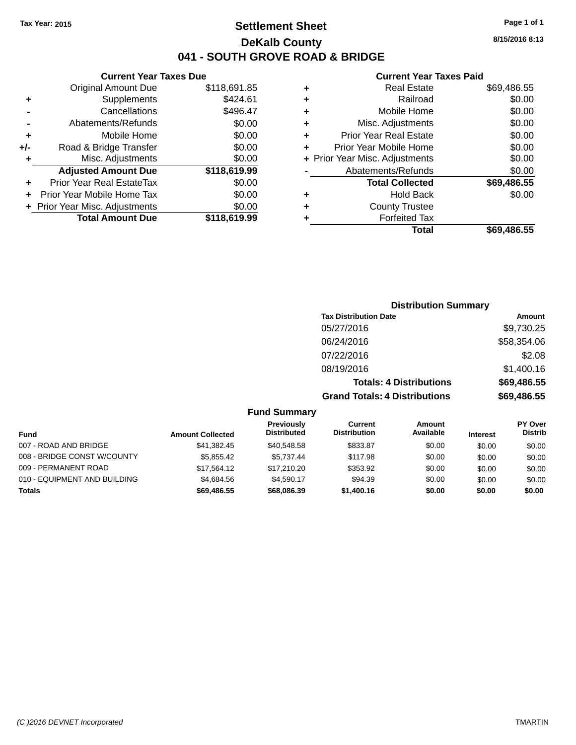### **Settlement Sheet Tax Year: 2015 Page 1 of 1 DeKalb County 041 - SOUTH GROVE ROAD & BRIDGE**

**Current Year Taxes Due**

|       | <b>Original Amount Due</b>     | \$118,691.85 |
|-------|--------------------------------|--------------|
| ٠     | Supplements                    | \$424.61     |
|       | Cancellations                  | \$496.47     |
|       | Abatements/Refunds             | \$0.00       |
| ٠     | Mobile Home                    | \$0.00       |
| $+/-$ | Road & Bridge Transfer         | \$0.00       |
| ٠     | Misc. Adjustments              | \$0.00       |
|       | <b>Adjusted Amount Due</b>     | \$118,619.99 |
| ÷     | Prior Year Real EstateTax      | \$0.00       |
|       | Prior Year Mobile Home Tax     | \$0.00       |
|       | + Prior Year Misc. Adjustments | \$0.00       |
|       | <b>Total Amount Due</b>        | \$118,619.99 |
|       |                                |              |

#### **Current Year Taxes Paid**

|   | <b>Real Estate</b>             | \$69,486.55 |
|---|--------------------------------|-------------|
| ٠ | Railroad                       | \$0.00      |
| ٠ | Mobile Home                    | \$0.00      |
| ٠ | Misc. Adjustments              | \$0.00      |
| ٠ | <b>Prior Year Real Estate</b>  | \$0.00      |
| ٠ | Prior Year Mobile Home         | \$0.00      |
|   | + Prior Year Misc. Adjustments | \$0.00      |
|   | Abatements/Refunds             | \$0.00      |
|   | <b>Total Collected</b>         | \$69,486.55 |
| ٠ | <b>Hold Back</b>               | \$0.00      |
| ٠ | <b>County Trustee</b>          |             |
| ٠ | <b>Forfeited Tax</b>           |             |
|   | Total                          | \$69.486.55 |
|   |                                |             |

| <b>Distribution Summary</b>          |             |
|--------------------------------------|-------------|
| <b>Tax Distribution Date</b>         | Amount      |
| 05/27/2016                           | \$9,730.25  |
| 06/24/2016                           | \$58,354.06 |
| 07/22/2016                           | \$2.08      |
| 08/19/2016                           | \$1,400.16  |
| <b>Totals: 4 Distributions</b>       | \$69,486.55 |
| <b>Grand Totals: 4 Distributions</b> | \$69,486.55 |

### **Fund Summary**

| Fund                         | <b>Amount Collected</b> | Previously<br><b>Distributed</b> | Current<br><b>Distribution</b> | Amount<br>Available | <b>Interest</b> | <b>PY Over</b><br><b>Distrib</b> |
|------------------------------|-------------------------|----------------------------------|--------------------------------|---------------------|-----------------|----------------------------------|
| 007 - ROAD AND BRIDGE        | \$41,382.45             | \$40,548.58                      | \$833.87                       | \$0.00              | \$0.00          | \$0.00                           |
| 008 - BRIDGE CONST W/COUNTY  | \$5.855.42              | \$5.737.44                       | \$117.98                       | \$0.00              | \$0.00          | \$0.00                           |
| 009 - PERMANENT ROAD         | \$17.564.12             | \$17.210.20                      | \$353.92                       | \$0.00              | \$0.00          | \$0.00                           |
| 010 - EQUIPMENT AND BUILDING | \$4.684.56              | \$4.590.17                       | \$94.39                        | \$0.00              | \$0.00          | \$0.00                           |
| Totals                       | \$69,486,55             | \$68,086.39                      | \$1,400.16                     | \$0.00              | \$0.00          | \$0.00                           |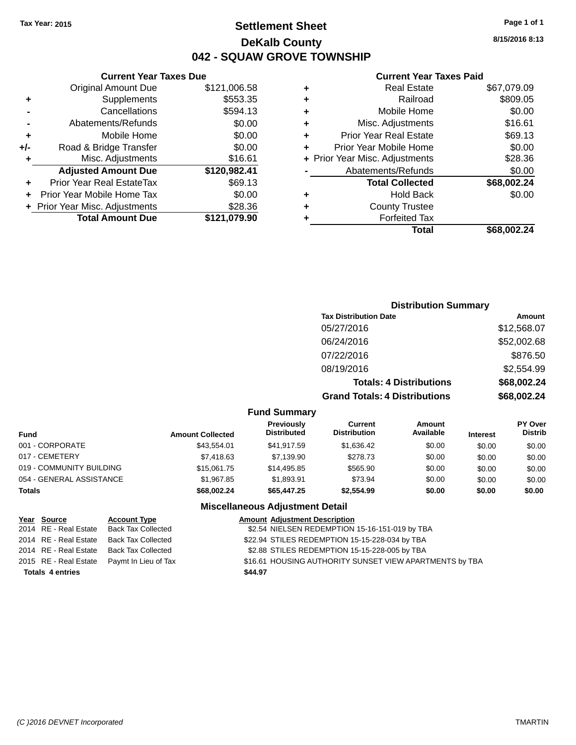**+/-** Road &

### **Settlement Sheet Tax Year: 2015 Page 1 of 1 DeKalb County 042 - SQUAW GROVE TOWNSHIP**

**8/15/2016 8:13**

#### **Current Year Taxes Paid**

|                    |   | \$121,006.58 | <b>Original Amount Due</b>       |           |
|--------------------|---|--------------|----------------------------------|-----------|
|                    | ٠ | \$553.35     | Supplements                      | ٠         |
|                    | ٠ | \$594.13     | Cancellations                    |           |
| Misc.              |   | \$0.00       | Abatements/Refunds               |           |
| <b>Prior Year</b>  |   | \$0.00       | Mobile Home                      | ÷         |
| Prior Year M       |   | \$0.00       | Road & Bridge Transfer           | J-        |
| + Prior Year Misc. |   | \$16.61      | Misc. Adjustments                | ٠         |
| Abateme            |   | \$120,982.41 | <b>Adjusted Amount Due</b>       |           |
| Tot                |   | \$69.13      | <b>Prior Year Real EstateTax</b> | $\ddot{}$ |
|                    |   | \$0.00       | Prior Year Mobile Home Tax       | ÷.        |
| Co                 |   | \$28.36      | + Prior Year Misc. Adjustments   |           |
|                    |   | \$121,079.90 | <b>Total Amount Due</b>          |           |
|                    |   |              |                                  |           |

**Current Year Taxes Due**

| ٠ | <b>Real Estate</b>             | \$67,079.09 |
|---|--------------------------------|-------------|
| ÷ | Railroad                       | \$809.05    |
| ٠ | Mobile Home                    | \$0.00      |
| ٠ | Misc. Adjustments              | \$16.61     |
| ٠ | <b>Prior Year Real Estate</b>  | \$69.13     |
| ٠ | Prior Year Mobile Home         | \$0.00      |
|   | + Prior Year Misc. Adjustments | \$28.36     |
|   | Abatements/Refunds             | \$0.00      |
|   | <b>Total Collected</b>         | \$68,002.24 |
| ٠ | <b>Hold Back</b>               | \$0.00      |
| ٠ | <b>County Trustee</b>          |             |
|   | <b>Forfeited Tax</b>           |             |
|   | Total                          | \$68,002.24 |
|   |                                |             |

### **Distribution Summary Tax Distribution Date Amount** 05/27/2016 \$12,568.07 06/24/2016 \$52,002.68 07/22/2016 \$876.50 08/19/2016 \$2,554.99 **Totals: 4 Distributions \$68,002.24 Grand Totals: 4 Distributions \$68,002.24**

#### **Fund Summary**

| <b>Amount Collected</b> | Previously<br><b>Distributed</b> | Current<br><b>Distribution</b> | Amount<br>Available | <b>Interest</b> | <b>PY Over</b><br><b>Distrib</b> |
|-------------------------|----------------------------------|--------------------------------|---------------------|-----------------|----------------------------------|
| \$43.554.01             | \$41.917.59                      | \$1.636.42                     | \$0.00              | \$0.00          | \$0.00                           |
| \$7,418.63              | \$7,139.90                       | \$278.73                       | \$0.00              | \$0.00          | \$0.00                           |
| \$15,061,75             | \$14,495.85                      | \$565.90                       | \$0.00              | \$0.00          | \$0.00                           |
| \$1.967.85              | \$1.893.91                       | \$73.94                        | \$0.00              | \$0.00          | \$0.00                           |
| \$68,002.24             | \$65,447.25                      | \$2,554.99                     | \$0.00              | \$0.00          | \$0.00                           |
|                         |                                  |                                |                     |                 |                                  |

| Year Source             | <b>Account Type</b>       | <b>Amount Adjustment Description</b>                    |
|-------------------------|---------------------------|---------------------------------------------------------|
| 2014 RE - Real Estate   | <b>Back Tax Collected</b> | \$2.54 NIELSEN REDEMPTION 15-16-151-019 by TBA          |
| 2014 RE - Real Estate   | <b>Back Tax Collected</b> | \$22.94 STILES REDEMPTION 15-15-228-034 by TBA          |
| 2014 RE - Real Estate   | <b>Back Tax Collected</b> | \$2.88 STILES REDEMPTION 15-15-228-005 by TBA           |
| 2015 RE - Real Estate   | Paymt In Lieu of Tax      | \$16.61 HOUSING AUTHORITY SUNSET VIEW APARTMENTS by TBA |
| <b>Totals 4 entries</b> |                           | \$44.97                                                 |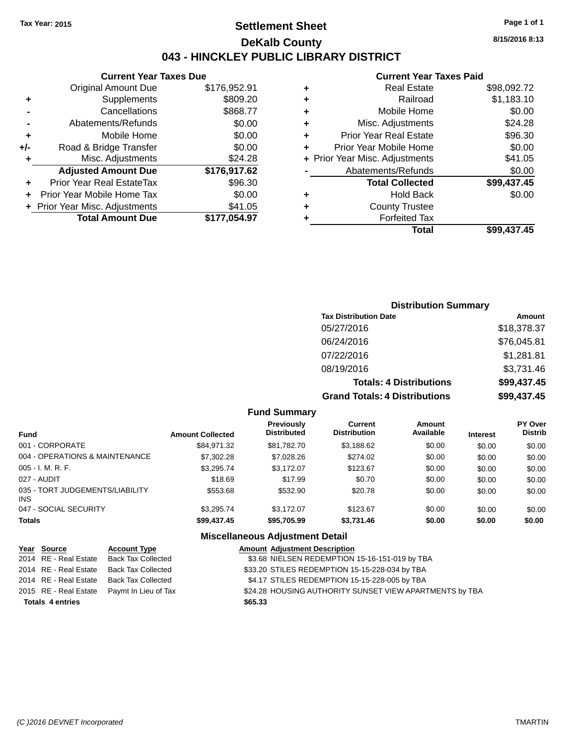### **Settlement Sheet Tax Year: 2015 Page 1 of 1 DeKalb County 043 - HINCKLEY PUBLIC LIBRARY DISTRICT**

**8/15/2016 8:13**

### **Current Year Taxes Paid**

|       | <b>Current Year Taxes Due</b>    |              |  |  |  |
|-------|----------------------------------|--------------|--|--|--|
|       | <b>Original Amount Due</b>       | \$176,952.91 |  |  |  |
| ٠     | Supplements                      | \$809.20     |  |  |  |
|       | Cancellations                    | \$868.77     |  |  |  |
|       | Abatements/Refunds               | \$0.00       |  |  |  |
| ٠     | Mobile Home                      | \$0.00       |  |  |  |
| $+/-$ | Road & Bridge Transfer           | \$0.00       |  |  |  |
| ٠     | Misc. Adjustments                | \$24.28      |  |  |  |
|       | <b>Adjusted Amount Due</b>       | \$176,917.62 |  |  |  |
| ÷     | <b>Prior Year Real EstateTax</b> | \$96.30      |  |  |  |
|       | Prior Year Mobile Home Tax       | \$0.00       |  |  |  |
|       | + Prior Year Misc. Adjustments   | \$41.05      |  |  |  |
|       | <b>Total Amount Due</b>          | \$177.054.97 |  |  |  |

|   | Total                          | \$99,437.45 |
|---|--------------------------------|-------------|
|   | <b>Forfeited Tax</b>           |             |
| ٠ | <b>County Trustee</b>          |             |
| ٠ | <b>Hold Back</b>               | \$0.00      |
|   | <b>Total Collected</b>         | \$99,437.45 |
|   | Abatements/Refunds             | \$0.00      |
|   | + Prior Year Misc. Adjustments | \$41.05     |
| ٠ | Prior Year Mobile Home         | \$0.00      |
| ÷ | <b>Prior Year Real Estate</b>  | \$96.30     |
| ٠ | Misc. Adjustments              | \$24.28     |
| ٠ | Mobile Home                    | \$0.00      |
| ٠ | Railroad                       | \$1,183.10  |
| ٠ | Real Estate                    | \$98,092.72 |
|   |                                |             |

### **Distribution Summary Tax Distribution Date Amount** 05/27/2016 \$18,378.37 06/24/2016 \$76,045.81 07/22/2016 \$1,281.81 08/19/2016 \$3,731.46 **Totals: 4 Distributions \$99,437.45 Grand Totals: 4 Distributions \$99,437.45**

#### **Fund Summary**

| <b>Fund</b>                             | <b>Amount Collected</b> | <b>Previously</b><br><b>Distributed</b> | Current<br><b>Distribution</b> | <b>Amount</b><br>Available | <b>Interest</b> | <b>PY Over</b><br><b>Distrib</b> |
|-----------------------------------------|-------------------------|-----------------------------------------|--------------------------------|----------------------------|-----------------|----------------------------------|
| 001 - CORPORATE                         | \$84.971.32             | \$81.782.70                             | \$3,188.62                     | \$0.00                     | \$0.00          | \$0.00                           |
| 004 - OPERATIONS & MAINTENANCE          | \$7,302.28              | \$7,028.26                              | \$274.02                       | \$0.00                     | \$0.00          | \$0.00                           |
| 005 - I. M. R. F.                       | \$3.295.74              | \$3,172.07                              | \$123.67                       | \$0.00                     | \$0.00          | \$0.00                           |
| 027 - AUDIT                             | \$18.69                 | \$17.99                                 | \$0.70                         | \$0.00                     | \$0.00          | \$0.00                           |
| 035 - TORT JUDGEMENTS/LIABILITY<br>INS. | \$553.68                | \$532.90                                | \$20.78                        | \$0.00                     | \$0.00          | \$0.00                           |
| 047 - SOCIAL SECURITY                   | \$3.295.74              | \$3.172.07                              | \$123.67                       | \$0.00                     | \$0.00          | \$0.00                           |
| <b>Totals</b>                           | \$99,437.45             | \$95,705.99                             | \$3,731.46                     | \$0.00                     | \$0.00          | \$0.00                           |

| Year Source             | <b>Account Type</b>                        | <b>Amount Adjustment Description</b>                    |
|-------------------------|--------------------------------------------|---------------------------------------------------------|
| 2014 RE - Real Estate   | <b>Back Tax Collected</b>                  | \$3.68 NIELSEN REDEMPTION 15-16-151-019 by TBA          |
| 2014 RE - Real Estate   | Back Tax Collected                         | \$33.20 STILES REDEMPTION 15-15-228-034 by TBA          |
|                         | 2014 RE - Real Estate Back Tax Collected   | \$4.17 STILES REDEMPTION 15-15-228-005 by TBA           |
|                         | 2015 RE - Real Estate Paymt In Lieu of Tax | \$24.28 HOUSING AUTHORITY SUNSET VIEW APARTMENTS by TBA |
| <b>Totals 4 entries</b> |                                            | \$65.33                                                 |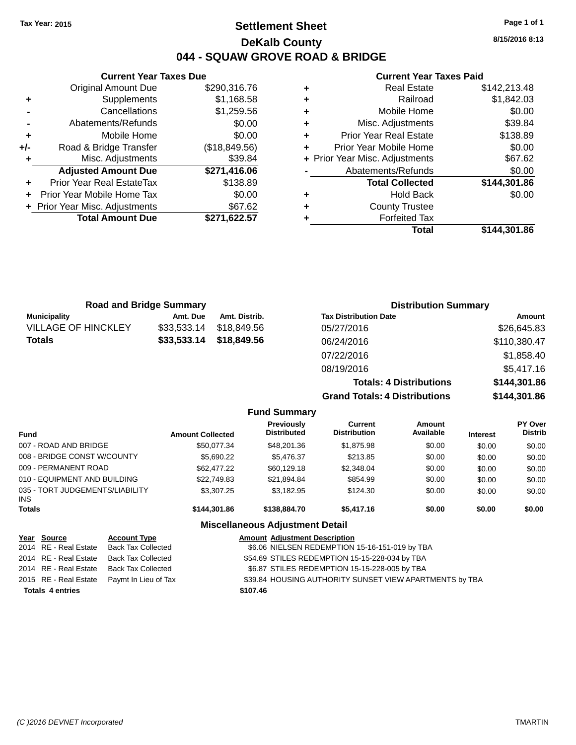### **Settlement Sheet Tax Year: 2015 Page 1 of 1 DeKalb County 044 - SQUAW GROVE ROAD & BRIDGE**

**Current Year Taxes Due** Original Amount Due \$290,316.76 **+** Supplements \$1,168.58 **-** Cancellations \$1,259.56 **-** Abatements/Refunds \$0.00 **+** Mobile Home \$0.00 **+/-** Road & Bridge Transfer (\$18,849.56) **+** Misc. Adjustments \$39.84 **Adjusted Amount Due \$271,416.06 +** Prior Year Real EstateTax \$138.89 **+** Prior Year Mobile Home Tax \$0.00 **+** Prior Year Misc. Adjustments \$67.62 **Total Amount Due** 

#### **Current Year Taxes Paid**

| ۰ | <b>Real Estate</b>             | \$142,213,48 |
|---|--------------------------------|--------------|
| ٠ | Railroad                       | \$1,842.03   |
| ٠ | Mobile Home                    | \$0.00       |
| ٠ | Misc. Adjustments              | \$39.84      |
| ٠ | <b>Prior Year Real Estate</b>  | \$138.89     |
| ٠ | Prior Year Mobile Home         | \$0.00       |
|   | + Prior Year Misc. Adjustments | \$67.62      |
|   | Abatements/Refunds             | \$0.00       |
|   | <b>Total Collected</b>         | \$144,301.86 |
| ٠ | <b>Hold Back</b>               | \$0.00       |
| ٠ | <b>County Trustee</b>          |              |
| ٠ | <b>Forfeited Tax</b>           |              |
|   | Total                          | \$144,301.86 |
|   |                                |              |

|                            | <b>Road and Bridge Summary</b> |               | <b>Distribution Summary</b>    |              |
|----------------------------|--------------------------------|---------------|--------------------------------|--------------|
| <b>Municipality</b>        | Amt. Due                       | Amt. Distrib. | <b>Tax Distribution Date</b>   | Amount       |
| <b>VILLAGE OF HINCKLEY</b> | \$33,533.14                    | \$18,849.56   | 05/27/2016                     | \$26,645.83  |
| <b>Totals</b>              | \$33,533.14                    | \$18,849.56   | 06/24/2016                     | \$110,380.47 |
|                            |                                |               | 07/22/2016                     | \$1,858.40   |
|                            |                                |               | 08/19/2016                     | \$5,417.16   |
|                            |                                |               | <b>Totals: 4 Distributions</b> | \$144,301.86 |

**Grand Totals: 4 Distributions \$144,301.86**

|                                         |                         | <b>Fund Summary</b>                     |                                       |                     |                 |                                  |
|-----------------------------------------|-------------------------|-----------------------------------------|---------------------------------------|---------------------|-----------------|----------------------------------|
| <b>Fund</b>                             | <b>Amount Collected</b> | <b>Previously</b><br><b>Distributed</b> | <b>Current</b><br><b>Distribution</b> | Amount<br>Available | <b>Interest</b> | <b>PY Over</b><br><b>Distrib</b> |
| 007 - ROAD AND BRIDGE                   | \$50.077.34             | \$48,201,36                             | \$1,875.98                            | \$0.00              | \$0.00          | \$0.00                           |
| 008 - BRIDGE CONST W/COUNTY             | \$5,690.22              | \$5.476.37                              | \$213.85                              | \$0.00              | \$0.00          | \$0.00                           |
| 009 - PERMANENT ROAD                    | \$62,477.22             | \$60,129.18                             | \$2,348.04                            | \$0.00              | \$0.00          | \$0.00                           |
| 010 - EQUIPMENT AND BUILDING            | \$22.749.83             | \$21,894.84                             | \$854.99                              | \$0.00              | \$0.00          | \$0.00                           |
| 035 - TORT JUDGEMENTS/LIABILITY<br>INS. | \$3,307.25              | \$3,182.95                              | \$124.30                              | \$0.00              | \$0.00          | \$0.00                           |
| <b>Totals</b>                           | \$144,301.86            | \$138,884.70                            | \$5,417.16                            | \$0.00              | \$0.00          | \$0.00                           |
|                                         |                         | <b>Miscellaneous Adjustment Detail</b>  |                                       |                     |                 |                                  |

| Year Source             | <b>Account Type</b>                        | <b>Amount Adjustment Description</b>                    |
|-------------------------|--------------------------------------------|---------------------------------------------------------|
| 2014 RE - Real Estate   | Back Tax Collected                         | \$6.06 NIELSEN REDEMPTION 15-16-151-019 by TBA          |
| 2014 RE - Real Estate   | Back Tax Collected                         | \$54.69 STILES REDEMPTION 15-15-228-034 by TBA          |
|                         | 2014 RE - Real Estate Back Tax Collected   | \$6.87 STILES REDEMPTION 15-15-228-005 by TBA           |
|                         | 2015 RE - Real Estate Paymt In Lieu of Tax | \$39.84 HOUSING AUTHORITY SUNSET VIEW APARTMENTS by TBA |
| <b>Totals 4 entries</b> |                                            | \$107.46                                                |

**8/15/2016 8:13**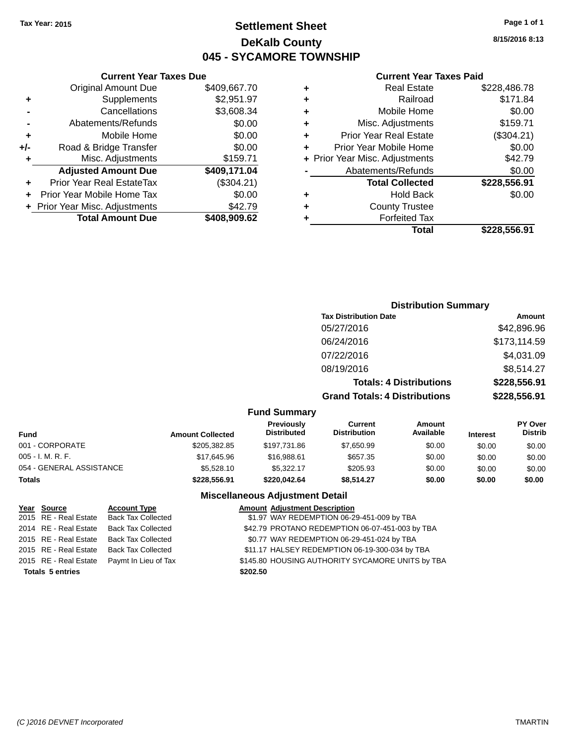**Current Year Taxes Due**

### **Settlement Sheet Tax Year: 2015 Page 1 of 1 DeKalb County 045 - SYCAMORE TOWNSHIP**

**8/15/2016 8:13**

#### **Current Year Taxes Paid**

| + Prior Year Misc. Adjustments<br><b>Total Amount Due</b> | \$42.79<br>\$408,909.62 | ٠ | <b>County Trustee</b><br><b>Forfeited Tax</b> | \$228,556.91                   |
|-----------------------------------------------------------|-------------------------|---|-----------------------------------------------|--------------------------------|
|                                                           |                         |   |                                               |                                |
|                                                           |                         |   |                                               |                                |
| Prior Year Mobile Home Tax                                | \$0.00                  |   | <b>Hold Back</b>                              | \$0.00                         |
| Prior Year Real EstateTax                                 | (\$304.21)              |   | <b>Total Collected</b>                        | \$228,556.91                   |
| <b>Adjusted Amount Due</b>                                | \$409,171.04            |   | Abatements/Refunds                            | \$0.00                         |
| Misc. Adjustments                                         | \$159.71                |   |                                               | \$42.79                        |
| Road & Bridge Transfer                                    | \$0.00                  |   | Prior Year Mobile Home                        | \$0.00                         |
| Mobile Home                                               | \$0.00                  |   | <b>Prior Year Real Estate</b>                 | (\$304.21)                     |
| Abatements/Refunds                                        | \$0.00                  |   | Misc. Adjustments                             | \$159.71                       |
| Cancellations                                             | \$3,608.34              |   | Mobile Home                                   | \$0.00                         |
| <b>Supplements</b>                                        | \$2,951.97              |   | Railroad                                      | \$171.84                       |
| <b>Original Amount Due</b>                                | \$409,667.70            |   | <b>Real Estate</b>                            | \$228,486.78                   |
|                                                           | ÷.                      |   |                                               | + Prior Year Misc. Adjustments |

|                   |                         |                                  | <b>Distribution Summary</b>          |                                |                 |                           |
|-------------------|-------------------------|----------------------------------|--------------------------------------|--------------------------------|-----------------|---------------------------|
|                   |                         |                                  | <b>Tax Distribution Date</b>         |                                |                 | Amount                    |
|                   |                         |                                  | 05/27/2016                           |                                |                 | \$42,896.96               |
|                   |                         |                                  | 06/24/2016                           |                                |                 | \$173,114.59              |
|                   |                         |                                  | 07/22/2016                           |                                |                 | \$4,031.09                |
|                   |                         |                                  | 08/19/2016                           |                                |                 | \$8,514.27                |
|                   |                         |                                  |                                      | <b>Totals: 4 Distributions</b> |                 | \$228,556.91              |
|                   |                         |                                  | <b>Grand Totals: 4 Distributions</b> |                                |                 | \$228,556.91              |
|                   |                         | <b>Fund Summary</b>              |                                      |                                |                 |                           |
| <b>Fund</b>       | <b>Amount Collected</b> | Previously<br><b>Distributed</b> | Current<br><b>Distribution</b>       | Amount<br>Available            | <b>Interest</b> | PY Over<br><b>Distrib</b> |
| 001 - CORPORATE   | \$205,382.85            | \$197,731.86                     | \$7,650.99                           | \$0.00                         | \$0.00          | \$0.00                    |
| 005 - I. M. R. F. | \$17,645.96             | \$16,988.61                      | \$657.35                             | \$0.00                         | \$0.00          | \$0.00                    |

054 - GENERAL ASSISTANCE \$5,528.10 \$5,322.17 \$205.93 \$0.00 \$0.00 \$0.00 **Totals \$228,556.91 \$220,042.64 \$8,514.27 \$0.00 \$0.00 \$0.00 Miscellaneous Adjustment Detail**

**Year Source Account Type Amount Adjustment Description**

**Totals \$202.50 5 entries**

2015 RE - Real Estate Back Tax Collected \$1.97 WAY REDEMPTION 06-29-451-009 by TBA 2014 RE - Real Estate Back Tax Collected \$42.79 PROTANO REDEMPTION 06-07-451-003 by TBA 2015 RE - Real Estate Back Tax Collected \$0.77 WAY REDEMPTION 06-29-451-024 by TBA 2015 RE - Real Estate Back Tax Collected \$11.17 HALSEY REDEMPTION 06-19-300-034 by TBA 2015 RE - Real Estate Paymt In Lieu of Tax \$145.80 HOUSING AU THORITY SYCAMORE UNITS by TBA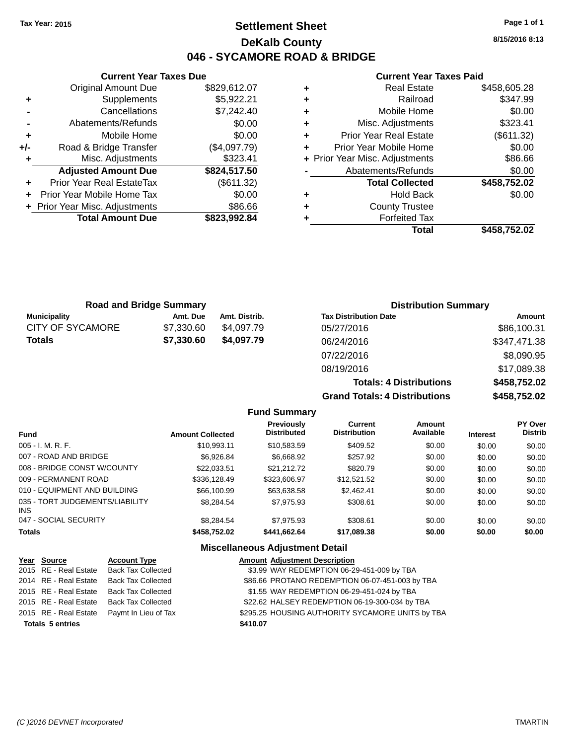**Current Year Taxes Due** Original Amount Due \$829,612.07

**Adjusted Amount Due \$824,517.50**

**Total Amount Due \$823,992.84**

**+** Supplements \$5,922.21 **-** Cancellations \$7,242.40 **-** Abatements/Refunds \$0.00 **+** Mobile Home \$0.00 **+/-** Road & Bridge Transfer (\$4,097.79) **+** Misc. Adjustments \$323.41

**+** Prior Year Real EstateTax (\$611.32) **+** Prior Year Mobile Home Tax \$0.00 **+** Prior Year Misc. Adjustments \$86.66

### **Settlement Sheet Tax Year: 2015 Page 1 of 1 DeKalb County 046 - SYCAMORE ROAD & BRIDGE**

**8/15/2016 8:13**

#### **Current Year Taxes Paid**

| ٠ | <b>Real Estate</b>             | \$458,605.28 |
|---|--------------------------------|--------------|
| ٠ | Railroad                       | \$347.99     |
| ٠ | Mobile Home                    | \$0.00       |
| ٠ | Misc. Adjustments              | \$323.41     |
| ٠ | <b>Prior Year Real Estate</b>  | (\$611.32)   |
| ÷ | Prior Year Mobile Home         | \$0.00       |
|   | + Prior Year Misc. Adjustments | \$86.66      |
|   | Abatements/Refunds             | \$0.00       |
|   | <b>Total Collected</b>         | \$458,752.02 |
| ٠ | <b>Hold Back</b>               | \$0.00       |
| ÷ | <b>County Trustee</b>          |              |
| ٠ | <b>Forfeited Tax</b>           |              |
|   | Total                          | \$458,752.02 |
|   |                                |              |

**Totals: 4 Distributions \$458,752.02**

**Grand Totals: 4 Distributions \$458,752.02**

| <b>Road and Bridge Summary</b> |            | <b>Distribution Summary</b> |                              |              |
|--------------------------------|------------|-----------------------------|------------------------------|--------------|
| <b>Municipality</b>            | Amt. Due   | Amt. Distrib.               | <b>Tax Distribution Date</b> | Amount       |
| CITY OF SYCAMORE               | \$7,330.60 | \$4.097.79                  | 05/27/2016                   | \$86,100.31  |
| <b>Totals</b>                  | \$7,330.60 | \$4,097.79                  | 06/24/2016                   | \$347,471.38 |
|                                |            |                             | 07/22/2016                   | \$8,090.95   |
|                                |            |                             | 08/19/2016                   | \$17,089.38  |

**Fund Summary Fund Interest Amount Collected Distributed PY Over Distrib Amount Available Current Distribution Previously** 005 - I. M. R. F. \$10,993.11 \$10,583.59 \$409.52 \$0.00 \$0.00 \$0.00 007 - ROAD AND BRIDGE \$6,926.84 \$6,668.92 \$257.92 \$0.00 \$0.00 \$0.00 008 - BRIDGE CONST W/COUNTY  $$22,033.51$   $$21,212.72$   $$820.79$   $$0.00$   $$0.00$   $$0.00$ 009 - PERMANENT ROAD \$336,128.49 \$323,606.97 \$12,521.52 \$0.00 \$0.00 \$0.00 010 - EQUIPMENT AND BUILDING \$66,100.99 \$63,638.58 \$2,462.41 \$0.00 \$0.00 \$0.00 035 - TORT JUDGEMENTS/LIABILITY INS \$8,284.54 \$7,975.93 \$308.61 \$0.00 \$0.00 \$0.00 047 - SOCIAL SECURITY \$8,284.54 \$7,975.93 \$308.61 \$0.00 \$0.00 \$0.00 **Totals \$458,752.02 \$441,662.64 \$17,089.38 \$0.00 \$0.00 \$0.00**

| Year Source             | <b>Account Type</b>       |          | <b>Amount Adjustment Description</b>             |
|-------------------------|---------------------------|----------|--------------------------------------------------|
| 2015 RE - Real Estate   | <b>Back Tax Collected</b> |          | \$3.99 WAY REDEMPTION 06-29-451-009 by TBA       |
| 2014 RE - Real Estate   | Back Tax Collected        |          | \$86.66 PROTANO REDEMPTION 06-07-451-003 by TBA  |
| 2015 RE - Real Estate   | <b>Back Tax Collected</b> |          | \$1.55 WAY REDEMPTION 06-29-451-024 by TBA       |
| 2015 RE - Real Estate   | Back Tax Collected        |          | \$22.62 HALSEY REDEMPTION 06-19-300-034 by TBA   |
| 2015 RE - Real Estate   | Paymt In Lieu of Tax      |          | \$295.25 HOUSING AUTHORITY SYCAMORE UNITS by TBA |
| <b>Totals 5 entries</b> |                           | \$410.07 |                                                  |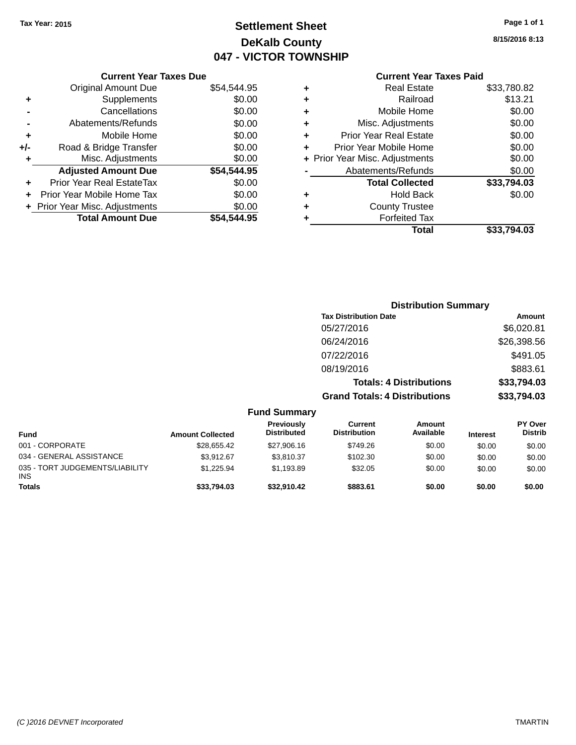## **Settlement Sheet Tax Year: 2015 Page 1 of 1 DeKalb County 047 - VICTOR TOWNSHIP**

**8/15/2016 8:13**

| <b>Current Year Taxes Paid</b> |  |
|--------------------------------|--|
| $D = -1$ $E = 1 - 1 - 1$       |  |

|       | <b>Current Year Taxes Due</b>  |             |
|-------|--------------------------------|-------------|
|       | <b>Original Amount Due</b>     | \$54,544.95 |
| ٠     | Supplements                    | \$0.00      |
|       | Cancellations                  | \$0.00      |
|       | Abatements/Refunds             | \$0.00      |
| ٠     | Mobile Home                    | \$0.00      |
| $+/-$ | Road & Bridge Transfer         | \$0.00      |
| ۰     | Misc. Adjustments              | \$0.00      |
|       | <b>Adjusted Amount Due</b>     | \$54,544.95 |
| ÷     | Prior Year Real EstateTax      | \$0.00      |
|       | Prior Year Mobile Home Tax     | \$0.00      |
|       | + Prior Year Misc. Adjustments | \$0.00      |
|       | <b>Total Amount Due</b>        | \$54.544.95 |
|       |                                |             |

| ٠ | <b>Real Estate</b>             | \$33,780.82 |
|---|--------------------------------|-------------|
| ٠ | Railroad                       | \$13.21     |
| ٠ | Mobile Home                    | \$0.00      |
| ٠ | Misc. Adjustments              | \$0.00      |
| ٠ | <b>Prior Year Real Estate</b>  | \$0.00      |
| ÷ | Prior Year Mobile Home         | \$0.00      |
|   | + Prior Year Misc. Adjustments | \$0.00      |
|   | Abatements/Refunds             | \$0.00      |
|   | <b>Total Collected</b>         | \$33,794.03 |
| ٠ | Hold Back                      | \$0.00      |
| ÷ | <b>County Trustee</b>          |             |
| ٠ | <b>Forfeited Tax</b>           |             |
|   | Total                          | \$33,794.03 |
|   |                                |             |

|                         |                                  |                                       | <b>Distribution Summary</b>    |                 |                                  |
|-------------------------|----------------------------------|---------------------------------------|--------------------------------|-----------------|----------------------------------|
|                         |                                  | <b>Tax Distribution Date</b>          |                                |                 | Amount                           |
|                         |                                  | 05/27/2016                            |                                |                 | \$6,020.81                       |
|                         |                                  | 06/24/2016                            |                                |                 | \$26,398.56                      |
|                         |                                  | 07/22/2016                            |                                |                 | \$491.05                         |
|                         |                                  | 08/19/2016                            |                                |                 | \$883.61                         |
|                         |                                  |                                       | <b>Totals: 4 Distributions</b> |                 | \$33,794.03                      |
|                         |                                  | <b>Grand Totals: 4 Distributions</b>  |                                |                 | \$33,794.03                      |
|                         | <b>Fund Summary</b>              |                                       |                                |                 |                                  |
| <b>Amount Collected</b> | Previously<br><b>Distributed</b> | <b>Current</b><br><b>Distribution</b> | Amount<br>Available            | <b>Interest</b> | <b>PY Over</b><br><b>Distrib</b> |

| Fund                                   | <b>Amount Collected</b> | <b>Previously</b><br><b>Distributed</b> | Current<br><b>Distribution</b> | Amount<br>Available | <b>Interest</b> | <b>PY Over</b><br>Distrib |
|----------------------------------------|-------------------------|-----------------------------------------|--------------------------------|---------------------|-----------------|---------------------------|
| 001 - CORPORATE                        | \$28,655.42             | \$27,906.16                             | \$749.26                       | \$0.00              | \$0.00          | \$0.00                    |
| 034 - GENERAL ASSISTANCE               | \$3.912.67              | \$3.810.37                              | \$102.30                       | \$0.00              | \$0.00          | \$0.00                    |
| 035 - TORT JUDGEMENTS/LIABILITY<br>INS | \$1.225.94              | \$1.193.89                              | \$32.05                        | \$0.00              | \$0.00          | \$0.00                    |
| <b>Totals</b>                          | \$33,794.03             | \$32.910.42                             | \$883.61                       | \$0.00              | \$0.00          | \$0.00                    |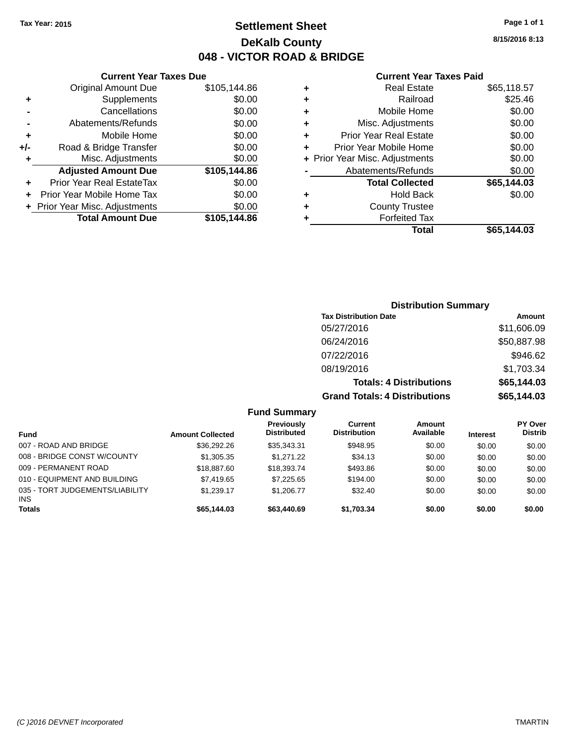**Original Amount Due** 

**Adjusted Amount Due** 

**Total Amount Due** 

**+** Supplements **-** Cancellations **-** Abatements/Refunds  $+$  Mobile Home **+/-** Road & Bridge Transfer **+** Misc. Adjustments

**+** Prior Year Real EstateTax \$0.00 **+** Prior Year Mobile Home Tax **+** Prior Year Misc. Adjustments

### **Settlement Sheet Tax Year: 2015 Page 1 of 1 DeKalb County 048 - VICTOR ROAD & BRIDGE**

**8/15/2016 8:13**

#### **Current Year Taxes Paid**

| <b>Current Year Taxes Due</b> |              |   | <b>Current Year Taxes Paid</b> |             |
|-------------------------------|--------------|---|--------------------------------|-------------|
| ่<br>เl Amount Due            | \$105,144.86 | ٠ | <b>Real Estate</b>             | \$65,118.57 |
| Supplements                   | \$0.00       | ٠ | Railroad                       | \$25.46     |
| Cancellations                 | \$0.00       | ٠ | Mobile Home                    | \$0.00      |
| าents/Refunds                 | \$0.00       | ٠ | Misc. Adjustments              | \$0.00      |
| Mobile Home                   | \$0.00       | ÷ | <b>Prior Year Real Estate</b>  | \$0.00      |
| ridge Transfer                | \$0.00       | ÷ | Prior Year Mobile Home         | \$0.00      |
| . Adjustments                 | \$0.00       |   | + Prior Year Misc. Adjustments | \$0.00      |
| <b>Amount Due</b>             | \$105,144.86 |   | Abatements/Refunds             | \$0.00      |
| leal EstateTax≀               | \$0.00       |   | <b>Total Collected</b>         | \$65,144.03 |
| bile Home Tax                 | \$0.00       | ÷ | <b>Hold Back</b>               | \$0.00      |
| . Adjustments                 | \$0.00       | ٠ | <b>County Trustee</b>          |             |
| <b>Amount Due</b>             | \$105,144.86 |   | <b>Forfeited Tax</b>           |             |
|                               |              |   | <b>Total</b>                   | \$65,144.03 |

# **Distribution Summary Tax Distribution Date Amount**

| <b>Grand Totals: 4 Distributions</b> | \$65,144.03 |
|--------------------------------------|-------------|
| <b>Totals: 4 Distributions</b>       | \$65,144.03 |
| 08/19/2016                           | \$1,703.34  |
| 07/22/2016                           | \$946.62    |
| 06/24/2016                           | \$50,887.98 |
| 05/27/2016                           | \$11,606.09 |
|                                      |             |

| <b>Fund Summary</b> |  |
|---------------------|--|
|                     |  |

| <b>Fund</b>                                   | <b>Amount Collected</b> | Previously<br><b>Distributed</b> | Current<br><b>Distribution</b> | Amount<br>Available | <b>Interest</b> | <b>PY Over</b><br><b>Distrib</b> |
|-----------------------------------------------|-------------------------|----------------------------------|--------------------------------|---------------------|-----------------|----------------------------------|
| 007 - ROAD AND BRIDGE                         | \$36,292.26             | \$35,343,31                      | \$948.95                       | \$0.00              | \$0.00          | \$0.00                           |
| 008 - BRIDGE CONST W/COUNTY                   | \$1,305.35              | \$1,271,22                       | \$34.13                        | \$0.00              | \$0.00          | \$0.00                           |
| 009 - PERMANENT ROAD                          | \$18,887.60             | \$18,393,74                      | \$493.86                       | \$0.00              | \$0.00          | \$0.00                           |
| 010 - EQUIPMENT AND BUILDING                  | \$7,419.65              | \$7.225.65                       | \$194.00                       | \$0.00              | \$0.00          | \$0.00                           |
| 035 - TORT JUDGEMENTS/LIABILITY<br><b>INS</b> | \$1.239.17              | \$1,206,77                       | \$32.40                        | \$0.00              | \$0.00          | \$0.00                           |
| <b>Totals</b>                                 | \$65,144.03             | \$63,440.69                      | \$1.703.34                     | \$0.00              | \$0.00          | \$0.00                           |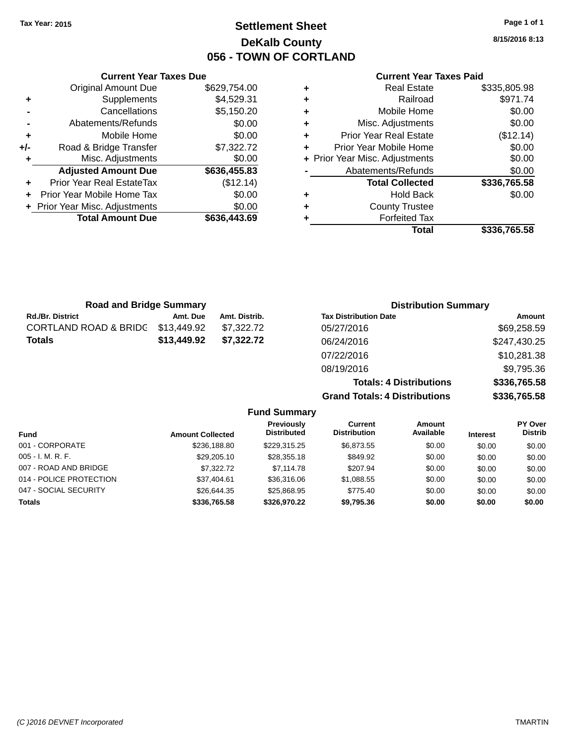### **Settlement Sheet Tax Year: 2015 Page 1 of 1 DeKalb County 056 - TOWN OF CORTLAND**

**8/15/2016 8:13**

#### **Current Year Taxes Paid**

|     | <b>Current Year Taxes Due</b>    |              |  |
|-----|----------------------------------|--------------|--|
|     | <b>Original Amount Due</b>       | \$629,754.00 |  |
| ٠   | Supplements                      | \$4,529.31   |  |
|     | Cancellations                    | \$5,150.20   |  |
|     | Abatements/Refunds               | \$0.00       |  |
| ٠   | Mobile Home                      | \$0.00       |  |
| +/- | Road & Bridge Transfer           | \$7,322.72   |  |
| ٠   | Misc. Adjustments                | \$0.00       |  |
|     | <b>Adjusted Amount Due</b>       | \$636,455.83 |  |
| ٠   | <b>Prior Year Real EstateTax</b> | (\$12.14)    |  |
|     | Prior Year Mobile Home Tax       | \$0.00       |  |
|     | + Prior Year Misc. Adjustments   | \$0.00       |  |
|     | <b>Total Amount Due</b>          | \$636,443.69 |  |
|     |                                  |              |  |

| ٠ | <b>Real Estate</b>             | \$335,805.98 |
|---|--------------------------------|--------------|
| ٠ | Railroad                       | \$971.74     |
| ٠ | Mobile Home                    | \$0.00       |
| ٠ | Misc. Adjustments              | \$0.00       |
| ٠ | <b>Prior Year Real Estate</b>  | (\$12.14)    |
| ٠ | Prior Year Mobile Home         | \$0.00       |
|   | + Prior Year Misc. Adjustments | \$0.00       |
|   | Abatements/Refunds             | \$0.00       |
|   | <b>Total Collected</b>         | \$336,765.58 |
| ٠ | Hold Back                      | \$0.00       |
| ٠ | <b>County Trustee</b>          |              |
| ٠ | <b>Forfeited Tax</b>           |              |
|   | Total                          | \$336,765.58 |
|   |                                |              |

| <b>Road and Bridge Summary</b>   |             |               | <b>Distribution Summary</b>          |              |
|----------------------------------|-------------|---------------|--------------------------------------|--------------|
| <b>Rd./Br. District</b>          | Amt. Due    | Amt. Distrib. | <b>Tax Distribution Date</b>         | Amount       |
| <b>CORTLAND ROAD &amp; BRIDG</b> | \$13,449.92 | \$7,322.72    | 05/27/2016                           | \$69,258.59  |
| <b>Totals</b>                    | \$13,449.92 | \$7,322.72    | 06/24/2016                           | \$247,430.25 |
|                                  |             |               | 07/22/2016                           | \$10,281.38  |
|                                  |             |               | 08/19/2016                           | \$9,795.36   |
|                                  |             |               | <b>Totals: 4 Distributions</b>       | \$336,765.58 |
|                                  |             |               | <b>Grand Totals: 4 Distributions</b> | \$336,765.58 |

| <b>Fund Summary</b>     |                         |                                         |                                       |                            |                 |                           |  |  |
|-------------------------|-------------------------|-----------------------------------------|---------------------------------------|----------------------------|-----------------|---------------------------|--|--|
| <b>Fund</b>             | <b>Amount Collected</b> | <b>Previously</b><br><b>Distributed</b> | <b>Current</b><br><b>Distribution</b> | <b>Amount</b><br>Available | <b>Interest</b> | PY Over<br><b>Distrib</b> |  |  |
| 001 - CORPORATE         | \$236,188.80            | \$229.315.25                            | \$6,873.55                            | \$0.00                     | \$0.00          | \$0.00                    |  |  |
| $005 - I. M. R. F.$     | \$29,205.10             | \$28,355.18                             | \$849.92                              | \$0.00                     | \$0.00          | \$0.00                    |  |  |
| 007 - ROAD AND BRIDGE   | \$7,322.72              | \$7,114.78                              | \$207.94                              | \$0.00                     | \$0.00          | \$0.00                    |  |  |
| 014 - POLICE PROTECTION | \$37,404.61             | \$36,316.06                             | \$1,088.55                            | \$0.00                     | \$0.00          | \$0.00                    |  |  |
| 047 - SOCIAL SECURITY   | \$26,644.35             | \$25,868.95                             | \$775.40                              | \$0.00                     | \$0.00          | \$0.00                    |  |  |
| <b>Totals</b>           | \$336,765.58            | \$326,970.22                            | \$9,795.36                            | \$0.00                     | \$0.00          | \$0.00                    |  |  |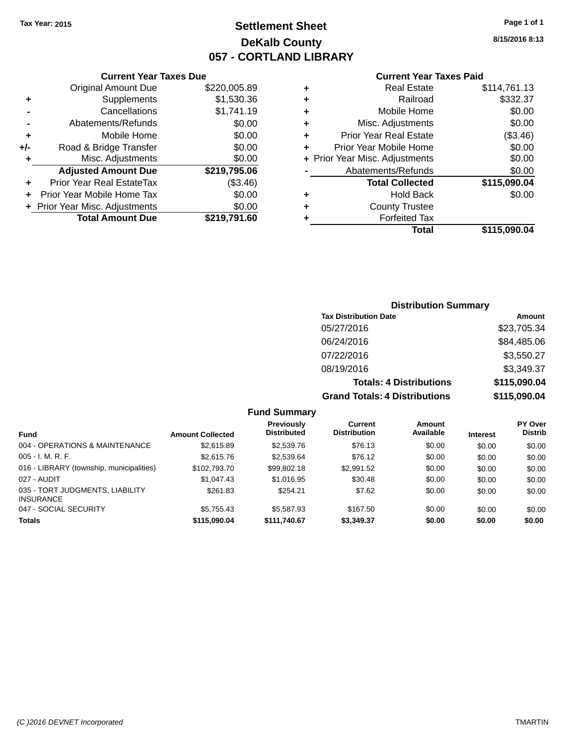### **Settlement Sheet Tax Year: 2015 Page 1 of 1 DeKalb County 057 - CORTLAND LIBRARY**

**8/15/2016 8:13**

#### **Current Year Taxes Paid**

|       | <b>Current Year Taxes Due</b>  |              |
|-------|--------------------------------|--------------|
|       | <b>Original Amount Due</b>     | \$220,005.89 |
| ٠     | Supplements                    | \$1,530.36   |
|       | Cancellations                  | \$1,741.19   |
|       | Abatements/Refunds             | \$0.00       |
| ٠     | Mobile Home                    | \$0.00       |
| $+/-$ | Road & Bridge Transfer         | \$0.00       |
| ÷     | Misc. Adjustments              | \$0.00       |
|       | <b>Adjusted Amount Due</b>     | \$219,795.06 |
| ٠     | Prior Year Real EstateTax      | (\$3.46)     |
|       | Prior Year Mobile Home Tax     | \$0.00       |
|       | + Prior Year Misc. Adjustments | \$0.00       |
|       | <b>Total Amount Due</b>        | \$219,791.60 |
|       |                                |              |

|   | <b>Real Estate</b>             | \$114,761.13 |
|---|--------------------------------|--------------|
| ٠ | Railroad                       | \$332.37     |
| ٠ | Mobile Home                    | \$0.00       |
| ٠ | Misc. Adjustments              | \$0.00       |
| ٠ | <b>Prior Year Real Estate</b>  | (\$3.46)     |
| ٠ | Prior Year Mobile Home         | \$0.00       |
|   | + Prior Year Misc. Adjustments | \$0.00       |
|   | Abatements/Refunds             | \$0.00       |
|   | <b>Total Collected</b>         | \$115,090.04 |
| ٠ | <b>Hold Back</b>               | \$0.00       |
|   | <b>County Trustee</b>          |              |
| ٠ | <b>Forfeited Tax</b>           |              |
|   | Total                          | \$115,090.04 |
|   |                                |              |

### **Distribution Summary Tax Distribution Date Amount** 05/27/2016 \$23,705.34 06/24/2016 \$84,485.06 07/22/2016 \$3,550.27 08/19/2016 \$3,349.37 **Totals: 4 Distributions \$115,090.04 Grand Totals: 4 Distributions \$115,090.04**

#### **Fund Summary**

| <b>Fund</b>                                         | <b>Amount Collected</b> | <b>Previously</b><br><b>Distributed</b> | Current<br><b>Distribution</b> | Amount<br>Available | <b>Interest</b> | <b>PY Over</b><br><b>Distrib</b> |
|-----------------------------------------------------|-------------------------|-----------------------------------------|--------------------------------|---------------------|-----------------|----------------------------------|
| 004 - OPERATIONS & MAINTENANCE                      | \$2,615.89              | \$2,539.76                              | \$76.13                        | \$0.00              | \$0.00          | \$0.00                           |
| $005 - I. M. R. F.$                                 | \$2,615.76              | \$2,539.64                              | \$76.12                        | \$0.00              | \$0.00          | \$0.00                           |
| 016 - LIBRARY (township, municipalities)            | \$102,793.70            | \$99,802.18                             | \$2,991.52                     | \$0.00              | \$0.00          | \$0.00                           |
| 027 - AUDIT                                         | \$1,047.43              | \$1,016.95                              | \$30.48                        | \$0.00              | \$0.00          | \$0.00                           |
| 035 - TORT JUDGMENTS, LIABILITY<br><b>INSURANCE</b> | \$261.83                | \$254.21                                | \$7.62                         | \$0.00              | \$0.00          | \$0.00                           |
| 047 - SOCIAL SECURITY                               | \$5.755.43              | \$5,587.93                              | \$167.50                       | \$0.00              | \$0.00          | \$0.00                           |
| <b>Totals</b>                                       | \$115,090.04            | \$111,740.67                            | \$3,349.37                     | \$0.00              | \$0.00          | \$0.00                           |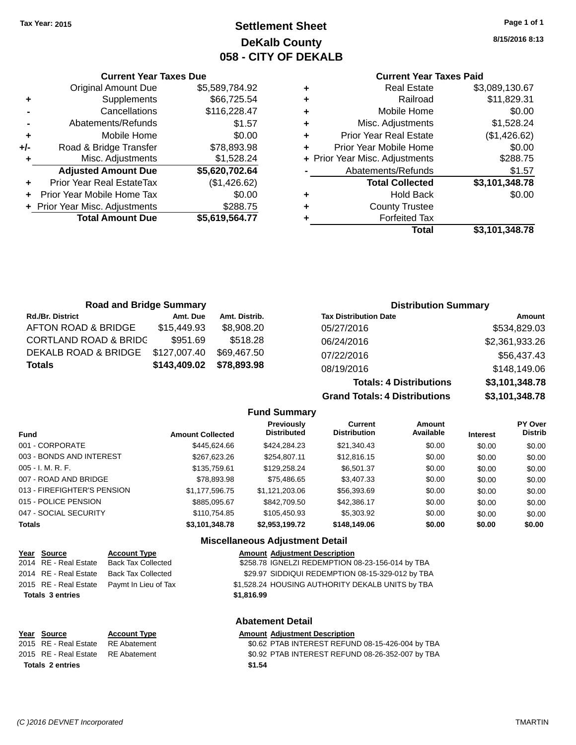## **Settlement Sheet Tax Year: 2015 Page 1 of 1 DeKalb County 058 - CITY OF DEKALB**

**8/15/2016 8:13**

### **Current Year Taxes Paid**

|   | <b>Real Estate</b>             | \$3,089,130.67 |
|---|--------------------------------|----------------|
| ٠ | Railroad                       | \$11,829.31    |
| ٠ | Mobile Home                    | \$0.00         |
| ٠ | Misc. Adjustments              | \$1,528.24     |
| ٠ | <b>Prior Year Real Estate</b>  | (\$1,426.62)   |
| ٠ | Prior Year Mobile Home         | \$0.00         |
|   | + Prior Year Misc. Adjustments | \$288.75       |
|   | Abatements/Refunds             | \$1.57         |
|   | <b>Total Collected</b>         | \$3,101,348.78 |
| ٠ | <b>Hold Back</b>               | \$0.00         |
| ٠ | <b>County Trustee</b>          |                |
|   | <b>Forfeited Tax</b>           |                |
|   | Total                          | \$3,101,348.78 |

**Grand Totals: 4 Distributions \$3,101,348.78**

|     | <b>Current Year Taxes Due</b>    |                |
|-----|----------------------------------|----------------|
|     | <b>Original Amount Due</b>       | \$5,589,784.92 |
| ٠   | Supplements                      | \$66,725.54    |
|     | Cancellations                    | \$116,228.47   |
|     | Abatements/Refunds               | \$1.57         |
| ٠   | Mobile Home                      | \$0.00         |
| +/- | Road & Bridge Transfer           | \$78,893.98    |
| ٠   | Misc. Adjustments                | \$1,528.24     |
|     | <b>Adjusted Amount Due</b>       | \$5,620,702.64 |
|     | <b>Prior Year Real EstateTax</b> | (\$1,426.62)   |
|     | Prior Year Mobile Home Tax       | \$0.00         |
|     | + Prior Year Misc. Adjustments   | \$288.75       |
|     | <b>Total Amount Due</b>          | \$5,619,564.77 |
|     |                                  |                |

| <b>Road and Bridge Summary</b>   |              |               | <b>Distribution Summary</b>    |                |  |
|----------------------------------|--------------|---------------|--------------------------------|----------------|--|
| <b>Rd./Br. District</b>          | Amt. Due     | Amt. Distrib. | <b>Tax Distribution Date</b>   | Amount         |  |
| AFTON ROAD & BRIDGE              | \$15,449.93  | \$8,908.20    | 05/27/2016                     | \$534,829.03   |  |
| <b>CORTLAND ROAD &amp; BRIDC</b> | \$951.69     | \$518.28      | 06/24/2016                     | \$2,361,933.26 |  |
| DEKALB ROAD & BRIDGE             | \$127,007.40 | \$69,467.50   | 07/22/2016                     | \$56,437.43    |  |
| <b>Totals</b>                    | \$143,409.02 | \$78,893.98   | 08/19/2016                     | \$148,149.06   |  |
|                                  |              |               | <b>Totals: 4 Distributions</b> | \$3,101,348.78 |  |

**Fund Summary Fund Interest Amount Collected Distributed PY Over Distrib Amount Available Current Distribution Previously** 001 - CORPORATE \$445,624.66 \$424,284.23 \$21,340.43 \$0.00 \$0.00 \$0.00 003 - BONDS AND INTEREST \$267,623.26 \$254,807.11 \$12,816.15 \$0.00 \$0.00 \$0.00 \$0.00 005 - I. M. R. F. \$135,759.61 \$129,258.24 \$6,501.37 \$0.00 \$0.00 \$0.00 007 - ROAD AND BRIDGE \$78,893.98 \$75,486.65 \$3,407.33 \$0.00 \$0.00 \$0.00 013 - FIREFIGHTER'S PENSION \$1,177,596.75 \$1,121,203.06 \$56,393.69 \$0.00 \$0.00 \$0.00 \$0.00 015 - POLICE PENSION \$8000 \$885,095.67 \$842,709.50 \$42,386.17 \$0.00 \$0.00 \$0.00 047 - SOCIAL SECURITY \$110,754.85 \$105,450.93 \$5,303.92 \$0.00 \$0.00 \$0.00 \$0.00 **Totals \$3,101,348.78 \$2,953,199.72 \$148,149.06 \$0.00 \$0.00 \$0.00**

| Year Source             | <b>Account Type</b>       |            | <b>Amount Adjustment Description</b>             |
|-------------------------|---------------------------|------------|--------------------------------------------------|
| 2014 RE - Real Estate   | <b>Back Tax Collected</b> |            | \$258.78 IGNELZI REDEMPTION 08-23-156-014 by TBA |
| 2014 RE - Real Estate   | <b>Back Tax Collected</b> |            | \$29.97 SIDDIQUI REDEMPTION 08-15-329-012 by TBA |
| 2015 RE - Real Estate   | Paymt In Lieu of Tax      |            | \$1,528.24 HOUSING AUTHORITY DEKALB UNITS by TBA |
| <b>Totals 3 entries</b> |                           | \$1,816.99 |                                                  |
|                         |                           |            | <b>Abatement Detail</b>                          |

| Year Source                        | <b>Account Type</b> | <b>Amount Adjustment Description</b>             |
|------------------------------------|---------------------|--------------------------------------------------|
| 2015 RE - Real Estate              | RE Abatement        | \$0.62 PTAB INTEREST REFUND 08-15-426-004 by TBA |
| 2015 RE - Real Estate RE Abatement |                     | \$0.92 PTAB INTEREST REFUND 08-26-352-007 by TBA |
| <b>Totals 2 entries</b>            |                     | \$1.54                                           |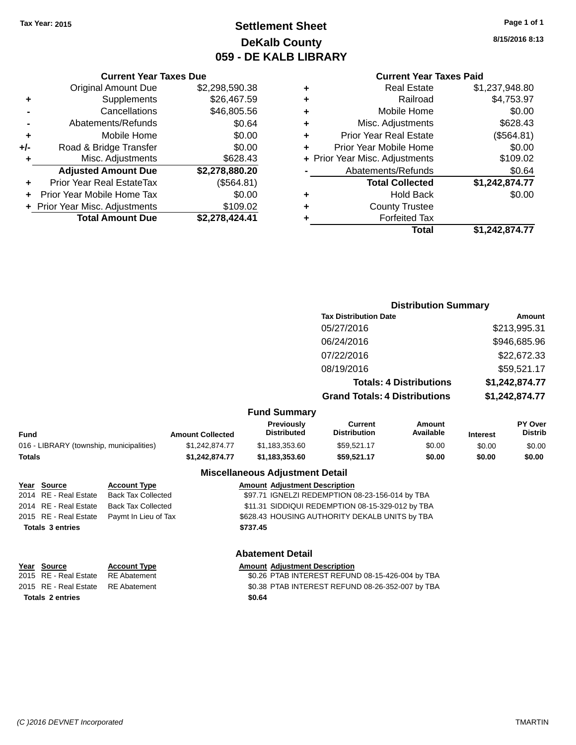### **Settlement Sheet Tax Year: 2015 Page 1 of 1 DeKalb County 059 - DE KALB LIBRARY**

**8/15/2016 8:13**

#### **Current Year Taxes Paid**

| <b>Current Year Taxes Due</b> |                |  |  |  |  |
|-------------------------------|----------------|--|--|--|--|
| <b>Original Amount Due</b>    | \$2,298,590.38 |  |  |  |  |
| Supplements                   | \$26,467.59    |  |  |  |  |
| Cancellations                 | \$46,805.56    |  |  |  |  |
| Abatements/Refunds            | \$0.64         |  |  |  |  |
| Mobile Home                   | \$0.00         |  |  |  |  |
| Road & Bridge Transfer        | \$0.00         |  |  |  |  |
| Misc. Adjustments             | \$628.43       |  |  |  |  |
| <b>Adjusted Amount Due</b>    | \$2,278,880.20 |  |  |  |  |
| Prior Year Real EstateTax     | (\$564.81)     |  |  |  |  |
| Prior Year Mobile Home Tax    | \$0.00         |  |  |  |  |
| Prior Year Misc. Adjustments  | \$109.02       |  |  |  |  |
| <b>Total Amount Due</b>       | \$2,278,424.41 |  |  |  |  |
|                               |                |  |  |  |  |

| ٠ | <b>Real Estate</b>             | \$1,237,948.80 |
|---|--------------------------------|----------------|
| ٠ | Railroad                       | \$4,753.97     |
| ٠ | Mobile Home                    | \$0.00         |
| ٠ | Misc. Adjustments              | \$628.43       |
| ٠ | <b>Prior Year Real Estate</b>  | (\$564.81)     |
|   | Prior Year Mobile Home         | \$0.00         |
|   | + Prior Year Misc. Adjustments | \$109.02       |
|   | Abatements/Refunds             | \$0.64         |
|   | <b>Total Collected</b>         | \$1,242,874.77 |
| ٠ | <b>Hold Back</b>               | \$0.00         |
|   | <b>County Trustee</b>          |                |
|   | <b>Forfeited Tax</b>           |                |
|   |                                |                |
|   | Total                          | \$1,242,874.77 |

|                                          |                         |                                         | <b>Distribution Summary</b>          |                                |                 |                           |
|------------------------------------------|-------------------------|-----------------------------------------|--------------------------------------|--------------------------------|-----------------|---------------------------|
|                                          |                         |                                         | <b>Tax Distribution Date</b>         |                                |                 | <b>Amount</b>             |
|                                          |                         |                                         | 05/27/2016                           |                                |                 | \$213,995.31              |
|                                          |                         |                                         | 06/24/2016                           |                                |                 | \$946,685.96              |
|                                          |                         |                                         | 07/22/2016                           |                                |                 | \$22,672.33               |
|                                          |                         |                                         | 08/19/2016                           |                                |                 | \$59,521.17               |
|                                          |                         |                                         |                                      | <b>Totals: 4 Distributions</b> |                 | \$1,242,874.77            |
|                                          |                         |                                         | <b>Grand Totals: 4 Distributions</b> |                                |                 | \$1,242,874.77            |
|                                          |                         | <b>Fund Summary</b>                     |                                      |                                |                 |                           |
| <b>Fund</b>                              | <b>Amount Collected</b> | <b>Previously</b><br><b>Distributed</b> | Current<br><b>Distribution</b>       | <b>Amount</b><br>Available     | <b>Interest</b> | PY Over<br><b>Distrib</b> |
| 016 - LIBRARY (township, municipalities) | \$1,242,874.77          | \$1,183,353.60                          | \$59,521.17                          | \$0.00                         | \$0.00          | \$0.00                    |
| Totals                                   | \$1,242,874.77          | \$1,183,353.60                          | \$59,521.17                          | \$0.00                         | \$0.00          | \$0.00                    |
|                                          |                         |                                         |                                      |                                |                 |                           |

### **Miscellaneous Adjustment Detail**

| Year Source             | <b>Account Type</b>       | <b>Amount Adjustment Description</b>            |                                                  |
|-------------------------|---------------------------|-------------------------------------------------|--------------------------------------------------|
| 2014 RE - Real Estate   | <b>Back Tax Collected</b> | \$97.71 IGNELZI REDEMPTION 08-23-156-014 by TBA |                                                  |
| 2014 RE - Real Estate   | <b>Back Tax Collected</b> |                                                 | \$11.31 SIDDIQUI REDEMPTION 08-15-329-012 by TBA |
| 2015 RE - Real Estate   | Paymt In Lieu of Tax      | \$628.43 HOUSING AUTHORITY DEKALB UNITS by TBA  |                                                  |
| <b>Totals 3 entries</b> |                           | \$737.45                                        |                                                  |
|                         |                           | <b>Abatement Detail</b>                         |                                                  |

### Account Type **Amount Adjustment Description**

| Year Source<br>2015 RE - Real Estate RE Abatement<br>2015 RE - Real Estate RE Abatement | <b>Account Type</b> | <b>Amount Adjustment Description</b><br>\$0.26 PTAB INTEREST REFUND 08-15-426-004 by TBA<br>\$0.38 PTAB INTEREST REFUND 08-26-352-007 by TBA |
|-----------------------------------------------------------------------------------------|---------------------|----------------------------------------------------------------------------------------------------------------------------------------------|
| <b>Totals 2 entries</b>                                                                 |                     | \$0.64                                                                                                                                       |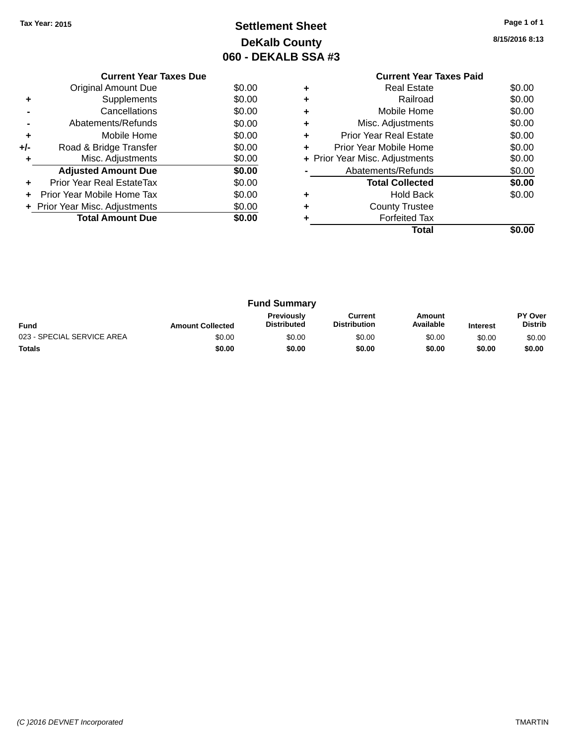## **Settlement Sheet Tax Year: 2015 Page 1 of 1 DeKalb County 060 - DEKALB SSA #3**

**8/15/2016 8:13**

|     | <b>Current Year Taxes Due</b>  |        |
|-----|--------------------------------|--------|
|     | <b>Original Amount Due</b>     | \$0.00 |
|     | Supplements                    | \$0.00 |
|     | Cancellations                  | \$0.00 |
|     | Abatements/Refunds             | \$0.00 |
| ٠   | Mobile Home                    | \$0.00 |
| +/- | Road & Bridge Transfer         | \$0.00 |
|     | Misc. Adjustments              | \$0.00 |
|     | <b>Adjusted Amount Due</b>     | \$0.00 |
| ÷   | Prior Year Real EstateTax      | \$0.00 |
| ÷   | Prior Year Mobile Home Tax     | \$0.00 |
|     | + Prior Year Misc. Adjustments | \$0.00 |
|     | <b>Total Amount Due</b>        | \$0.00 |
|     |                                |        |

### **Current Year Taxes Paid +** Real Estate \$0.00 **+** Railroad \$0.00 **+** Mobile Home \$0.00 **+** Misc. Adjustments \$0.00 **+** Prior Year Real Estate \$0.00 **+** Prior Year Mobile Home \$0.00<br> **+** Prior Year Misc. Adjustments \$0.00 **+ Prior Year Misc. Adjustments -** Abatements/Refunds \$0.00 **Total Collected \$0.00 +** Hold Back \$0.00 **+** County Trustee **+** Forfeited Tax **Total \$0.00**

| <b>Fund Summary</b>        |                         |                                         |                                |                     |                 |                           |
|----------------------------|-------------------------|-----------------------------------------|--------------------------------|---------------------|-----------------|---------------------------|
| <b>Fund</b>                | <b>Amount Collected</b> | <b>Previously</b><br><b>Distributed</b> | Current<br><b>Distribution</b> | Amount<br>Available | <b>Interest</b> | PY Over<br><b>Distrib</b> |
| 023 - SPECIAL SERVICE AREA | \$0.00                  | \$0.00                                  | \$0.00                         | \$0.00              | \$0.00          | \$0.00                    |
| <b>Totals</b>              | \$0.00                  | \$0.00                                  | \$0.00                         | \$0.00              | \$0.00          | \$0.00                    |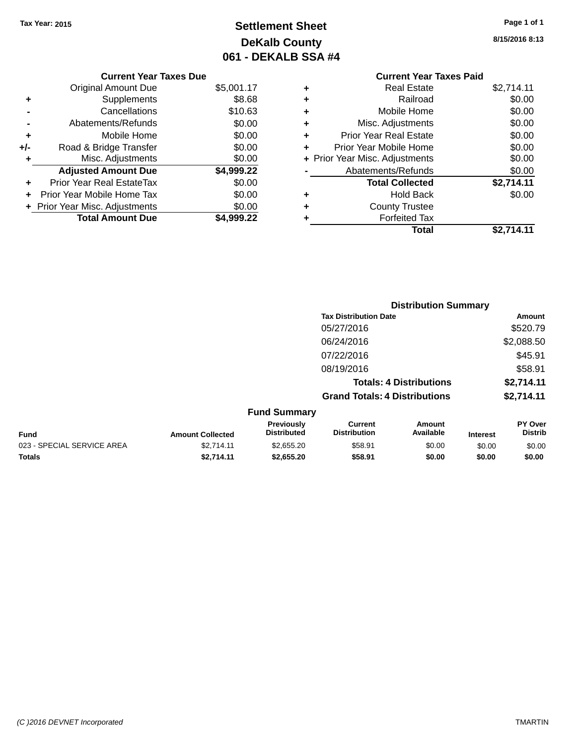## **Settlement Sheet Tax Year: 2015 Page 1 of 1 DeKalb County 061 - DEKALB SSA #4**

**8/15/2016 8:13**

|   | <b>Current Year Taxes Paid</b> |            |
|---|--------------------------------|------------|
| ٠ | <b>Real Estate</b>             | \$2,714.11 |
| ÷ | Railroad                       | \$0.00     |
| ÷ | Mobile Home                    | \$0.00     |
| ٠ | Misc. Adjustments              | \$0.00     |
| ٠ | <b>Prior Year Real Estate</b>  | \$0.00     |
| ÷ | Prior Year Mobile Home         | \$0.00     |
|   | + Prior Year Misc. Adjustments | \$0.00     |
|   | Abatements/Refunds             | \$0.00     |
|   | <b>Total Collected</b>         | \$2,714.11 |
| ٠ | <b>Hold Back</b>               | \$0.00     |
| ٠ | <b>County Trustee</b>          |            |
| ٠ | <b>Forfeited Tax</b>           |            |
|   | Total                          | \$2.714.11 |

|     | <b>Current Year Taxes Due</b>    |            |
|-----|----------------------------------|------------|
|     | Original Amount Due              | \$5,001.17 |
| ٠   | Supplements                      | \$8.68     |
|     | Cancellations                    | \$10.63    |
|     | Abatements/Refunds               | \$0.00     |
| ٠   | Mobile Home                      | \$0.00     |
| +/- | Road & Bridge Transfer           | \$0.00     |
| ٠   | Misc. Adjustments                | \$0.00     |
|     | <b>Adjusted Amount Due</b>       | \$4,999.22 |
|     | <b>Prior Year Real EstateTax</b> | \$0.00     |
|     | Prior Year Mobile Home Tax       | \$0.00     |
|     | + Prior Year Misc. Adjustments   | \$0.00     |
|     | <b>Total Amount Due</b>          | \$4.999.22 |

|                         |                                         | <b>Distribution Summary</b>           |                                |                 |                                  |
|-------------------------|-----------------------------------------|---------------------------------------|--------------------------------|-----------------|----------------------------------|
|                         |                                         | <b>Tax Distribution Date</b>          |                                |                 | Amount                           |
|                         |                                         | 05/27/2016                            |                                |                 | \$520.79                         |
|                         |                                         | 06/24/2016                            |                                |                 | \$2,088.50                       |
|                         |                                         | 07/22/2016                            |                                |                 | \$45.91                          |
|                         |                                         | 08/19/2016                            |                                |                 | \$58.91                          |
|                         |                                         |                                       | <b>Totals: 4 Distributions</b> |                 | \$2,714.11                       |
|                         |                                         | <b>Grand Totals: 4 Distributions</b>  |                                |                 | \$2,714.11                       |
|                         | <b>Fund Summary</b>                     |                                       |                                |                 |                                  |
| <b>Amount Collected</b> | <b>Previously</b><br><b>Distributed</b> | <b>Current</b><br><b>Distribution</b> | Amount<br>Available            | <b>Interest</b> | <b>PY Over</b><br><b>Distrib</b> |

| <b>Fund</b>                | <b>Amount Collected</b> | <b>Previously</b><br><b>Distributed</b> | Current<br><b>Distribution</b> | Amount<br>Available | <b>Interest</b> | <b>PY Over</b><br>Distrib |
|----------------------------|-------------------------|-----------------------------------------|--------------------------------|---------------------|-----------------|---------------------------|
| 023 - SPECIAL SERVICE AREA | \$2.714.11              | \$2,655,20                              | \$58.91                        | \$0.00              | \$0.00          | \$0.00                    |
| <b>Totals</b>              | \$2,714.11              | \$2,655,20                              | \$58.91                        | \$0.00              | \$0.00          | \$0.00                    |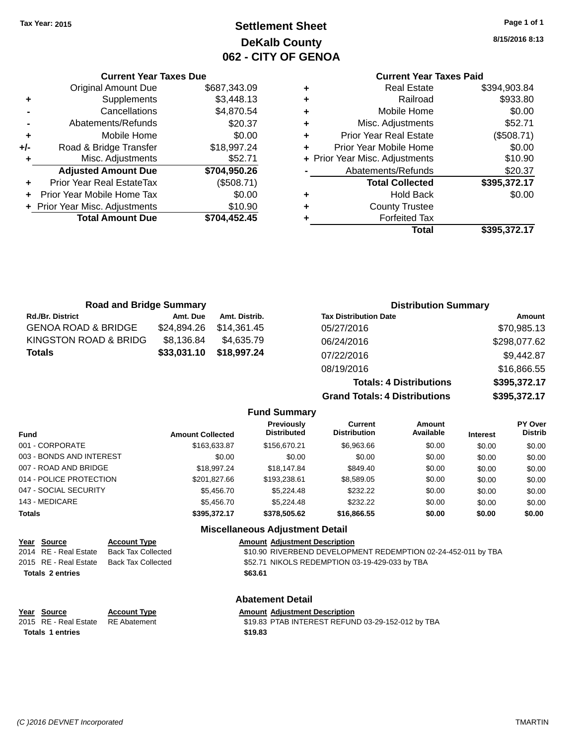## **Settlement Sheet Tax Year: 2015 Page 1 of 1 DeKalb County 062 - CITY OF GENOA**

**8/15/2016 8:13**

### **Current Year Taxes Paid**

|     | <b>Total Amount Due</b>        | \$704,452.45 |
|-----|--------------------------------|--------------|
|     | + Prior Year Misc. Adjustments | \$10.90      |
| ٠   | Prior Year Mobile Home Tax     | \$0.00       |
| ٠   | Prior Year Real EstateTax      | (\$508.71)   |
|     | <b>Adjusted Amount Due</b>     | \$704,950.26 |
| ٠   | Misc. Adjustments              | \$52.71      |
| +/- | Road & Bridge Transfer         | \$18,997.24  |
| ٠   | Mobile Home                    | \$0.00       |
|     | Abatements/Refunds             | \$20.37      |
|     | Cancellations                  | \$4,870.54   |
| ٠   | Supplements                    | \$3,448.13   |
|     | <b>Original Amount Due</b>     | \$687,343.09 |
|     |                                |              |

**Current Year Taxes Due**

|   | <b>Real Estate</b>             | \$394,903.84 |
|---|--------------------------------|--------------|
| ٠ | Railroad                       | \$933.80     |
| ٠ | Mobile Home                    | \$0.00       |
| ٠ | Misc. Adjustments              | \$52.71      |
| ٠ | <b>Prior Year Real Estate</b>  | (\$508.71)   |
| ٠ | Prior Year Mobile Home         | \$0.00       |
|   | + Prior Year Misc. Adjustments | \$10.90      |
|   | Abatements/Refunds             | \$20.37      |
|   | <b>Total Collected</b>         | \$395,372.17 |
| ٠ | Hold Back                      | \$0.00       |
| ٠ | <b>County Trustee</b>          |              |
|   | <b>Forfeited Tax</b>           |              |
|   | Total                          | \$395,372.17 |
|   |                                |              |

**Grand Totals: 4 Distributions \$395,372.17**

| <b>Road and Bridge Summary</b> |             |               | <b>Distribution Summary</b>    |              |  |
|--------------------------------|-------------|---------------|--------------------------------|--------------|--|
| <b>Rd./Br. District</b>        | Amt. Due    | Amt. Distrib. | <b>Tax Distribution Date</b>   | Amount       |  |
| <b>GENOA ROAD &amp; BRIDGE</b> | \$24.894.26 | \$14.361.45   | 05/27/2016                     | \$70,985.13  |  |
| KINGSTON ROAD & BRIDG          | \$8,136.84  | \$4.635.79    | 06/24/2016                     | \$298,077.62 |  |
| <b>Totals</b>                  | \$33,031.10 | \$18,997.24   | 07/22/2016                     | \$9,442.87   |  |
|                                |             |               | 08/19/2016                     | \$16,866.55  |  |
|                                |             |               | <b>Totals: 4 Distributions</b> | \$395,372.17 |  |

**Fund Summary Fund Interest Amount Collected Distributed PY Over Distrib Amount Available Current Distribution Previously** 001 - CORPORATE \$163,633.87 \$156,670.21 \$6,963.66 \$0.00 \$0.00 \$0.00 003 - BONDS AND INTEREST  $$0.00$   $$0.00$   $$0.00$   $$0.00$   $$0.00$   $$0.00$   $$0.00$   $$0.00$ 007 - ROAD AND BRIDGE \$18,997.24 \$18,147.84 \$849.40 \$0.00 \$0.00 \$0.00 014 - POLICE PROTECTION \$201,827.66 \$193,238.61 \$8,589.05 \$0.00 \$0.00 \$0.00 \$0.00 047 - SOCIAL SECURITY \$5,456.70 \$5,224.48 \$232.22 \$0.00 \$0.00 \$0.00 \$0.00 143 - MEDICARE \$5,456.70 \$5,224.48 \$232.22 \$0.00 \$0.00 \$0.00 **Totals \$395,372.17 \$378,505.62 \$16,866.55 \$0.00 \$0.00 \$0.00**

| Year Source           | <b>Account Type</b>       |
|-----------------------|---------------------------|
| 2014 RE - Real Estate | <b>Back Tax Collected</b> |
| 2015 RE - Real Estate | <b>Back Tax Collected</b> |

**Miscellaneous Adjustment Detail**

#### **Amount Adjustment Description**

\$10.90 RIVERBEND DEVELOPMENT REDEMPTION 02-24-452-011 by TBA \$52.71 NIKOLS REDEMPTION 03-19-429-033 by TBA **Totals \$63.61 2 entries**

| Year Source             | <b>Account Type</b> | Amount  |
|-------------------------|---------------------|---------|
| 2015 RE - Real Estate   | RE Abatement        | \$19.83 |
| <b>Totals 1 entries</b> |                     | \$19.83 |

#### **Abatement Detail PE** *Amount Adjustment Description*

2015 ant 319.83 PTAB INTEREST REFUND 03-29-152-012 by TBA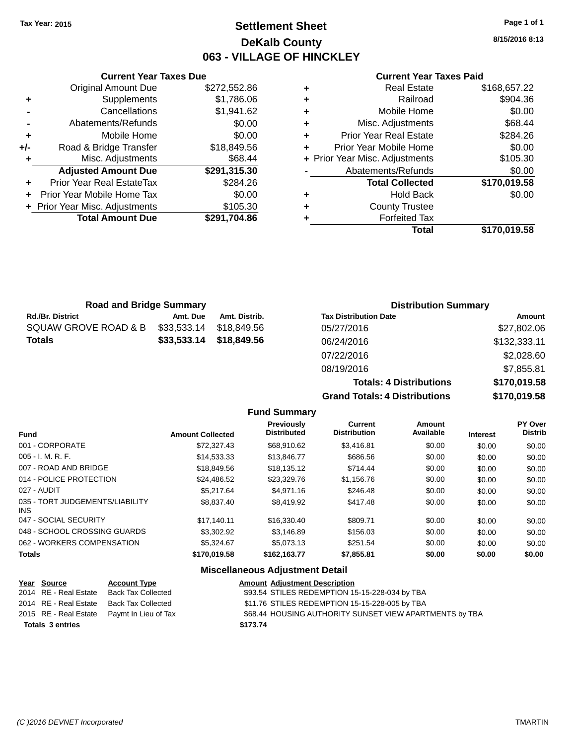### **Settlement Sheet Tax Year: 2015 Page 1 of 1 DeKalb County 063 - VILLAGE OF HINCKLEY**

**8/15/2016 8:13**

#### **Current Year Taxes Paid**

|       | <b>Current Year Taxes Due</b>    |              |   |                   |
|-------|----------------------------------|--------------|---|-------------------|
|       | <b>Original Amount Due</b>       | \$272,552.86 | ٠ |                   |
| ٠     | Supplements                      | \$1,786.06   | ٠ |                   |
|       | Cancellations                    | \$1,941.62   | ٠ |                   |
|       | Abatements/Refunds               | \$0.00       | ٠ | Miso              |
| ٠     | Mobile Home                      | \$0.00       | ٠ | Prior Ye          |
| $+/-$ | Road & Bridge Transfer           | \$18,849.56  | ٠ | <b>Prior Year</b> |
| ٠     | Misc. Adjustments                | \$68.44      |   | + Prior Year Miso |
|       | <b>Adjusted Amount Due</b>       | \$291,315.30 |   | Abaten            |
| ٠     | <b>Prior Year Real EstateTax</b> | \$284.26     |   | Тι                |
|       | Prior Year Mobile Home Tax       | \$0.00       | ٠ |                   |
|       | + Prior Year Misc. Adjustments   | \$105.30     | ٠ |                   |
|       | <b>Total Amount Due</b>          | \$291,704.86 |   |                   |
|       |                                  |              |   |                   |

| ٠ | <b>Real Estate</b>             | \$168,657.22 |
|---|--------------------------------|--------------|
| ÷ | Railroad                       | \$904.36     |
| ٠ | Mobile Home                    | \$0.00       |
| ٠ | Misc. Adjustments              | \$68.44      |
| ٠ | <b>Prior Year Real Estate</b>  | \$284.26     |
| ٠ | Prior Year Mobile Home         | \$0.00       |
|   | + Prior Year Misc. Adjustments | \$105.30     |
|   | Abatements/Refunds             | \$0.00       |
|   | <b>Total Collected</b>         | \$170,019.58 |
| ٠ | <b>Hold Back</b>               | \$0.00       |
| ٠ | <b>County Trustee</b>          |              |
|   | <b>Forfeited Tax</b>           |              |
|   | Total                          | \$170,019.58 |
|   |                                |              |

| <b>Road and Bridge Summary</b>      |             |               | <b>Distribution Summary</b>  |              |  |
|-------------------------------------|-------------|---------------|------------------------------|--------------|--|
| <b>Rd./Br. District</b><br>Amt. Due |             | Amt. Distrib. | <b>Tax Distribution Date</b> | Amount       |  |
| SQUAW GROVE ROAD & B                | \$33,533.14 | \$18.849.56   | 05/27/2016                   | \$27,802.06  |  |
| <b>Totals</b>                       | \$33,533.14 | \$18,849.56   | 06/24/2016                   | \$132,333.11 |  |
|                                     |             |               | 07/22/2016                   | \$2,028.60   |  |
|                                     |             |               | 08/19/2016                   | \$7,855.81   |  |

**Totals: 4 Distributions \$170,019.58 Grand Totals: 4 Distributions \$170,019.58**

|                                         |                         | <b>Fund Summary</b>                    |                                |                     |                 |                                  |
|-----------------------------------------|-------------------------|----------------------------------------|--------------------------------|---------------------|-----------------|----------------------------------|
| <b>Fund</b>                             | <b>Amount Collected</b> | Previously<br><b>Distributed</b>       | Current<br><b>Distribution</b> | Amount<br>Available | <b>Interest</b> | <b>PY Over</b><br><b>Distrib</b> |
| 001 - CORPORATE                         | \$72,327.43             | \$68,910.62                            | \$3,416.81                     | \$0.00              | \$0.00          | \$0.00                           |
| $005 - I. M. R. F.$                     | \$14,533.33             | \$13,846.77                            | \$686.56                       | \$0.00              | \$0.00          | \$0.00                           |
| 007 - ROAD AND BRIDGE                   | \$18,849.56             | \$18,135.12                            | \$714.44                       | \$0.00              | \$0.00          | \$0.00                           |
| 014 - POLICE PROTECTION                 | \$24,486.52             | \$23,329.76                            | \$1,156.76                     | \$0.00              | \$0.00          | \$0.00                           |
| 027 - AUDIT                             | \$5.217.64              | \$4.971.16                             | \$246.48                       | \$0.00              | \$0.00          | \$0.00                           |
| 035 - TORT JUDGEMENTS/LIABILITY<br>INS. | \$8,837.40              | \$8,419.92                             | \$417.48                       | \$0.00              | \$0.00          | \$0.00                           |
| 047 - SOCIAL SECURITY                   | \$17.140.11             | \$16,330.40                            | \$809.71                       | \$0.00              | \$0.00          | \$0.00                           |
| 048 - SCHOOL CROSSING GUARDS            | \$3,302.92              | \$3.146.89                             | \$156.03                       | \$0.00              | \$0.00          | \$0.00                           |
| 062 - WORKERS COMPENSATION              | \$5,324,67              | \$5,073.13                             | \$251.54                       | \$0.00              | \$0.00          | \$0.00                           |
| <b>Totals</b>                           | \$170,019.58            | \$162,163.77                           | \$7,855.81                     | \$0.00              | \$0.00          | \$0.00                           |
|                                         |                         | <b>Miscellaneous Adjustment Detail</b> |                                |                     |                 |                                  |

|                         | <u>Year Source</u>    | <b>Account Type</b>                        |          | <b>Amount Adjustment Description</b>                    |
|-------------------------|-----------------------|--------------------------------------------|----------|---------------------------------------------------------|
|                         | 2014 RE - Real Estate | Back Tax Collected                         |          | \$93.54 STILES REDEMPTION 15-15-228-034 by TBA          |
|                         | 2014 RE - Real Estate | Back Tax Collected                         |          | \$11.76 STILES REDEMPTION 15-15-228-005 by TBA          |
|                         |                       | 2015 RE - Real Estate Paymt In Lieu of Tax |          | \$68.44 HOUSING AUTHORITY SUNSET VIEW APARTMENTS by TBA |
| <b>Totals 3 entries</b> |                       |                                            | \$173.74 |                                                         |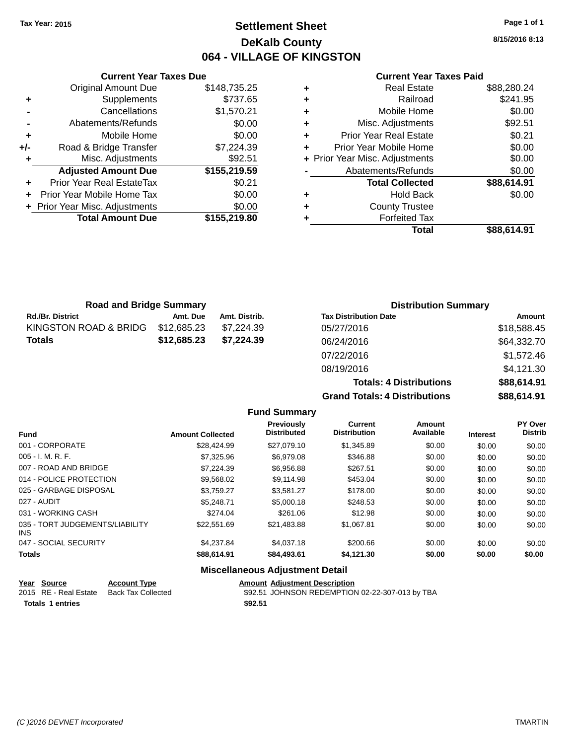### **Settlement Sheet Tax Year: 2015 Page 1 of 1 DeKalb County 064 - VILLAGE OF KINGSTON**

**8/15/2016 8:13**

|     | <b>Current Year Taxes Due</b>    |              |  |  |  |
|-----|----------------------------------|--------------|--|--|--|
|     | <b>Original Amount Due</b>       | \$148,735.25 |  |  |  |
| ٠   | \$737.65<br>Supplements          |              |  |  |  |
|     | Cancellations                    | \$1,570.21   |  |  |  |
|     | Abatements/Refunds               | \$0.00       |  |  |  |
| ٠   | Mobile Home                      | \$0.00       |  |  |  |
| +/- | Road & Bridge Transfer           | \$7,224.39   |  |  |  |
|     | Misc. Adjustments                | \$92.51      |  |  |  |
|     | <b>Adjusted Amount Due</b>       | \$155,219.59 |  |  |  |
|     | <b>Prior Year Real EstateTax</b> | \$0.21       |  |  |  |
| ÷   | Prior Year Mobile Home Tax       | \$0.00       |  |  |  |
|     | + Prior Year Misc. Adjustments   | \$0.00       |  |  |  |
|     | <b>Total Amount Due</b>          | \$155,219.80 |  |  |  |

#### **Current Year Taxes Paid**

|   | Total                          | \$88,614.91 |
|---|--------------------------------|-------------|
| ٠ | <b>Forfeited Tax</b>           |             |
| ٠ | <b>County Trustee</b>          |             |
| ٠ | <b>Hold Back</b>               | \$0.00      |
|   | <b>Total Collected</b>         | \$88,614.91 |
|   | Abatements/Refunds             | \$0.00      |
|   | + Prior Year Misc. Adjustments | \$0.00      |
| ٠ | Prior Year Mobile Home         | \$0.00      |
| ٠ | <b>Prior Year Real Estate</b>  | \$0.21      |
| ٠ | Misc. Adjustments              | \$92.51     |
| ٠ | Mobile Home                    | \$0.00      |
| ÷ | Railroad                       | \$241.95    |
|   | <b>Real Estate</b>             | \$88,280.24 |

**Totals: 4 Distributions \$88,614.91**

**Grand Totals: 4 Distributions \$88,614.91**

| <b>Road and Bridge Summary</b> |             |               | <b>Distribution Summary</b>  |             |  |
|--------------------------------|-------------|---------------|------------------------------|-------------|--|
| <b>Rd./Br. District</b>        | Amt. Due    | Amt. Distrib. | <b>Tax Distribution Date</b> | Amount      |  |
| KINGSTON ROAD & BRIDG          | \$12,685.23 | \$7.224.39    | 05/27/2016                   | \$18,588.45 |  |
| <b>Totals</b>                  | \$12,685.23 | \$7.224.39    | 06/24/2016                   | \$64,332.70 |  |
|                                |             |               | 07/22/2016                   | \$1,572.46  |  |
|                                |             |               | 08/19/2016                   | \$4,121.30  |  |

**Fund Summary Fund Interest Amount Collected Distributed PY Over Distrib Amount Available Current Distribution Previously** 001 - CORPORATE \$28,424.99 \$27,079.10 \$1,345.89 \$0.00 \$0.00 \$0.00 005 - I. M. R. F. \$7,325.96 \$6,979.08 \$346.88 \$0.00 \$0.00 \$0.00 007 - ROAD AND BRIDGE \$7,224.39 \$6,956.88 \$267.51 \$0.00 \$0.00 \$0.00 014 - POLICE PROTECTION \$9.568.02 \$9,568.02 \$9,114.98 \$453.04 \$0.00 \$0.00 \$0.00 025 - GARBAGE DISPOSAL \$3,759.27 \$3,581.27 \$178.00 \$0.00 \$0.00 \$0.00 \$0.00 027 - AUDIT \$5,248.71 \$5,000.18 \$248.53 \$0.00 \$0.00 \$0.00 031 - WORKING CASH \$274.04 \$261.06 \$12.98 \$0.00 \$0.00 \$0.00 035 - TORT JUDGEMENTS/LIABILITY INS \$22,551.69 \$21,483.88 \$1,067.81 \$0.00 \$0.00 \$0.00 047 - SOCIAL SECURITY \$4,237.84 \$4,037.18 \$200.66 \$0.00 \$0.00 \$0.00 **Totals \$88,614.91 \$84,493.61 \$4,121.30 \$0.00 \$0.00 \$0.00**

| Year Source             | <b>Account Type</b> | <b>Amount Adiustment Description</b>            |
|-------------------------|---------------------|-------------------------------------------------|
| 2015 RE - Real Estate   | Back Tax Collected  | \$92.51 JOHNSON REDEMPTION 02-22-307-013 by TBA |
| <b>Totals 1 entries</b> |                     | \$92.51                                         |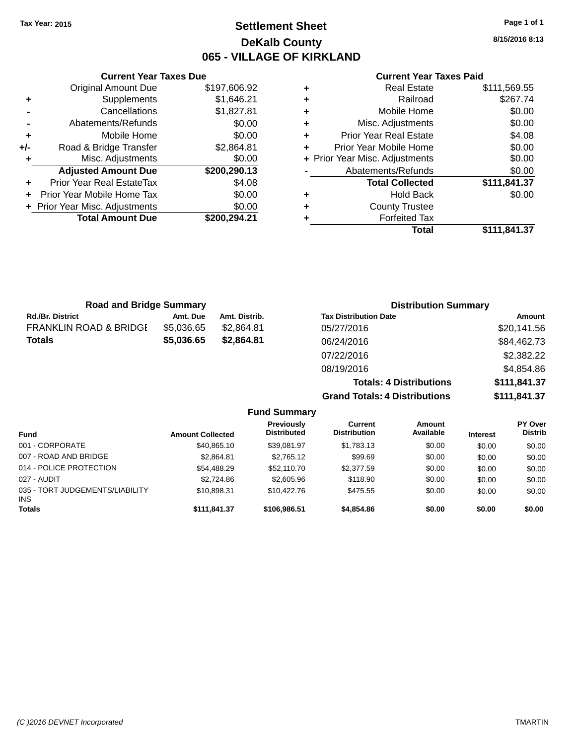### **Settlement Sheet Tax Year: 2015 Page 1 of 1 DeKalb County 065 - VILLAGE OF KIRKLAND**

**8/15/2016 8:13**

#### **Current Year Taxes Paid**

|     | <b>Current Year Taxes Due</b>  |              |  |  |  |  |
|-----|--------------------------------|--------------|--|--|--|--|
|     | <b>Original Amount Due</b>     | \$197,606.92 |  |  |  |  |
|     | Supplements                    | \$1,646.21   |  |  |  |  |
|     | Cancellations                  | \$1,827.81   |  |  |  |  |
|     | Abatements/Refunds             | \$0.00       |  |  |  |  |
| ٠   | Mobile Home                    | \$0.00       |  |  |  |  |
| +/- | Road & Bridge Transfer         | \$2,864.81   |  |  |  |  |
|     | Misc. Adjustments              | \$0.00       |  |  |  |  |
|     | <b>Adjusted Amount Due</b>     | \$200,290.13 |  |  |  |  |
|     | Prior Year Real EstateTax      | \$4.08       |  |  |  |  |
|     | Prior Year Mobile Home Tax     | \$0.00       |  |  |  |  |
|     | + Prior Year Misc. Adjustments | \$0.00       |  |  |  |  |
|     | <b>Total Amount Due</b>        | \$200,294.21 |  |  |  |  |
|     |                                |              |  |  |  |  |

| <b>Real Estate</b>             | \$111,569.55 |
|--------------------------------|--------------|
| Railroad                       | \$267.74     |
| Mobile Home                    | \$0.00       |
| Misc. Adjustments              | \$0.00       |
| <b>Prior Year Real Estate</b>  | \$4.08       |
| Prior Year Mobile Home         | \$0.00       |
| + Prior Year Misc. Adjustments | \$0.00       |
| Abatements/Refunds             | \$0.00       |
| <b>Total Collected</b>         | \$111,841.37 |
| <b>Hold Back</b>               | \$0.00       |
| <b>County Trustee</b>          |              |
| <b>Forfeited Tax</b>           |              |
| Total                          | \$111,841.37 |
|                                |              |

**Grand Totals: 4 Distributions \$111,841.37**

| <b>Road and Bridge Summary</b>    |            |               | <b>Distribution Summary</b>    |              |  |
|-----------------------------------|------------|---------------|--------------------------------|--------------|--|
| <b>Rd./Br. District</b>           | Amt. Due   | Amt. Distrib. | <b>Tax Distribution Date</b>   | Amount       |  |
| <b>FRANKLIN ROAD &amp; BRIDGE</b> | \$5,036.65 | \$2,864.81    | 05/27/2016                     | \$20,141.56  |  |
| <b>Totals</b>                     | \$5,036.65 | \$2,864.81    | 06/24/2016                     | \$84,462.73  |  |
|                                   |            |               | 07/22/2016                     | \$2,382.22   |  |
|                                   |            |               | 08/19/2016                     | \$4,854.86   |  |
|                                   |            |               | <b>Totals: 4 Distributions</b> | \$111,841.37 |  |

**Fund Summary Fund Interest Amount Collected Distributed PY Over Distrib Amount Available Current Distribution Previously** 001 - CORPORATE \$40,865.10 \$39,081.97 \$1,783.13 \$0.00 \$0.00 \$0.00 007 - ROAD AND BRIDGE 6 .00 \$2,864.81 \$2,765.12 \$99.69 \$0.00 \$0.00 \$0.00 \$0.00 014 - POLICE PROTECTION \$54,488.29 \$52,110.70 \$2,377.59 \$0.00 \$0.00 \$0.00 \$0.00 027 - AUDIT \$2,724.86 \$2,605.96 \$118.90 \$0.00 \$0.00 \$0.00 035 - TORT JUDGEMENTS/LIABILITY INS \$10,898.31 \$10,422.76 \$475.55 \$0.00 \$0.00 \$0.00 \$0.00 **Totals \$111,841.37 \$106,986.51 \$4,854.86 \$0.00 \$0.00 \$0.00**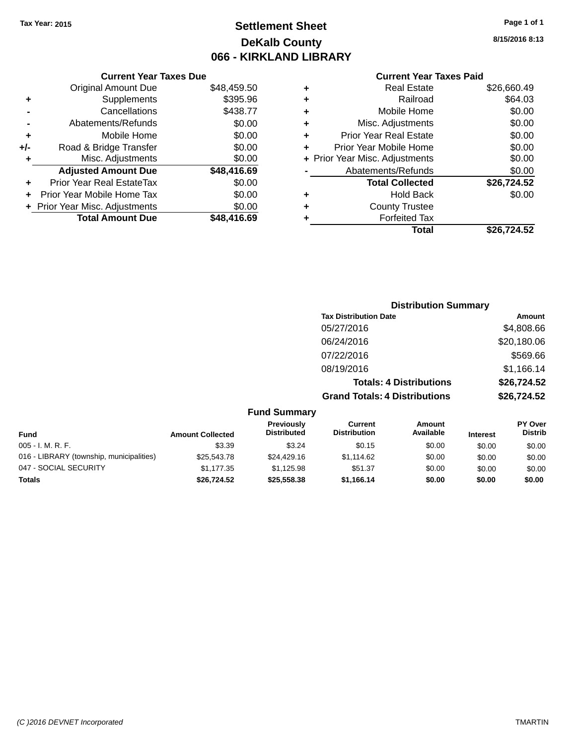## **Settlement Sheet Tax Year: 2015 Page 1 of 1 DeKalb County 066 - KIRKLAND LIBRARY**

#### **Current Year Taxes Due**

|       | <b>Original Amount Due</b>     | \$48,459.50 |
|-------|--------------------------------|-------------|
| ٠     | Supplements                    | \$395.96    |
|       | Cancellations                  | \$438.77    |
|       | Abatements/Refunds             | \$0.00      |
| ÷     | Mobile Home                    | \$0.00      |
| $+/-$ | Road & Bridge Transfer         | \$0.00      |
| ٠     | Misc. Adjustments              | \$0.00      |
|       | <b>Adjusted Amount Due</b>     | \$48,416.69 |
| ÷     | Prior Year Real EstateTax      | \$0.00      |
|       | Prior Year Mobile Home Tax     | \$0.00      |
|       | + Prior Year Misc. Adjustments | \$0.00      |
|       | <b>Total Amount Due</b>        | \$48.416.69 |
|       |                                |             |

### **Current Year Taxes Paid**

| ٠ | <b>Real Estate</b>             | \$26,660.49 |
|---|--------------------------------|-------------|
| ٠ | Railroad                       | \$64.03     |
| ٠ | Mobile Home                    | \$0.00      |
| ٠ | Misc. Adjustments              | \$0.00      |
| ٠ | <b>Prior Year Real Estate</b>  | \$0.00      |
| ٠ | Prior Year Mobile Home         | \$0.00      |
|   | + Prior Year Misc. Adjustments | \$0.00      |
|   | Abatements/Refunds             | \$0.00      |
|   | <b>Total Collected</b>         | \$26,724.52 |
| ٠ | Hold Back                      | \$0.00      |
| ٠ | <b>County Trustee</b>          |             |
|   | <b>Forfeited Tax</b>           |             |
|   | Total                          | \$26,724.52 |
|   |                                |             |

### **Distribution Summary Tax Distribution Date Amount** 05/27/2016 \$4,808.66 06/24/2016 \$20,180.06 07/22/2016 \$569.66 08/19/2016 \$1,166.14 **Totals: 4 Distributions \$26,724.52 Grand Totals: 4 Distributions \$26,724.52**

|                                          |                         | <b>Fund Summary</b>                     |                                |                     |                 |                                  |
|------------------------------------------|-------------------------|-----------------------------------------|--------------------------------|---------------------|-----------------|----------------------------------|
| <b>Fund</b>                              | <b>Amount Collected</b> | <b>Previously</b><br><b>Distributed</b> | Current<br><b>Distribution</b> | Amount<br>Available | <b>Interest</b> | <b>PY Over</b><br><b>Distrib</b> |
| 005 - I. M. R. F.                        | \$3.39                  | \$3.24                                  | \$0.15                         | \$0.00              | \$0.00          | \$0.00                           |
| 016 - LIBRARY (township, municipalities) | \$25,543.78             | \$24,429.16                             | \$1.114.62                     | \$0.00              | \$0.00          | \$0.00                           |
| 047 - SOCIAL SECURITY                    | \$1,177.35              | \$1.125.98                              | \$51.37                        | \$0.00              | \$0.00          | \$0.00                           |
| <b>Totals</b>                            | \$26,724.52             | \$25,558,38                             | \$1.166.14                     | \$0.00              | \$0.00          | \$0.00                           |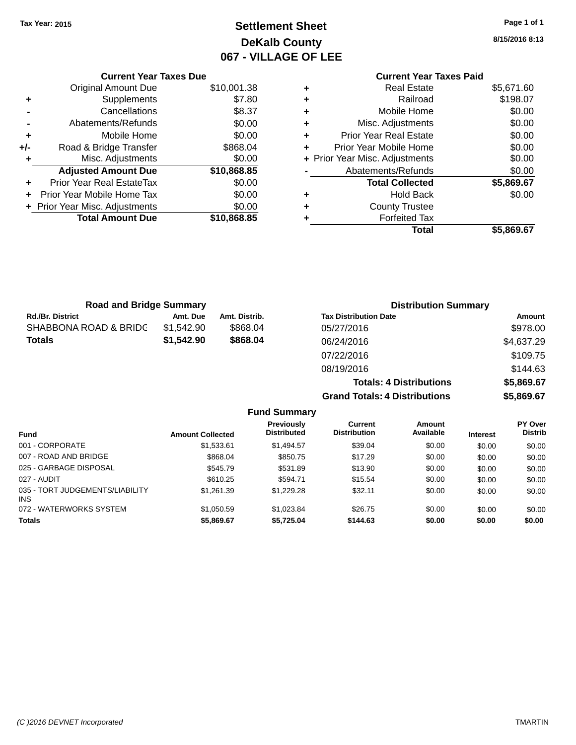## **Settlement Sheet Tax Year: 2015 Page 1 of 1 DeKalb County 067 - VILLAGE OF LEE**

|     | <b>Current Year Taxes Due</b>  |             |
|-----|--------------------------------|-------------|
|     | Original Amount Due            | \$10,001.38 |
| ٠   | Supplements                    | \$7.80      |
|     | Cancellations                  | \$8.37      |
|     | Abatements/Refunds             | \$0.00      |
| ٠   | Mobile Home                    | \$0.00      |
| +/- | Road & Bridge Transfer         | \$868.04    |
|     | Misc. Adjustments              | \$0.00      |
|     | <b>Adjusted Amount Due</b>     | \$10,868.85 |
|     | Prior Year Real EstateTax      | \$0.00      |
|     | Prior Year Mobile Home Tax     | \$0.00      |
|     | + Prior Year Misc. Adjustments | \$0.00      |
|     | <b>Total Amount Due</b>        | \$10.868.85 |

### **Current Year Taxes Paid +** Real Estate \$5,671.60 **+** Railroad \$198.07 **+** Mobile Home \$0.00 **+** Misc. Adjustments \$0.00 **+** Prior Year Real Estate \$0.00 **+** Prior Year Mobile Home \$0.00 **+ Prior Year Misc. Adjustments**  $$0.00$ Abatements/Refunds \$0.00 **Total Collected \$5,869.67 +** Hold Back \$0.00 **+** County Trustee **+** Forfeited Tax **Total \$5,869.67**

**Grand Totals: 4 Distributions \$5,869.67**

| <b>Road and Bridge Summary</b> |            |               | <b>Distribution Summary</b>    |            |  |
|--------------------------------|------------|---------------|--------------------------------|------------|--|
| Rd./Br. District               | Amt. Due   | Amt. Distrib. | <b>Tax Distribution Date</b>   | Amount     |  |
| SHABBONA ROAD & BRIDC          | \$1,542.90 | \$868.04      | 05/27/2016                     | \$978.00   |  |
| Totals                         | \$1,542.90 | \$868.04      | 06/24/2016                     | \$4,637.29 |  |
|                                |            |               | 07/22/2016                     | \$109.75   |  |
|                                |            |               | 08/19/2016                     | \$144.63   |  |
|                                |            |               | <b>Totals: 4 Distributions</b> | \$5,869.67 |  |

**Fund Summary Fund Interest Amount Collected Distributed PY Over Distrib Amount Available Current Distribution Previously** 001 - CORPORATE \$1,533.61 \$1,494.57 \$39.04 \$0.00 \$0.00 \$0.00 007 - ROAD AND BRIDGE 60.00 \$808.04 \$868.04 \$850.75 \$17.29 \$0.00 \$0.00 \$0.00 \$0.00 025 - GARBAGE DISPOSAL \$545.79 \$531.89 \$13.90 \$0.00 \$0.00 \$0.00 027 - AUDIT \$610.25 \$594.71 \$15.54 \$0.00 \$0.00 \$0.00 035 - TORT JUDGEMENTS/LIABILITY INS \$1,261.39 \$1,229.28 \$32.11 \$0.00 \$0.00 \$0.00 072 - WATERWORKS SYSTEM \$1,050.59 \$1,023.84 \$26.75 \$0.00 \$0.00 \$0.00 \$0.00 **Totals \$5,869.67 \$5,725.04 \$144.63 \$0.00 \$0.00 \$0.00**

**8/15/2016 8:13**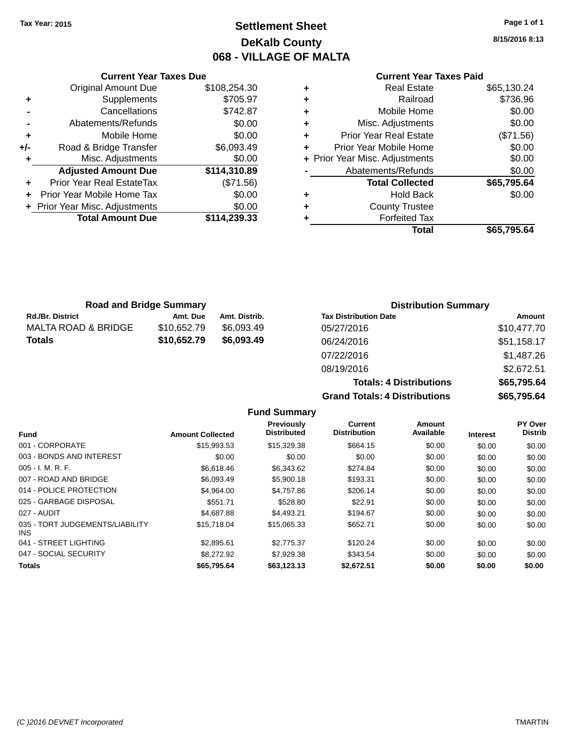### **Settlement Sheet Tax Year: 2015 Page 1 of 1 DeKalb County 068 - VILLAGE OF MALTA**

**8/15/2016 8:13**

### **Current Year Taxes Paid**

|     | <b>Current Year Taxes Due</b>  |              |  |  |  |
|-----|--------------------------------|--------------|--|--|--|
|     | <b>Original Amount Due</b>     | \$108,254.30 |  |  |  |
| ٠   | Supplements                    | \$705.97     |  |  |  |
|     | Cancellations                  | \$742.87     |  |  |  |
|     | Abatements/Refunds             | \$0.00       |  |  |  |
| ٠   | Mobile Home                    | \$0.00       |  |  |  |
| +/- | Road & Bridge Transfer         | \$6,093.49   |  |  |  |
|     | Misc. Adjustments              | \$0.00       |  |  |  |
|     | <b>Adjusted Amount Due</b>     | \$114,310.89 |  |  |  |
|     | Prior Year Real EstateTax      | (\$71.56)    |  |  |  |
|     | Prior Year Mobile Home Tax     | \$0.00       |  |  |  |
|     | + Prior Year Misc. Adjustments | \$0.00       |  |  |  |
|     | <b>Total Amount Due</b>        | \$114,239.33 |  |  |  |
|     |                                |              |  |  |  |

| ٠ | <b>Real Estate</b>             | \$65,130.24 |
|---|--------------------------------|-------------|
| ٠ | Railroad                       | \$736.96    |
| ٠ | Mobile Home                    | \$0.00      |
| ٠ | Misc. Adjustments              | \$0.00      |
| ٠ | Prior Year Real Estate         | (\$71.56)   |
| ٠ | Prior Year Mobile Home         | \$0.00      |
|   | + Prior Year Misc. Adjustments | \$0.00      |
|   | Abatements/Refunds             | \$0.00      |
|   | <b>Total Collected</b>         | \$65,795.64 |
| ٠ | Hold Back                      | \$0.00      |
| ٠ | <b>County Trustee</b>          |             |
| ٠ | <b>Forfeited Tax</b>           |             |
|   | Total                          | \$65,795.64 |
|   |                                |             |

| <b>Road and Bridge Summary</b> |             |               | <b>Distribution Summary</b>  |             |  |
|--------------------------------|-------------|---------------|------------------------------|-------------|--|
| <b>Rd./Br. District</b>        | Amt. Due    | Amt. Distrib. | <b>Tax Distribution Date</b> | Amount      |  |
| MALTA ROAD & BRIDGE            | \$10.652.79 | \$6.093.49    | 05/27/2016                   | \$10,477.70 |  |
| Totals                         | \$10,652.79 | \$6.093.49    | 06/24/2016                   | \$51,158.17 |  |
|                                |             |               | 07/22/2016                   | \$1,487.26  |  |

08/19/2016 \$2,672.51 **Totals: 4 Distributions \$65,795.64 Grand Totals: 4 Distributions \$65,795.64**

|                                         |                         | <b>Fund Summary</b>              |                                |                     |                 |                                  |
|-----------------------------------------|-------------------------|----------------------------------|--------------------------------|---------------------|-----------------|----------------------------------|
| <b>Fund</b>                             | <b>Amount Collected</b> | Previously<br><b>Distributed</b> | Current<br><b>Distribution</b> | Amount<br>Available | <b>Interest</b> | <b>PY Over</b><br><b>Distrib</b> |
| 001 - CORPORATE                         | \$15,993.53             | \$15,329.38                      | \$664.15                       | \$0.00              | \$0.00          | \$0.00                           |
| 003 - BONDS AND INTEREST                | \$0.00                  | \$0.00                           | \$0.00                         | \$0.00              | \$0.00          | \$0.00                           |
| $005 - I. M. R. F.$                     | \$6,618.46              | \$6,343.62                       | \$274.84                       | \$0.00              | \$0.00          | \$0.00                           |
| 007 - ROAD AND BRIDGE                   | \$6,093.49              | \$5,900.18                       | \$193.31                       | \$0.00              | \$0.00          | \$0.00                           |
| 014 - POLICE PROTECTION                 | \$4,964.00              | \$4,757.86                       | \$206.14                       | \$0.00              | \$0.00          | \$0.00                           |
| 025 - GARBAGE DISPOSAL                  | \$551.71                | \$528.80                         | \$22.91                        | \$0.00              | \$0.00          | \$0.00                           |
| 027 - AUDIT                             | \$4,687.88              | \$4,493.21                       | \$194.67                       | \$0.00              | \$0.00          | \$0.00                           |
| 035 - TORT JUDGEMENTS/LIABILITY<br>INS. | \$15,718.04             | \$15,065.33                      | \$652.71                       | \$0.00              | \$0.00          | \$0.00                           |
| 041 - STREET LIGHTING                   | \$2,895.61              | \$2,775,37                       | \$120.24                       | \$0.00              | \$0.00          | \$0.00                           |
| 047 - SOCIAL SECURITY                   | \$8,272.92              | \$7,929.38                       | \$343.54                       | \$0.00              | \$0.00          | \$0.00                           |
| <b>Totals</b>                           | \$65,795.64             | \$63,123.13                      | \$2,672.51                     | \$0.00              | \$0.00          | \$0.00                           |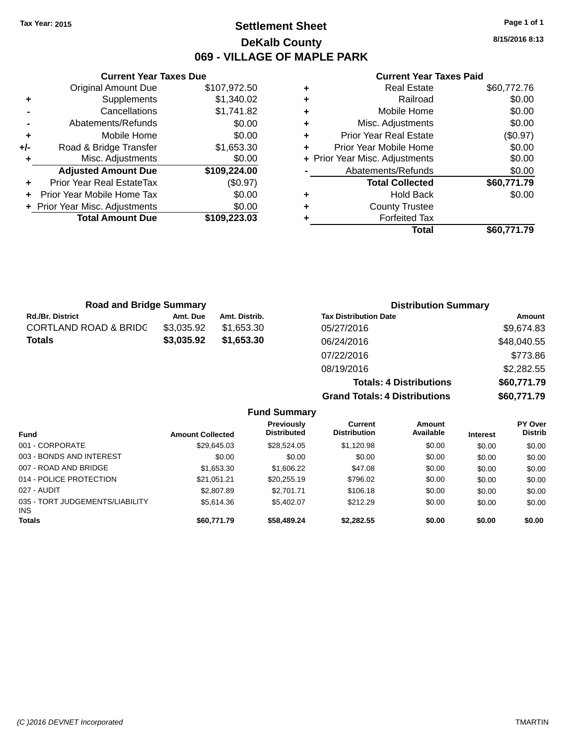### **Settlement Sheet Tax Year: 2015 Page 1 of 1 DeKalb County 069 - VILLAGE OF MAPLE PARK**

**8/15/2016 8:13**

#### **Current Year Taxes Paid**

|     | <b>Current Year Taxes Due</b>  |              |  |  |  |
|-----|--------------------------------|--------------|--|--|--|
|     | <b>Original Amount Due</b>     | \$107,972.50 |  |  |  |
| ٠   | Supplements                    | \$1.340.02   |  |  |  |
|     | Cancellations                  | \$1,741.82   |  |  |  |
|     | Abatements/Refunds             | \$0.00       |  |  |  |
| ٠   | \$0.00<br>Mobile Home          |              |  |  |  |
| +/- | Road & Bridge Transfer         | \$1,653.30   |  |  |  |
|     | Misc. Adjustments              | \$0.00       |  |  |  |
|     | <b>Adjusted Amount Due</b>     | \$109,224.00 |  |  |  |
| ٠   | Prior Year Real EstateTax      | (\$0.97)     |  |  |  |
|     | Prior Year Mobile Home Tax     | \$0.00       |  |  |  |
|     | + Prior Year Misc. Adjustments | \$0.00       |  |  |  |
|     | <b>Total Amount Due</b>        | \$109,223.03 |  |  |  |
|     |                                |              |  |  |  |

|   | <b>Real Estate</b>             | \$60,772.76 |
|---|--------------------------------|-------------|
| ٠ | Railroad                       | \$0.00      |
| ٠ | Mobile Home                    | \$0.00      |
| ٠ | Misc. Adjustments              | \$0.00      |
| ٠ | <b>Prior Year Real Estate</b>  | (\$0.97)    |
| ٠ | Prior Year Mobile Home         | \$0.00      |
|   | + Prior Year Misc. Adjustments | \$0.00      |
|   | Abatements/Refunds             | \$0.00      |
|   | <b>Total Collected</b>         | \$60,771.79 |
| ٠ | <b>Hold Back</b>               | \$0.00      |
| ٠ | <b>County Trustee</b>          |             |
|   | <b>Forfeited Tax</b>           |             |
|   | Total                          | \$60,771.79 |

| <b>Road and Bridge Summary</b>   |            |               | <b>Distribution Summary</b>    |             |  |
|----------------------------------|------------|---------------|--------------------------------|-------------|--|
| <b>Rd./Br. District</b>          | Amt. Due   | Amt. Distrib. | <b>Tax Distribution Date</b>   | Amount      |  |
| <b>CORTLAND ROAD &amp; BRIDC</b> | \$3,035.92 | \$1,653,30    | 05/27/2016                     | \$9,674.83  |  |
| <b>Totals</b>                    | \$3,035.92 | \$1,653.30    | 06/24/2016                     | \$48,040.55 |  |
|                                  |            |               | 07/22/2016                     | \$773.86    |  |
|                                  |            |               | 08/19/2016                     | \$2,282.55  |  |
|                                  |            |               | <b>Totals: 4 Distributions</b> | \$60,771.79 |  |

**Grand Totals: 4 Distributions \$60,771.79**

|                                         |                         | <b>Fund Summary</b>                     |                                       |                     |                 |                                  |
|-----------------------------------------|-------------------------|-----------------------------------------|---------------------------------------|---------------------|-----------------|----------------------------------|
| <b>Fund</b>                             | <b>Amount Collected</b> | <b>Previously</b><br><b>Distributed</b> | <b>Current</b><br><b>Distribution</b> | Amount<br>Available | <b>Interest</b> | <b>PY Over</b><br><b>Distrib</b> |
| 001 - CORPORATE                         | \$29.645.03             | \$28.524.05                             | \$1,120.98                            | \$0.00              | \$0.00          | \$0.00                           |
| 003 - BONDS AND INTEREST                | \$0.00                  | \$0.00                                  | \$0.00                                | \$0.00              | \$0.00          | \$0.00                           |
| 007 - ROAD AND BRIDGE                   | \$1,653.30              | \$1,606.22                              | \$47.08                               | \$0.00              | \$0.00          | \$0.00                           |
| 014 - POLICE PROTECTION                 | \$21,051.21             | \$20,255.19                             | \$796.02                              | \$0.00              | \$0.00          | \$0.00                           |
| 027 - AUDIT                             | \$2,807.89              | \$2,701.71                              | \$106.18                              | \$0.00              | \$0.00          | \$0.00                           |
| 035 - TORT JUDGEMENTS/LIABILITY<br>INS. | \$5,614.36              | \$5,402.07                              | \$212.29                              | \$0.00              | \$0.00          | \$0.00                           |
| <b>Totals</b>                           | \$60,771.79             | \$58,489.24                             | \$2,282.55                            | \$0.00              | \$0.00          | \$0.00                           |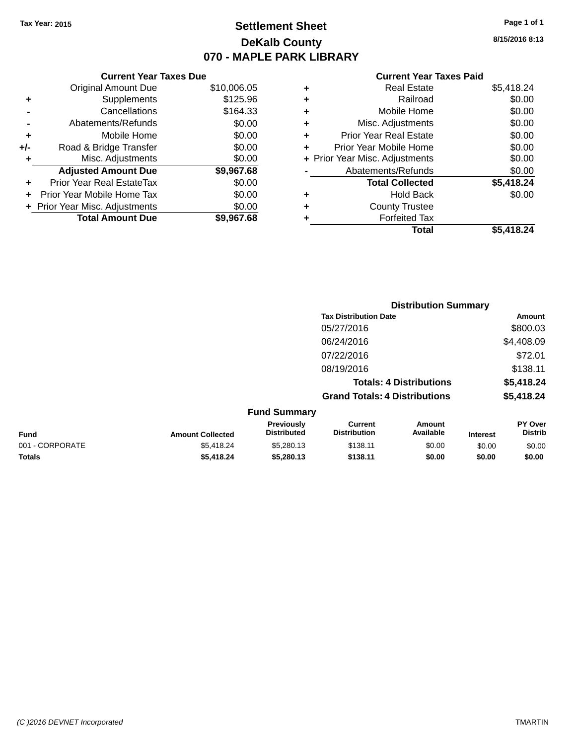### **Settlement Sheet Tax Year: 2015 Page 1 of 1 DeKalb County 070 - MAPLE PARK LIBRARY**

**8/15/2016 8:13**

#### **Current Year Taxes Paid**

|       | <b>Current Year Taxes Due</b>  |             |
|-------|--------------------------------|-------------|
|       | <b>Original Amount Due</b>     | \$10,006.05 |
| ٠     | Supplements                    | \$125.96    |
|       | Cancellations                  | \$164.33    |
|       | Abatements/Refunds             | \$0.00      |
| ٠     | Mobile Home                    | \$0.00      |
| $+/-$ | Road & Bridge Transfer         | \$0.00      |
| ٠     | Misc. Adjustments              | \$0.00      |
|       | <b>Adjusted Amount Due</b>     | \$9,967.68  |
|       | Prior Year Real EstateTax      | \$0.00      |
|       | Prior Year Mobile Home Tax     | \$0.00      |
|       | + Prior Year Misc. Adjustments | \$0.00      |
|       | <b>Total Amount Due</b>        | \$9,967.68  |
|       |                                |             |

| ٠ | <b>Real Estate</b>             | \$5,418.24 |
|---|--------------------------------|------------|
| ٠ | Railroad                       | \$0.00     |
| ٠ | Mobile Home                    | \$0.00     |
| ٠ | Misc. Adjustments              | \$0.00     |
| ٠ | <b>Prior Year Real Estate</b>  | \$0.00     |
| ÷ | Prior Year Mobile Home         | \$0.00     |
|   | + Prior Year Misc. Adjustments | \$0.00     |
|   | Abatements/Refunds             | \$0.00     |
|   | <b>Total Collected</b>         | \$5,418.24 |
| ٠ | Hold Back                      | \$0.00     |
| ٠ | <b>County Trustee</b>          |            |
| ٠ | <b>Forfeited Tax</b>           |            |
|   | Total                          | \$5.418.24 |
|   |                                |            |

|                     |                                      | <b>Distribution Summary</b>    |                |
|---------------------|--------------------------------------|--------------------------------|----------------|
|                     | <b>Tax Distribution Date</b>         |                                | Amount         |
|                     | 05/27/2016                           |                                | \$800.03       |
|                     | 06/24/2016                           |                                | \$4,408.09     |
|                     | 07/22/2016                           |                                | \$72.01        |
|                     | 08/19/2016                           |                                | \$138.11       |
|                     |                                      | <b>Totals: 4 Distributions</b> | \$5,418.24     |
|                     | <b>Grand Totals: 4 Distributions</b> |                                | \$5,418.24     |
| <b>Fund Summary</b> |                                      |                                |                |
| Previously          | Current                              | Amount                         | <b>PY Over</b> |

| <b>Fund</b>     | <b>Amount Collected</b> | <b>Previously</b><br><b>Distributed</b> | Current<br><b>Distribution</b> | Amount<br>Available | <b>Interest</b> | <b>PY Over</b><br><b>Distrib</b> |
|-----------------|-------------------------|-----------------------------------------|--------------------------------|---------------------|-----------------|----------------------------------|
| 001 - CORPORATE | \$5.418.24              | \$5,280.13                              | \$138.11                       | \$0.00              | \$0.00          | \$0.00                           |
| <b>Totals</b>   | \$5,418.24              | \$5,280,13                              | \$138.11                       | \$0.00              | \$0.00          | \$0.00                           |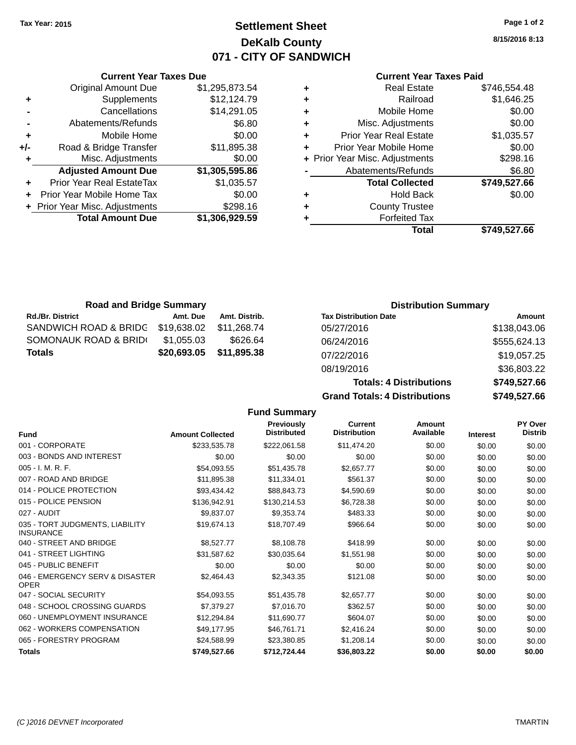### **Settlement Sheet Tax Year: 2015 Page 1 of 2 DeKalb County 071 - CITY OF SANDWICH**

**8/15/2016 8:13**

**Totals: 4 Distributions \$749,527.66 Grand Totals: 4 Distributions \$749,527.66**

#### **Current Year Taxes Paid**

| ٠ | <b>Real Estate</b>             | \$746,554.48 |
|---|--------------------------------|--------------|
| ٠ | Railroad                       | \$1,646.25   |
| ٠ | Mobile Home                    | \$0.00       |
| ٠ | Misc. Adjustments              | \$0.00       |
| ٠ | <b>Prior Year Real Estate</b>  | \$1,035.57   |
| ٠ | Prior Year Mobile Home         | \$0.00       |
|   | + Prior Year Misc. Adjustments | \$298.16     |
|   | Abatements/Refunds             | \$6.80       |
|   | <b>Total Collected</b>         | \$749,527.66 |
|   | <b>Hold Back</b>               | \$0.00       |
| ٠ | <b>County Trustee</b>          |              |
|   | <b>Forfeited Tax</b>           |              |
|   | Total                          | \$749.527.66 |

| ÷ | Misc. Adjustments              | \$0.00         |   | + Prior Year Misc. |
|---|--------------------------------|----------------|---|--------------------|
|   | <b>Adjusted Amount Due</b>     | \$1,305,595.86 |   | Abateme            |
|   | Prior Year Real EstateTax      | \$1,035.57     |   | Tota               |
|   | Prior Year Mobile Home Tax     | \$0.00         |   |                    |
|   | + Prior Year Misc. Adjustments | \$298.16       | ٠ | Co                 |
|   | <b>Total Amount Due</b>        | \$1,306,929.59 |   | F                  |
|   |                                |                |   |                    |
|   |                                |                |   |                    |
|   |                                |                |   |                    |
|   |                                |                |   |                    |

**Current Year Taxes Due** Original Amount Due \$1,295,873.54

**Road & Bridge Transfer \$11,895.38** 

**+** Supplements \$12,124.79 **-** Cancellations \$14,291.05 **-** Abatements/Refunds \$6.80

**+** Mobile Home \$0.00<br>**+/-** Road & Bridge Transfer \$11,895.38

| <b>Road and Bridge Summary</b>    |             |               | <b>Distribution Summary</b>  |              |
|-----------------------------------|-------------|---------------|------------------------------|--------------|
| <b>Rd./Br. District</b>           | Amt. Due    | Amt. Distrib. | <b>Tax Distribution Date</b> | Amount       |
| SANDWICH ROAD & BRIDG \$19,638.02 |             | \$11.268.74   | 05/27/2016                   | \$138,043.06 |
| SOMONAUK ROAD & BRIDI             | \$1,055.03  | \$626.64      | 06/24/2016                   | \$555,624.13 |
| <b>Totals</b>                     | \$20,693.05 | \$11,895.38   | 07/22/2016                   | \$19,057.25  |
|                                   |             |               | 08/19/2016                   | \$36,803.22  |

| 08/19/2016                           |  |
|--------------------------------------|--|
| <b>Totals: 4 Distributions</b>       |  |
| <b>Grand Totals: 4 Distributions</b> |  |

|                                                     |                         | <b>Fund Summary</b>              |                                       |                            |                 |                           |
|-----------------------------------------------------|-------------------------|----------------------------------|---------------------------------------|----------------------------|-----------------|---------------------------|
| <b>Fund</b>                                         | <b>Amount Collected</b> | Previously<br><b>Distributed</b> | <b>Current</b><br><b>Distribution</b> | <b>Amount</b><br>Available | <b>Interest</b> | PY Over<br><b>Distrib</b> |
| 001 - CORPORATE                                     | \$233,535.78            | \$222,061.58                     | \$11,474.20                           | \$0.00                     | \$0.00          | \$0.00                    |
| 003 - BONDS AND INTEREST                            | \$0.00                  | \$0.00                           | \$0.00                                | \$0.00                     | \$0.00          | \$0.00                    |
| 005 - I. M. R. F.                                   | \$54,093.55             | \$51,435.78                      | \$2,657.77                            | \$0.00                     | \$0.00          | \$0.00                    |
| 007 - ROAD AND BRIDGE                               | \$11,895.38             | \$11,334.01                      | \$561.37                              | \$0.00                     | \$0.00          | \$0.00                    |
| 014 - POLICE PROTECTION                             | \$93,434.42             | \$88,843.73                      | \$4,590.69                            | \$0.00                     | \$0.00          | \$0.00                    |
| 015 - POLICE PENSION                                | \$136,942.91            | \$130,214.53                     | \$6,728.38                            | \$0.00                     | \$0.00          | \$0.00                    |
| 027 - AUDIT                                         | \$9,837.07              | \$9,353.74                       | \$483.33                              | \$0.00                     | \$0.00          | \$0.00                    |
| 035 - TORT JUDGMENTS, LIABILITY<br><b>INSURANCE</b> | \$19,674.13             | \$18,707.49                      | \$966.64                              | \$0.00                     | \$0.00          | \$0.00                    |
| 040 - STREET AND BRIDGE                             | \$8,527.77              | \$8,108.78                       | \$418.99                              | \$0.00                     | \$0.00          | \$0.00                    |
| 041 - STREET LIGHTING                               | \$31,587.62             | \$30,035.64                      | \$1,551.98                            | \$0.00                     | \$0.00          | \$0.00                    |
| 045 - PUBLIC BENEFIT                                | \$0.00                  | \$0.00                           | \$0.00                                | \$0.00                     | \$0.00          | \$0.00                    |
| 046 - EMERGENCY SERV & DISASTER<br><b>OPER</b>      | \$2,464.43              | \$2,343.35                       | \$121.08                              | \$0.00                     | \$0.00          | \$0.00                    |
| 047 - SOCIAL SECURITY                               | \$54,093.55             | \$51,435.78                      | \$2,657.77                            | \$0.00                     | \$0.00          | \$0.00                    |
| 048 - SCHOOL CROSSING GUARDS                        | \$7,379.27              | \$7,016.70                       | \$362.57                              | \$0.00                     | \$0.00          | \$0.00                    |
| 060 - UNEMPLOYMENT INSURANCE                        | \$12,294.84             | \$11,690.77                      | \$604.07                              | \$0.00                     | \$0.00          | \$0.00                    |
| 062 - WORKERS COMPENSATION                          | \$49,177.95             | \$46,761.71                      | \$2,416.24                            | \$0.00                     | \$0.00          | \$0.00                    |
| 065 - FORESTRY PROGRAM                              | \$24,588.99             | \$23,380.85                      | \$1,208.14                            | \$0.00                     | \$0.00          | \$0.00                    |
| <b>Totals</b>                                       | \$749,527.66            | \$712,724.44                     | \$36,803.22                           | \$0.00                     | \$0.00          | \$0.00                    |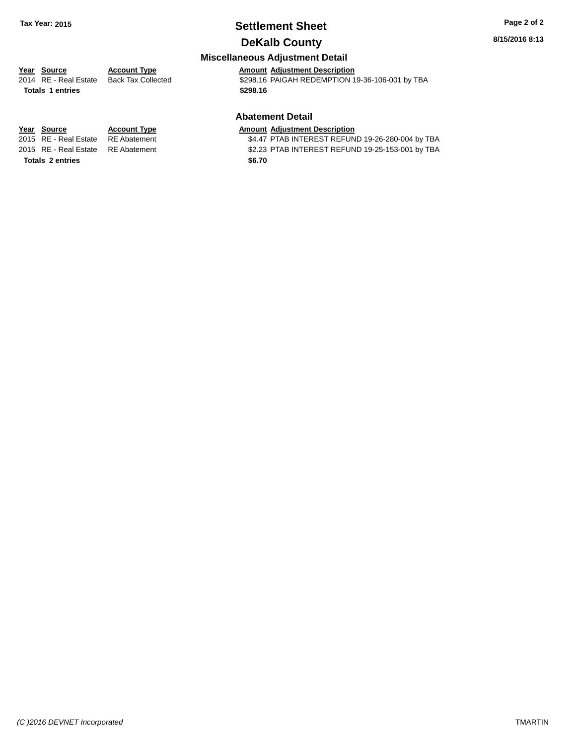## **Settlement Sheet Tax Year: 2015 Page 2 of 2**

### **DeKalb County**

**8/15/2016 8:13**

### **Miscellaneous Adjustment Detail**

**Totals \$298.16 1 entries**

**Year** Source **Account Type Account Adjustment Description** 

2014 RE - Real Estate Back Tax Collected \$298.16 PAIGAH REDEMPTION 19-36-106-001 by TBA

#### **Abatement Detail**

## **Year Source Account Type Amount Adjustment Description**<br>2015 RE - Real Estate RE Abatement \$4.47 PTAB INTEREST REFUN

\$4.47 PTAB INTEREST REFUND 19-26-280-004 by TBA 2015 RE - Real Estate RE Abatement \$2.23 PTAB INTEREST REFUND 19-25-153-001 by TBA

Totals 2 entries \$6.70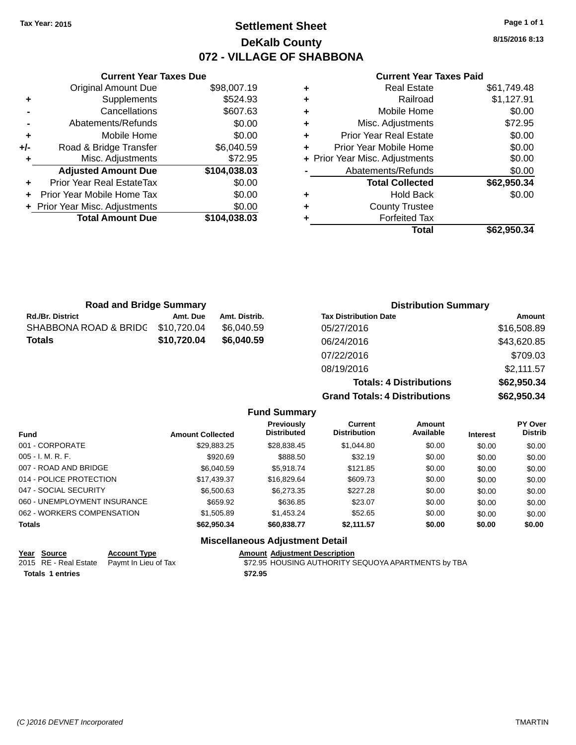### **Settlement Sheet Tax Year: 2015 Page 1 of 1 DeKalb County 072 - VILLAGE OF SHABBONA**

**8/15/2016 8:13**

| <b>Current Year Taxes Paid</b> |
|--------------------------------|
|--------------------------------|

|     | <b>Current Year Taxes Due</b>  |              |
|-----|--------------------------------|--------------|
|     | <b>Original Amount Due</b>     | \$98,007.19  |
| ٠   | Supplements                    | \$524.93     |
|     | Cancellations                  | \$607.63     |
|     | Abatements/Refunds             | \$0.00       |
| ٠   | Mobile Home                    | \$0.00       |
| +/- | Road & Bridge Transfer         | \$6,040.59   |
| ٠   | Misc. Adjustments              | \$72.95      |
|     | <b>Adjusted Amount Due</b>     | \$104,038.03 |
| ٠   | Prior Year Real EstateTax      | \$0.00       |
|     | Prior Year Mobile Home Tax     | \$0.00       |
|     | + Prior Year Misc. Adjustments | \$0.00       |
|     | <b>Total Amount Due</b>        | \$104.038.03 |
|     |                                |              |

| ٠ | <b>Real Estate</b>             | \$61,749.48 |
|---|--------------------------------|-------------|
| ٠ | Railroad                       | \$1,127.91  |
| ÷ | Mobile Home                    | \$0.00      |
| ٠ | Misc. Adjustments              | \$72.95     |
| ٠ | <b>Prior Year Real Estate</b>  | \$0.00      |
| ٠ | Prior Year Mobile Home         | \$0.00      |
|   | + Prior Year Misc. Adjustments | \$0.00      |
|   | Abatements/Refunds             | \$0.00      |
|   | <b>Total Collected</b>         | \$62,950.34 |
| ٠ | <b>Hold Back</b>               | \$0.00      |
| ٠ | <b>County Trustee</b>          |             |
| ٠ | <b>Forfeited Tax</b>           |             |
|   | Total                          | \$62,950.34 |
|   |                                |             |

| <b>Road and Bridge Summary</b> |             |               | <b>Distribution Summary</b>    |             |
|--------------------------------|-------------|---------------|--------------------------------|-------------|
| <b>Rd./Br. District</b>        | Amt. Due    | Amt. Distrib. | <b>Tax Distribution Date</b>   | Amount      |
| SHABBONA ROAD & BRIDC          | \$10,720.04 | \$6,040.59    | 05/27/2016                     | \$16,508.89 |
| <b>Totals</b>                  | \$10,720.04 | \$6,040.59    | 06/24/2016                     | \$43,620.85 |
|                                |             |               | 07/22/2016                     | \$709.03    |
|                                |             |               | 08/19/2016                     | \$2,111.57  |
|                                |             |               | <b>Totals: 4 Distributions</b> | \$62,950.34 |

**Grand Totals: 4 Distributions \$62,950.34**

|                              |                         | <b>Fund Summary</b>                    |                                       |                            |                 |                                  |
|------------------------------|-------------------------|----------------------------------------|---------------------------------------|----------------------------|-----------------|----------------------------------|
| <b>Fund</b>                  | <b>Amount Collected</b> | Previously<br><b>Distributed</b>       | <b>Current</b><br><b>Distribution</b> | <b>Amount</b><br>Available | <b>Interest</b> | <b>PY Over</b><br><b>Distrib</b> |
| 001 - CORPORATE              | \$29,883.25             | \$28,838.45                            | \$1.044.80                            | \$0.00                     | \$0.00          | \$0.00                           |
| $005 - I. M. R. F.$          | \$920.69                | \$888.50                               | \$32.19                               | \$0.00                     | \$0.00          | \$0.00                           |
| 007 - ROAD AND BRIDGE        | \$6,040.59              | \$5.918.74                             | \$121.85                              | \$0.00                     | \$0.00          | \$0.00                           |
| 014 - POLICE PROTECTION      | \$17,439.37             | \$16,829.64                            | \$609.73                              | \$0.00                     | \$0.00          | \$0.00                           |
| 047 - SOCIAL SECURITY        | \$6,500.63              | \$6,273,35                             | \$227.28                              | \$0.00                     | \$0.00          | \$0.00                           |
| 060 - UNEMPLOYMENT INSURANCE | \$659.92                | \$636.85                               | \$23.07                               | \$0.00                     | \$0.00          | \$0.00                           |
| 062 - WORKERS COMPENSATION   | \$1,505.89              | \$1,453.24                             | \$52.65                               | \$0.00                     | \$0.00          | \$0.00                           |
| <b>Totals</b>                | \$62,950.34             | \$60,838.77                            | \$2,111.57                            | \$0.00                     | \$0.00          | \$0.00                           |
|                              |                         | <b>Miscellaneous Adjustment Detail</b> |                                       |                            |                 |                                  |

| Year Source      | <b>Account Type</b>                        |         | <b>Amount Adiustment Description</b>                |
|------------------|--------------------------------------------|---------|-----------------------------------------------------|
|                  | 2015 RE - Real Estate Paymt In Lieu of Tax |         | \$72.95 HOUSING AUTHORITY SEQUOYA APARTMENTS by TBA |
| Totals 1 entries |                                            | \$72.95 |                                                     |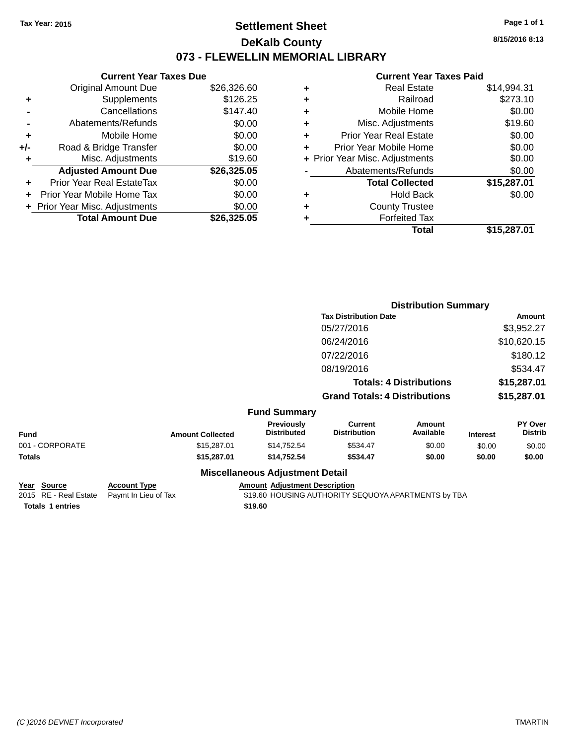### **Settlement Sheet Tax Year: 2015 Page 1 of 1 DeKalb County 073 - FLEWELLIN MEMORIAL LIBRARY**

**8/15/2016 8:13**

### **Current Year Taxes Paid**

|     | <b>Current Year Taxes Due</b>  |             |  |  |  |
|-----|--------------------------------|-------------|--|--|--|
|     | <b>Original Amount Due</b>     | \$26,326.60 |  |  |  |
| ٠   | Supplements                    | \$126.25    |  |  |  |
|     | Cancellations                  | \$147.40    |  |  |  |
|     | Abatements/Refunds             | \$0.00      |  |  |  |
| ٠   | Mobile Home                    | \$0.00      |  |  |  |
| +/- | Road & Bridge Transfer         | \$0.00      |  |  |  |
| ٠   | Misc. Adjustments              | \$19.60     |  |  |  |
|     | <b>Adjusted Amount Due</b>     | \$26,325.05 |  |  |  |
| ٠   | Prior Year Real EstateTax      | \$0.00      |  |  |  |
| ÷   | Prior Year Mobile Home Tax     | \$0.00      |  |  |  |
|     | + Prior Year Misc. Adjustments | \$0.00      |  |  |  |
|     | <b>Total Amount Due</b>        | \$26.325.05 |  |  |  |

| ٠ | <b>Real Estate</b>             | \$14,994.31 |
|---|--------------------------------|-------------|
| ٠ | Railroad                       | \$273.10    |
| ٠ | Mobile Home                    | \$0.00      |
| ٠ | Misc. Adjustments              | \$19.60     |
| ٠ | <b>Prior Year Real Estate</b>  | \$0.00      |
|   | Prior Year Mobile Home         | \$0.00      |
|   | + Prior Year Misc. Adjustments | \$0.00      |
|   | Abatements/Refunds             | \$0.00      |
|   | <b>Total Collected</b>         | \$15,287.01 |
| ٠ | <b>Hold Back</b>               | \$0.00      |
| ٠ | <b>County Trustee</b>          |             |
|   | <b>Forfeited Tax</b>           |             |
|   | Total                          | \$15,287.01 |
|   |                                |             |

|                 |                         |                                  |                                       | <b>Distribution Summary</b>    |                 |                           |
|-----------------|-------------------------|----------------------------------|---------------------------------------|--------------------------------|-----------------|---------------------------|
|                 |                         |                                  | <b>Tax Distribution Date</b>          |                                |                 | Amount                    |
|                 |                         |                                  | 05/27/2016                            |                                |                 | \$3,952.27                |
|                 |                         |                                  | 06/24/2016                            |                                |                 | \$10,620.15               |
|                 |                         |                                  | 07/22/2016                            |                                |                 | \$180.12                  |
|                 |                         |                                  | 08/19/2016                            |                                |                 | \$534.47                  |
|                 |                         |                                  |                                       | <b>Totals: 4 Distributions</b> |                 | \$15,287.01               |
|                 |                         |                                  | <b>Grand Totals: 4 Distributions</b>  |                                |                 | \$15,287.01               |
|                 |                         | <b>Fund Summary</b>              |                                       |                                |                 |                           |
| <b>Fund</b>     | <b>Amount Collected</b> | Previously<br><b>Distributed</b> | <b>Current</b><br><b>Distribution</b> | Amount<br>Available            | <b>Interest</b> | PY Over<br><b>Distrib</b> |
| 001 - CORPORATE | \$15,287.01             | \$14,752.54                      | \$534.47                              | \$0.00                         | \$0.00          | \$0.00                    |
| Totals          | \$15,287.01             | \$14,752.54                      | \$534.47                              | \$0.00                         | \$0.00          | \$0.00                    |
|                 |                         | Miccollangous Adiustmant Datail  |                                       |                                |                 |                           |

#### **Miscellaneous Adjustment Detail**

**Year Source Account Type Account Adjustment Description**<br>2015 RE - Real Estate Paymt In Lieu of Tax \$19.60 HOUSING AUTHORITY S \$19.60 HOUSING AUTHORITY SEQUOYA APARTMENTS by TBA Totals 1 entries \$19.60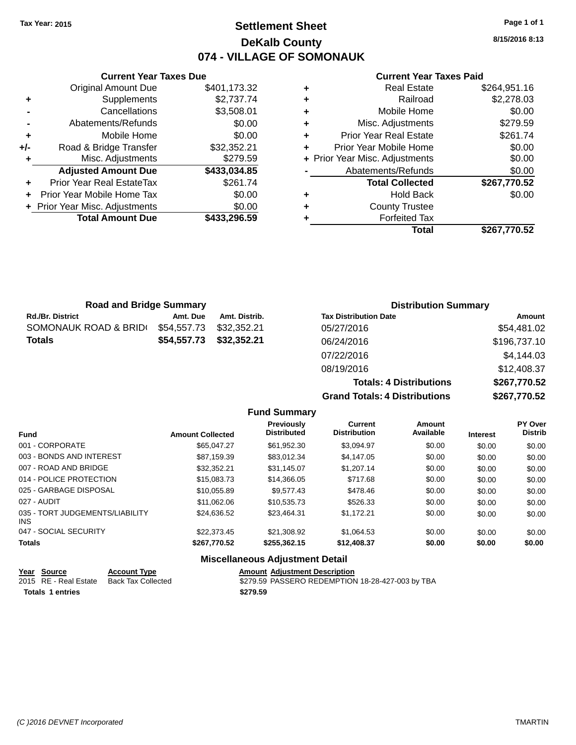### **Settlement Sheet Tax Year: 2015 Page 1 of 1 DeKalb County 074 - VILLAGE OF SOMONAUK**

**8/15/2016 8:13**

| <b>Current Year Taxes Paid</b> |  |  |  |
|--------------------------------|--|--|--|
|--------------------------------|--|--|--|

|     | <b>Current Year Taxes Due</b>  |              |  |  |  |  |
|-----|--------------------------------|--------------|--|--|--|--|
|     | <b>Original Amount Due</b>     | \$401,173.32 |  |  |  |  |
| ٠   | Supplements                    | \$2,737.74   |  |  |  |  |
|     | Cancellations                  | \$3,508.01   |  |  |  |  |
|     | Abatements/Refunds             | \$0.00       |  |  |  |  |
| ٠   | Mobile Home                    | \$0.00       |  |  |  |  |
| +/- | Road & Bridge Transfer         | \$32,352.21  |  |  |  |  |
| ٠   | Misc. Adjustments              | \$279.59     |  |  |  |  |
|     | <b>Adjusted Amount Due</b>     | \$433,034.85 |  |  |  |  |
| ٠   | Prior Year Real EstateTax      | \$261.74     |  |  |  |  |
|     | Prior Year Mobile Home Tax     | \$0.00       |  |  |  |  |
|     | + Prior Year Misc. Adjustments | \$0.00       |  |  |  |  |
|     | <b>Total Amount Due</b>        | \$433,296.59 |  |  |  |  |
|     |                                |              |  |  |  |  |

|   | <b>Real Estate</b>             | \$264,951.16 |
|---|--------------------------------|--------------|
| ٠ | Railroad                       | \$2,278.03   |
| ٠ | Mobile Home                    | \$0.00       |
| ٠ | Misc. Adjustments              | \$279.59     |
| ٠ | <b>Prior Year Real Estate</b>  | \$261.74     |
|   | Prior Year Mobile Home         | \$0.00       |
|   | + Prior Year Misc. Adjustments | \$0.00       |
|   | Abatements/Refunds             | \$0.00       |
|   | <b>Total Collected</b>         | \$267,770.52 |
| ٠ | <b>Hold Back</b>               | \$0.00       |
| ٠ | <b>County Trustee</b>          |              |
|   | <b>Forfeited Tax</b>           |              |
|   | Total                          | \$267,770.52 |
|   |                                |              |

| <b>Road and Bridge Summary</b> |             |               | <b>Distribution Summary</b>          |              |
|--------------------------------|-------------|---------------|--------------------------------------|--------------|
| Rd./Br. District               | Amt. Due    | Amt. Distrib. | <b>Tax Distribution Date</b>         | Amount       |
| SOMONAUK ROAD & BRID(          | \$54,557.73 | \$32,352.21   | 05/27/2016                           | \$54,481.02  |
| Totals                         | \$54,557.73 | \$32,352.21   | 06/24/2016                           | \$196,737.10 |
|                                |             |               | 07/22/2016                           | \$4,144.03   |
|                                |             |               | 08/19/2016                           | \$12,408.37  |
|                                |             |               | <b>Totals: 4 Distributions</b>       | \$267,770.52 |
|                                |             |               | <b>Grand Totals: 4 Distributions</b> | \$267,770.52 |

|                                         |                         | <b>Fund Summary</b>              |                                       |                            |                 |                           |
|-----------------------------------------|-------------------------|----------------------------------|---------------------------------------|----------------------------|-----------------|---------------------------|
| <b>Fund</b>                             | <b>Amount Collected</b> | Previously<br><b>Distributed</b> | <b>Current</b><br><b>Distribution</b> | <b>Amount</b><br>Available | <b>Interest</b> | PY Over<br><b>Distrib</b> |
| 001 - CORPORATE                         | \$65.047.27             | \$61.952.30                      | \$3.094.97                            | \$0.00                     | \$0.00          | \$0.00                    |
| 003 - BONDS AND INTEREST                | \$87.159.39             | \$83,012.34                      | \$4,147.05                            | \$0.00                     | \$0.00          | \$0.00                    |
| 007 - ROAD AND BRIDGE                   | \$32.352.21             | \$31,145.07                      | \$1,207.14                            | \$0.00                     | \$0.00          | \$0.00                    |
| 014 - POLICE PROTECTION                 | \$15,083,73             | \$14,366.05                      | \$717.68                              | \$0.00                     | \$0.00          | \$0.00                    |
| 025 - GARBAGE DISPOSAL                  | \$10.055.89             | \$9.577.43                       | \$478.46                              | \$0.00                     | \$0.00          | \$0.00                    |
| 027 - AUDIT                             | \$11.062.06             | \$10.535.73                      | \$526.33                              | \$0.00                     | \$0.00          | \$0.00                    |
| 035 - TORT JUDGEMENTS/LIABILITY<br>INS. | \$24,636.52             | \$23,464.31                      | \$1,172.21                            | \$0.00                     | \$0.00          | \$0.00                    |
| 047 - SOCIAL SECURITY                   | \$22,373.45             | \$21,308.92                      | \$1,064.53                            | \$0.00                     | \$0.00          | \$0.00                    |
| <b>Totals</b>                           | \$267,770.52            | \$255.362.15                     | \$12,408.37                           | \$0.00                     | \$0.00          | \$0.00                    |
|                                         | --- --                  |                                  |                                       |                            |                 |                           |

| Year Source           | <b>Account Type</b> | <b>Amount Adiustment Description</b>             |
|-----------------------|---------------------|--------------------------------------------------|
| 2015 RE - Real Estate | Back Tax Collected  | \$279.59 PASSERO REDEMPTION 18-28-427-003 by TBA |
| Totals 1 entries      |                     | \$279.59                                         |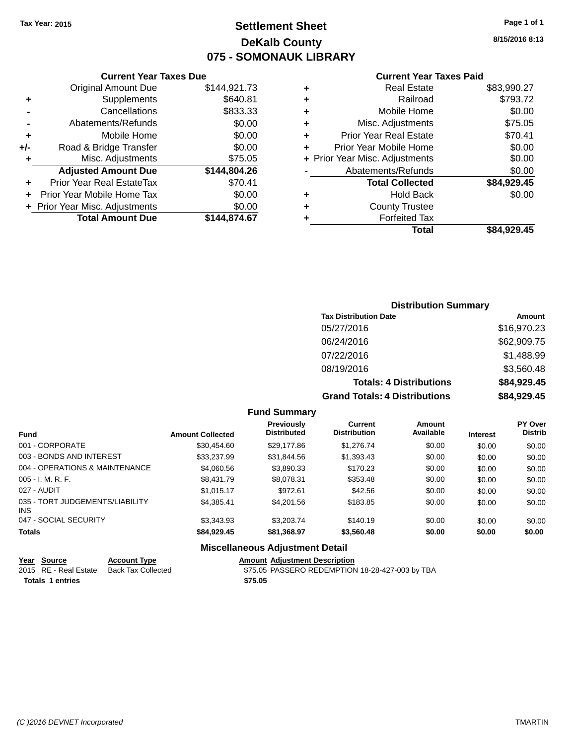### **Settlement Sheet Tax Year: 2015 Page 1 of 1 DeKalb County 075 - SOMONAUK LIBRARY**

**8/15/2016 8:13**

#### **Current Year Taxes Paid**

|       | <b>Total Amount Due</b>        | \$144,874.67 |
|-------|--------------------------------|--------------|
|       | + Prior Year Misc. Adjustments | \$0.00       |
|       | Prior Year Mobile Home Tax     | \$0.00       |
| ÷     | Prior Year Real EstateTax      | \$70.41      |
|       | <b>Adjusted Amount Due</b>     | \$144,804.26 |
| ٠     | Misc. Adjustments              | \$75.05      |
| $+/-$ | Road & Bridge Transfer         | \$0.00       |
| ٠     | Mobile Home                    | \$0.00       |
|       | Abatements/Refunds             | \$0.00       |
|       | Cancellations                  | \$833.33     |
| ٠     | Supplements                    | \$640.81     |
|       | <b>Original Amount Due</b>     | \$144,921.73 |
|       |                                |              |

**Current Year Taxes Due**

| ٠ | <b>Real Estate</b>             | \$83,990.27 |
|---|--------------------------------|-------------|
| ٠ | Railroad                       | \$793.72    |
| ٠ | Mobile Home                    | \$0.00      |
| ٠ | Misc. Adjustments              | \$75.05     |
| ٠ | <b>Prior Year Real Estate</b>  | \$70.41     |
| ٠ | Prior Year Mobile Home         | \$0.00      |
|   | + Prior Year Misc. Adjustments | \$0.00      |
|   | Abatements/Refunds             | \$0.00      |
|   | <b>Total Collected</b>         | \$84,929.45 |
| ٠ | Hold Back                      | \$0.00      |
| ٠ | <b>County Trustee</b>          |             |
| ٠ | <b>Forfeited Tax</b>           |             |
|   | Total                          | \$84,929.45 |
|   |                                |             |

### **Distribution Summary Tax Distribution Date Amount** 05/27/2016 \$16,970.23 06/24/2016 \$62,909.75 07/22/2016 \$1,488.99 08/19/2016 \$3,560.48 **Totals: 4 Distributions \$84,929.45 Grand Totals: 4 Distributions \$84,929.45**

#### **Fund Summary**

| <b>Fund</b>                                   | <b>Amount Collected</b> | Previously<br><b>Distributed</b> | Current<br><b>Distribution</b> | Amount<br>Available | <b>Interest</b> | <b>PY Over</b><br><b>Distrib</b> |
|-----------------------------------------------|-------------------------|----------------------------------|--------------------------------|---------------------|-----------------|----------------------------------|
| 001 - CORPORATE                               | \$30,454.60             | \$29,177.86                      | \$1,276.74                     | \$0.00              | \$0.00          | \$0.00                           |
| 003 - BONDS AND INTEREST                      | \$33,237.99             | \$31,844.56                      | \$1,393.43                     | \$0.00              | \$0.00          | \$0.00                           |
| 004 - OPERATIONS & MAINTENANCE                | \$4,060.56              | \$3,890.33                       | \$170.23                       | \$0.00              | \$0.00          | \$0.00                           |
| $005 - I. M. R. F.$                           | \$8,431.79              | \$8,078.31                       | \$353.48                       | \$0.00              | \$0.00          | \$0.00                           |
| 027 - AUDIT                                   | \$1.015.17              | \$972.61                         | \$42.56                        | \$0.00              | \$0.00          | \$0.00                           |
| 035 - TORT JUDGEMENTS/LIABILITY<br><b>INS</b> | \$4,385.41              | \$4,201.56                       | \$183.85                       | \$0.00              | \$0.00          | \$0.00                           |
| 047 - SOCIAL SECURITY                         | \$3,343.93              | \$3,203,74                       | \$140.19                       | \$0.00              | \$0.00          | \$0.00                           |
| <b>Totals</b>                                 | \$84.929.45             | \$81,368.97                      | \$3,560.48                     | \$0.00              | \$0.00          | \$0.00                           |

| Year Source           | <b>Account Type</b> |         | <b>Amount Adiustment Description</b>            |
|-----------------------|---------------------|---------|-------------------------------------------------|
| 2015 RE - Real Estate | Back Tax Collected  |         | \$75.05 PASSERO REDEMPTION 18-28-427-003 by TBA |
| Totals 1 entries      |                     | \$75.05 |                                                 |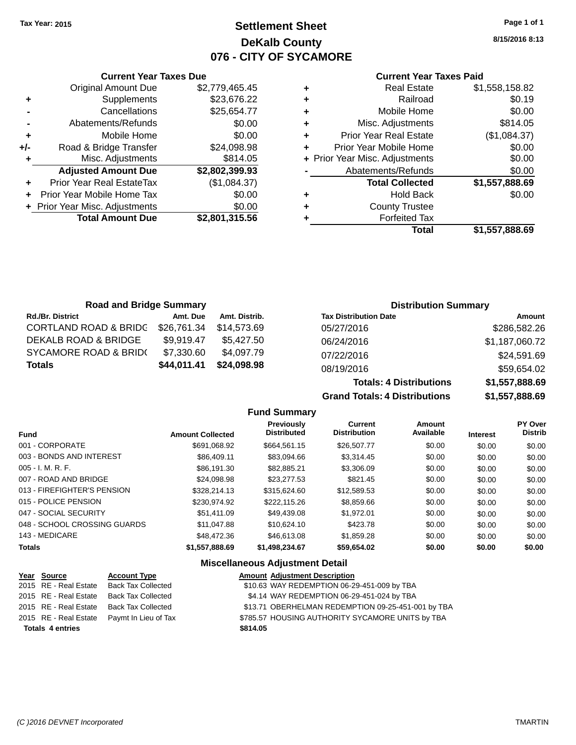### **Settlement Sheet Tax Year: 2015 Page 1 of 1 DeKalb County 076 - CITY OF SYCAMORE**

**8/15/2016 8:13**

#### **Current Year Taxes Paid**

|     | <b>Current Year Taxes Due</b>  |                |
|-----|--------------------------------|----------------|
|     | <b>Original Amount Due</b>     | \$2,779,465.45 |
| ٠   | Supplements                    | \$23,676.22    |
|     | Cancellations                  | \$25,654.77    |
|     | Abatements/Refunds             | \$0.00         |
| ÷   | Mobile Home                    | \$0.00         |
| +/- | Road & Bridge Transfer         | \$24,098.98    |
| ٠   | Misc. Adjustments              | \$814.05       |
|     | <b>Adjusted Amount Due</b>     | \$2,802,399.93 |
| ÷   | Prior Year Real EstateTax      | (\$1,084.37)   |
|     | Prior Year Mobile Home Tax     | \$0.00         |
|     | + Prior Year Misc. Adjustments | \$0.00         |
|     | <b>Total Amount Due</b>        | \$2,801,315.56 |
|     |                                |                |

| ٠ | <b>Real Estate</b>             | \$1,558,158.82 |
|---|--------------------------------|----------------|
| ٠ | Railroad                       | \$0.19         |
| ٠ | Mobile Home                    | \$0.00         |
| ٠ | Misc. Adjustments              | \$814.05       |
| ٠ | <b>Prior Year Real Estate</b>  | (\$1,084.37)   |
| ٠ | Prior Year Mobile Home         | \$0.00         |
|   | + Prior Year Misc. Adjustments | \$0.00         |
|   | Abatements/Refunds             | \$0.00         |
|   | <b>Total Collected</b>         | \$1,557,888.69 |
| ٠ | <b>Hold Back</b>               | \$0.00         |
| ٠ | <b>County Trustee</b>          |                |
| ٠ | <b>Forfeited Tax</b>           |                |
|   | Total                          | \$1,557,888.69 |
|   |                                |                |

**Totals: 4 Distributions \$1,557,888.69**

| <b>Road and Bridge Summary</b>   |             |               |                              | <b>Distribution Summary</b> |  |  |
|----------------------------------|-------------|---------------|------------------------------|-----------------------------|--|--|
| <b>Rd./Br. District</b>          | Amt. Due    | Amt. Distrib. | <b>Tax Distribution Date</b> | Amount                      |  |  |
| <b>CORTLAND ROAD &amp; BRIDG</b> | \$26,761.34 | \$14.573.69   | 05/27/2016                   | \$286,582.26                |  |  |
| DEKALB ROAD & BRIDGE             | \$9.919.47  | \$5.427.50    | 06/24/2016                   | \$1,187,060.72              |  |  |
| <b>SYCAMORE ROAD &amp; BRID(</b> | \$7,330.60  | \$4,097.79    | 07/22/2016                   | \$24,591.69                 |  |  |
| <b>Totals</b>                    | \$44,011.41 | \$24,098.98   | 08/19/2016                   | \$59,654.02                 |  |  |

#### **Grand Totals: 4 Distributions \$1,557,888.69 Fund Summary**

|                              |                         | י שיייייש שיייי                         |                                       |                     |                 |                           |
|------------------------------|-------------------------|-----------------------------------------|---------------------------------------|---------------------|-----------------|---------------------------|
| <b>Fund</b>                  | <b>Amount Collected</b> | <b>Previously</b><br><b>Distributed</b> | <b>Current</b><br><b>Distribution</b> | Amount<br>Available | <b>Interest</b> | PY Over<br><b>Distrib</b> |
| 001 - CORPORATE              | \$691,068.92            | \$664.561.15                            | \$26,507.77                           | \$0.00              | \$0.00          | \$0.00                    |
| 003 - BONDS AND INTEREST     | \$86,409.11             | \$83.094.66                             | \$3,314.45                            | \$0.00              | \$0.00          | \$0.00                    |
| $005 - I. M. R. F.$          | \$86,191.30             | \$82.885.21                             | \$3,306.09                            | \$0.00              | \$0.00          | \$0.00                    |
| 007 - ROAD AND BRIDGE        | \$24.098.98             | \$23,277.53                             | \$821.45                              | \$0.00              | \$0.00          | \$0.00                    |
| 013 - FIREFIGHTER'S PENSION  | \$328,214.13            | \$315,624,60                            | \$12,589.53                           | \$0.00              | \$0.00          | \$0.00                    |
| 015 - POLICE PENSION         | \$230,974.92            | \$222.115.26                            | \$8,859.66                            | \$0.00              | \$0.00          | \$0.00                    |
| 047 - SOCIAL SECURITY        | \$51,411.09             | \$49,439.08                             | \$1.972.01                            | \$0.00              | \$0.00          | \$0.00                    |
| 048 - SCHOOL CROSSING GUARDS | \$11.047.88             | \$10.624.10                             | \$423.78                              | \$0.00              | \$0.00          | \$0.00                    |
| 143 - MEDICARE               | \$48,472.36             | \$46,613,08                             | \$1,859.28                            | \$0.00              | \$0.00          | \$0.00                    |
| <b>Totals</b>                | \$1,557,888.69          | \$1.498.234.67                          | \$59.654.02                           | \$0.00              | \$0.00          | \$0.00                    |

| Year Source             | <b>Account Type</b>                        | <b>Amount Adjustment Description</b>               |
|-------------------------|--------------------------------------------|----------------------------------------------------|
|                         | 2015 RE - Real Estate Back Tax Collected   | \$10.63 WAY REDEMPTION 06-29-451-009 by TBA        |
| 2015 RE - Real Estate   | <b>Back Tax Collected</b>                  | \$4.14 WAY REDEMPTION 06-29-451-024 by TBA         |
| 2015 RE - Real Estate   | <b>Back Tax Collected</b>                  | \$13.71 OBERHELMAN REDEMPTION 09-25-451-001 by TBA |
|                         | 2015 RE - Real Estate Paymt In Lieu of Tax | \$785.57 HOUSING AUTHORITY SYCAMORE UNITS by TBA   |
| <b>Totals 4 entries</b> |                                            | \$814.05                                           |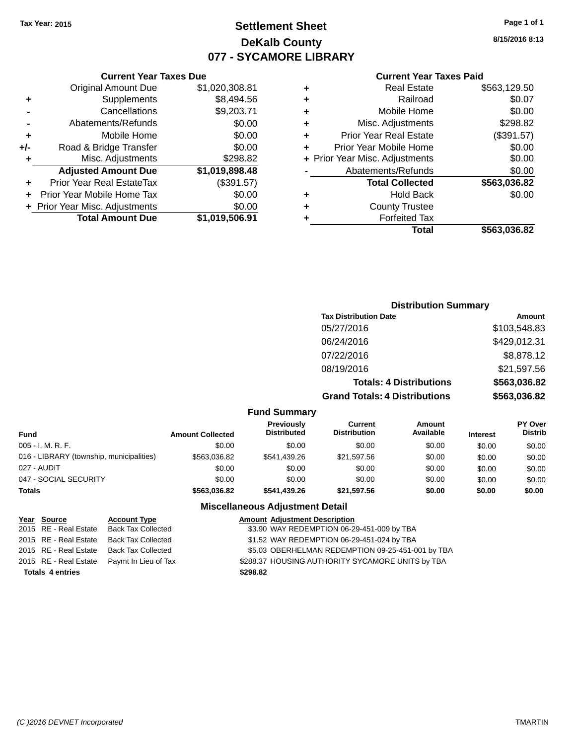## **Settlement Sheet Tax Year: 2015 Page 1 of 1 DeKalb County 077 - SYCAMORE LIBRARY**

**8/15/2016 8:13**

| <b>Current Year Taxes Paid</b> |  |  |  |
|--------------------------------|--|--|--|
|--------------------------------|--|--|--|

|     | <b>Total Amount Due</b>          | \$1,019,506.91 |
|-----|----------------------------------|----------------|
|     | + Prior Year Misc. Adjustments   | \$0.00         |
| ٠   | Prior Year Mobile Home Tax       | \$0.00         |
|     | <b>Prior Year Real EstateTax</b> | (\$391.57)     |
|     | <b>Adjusted Amount Due</b>       | \$1,019,898.48 |
| ٠   | Misc. Adjustments                | \$298.82       |
| +/- | Road & Bridge Transfer           | \$0.00         |
| ٠   | Mobile Home                      | \$0.00         |
|     | Abatements/Refunds               | \$0.00         |
|     | Cancellations                    | \$9,203.71     |
| ٠   | Supplements                      | \$8,494.56     |
|     | <b>Original Amount Due</b>       | \$1,020,308.81 |
|     |                                  |                |

**Current Year Taxes Due**

|   | <b>Real Estate</b>             | \$563,129.50 |
|---|--------------------------------|--------------|
| ٠ | Railroad                       | \$0.07       |
| ٠ | Mobile Home                    | \$0.00       |
| ٠ | Misc. Adjustments              | \$298.82     |
| ٠ | <b>Prior Year Real Estate</b>  | (\$391.57)   |
| ٠ | Prior Year Mobile Home         | \$0.00       |
|   | + Prior Year Misc. Adjustments | \$0.00       |
|   | Abatements/Refunds             | \$0.00       |
|   | <b>Total Collected</b>         | \$563,036.82 |
| ٠ | Hold Back                      | \$0.00       |
| ٠ | <b>County Trustee</b>          |              |
| ٠ | <b>Forfeited Tax</b>           |              |
|   | Total                          | \$563,036.82 |
|   |                                |              |

## **Distribution Summary Tax Distribution Date Amount** 05/27/2016 \$103,548.83 06/24/2016 \$429,012.31 07/22/2016 \$8,878.12 08/19/2016 \$21,597.56 **Totals: 4 Distributions \$563,036.82 Grand Totals: 4 Distributions \$563,036.82**

#### **Fund Summary**

| Fund                                     | <b>Amount Collected</b> | <b>Previously</b><br><b>Distributed</b> | <b>Current</b><br><b>Distribution</b> | Amount<br>Available | <b>Interest</b> | <b>PY Over</b><br><b>Distrib</b> |
|------------------------------------------|-------------------------|-----------------------------------------|---------------------------------------|---------------------|-----------------|----------------------------------|
| 005 - I. M. R. F.                        | \$0.00                  | \$0.00                                  | \$0.00                                | \$0.00              | \$0.00          | \$0.00                           |
| 016 - LIBRARY (township, municipalities) | \$563.036.82            | \$541,439.26                            | \$21,597.56                           | \$0.00              | \$0.00          | \$0.00                           |
| 027 - AUDIT                              | \$0.00                  | \$0.00                                  | \$0.00                                | \$0.00              | \$0.00          | \$0.00                           |
| 047 - SOCIAL SECURITY                    | \$0.00                  | \$0.00                                  | \$0.00                                | \$0.00              | \$0.00          | \$0.00                           |
| Totals                                   | \$563.036.82            | \$541,439.26                            | \$21,597.56                           | \$0.00              | \$0.00          | \$0.00                           |

#### **Miscellaneous Adjustment Detail**

| Year Source             | <b>Account Type</b>       | <b>Amount Adjustment Description</b>              |
|-------------------------|---------------------------|---------------------------------------------------|
| 2015 RE - Real Estate   | <b>Back Tax Collected</b> | \$3.90 WAY REDEMPTION 06-29-451-009 by TBA        |
| 2015 RE - Real Estate   | <b>Back Tax Collected</b> | \$1.52 WAY REDEMPTION 06-29-451-024 by TBA        |
| 2015 RE - Real Estate   | <b>Back Tax Collected</b> | \$5.03 OBERHELMAN REDEMPTION 09-25-451-001 by TBA |
| 2015 RE - Real Estate   | Paymt In Lieu of Tax      | \$288.37 HOUSING AUTHORITY SYCAMORE UNITS by TBA  |
| <b>Totals 4 entries</b> |                           | \$298.82                                          |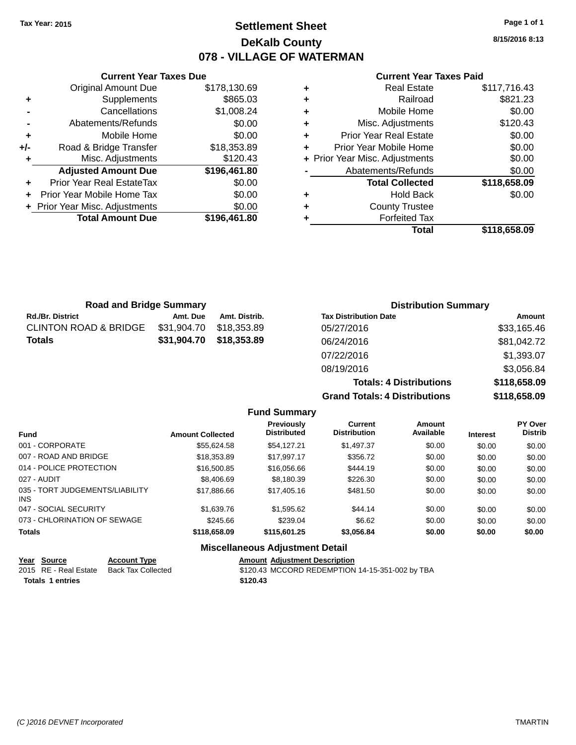## **Settlement Sheet Tax Year: 2015 Page 1 of 1 DeKalb County 078 - VILLAGE OF WATERMAN**

**8/15/2016 8:13**

#### **Current Year Taxes Paid**

|     | <b>Current Year Taxes Due</b>  |              |  |  |  |  |  |  |
|-----|--------------------------------|--------------|--|--|--|--|--|--|
|     | <b>Original Amount Due</b>     | \$178,130.69 |  |  |  |  |  |  |
| ٠   | Supplements                    | \$865.03     |  |  |  |  |  |  |
|     | \$1,008.24<br>Cancellations    |              |  |  |  |  |  |  |
|     | Abatements/Refunds             | \$0.00       |  |  |  |  |  |  |
| ٠   | Mobile Home                    | \$0.00       |  |  |  |  |  |  |
| +/- | Road & Bridge Transfer         | \$18,353.89  |  |  |  |  |  |  |
| ٠   | Misc. Adjustments              | \$120.43     |  |  |  |  |  |  |
|     | <b>Adjusted Amount Due</b>     | \$196,461.80 |  |  |  |  |  |  |
| ٠   | Prior Year Real EstateTax      | \$0.00       |  |  |  |  |  |  |
|     | Prior Year Mobile Home Tax     | \$0.00       |  |  |  |  |  |  |
|     | + Prior Year Misc. Adjustments | \$0.00       |  |  |  |  |  |  |
|     | <b>Total Amount Due</b>        | \$196,461.80 |  |  |  |  |  |  |
|     |                                |              |  |  |  |  |  |  |

| ٠ | Railroad                       | \$821.23     |
|---|--------------------------------|--------------|
| ٠ | Mobile Home                    | \$0.00       |
| ٠ | Misc. Adjustments              | \$120.43     |
| ٠ | <b>Prior Year Real Estate</b>  | \$0.00       |
| ٠ | Prior Year Mobile Home         | \$0.00       |
|   | + Prior Year Misc. Adjustments | \$0.00       |
|   | Abatements/Refunds             | \$0.00       |
|   | <b>Total Collected</b>         | \$118,658.09 |
| ٠ | <b>Hold Back</b>               | \$0.00       |
|   |                                |              |
| ٠ | <b>County Trustee</b>          |              |
|   | <b>Forfeited Tax</b>           |              |

| <b>Road and Bridge Summary</b>   |             |               | <b>Distribution Summary</b>    |              |  |
|----------------------------------|-------------|---------------|--------------------------------|--------------|--|
| <b>Rd./Br. District</b>          | Amt. Due    | Amt. Distrib. | <b>Tax Distribution Date</b>   | Amount       |  |
| <b>CLINTON ROAD &amp; BRIDGE</b> | \$31,904.70 | \$18.353.89   | 05/27/2016                     | \$33,165.46  |  |
| <b>Totals</b>                    | \$31,904.70 | \$18,353.89   | 06/24/2016                     | \$81,042.72  |  |
|                                  |             |               | 07/22/2016                     | \$1,393.07   |  |
|                                  |             |               | 08/19/2016                     | \$3,056.84   |  |
|                                  |             |               | <b>Totals: 4 Distributions</b> | \$118,658.09 |  |

**Grand Totals: 4 Distributions** 

| istributions | \$118,658.09 |
|--------------|--------------|
| istributions | \$118,658.09 |

|                                         |                         | <b>Fund Summary</b>                    |                                       |                     |                 |                           |
|-----------------------------------------|-------------------------|----------------------------------------|---------------------------------------|---------------------|-----------------|---------------------------|
| <b>Fund</b>                             | <b>Amount Collected</b> | Previously<br><b>Distributed</b>       | <b>Current</b><br><b>Distribution</b> | Amount<br>Available | <b>Interest</b> | PY Over<br><b>Distrib</b> |
| 001 - CORPORATE                         | \$55,624.58             | \$54.127.21                            | \$1,497.37                            | \$0.00              | \$0.00          | \$0.00                    |
| 007 - ROAD AND BRIDGE                   | \$18,353.89             | \$17.997.17                            | \$356.72                              | \$0.00              | \$0.00          | \$0.00                    |
| 014 - POLICE PROTECTION                 | \$16,500.85             | \$16,056,66                            | \$444.19                              | \$0.00              | \$0.00          | \$0.00                    |
| 027 - AUDIT                             | \$8,406.69              | \$8,180.39                             | \$226.30                              | \$0.00              | \$0.00          | \$0.00                    |
| 035 - TORT JUDGEMENTS/LIABILITY<br>INS. | \$17,886,66             | \$17,405.16                            | \$481.50                              | \$0.00              | \$0.00          | \$0.00                    |
| 047 - SOCIAL SECURITY                   | \$1,639.76              | \$1,595.62                             | \$44.14                               | \$0.00              | \$0.00          | \$0.00                    |
| 073 - CHLORINATION OF SEWAGE            | \$245.66                | \$239.04                               | \$6.62                                | \$0.00              | \$0.00          | \$0.00                    |
| <b>Totals</b>                           | \$118,658.09            | \$115,601.25                           | \$3,056.84                            | \$0.00              | \$0.00          | \$0.00                    |
|                                         |                         | <b>Miscellaneous Adjustment Detail</b> |                                       |                     |                 |                           |

| Year Source             | <b>Account Type</b> | <b>Amount Adiustment Description</b>            |
|-------------------------|---------------------|-------------------------------------------------|
| 2015 RE - Real Estate   | Back Tax Collected  | \$120.43 MCCORD REDEMPTION 14-15-351-002 by TBA |
| <b>Totals 1 entries</b> |                     | \$120.43                                        |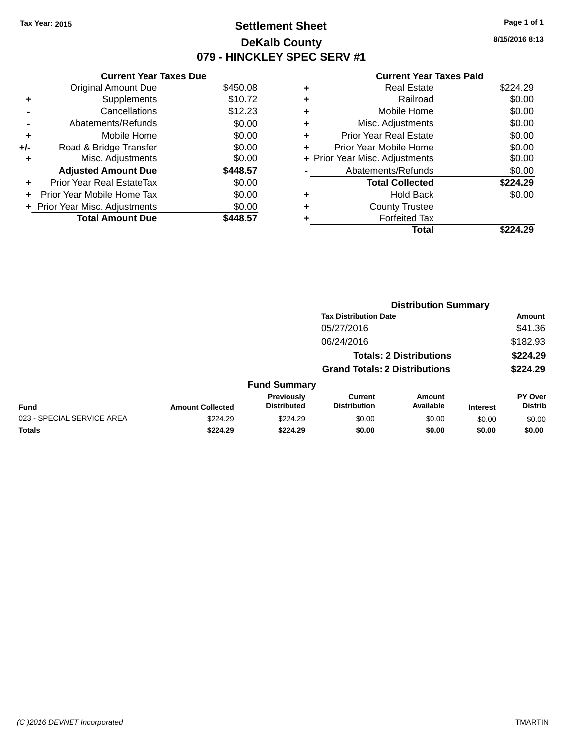## **Settlement Sheet Tax Year: 2015 Page 1 of 1 DeKalb County 079 - HINCKLEY SPEC SERV #1**

**8/15/2016 8:13**

## **Current Year Taxes Paid**

|       | <b>Current Year Taxes Due</b>  |          |
|-------|--------------------------------|----------|
|       | <b>Original Amount Due</b>     | \$450.08 |
| ٠     | Supplements                    | \$10.72  |
|       | Cancellations                  | \$12.23  |
|       | Abatements/Refunds             | \$0.00   |
| ÷     | Mobile Home                    | \$0.00   |
| $+/-$ | Road & Bridge Transfer         | \$0.00   |
|       | Misc. Adjustments              | \$0.00   |
|       | <b>Adjusted Amount Due</b>     | \$448.57 |
| ٠     | Prior Year Real EstateTax      | \$0.00   |
|       | Prior Year Mobile Home Tax     | \$0.00   |
|       | + Prior Year Misc. Adjustments | \$0.00   |
|       | <b>Total Amount Due</b>        | 448.57   |
|       |                                |          |

|   | <b>Real Estate</b>             | \$224.29 |
|---|--------------------------------|----------|
| ٠ | Railroad                       | \$0.00   |
| ٠ | Mobile Home                    | \$0.00   |
| ٠ | Misc. Adjustments              | \$0.00   |
| ٠ | <b>Prior Year Real Estate</b>  | \$0.00   |
|   | Prior Year Mobile Home         | \$0.00   |
|   | + Prior Year Misc. Adjustments | \$0.00   |
|   | Abatements/Refunds             | \$0.00   |
|   | <b>Total Collected</b>         | \$224.29 |
| ٠ | <b>Hold Back</b>               | \$0.00   |
|   | <b>County Trustee</b>          |          |
| ٠ | <b>Forfeited Tax</b>           |          |
|   | Total                          | \$224.29 |
|   |                                |          |

|                            |                         |                                  |                                       | <b>Distribution Summary</b>    |                 |                           |
|----------------------------|-------------------------|----------------------------------|---------------------------------------|--------------------------------|-----------------|---------------------------|
|                            |                         |                                  | <b>Tax Distribution Date</b>          |                                |                 | Amount                    |
|                            |                         |                                  | 05/27/2016                            |                                |                 | \$41.36                   |
|                            |                         |                                  | 06/24/2016                            |                                |                 | \$182.93                  |
|                            |                         |                                  |                                       | <b>Totals: 2 Distributions</b> |                 | \$224.29                  |
|                            |                         |                                  | <b>Grand Totals: 2 Distributions</b>  |                                |                 | \$224.29                  |
|                            |                         | <b>Fund Summary</b>              |                                       |                                |                 |                           |
| Fund                       | <b>Amount Collected</b> | Previously<br><b>Distributed</b> | <b>Current</b><br><b>Distribution</b> | Amount<br>Available            | <b>Interest</b> | PY Over<br><b>Distrib</b> |
| 023 - SPECIAL SERVICE AREA | \$224.29                | \$224.29                         | \$0.00                                | \$0.00                         | \$0.00          | \$0.00                    |
| <b>Totals</b>              | \$224.29                | \$224.29                         | \$0.00                                | \$0.00                         | \$0.00          | \$0.00                    |
|                            |                         |                                  |                                       |                                |                 |                           |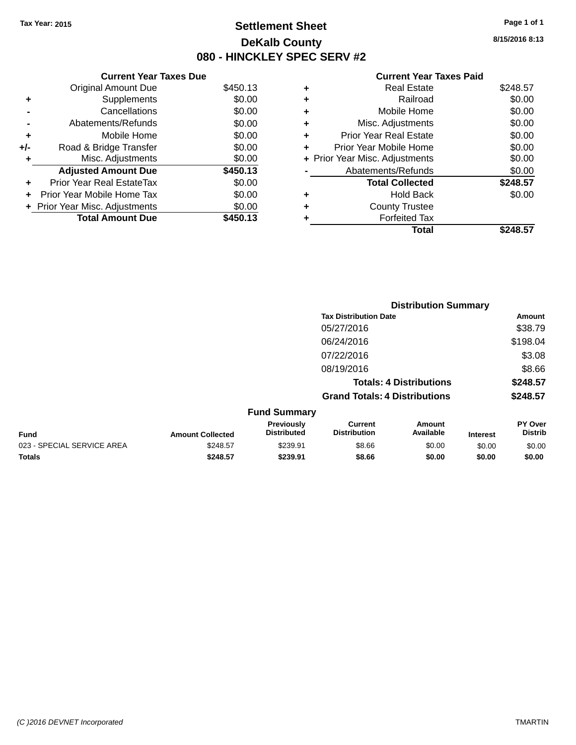## **Settlement Sheet Tax Year: 2015 Page 1 of 1 DeKalb County 080 - HINCKLEY SPEC SERV #2**

**8/15/2016 8:13**

### **Current Year Taxes Paid**

|     | <b>Current Year Taxes Due</b> |          |  |  |  |
|-----|-------------------------------|----------|--|--|--|
|     | <b>Original Amount Due</b>    | \$450.13 |  |  |  |
| ٠   | Supplements                   | \$0.00   |  |  |  |
|     | Cancellations                 | \$0.00   |  |  |  |
|     | Abatements/Refunds            | \$0.00   |  |  |  |
| ٠   | Mobile Home                   | \$0.00   |  |  |  |
| +/- | Road & Bridge Transfer        | \$0.00   |  |  |  |
| ٠   | Misc. Adjustments             | \$0.00   |  |  |  |
|     | <b>Adjusted Amount Due</b>    | \$450.13 |  |  |  |
| ÷   | Prior Year Real EstateTax     | \$0.00   |  |  |  |
|     | Prior Year Mobile Home Tax    | \$0.00   |  |  |  |
|     | Prior Year Misc. Adjustments  | \$0.00   |  |  |  |
|     | <b>Total Amount Due</b>       | \$450.13 |  |  |  |

| ٠ | <b>Real Estate</b>             | \$248.57 |
|---|--------------------------------|----------|
| ٠ | Railroad                       | \$0.00   |
| ٠ | Mobile Home                    | \$0.00   |
| ٠ | Misc. Adjustments              | \$0.00   |
| ٠ | <b>Prior Year Real Estate</b>  | \$0.00   |
| ٠ | Prior Year Mobile Home         | \$0.00   |
|   | + Prior Year Misc. Adjustments | \$0.00   |
|   | Abatements/Refunds             | \$0.00   |
|   | <b>Total Collected</b>         | \$248.57 |
| ٠ | <b>Hold Back</b>               | \$0.00   |
|   | <b>County Trustee</b>          |          |
| ٠ | <b>Forfeited Tax</b>           |          |
|   | Total                          | \$248.57 |
|   |                                |          |

|                            |                         |                                         |                                       | <b>Distribution Summary</b>    |                 |                           |
|----------------------------|-------------------------|-----------------------------------------|---------------------------------------|--------------------------------|-----------------|---------------------------|
|                            |                         |                                         | <b>Tax Distribution Date</b>          |                                |                 | Amount                    |
|                            |                         |                                         | 05/27/2016                            |                                |                 | \$38.79                   |
|                            |                         |                                         | 06/24/2016                            |                                |                 | \$198.04                  |
|                            |                         |                                         | 07/22/2016                            |                                |                 | \$3.08                    |
|                            |                         |                                         | 08/19/2016                            |                                |                 | \$8.66                    |
|                            |                         |                                         |                                       | <b>Totals: 4 Distributions</b> |                 | \$248.57                  |
|                            |                         |                                         | <b>Grand Totals: 4 Distributions</b>  |                                |                 | \$248.57                  |
|                            |                         | <b>Fund Summary</b>                     |                                       |                                |                 |                           |
| <b>Fund</b>                | <b>Amount Collected</b> | <b>Previously</b><br><b>Distributed</b> | <b>Current</b><br><b>Distribution</b> | <b>Amount</b><br>Available     | <b>Interest</b> | PY Over<br><b>Distrib</b> |
| 023 - SPECIAL SERVICE AREA | \$248.57                | \$239.91                                | \$8.66                                | \$0.00                         | \$0.00          | \$0.00                    |
| <b>Totals</b>              | \$248.57                | \$239.91                                | \$8.66                                | \$0.00                         | \$0.00          | \$0.00                    |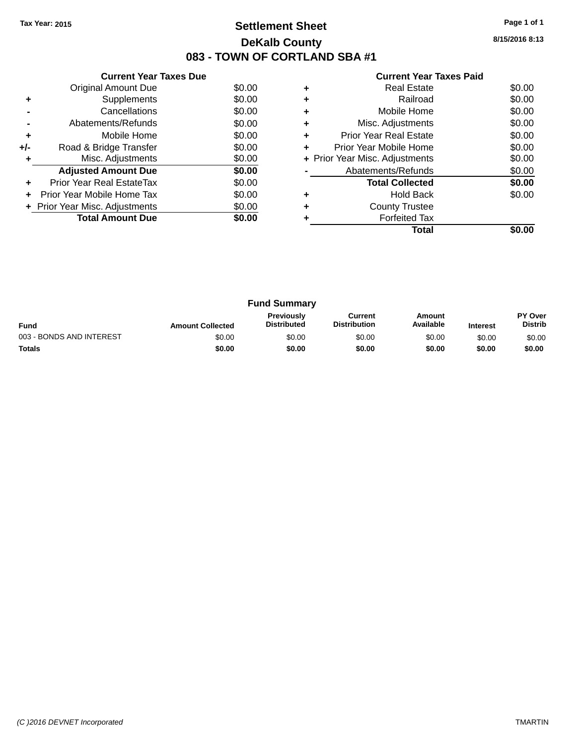## **Settlement Sheet Tax Year: 2015 Page 1 of 1 DeKalb County 083 - TOWN OF CORTLAND SBA #1**

**8/15/2016 8:13**

| <b>Current Year Taxes Paid</b> |  |  |  |
|--------------------------------|--|--|--|
|--------------------------------|--|--|--|

|     | <b>Current Year Taxes Due</b>  |        |  |  |  |
|-----|--------------------------------|--------|--|--|--|
|     | Original Amount Due            | \$0.00 |  |  |  |
| ÷   | Supplements                    | \$0.00 |  |  |  |
|     | Cancellations                  | \$0.00 |  |  |  |
|     | Abatements/Refunds             | \$0.00 |  |  |  |
| ٠   | Mobile Home                    | \$0.00 |  |  |  |
| +/- | Road & Bridge Transfer         | \$0.00 |  |  |  |
| ٠   | Misc. Adjustments              | \$0.00 |  |  |  |
|     | <b>Adjusted Amount Due</b>     | \$0.00 |  |  |  |
| ٠   | Prior Year Real EstateTax      | \$0.00 |  |  |  |
| ÷   | Prior Year Mobile Home Tax     | \$0.00 |  |  |  |
|     | + Prior Year Misc. Adjustments | \$0.00 |  |  |  |
|     | <b>Total Amount Due</b>        | \$0.00 |  |  |  |
|     |                                |        |  |  |  |

|   | <b>Real Estate</b>             | \$0.00 |
|---|--------------------------------|--------|
| ٠ | Railroad                       | \$0.00 |
| ٠ | Mobile Home                    | \$0.00 |
| ٠ | Misc. Adjustments              | \$0.00 |
| ٠ | <b>Prior Year Real Estate</b>  | \$0.00 |
| ٠ | Prior Year Mobile Home         | \$0.00 |
|   | + Prior Year Misc. Adjustments | \$0.00 |
|   | Abatements/Refunds             | \$0.00 |
|   | <b>Total Collected</b>         | \$0.00 |
| ٠ | <b>Hold Back</b>               | \$0.00 |
| ÷ | <b>County Trustee</b>          |        |
|   | <b>Forfeited Tax</b>           |        |
|   | Total                          |        |

| <b>Fund Summary</b>      |                         |                                         |                                |                     |                 |                                  |
|--------------------------|-------------------------|-----------------------------------------|--------------------------------|---------------------|-----------------|----------------------------------|
| <b>Fund</b>              | <b>Amount Collected</b> | <b>Previously</b><br><b>Distributed</b> | Current<br><b>Distribution</b> | Amount<br>Available | <b>Interest</b> | <b>PY Over</b><br><b>Distrib</b> |
| 003 - BONDS AND INTEREST | \$0.00                  | \$0.00                                  | \$0.00                         | \$0.00              | \$0.00          | \$0.00                           |
| <b>Totals</b>            | \$0.00                  | \$0.00                                  | \$0.00                         | \$0.00              | \$0.00          | \$0.00                           |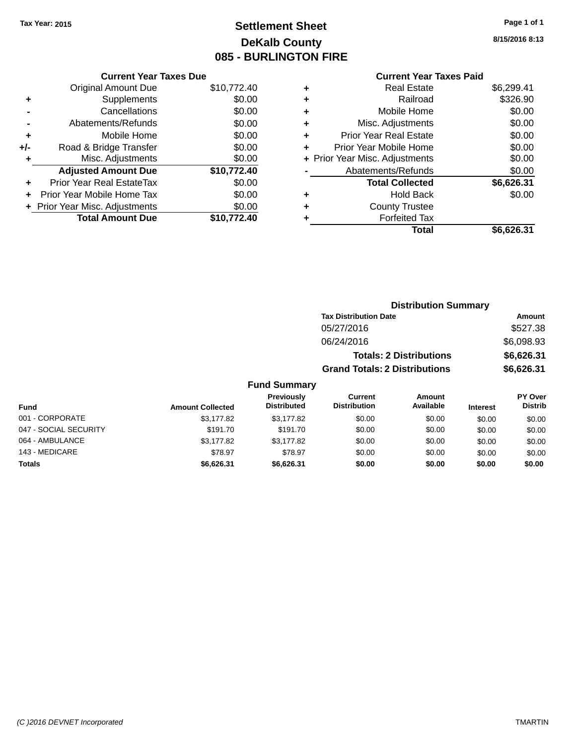## **Settlement Sheet Tax Year: 2015 Page 1 of 1 DeKalb County 085 - BURLINGTON FIRE**

**Current Year Taxes Due** Original Amount Due \$10,772.40 **+** Supplements \$0.00 **-** Cancellations \$0.00 **-** Abatements/Refunds \$0.00 **+** Mobile Home \$0.00 **+/-** Road & Bridge Transfer \$0.00 **+** Misc. Adjustments \$0.00 **Adjusted Amount Due \$10,772.40 +** Prior Year Real EstateTax \$0.00 **+** Prior Year Mobile Home Tax \$0.00 **+** Prior Year Misc. Adjustments \$0.00<br> **Total Amount Due** \$10,772.40 **Total Amount Due** 

## **Current Year Taxes Paid**

|   | <b>Real Estate</b>             | \$6,299.41 |
|---|--------------------------------|------------|
| ٠ | Railroad                       | \$326.90   |
| ٠ | Mobile Home                    | \$0.00     |
| ٠ | Misc. Adjustments              | \$0.00     |
| ٠ | <b>Prior Year Real Estate</b>  | \$0.00     |
| ٠ | Prior Year Mobile Home         | \$0.00     |
|   | + Prior Year Misc. Adjustments | \$0.00     |
|   | Abatements/Refunds             | \$0.00     |
|   | <b>Total Collected</b>         | \$6,626.31 |
| ٠ | <b>Hold Back</b>               | \$0.00     |
| ٠ | <b>County Trustee</b>          |            |
|   | <b>Forfeited Tax</b>           |            |
|   | Total                          | \$6.626.31 |
|   |                                |            |

**8/15/2016 8:13**

|                     |                                      | <b>Distribution Summary</b>    |                 |                |  |
|---------------------|--------------------------------------|--------------------------------|-----------------|----------------|--|
|                     | <b>Tax Distribution Date</b>         |                                |                 | Amount         |  |
|                     | 05/27/2016                           |                                |                 | \$527.38       |  |
|                     | 06/24/2016                           |                                |                 | \$6,098.93     |  |
|                     |                                      | <b>Totals: 2 Distributions</b> |                 | \$6,626.31     |  |
|                     | <b>Grand Totals: 2 Distributions</b> |                                |                 | \$6,626.31     |  |
| <b>Fund Summary</b> |                                      |                                |                 |                |  |
| <b>Previously</b>   | Current                              | Amount                         |                 | <b>PY Over</b> |  |
| <b>Distributed</b>  | <b>Distribution</b>                  | Available                      | <b>Interest</b> | <b>Distrib</b> |  |

| Fund                  | <b>Amount Collected</b> | <b>Previously</b><br><b>Distributed</b> | Current<br><b>Distribution</b> | Amount<br>Available | <b>Interest</b> | <b>PY Over</b><br><b>Distrib</b> |
|-----------------------|-------------------------|-----------------------------------------|--------------------------------|---------------------|-----------------|----------------------------------|
| 001 - CORPORATE       | \$3,177.82              | \$3,177.82                              | \$0.00                         | \$0.00              | \$0.00          | \$0.00                           |
| 047 - SOCIAL SECURITY | \$191.70                | \$191.70                                | \$0.00                         | \$0.00              | \$0.00          | \$0.00                           |
| 064 - AMBULANCE       | \$3,177.82              | \$3.177.82                              | \$0.00                         | \$0.00              | \$0.00          | \$0.00                           |
| 143 - MEDICARE        | \$78.97                 | \$78.97                                 | \$0.00                         | \$0.00              | \$0.00          | \$0.00                           |
| <b>Totals</b>         | \$6,626.31              | \$6,626.31                              | \$0.00                         | \$0.00              | \$0.00          | \$0.00                           |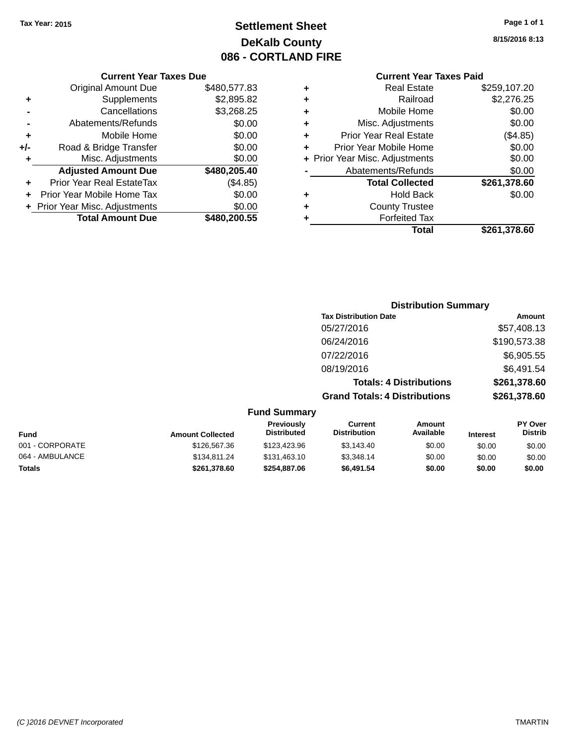## **Settlement Sheet Tax Year: 2015 Page 1 of 1 DeKalb County 086 - CORTLAND FIRE**

**8/15/2016 8:13**

### **Current Year Taxes Paid**

|       | <b>Current Year Taxes Due</b>  |              |  |  |  |
|-------|--------------------------------|--------------|--|--|--|
|       | <b>Original Amount Due</b>     | \$480,577.83 |  |  |  |
| ٠     | Supplements                    | \$2,895.82   |  |  |  |
|       | Cancellations                  | \$3,268.25   |  |  |  |
|       | Abatements/Refunds             | \$0.00       |  |  |  |
| ٠     | Mobile Home                    | \$0.00       |  |  |  |
| $+/-$ | Road & Bridge Transfer         | \$0.00       |  |  |  |
|       | Misc. Adjustments              | \$0.00       |  |  |  |
|       | <b>Adjusted Amount Due</b>     | \$480,205.40 |  |  |  |
| ٠     | Prior Year Real EstateTax      | (\$4.85)     |  |  |  |
|       | Prior Year Mobile Home Tax     | \$0.00       |  |  |  |
|       | + Prior Year Misc. Adjustments | \$0.00       |  |  |  |
|       | <b>Total Amount Due</b>        | \$480,200,55 |  |  |  |
|       |                                |              |  |  |  |

|   | <b>Real Estate</b>             | \$259,107.20 |
|---|--------------------------------|--------------|
| ٠ | Railroad                       | \$2,276.25   |
| ٠ | Mobile Home                    | \$0.00       |
| ٠ | Misc. Adjustments              | \$0.00       |
| ٠ | <b>Prior Year Real Estate</b>  | (\$4.85)     |
| ٠ | Prior Year Mobile Home         | \$0.00       |
|   | + Prior Year Misc. Adjustments | \$0.00       |
|   | Abatements/Refunds             | \$0.00       |
|   | <b>Total Collected</b>         | \$261,378.60 |
| ٠ | <b>Hold Back</b>               | \$0.00       |
| ÷ | <b>County Trustee</b>          |              |
| ٠ | <b>Forfeited Tax</b>           |              |
|   | Total                          | \$261,378.60 |
|   |                                |              |

|                     | <b>Distribution Summary</b>          |              |
|---------------------|--------------------------------------|--------------|
|                     | <b>Tax Distribution Date</b>         | Amount       |
|                     | 05/27/2016                           | \$57,408.13  |
|                     | 06/24/2016                           | \$190,573.38 |
|                     | 07/22/2016                           | \$6,905.55   |
|                     | 08/19/2016                           | \$6,491.54   |
|                     | <b>Totals: 4 Distributions</b>       | \$261,378.60 |
|                     | <b>Grand Totals: 4 Distributions</b> | \$261,378.60 |
| <b>Fund Summarv</b> |                                      |              |

| <b>Fund</b>     | <b>Amount Collected</b> | <b>Previously</b><br><b>Distributed</b> | Current<br><b>Distribution</b> | Amount<br>Available | <b>Interest</b> | <b>PY Over</b><br><b>Distrib</b> |
|-----------------|-------------------------|-----------------------------------------|--------------------------------|---------------------|-----------------|----------------------------------|
| 001 - CORPORATE | \$126,567,36            | \$123,423,96                            | \$3,143.40                     | \$0.00              | \$0.00          | \$0.00                           |
| 064 - AMBULANCE | \$134,811,24            | \$131.463.10                            | \$3,348.14                     | \$0.00              | \$0.00          | \$0.00                           |
| <b>Totals</b>   | \$261.378.60            | \$254.887.06                            | \$6,491.54                     | \$0.00              | \$0.00          | \$0.00                           |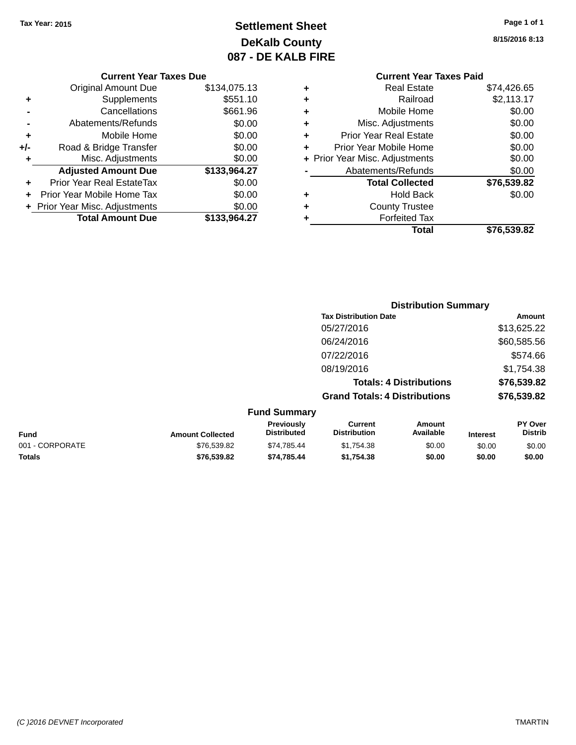## **Settlement Sheet Tax Year: 2015 Page 1 of 1 DeKalb County 087 - DE KALB FIRE**

**8/15/2016 8:13**

|     | <b>Original Amount Due</b>     | \$134,075.13 |
|-----|--------------------------------|--------------|
| ٠   | Supplements                    | \$551.10     |
|     | Cancellations                  | \$661.96     |
|     | Abatements/Refunds             | \$0.00       |
| ٠   | Mobile Home                    | \$0.00       |
| +/- | Road & Bridge Transfer         | \$0.00       |
| ٠   | Misc. Adjustments              | \$0.00       |
|     | <b>Adjusted Amount Due</b>     | \$133,964.27 |
| ÷   | Prior Year Real EstateTax      | \$0.00       |
|     | Prior Year Mobile Home Tax     | \$0.00       |
|     | + Prior Year Misc. Adjustments | \$0.00       |
|     | <b>Total Amount Due</b>        | \$133,964.27 |

#### **Current Year Taxes Paid +** Real Estate \$74,426.65 **+** Railroad \$2,113.17 **+** Mobile Home \$0.00 **+** Misc. Adjustments \$0.00 **+** Prior Year Real Estate \$0.00 **+** Prior Year Mobile Home \$0.00<br> **+** Prior Year Misc Adjustments \$0.00 **+** Prior Year Misc. Adjustments \$0.00

|           | Total                  | \$76,539.82 |
|-----------|------------------------|-------------|
| ÷         | <b>Forfeited Tax</b>   |             |
| $\ddot{}$ | <b>County Trustee</b>  |             |
| ÷         | <b>Hold Back</b>       | \$0.00      |
|           | <b>Total Collected</b> | \$76,539.82 |
|           | Abatements/Refunds     | \$0.00      |
|           |                        | JU.UU       |

|         | <b>Distribution Summary</b>          |             |
|---------|--------------------------------------|-------------|
|         | <b>Tax Distribution Date</b>         | Amount      |
|         | 05/27/2016                           | \$13,625.22 |
|         | 06/24/2016                           | \$60,585.56 |
|         | 07/22/2016                           | \$574.66    |
|         | 08/19/2016                           | \$1,754.38  |
|         | <b>Totals: 4 Distributions</b>       | \$76,539.82 |
|         | <b>Grand Totals: 4 Distributions</b> | \$76,539.82 |
| Summarv |                                      |             |

| <b>Fund Summary</b> |                         |                                         |                                |                     |                 |                                  |
|---------------------|-------------------------|-----------------------------------------|--------------------------------|---------------------|-----------------|----------------------------------|
| <b>Fund</b>         | <b>Amount Collected</b> | <b>Previously</b><br><b>Distributed</b> | Current<br><b>Distribution</b> | Amount<br>Available | <b>Interest</b> | <b>PY Over</b><br><b>Distrib</b> |
| 001 - CORPORATE     | \$76,539.82             | \$74.785.44                             | \$1.754.38                     | \$0.00              | \$0.00          | \$0.00                           |
| <b>Totals</b>       | \$76,539.82             | \$74.785.44                             | \$1.754.38                     | \$0.00              | \$0.00          | \$0.00                           |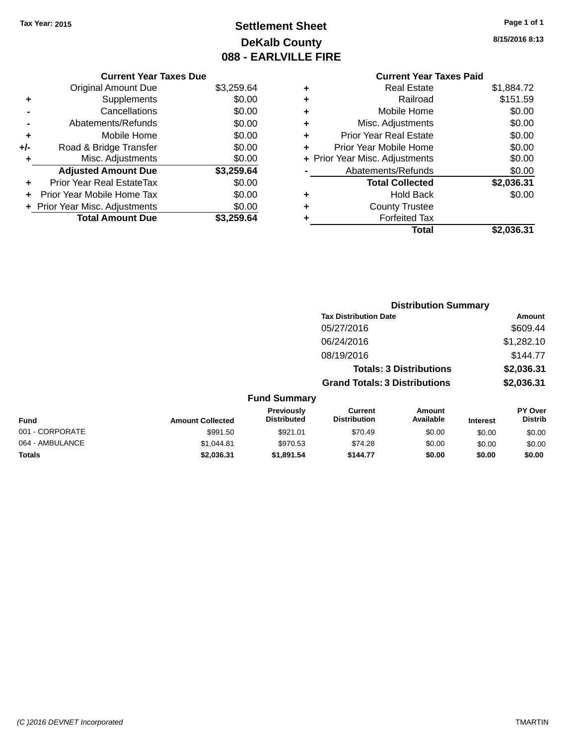## **Settlement Sheet Tax Year: 2015 Page 1 of 1 DeKalb County 088 - EARLVILLE FIRE**

**Totals \$2,036.31 \$1,891.54 \$144.77 \$0.00 \$0.00 \$0.00**

**8/15/2016 8:13**

# **Current Year Taxes Paid +** Real Estate \$1,884.72

|       | <b>Total Amount Due</b>          | \$3.259.64 |
|-------|----------------------------------|------------|
|       | + Prior Year Misc. Adjustments   | \$0.00     |
|       | Prior Year Mobile Home Tax       | \$0.00     |
| ÷     | <b>Prior Year Real EstateTax</b> | \$0.00     |
|       | <b>Adjusted Amount Due</b>       | \$3,259.64 |
| ٠     | Misc. Adjustments                | \$0.00     |
| $+/-$ | Road & Bridge Transfer           | \$0.00     |
| ٠     | Mobile Home                      | \$0.00     |
|       | Abatements/Refunds               | \$0.00     |
|       | Cancellations                    | \$0.00     |
| ٠     | Supplements                      | \$0.00     |
|       | <b>Original Amount Due</b>       | \$3,259.64 |

**Current Year Taxes Due**

| T | noar Loiaio                    | <b>JUUT.IL</b> |
|---|--------------------------------|----------------|
| ÷ | Railroad                       | \$151.59       |
| ÷ | Mobile Home                    | \$0.00         |
| ÷ | Misc. Adjustments              | \$0.00         |
| ÷ | <b>Prior Year Real Estate</b>  | \$0.00         |
| ٠ | Prior Year Mobile Home         | \$0.00         |
|   | + Prior Year Misc. Adjustments | \$0.00         |
|   | Abatements/Refunds             | \$0.00         |
|   | <b>Total Collected</b>         | \$2,036.31     |
| ٠ | <b>Hold Back</b>               | \$0.00         |
| ٠ | <b>County Trustee</b>          |                |
| ٠ | <b>Forfeited Tax</b>           |                |
|   | Total                          | \$2,036.31     |
|   |                                |                |

|                 |                         |                                  |                                       | <b>Distribution Summary</b> |                 |                           |
|-----------------|-------------------------|----------------------------------|---------------------------------------|-----------------------------|-----------------|---------------------------|
|                 |                         |                                  | <b>Tax Distribution Date</b>          |                             |                 | <b>Amount</b>             |
|                 |                         |                                  | 05/27/2016                            |                             |                 | \$609.44                  |
|                 |                         |                                  | 06/24/2016                            |                             |                 | \$1,282.10                |
|                 |                         |                                  | 08/19/2016                            |                             |                 | \$144.77                  |
|                 |                         |                                  | <b>Totals: 3 Distributions</b>        |                             |                 | \$2,036.31                |
|                 |                         |                                  | <b>Grand Totals: 3 Distributions</b>  |                             |                 | \$2,036.31                |
|                 |                         | <b>Fund Summary</b>              |                                       |                             |                 |                           |
| <b>Fund</b>     | <b>Amount Collected</b> | Previously<br><b>Distributed</b> | <b>Current</b><br><b>Distribution</b> | Amount<br>Available         | <b>Interest</b> | PY Over<br><b>Distrib</b> |
| 001 - CORPORATE | \$991.50                | \$921.01                         | \$70.49                               | \$0.00                      | \$0.00          | \$0.00                    |
| 064 - AMBULANCE | \$1.044.81              | \$970.53                         | \$74.28                               | \$0.00                      | \$0.00          | \$0.00                    |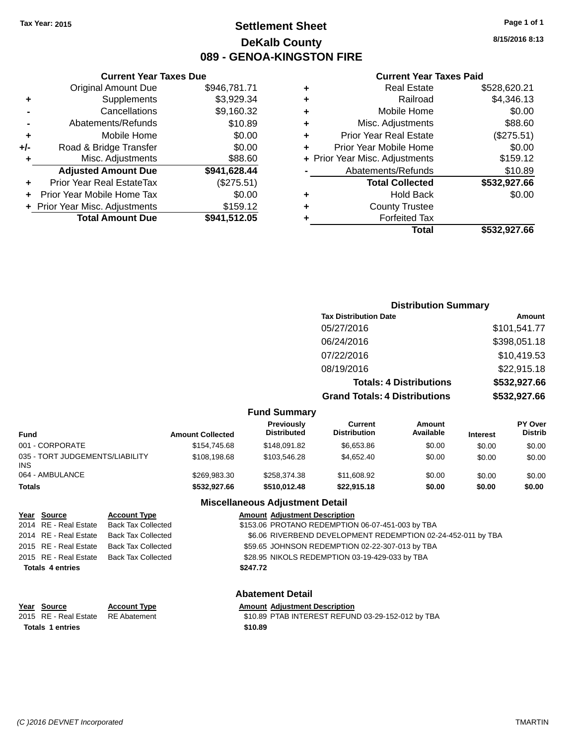## **Settlement Sheet Tax Year: 2015 Page 1 of 1 DeKalb County 089 - GENOA-KINGSTON FIRE**

**8/15/2016 8:13**

#### **Current Year Taxes Paid**

|         |   | Total                          | \$532,927.66 |
|---------|---|--------------------------------|--------------|
| 512.05  | ٠ | <b>Forfeited Tax</b>           |              |
| 159.12  | ٠ | <b>County Trustee</b>          |              |
| \$0.00  | ٠ | <b>Hold Back</b>               | \$0.00       |
| 275.51) |   | <b>Total Collected</b>         | \$532,927.66 |
| 628.44  |   | Abatements/Refunds             | \$10.89      |
| \$88.60 |   | + Prior Year Misc. Adjustments | \$159.12     |
| \$0.00  | ٠ | Prior Year Mobile Home         | \$0.00       |
| \$0.00  | ٠ | <b>Prior Year Real Estate</b>  | (\$275.51)   |
| \$10.89 | ٠ | Misc. Adjustments              | \$88.60      |
| 160.32  | ٠ | Mobile Home                    | \$0.00       |
| 929.34  | ÷ | Railroad                       | \$4,346.13   |
| 781.71  | ٠ | <b>Real Estate</b>             | \$528,620.21 |
|         |   |                                |              |

|     | <b>Current Year Taxes Due</b>  |              |
|-----|--------------------------------|--------------|
|     | <b>Original Amount Due</b>     | \$946,781.71 |
| ٠   | Supplements                    | \$3,929.34   |
|     | Cancellations                  | \$9,160.32   |
|     | Abatements/Refunds             | \$10.89      |
| ٠   | Mobile Home                    | \$0.00       |
| +/- | Road & Bridge Transfer         | \$0.00       |
| ٠   | Misc. Adjustments              | \$88.60      |
|     | <b>Adjusted Amount Due</b>     | \$941,628.44 |
| ٠   | Prior Year Real EstateTax      | (\$275.51)   |
|     | Prior Year Mobile Home Tax     | \$0.00       |
|     | + Prior Year Misc. Adjustments | \$159.12     |
|     | <b>Total Amount Due</b>        | \$941,512.05 |

|                     |                                      | <b>Distribution Summary</b>    |                |
|---------------------|--------------------------------------|--------------------------------|----------------|
|                     | <b>Tax Distribution Date</b>         |                                | Amount         |
|                     | 05/27/2016                           |                                | \$101,541.77   |
|                     | 06/24/2016                           |                                | \$398,051.18   |
|                     | 07/22/2016                           |                                | \$10,419.53    |
|                     | 08/19/2016                           |                                | \$22,915.18    |
|                     |                                      | <b>Totals: 4 Distributions</b> | \$532,927.66   |
|                     | <b>Grand Totals: 4 Distributions</b> |                                | \$532,927.66   |
| <b>Fund Summary</b> |                                      |                                |                |
| Previously          | Current                              | Amount                         | <b>PY Over</b> |

| <b>Fund</b>                                   | <b>Amount Collected</b> | <b>Previously</b><br><b>Distributed</b> | Current<br><b>Distribution</b> | Amount<br>Available | <b>Interest</b> | <b>PY Over</b><br><b>Distrib</b> |
|-----------------------------------------------|-------------------------|-----------------------------------------|--------------------------------|---------------------|-----------------|----------------------------------|
| 001 - CORPORATE                               | \$154,745.68            | \$148.091.82                            | \$6,653,86                     | \$0.00              | \$0.00          | \$0.00                           |
| 035 - TORT JUDGEMENTS/LIABILITY<br><b>INS</b> | \$108,198.68            | \$103.546.28                            | \$4,652,40                     | \$0.00              | \$0.00          | \$0.00                           |
| 064 - AMBULANCE                               | \$269.983.30            | \$258,374,38                            | \$11,608.92                    | \$0.00              | \$0.00          | \$0.00                           |
| <b>Totals</b>                                 | \$532,927.66            | \$510.012.48                            | \$22,915.18                    | \$0.00              | \$0.00          | \$0.00                           |

#### **Miscellaneous Adjustment Detail**

| Year Source             | <b>Account Type</b>                      | <b>Amount Adjustment Description</b>                         |
|-------------------------|------------------------------------------|--------------------------------------------------------------|
|                         | 2014 RE - Real Estate Back Tax Collected | \$153.06 PROTANO REDEMPTION 06-07-451-003 by TBA             |
| 2014 RE - Real Estate   | Back Tax Collected                       | \$6.06 RIVERBEND DEVELOPMENT REDEMPTION 02-24-452-011 by TBA |
|                         | 2015 RE - Real Estate Back Tax Collected | \$59.65 JOHNSON REDEMPTION 02-22-307-013 by TBA              |
|                         | 2015 RE - Real Estate Back Tax Collected | \$28.95 NIKOLS REDEMPTION 03-19-429-033 by TBA               |
| <b>Totals 4 entries</b> |                                          | \$247.72                                                     |
|                         |                                          |                                                              |

**Year Source Account Type And Amount Adjustment Description**<br>2015 RE - Real Estate RE Abatement **Account 1999 AMOUS** \$10.89 PTAB INTEREST REFUN **Totals \$10.89 1 entries**

#### **Abatement Detail**

 $\overline{$10.89}$  PTAB INTEREST REFUND 03-29-152-012 by TBA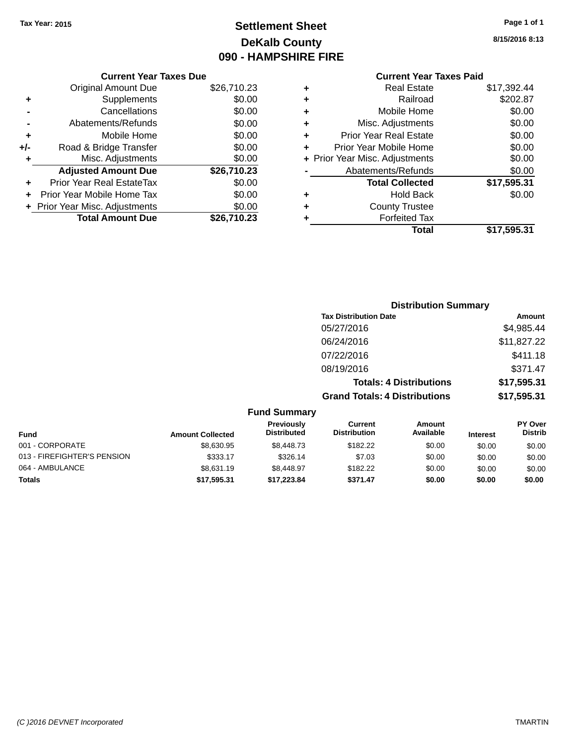## **Settlement Sheet Tax Year: 2015 Page 1 of 1 DeKalb County 090 - HAMPSHIRE FIRE**

**8/15/2016 8:13**

# **Current Year Taxes Paid**

|       | <b>Current Year Taxes Due</b>  |             |
|-------|--------------------------------|-------------|
|       | <b>Original Amount Due</b>     | \$26,710.23 |
| ٠     | Supplements                    | \$0.00      |
|       | Cancellations                  | \$0.00      |
|       | Abatements/Refunds             | \$0.00      |
| ÷     | Mobile Home                    | \$0.00      |
| $+/-$ | Road & Bridge Transfer         | \$0.00      |
|       | Misc. Adjustments              | \$0.00      |
|       | <b>Adjusted Amount Due</b>     | \$26,710.23 |
| ٠     | Prior Year Real EstateTax      | \$0.00      |
|       | Prior Year Mobile Home Tax     | \$0.00      |
|       | + Prior Year Misc. Adjustments | \$0.00      |
|       | <b>Total Amount Due</b>        | \$26.710.23 |
|       |                                |             |

|   | <b>Real Estate</b>             | \$17,392.44 |
|---|--------------------------------|-------------|
| ٠ | Railroad                       | \$202.87    |
| ٠ | Mobile Home                    | \$0.00      |
| ٠ | Misc. Adjustments              | \$0.00      |
| ٠ | <b>Prior Year Real Estate</b>  | \$0.00      |
| ٠ | Prior Year Mobile Home         | \$0.00      |
|   | + Prior Year Misc. Adjustments | \$0.00      |
|   | Abatements/Refunds             | \$0.00      |
|   | <b>Total Collected</b>         | \$17,595.31 |
| ٠ | <b>Hold Back</b>               | \$0.00      |
| ٠ | <b>County Trustee</b>          |             |
| ٠ | <b>Forfeited Tax</b>           |             |
|   | Total                          | \$17,595.31 |
|   |                                |             |

|                     | <b>Distribution Summary</b>          |             |
|---------------------|--------------------------------------|-------------|
|                     | <b>Tax Distribution Date</b>         | Amount      |
|                     | 05/27/2016                           | \$4,985.44  |
|                     | 06/24/2016                           | \$11,827.22 |
|                     | 07/22/2016                           | \$411.18    |
|                     | 08/19/2016                           | \$371.47    |
|                     | <b>Totals: 4 Distributions</b>       | \$17,595.31 |
|                     | <b>Grand Totals: 4 Distributions</b> | \$17,595.31 |
| <b>Eund Summary</b> |                                      |             |

| unu Junniary            |                                  |                                |                     |                 |                                  |  |
|-------------------------|----------------------------------|--------------------------------|---------------------|-----------------|----------------------------------|--|
| <b>Amount Collected</b> | Previously<br><b>Distributed</b> | Current<br><b>Distribution</b> | Amount<br>Available | <b>Interest</b> | <b>PY Over</b><br><b>Distrib</b> |  |
| \$8,630.95              | \$8,448.73                       | \$182.22                       | \$0.00              | \$0.00          | \$0.00                           |  |
| \$333.17                | \$326.14                         | \$7.03                         | \$0.00              | \$0.00          | \$0.00                           |  |
| \$8.631.19              | \$8.448.97                       | \$182.22                       | \$0.00              | \$0.00          | \$0.00                           |  |
| \$17,595.31             | \$17,223.84                      | \$371.47                       | \$0.00              | \$0.00          | \$0.00                           |  |
|                         |                                  |                                |                     |                 |                                  |  |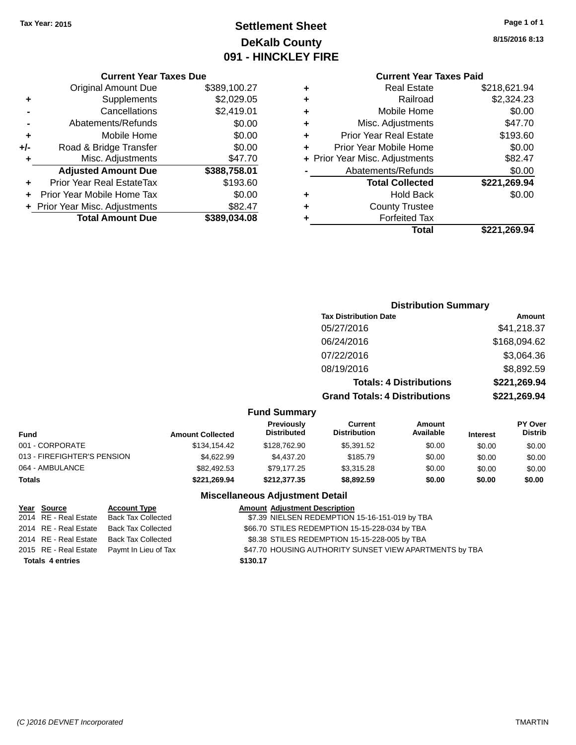## **Settlement Sheet Tax Year: 2015 Page 1 of 1 DeKalb County 091 - HINCKLEY FIRE**

**8/15/2016 8:13**

#### **Current Year Taxes Due**

|     | <b>Original Amount Due</b>     | \$389,100.27 |
|-----|--------------------------------|--------------|
| ٠   | Supplements                    | \$2,029.05   |
|     | Cancellations                  | \$2,419.01   |
|     | Abatements/Refunds             | \$0.00       |
| ٠   | Mobile Home                    | \$0.00       |
| +/- | Road & Bridge Transfer         | \$0.00       |
| ٠   | Misc. Adjustments              | \$47.70      |
|     | <b>Adjusted Amount Due</b>     | \$388,758.01 |
|     | Prior Year Real EstateTax      | \$193.60     |
|     | Prior Year Mobile Home Tax     | \$0.00       |
|     | + Prior Year Misc. Adjustments | \$82.47      |
|     | <b>Total Amount Due</b>        | \$389.034.08 |

## **Current Year Taxes Paid +** Real Estate \$218,621.94<br>**Railroad** \$2,324.23 **+** Railroad \$2,324.23 **+** Mobile Home \$0.00

| ٠ | Misc. Adjustments              | \$47.70      |
|---|--------------------------------|--------------|
| ٠ | <b>Prior Year Real Estate</b>  | \$193.60     |
|   | Prior Year Mobile Home         | \$0.00       |
|   | + Prior Year Misc. Adjustments | \$82.47      |
|   | Abatements/Refunds             | \$0.00       |
|   |                                |              |
|   | <b>Total Collected</b>         | \$221,269.94 |
|   | <b>Hold Back</b>               | \$0.00       |
| ٠ | <b>County Trustee</b>          |              |
|   | <b>Forfeited Tax</b>           |              |

## **Distribution Summary Tax Distribution Date Amount** 05/27/2016 \$41,218.37 06/24/2016 \$168,094.62 07/22/2016 \$3,064.36 08/19/2016 \$8,892.59 **Totals: 4 Distributions \$221,269.94 Grand Totals: 4 Distributions \$221,269.94**

#### **Fund Summary**

| Fund                        | <b>Amount Collected</b> | <b>Previously</b><br><b>Distributed</b> | Current<br><b>Distribution</b> | Amount<br>Available | <b>Interest</b> | <b>PY Over</b><br><b>Distrib</b> |
|-----------------------------|-------------------------|-----------------------------------------|--------------------------------|---------------------|-----------------|----------------------------------|
| 001 - CORPORATE             | \$134.154.42            | \$128,762.90                            | \$5,391.52                     | \$0.00              | \$0.00          | \$0.00                           |
| 013 - FIREFIGHTER'S PENSION | \$4.622.99              | \$4,437.20                              | \$185.79                       | \$0.00              | \$0.00          | \$0.00                           |
| 064 - AMBULANCE             | \$82,492.53             | \$79.177.25                             | \$3.315.28                     | \$0.00              | \$0.00          | \$0.00                           |
| Totals                      | \$221.269.94            | \$212,377,35                            | \$8,892.59                     | \$0.00              | \$0.00          | \$0.00                           |

## **Miscellaneous Adjustment Detail**

| Year Source             | <b>Account Type</b>                        | <b>Amount Adjustment Description</b>                    |
|-------------------------|--------------------------------------------|---------------------------------------------------------|
|                         | 2014 RE - Real Estate Back Tax Collected   | \$7.39 NIELSEN REDEMPTION 15-16-151-019 by TBA          |
|                         | 2014 RE - Real Estate Back Tax Collected   | \$66.70 STILES REDEMPTION 15-15-228-034 by TBA          |
|                         | 2014 RE - Real Estate Back Tax Collected   | \$8.38 STILES REDEMPTION 15-15-228-005 by TBA           |
|                         | 2015 RE - Real Estate Paymt In Lieu of Tax | \$47.70 HOUSING AUTHORITY SUNSET VIEW APARTMENTS by TBA |
| <b>Totals 4 entries</b> |                                            | \$130.17                                                |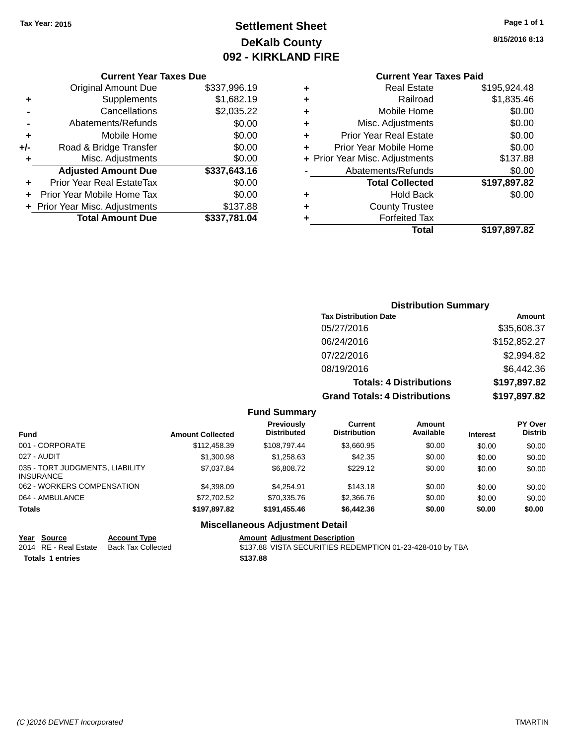## **Settlement Sheet Tax Year: 2015 Page 1 of 1 DeKalb County 092 - KIRKLAND FIRE**

## **8/15/2016 8:13**

|           | <b>Current Year Taxes Paid</b> |              |
|-----------|--------------------------------|--------------|
| ÷         | <b>Real Estate</b>             | \$195,924.48 |
| $\ddot{}$ | Railroad                       | \$1,835.46   |
| ÷         | Mobile Home                    | \$0.00       |
| ÷         | Misc. Adjustments              | \$0.00       |
| ÷         | <b>Prior Year Real Estate</b>  | \$0.00       |
| ÷         | Prior Year Mobile Home         | \$0.00       |

**+** Prior Year Misc. Adjustments \$137.88 **-** Abatements/Refunds \$0.00

**+** Hold Back \$0.00

**+** County Trustee **+** Forfeited Tax

**Total Collected \$197,897.82**

**Total \$197,897.82**

|                | Cancellations                  | \$2,035.22   |
|----------------|--------------------------------|--------------|
| $\blacksquare$ | Abatements/Refunds             | \$0.00       |
| ٠              | Mobile Home                    | \$0.00       |
| +/-            | Road & Bridge Transfer         | \$0.00       |
| $\ddot{}$      | Misc. Adjustments              | \$0.00       |
|                | <b>Adjusted Amount Due</b>     | \$337,643.16 |
|                |                                |              |
|                | Prior Year Real EstateTax      | \$0.00       |
|                | Prior Year Mobile Home Tax     | \$0.00       |
|                | + Prior Year Misc. Adjustments | \$137.88     |

**Current Year Taxes Due** Original Amount Due \$337,996.19

**+** Supplements \$1,682.19

## **Distribution Summary**

| <b>Tax Distribution Date</b>         | Amount       |
|--------------------------------------|--------------|
| 05/27/2016                           | \$35,608.37  |
| 06/24/2016                           | \$152,852.27 |
| 07/22/2016                           | \$2,994.82   |
| 08/19/2016                           | \$6,442.36   |
| <b>Totals: 4 Distributions</b>       | \$197,897.82 |
| <b>Grand Totals: 4 Distributions</b> | \$197,897.82 |

#### **Fund Summary**

| <b>Fund</b>                                         | <b>Amount Collected</b> | <b>Previously</b><br><b>Distributed</b> | Current<br><b>Distribution</b> | Amount<br>Available | <b>Interest</b> | <b>PY Over</b><br><b>Distrib</b> |
|-----------------------------------------------------|-------------------------|-----------------------------------------|--------------------------------|---------------------|-----------------|----------------------------------|
| 001 - CORPORATE                                     | \$112,458.39            | \$108.797.44                            | \$3.660.95                     | \$0.00              | \$0.00          | \$0.00                           |
| 027 - AUDIT                                         | \$1,300.98              | \$1.258.63                              | \$42.35                        | \$0.00              | \$0.00          | \$0.00                           |
| 035 - TORT JUDGMENTS, LIABILITY<br><b>INSURANCE</b> | \$7,037.84              | \$6,808.72                              | \$229.12                       | \$0.00              | \$0.00          | \$0.00                           |
| 062 - WORKERS COMPENSATION                          | \$4,398,09              | \$4.254.91                              | \$143.18                       | \$0.00              | \$0.00          | \$0.00                           |
| 064 - AMBULANCE                                     | \$72.702.52             | \$70.335.76                             | \$2,366.76                     | \$0.00              | \$0.00          | \$0.00                           |
| <b>Totals</b>                                       | \$197.897.82            | \$191.455.46                            | \$6,442.36                     | \$0.00              | \$0.00          | \$0.00                           |

#### **Miscellaneous Adjustment Detail**

**Year Source Account Type Amount Adjustment Description Totals \$137.88 1 entries**

2014 RE - Real Estate Back Tax Collected \$137.88 VISTA SECURITIES REDEMPTION 01-23-428-010 by TBA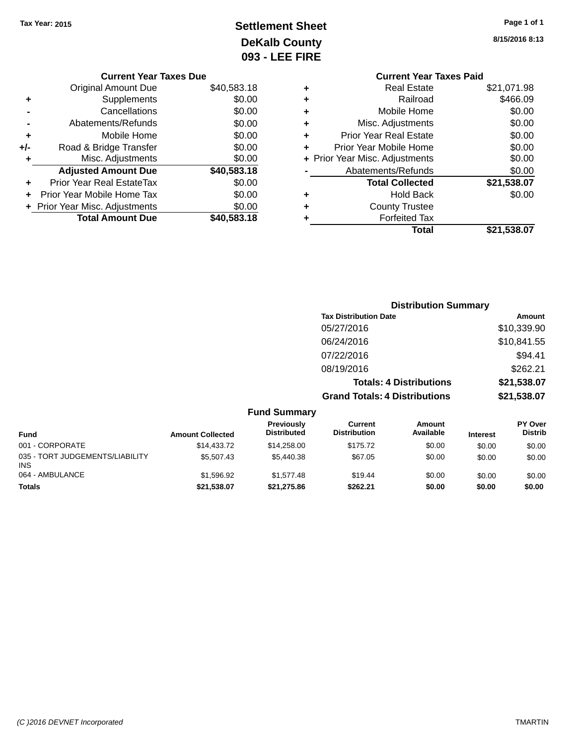## **Settlement Sheet Tax Year: 2015 Page 1 of 1 DeKalb County 093 - LEE FIRE**

| 8/15/2016 8:13 |
|----------------|
|                |

| <b>Current Year Taxes Due</b> |                                  |             |   | <b>Current Year Taxes Paid</b> |             |  |
|-------------------------------|----------------------------------|-------------|---|--------------------------------|-------------|--|
|                               | <b>Original Amount Due</b>       | \$40,583.18 |   | <b>Real Estate</b>             | \$21,071.98 |  |
| ٠                             | Supplements                      | \$0.00      | ٠ | Railroad                       | \$466.09    |  |
|                               | Cancellations                    | \$0.00      |   | Mobile Home                    | \$0.00      |  |
|                               | Abatements/Refunds               | \$0.00      | ٠ | Misc. Adjustments              | \$0.00      |  |
| ٠                             | Mobile Home                      | \$0.00      | ٠ | <b>Prior Year Real Estate</b>  | \$0.00      |  |
| +/-                           | Road & Bridge Transfer           | \$0.00      |   | Prior Year Mobile Home         | \$0.00      |  |
|                               | Misc. Adjustments                | \$0.00      |   | + Prior Year Misc. Adjustments | \$0.00      |  |
|                               | <b>Adjusted Amount Due</b>       | \$40,583.18 |   | Abatements/Refunds             | \$0.00      |  |
| ٠                             | <b>Prior Year Real EstateTax</b> | \$0.00      |   | <b>Total Collected</b>         | \$21,538.07 |  |
| ÷.                            | Prior Year Mobile Home Tax       | \$0.00      | ٠ | <b>Hold Back</b>               | \$0.00      |  |
|                               | + Prior Year Misc. Adjustments   | \$0.00      | ٠ | <b>County Trustee</b>          |             |  |
|                               | <b>Total Amount Due</b>          | \$40,583.18 |   | <b>Forfeited Tax</b>           |             |  |
|                               |                                  |             |   |                                | $\cdots$    |  |

**Total \$21,538.07**

|                                 |                         |                                         |                                       | <b>Distribution Summary</b>    |                 |                           |
|---------------------------------|-------------------------|-----------------------------------------|---------------------------------------|--------------------------------|-----------------|---------------------------|
|                                 |                         |                                         | <b>Tax Distribution Date</b>          |                                |                 | Amount                    |
|                                 |                         |                                         | 05/27/2016                            |                                |                 | \$10,339.90               |
|                                 |                         |                                         | 06/24/2016                            |                                |                 | \$10,841.55               |
|                                 |                         |                                         | 07/22/2016                            |                                |                 | \$94.41                   |
|                                 |                         |                                         | 08/19/2016                            |                                |                 | \$262.21                  |
|                                 |                         |                                         |                                       | <b>Totals: 4 Distributions</b> |                 | \$21,538.07               |
|                                 |                         |                                         | <b>Grand Totals: 4 Distributions</b>  |                                |                 | \$21,538.07               |
|                                 |                         | <b>Fund Summary</b>                     |                                       |                                |                 |                           |
| Fund                            | <b>Amount Collected</b> | <b>Previously</b><br><b>Distributed</b> | <b>Current</b><br><b>Distribution</b> | Amount<br>Available            | <b>Interest</b> | PY Over<br><b>Distrib</b> |
| 001 - CORPORATE                 | \$14,433.72             | \$14,258.00                             | \$175.72                              | \$0.00                         | \$0.00          | \$0.00                    |
| 035 - TORT JUDGEMENTS/LIABILITY | \$5,507.43              | \$5,440.38                              | \$67.05                               | \$0.00                         | \$0.00          | \$0.00                    |

064 - AMBULANCE \$1,596.92 \$1,577.48 \$19.44 \$0.00 \$0.00 \$0.00 \$0.00 **Totals \$21,538.07 \$21,275.86 \$262.21 \$0.00 \$0.00 \$0.00**

INS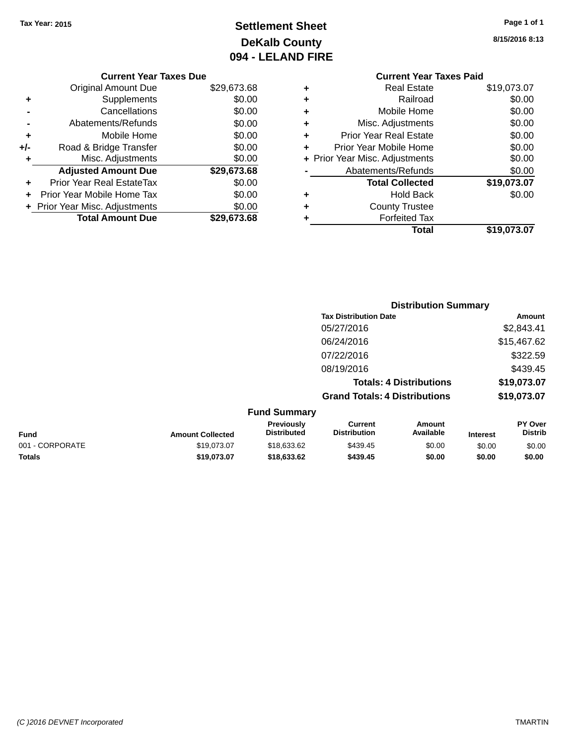## **Settlement Sheet Tax Year: 2015 Page 1 of 1 DeKalb County 094 - LELAND FIRE**

**8/15/2016 8:13**

**Total \$19,073.07**

|       | <b>Current Year Taxes Due</b>  |             |                    |
|-------|--------------------------------|-------------|--------------------|
|       | <b>Original Amount Due</b>     | \$29,673.68 |                    |
|       | <b>Supplements</b>             | \$0.00      |                    |
|       | Cancellations                  | \$0.00      |                    |
|       | Abatements/Refunds             | \$0.00      | М                  |
|       | Mobile Home                    | \$0.00      | Prior <sup>1</sup> |
| $+/-$ | Road & Bridge Transfer         | \$0.00      | Prior Ye           |
|       | Misc. Adjustments              | \$0.00      | + Prior Year M     |
|       | <b>Adjusted Amount Due</b>     | \$29,673.68 | Abat               |
|       | Prior Year Real EstateTax      | \$0.00      |                    |
|       | Prior Year Mobile Home Tax     | \$0.00      |                    |
|       | + Prior Year Misc. Adjustments | \$0.00      |                    |
|       | <b>Total Amount Due</b>        | \$29,673.68 |                    |
|       |                                |             |                    |

## **Current Year Taxes Paid +** Real Estate \$19,073.07 **+** Railroad \$0.00 **+** Mobile Home \$0.00 **Adjustments** \$0.00 **Friday** Prior Tear Real Estate **\$0.00 a** Prior Mobile Home **\$0.00 4** Adjustments **\$0.00** ements/Refunds \$0.00 **Total Collected \$19,073.07 +** Hold Back \$0.00 **+** County Trustee

**Forfeited Tax**<br>**Total** 

| <b>Distribution Summary</b>          |             |
|--------------------------------------|-------------|
| <b>Tax Distribution Date</b>         | Amount      |
| 05/27/2016                           | \$2,843.41  |
| 06/24/2016                           | \$15,467.62 |
| 07/22/2016                           | \$322.59    |
| 08/19/2016                           | \$439.45    |
| <b>Totals: 4 Distributions</b>       | \$19,073.07 |
| <b>Grand Totals: 4 Distributions</b> | \$19,073.07 |
|                                      |             |

| <b>Fund Summary</b> |                         |                                         |                                |                     |                 |                                  |
|---------------------|-------------------------|-----------------------------------------|--------------------------------|---------------------|-----------------|----------------------------------|
| <b>Fund</b>         | <b>Amount Collected</b> | <b>Previously</b><br><b>Distributed</b> | Current<br><b>Distribution</b> | Amount<br>Available | <b>Interest</b> | <b>PY Over</b><br><b>Distrib</b> |
| 001 - CORPORATE     | \$19.073.07             | \$18,633,62                             | \$439.45                       | \$0.00              | \$0.00          | \$0.00                           |
| <b>Totals</b>       | \$19,073,07             | \$18,633,62                             | \$439.45                       | \$0.00              | \$0.00          | \$0.00                           |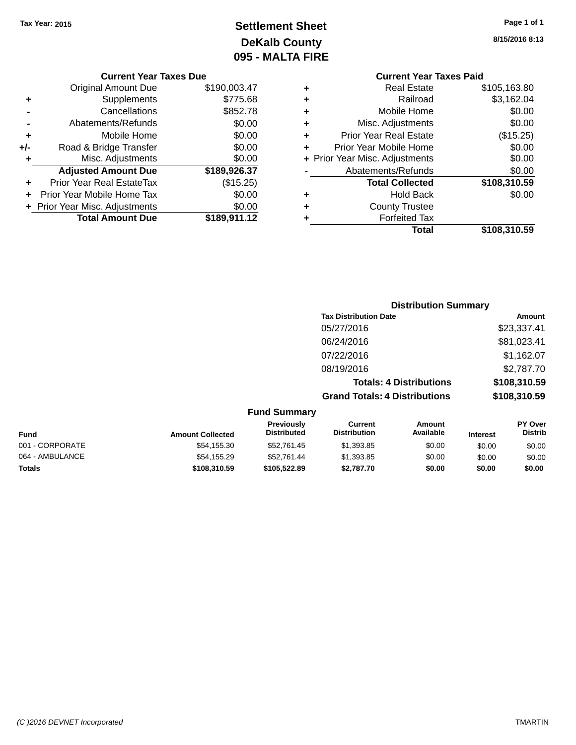## **Settlement Sheet Tax Year: 2015 Page 1 of 1 DeKalb County 095 - MALTA FIRE**

**8/15/2016 8:13**

**Current Year Taxes Paid**

|   | Gurient Tear Taxes Falu        |              |
|---|--------------------------------|--------------|
| ٠ | <b>Real Estate</b>             | \$105,163.80 |
| ÷ | Railroad                       | \$3,162.04   |
| ÷ | Mobile Home                    | \$0.00       |
| ÷ | Misc. Adjustments              | \$0.00       |
| ٠ | <b>Prior Year Real Estate</b>  | (\$15.25)    |
| ÷ | Prior Year Mobile Home         | \$0.00       |
|   | + Prior Year Misc. Adjustments | \$0.00       |
|   | Abatements/Refunds             | \$0.00       |
|   | <b>Total Collected</b>         | \$108,310.59 |
| ٠ | <b>Hold Back</b>               | \$0.00       |
| ٠ | <b>County Trustee</b>          |              |
| ٠ | <b>Forfeited Tax</b>           |              |
|   | Total                          | \$108,310.59 |
|   |                                |              |

|     | <b>Current Year Taxes Due</b>  |              |
|-----|--------------------------------|--------------|
|     | <b>Original Amount Due</b>     | \$190,003.47 |
| ٠   | Supplements                    | \$775.68     |
|     | Cancellations                  | \$852.78     |
|     | Abatements/Refunds             | \$0.00       |
| ٠   | Mobile Home                    | \$0.00       |
| +/- | Road & Bridge Transfer         | \$0.00       |
| ٠   | Misc. Adjustments              | \$0.00       |
|     | <b>Adjusted Amount Due</b>     | \$189,926.37 |
|     | Prior Year Real EstateTax      | (\$15.25)    |
|     | Prior Year Mobile Home Tax     | \$0.00       |
|     | + Prior Year Misc. Adjustments | \$0.00       |
|     | <b>Total Amount Due</b>        | \$189,911.12 |

|                     | <b>Distribution Summary</b>          |              |
|---------------------|--------------------------------------|--------------|
|                     | <b>Tax Distribution Date</b>         | Amount       |
|                     | 05/27/2016                           | \$23,337.41  |
|                     | 06/24/2016                           | \$81,023.41  |
|                     | 07/22/2016                           | \$1,162.07   |
|                     | 08/19/2016                           | \$2,787.70   |
|                     | <b>Totals: 4 Distributions</b>       | \$108,310.59 |
|                     | <b>Grand Totals: 4 Distributions</b> | \$108,310.59 |
| <b>Fund Summary</b> |                                      |              |

| <b>Fund</b>     | <b>Amount Collected</b> | <b>Previously</b><br><b>Distributed</b> | Current<br><b>Distribution</b> | Amount<br>Available | <b>Interest</b> | <b>PY Over</b><br><b>Distrib</b> |
|-----------------|-------------------------|-----------------------------------------|--------------------------------|---------------------|-----------------|----------------------------------|
| 001 - CORPORATE | \$54,155.30             | \$52,761.45                             | \$1,393.85                     | \$0.00              | \$0.00          | \$0.00                           |
| 064 - AMBULANCE | \$54,155.29             | \$52.761.44                             | \$1,393.85                     | \$0.00              | \$0.00          | \$0.00                           |
| <b>Totals</b>   | \$108,310.59            | \$105.522.89                            | \$2.787.70                     | \$0.00              | \$0.00          | \$0.00                           |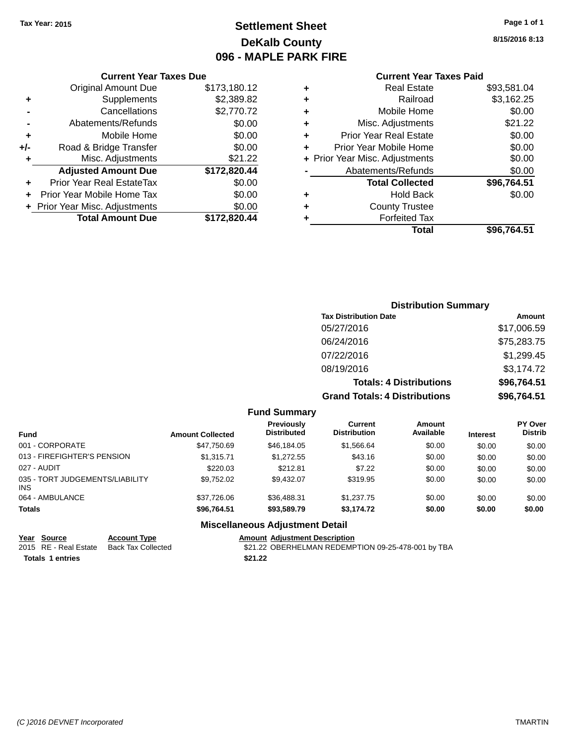## **Settlement Sheet Tax Year: 2015 Page 1 of 1 DeKalb County 096 - MAPLE PARK FIRE**

**8/15/2016 8:13**

|     | <b>Current Year Taxes Due</b>  |              |  |
|-----|--------------------------------|--------------|--|
|     | <b>Original Amount Due</b>     | \$173,180.12 |  |
| ٠   | Supplements                    | \$2,389.82   |  |
|     | Cancellations                  | \$2,770.72   |  |
|     | Abatements/Refunds             | \$0.00       |  |
| ٠   | Mobile Home                    | \$0.00       |  |
| +/- | Road & Bridge Transfer         | \$0.00       |  |
|     | Misc. Adjustments              | \$21.22      |  |
|     | <b>Adjusted Amount Due</b>     | \$172,820.44 |  |
| ٠   | Prior Year Real EstateTax      | \$0.00       |  |
|     | Prior Year Mobile Home Tax     | \$0.00       |  |
|     | + Prior Year Misc. Adjustments | \$0.00       |  |
|     | <b>Total Amount Due</b>        | \$172,820.44 |  |
|     |                                |              |  |

# **Current Year Taxes Paid**

|   | <b>Real Estate</b>             | \$93,581.04 |
|---|--------------------------------|-------------|
| ٠ | Railroad                       | \$3,162.25  |
| ٠ | Mobile Home                    | \$0.00      |
| ٠ | Misc. Adjustments              | \$21.22     |
| ٠ | <b>Prior Year Real Estate</b>  | \$0.00      |
| ٠ | Prior Year Mobile Home         | \$0.00      |
|   | + Prior Year Misc. Adjustments | \$0.00      |
|   | Abatements/Refunds             | \$0.00      |
|   | <b>Total Collected</b>         | \$96,764.51 |
| ٠ | Hold Back                      | \$0.00      |
| ٠ | <b>County Trustee</b>          |             |
| ٠ | <b>Forfeited Tax</b>           |             |
|   | Total                          | \$96,764.51 |
|   |                                |             |

## **Distribution Summary Tax Distribution Date Amount** 05/27/2016 \$17,006.59 06/24/2016 \$75,283.75 07/22/2016 \$1,299.45 08/19/2016 \$3,174.72 **Totals: 4 Distributions \$96,764.51 Grand Totals: 4 Distributions \$96,764.51**

#### **Fund Summary**

| <b>Fund</b>                             | <b>Amount Collected</b> | <b>Previously</b><br><b>Distributed</b> | Current<br><b>Distribution</b> | Amount<br>Available | <b>Interest</b> | <b>PY Over</b><br><b>Distrib</b> |
|-----------------------------------------|-------------------------|-----------------------------------------|--------------------------------|---------------------|-----------------|----------------------------------|
| 001 - CORPORATE                         | \$47,750.69             | \$46,184.05                             | \$1,566.64                     | \$0.00              | \$0.00          | \$0.00                           |
| 013 - FIREFIGHTER'S PENSION             | \$1.315.71              | \$1,272.55                              | \$43.16                        | \$0.00              | \$0.00          | \$0.00                           |
| 027 - AUDIT                             | \$220.03                | \$212.81                                | \$7.22                         | \$0.00              | \$0.00          | \$0.00                           |
| 035 - TORT JUDGEMENTS/LIABILITY<br>INS. | \$9.752.02              | \$9.432.07                              | \$319.95                       | \$0.00              | \$0.00          | \$0.00                           |
| 064 - AMBULANCE                         | \$37.726.06             | \$36,488.31                             | \$1,237.75                     | \$0.00              | \$0.00          | \$0.00                           |
| <b>Totals</b>                           | \$96.764.51             | \$93,589,79                             | \$3,174.72                     | \$0.00              | \$0.00          | \$0.00                           |

## **Miscellaneous Adjustment Detail**

**Year Source Account Type Amount Adjustment Description**

**Totals 1 entries** \$21.22

\$21.22 OBERHELMAN REDEMPTION 09-25-478-001 by TBA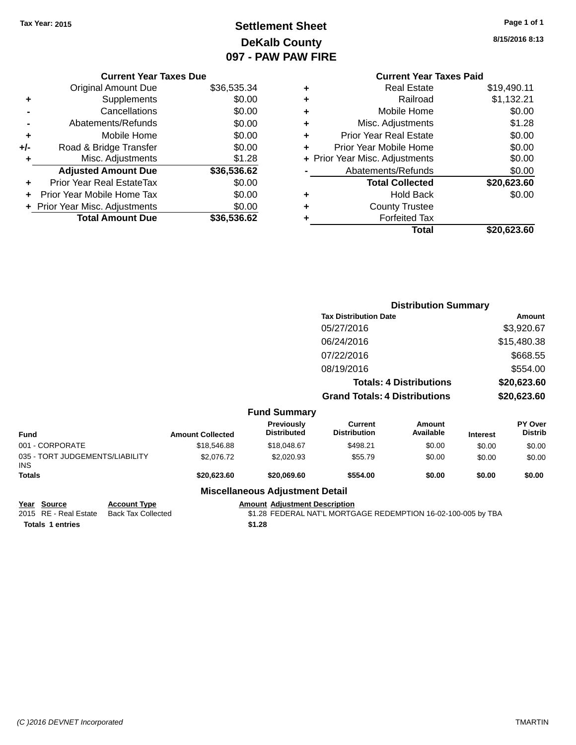## **Settlement Sheet Tax Year: 2015 Page 1 of 1 DeKalb County 097 - PAW PAW FIRE**

**8/15/2016 8:13**

| <b>Current Year Taxes Paid</b> |                                |
|--------------------------------|--------------------------------|
| <b>Real Estate</b>             | \$19,490.11                    |
| Railroad                       | \$1,132.21                     |
| Mobile Home                    | \$0.00                         |
| Misc. Adjustments              | \$1.28                         |
| <b>Prior Year Real Estate</b>  | \$0.00                         |
| Prior Year Mobile Home         | \$0.00                         |
|                                | \$0.00                         |
| Abatements/Refunds             | \$0.00                         |
| <b>Total Collected</b>         | \$20,623.60                    |
| Hold Back                      | \$0.00                         |
| <b>County Trustee</b>          |                                |
| <b>Forfeited Tax</b>           |                                |
| Total                          | \$20,623.60                    |
|                                | + Prior Year Misc. Adjustments |

|     | <b>Current Year Taxes Due</b>    |             |
|-----|----------------------------------|-------------|
|     | <b>Original Amount Due</b>       | \$36,535.34 |
| ٠   | Supplements                      | \$0.00      |
|     | Cancellations                    | \$0.00      |
|     | Abatements/Refunds               | \$0.00      |
| ÷   | Mobile Home                      | \$0.00      |
| +/- | Road & Bridge Transfer           | \$0.00      |
| ٠   | Misc. Adjustments                | \$1.28      |
|     | <b>Adjusted Amount Due</b>       | \$36,536.62 |
|     | <b>Prior Year Real EstateTax</b> | \$0.00      |
| ÷   | Prior Year Mobile Home Tax       | \$0.00      |
|     | + Prior Year Misc. Adjustments   | \$0.00      |
|     | <b>Total Amount Due</b>          | \$36,536.62 |

|                                               |                         |                                        |                                       | <b>Distribution Summary</b>    |                 |                                  |
|-----------------------------------------------|-------------------------|----------------------------------------|---------------------------------------|--------------------------------|-----------------|----------------------------------|
|                                               |                         |                                        | <b>Tax Distribution Date</b>          |                                |                 | <b>Amount</b>                    |
|                                               |                         |                                        | 05/27/2016                            |                                |                 | \$3,920.67                       |
|                                               |                         |                                        | 06/24/2016                            |                                |                 | \$15,480.38                      |
|                                               |                         |                                        | 07/22/2016                            |                                |                 | \$668.55                         |
|                                               |                         |                                        | 08/19/2016                            |                                |                 | \$554.00                         |
|                                               |                         |                                        |                                       | <b>Totals: 4 Distributions</b> |                 | \$20,623.60                      |
|                                               |                         |                                        | <b>Grand Totals: 4 Distributions</b>  |                                |                 | \$20,623.60                      |
|                                               |                         | <b>Fund Summary</b>                    |                                       |                                |                 |                                  |
| <b>Fund</b>                                   | <b>Amount Collected</b> | Previously<br><b>Distributed</b>       | <b>Current</b><br><b>Distribution</b> | <b>Amount</b><br>Available     | <b>Interest</b> | <b>PY Over</b><br><b>Distrib</b> |
| 001 - CORPORATE                               | \$18,546.88             | \$18,048.67                            | \$498.21                              | \$0.00                         | \$0.00          | \$0.00                           |
| 035 - TORT JUDGEMENTS/LIABILITY<br><b>INS</b> | \$2,076.72              | \$2,020.93                             | \$55.79                               | \$0.00                         | \$0.00          | \$0.00                           |
| <b>Totals</b>                                 | \$20,623.60             | \$20,069.60                            | \$554.00                              | \$0.00                         | \$0.00          | \$0.00                           |
|                                               |                         | <b>Miscellaneous Adjustment Detail</b> |                                       |                                |                 |                                  |

**Totals \$1.28 1 entries**

**Year Source Account Type Amount Adjustment Description** \$1.28 FEDERAL NAT'L MORTGAGE REDEMPTION 16-02-100-005 by TBA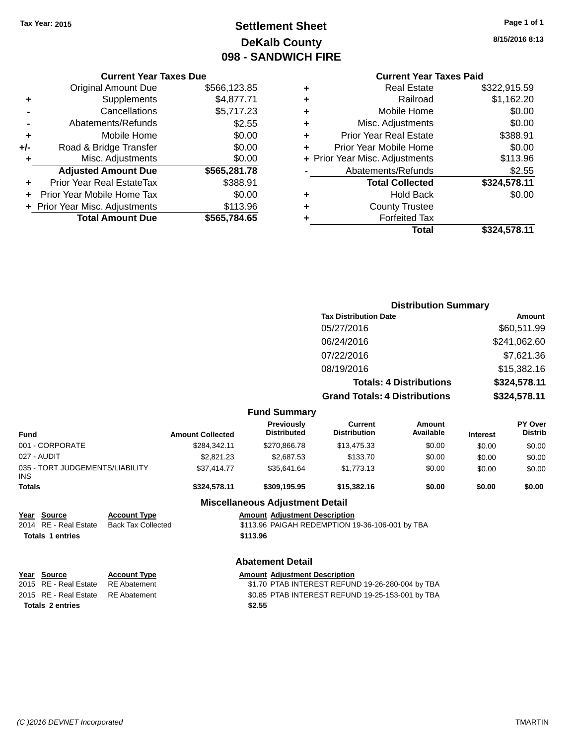## **Settlement Sheet Tax Year: 2015 Page 1 of 1 DeKalb County 098 - SANDWICH FIRE**

**8/15/2016 8:13**

|  |  | Cu |
|--|--|----|
|  |  | -  |

|     | <b>Current Year Taxes Due</b>  |              |  |  |  |
|-----|--------------------------------|--------------|--|--|--|
|     | <b>Original Amount Due</b>     | \$566,123.85 |  |  |  |
| ٠   | Supplements                    | \$4,877.71   |  |  |  |
|     | Cancellations                  | \$5,717.23   |  |  |  |
|     | Abatements/Refunds             | \$2.55       |  |  |  |
| ٠   | Mobile Home                    | \$0.00       |  |  |  |
| +/- | Road & Bridge Transfer         | \$0.00       |  |  |  |
|     | Misc. Adjustments              | \$0.00       |  |  |  |
|     | <b>Adjusted Amount Due</b>     | \$565,281.78 |  |  |  |
|     | Prior Year Real EstateTax      | \$388.91     |  |  |  |
|     | Prior Year Mobile Home Tax     | \$0.00       |  |  |  |
|     | + Prior Year Misc. Adjustments | \$113.96     |  |  |  |
|     | <b>Total Amount Due</b>        | \$565.784.65 |  |  |  |
|     |                                |              |  |  |  |

|   | <b>Current Year Taxes Paid</b> |              |
|---|--------------------------------|--------------|
| ٠ | <b>Real Estate</b>             | \$322,915.59 |
| ٠ | Railroad                       | \$1,162.20   |
| ٠ | Mobile Home                    | \$0.00       |
| ٠ | Misc. Adjustments              | \$0.00       |
| ٠ | <b>Prior Year Real Estate</b>  | \$388.91     |
| ٠ | Prior Year Mobile Home         | \$0.00       |
|   | + Prior Year Misc. Adjustments | \$113.96     |
|   | Abatements/Refunds             | \$2.55       |
|   | <b>Total Collected</b>         | \$324,578.11 |
| ٠ | <b>Hold Back</b>               | \$0.00       |
|   | <b>County Trustee</b>          |              |
| ٠ | <b>Forfeited Tax</b>           |              |
|   | Total                          | \$324,578.11 |
|   |                                |              |

|                                                                 |                                                  |                         |                                                  | <b>Distribution Summary</b>                      |                                |                 |                           |
|-----------------------------------------------------------------|--------------------------------------------------|-------------------------|--------------------------------------------------|--------------------------------------------------|--------------------------------|-----------------|---------------------------|
|                                                                 |                                                  |                         |                                                  | <b>Tax Distribution Date</b>                     |                                | Amount          |                           |
|                                                                 |                                                  |                         |                                                  | 05/27/2016                                       |                                | \$60,511.99     |                           |
|                                                                 |                                                  |                         |                                                  | 06/24/2016                                       |                                |                 | \$241,062.60              |
|                                                                 |                                                  |                         |                                                  | 07/22/2016                                       |                                |                 | \$7,621.36                |
|                                                                 |                                                  |                         |                                                  |                                                  |                                |                 |                           |
|                                                                 |                                                  |                         |                                                  | 08/19/2016                                       |                                |                 | \$15,382.16               |
|                                                                 |                                                  |                         |                                                  |                                                  | <b>Totals: 4 Distributions</b> | \$324,578.11    |                           |
|                                                                 |                                                  |                         |                                                  | <b>Grand Totals: 4 Distributions</b>             |                                |                 | \$324,578.11              |
|                                                                 |                                                  |                         | <b>Fund Summary</b>                              |                                                  |                                |                 |                           |
| <b>Fund</b>                                                     |                                                  | <b>Amount Collected</b> | <b>Previously</b><br><b>Distributed</b>          | <b>Current</b><br><b>Distribution</b>            | Amount<br>Available            | <b>Interest</b> | PY Over<br><b>Distrib</b> |
| 001 - CORPORATE                                                 |                                                  | \$284,342.11            | \$270,866.78                                     | \$13,475.33                                      | \$0.00                         | \$0.00          | \$0.00                    |
| 027 - AUDIT                                                     |                                                  | \$2,821.23              | \$2,687.53                                       | \$133.70                                         | \$0.00                         | \$0.00          | \$0.00                    |
| 035 - TORT JUDGEMENTS/LIABILITY<br><b>INS</b>                   |                                                  | \$37,414.77             | \$35,641.64                                      | \$1,773.13                                       | \$0.00                         | \$0.00          | \$0.00                    |
| <b>Totals</b>                                                   |                                                  | \$324,578.11            | \$309,195.95                                     | \$15,382.16                                      | \$0.00                         | \$0.00          | \$0.00                    |
|                                                                 |                                                  |                         | <b>Miscellaneous Adjustment Detail</b>           |                                                  |                                |                 |                           |
| Year Source<br>2014 RE - Real Estate<br><b>Totals 1 entries</b> | <b>Account Type</b><br><b>Back Tax Collected</b> |                         | <b>Amount Adjustment Description</b><br>\$113.96 | \$113.96 PAIGAH REDEMPTION 19-36-106-001 by TBA  |                                |                 |                           |
|                                                                 |                                                  |                         | <b>Abatement Detail</b>                          |                                                  |                                |                 |                           |
| <b>Source</b><br>Year                                           | <b>Account Type</b>                              |                         | <b>Amount Adjustment Description</b>             |                                                  |                                |                 |                           |
| <b>RE</b> - Real Estate<br>2015                                 | <b>RE</b> Abatement                              |                         |                                                  | \$1.70 PTAB INTEREST REFUND 19-26-280-004 by TBA |                                |                 |                           |
| RE - Real Estate<br>2015                                        | <b>RE</b> Abatement                              |                         |                                                  | \$0.85 PTAB INTEREST REFUND 19-25-153-001 by TBA |                                |                 |                           |
| <b>Totals 2 entries</b>                                         |                                                  |                         | \$2.55                                           |                                                  |                                |                 |                           |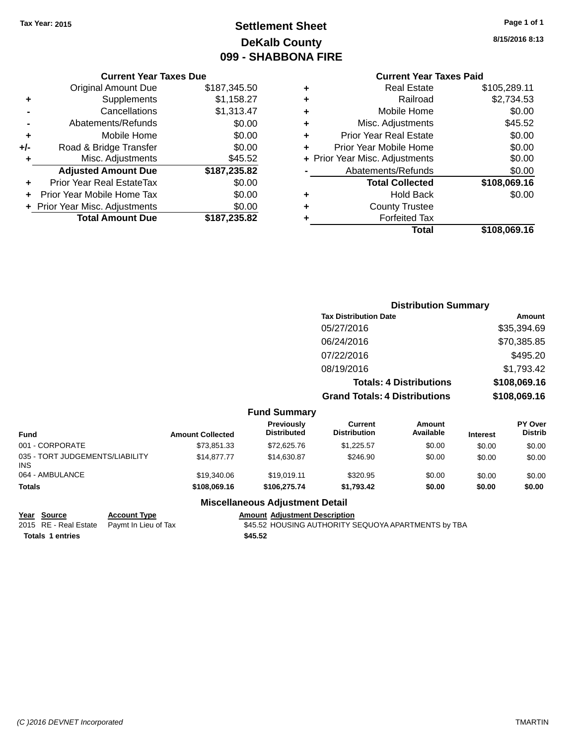## **Settlement Sheet Tax Year: 2015 Page 1 of 1 DeKalb County 099 - SHABBONA FIRE**

**8/15/2016 8:13**

## **Current Year Taxes Paid**

|       | <b>Current Year Taxes Due</b>  |              |  |  |  |  |  |
|-------|--------------------------------|--------------|--|--|--|--|--|
|       | <b>Original Amount Due</b>     | \$187,345.50 |  |  |  |  |  |
| ٠     | Supplements                    | \$1,158.27   |  |  |  |  |  |
|       | Cancellations                  | \$1,313.47   |  |  |  |  |  |
|       | Abatements/Refunds             | \$0.00       |  |  |  |  |  |
| ٠     | Mobile Home                    | \$0.00       |  |  |  |  |  |
| $+/-$ | Road & Bridge Transfer         | \$0.00       |  |  |  |  |  |
| ٠     | Misc. Adjustments              | \$45.52      |  |  |  |  |  |
|       | <b>Adjusted Amount Due</b>     | \$187,235.82 |  |  |  |  |  |
| ٠     | Prior Year Real EstateTax      | \$0.00       |  |  |  |  |  |
|       | Prior Year Mobile Home Tax     | \$0.00       |  |  |  |  |  |
|       | + Prior Year Misc. Adjustments | \$0.00       |  |  |  |  |  |
|       | <b>Total Amount Due</b>        | \$187,235.82 |  |  |  |  |  |
|       |                                |              |  |  |  |  |  |

|                                | \$108,069.16 |
|--------------------------------|--------------|
| <b>Forfeited Tax</b>           |              |
| <b>County Trustee</b>          |              |
| <b>Hold Back</b>               | \$0.00       |
| <b>Total Collected</b>         | \$108,069.16 |
| Abatements/Refunds             | \$0.00       |
| + Prior Year Misc. Adjustments | \$0.00       |
| Prior Year Mobile Home         | \$0.00       |
| Prior Year Real Estate         | \$0.00       |
| Misc. Adjustments              | \$45.52      |
| Mobile Home                    | \$0.00       |
| Railroad                       | \$2,734.53   |
| <b>Real Estate</b>             | \$105,289.11 |
|                                | Total        |

|                              | <b>Distribution Summary</b>          |              |
|------------------------------|--------------------------------------|--------------|
| <b>Tax Distribution Date</b> |                                      | Amount       |
| 05/27/2016                   |                                      | \$35,394.69  |
| 06/24/2016                   |                                      | \$70,385.85  |
| 07/22/2016                   |                                      | \$495.20     |
| 08/19/2016                   |                                      | \$1,793.42   |
|                              | <b>Totals: 4 Distributions</b>       | \$108,069.16 |
|                              | <b>Grand Totals: 4 Distributions</b> | \$108,069.16 |
| <b>Fund Summary</b>          |                                      |              |

| <b>Fund</b>                                   | <b>Amount Collected</b> | <b>Previously</b><br><b>Distributed</b> | Current<br><b>Distribution</b> | Amount<br>Available | <b>Interest</b> | PY Over<br><b>Distrib</b> |
|-----------------------------------------------|-------------------------|-----------------------------------------|--------------------------------|---------------------|-----------------|---------------------------|
| 001 - CORPORATE                               | \$73.851.33             | \$72,625.76                             | \$1.225.57                     | \$0.00              | \$0.00          | \$0.00                    |
| 035 - TORT JUDGEMENTS/LIABILITY<br><b>INS</b> | \$14,877,77             | \$14,630.87                             | \$246.90                       | \$0.00              | \$0.00          | \$0.00                    |
| 064 - AMBULANCE                               | \$19,340.06             | \$19.019.11                             | \$320.95                       | \$0.00              | \$0.00          | \$0.00                    |
| <b>Totals</b>                                 | \$108,069.16            | \$106,275,74                            | \$1.793.42                     | \$0.00              | \$0.00          | \$0.00                    |

### **Miscellaneous Adjustment Detail**

| Year Source             | <b>Account Type</b>                        | <b>Amount Adjus</b> |
|-------------------------|--------------------------------------------|---------------------|
|                         | 2015 RE - Real Estate Paymt In Lieu of Tax | \$45.52 HOU         |
| <b>Totals 1 entries</b> |                                            | \$45.52             |

**<u>Stment Description</u>** SING AUTHORITY SEQUOYA APARTMENTS by TBA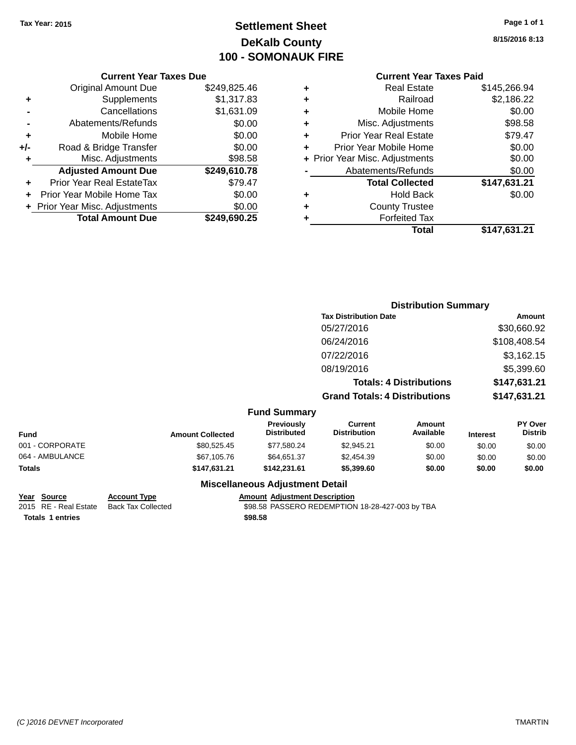## **Settlement Sheet Tax Year: 2015 Page 1 of 1 DeKalb County 100 - SOMONAUK FIRE**

**8/15/2016 8:13**

## **Current Year Taxes Paid**

|     | <b>Current Year Taxes Due</b>  |              |  |  |  |  |  |
|-----|--------------------------------|--------------|--|--|--|--|--|
|     | <b>Original Amount Due</b>     | \$249,825.46 |  |  |  |  |  |
| ٠   | Supplements                    | \$1,317.83   |  |  |  |  |  |
|     | Cancellations                  | \$1,631.09   |  |  |  |  |  |
|     | Abatements/Refunds             | \$0.00       |  |  |  |  |  |
| ٠   | Mobile Home                    | \$0.00       |  |  |  |  |  |
| +/- | Road & Bridge Transfer         | \$0.00       |  |  |  |  |  |
| ٠   | Misc. Adjustments              | \$98.58      |  |  |  |  |  |
|     | <b>Adjusted Amount Due</b>     | \$249,610.78 |  |  |  |  |  |
|     | Prior Year Real EstateTax      | \$79.47      |  |  |  |  |  |
|     | Prior Year Mobile Home Tax     | \$0.00       |  |  |  |  |  |
|     | + Prior Year Misc. Adjustments | \$0.00       |  |  |  |  |  |
|     | <b>Total Amount Due</b>        | \$249,690.25 |  |  |  |  |  |
|     |                                |              |  |  |  |  |  |

|   | <b>Real Estate</b>             | \$145,266.94 |
|---|--------------------------------|--------------|
| ٠ | Railroad                       | \$2,186.22   |
| ٠ | Mobile Home                    | \$0.00       |
| ٠ | Misc. Adjustments              | \$98.58      |
| ٠ | <b>Prior Year Real Estate</b>  | \$79.47      |
| ٠ | Prior Year Mobile Home         | \$0.00       |
|   | + Prior Year Misc. Adjustments | \$0.00       |
|   | Abatements/Refunds             | \$0.00       |
|   | <b>Total Collected</b>         | \$147,631.21 |
| ٠ | <b>Hold Back</b>               | \$0.00       |
| ٠ | <b>County Trustee</b>          |              |
| ٠ | <b>Forfeited Tax</b>           |              |
|   | Total                          | \$147,631.21 |
|   |                                |              |

|                 |                         |                                         | <b>Distribution Summary</b>           |                                |                 |                           |
|-----------------|-------------------------|-----------------------------------------|---------------------------------------|--------------------------------|-----------------|---------------------------|
|                 |                         |                                         | <b>Tax Distribution Date</b>          |                                | Amount          |                           |
|                 |                         |                                         | 05/27/2016                            |                                |                 | \$30,660.92               |
|                 |                         |                                         | 06/24/2016                            |                                |                 | \$108,408.54              |
|                 |                         |                                         | 07/22/2016                            |                                |                 | \$3,162.15                |
|                 |                         |                                         | 08/19/2016                            |                                |                 | \$5,399.60                |
|                 |                         |                                         |                                       | <b>Totals: 4 Distributions</b> |                 | \$147,631.21              |
|                 |                         |                                         | <b>Grand Totals: 4 Distributions</b>  |                                |                 | \$147,631.21              |
|                 |                         | <b>Fund Summary</b>                     |                                       |                                |                 |                           |
| <b>Fund</b>     | <b>Amount Collected</b> | <b>Previously</b><br><b>Distributed</b> | <b>Current</b><br><b>Distribution</b> | <b>Amount</b><br>Available     | <b>Interest</b> | PY Over<br><b>Distrib</b> |
| 001 - CORPORATE | \$80,525.45             | \$77,580.24                             | \$2,945.21                            | \$0.00                         | \$0.00          | \$0.00                    |
| 064 - AMBULANCE | \$67,105.76             | \$64,651.37                             | \$2,454.39                            | \$0.00                         | \$0.00          | \$0.00                    |
| Totals          | \$147,631.21            | \$142,231.61                            | \$5,399.60                            | \$0.00                         | \$0.00          | \$0.00                    |
|                 |                         | <b>Miscellaneous Adjustment Detail</b>  |                                       |                                |                 |                           |

**Year Source Account Type Amount Adjustment Description** \$98.58 PASSERO REDEMPTION 18-28-427-003 by TBA **Totals \$98.58 1 entries**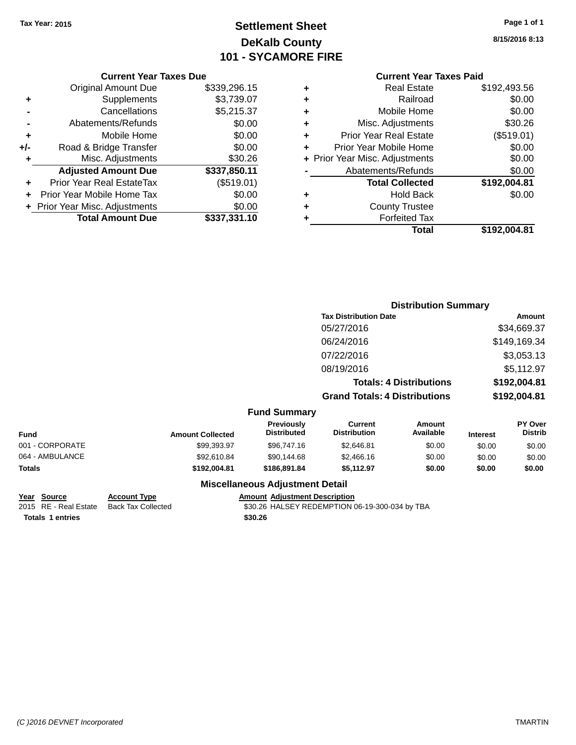## **Settlement Sheet Tax Year: 2015 Page 1 of 1 DeKalb County 101 - SYCAMORE FIRE**

**8/15/2016 8:13**

## **Current Year Taxes Paid**

| ٠ | <b>Real Estate</b>             | \$192,493.56 |
|---|--------------------------------|--------------|
| ٠ | Railroad                       | \$0.00       |
| ٠ | Mobile Home                    | \$0.00       |
| ٠ | Misc. Adjustments              | \$30.26      |
| ٠ | <b>Prior Year Real Estate</b>  | (\$519.01)   |
| ٠ | Prior Year Mobile Home         | \$0.00       |
|   | + Prior Year Misc. Adjustments | \$0.00       |
|   | Abatements/Refunds             | \$0.00       |
|   | <b>Total Collected</b>         | \$192,004.81 |
| ٠ | Hold Back                      | \$0.00       |
| ٠ | <b>County Trustee</b>          |              |
| ٠ | <b>Forfeited Tax</b>           |              |
|   | Total                          | \$192.004.81 |
|   |                                |              |

|     | <b>Current Year Taxes Due</b>    |              |
|-----|----------------------------------|--------------|
|     | <b>Original Amount Due</b>       | \$339,296.15 |
| ٠   | Supplements                      | \$3,739.07   |
|     | Cancellations                    | \$5,215.37   |
|     | Abatements/Refunds               | \$0.00       |
| ٠   | Mobile Home                      | \$0.00       |
| +/- | Road & Bridge Transfer           | \$0.00       |
| ٠   | Misc. Adjustments                | \$30.26      |
|     | <b>Adjusted Amount Due</b>       | \$337,850.11 |
|     | <b>Prior Year Real EstateTax</b> | (\$519.01)   |
|     | Prior Year Mobile Home Tax       | \$0.00       |
|     | + Prior Year Misc. Adjustments   | \$0.00       |
|     | <b>Total Amount Due</b>          | \$337,331.10 |

|                 |                         |                                  | <b>Distribution Summary</b>           |                                |                 |                                  |
|-----------------|-------------------------|----------------------------------|---------------------------------------|--------------------------------|-----------------|----------------------------------|
|                 |                         |                                  | <b>Tax Distribution Date</b>          |                                |                 | <b>Amount</b>                    |
|                 |                         |                                  | 05/27/2016                            |                                |                 | \$34,669.37                      |
|                 |                         |                                  | 06/24/2016                            |                                |                 | \$149,169.34                     |
|                 |                         |                                  | 07/22/2016                            |                                |                 | \$3,053.13                       |
|                 |                         |                                  | 08/19/2016                            |                                |                 | \$5,112.97                       |
|                 |                         |                                  |                                       | <b>Totals: 4 Distributions</b> |                 | \$192,004.81                     |
|                 |                         |                                  | <b>Grand Totals: 4 Distributions</b>  |                                |                 | \$192,004.81                     |
|                 |                         | <b>Fund Summary</b>              |                                       |                                |                 |                                  |
| <b>Fund</b>     | <b>Amount Collected</b> | Previously<br><b>Distributed</b> | <b>Current</b><br><b>Distribution</b> | <b>Amount</b><br>Available     | <b>Interest</b> | <b>PY Over</b><br><b>Distrib</b> |
| 001 - CORPORATE | \$99,393.97             | \$96,747.16                      | \$2,646.81                            | \$0.00                         | \$0.00          | \$0.00                           |
| 064 - AMBULANCE | \$92,610.84             | \$90,144.68                      | \$2,466.16                            | \$0.00                         | \$0.00          | \$0.00                           |
| Totals          | \$192,004.81            | \$186,891.84                     | \$5,112.97                            | \$0.00                         | \$0.00          | \$0.00                           |
|                 |                         |                                  |                                       |                                |                 |                                  |

### **Miscellaneous Adjustment Detail**

# **Year Source Account Type Amount Adjustment Description**<br>2015 RE - Real Estate Back Tax Collected \$30.26 HALSEY REDEMPTION (

\$30.26 HALSEY REDEMPTION 06-19-300-034 by TBA **Totals \$30.26 1 entries**

*(C )2016 DEVNET Incorporated* TMARTIN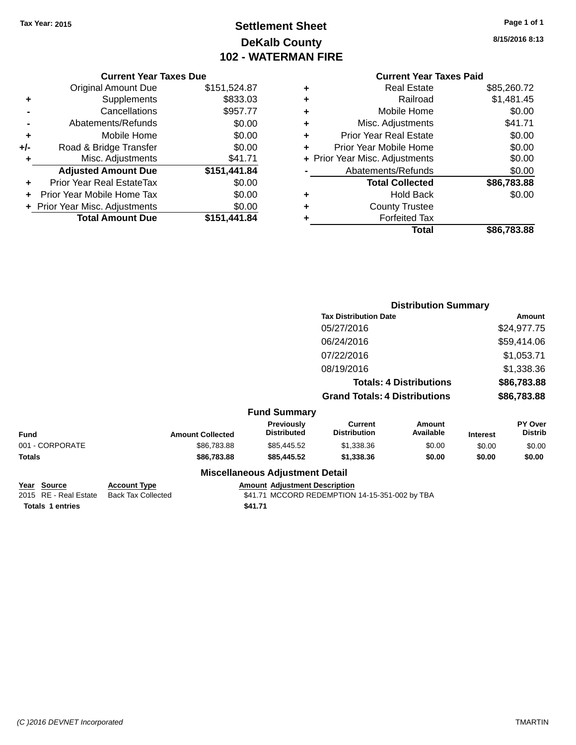## **Settlement Sheet Tax Year: 2015 Page 1 of 1 DeKalb County 102 - WATERMAN FIRE**

**8/15/2016 8:13**

|     | <b>Current Year Taxes Due</b>  |              |  |  |  |
|-----|--------------------------------|--------------|--|--|--|
|     | Original Amount Due            | \$151,524.87 |  |  |  |
| ٠   | Supplements                    | \$833.03     |  |  |  |
|     | Cancellations                  | \$957.77     |  |  |  |
|     | Abatements/Refunds             | \$0.00       |  |  |  |
| ٠   | Mobile Home                    | \$0.00       |  |  |  |
| +/- | Road & Bridge Transfer         | \$0.00       |  |  |  |
| ٠   | Misc. Adjustments              | \$41.71      |  |  |  |
|     | <b>Adjusted Amount Due</b>     | \$151,441.84 |  |  |  |
|     | Prior Year Real EstateTax      | \$0.00       |  |  |  |
|     | Prior Year Mobile Home Tax     | \$0.00       |  |  |  |
|     | + Prior Year Misc. Adjustments | \$0.00       |  |  |  |
|     | <b>Total Amount Due</b>        | \$151,441.84 |  |  |  |
|     |                                |              |  |  |  |

## **Current Year Taxes Paid +** Real Estate \$85,260.72 **+** Railroad \$1,481.45 **+** Mobile Home \$0.00 **+** Misc. Adjustments \$41.71 **+** Prior Year Real Estate \$0.00 **+** Prior Year Mobile Home \$0.00<br> **+** Prior Year Misc. Adjustments \$0.00 **+ Prior Year Misc. Adjustments -** Abatements/Refunds \$0.00 **Total Collected \$86,783.88 +** Hold Back \$0.00 **+** County Trustee **+** Forfeited Tax **Total \$86,783.88**

|                 |                         |                                  |                                       | <b>Distribution Summary</b> |                 |                                  |
|-----------------|-------------------------|----------------------------------|---------------------------------------|-----------------------------|-----------------|----------------------------------|
|                 |                         |                                  | <b>Tax Distribution Date</b>          |                             |                 | Amount                           |
|                 |                         |                                  | 05/27/2016                            |                             |                 | \$24,977.75                      |
|                 |                         |                                  | 06/24/2016                            |                             |                 | \$59,414.06                      |
|                 |                         |                                  | 07/22/2016                            |                             |                 | \$1,053.71                       |
|                 |                         |                                  | 08/19/2016                            |                             |                 | \$1,338.36                       |
|                 |                         | <b>Totals: 4 Distributions</b>   |                                       | \$86,783.88                 |                 |                                  |
|                 |                         |                                  | <b>Grand Totals: 4 Distributions</b>  |                             |                 | \$86,783.88                      |
|                 |                         | <b>Fund Summary</b>              |                                       |                             |                 |                                  |
| <b>Fund</b>     | <b>Amount Collected</b> | Previously<br><b>Distributed</b> | <b>Current</b><br><b>Distribution</b> | Amount<br>Available         | <b>Interest</b> | <b>PY Over</b><br><b>Distrib</b> |
| 001 - CORPORATE | \$86,783.88             | \$85,445.52                      | \$1,338.36                            | \$0.00                      | \$0.00          | \$0.00                           |
| <b>Totals</b>   | \$86,783.88             | \$85,445.52                      | \$1,338.36                            | \$0.00                      | \$0.00          | \$0.00                           |
|                 |                         | Miccellenceus Adjustment Detail  |                                       |                             |                 |                                  |

| <b>Miscellaneous Adjustment Detail</b> |  |  |
|----------------------------------------|--|--|
|----------------------------------------|--|--|

|                         | Year Source | <b>Account Type</b>                      |         | <b>Amount Adiustment Description</b>           |
|-------------------------|-------------|------------------------------------------|---------|------------------------------------------------|
|                         |             | 2015 RE - Real Estate Back Tax Collected |         | \$41.71 MCCORD REDEMPTION 14-15-351-002 by TBA |
| <b>Totals 1 entries</b> |             |                                          | \$41.71 |                                                |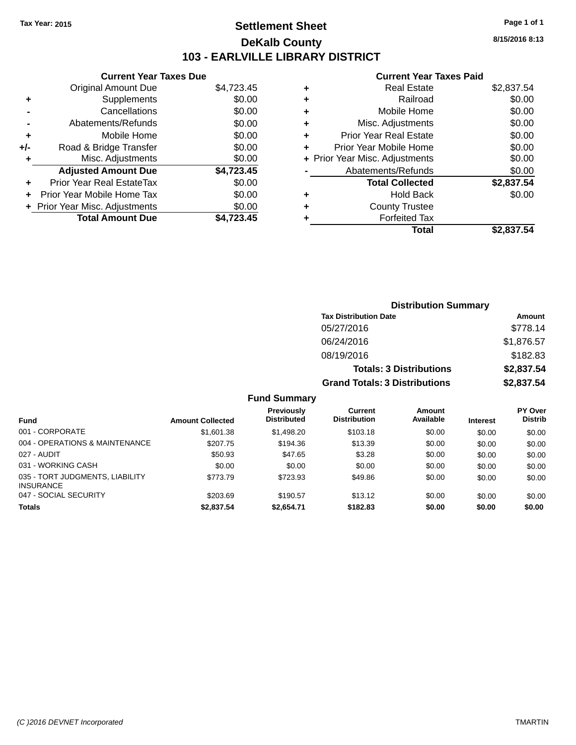## **Settlement Sheet Tax Year: 2015 Page 1 of 1 DeKalb County 103 - EARLVILLE LIBRARY DISTRICT**

**8/15/2016 8:13**

#### **Current Year Taxes Paid**

|     | <b>Current Year Taxes Due</b>  |            |
|-----|--------------------------------|------------|
|     | <b>Original Amount Due</b>     | \$4,723.45 |
| ٠   | Supplements                    | \$0.00     |
|     | Cancellations                  | \$0.00     |
|     | Abatements/Refunds             | \$0.00     |
| ÷   | Mobile Home                    | \$0.00     |
| +/- | Road & Bridge Transfer         | \$0.00     |
|     | Misc. Adjustments              | \$0.00     |
|     | <b>Adjusted Amount Due</b>     | \$4,723.45 |
| ٠   | Prior Year Real EstateTax      | \$0.00     |
|     | Prior Year Mobile Home Tax     | \$0.00     |
|     | + Prior Year Misc. Adjustments | \$0.00     |
|     | <b>Total Amount Due</b>        | \$4.723.45 |
|     |                                |            |

|   | <b>Real Estate</b>             | \$2,837.54 |
|---|--------------------------------|------------|
| ٠ | Railroad                       | \$0.00     |
| ٠ | Mobile Home                    | \$0.00     |
| ٠ | Misc. Adjustments              | \$0.00     |
| ٠ | Prior Year Real Estate         | \$0.00     |
|   | Prior Year Mobile Home         | \$0.00     |
|   | + Prior Year Misc. Adjustments | \$0.00     |
|   | Abatements/Refunds             | \$0.00     |
|   | <b>Total Collected</b>         | \$2,837.54 |
| ٠ | Hold Back                      | \$0.00     |
|   | <b>County Trustee</b>          |            |
| ٠ | <b>Forfeited Tax</b>           |            |
|   | Total                          | \$2,837.54 |
|   |                                |            |

| <b>Distribution Summary</b>          |            |  |  |  |
|--------------------------------------|------------|--|--|--|
| <b>Tax Distribution Date</b>         | Amount     |  |  |  |
| 05/27/2016                           | \$778.14   |  |  |  |
| 06/24/2016                           | \$1,876.57 |  |  |  |
| 08/19/2016                           | \$182.83   |  |  |  |
| <b>Totals: 3 Distributions</b>       | \$2,837.54 |  |  |  |
| <b>Grand Totals: 3 Distributions</b> | \$2,837.54 |  |  |  |

|                                                     |                         | Previously         | Current             | Amount    |                 | <b>PY Over</b> |
|-----------------------------------------------------|-------------------------|--------------------|---------------------|-----------|-----------------|----------------|
| <b>Fund</b>                                         | <b>Amount Collected</b> | <b>Distributed</b> | <b>Distribution</b> | Available | <b>Interest</b> | <b>Distrib</b> |
| 001 - CORPORATE                                     | \$1,601.38              | \$1,498.20         | \$103.18            | \$0.00    | \$0.00          | \$0.00         |
| 004 - OPERATIONS & MAINTENANCE                      | \$207.75                | \$194.36           | \$13.39             | \$0.00    | \$0.00          | \$0.00         |
| 027 - AUDIT                                         | \$50.93                 | \$47.65            | \$3.28              | \$0.00    | \$0.00          | \$0.00         |
| 031 - WORKING CASH                                  | \$0.00                  | \$0.00             | \$0.00              | \$0.00    | \$0.00          | \$0.00         |
| 035 - TORT JUDGMENTS, LIABILITY<br><b>INSURANCE</b> | \$773.79                | \$723.93           | \$49.86             | \$0.00    | \$0.00          | \$0.00         |
| 047 - SOCIAL SECURITY                               | \$203.69                | \$190.57           | \$13.12             | \$0.00    | \$0.00          | \$0.00         |
| Totals                                              | \$2,837.54              | \$2,654.71         | \$182.83            | \$0.00    | \$0.00          | \$0.00         |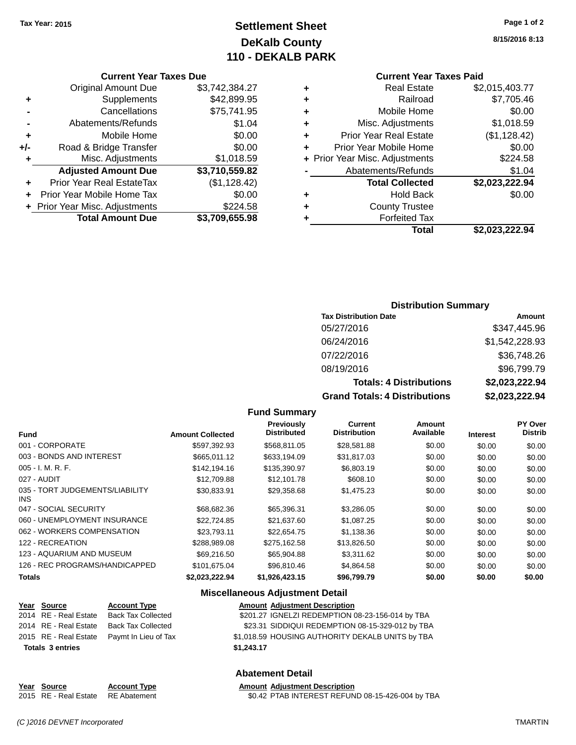## **Settlement Sheet Tax Year: 2015 Page 1 of 2 DeKalb County 110 - DEKALB PARK**

#### **Current Year Taxes Due**

|     | <b>Original Amount Due</b>     | \$3,742,384.27 |
|-----|--------------------------------|----------------|
| ٠   | Supplements                    | \$42,899.95    |
|     | Cancellations                  | \$75,741.95    |
|     | Abatements/Refunds             | \$1.04         |
| ٠   | Mobile Home                    | \$0.00         |
| +/- | Road & Bridge Transfer         | \$0.00         |
| ٠   | Misc. Adjustments              | \$1,018.59     |
|     | <b>Adjusted Amount Due</b>     | \$3,710,559.82 |
| ٠   | Prior Year Real EstateTax      | (\$1,128.42)   |
|     | Prior Year Mobile Home Tax     | \$0.00         |
|     | + Prior Year Misc. Adjustments | \$224.58       |
|     | <b>Total Amount Due</b>        | \$3,709,655.98 |

|   | Total                          | \$2,023,222.94 |
|---|--------------------------------|----------------|
| ٠ | <b>Forfeited Tax</b>           |                |
| ٠ | <b>County Trustee</b>          |                |
| ٠ | <b>Hold Back</b>               | \$0.00         |
|   | <b>Total Collected</b>         | \$2,023,222.94 |
|   | Abatements/Refunds             | \$1.04         |
|   | + Prior Year Misc. Adjustments | \$224.58       |
| ٠ | Prior Year Mobile Home         | \$0.00         |
| ٠ | <b>Prior Year Real Estate</b>  | (\$1,128.42)   |
| ٠ | Misc. Adjustments              | \$1,018.59     |
| ٠ | Mobile Home                    | \$0.00         |
| ٠ | Railroad                       | \$7,705.46     |
| ٠ | <b>Real Estate</b>             | \$2,015,403.77 |
|   |                                |                |

#### **Distribution Summary**

| <b>Tax Distribution Date</b>         | Amount         |
|--------------------------------------|----------------|
| 05/27/2016                           | \$347,445.96   |
| 06/24/2016                           | \$1,542,228.93 |
| 07/22/2016                           | \$36,748.26    |
| 08/19/2016                           | \$96,799.79    |
| <b>Totals: 4 Distributions</b>       | \$2,023,222.94 |
| <b>Grand Totals: 4 Distributions</b> | \$2,023,222.94 |

#### **Fund Summary**

| <b>Fund</b>                             | <b>Amount Collected</b> | <b>Previously</b><br><b>Distributed</b> | <b>Current</b><br><b>Distribution</b> | Amount<br>Available | <b>Interest</b> | <b>PY Over</b><br><b>Distrib</b> |
|-----------------------------------------|-------------------------|-----------------------------------------|---------------------------------------|---------------------|-----------------|----------------------------------|
|                                         |                         |                                         |                                       |                     |                 |                                  |
| 001 - CORPORATE                         | \$597.392.93            | \$568.811.05                            | \$28,581.88                           | \$0.00              | \$0.00          | \$0.00                           |
| 003 - BONDS AND INTEREST                | \$665,011.12            | \$633,194.09                            | \$31,817.03                           | \$0.00              | \$0.00          | \$0.00                           |
| $005 - I. M. R. F.$                     | \$142,194.16            | \$135,390.97                            | \$6,803.19                            | \$0.00              | \$0.00          | \$0.00                           |
| 027 - AUDIT                             | \$12,709.88             | \$12,101.78                             | \$608.10                              | \$0.00              | \$0.00          | \$0.00                           |
| 035 - TORT JUDGEMENTS/LIABILITY<br>INS. | \$30,833.91             | \$29,358.68                             | \$1,475.23                            | \$0.00              | \$0.00          | \$0.00                           |
| 047 - SOCIAL SECURITY                   | \$68,682.36             | \$65,396.31                             | \$3,286.05                            | \$0.00              | \$0.00          | \$0.00                           |
| 060 - UNEMPLOYMENT INSURANCE            | \$22,724.85             | \$21.637.60                             | \$1,087.25                            | \$0.00              | \$0.00          | \$0.00                           |
| 062 - WORKERS COMPENSATION              | \$23.793.11             | \$22.654.75                             | \$1,138.36                            | \$0.00              | \$0.00          | \$0.00                           |
| 122 - RECREATION                        | \$288.989.08            | \$275.162.58                            | \$13,826.50                           | \$0.00              | \$0.00          | \$0.00                           |
| 123 - AQUARIUM AND MUSEUM               | \$69,216,50             | \$65,904.88                             | \$3,311.62                            | \$0.00              | \$0.00          | \$0.00                           |
| 126 - REC PROGRAMS/HANDICAPPED          | \$101.675.04            | \$96,810.46                             | \$4.864.58                            | \$0.00              | \$0.00          | \$0.00                           |
| <b>Totals</b>                           | \$2,023,222.94          | \$1,926,423.15                          | \$96,799.79                           | \$0.00              | \$0.00          | \$0.00                           |

#### **Miscellaneous Adjustment Detail**

| Year Source             | <b>Account Type</b>                        |            | <b>Amount Adjustment Description</b>             |
|-------------------------|--------------------------------------------|------------|--------------------------------------------------|
| 2014 RE - Real Estate   | Back Tax Collected                         |            | \$201.27 IGNELZI REDEMPTION 08-23-156-014 by TBA |
|                         | 2014 RE - Real Estate Back Tax Collected   |            | \$23.31 SIDDIQUI REDEMPTION 08-15-329-012 by TBA |
|                         | 2015 RE - Real Estate Paymt In Lieu of Tax |            | \$1,018.59 HOUSING AUTHORITY DEKALB UNITS by TBA |
| <b>Totals 3 entries</b> |                                            | \$1.243.17 |                                                  |

### **Abatement Detail**

**Year** Source **Account Type Account Adjustment Description** 2015 RE - Real Estate RE Abatement \$0.42 PTAB INTEREST REFUND 08-15-426-004 by TBA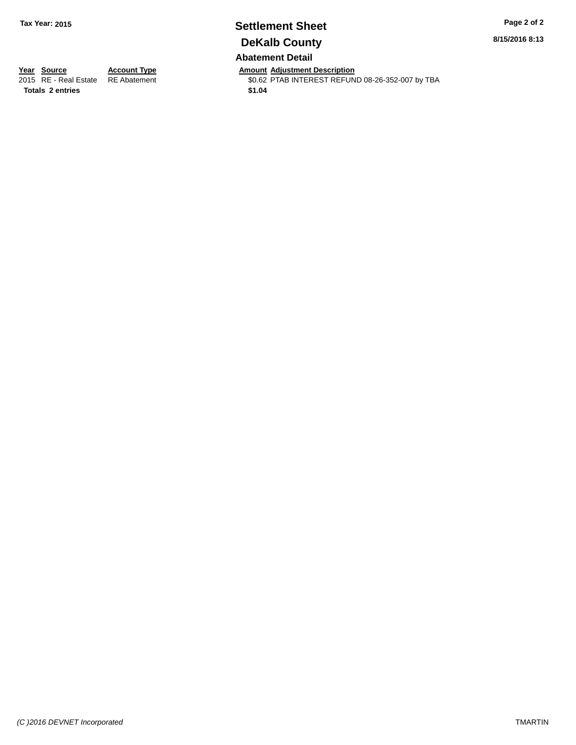## **Settlement Sheet Tax Year: 2015 Page 2 of 2 DeKalb County Abatement Detail**

**8/15/2016 8:13**

**Totals \$1.04 2 entries**

**Year Source Account Type Anneurs Amount Adjustment Description**<br>2015 RE - Real Estate RE Abatement **Alternative SCACT ASSESS** ACCOUNTEREST REFUN \$0.62 PTAB INTEREST REFUND 08-26-352-007 by TBA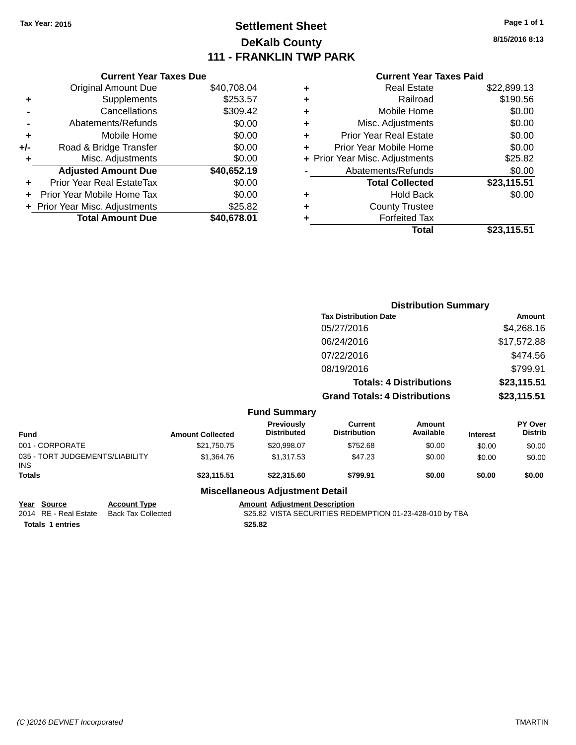## **Settlement Sheet Tax Year: 2015 Page 1 of 1 DeKalb County 111 - FRANKLIN TWP PARK**

**8/15/2016 8:13**

|     | <b>Current Year Taxes Due</b>  |             |
|-----|--------------------------------|-------------|
|     | Original Amount Due            | \$40,708.04 |
| ٠   | Supplements                    | \$253.57    |
|     | Cancellations                  | \$309.42    |
|     | Abatements/Refunds             | \$0.00      |
| ٠   | Mobile Home                    | \$0.00      |
| +/- | Road & Bridge Transfer         | \$0.00      |
|     | Misc. Adjustments              | \$0.00      |
|     | <b>Adjusted Amount Due</b>     | \$40,652.19 |
|     | Prior Year Real EstateTax      | \$0.00      |
| ÷   | Prior Year Mobile Home Tax     | \$0.00      |
|     | + Prior Year Misc. Adjustments | \$25.82     |
|     | <b>Total Amount Due</b>        | \$40,678.01 |
|     |                                |             |

# **Current Year Taxes Paid**

|   | <b>Real Estate</b>             | \$22,899.13 |
|---|--------------------------------|-------------|
| ٠ | Railroad                       | \$190.56    |
| ٠ | Mobile Home                    | \$0.00      |
| ٠ | Misc. Adjustments              | \$0.00      |
| ٠ | <b>Prior Year Real Estate</b>  | \$0.00      |
| ٠ | Prior Year Mobile Home         | \$0.00      |
|   | + Prior Year Misc. Adjustments | \$25.82     |
|   | Abatements/Refunds             | \$0.00      |
|   | <b>Total Collected</b>         | \$23,115.51 |
|   | <b>Hold Back</b>               | \$0.00      |
| ٠ | <b>County Trustee</b>          |             |
| ٠ | <b>Forfeited Tax</b>           |             |
|   | Total                          | \$23,115.51 |
|   |                                |             |

|                                               |                         |                                  | <b>Distribution Summary</b>           |                                |                 |                           |
|-----------------------------------------------|-------------------------|----------------------------------|---------------------------------------|--------------------------------|-----------------|---------------------------|
|                                               |                         |                                  | <b>Tax Distribution Date</b>          |                                |                 | Amount                    |
|                                               |                         |                                  | 05/27/2016                            |                                |                 | \$4,268.16                |
|                                               |                         |                                  | 06/24/2016                            |                                |                 | \$17,572.88               |
|                                               |                         |                                  | 07/22/2016                            |                                |                 | \$474.56                  |
|                                               |                         |                                  | 08/19/2016                            |                                |                 | \$799.91                  |
|                                               |                         |                                  |                                       | <b>Totals: 4 Distributions</b> |                 | \$23,115.51               |
|                                               |                         |                                  | <b>Grand Totals: 4 Distributions</b>  |                                |                 | \$23,115.51               |
|                                               |                         | <b>Fund Summary</b>              |                                       |                                |                 |                           |
| <b>Fund</b>                                   | <b>Amount Collected</b> | Previously<br><b>Distributed</b> | <b>Current</b><br><b>Distribution</b> | <b>Amount</b><br>Available     | <b>Interest</b> | PY Over<br><b>Distrib</b> |
| 001 - CORPORATE                               | \$21,750.75             | \$20,998.07                      | \$752.68                              | \$0.00                         | \$0.00          | \$0.00                    |
| 035 - TORT JUDGEMENTS/LIABILITY<br><b>INS</b> | \$1,364.76              | \$1,317.53                       | \$47.23                               | \$0.00                         | \$0.00          | \$0.00                    |
| Totals                                        | \$23,115.51             | \$22,315.60                      | \$799.91                              | \$0.00                         | \$0.00          | \$0.00                    |
|                                               |                         | Micrallangous Adiustmant Datail  |                                       |                                |                 |                           |

**Miscellaneous Adjustment Detail**

**Totals \$25.82 1 entries**

**Year Source Account Type Amount Adjustment Description** \$25.82 VISTA SECURITIES REDEMPTION 01-23-428-010 by TBA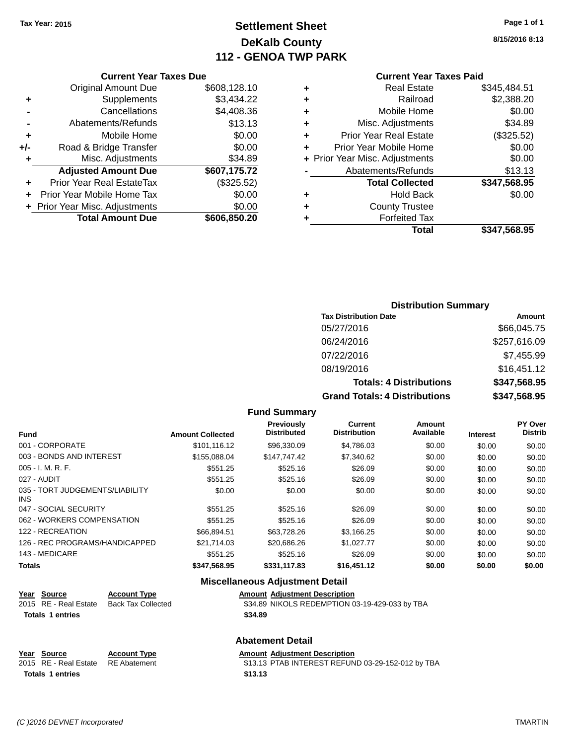## **Settlement Sheet Tax Year: 2015 Page 1 of 1 DeKalb County 112 - GENOA TWP PARK**

**8/15/2016 8:13**

#### **Current Year Taxes Paid**

|     | <b>Current Year Taxes Due</b>  |              |
|-----|--------------------------------|--------------|
|     | <b>Original Amount Due</b>     | \$608,128.10 |
| ٠   | Supplements                    | \$3,434.22   |
|     | Cancellations                  | \$4,408.36   |
|     | Abatements/Refunds             | \$13.13      |
| ٠   | Mobile Home                    | \$0.00       |
| +/- | Road & Bridge Transfer         | \$0.00       |
| ٠   | Misc. Adjustments              | \$34.89      |
|     | <b>Adjusted Amount Due</b>     | \$607,175.72 |
|     | Prior Year Real EstateTax      | (\$325.52)   |
|     | Prior Year Mobile Home Tax     | \$0.00       |
|     | + Prior Year Misc. Adjustments | \$0.00       |
|     | <b>Total Amount Due</b>        | \$606,850.20 |

## **Distribution Summary**

| <b>Tax Distribution Date</b>         | Amount       |
|--------------------------------------|--------------|
| 05/27/2016                           | \$66,045.75  |
| 06/24/2016                           | \$257,616.09 |
| 07/22/2016                           | \$7,455.99   |
| 08/19/2016                           | \$16,451.12  |
| <b>Totals: 4 Distributions</b>       | \$347,568.95 |
| <b>Grand Totals: 4 Distributions</b> | \$347,568.95 |

#### **Fund Summary**

| <b>Fund</b>                                   | <b>Amount Collected</b> | <b>Previously</b><br><b>Distributed</b> | Current<br><b>Distribution</b> | Amount<br>Available | <b>Interest</b> | PY Over<br><b>Distrib</b> |
|-----------------------------------------------|-------------------------|-----------------------------------------|--------------------------------|---------------------|-----------------|---------------------------|
| 001 - CORPORATE                               | \$101.116.12            | \$96,330.09                             | \$4,786.03                     | \$0.00              | \$0.00          | \$0.00                    |
| 003 - BONDS AND INTEREST                      | \$155,088,04            | \$147.747.42                            | \$7.340.62                     | \$0.00              | \$0.00          | \$0.00                    |
| $005 - I. M. R. F.$                           | \$551.25                | \$525.16                                | \$26.09                        | \$0.00              | \$0.00          | \$0.00                    |
| 027 - AUDIT                                   | \$551.25                | \$525.16                                | \$26.09                        | \$0.00              | \$0.00          | \$0.00                    |
| 035 - TORT JUDGEMENTS/LIABILITY<br><b>INS</b> | \$0.00                  | \$0.00                                  | \$0.00                         | \$0.00              | \$0.00          | \$0.00                    |
| 047 - SOCIAL SECURITY                         | \$551.25                | \$525.16                                | \$26.09                        | \$0.00              | \$0.00          | \$0.00                    |
| 062 - WORKERS COMPENSATION                    | \$551.25                | \$525.16                                | \$26.09                        | \$0.00              | \$0.00          | \$0.00                    |
| 122 - RECREATION                              | \$66.894.51             | \$63,728.26                             | \$3,166.25                     | \$0.00              | \$0.00          | \$0.00                    |
| 126 - REC PROGRAMS/HANDICAPPED                | \$21,714.03             | \$20,686.26                             | \$1.027.77                     | \$0.00              | \$0.00          | \$0.00                    |
| 143 - MEDICARE                                | \$551.25                | \$525.16                                | \$26.09                        | \$0.00              | \$0.00          | \$0.00                    |
| <b>Totals</b>                                 | \$347.568.95            | \$331.117.83                            | \$16,451.12                    | \$0.00              | \$0.00          | \$0.00                    |

#### **Miscellaneous Adjustment Detail**

| Year Source           | <b>Account Type</b> | <b>Amount Adiustment Description</b>           |
|-----------------------|---------------------|------------------------------------------------|
| 2015 RE - Real Estate | Back Tax Collected  | \$34.89 NIKOLS REDEMPTION 03-19-429-033 by TBA |
| Totals 1 entries      |                     | \$34.89                                        |

#### **Abatement Detail**

#### **Year Source Account Type Amount Adjustment Description**<br>2015 RE - Real Estate RE Abatement \$13.13 PTAB INTEREST REFUN \$13.13 PTAB INTEREST REFUND 03-29-152-012 by TBA **Totals \$13.13 1 entries**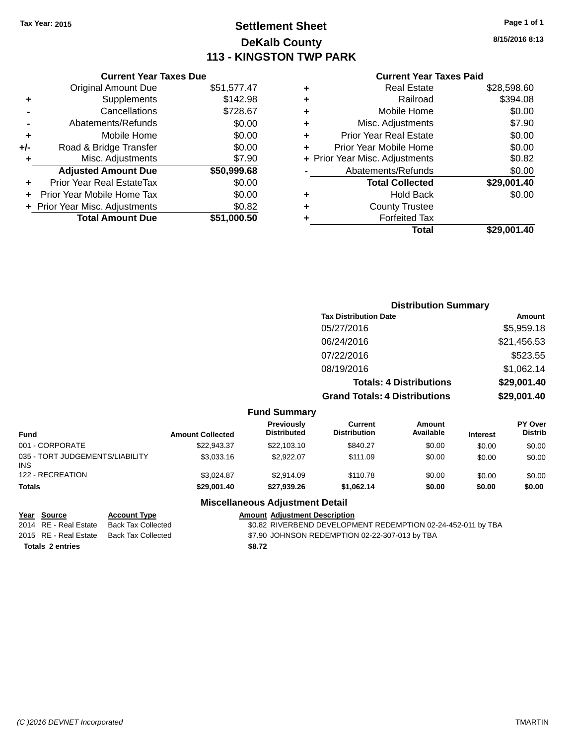## **Settlement Sheet Tax Year: 2015 Page 1 of 1 DeKalb County 113 - KINGSTON TWP PARK**

**8/15/2016 8:13**

## **Current Year Taxes Paid**

|       | <b>Current Year Taxes Due</b>  |             |
|-------|--------------------------------|-------------|
|       | <b>Original Amount Due</b>     | \$51,577.47 |
| ٠     | Supplements                    | \$142.98    |
|       | Cancellations                  | \$728.67    |
|       | Abatements/Refunds             | \$0.00      |
| ٠     | Mobile Home                    | \$0.00      |
| $+/-$ | Road & Bridge Transfer         | \$0.00      |
| ٠     | Misc. Adjustments              | \$7.90      |
|       | <b>Adjusted Amount Due</b>     | \$50,999.68 |
| ٠     | Prior Year Real EstateTax      | \$0.00      |
|       | Prior Year Mobile Home Tax     | \$0.00      |
|       | + Prior Year Misc. Adjustments | \$0.82      |
|       | <b>Total Amount Due</b>        | \$51,000,50 |
|       |                                |             |

|   | <b>Real Estate</b>             | \$28,598.60 |
|---|--------------------------------|-------------|
| ٠ | Railroad                       | \$394.08    |
| ٠ | Mobile Home                    | \$0.00      |
| ٠ | Misc. Adjustments              | \$7.90      |
| ٠ | <b>Prior Year Real Estate</b>  | \$0.00      |
| ٠ | Prior Year Mobile Home         | \$0.00      |
|   | + Prior Year Misc. Adjustments | \$0.82      |
|   | Abatements/Refunds             | \$0.00      |
|   | <b>Total Collected</b>         | \$29,001.40 |
| ٠ | <b>Hold Back</b>               | \$0.00      |
| ٠ | <b>County Trustee</b>          |             |
| ٠ | <b>Forfeited Tax</b>           |             |
|   | Total                          | \$29,001.40 |
|   |                                |             |

|                     | <b>Distribution Summary</b>          |             |
|---------------------|--------------------------------------|-------------|
|                     | <b>Tax Distribution Date</b>         | Amount      |
|                     | 05/27/2016                           | \$5,959.18  |
|                     | 06/24/2016                           | \$21,456.53 |
|                     | 07/22/2016                           | \$523.55    |
|                     | 08/19/2016                           | \$1,062.14  |
|                     | <b>Totals: 4 Distributions</b>       | \$29,001.40 |
|                     | <b>Grand Totals: 4 Distributions</b> | \$29,001.40 |
| <b>Fund Summary</b> |                                      |             |

| <b>Amount Collected</b> | <b>Previously</b><br><b>Distributed</b> | Current<br><b>Distribution</b> | <b>Amount</b><br>Available | <b>Interest</b> | <b>PY Over</b><br><b>Distrib</b> |  |
|-------------------------|-----------------------------------------|--------------------------------|----------------------------|-----------------|----------------------------------|--|
| \$22.943.37             | \$22,103.10                             | \$840.27                       | \$0.00                     | \$0.00          | \$0.00                           |  |
| \$3,033.16              | \$2.922.07                              | \$111.09                       | \$0.00                     | \$0.00          | \$0.00                           |  |
| \$3.024.87              | \$2.914.09                              | \$110.78                       | \$0.00                     | \$0.00          | \$0.00                           |  |
| \$29,001.40             | \$27.939.26                             | \$1,062.14                     | \$0.00                     | \$0.00          | \$0.00                           |  |
|                         |                                         |                                |                            |                 |                                  |  |

## **Miscellaneous Adjustment Detail**

| Year Source             | <b>Account Type</b>                      |        | <b>Amount Adjustment Description</b>                         |
|-------------------------|------------------------------------------|--------|--------------------------------------------------------------|
| 2014 RE - Real Estate   | Back Tax Collected                       |        | \$0.82 RIVERBEND DEVELOPMENT REDEMPTION 02-24-452-011 by TBA |
|                         | 2015 RE - Real Estate Back Tax Collected |        | \$7.90 JOHNSON REDEMPTION 02-22-307-013 by TBA               |
| <b>Totals 2 entries</b> |                                          | \$8.72 |                                                              |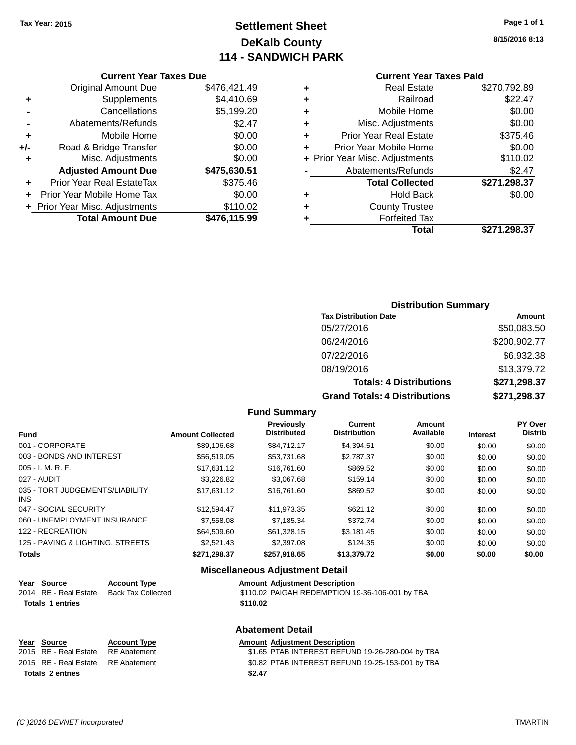## **Settlement Sheet Tax Year: 2015 Page 1 of 1 DeKalb County 114 - SANDWICH PARK**

**8/15/2016 8:13**

### **Current Year Taxes Paid**

|       | <b>Current Year Taxes Due</b>  |              |
|-------|--------------------------------|--------------|
|       | <b>Original Amount Due</b>     | \$476,421.49 |
| ٠     | Supplements                    | \$4,410.69   |
|       | Cancellations                  | \$5,199.20   |
|       | Abatements/Refunds             | \$2.47       |
| ÷     | Mobile Home                    | \$0.00       |
| $+/-$ | Road & Bridge Transfer         | \$0.00       |
| ٠     | Misc. Adjustments              | \$0.00       |
|       | <b>Adjusted Amount Due</b>     | \$475,630.51 |
| ٠     | Prior Year Real EstateTax      | \$375.46     |
|       | Prior Year Mobile Home Tax     | \$0.00       |
|       | + Prior Year Misc. Adjustments | \$110.02     |
|       | <b>Total Amount Due</b>        | \$476,115.99 |
|       |                                |              |

|   | <b>Real Estate</b>             | \$270,792.89 |
|---|--------------------------------|--------------|
| ٠ | Railroad                       | \$22.47      |
| ٠ | Mobile Home                    | \$0.00       |
| ٠ | Misc. Adjustments              | \$0.00       |
| ٠ | <b>Prior Year Real Estate</b>  | \$375.46     |
| ٠ | Prior Year Mobile Home         | \$0.00       |
|   | + Prior Year Misc. Adjustments | \$110.02     |
|   | Abatements/Refunds             | \$2.47       |
|   | <b>Total Collected</b>         | \$271,298.37 |
| ٠ | Hold Back                      | \$0.00       |
| ٠ | <b>County Trustee</b>          |              |
| ٠ | <b>Forfeited Tax</b>           |              |
|   | Total                          | \$271.298.37 |
|   |                                |              |

## **Distribution Summary**

| <b>Tax Distribution Date</b>         | Amount       |
|--------------------------------------|--------------|
| 05/27/2016                           | \$50,083.50  |
| 06/24/2016                           | \$200,902.77 |
| 07/22/2016                           | \$6,932.38   |
| 08/19/2016                           | \$13,379.72  |
| <b>Totals: 4 Distributions</b>       | \$271,298.37 |
| <b>Grand Totals: 4 Distributions</b> | \$271,298.37 |

### **Fund Summary**

| <b>Fund</b>                             | <b>Amount Collected</b> | Previously<br><b>Distributed</b> | Current<br><b>Distribution</b> | Amount<br>Available | <b>Interest</b> | PY Over<br><b>Distrib</b> |
|-----------------------------------------|-------------------------|----------------------------------|--------------------------------|---------------------|-----------------|---------------------------|
| 001 - CORPORATE                         | \$89,106.68             | \$84,712.17                      | \$4.394.51                     | \$0.00              | \$0.00          | \$0.00                    |
| 003 - BONDS AND INTEREST                | \$56,519.05             | \$53.731.68                      | \$2.787.37                     | \$0.00              | \$0.00          | \$0.00                    |
| $005 - I. M. R. F.$                     | \$17.631.12             | \$16,761,60                      | \$869.52                       | \$0.00              | \$0.00          | \$0.00                    |
| 027 - AUDIT                             | \$3,226.82              | \$3,067.68                       | \$159.14                       | \$0.00              | \$0.00          | \$0.00                    |
| 035 - TORT JUDGEMENTS/LIABILITY<br>INS. | \$17.631.12             | \$16,761,60                      | \$869.52                       | \$0.00              | \$0.00          | \$0.00                    |
| 047 - SOCIAL SECURITY                   | \$12.594.47             | \$11.973.35                      | \$621.12                       | \$0.00              | \$0.00          | \$0.00                    |
| 060 - UNEMPLOYMENT INSURANCE            | \$7,558,08              | \$7.185.34                       | \$372.74                       | \$0.00              | \$0.00          | \$0.00                    |
| 122 - RECREATION                        | \$64,509.60             | \$61,328.15                      | \$3,181.45                     | \$0.00              | \$0.00          | \$0.00                    |
| 125 - PAVING & LIGHTING, STREETS        | \$2,521.43              | \$2,397.08                       | \$124.35                       | \$0.00              | \$0.00          | \$0.00                    |
| Totals                                  | \$271.298.37            | \$257.918.65                     | \$13,379.72                    | \$0.00              | \$0.00          | \$0.00                    |

## **Miscellaneous Adjustment Detail**

**Abatement Detail**

| Year Source             | <b>Account Type</b> | <b>Amount Adjustment Description</b>            |
|-------------------------|---------------------|-------------------------------------------------|
| 2014 RE - Real Estate   | Back Tax Collected  | \$110.02 PAIGAH REDEMPTION 19-36-106-001 by TBA |
| <b>Totals 1 entries</b> |                     | \$110.02                                        |

| Year Source                        | <b>Account Type</b> |        | <b>Amount Adjustment Description</b>             |
|------------------------------------|---------------------|--------|--------------------------------------------------|
| 2015 RE - Real Estate              | RE Abatement        |        | \$1.65 PTAB INTEREST REFUND 19-26-280-004 by TBA |
| 2015 RE - Real Estate RE Abatement |                     |        | \$0.82 PTAB INTEREST REFUND 19-25-153-001 by TBA |
| <b>Totals 2 entries</b>            |                     | \$2.47 |                                                  |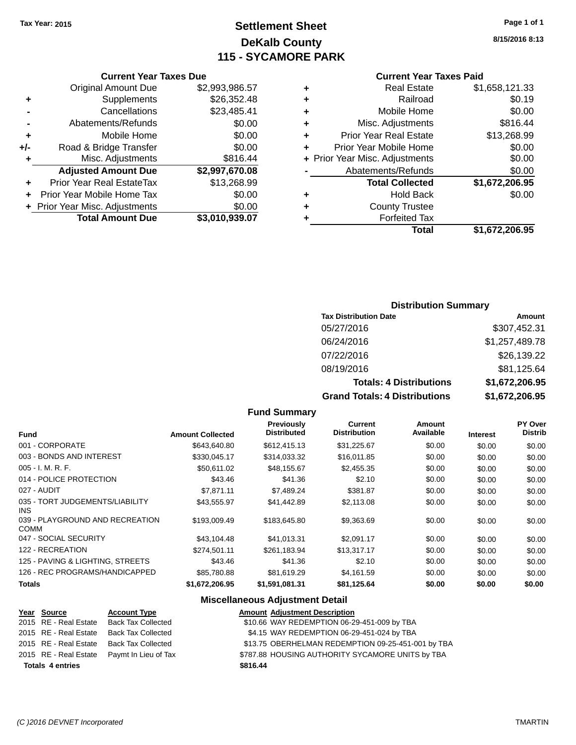## **Settlement Sheet Tax Year: 2015 Page 1 of 1 DeKalb County 115 - SYCAMORE PARK**

**8/15/2016 8:13**

#### **Current Year Taxes Paid**

| <b>Real Estate</b>            | \$1,658,121.33                 |
|-------------------------------|--------------------------------|
| Railroad                      | \$0.19                         |
| Mobile Home                   | \$0.00                         |
| Misc. Adjustments             | \$816.44                       |
| <b>Prior Year Real Estate</b> | \$13,268.99                    |
| Prior Year Mobile Home        | \$0.00                         |
|                               | \$0.00                         |
| Abatements/Refunds            | \$0.00                         |
| <b>Total Collected</b>        | \$1,672,206.95                 |
| <b>Hold Back</b>              | \$0.00                         |
| <b>County Trustee</b>         |                                |
| <b>Forfeited Tax</b>          |                                |
| Total                         | \$1,672,206.95                 |
|                               | + Prior Year Misc. Adjustments |

|     | <b>Current Year Taxes Due</b>    |                |  |
|-----|----------------------------------|----------------|--|
|     | <b>Original Amount Due</b>       | \$2,993,986.57 |  |
| ٠   | Supplements                      | \$26,352.48    |  |
|     | Cancellations                    | \$23,485.41    |  |
|     | Abatements/Refunds               | \$0.00         |  |
| ÷   | Mobile Home                      | \$0.00         |  |
| +/- | Road & Bridge Transfer           | \$0.00         |  |
| ÷   | Misc. Adjustments                | \$816.44       |  |
|     | <b>Adjusted Amount Due</b>       | \$2,997,670.08 |  |
| ٠   | <b>Prior Year Real EstateTax</b> | \$13,268.99    |  |
|     | Prior Year Mobile Home Tax       | \$0.00         |  |
|     |                                  |                |  |

**+ Prior Year Misc. Adjustments**  $$0.00$ 

**Total Amount Due \$3,010,939.07**

#### **Distribution Summary**

| <b>Tax Distribution Date</b>         | Amount         |
|--------------------------------------|----------------|
| 05/27/2016                           | \$307,452.31   |
| 06/24/2016                           | \$1,257,489.78 |
| 07/22/2016                           | \$26,139.22    |
| 08/19/2016                           | \$81,125.64    |
| <b>Totals: 4 Distributions</b>       | \$1,672,206.95 |
| <b>Grand Totals: 4 Distributions</b> | \$1,672,206.95 |

#### **Fund Summary Fund Interest Amount Collected Distributed PY Over Distrib Amount Available Current Distribution Previously** 001 - CORPORATE \$643,640.80 \$612,415.13 \$31,225.67 \$0.00 \$0.00 \$0.00 003 - BONDS AND INTEREST 6330,045.17 \$314,033.32 \$16,011.85 \$0.00 \$0.00 \$0.00 005 - I. M. R. F. \$50,611.02 \$48,155.67 \$2,455.35 \$0.00 \$0.00 \$0.00 014 - POLICE PROTECTION 60.00 \$43.46 \$43.46 \$2.10 \$0.00 \$0.00 \$0.00 \$0.00 027 - AUDIT \$7,871.11 \$7,489.24 \$381.87 \$0.00 \$0.00 \$0.00 035 - TORT JUDGEMENTS/LIABILITY INS \$43,555.97 \$41,442.89 \$2,113.08 \$0.00 \$0.00 \$0.00 039 - PLAYGROUND AND RECREATION COMM \$193,009.49 \$183,645.80 \$9,363.69 \$0.00 \$0.00 \$0.00 047 - SOCIAL SECURITY \$43,104.48 \$41,013.31 \$2,091.17 \$0.00 \$0.00 \$0.00 122 - RECREATION \$274,501.11 \$261,183.94 \$13,317.17 \$0.00 \$0.00 \$0.00 125 - PAVING & LIGHTING, STREETS \$43.46 \$43.46 \$2.10 \$0.00 \$0.00 \$0.00 \$0.00 126 - REC PROGRAMS/HANDICAPPED \$85,780.88 \$81,619.29 \$4,161.59 \$0.00 \$0.00 \$0.00 **Totals \$1,672,206.95 \$1,591,081.31 \$81,125.64 \$0.00 \$0.00 \$0.00**

### **Miscellaneous Adjustment Detail**

| <b>Account Type</b>                                                                                                                        | <b>Amount Adjustment Description</b>               |
|--------------------------------------------------------------------------------------------------------------------------------------------|----------------------------------------------------|
| <b>Back Tax Collected</b>                                                                                                                  | \$10.66 WAY REDEMPTION 06-29-451-009 by TBA        |
| <b>Back Tax Collected</b>                                                                                                                  | \$4.15 WAY REDEMPTION 06-29-451-024 by TBA         |
| <b>Back Tax Collected</b>                                                                                                                  | \$13.75 OBERHELMAN REDEMPTION 09-25-451-001 by TBA |
| Paymt In Lieu of Tax                                                                                                                       | \$787.88 HOUSING AUTHORITY SYCAMORE UNITS by TBA   |
|                                                                                                                                            | \$816.44                                           |
| Year Source<br>2015 RE - Real Estate<br>2015 RE - Real Estate<br>2015 RE - Real Estate<br>2015 RE - Real Estate<br><b>Totals 4 entries</b> |                                                    |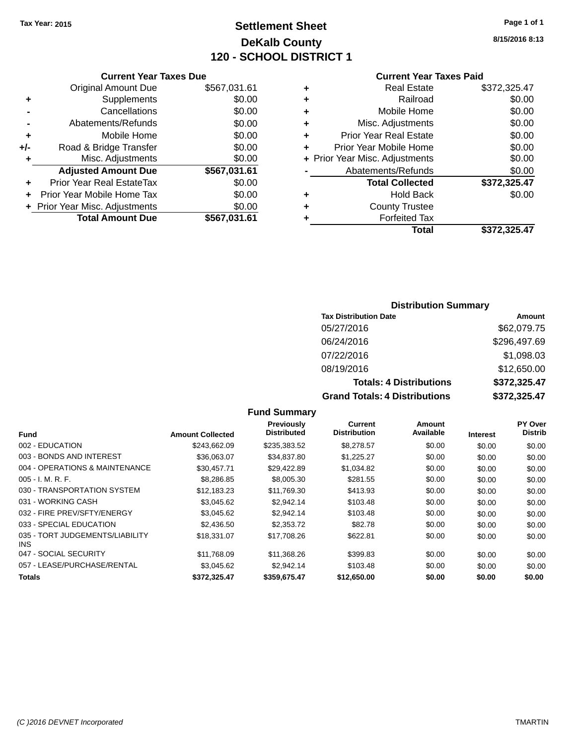## **Settlement Sheet Tax Year: 2015 Page 1 of 1 DeKalb County 120 - SCHOOL DISTRICT 1**

**8/15/2016 8:13**

#### **Current Year Taxes Paid**

|       | <b>Current Year Taxes Due</b>  |              |
|-------|--------------------------------|--------------|
|       | <b>Original Amount Due</b>     | \$567,031.61 |
| ٠     | Supplements                    | \$0.00       |
|       | Cancellations                  | \$0.00       |
|       | Abatements/Refunds             | \$0.00       |
| ٠     | Mobile Home                    | \$0.00       |
| $+/-$ | Road & Bridge Transfer         | \$0.00       |
| ٠     | Misc. Adjustments              | \$0.00       |
|       | <b>Adjusted Amount Due</b>     | \$567,031.61 |
| ÷     | Prior Year Real EstateTax      | \$0.00       |
|       | Prior Year Mobile Home Tax     | \$0.00       |
|       | + Prior Year Misc. Adjustments | \$0.00       |
|       | <b>Total Amount Due</b>        | \$567,031.61 |
|       |                                |              |

|   | <b>Real Estate</b>             | \$372,325.47 |
|---|--------------------------------|--------------|
| ٠ | Railroad                       | \$0.00       |
| ٠ | Mobile Home                    | \$0.00       |
| ٠ | Misc. Adjustments              | \$0.00       |
| ٠ | <b>Prior Year Real Estate</b>  | \$0.00       |
| ٠ | Prior Year Mobile Home         | \$0.00       |
|   | + Prior Year Misc. Adjustments | \$0.00       |
|   | Abatements/Refunds             | \$0.00       |
|   | <b>Total Collected</b>         | \$372,325.47 |
| ٠ | <b>Hold Back</b>               | \$0.00       |
| ٠ | <b>County Trustee</b>          |              |
| ٠ | <b>Forfeited Tax</b>           |              |
|   | Total                          | \$372,325.47 |
|   |                                |              |

## **Distribution Summary**

| <b>Tax Distribution Date</b>         | Amount       |
|--------------------------------------|--------------|
| 05/27/2016                           | \$62,079.75  |
| 06/24/2016                           | \$296,497.69 |
| 07/22/2016                           | \$1,098.03   |
| 08/19/2016                           | \$12,650.00  |
| <b>Totals: 4 Distributions</b>       | \$372,325.47 |
| <b>Grand Totals: 4 Distributions</b> | \$372,325.47 |

|                                         |                         | Previously         | Current             | Amount    |                 | PY Over        |
|-----------------------------------------|-------------------------|--------------------|---------------------|-----------|-----------------|----------------|
| <b>Fund</b>                             | <b>Amount Collected</b> | <b>Distributed</b> | <b>Distribution</b> | Available | <b>Interest</b> | <b>Distrib</b> |
| 002 - EDUCATION                         | \$243.662.09            | \$235,383.52       | \$8,278.57          | \$0.00    | \$0.00          | \$0.00         |
| 003 - BONDS AND INTEREST                | \$36,063.07             | \$34,837.80        | \$1,225.27          | \$0.00    | \$0.00          | \$0.00         |
| 004 - OPERATIONS & MAINTENANCE          | \$30.457.71             | \$29,422.89        | \$1,034.82          | \$0.00    | \$0.00          | \$0.00         |
| $005 - I. M. R. F.$                     | \$8,286.85              | \$8,005.30         | \$281.55            | \$0.00    | \$0.00          | \$0.00         |
| 030 - TRANSPORTATION SYSTEM             | \$12.183.23             | \$11.769.30        | \$413.93            | \$0.00    | \$0.00          | \$0.00         |
| 031 - WORKING CASH                      | \$3.045.62              | \$2.942.14         | \$103.48            | \$0.00    | \$0.00          | \$0.00         |
| 032 - FIRE PREV/SFTY/ENERGY             | \$3,045.62              | \$2,942.14         | \$103.48            | \$0.00    | \$0.00          | \$0.00         |
| 033 - SPECIAL EDUCATION                 | \$2,436.50              | \$2,353,72         | \$82.78             | \$0.00    | \$0.00          | \$0.00         |
| 035 - TORT JUDGEMENTS/LIABILITY<br>INS. | \$18,331.07             | \$17.708.26        | \$622.81            | \$0.00    | \$0.00          | \$0.00         |
| 047 - SOCIAL SECURITY                   | \$11.768.09             | \$11.368.26        | \$399.83            | \$0.00    | \$0.00          | \$0.00         |
| 057 - LEASE/PURCHASE/RENTAL             | \$3.045.62              | \$2,942.14         | \$103.48            | \$0.00    | \$0.00          | \$0.00         |
| <b>Totals</b>                           | \$372.325.47            | \$359,675.47       | \$12,650,00         | \$0.00    | \$0.00          | \$0.00         |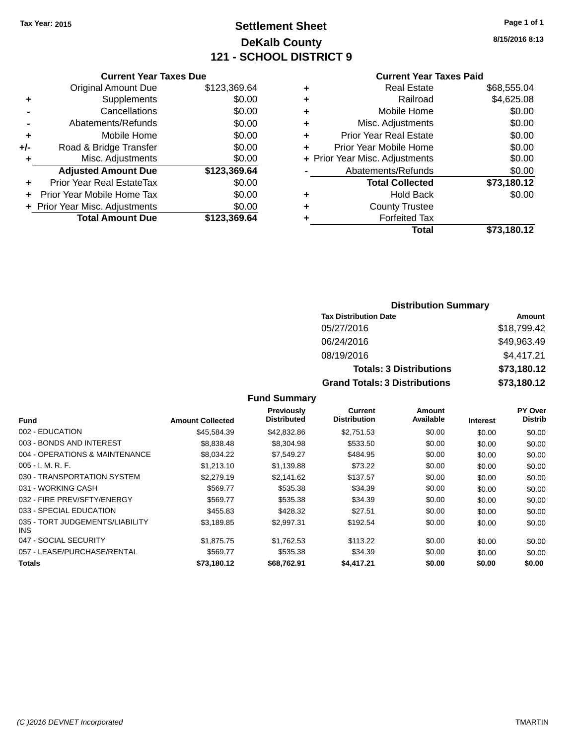## **Settlement Sheet Tax Year: 2015 Page 1 of 1 DeKalb County 121 - SCHOOL DISTRICT 9**

**8/15/2016 8:13**

#### **Current Year Taxes Due**

|     | <b>Original Amount Due</b>     | \$123,369.64 |
|-----|--------------------------------|--------------|
| ٠   | Supplements                    | \$0.00       |
|     | Cancellations                  | \$0.00       |
|     | Abatements/Refunds             | \$0.00       |
| ٠   | Mobile Home                    | \$0.00       |
| +/- | Road & Bridge Transfer         | \$0.00       |
| ٠   | Misc. Adjustments              | \$0.00       |
|     | <b>Adjusted Amount Due</b>     | \$123,369.64 |
|     | Prior Year Real EstateTax      | \$0.00       |
|     | Prior Year Mobile Home Tax     | \$0.00       |
|     | + Prior Year Misc. Adjustments | \$0.00       |
|     | <b>Total Amount Due</b>        | \$123,369.64 |

## **Current Year Taxes Paid**

| ٠ | <b>Real Estate</b>             | \$68,555.04 |
|---|--------------------------------|-------------|
| ٠ | Railroad                       | \$4,625.08  |
| ٠ | Mobile Home                    | \$0.00      |
| ٠ | Misc. Adjustments              | \$0.00      |
| ٠ | <b>Prior Year Real Estate</b>  | \$0.00      |
| ٠ | Prior Year Mobile Home         | \$0.00      |
|   | + Prior Year Misc. Adjustments | \$0.00      |
|   | Abatements/Refunds             | \$0.00      |
|   | <b>Total Collected</b>         | \$73,180.12 |
| ٠ | Hold Back                      | \$0.00      |
| ٠ | <b>County Trustee</b>          |             |
| ٠ | <b>Forfeited Tax</b>           |             |
|   | Total                          | \$73,180.12 |
|   |                                |             |

## **Distribution Summary Tax Distribution Date Amount** 05/27/2016 \$18,799.42 06/24/2016 \$49,963.49 08/19/2016 \$4,417.21 **Totals: 3 Distributions \$73,180.12 Grand Totals: 3 Distributions \$73,180.12**

| Fund                                          | <b>Amount Collected</b> | Previously<br><b>Distributed</b> | <b>Current</b><br><b>Distribution</b> | Amount<br>Available | <b>Interest</b> | PY Over<br><b>Distrib</b> |
|-----------------------------------------------|-------------------------|----------------------------------|---------------------------------------|---------------------|-----------------|---------------------------|
| 002 - EDUCATION                               | \$45,584.39             | \$42,832.86                      | \$2,751.53                            | \$0.00              | \$0.00          | \$0.00                    |
| 003 - BONDS AND INTEREST                      | \$8,838,48              | \$8,304.98                       | \$533.50                              | \$0.00              | \$0.00          | \$0.00                    |
| 004 - OPERATIONS & MAINTENANCE                | \$8,034.22              | \$7,549.27                       | \$484.95                              | \$0.00              | \$0.00          | \$0.00                    |
| $005 - I. M. R. F.$                           | \$1,213.10              | \$1,139.88                       | \$73.22                               | \$0.00              | \$0.00          | \$0.00                    |
| 030 - TRANSPORTATION SYSTEM                   | \$2,279.19              | \$2.141.62                       | \$137.57                              | \$0.00              | \$0.00          | \$0.00                    |
| 031 - WORKING CASH                            | \$569.77                | \$535.38                         | \$34.39                               | \$0.00              | \$0.00          | \$0.00                    |
| 032 - FIRE PREV/SFTY/ENERGY                   | \$569.77                | \$535.38                         | \$34.39                               | \$0.00              | \$0.00          | \$0.00                    |
| 033 - SPECIAL EDUCATION                       | \$455.83                | \$428.32                         | \$27.51                               | \$0.00              | \$0.00          | \$0.00                    |
| 035 - TORT JUDGEMENTS/LIABILITY<br><b>INS</b> | \$3,189.85              | \$2,997.31                       | \$192.54                              | \$0.00              | \$0.00          | \$0.00                    |
| 047 - SOCIAL SECURITY                         | \$1.875.75              | \$1.762.53                       | \$113.22                              | \$0.00              | \$0.00          | \$0.00                    |
| 057 - LEASE/PURCHASE/RENTAL                   | \$569.77                | \$535.38                         | \$34.39                               | \$0.00              | \$0.00          | \$0.00                    |
| Totals                                        | \$73,180.12             | \$68,762.91                      | \$4,417.21                            | \$0.00              | \$0.00          | \$0.00                    |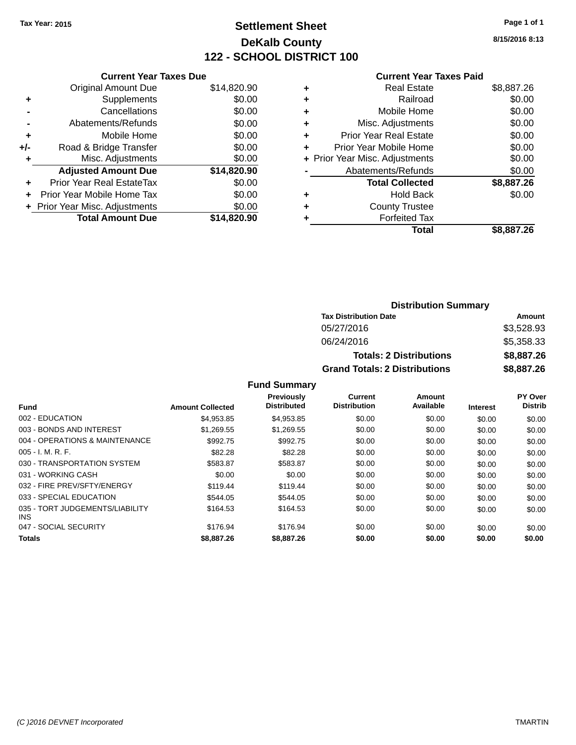## **Settlement Sheet Tax Year: 2015 Page 1 of 1 DeKalb County 122 - SCHOOL DISTRICT 100**

**8/15/2016 8:13**

|  | <b>Current Year Taxes Paid</b> |  |  |  |
|--|--------------------------------|--|--|--|
|--|--------------------------------|--|--|--|

|       | <b>Current Year Taxes Due</b>  |             |
|-------|--------------------------------|-------------|
|       | <b>Original Amount Due</b>     | \$14,820.90 |
| ٠     | Supplements                    | \$0.00      |
|       | Cancellations                  | \$0.00      |
|       | Abatements/Refunds             | \$0.00      |
| ٠     | Mobile Home                    | \$0.00      |
| $+/-$ | Road & Bridge Transfer         | \$0.00      |
| ÷     | Misc. Adjustments              | \$0.00      |
|       | <b>Adjusted Amount Due</b>     | \$14,820.90 |
| ÷     | Prior Year Real EstateTax      | \$0.00      |
|       | Prior Year Mobile Home Tax     | \$0.00      |
|       | + Prior Year Misc. Adjustments | \$0.00      |
|       | <b>Total Amount Due</b>        | \$14.820.90 |
|       |                                |             |

| ٠ | <b>Real Estate</b>             | \$8,887.26 |
|---|--------------------------------|------------|
| ٠ | Railroad                       | \$0.00     |
| ٠ | Mobile Home                    | \$0.00     |
| ٠ | Misc. Adjustments              | \$0.00     |
| ٠ | <b>Prior Year Real Estate</b>  | \$0.00     |
| ٠ | Prior Year Mobile Home         | \$0.00     |
|   | + Prior Year Misc. Adjustments | \$0.00     |
|   | Abatements/Refunds             | \$0.00     |
|   | <b>Total Collected</b>         | \$8,887.26 |
| ٠ | <b>Hold Back</b>               | \$0.00     |
| ٠ | <b>County Trustee</b>          |            |
| ٠ | <b>Forfeited Tax</b>           |            |
|   | Total                          | \$8,887.26 |
|   |                                |            |

| <b>Distribution Summary</b>          |            |  |  |  |
|--------------------------------------|------------|--|--|--|
| <b>Tax Distribution Date</b>         | Amount     |  |  |  |
| 05/27/2016                           | \$3,528.93 |  |  |  |
| 06/24/2016                           | \$5,358.33 |  |  |  |
| <b>Totals: 2 Distributions</b>       | \$8,887.26 |  |  |  |
| <b>Grand Totals: 2 Distributions</b> | \$8,887.26 |  |  |  |

|                                         |                         | <b>Previously</b><br><b>Distributed</b> | Current<br><b>Distribution</b> | Amount<br>Available |                 | <b>PY Over</b><br><b>Distrib</b> |
|-----------------------------------------|-------------------------|-----------------------------------------|--------------------------------|---------------------|-----------------|----------------------------------|
| <b>Fund</b>                             | <b>Amount Collected</b> |                                         |                                |                     | <b>Interest</b> |                                  |
| 002 - EDUCATION                         | \$4.953.85              | \$4.953.85                              | \$0.00                         | \$0.00              | \$0.00          | \$0.00                           |
| 003 - BONDS AND INTEREST                | \$1.269.55              | \$1,269.55                              | \$0.00                         | \$0.00              | \$0.00          | \$0.00                           |
| 004 - OPERATIONS & MAINTENANCE          | \$992.75                | \$992.75                                | \$0.00                         | \$0.00              | \$0.00          | \$0.00                           |
| $005 - I. M. R. F.$                     | \$82.28                 | \$82.28                                 | \$0.00                         | \$0.00              | \$0.00          | \$0.00                           |
| 030 - TRANSPORTATION SYSTEM             | \$583.87                | \$583.87                                | \$0.00                         | \$0.00              | \$0.00          | \$0.00                           |
| 031 - WORKING CASH                      | \$0.00                  | \$0.00                                  | \$0.00                         | \$0.00              | \$0.00          | \$0.00                           |
| 032 - FIRE PREV/SFTY/ENERGY             | \$119.44                | \$119.44                                | \$0.00                         | \$0.00              | \$0.00          | \$0.00                           |
| 033 - SPECIAL EDUCATION                 | \$544.05                | \$544.05                                | \$0.00                         | \$0.00              | \$0.00          | \$0.00                           |
| 035 - TORT JUDGEMENTS/LIABILITY<br>INS. | \$164.53                | \$164.53                                | \$0.00                         | \$0.00              | \$0.00          | \$0.00                           |
| 047 - SOCIAL SECURITY                   | \$176.94                | \$176.94                                | \$0.00                         | \$0.00              | \$0.00          | \$0.00                           |
| <b>Totals</b>                           | \$8,887.26              | \$8,887,26                              | \$0.00                         | \$0.00              | \$0.00          | \$0.00                           |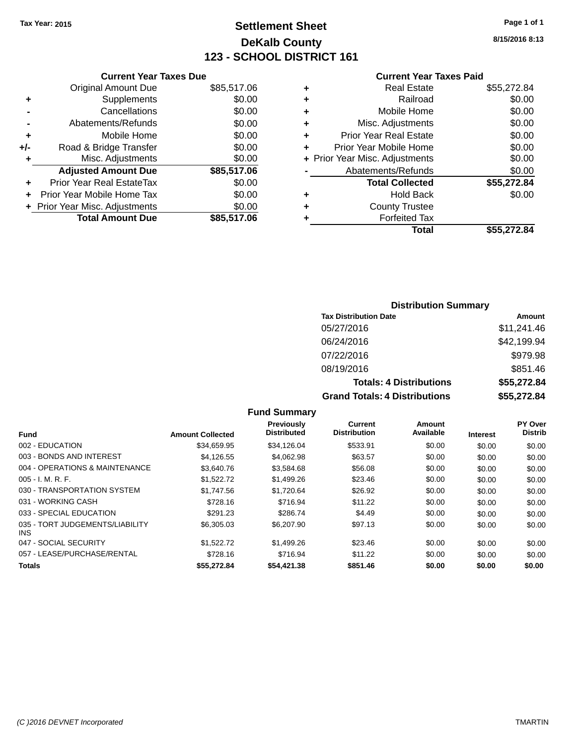## **Settlement Sheet Tax Year: 2015 Page 1 of 1 DeKalb County 123 - SCHOOL DISTRICT 161**

**8/15/2016 8:13**

#### **Current Year Taxes Paid**

| \$85,517.06<br>\$0.00 | <b>Original Amount Due</b>     |       |
|-----------------------|--------------------------------|-------|
|                       |                                |       |
|                       | Supplements                    | ٠     |
| \$0.00                | Cancellations                  |       |
| \$0.00                | Abatements/Refunds             |       |
| \$0.00                | Mobile Home                    | ٠     |
| \$0.00                | Road & Bridge Transfer         | $+/-$ |
| \$0.00                | Misc. Adjustments              | ٠     |
| \$85,517.06           | <b>Adjusted Amount Due</b>     |       |
| \$0.00                | Prior Year Real EstateTax      | ÷     |
| \$0.00                | Prior Year Mobile Home Tax     |       |
| \$0.00                | + Prior Year Misc. Adjustments |       |
| \$85,517.06           | <b>Total Amount Due</b>        |       |
|                       |                                |       |

| ٠ | <b>Real Estate</b>             | \$55,272.84 |
|---|--------------------------------|-------------|
| ٠ | Railroad                       | \$0.00      |
| ٠ | Mobile Home                    | \$0.00      |
| ٠ | Misc. Adjustments              | \$0.00      |
| ٠ | <b>Prior Year Real Estate</b>  | \$0.00      |
| ÷ | Prior Year Mobile Home         | \$0.00      |
|   | + Prior Year Misc. Adjustments | \$0.00      |
|   | Abatements/Refunds             | \$0.00      |
|   | <b>Total Collected</b>         | \$55,272.84 |
| ٠ | <b>Hold Back</b>               | \$0.00      |
| ٠ | <b>County Trustee</b>          |             |
| ٠ | <b>Forfeited Tax</b>           |             |
|   | Total                          | \$55,272.84 |
|   |                                |             |

## **Distribution Summary**

| <b>Tax Distribution Date</b>         | Amount      |
|--------------------------------------|-------------|
| 05/27/2016                           | \$11,241.46 |
| 06/24/2016                           | \$42,199.94 |
| 07/22/2016                           | \$979.98    |
| 08/19/2016                           | \$851.46    |
| <b>Totals: 4 Distributions</b>       | \$55,272.84 |
| <b>Grand Totals: 4 Distributions</b> | \$55,272.84 |

|                                         |                         | <b>Previously</b>  | Current             | Amount    |                 | <b>PY Over</b> |
|-----------------------------------------|-------------------------|--------------------|---------------------|-----------|-----------------|----------------|
| <b>Fund</b>                             | <b>Amount Collected</b> | <b>Distributed</b> | <b>Distribution</b> | Available | <b>Interest</b> | <b>Distrib</b> |
| 002 - EDUCATION                         | \$34.659.95             | \$34.126.04        | \$533.91            | \$0.00    | \$0.00          | \$0.00         |
| 003 - BONDS AND INTEREST                | \$4.126.55              | \$4.062.98         | \$63.57             | \$0.00    | \$0.00          | \$0.00         |
| 004 - OPERATIONS & MAINTENANCE          | \$3.640.76              | \$3,584.68         | \$56.08             | \$0.00    | \$0.00          | \$0.00         |
| $005 - I. M. R. F.$                     | \$1.522.72              | \$1,499.26         | \$23.46             | \$0.00    | \$0.00          | \$0.00         |
| 030 - TRANSPORTATION SYSTEM             | \$1.747.56              | \$1,720.64         | \$26.92             | \$0.00    | \$0.00          | \$0.00         |
| 031 - WORKING CASH                      | \$728.16                | \$716.94           | \$11.22             | \$0.00    | \$0.00          | \$0.00         |
| 033 - SPECIAL EDUCATION                 | \$291.23                | \$286.74           | \$4.49              | \$0.00    | \$0.00          | \$0.00         |
| 035 - TORT JUDGEMENTS/LIABILITY<br>INS. | \$6,305,03              | \$6,207.90         | \$97.13             | \$0.00    | \$0.00          | \$0.00         |
| 047 - SOCIAL SECURITY                   | \$1.522.72              | \$1,499.26         | \$23.46             | \$0.00    | \$0.00          | \$0.00         |
| 057 - LEASE/PURCHASE/RENTAL             | \$728.16                | \$716.94           | \$11.22             | \$0.00    | \$0.00          | \$0.00         |
| <b>Totals</b>                           | \$55,272.84             | \$54,421.38        | \$851.46            | \$0.00    | \$0.00          | \$0.00         |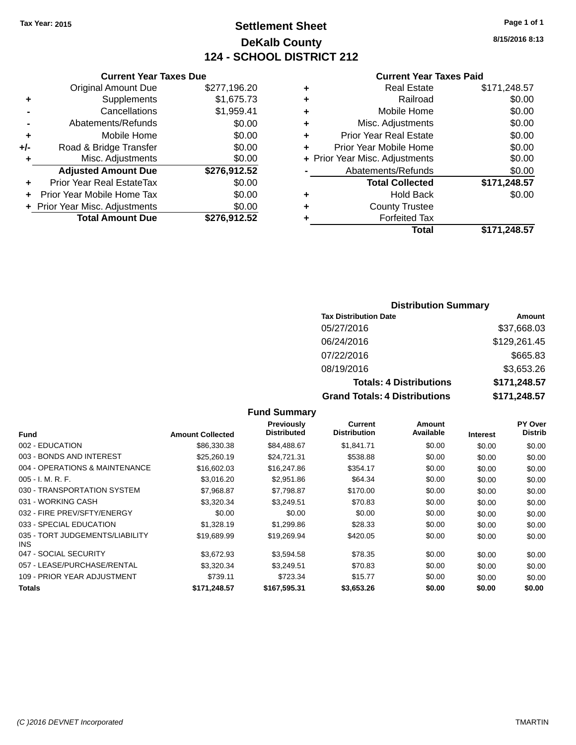## **Settlement Sheet Tax Year: 2015 Page 1 of 1 DeKalb County 124 - SCHOOL DISTRICT 212**

**8/15/2016 8:13**

#### **Current Year Taxes Paid**

|     | <b>Original Amount Due</b>       | \$277,196.20 |
|-----|----------------------------------|--------------|
| ٠   | Supplements                      | \$1,675.73   |
|     | Cancellations                    | \$1,959.41   |
|     | Abatements/Refunds               | \$0.00       |
| ٠   | Mobile Home                      | \$0.00       |
| +/- | Road & Bridge Transfer           | \$0.00       |
| ٠   | Misc. Adjustments                | \$0.00       |
|     | <b>Adjusted Amount Due</b>       | \$276,912.52 |
|     | <b>Prior Year Real EstateTax</b> | \$0.00       |
| ٠   | Prior Year Mobile Home Tax       | \$0.00       |
|     | + Prior Year Misc. Adjustments   | \$0.00       |
|     | <b>Total Amount Due</b>          | \$276,912.52 |
|     |                                  |              |

**Current Year Taxes Due**

|   | <b>Real Estate</b>             | \$171,248.57 |
|---|--------------------------------|--------------|
| ٠ | Railroad                       | \$0.00       |
| ٠ | Mobile Home                    | \$0.00       |
| ٠ | Misc. Adjustments              | \$0.00       |
| ٠ | <b>Prior Year Real Estate</b>  | \$0.00       |
| ٠ | Prior Year Mobile Home         | \$0.00       |
|   | + Prior Year Misc. Adjustments | \$0.00       |
|   | Abatements/Refunds             | \$0.00       |
|   | <b>Total Collected</b>         | \$171,248.57 |
| ٠ | Hold Back                      | \$0.00       |
| ٠ | <b>County Trustee</b>          |              |
| ٠ | <b>Forfeited Tax</b>           |              |
|   | Total                          | \$171,248.57 |
|   |                                |              |

# **Distribution Summary**

| <b>Tax Distribution Date</b>         | Amount       |
|--------------------------------------|--------------|
| 05/27/2016                           | \$37,668.03  |
| 06/24/2016                           | \$129,261.45 |
| 07/22/2016                           | \$665.83     |
| 08/19/2016                           | \$3,653.26   |
| <b>Totals: 4 Distributions</b>       | \$171,248.57 |
| <b>Grand Totals: 4 Distributions</b> | \$171,248.57 |

#### **Fund Summary Fund Interest Amount Collected Distributed PY Over Distrib Amount Available Current Distribution Previously** 002 - EDUCATION \$86,330.38 \$84,488.67 \$1,841.71 \$0.00 \$0.00 \$0.00 003 - BONDS AND INTEREST 60.00 \$25,260.19 \$24,721.31 \$538.88 \$0.00 \$0.00 \$0.00 \$0.00 004 - OPERATIONS & MAINTENANCE \$16,602.03 \$16,247.86 \$354.17 \$0.00 \$0.00 \$0.00 005 - I. M. R. F. \$3,016.20 \$2,951.86 \$64.34 \$0.00 \$0.00 \$0.00 030 - TRANSPORTATION SYSTEM \$7,968.87 \$7,798.87 \$170.00 \$0.00 \$0.00 \$0.00 \$0.00 031 - WORKING CASH \$1,320.34 \$3,320.34 \$3,249.51 \$70.83 \$0.00 \$0.00 \$0.00 \$0.00 032 - FIRE PREV/SFTY/ENERGY  $$0.00$   $$0.00$   $$0.00$   $$0.00$   $$0.00$   $$0.00$   $$0.00$   $$0.00$ 033 - SPECIAL EDUCATION \$1,328.19 \$1,299.86 \$28.33 \$0.00 \$0.00 \$0.00 \$0.00 035 - TORT JUDGEMENTS/LIABILITY INS \$19,689.99 \$19,269.94 \$420.05 \$0.00 \$0.00 \$0.00 047 - SOCIAL SECURITY \$3,672.93 \$3,594.58 \$78.35 \$0.00 \$0.00 \$0.00 057 - LEASE/PURCHASE/RENTAL  $$3,320.34$   $$3,249.51$   $$70.83$  \$0.00  $$0.00$   $$0.00$ 109 - PRIOR YEAR ADJUSTMENT **\$739.11** \$723.34 \$15.77 \$0.00 \$0.00 \$0.00 \$0.00 **Totals \$171,248.57 \$167,595.31 \$3,653.26 \$0.00 \$0.00 \$0.00**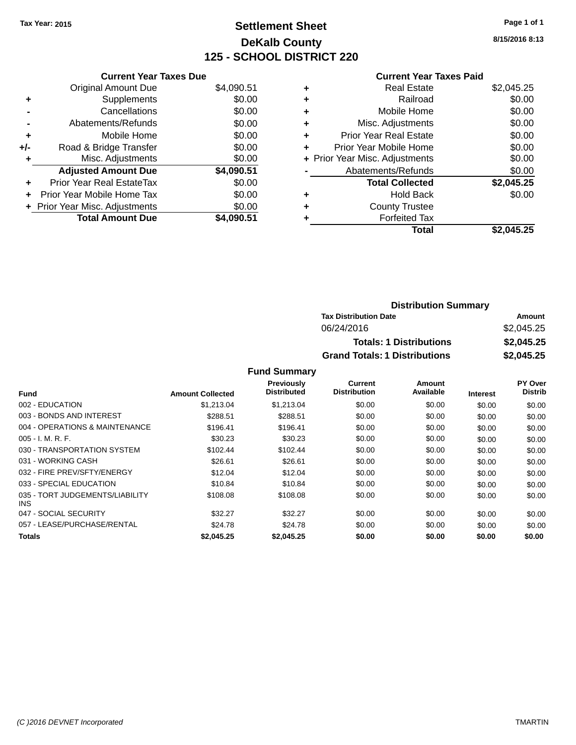# **Settlement Sheet Tax Year: 2015 Page 1 of 1 DeKalb County 125 - SCHOOL DISTRICT 220**

**8/15/2016 8:13**

### **Current Year Taxes Paid**

|     | <b>Current Year Taxes Due</b>     |            |
|-----|-----------------------------------|------------|
|     | <b>Original Amount Due</b>        | \$4,090.51 |
| ٠   | Supplements                       | \$0.00     |
|     | Cancellations                     | \$0.00     |
|     | Abatements/Refunds                | \$0.00     |
| ٠   | Mobile Home                       | \$0.00     |
| +/- | Road & Bridge Transfer            | \$0.00     |
| ٠   | Misc. Adjustments                 | \$0.00     |
|     | <b>Adjusted Amount Due</b>        | \$4,090.51 |
| ÷   | <b>Prior Year Real EstateTax</b>  | \$0.00     |
| ÷   | <b>Prior Year Mobile Home Tax</b> | \$0.00     |
|     | + Prior Year Misc. Adjustments    | \$0.00     |
|     | <b>Total Amount Due</b>           | \$4,090.51 |

|   | <b>Real Estate</b>             | \$2,045.25 |
|---|--------------------------------|------------|
| ٠ | Railroad                       | \$0.00     |
| ٠ | Mobile Home                    | \$0.00     |
| ٠ | Misc. Adjustments              | \$0.00     |
| ٠ | <b>Prior Year Real Estate</b>  | \$0.00     |
| ٠ | Prior Year Mobile Home         | \$0.00     |
|   | + Prior Year Misc. Adjustments | \$0.00     |
|   | Abatements/Refunds             | \$0.00     |
|   | <b>Total Collected</b>         | \$2,045.25 |
| ٠ | <b>Hold Back</b>               | \$0.00     |
| ٠ | <b>County Trustee</b>          |            |
| ٠ | <b>Forfeited Tax</b>           |            |
|   | Total                          | \$2.045.25 |
|   |                                |            |

| <b>Distribution Summary</b>          |            |
|--------------------------------------|------------|
| <b>Tax Distribution Date</b>         | Amount     |
| 06/24/2016                           | \$2,045.25 |
| <b>Totals: 1 Distributions</b>       | \$2,045.25 |
| <b>Grand Totals: 1 Distributions</b> | \$2,045.25 |

#### **Fund Summary**

| Fund                                    | <b>Amount Collected</b> | <b>Previously</b><br><b>Distributed</b> | Current<br><b>Distribution</b> | Amount<br>Available | <b>Interest</b> | PY Over<br><b>Distrib</b> |
|-----------------------------------------|-------------------------|-----------------------------------------|--------------------------------|---------------------|-----------------|---------------------------|
| 002 - EDUCATION                         | \$1,213.04              | \$1,213.04                              | \$0.00                         | \$0.00              | \$0.00          | \$0.00                    |
| 003 - BONDS AND INTEREST                | \$288.51                | \$288.51                                | \$0.00                         | \$0.00              | \$0.00          | \$0.00                    |
| 004 - OPERATIONS & MAINTENANCE          | \$196.41                | \$196.41                                | \$0.00                         | \$0.00              | \$0.00          | \$0.00                    |
| $005 - I. M. R. F.$                     | \$30.23                 | \$30.23                                 | \$0.00                         | \$0.00              | \$0.00          | \$0.00                    |
| 030 - TRANSPORTATION SYSTEM             | \$102.44                | \$102.44                                | \$0.00                         | \$0.00              | \$0.00          | \$0.00                    |
| 031 - WORKING CASH                      | \$26.61                 | \$26.61                                 | \$0.00                         | \$0.00              | \$0.00          | \$0.00                    |
| 032 - FIRE PREV/SFTY/ENERGY             | \$12.04                 | \$12.04                                 | \$0.00                         | \$0.00              | \$0.00          | \$0.00                    |
| 033 - SPECIAL EDUCATION                 | \$10.84                 | \$10.84                                 | \$0.00                         | \$0.00              | \$0.00          | \$0.00                    |
| 035 - TORT JUDGEMENTS/LIABILITY<br>INS. | \$108.08                | \$108.08                                | \$0.00                         | \$0.00              | \$0.00          | \$0.00                    |
| 047 - SOCIAL SECURITY                   | \$32.27                 | \$32.27                                 | \$0.00                         | \$0.00              | \$0.00          | \$0.00                    |
| 057 - LEASE/PURCHASE/RENTAL             | \$24.78                 | \$24.78                                 | \$0.00                         | \$0.00              | \$0.00          | \$0.00                    |
| Totals                                  | \$2,045.25              | \$2,045.25                              | \$0.00                         | \$0.00              | \$0.00          | \$0.00                    |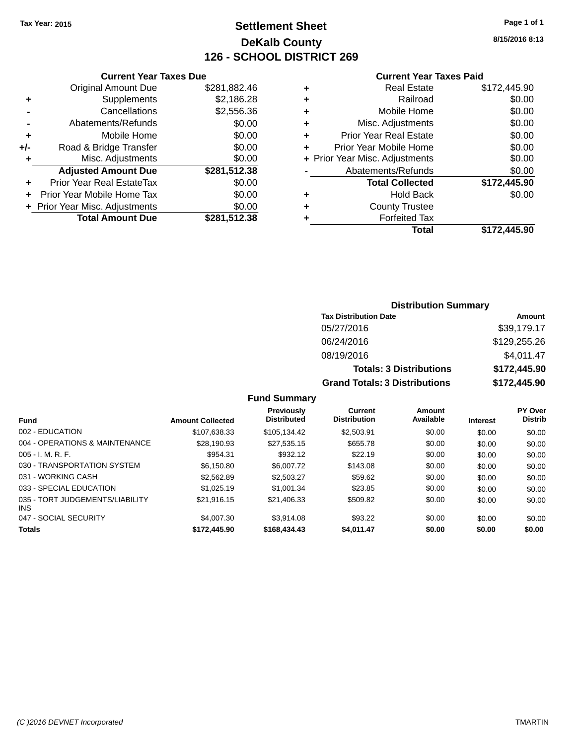# **Settlement Sheet Tax Year: 2015 Page 1 of 1 DeKalb County 126 - SCHOOL DISTRICT 269**

**8/15/2016 8:13**

#### **Current Year Taxes Paid**

| \$2,186.28<br>\$2,556.36<br>\$0.00<br>\$0.00<br>\$0.00<br>\$0.00<br>\$281,512.38<br>\$0.00<br>\$0.00<br>\$0.00<br>\$281,512.38 |
|--------------------------------------------------------------------------------------------------------------------------------|

| ٠ | <b>Real Estate</b>             | \$172,445.90 |
|---|--------------------------------|--------------|
| ٠ | Railroad                       | \$0.00       |
| ٠ | Mobile Home                    | \$0.00       |
| ٠ | Misc. Adjustments              | \$0.00       |
| ٠ | <b>Prior Year Real Estate</b>  | \$0.00       |
| ÷ | Prior Year Mobile Home         | \$0.00       |
|   | + Prior Year Misc. Adjustments | \$0.00       |
|   | Abatements/Refunds             | \$0.00       |
|   | <b>Total Collected</b>         | \$172,445.90 |
| ٠ | Hold Back                      | \$0.00       |
| ٠ | <b>County Trustee</b>          |              |
| ٠ | <b>Forfeited Tax</b>           |              |
|   | Total                          | \$172,445,90 |
|   |                                |              |

### **Distribution Summary Tax Distribution Date Amount** 05/27/2016 \$39,179.17 06/24/2016 \$129,255.26 08/19/2016 \$4,011.47 **Totals: 3 Distributions \$172,445.90 Grand Totals: 3 Distributions \$172,445.90**

### **Fund Summary**

|                                               |                         | <b>Previously</b>  | Current             | Amount    |                 | <b>PY Over</b> |
|-----------------------------------------------|-------------------------|--------------------|---------------------|-----------|-----------------|----------------|
| <b>Fund</b>                                   | <b>Amount Collected</b> | <b>Distributed</b> | <b>Distribution</b> | Available | <b>Interest</b> | <b>Distrib</b> |
| 002 - EDUCATION                               | \$107,638.33            | \$105.134.42       | \$2,503.91          | \$0.00    | \$0.00          | \$0.00         |
| 004 - OPERATIONS & MAINTENANCE                | \$28.190.93             | \$27,535.15        | \$655.78            | \$0.00    | \$0.00          | \$0.00         |
| $005 - I. M. R. F.$                           | \$954.31                | \$932.12           | \$22.19             | \$0.00    | \$0.00          | \$0.00         |
| 030 - TRANSPORTATION SYSTEM                   | \$6.150.80              | \$6,007.72         | \$143.08            | \$0.00    | \$0.00          | \$0.00         |
| 031 - WORKING CASH                            | \$2,562.89              | \$2,503.27         | \$59.62             | \$0.00    | \$0.00          | \$0.00         |
| 033 - SPECIAL EDUCATION                       | \$1.025.19              | \$1,001.34         | \$23.85             | \$0.00    | \$0.00          | \$0.00         |
| 035 - TORT JUDGEMENTS/LIABILITY<br><b>INS</b> | \$21.916.15             | \$21,406.33        | \$509.82            | \$0.00    | \$0.00          | \$0.00         |
| 047 - SOCIAL SECURITY                         | \$4,007.30              | \$3.914.08         | \$93.22             | \$0.00    | \$0.00          | \$0.00         |
| <b>Totals</b>                                 | \$172,445,90            | \$168,434,43       | \$4.011.47          | \$0.00    | \$0.00          | \$0.00         |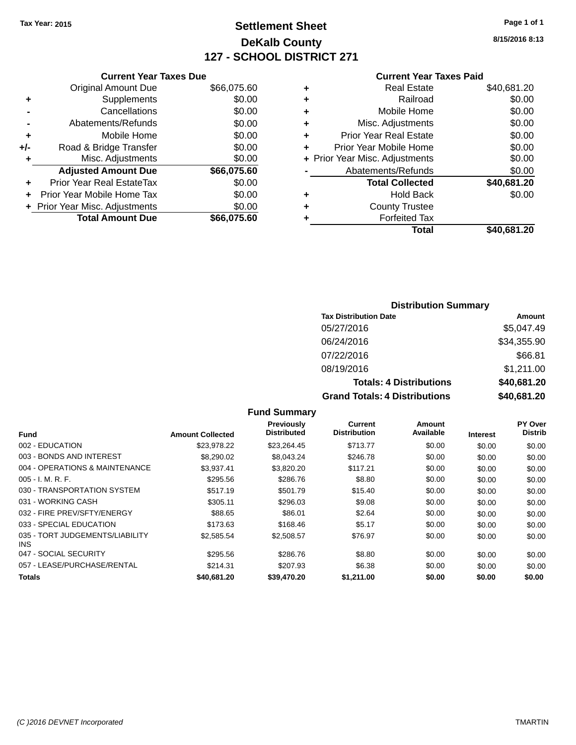# **Settlement Sheet Tax Year: 2015 Page 1 of 1 DeKalb County 127 - SCHOOL DISTRICT 271**

**8/15/2016 8:13**

#### **Current Year Taxes Paid**

|     | <b>Current Year Taxes Due</b> |             |  |  |  |  |
|-----|-------------------------------|-------------|--|--|--|--|
|     | <b>Original Amount Due</b>    | \$66,075.60 |  |  |  |  |
| ٠   | Supplements                   | \$0.00      |  |  |  |  |
|     | Cancellations                 | \$0.00      |  |  |  |  |
|     | Abatements/Refunds            | \$0.00      |  |  |  |  |
| ٠   | Mobile Home                   | \$0.00      |  |  |  |  |
| +/- | Road & Bridge Transfer        | \$0.00      |  |  |  |  |
| ٠   | Misc. Adjustments             | \$0.00      |  |  |  |  |
|     | <b>Adjusted Amount Due</b>    | \$66,075.60 |  |  |  |  |
| ٠   | Prior Year Real EstateTax     | \$0.00      |  |  |  |  |
|     | Prior Year Mobile Home Tax    | \$0.00      |  |  |  |  |
|     | Prior Year Misc. Adjustments  | \$0.00      |  |  |  |  |
|     | <b>Total Amount Due</b>       | \$66,075.60 |  |  |  |  |

| ٠ | <b>Real Estate</b>             | \$40,681.20 |
|---|--------------------------------|-------------|
| ٠ | Railroad                       | \$0.00      |
| ٠ | Mobile Home                    | \$0.00      |
| ٠ | Misc. Adjustments              | \$0.00      |
| ٠ | <b>Prior Year Real Estate</b>  | \$0.00      |
| ÷ | Prior Year Mobile Home         | \$0.00      |
|   | + Prior Year Misc. Adjustments | \$0.00      |
|   | Abatements/Refunds             | \$0.00      |
|   | <b>Total Collected</b>         | \$40,681.20 |
| ٠ | <b>Hold Back</b>               | \$0.00      |
| ٠ | <b>County Trustee</b>          |             |
| ٠ | <b>Forfeited Tax</b>           |             |
|   | Total                          | \$40,681.20 |
|   |                                |             |

### **Distribution Summary Tax Distribution Date Amount** 05/27/2016 \$5,047.49 06/24/2016 \$34,355.90 07/22/2016 \$66.81 08/19/2016 \$1,211.00 **Totals: 4 Distributions \$40,681.20 Grand Totals: 4 Distributions \$40,681.20**

|                                         |                         | <b>Fund Summary</b>                     |                                |                     |                 |                                  |
|-----------------------------------------|-------------------------|-----------------------------------------|--------------------------------|---------------------|-----------------|----------------------------------|
| Fund                                    | <b>Amount Collected</b> | <b>Previously</b><br><b>Distributed</b> | Current<br><b>Distribution</b> | Amount<br>Available | <b>Interest</b> | <b>PY Over</b><br><b>Distrib</b> |
| 002 - EDUCATION                         | \$23,978.22             | \$23,264.45                             | \$713.77                       | \$0.00              | \$0.00          | \$0.00                           |
| 003 - BONDS AND INTEREST                | \$8,290.02              | \$8,043.24                              | \$246.78                       | \$0.00              | \$0.00          | \$0.00                           |
| 004 - OPERATIONS & MAINTENANCE          | \$3,937.41              | \$3,820.20                              | \$117.21                       | \$0.00              | \$0.00          | \$0.00                           |
| $005 - I. M. R. F.$                     | \$295.56                | \$286.76                                | \$8.80                         | \$0.00              | \$0.00          | \$0.00                           |
| 030 - TRANSPORTATION SYSTEM             | \$517.19                | \$501.79                                | \$15.40                        | \$0.00              | \$0.00          | \$0.00                           |
| 031 - WORKING CASH                      | \$305.11                | \$296.03                                | \$9.08                         | \$0.00              | \$0.00          | \$0.00                           |
| 032 - FIRE PREV/SFTY/ENERGY             | \$88.65                 | \$86.01                                 | \$2.64                         | \$0.00              | \$0.00          | \$0.00                           |
| 033 - SPECIAL EDUCATION                 | \$173.63                | \$168.46                                | \$5.17                         | \$0.00              | \$0.00          | \$0.00                           |
| 035 - TORT JUDGEMENTS/LIABILITY<br>INS. | \$2,585.54              | \$2,508.57                              | \$76.97                        | \$0.00              | \$0.00          | \$0.00                           |
| 047 - SOCIAL SECURITY                   | \$295.56                | \$286.76                                | \$8.80                         | \$0.00              | \$0.00          | \$0.00                           |
| 057 - LEASE/PURCHASE/RENTAL             | \$214.31                | \$207.93                                | \$6.38                         | \$0.00              | \$0.00          | \$0.00                           |
| <b>Totals</b>                           | \$40.681.20             | \$39.470.20                             | \$1,211.00                     | \$0.00              | \$0.00          | \$0.00                           |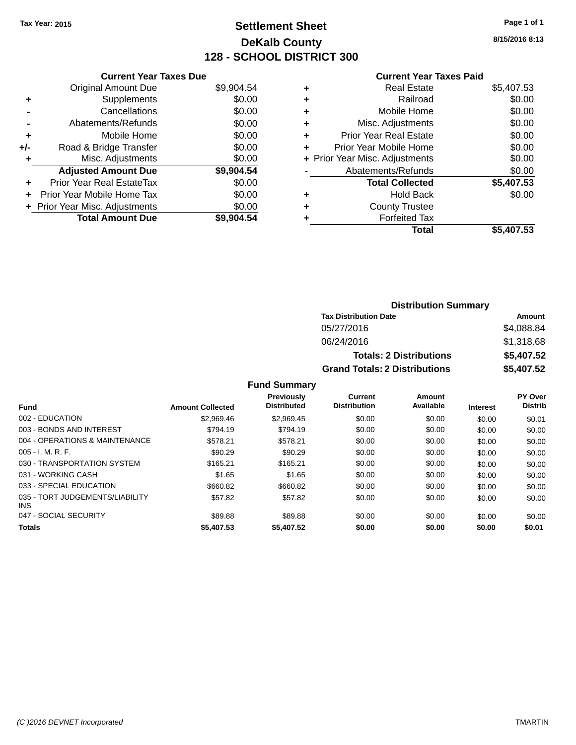# **Settlement Sheet Tax Year: 2015 Page 1 of 1 DeKalb County 128 - SCHOOL DISTRICT 300**

**8/15/2016 8:13**

### **Current Year Taxes Paid**

|     | <b>Current Year Taxes Due</b>  |            |
|-----|--------------------------------|------------|
|     | <b>Original Amount Due</b>     | \$9,904.54 |
| ٠   | Supplements                    | \$0.00     |
|     | Cancellations                  | \$0.00     |
|     | Abatements/Refunds             | \$0.00     |
| ٠   | Mobile Home                    | \$0.00     |
| +/- | Road & Bridge Transfer         | \$0.00     |
| ٠   | Misc. Adjustments              | \$0.00     |
|     | <b>Adjusted Amount Due</b>     | \$9,904.54 |
| ÷   | Prior Year Real EstateTax      | \$0.00     |
| ÷   | Prior Year Mobile Home Tax     | \$0.00     |
|     | + Prior Year Misc. Adjustments | \$0.00     |
|     | <b>Total Amount Due</b>        | \$9,904.54 |

|   | <b>Real Estate</b>             | \$5,407.53 |
|---|--------------------------------|------------|
| ٠ | Railroad                       | \$0.00     |
| ٠ | Mobile Home                    | \$0.00     |
| ٠ | Misc. Adjustments              | \$0.00     |
| ٠ | <b>Prior Year Real Estate</b>  | \$0.00     |
| ٠ | Prior Year Mobile Home         | \$0.00     |
|   | + Prior Year Misc. Adjustments | \$0.00     |
|   | Abatements/Refunds             | \$0.00     |
|   | <b>Total Collected</b>         | \$5,407.53 |
| ٠ | Hold Back                      | \$0.00     |
|   | <b>County Trustee</b>          |            |
| ٠ | <b>Forfeited Tax</b>           |            |
|   | Total                          | \$5,407.53 |
|   |                                |            |

| <b>Distribution Summary</b>          |            |  |  |  |
|--------------------------------------|------------|--|--|--|
| <b>Tax Distribution Date</b>         | Amount     |  |  |  |
| 05/27/2016                           | \$4,088.84 |  |  |  |
| 06/24/2016                           | \$1,318.68 |  |  |  |
| <b>Totals: 2 Distributions</b>       | \$5,407.52 |  |  |  |
| <b>Grand Totals: 2 Distributions</b> | \$5,407.52 |  |  |  |

### **Fund Summary**

|                                               |                         | <b>Previously</b><br><b>Distributed</b> | Current<br><b>Distribution</b> | Amount<br>Available |                 | PY Over<br><b>Distrib</b> |
|-----------------------------------------------|-------------------------|-----------------------------------------|--------------------------------|---------------------|-----------------|---------------------------|
| <b>Fund</b>                                   | <b>Amount Collected</b> |                                         |                                |                     | <b>Interest</b> |                           |
| 002 - EDUCATION                               | \$2.969.46              | \$2.969.45                              | \$0.00                         | \$0.00              | \$0.00          | \$0.01                    |
| 003 - BONDS AND INTEREST                      | \$794.19                | \$794.19                                | \$0.00                         | \$0.00              | \$0.00          | \$0.00                    |
| 004 - OPERATIONS & MAINTENANCE                | \$578.21                | \$578.21                                | \$0.00                         | \$0.00              | \$0.00          | \$0.00                    |
| $005 - I. M. R. F.$                           | \$90.29                 | \$90.29                                 | \$0.00                         | \$0.00              | \$0.00          | \$0.00                    |
| 030 - TRANSPORTATION SYSTEM                   | \$165.21                | \$165.21                                | \$0.00                         | \$0.00              | \$0.00          | \$0.00                    |
| 031 - WORKING CASH                            | \$1.65                  | \$1.65                                  | \$0.00                         | \$0.00              | \$0.00          | \$0.00                    |
| 033 - SPECIAL EDUCATION                       | \$660.82                | \$660.82                                | \$0.00                         | \$0.00              | \$0.00          | \$0.00                    |
| 035 - TORT JUDGEMENTS/LIABILITY<br><b>INS</b> | \$57.82                 | \$57.82                                 | \$0.00                         | \$0.00              | \$0.00          | \$0.00                    |
| 047 - SOCIAL SECURITY                         | \$89.88                 | \$89.88                                 | \$0.00                         | \$0.00              | \$0.00          | \$0.00                    |
| <b>Totals</b>                                 | \$5,407.53              | \$5,407.52                              | \$0.00                         | \$0.00              | \$0.00          | \$0.01                    |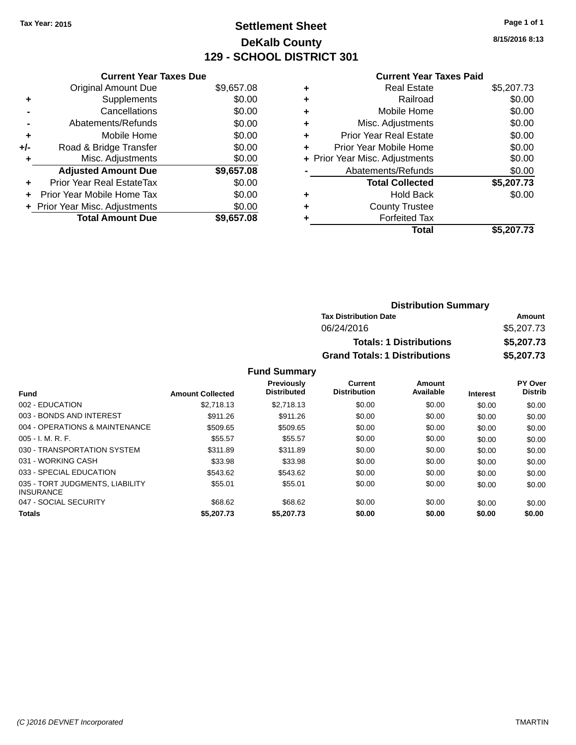# **Settlement Sheet Tax Year: 2015 Page 1 of 1 DeKalb County 129 - SCHOOL DISTRICT 301**

**8/15/2016 8:13**

### **Current Year Taxes Paid +** Real Estate \$5,207.73 **+** Railroad \$0.00 **+** Mobile Home \$0.00 **+** Misc. Adjustments \$0.00 **+** Prior Year Real Estate \$0.00 **+** Prior Year Mobile Home \$0.00

|           | Total                          | \$5,207.73 |
|-----------|--------------------------------|------------|
| $\ddot{}$ | <b>Forfeited Tax</b>           |            |
| $\ddot{}$ | <b>County Trustee</b>          |            |
| ÷         | <b>Hold Back</b>               | \$0.00     |
|           | <b>Total Collected</b>         | \$5,207.73 |
|           | Abatements/Refunds             | \$0.00     |
|           | + Prior Year Misc. Adjustments | \$0.00     |
|           |                                |            |

| <b>Distribution Summary</b>          |            |  |  |  |
|--------------------------------------|------------|--|--|--|
| <b>Tax Distribution Date</b>         | Amount     |  |  |  |
| 06/24/2016                           | \$5,207.73 |  |  |  |
| <b>Totals: 1 Distributions</b>       | \$5,207.73 |  |  |  |
| <b>Grand Totals: 1 Distributions</b> | \$5,207.73 |  |  |  |

#### **Fund Summary**

| <b>Fund</b>                                         | <b>Amount Collected</b> | <b>Previously</b><br><b>Distributed</b> | Current<br><b>Distribution</b> | Amount<br>Available | <b>Interest</b> | PY Over<br><b>Distrib</b> |
|-----------------------------------------------------|-------------------------|-----------------------------------------|--------------------------------|---------------------|-----------------|---------------------------|
| 002 - EDUCATION                                     | \$2.718.13              | \$2.718.13                              | \$0.00                         | \$0.00              | \$0.00          | \$0.00                    |
| 003 - BONDS AND INTEREST                            | \$911.26                | \$911.26                                | \$0.00                         | \$0.00              | \$0.00          | \$0.00                    |
| 004 - OPERATIONS & MAINTENANCE                      | \$509.65                | \$509.65                                | \$0.00                         | \$0.00              | \$0.00          | \$0.00                    |
| $005 - I. M. R. F.$                                 | \$55.57                 | \$55.57                                 | \$0.00                         | \$0.00              | \$0.00          | \$0.00                    |
| 030 - TRANSPORTATION SYSTEM                         | \$311.89                | \$311.89                                | \$0.00                         | \$0.00              | \$0.00          | \$0.00                    |
| 031 - WORKING CASH                                  | \$33.98                 | \$33.98                                 | \$0.00                         | \$0.00              | \$0.00          | \$0.00                    |
| 033 - SPECIAL EDUCATION                             | \$543.62                | \$543.62                                | \$0.00                         | \$0.00              | \$0.00          | \$0.00                    |
| 035 - TORT JUDGMENTS, LIABILITY<br><b>INSURANCE</b> | \$55.01                 | \$55.01                                 | \$0.00                         | \$0.00              | \$0.00          | \$0.00                    |
| 047 - SOCIAL SECURITY                               | \$68.62                 | \$68.62                                 | \$0.00                         | \$0.00              | \$0.00          | \$0.00                    |
| <b>Totals</b>                                       | \$5,207.73              | \$5,207.73                              | \$0.00                         | \$0.00              | \$0.00          | \$0.00                    |

|     | <b>Current Year Taxes Due</b>  |            |
|-----|--------------------------------|------------|
|     | <b>Original Amount Due</b>     | \$9,657.08 |
| ٠   | Supplements                    | \$0.00     |
|     | Cancellations                  | \$0.00     |
|     | Abatements/Refunds             | \$0.00     |
| ٠   | Mobile Home                    | \$0.00     |
| +/- | Road & Bridge Transfer         | \$0.00     |
| ٠   | Misc. Adjustments              | \$0.00     |
|     | <b>Adjusted Amount Due</b>     | \$9,657.08 |
|     | Prior Year Real EstateTax      | \$0.00     |
|     | Prior Year Mobile Home Tax     | \$0.00     |
|     | + Prior Year Misc. Adjustments | \$0.00     |
|     | <b>Total Amount Due</b>        | \$9,657.08 |
|     |                                |            |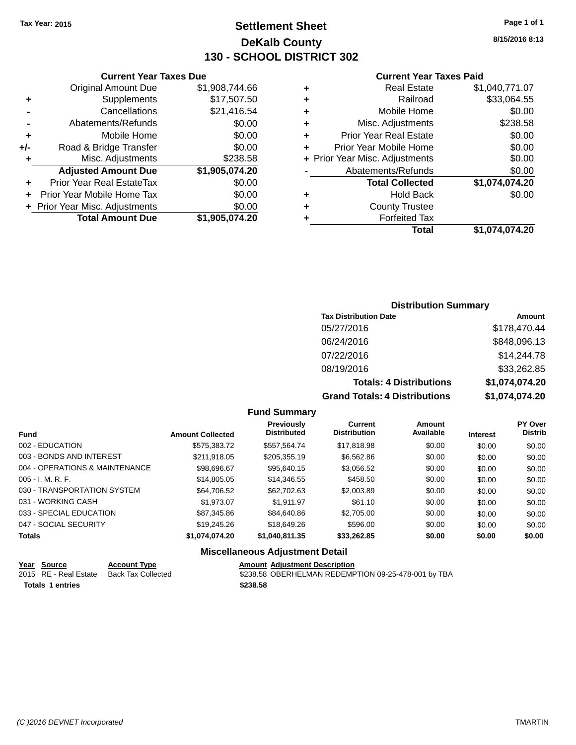# **Settlement Sheet Tax Year: 2015 Page 1 of 1 DeKalb County 130 - SCHOOL DISTRICT 302**

**8/15/2016 8:13**

#### **Current Year Taxes Paid**

|     | <b>Current Year Taxes Due</b>  |                |
|-----|--------------------------------|----------------|
|     | <b>Original Amount Due</b>     | \$1,908,744.66 |
| ٠   | Supplements                    | \$17,507.50    |
|     | Cancellations                  | \$21,416.54    |
|     | Abatements/Refunds             | \$0.00         |
| ٠   | Mobile Home                    | \$0.00         |
| +/- | Road & Bridge Transfer         | \$0.00         |
| ٠   | Misc. Adjustments              | \$238.58       |
|     | <b>Adjusted Amount Due</b>     | \$1,905,074.20 |
|     | Prior Year Real EstateTax      | \$0.00         |
| ٠   | Prior Year Mobile Home Tax     | \$0.00         |
|     | + Prior Year Misc. Adjustments | \$0.00         |
|     | <b>Total Amount Due</b>        | \$1,905,074.20 |

| <b>Distribution Summary</b> |  |
|-----------------------------|--|
|-----------------------------|--|

| <b>Tax Distribution Date</b>         | Amount         |
|--------------------------------------|----------------|
| 05/27/2016                           | \$178,470.44   |
| 06/24/2016                           | \$848,096.13   |
| 07/22/2016                           | \$14,244.78    |
| 08/19/2016                           | \$33,262.85    |
| <b>Totals: 4 Distributions</b>       | \$1,074,074.20 |
| <b>Grand Totals: 4 Distributions</b> | \$1,074,074.20 |

#### **Fund Summary**

| <b>Fund</b>                    | <b>Amount Collected</b> | <b>Previously</b><br><b>Distributed</b> | Current<br><b>Distribution</b> | Amount<br>Available | <b>Interest</b> | <b>PY Over</b><br><b>Distrib</b> |
|--------------------------------|-------------------------|-----------------------------------------|--------------------------------|---------------------|-----------------|----------------------------------|
|                                |                         |                                         |                                |                     |                 |                                  |
| 002 - EDUCATION                | \$575,383.72            | \$557,564.74                            | \$17,818.98                    | \$0.00              | \$0.00          | \$0.00                           |
| 003 - BONDS AND INTEREST       | \$211,918.05            | \$205,355.19                            | \$6,562.86                     | \$0.00              | \$0.00          | \$0.00                           |
| 004 - OPERATIONS & MAINTENANCE | \$98,696.67             | \$95,640.15                             | \$3,056.52                     | \$0.00              | \$0.00          | \$0.00                           |
| $005 - I. M. R. F.$            | \$14,805.05             | \$14,346.55                             | \$458.50                       | \$0.00              | \$0.00          | \$0.00                           |
| 030 - TRANSPORTATION SYSTEM    | \$64.706.52             | \$62,702.63                             | \$2,003.89                     | \$0.00              | \$0.00          | \$0.00                           |
| 031 - WORKING CASH             | \$1.973.07              | \$1.911.97                              | \$61.10                        | \$0.00              | \$0.00          | \$0.00                           |
| 033 - SPECIAL EDUCATION        | \$87,345.86             | \$84,640.86                             | \$2,705.00                     | \$0.00              | \$0.00          | \$0.00                           |
| 047 - SOCIAL SECURITY          | \$19,245.26             | \$18,649.26                             | \$596.00                       | \$0.00              | \$0.00          | \$0.00                           |
| <b>Totals</b>                  | \$1,074,074.20          | \$1,040,811.35                          | \$33,262.85                    | \$0.00              | \$0.00          | \$0.00                           |

### **Miscellaneous Adjustment Detail**

| Year Source           | <b>Account Type</b> | <b>Amount Adiustment Description</b>                |
|-----------------------|---------------------|-----------------------------------------------------|
| 2015 RE - Real Estate | Back Tax Collected  | \$238.58 OBERHELMAN REDEMPTION 09-25-478-001 by TBA |
| Totals 1 entries      |                     | \$238.58                                            |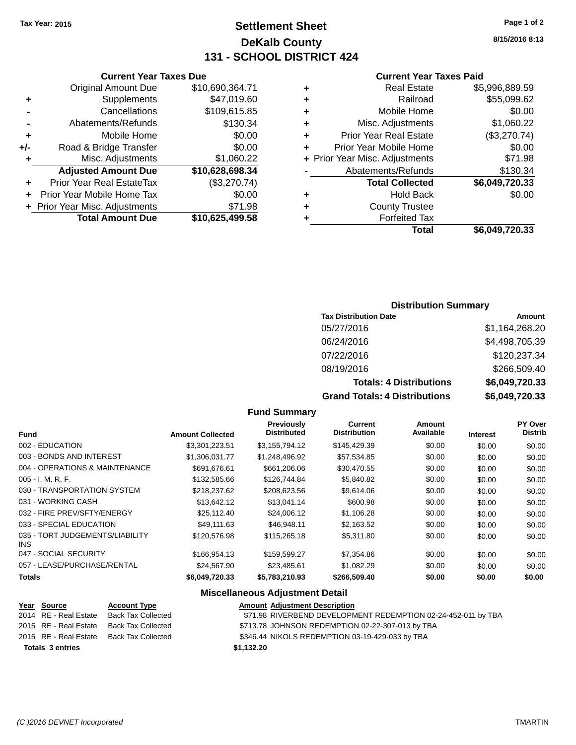# **Settlement Sheet Tax Year: 2015 Page 1 of 2 DeKalb County 131 - SCHOOL DISTRICT 424**

**8/15/2016 8:13**

#### **Current Year Taxes Paid**

| ٠ | <b>Real Estate</b>             | \$5,996,889.59 |
|---|--------------------------------|----------------|
| ÷ | Railroad                       | \$55,099.62    |
| ٠ | Mobile Home                    | \$0.00         |
| ٠ | Misc. Adjustments              | \$1,060.22     |
| ٠ | <b>Prior Year Real Estate</b>  | (\$3,270.74)   |
|   | Prior Year Mobile Home         | \$0.00         |
|   | + Prior Year Misc. Adjustments | \$71.98        |
|   | Abatements/Refunds             | \$130.34       |
|   | <b>Total Collected</b>         | \$6,049,720.33 |
| ٠ | <b>Hold Back</b>               | \$0.00         |
| ٠ | <b>County Trustee</b>          |                |
| ٠ | <b>Forfeited Tax</b>           |                |
|   | Total                          | \$6,049,720.33 |

### **Current Year Taxes Due** Original Amount Due \$10,690,364.71 **+** Supplements \$47,019.60 **-** Cancellations \$109,615.85 **-** Abatements/Refunds \$130.34 **+** Mobile Home \$0.00 **+/-** Road & Bridge Transfer \$0.00 **+** Misc. Adjustments \$1,060.22 **Adjusted Amount Due \$10,628,698.34 +** Prior Year Real EstateTax (\$3,270.74) **+** Prior Year Mobile Home Tax \$0.00 **+** Prior Year Misc. Adjustments \$71.98 **Total Amount Due \$10,625,499.58**

### **Distribution Summary**

| <b>Tax Distribution Date</b>         | Amount         |
|--------------------------------------|----------------|
| 05/27/2016                           | \$1,164,268.20 |
| 06/24/2016                           | \$4,498,705.39 |
| 07/22/2016                           | \$120,237.34   |
| 08/19/2016                           | \$266,509.40   |
| <b>Totals: 4 Distributions</b>       | \$6,049,720.33 |
| <b>Grand Totals: 4 Distributions</b> | \$6,049,720.33 |

#### **Fund Summary**

|                                         |                         | <b>Previously</b>  | <b>Current</b>      | Amount    |                 | PY Over        |
|-----------------------------------------|-------------------------|--------------------|---------------------|-----------|-----------------|----------------|
| <b>Fund</b>                             | <b>Amount Collected</b> | <b>Distributed</b> | <b>Distribution</b> | Available | <b>Interest</b> | <b>Distrib</b> |
| 002 - EDUCATION                         | \$3,301,223.51          | \$3,155,794.12     | \$145,429.39        | \$0.00    | \$0.00          | \$0.00         |
| 003 - BONDS AND INTEREST                | \$1,306,031.77          | \$1,248,496.92     | \$57,534.85         | \$0.00    | \$0.00          | \$0.00         |
| 004 - OPERATIONS & MAINTENANCE          | \$691,676.61            | \$661,206.06       | \$30,470.55         | \$0.00    | \$0.00          | \$0.00         |
| $005 - I. M. R. F.$                     | \$132,585.66            | \$126,744.84       | \$5,840.82          | \$0.00    | \$0.00          | \$0.00         |
| 030 - TRANSPORTATION SYSTEM             | \$218,237.62            | \$208,623.56       | \$9,614.06          | \$0.00    | \$0.00          | \$0.00         |
| 031 - WORKING CASH                      | \$13.642.12             | \$13.041.14        | \$600.98            | \$0.00    | \$0.00          | \$0.00         |
| 032 - FIRE PREV/SFTY/ENERGY             | \$25,112.40             | \$24,006.12        | \$1,106.28          | \$0.00    | \$0.00          | \$0.00         |
| 033 - SPECIAL EDUCATION                 | \$49.111.63             | \$46.948.11        | \$2,163.52          | \$0.00    | \$0.00          | \$0.00         |
| 035 - TORT JUDGEMENTS/LIABILITY<br>INS. | \$120,576.98            | \$115,265.18       | \$5,311.80          | \$0.00    | \$0.00          | \$0.00         |
| 047 - SOCIAL SECURITY                   | \$166,954.13            | \$159,599.27       | \$7,354.86          | \$0.00    | \$0.00          | \$0.00         |
| 057 - LEASE/PURCHASE/RENTAL             | \$24.567.90             | \$23,485.61        | \$1,082.29          | \$0.00    | \$0.00          | \$0.00         |
| <b>Totals</b>                           | \$6,049,720.33          | \$5,783,210.93     | \$266,509.40        | \$0.00    | \$0.00          | \$0.00         |

### **Miscellaneous Adjustment Detail**

| Year Source             | <b>Account Type</b>                      | <b>Amount Adjustment Description</b>                          |
|-------------------------|------------------------------------------|---------------------------------------------------------------|
| 2014 RE - Real Estate   | Back Tax Collected                       | \$71.98 RIVERBEND DEVELOPMENT REDEMPTION 02-24-452-011 by TBA |
|                         | 2015 RE - Real Estate Back Tax Collected | \$713.78 JOHNSON REDEMPTION 02-22-307-013 by TBA              |
|                         | 2015 RE - Real Estate Back Tax Collected | \$346.44 NIKOLS REDEMPTION 03-19-429-033 by TBA               |
| <b>Totals 3 entries</b> |                                          | \$1,132.20                                                    |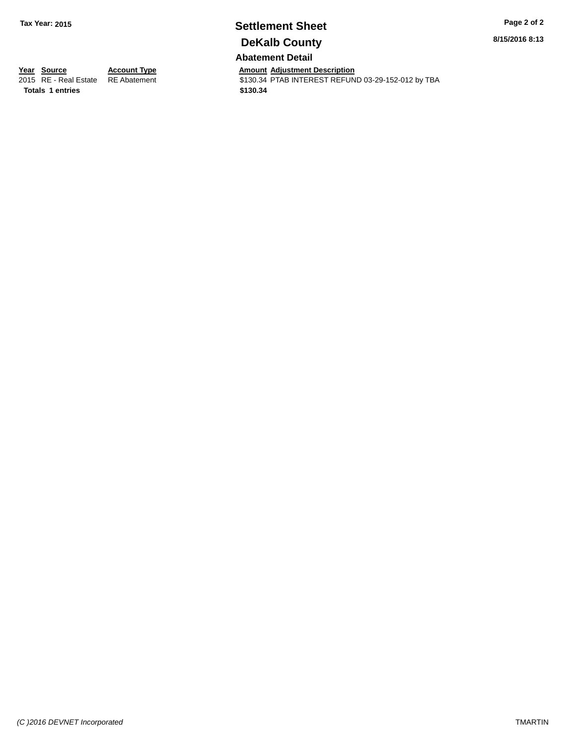# **Settlement Sheet Tax Year: 2015 Page 2 of 2 DeKalb County**

**8/15/2016 8:13**

**Abatement Detail**

**Totals \$130.34 1 entries**

**Year Source Account Type Aggle 7 Amount Adjustment Description**<br>
2015 RE - Real Estate RE Abatement **Account 1** S130.34 PTAB INTEREST REFUN \$130.34 PTAB INTEREST REFUND 03-29-152-012 by TBA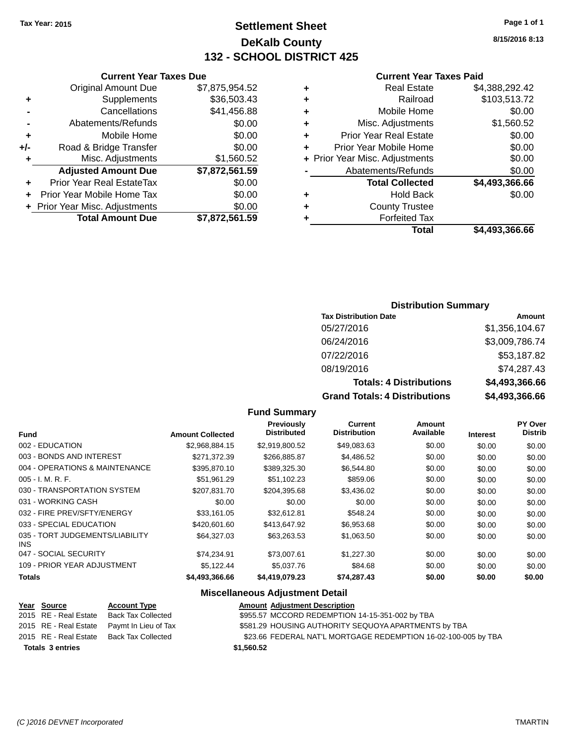**Original Amount Due** 

**Adjusted Amount Due** 

**Total Amount Due** 

**+** Supplements **-** Cancellations **-** Abatements/Refunds  $+$  Mobile Home **+/-** Road & Bridge Transfer **+** Misc. Adjustments

**+** Prior Year Real EstateTax \$0.00 **+** Prior Year Mobile Home Tax **+ Prior Year Misc. Adjustments** 

# **Settlement Sheet Tax Year: 2015 Page 1 of 1 DeKalb County 132 - SCHOOL DISTRICT 425**

**8/15/2016 8:13**

### **Current Year Taxes Paid**

| <b>Current Year Taxes Due</b> |                |   | <b>Current Year Taxes Paid</b> |                |  |
|-------------------------------|----------------|---|--------------------------------|----------------|--|
| ่<br>เl Amount Due            | \$7,875,954.52 | ٠ | <b>Real Estate</b>             | \$4,388,292.42 |  |
| Supplements                   | \$36,503.43    | ٠ | Railroad                       | \$103,513.72   |  |
| Cancellations                 | \$41,456.88    | ٠ | Mobile Home                    | \$0.00         |  |
| าents/Refunds                 | \$0.00         | ٠ | Misc. Adjustments              | \$1,560.52     |  |
| Mobile Home                   | \$0.00         | ÷ | <b>Prior Year Real Estate</b>  | \$0.00         |  |
| ridge Transfer                | \$0.00         | ÷ | Prior Year Mobile Home         | \$0.00         |  |
| :. Adjustments                | \$1,560.52     |   | + Prior Year Misc. Adjustments | \$0.00         |  |
| <b>Amount Due</b>             | \$7,872,561.59 |   | Abatements/Refunds             | \$0.00         |  |
| leal EstateTax≀               | \$0.00         |   | <b>Total Collected</b>         | \$4,493,366.66 |  |
| bile Home Tax                 | \$0.00         | ٠ | <b>Hold Back</b>               | \$0.00         |  |
| . Adjustments                 | \$0.00         | ÷ | <b>County Trustee</b>          |                |  |
| <b>Amount Due</b>             | \$7,872,561.59 |   | <b>Forfeited Tax</b>           |                |  |
|                               |                |   | Total                          | \$4,493,366.66 |  |

|  | \$4,493,366.66 |  |  |
|--|----------------|--|--|

### **Distribution Summary**

| <b>Tax Distribution Date</b>         | Amount         |
|--------------------------------------|----------------|
| 05/27/2016                           | \$1,356,104.67 |
| 06/24/2016                           | \$3,009,786.74 |
| 07/22/2016                           | \$53,187.82    |
| 08/19/2016                           | \$74,287.43    |
| <b>Totals: 4 Distributions</b>       | \$4,493,366.66 |
| <b>Grand Totals: 4 Distributions</b> | \$4,493,366.66 |

#### **Fund Summary**

|                                         |                         | Previously<br><b>Distributed</b> | Current<br><b>Distribution</b> | Amount<br>Available |                 | PY Over<br><b>Distrib</b> |
|-----------------------------------------|-------------------------|----------------------------------|--------------------------------|---------------------|-----------------|---------------------------|
| Fund                                    | <b>Amount Collected</b> |                                  |                                |                     | <b>Interest</b> |                           |
| 002 - EDUCATION                         | \$2,968,884.15          | \$2,919,800.52                   | \$49,083.63                    | \$0.00              | \$0.00          | \$0.00                    |
| 003 - BONDS AND INTEREST                | \$271.372.39            | \$266,885.87                     | \$4,486.52                     | \$0.00              | \$0.00          | \$0.00                    |
| 004 - OPERATIONS & MAINTENANCE          | \$395,870.10            | \$389,325.30                     | \$6,544.80                     | \$0.00              | \$0.00          | \$0.00                    |
| $005 - I. M. R. F.$                     | \$51,961.29             | \$51,102.23                      | \$859.06                       | \$0.00              | \$0.00          | \$0.00                    |
| 030 - TRANSPORTATION SYSTEM             | \$207.831.70            | \$204.395.68                     | \$3,436.02                     | \$0.00              | \$0.00          | \$0.00                    |
| 031 - WORKING CASH                      | \$0.00                  | \$0.00                           | \$0.00                         | \$0.00              | \$0.00          | \$0.00                    |
| 032 - FIRE PREV/SFTY/ENERGY             | \$33.161.05             | \$32.612.81                      | \$548.24                       | \$0.00              | \$0.00          | \$0.00                    |
| 033 - SPECIAL EDUCATION                 | \$420,601,60            | \$413,647.92                     | \$6,953.68                     | \$0.00              | \$0.00          | \$0.00                    |
| 035 - TORT JUDGEMENTS/LIABILITY<br>INS. | \$64.327.03             | \$63.263.53                      | \$1,063.50                     | \$0.00              | \$0.00          | \$0.00                    |
| 047 - SOCIAL SECURITY                   | \$74.234.91             | \$73,007.61                      | \$1,227,30                     | \$0.00              | \$0.00          | \$0.00                    |
| 109 - PRIOR YEAR ADJUSTMENT             | \$5.122.44              | \$5,037.76                       | \$84.68                        | \$0.00              | \$0.00          | \$0.00                    |
| <b>Totals</b>                           | \$4,493,366.66          | \$4,419,079.23                   | \$74,287.43                    | \$0.00              | \$0.00          | \$0.00                    |

#### **Miscellaneous Adjustment Detail**

| Year Source             | <b>Account Type</b>                        | <b>Amount Adjustment Description</b>                           |
|-------------------------|--------------------------------------------|----------------------------------------------------------------|
| 2015 RE - Real Estate   | Back Tax Collected                         | \$955.57 MCCORD REDEMPTION 14-15-351-002 by TBA                |
|                         | 2015 RE - Real Estate Paymt In Lieu of Tax | \$581.29 HOUSING AUTHORITY SEQUOYA APARTMENTS by TBA           |
|                         | 2015 RE - Real Estate Back Tax Collected   | \$23.66 FEDERAL NAT'L MORTGAGE REDEMPTION 16-02-100-005 by TBA |
| <b>Totals 3 entries</b> |                                            | \$1,560.52                                                     |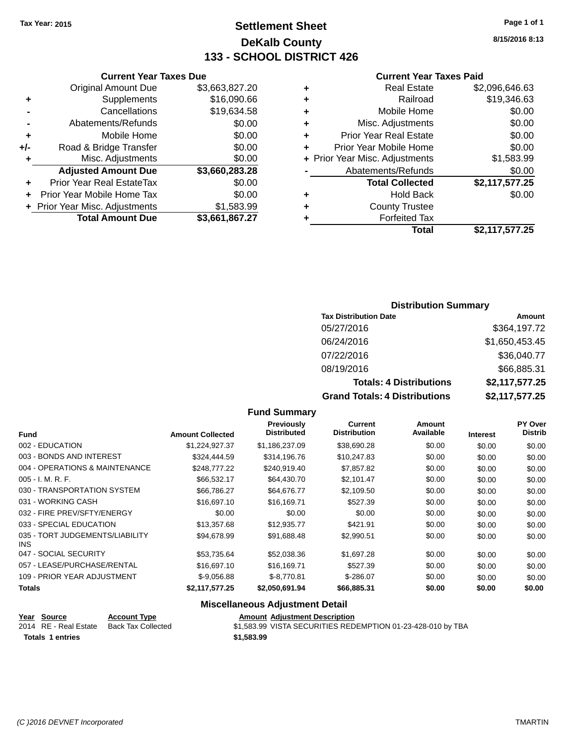# **Settlement Sheet Tax Year: 2015 Page 1 of 1 DeKalb County 133 - SCHOOL DISTRICT 426**

**8/15/2016 8:13**

#### **Current Year Taxes Paid**

|     | <b>Current Year Taxes Due</b>  |                |  |  |  |
|-----|--------------------------------|----------------|--|--|--|
|     | <b>Original Amount Due</b>     | \$3,663,827.20 |  |  |  |
| ٠   | Supplements                    | \$16,090.66    |  |  |  |
|     | Cancellations                  | \$19,634.58    |  |  |  |
|     | Abatements/Refunds             | \$0.00         |  |  |  |
| ٠   | Mobile Home                    | \$0.00         |  |  |  |
| +/- | Road & Bridge Transfer         | \$0.00         |  |  |  |
| ٠   | Misc. Adjustments              | \$0.00         |  |  |  |
|     | <b>Adjusted Amount Due</b>     | \$3,660,283.28 |  |  |  |
| ٠   | Prior Year Real EstateTax      | \$0.00         |  |  |  |
|     | Prior Year Mobile Home Tax     | \$0.00         |  |  |  |
|     | + Prior Year Misc. Adjustments | \$1,583.99     |  |  |  |
|     | <b>Total Amount Due</b>        | \$3,661,867.27 |  |  |  |
|     |                                |                |  |  |  |

|   | <b>Real Estate</b>             | \$2,096,646.63 |
|---|--------------------------------|----------------|
| ٠ | Railroad                       | \$19,346.63    |
| ٠ | Mobile Home                    | \$0.00         |
| ٠ | Misc. Adjustments              | \$0.00         |
| ٠ | <b>Prior Year Real Estate</b>  | \$0.00         |
|   | Prior Year Mobile Home         | \$0.00         |
|   | + Prior Year Misc. Adjustments | \$1,583.99     |
|   | Abatements/Refunds             | \$0.00         |
|   | <b>Total Collected</b>         | \$2,117,577.25 |
| ٠ | <b>Hold Back</b>               | \$0.00         |
| ٠ | <b>County Trustee</b>          |                |
| ٠ | <b>Forfeited Tax</b>           |                |
|   | Total                          | \$2,117,577.25 |
|   |                                |                |

### **Distribution Summary**

| <b>Tax Distribution Date</b>         | Amount         |
|--------------------------------------|----------------|
| 05/27/2016                           | \$364,197.72   |
| 06/24/2016                           | \$1,650,453.45 |
| 07/22/2016                           | \$36,040.77    |
| 08/19/2016                           | \$66,885.31    |
| <b>Totals: 4 Distributions</b>       | \$2,117,577.25 |
| <b>Grand Totals: 4 Distributions</b> | \$2,117,577.25 |

#### **Fund Summary**

|                                         |                         | <b>Previously</b>  | Current             | Amount    |                 | <b>PY Over</b> |
|-----------------------------------------|-------------------------|--------------------|---------------------|-----------|-----------------|----------------|
| <b>Fund</b>                             | <b>Amount Collected</b> | <b>Distributed</b> | <b>Distribution</b> | Available | <b>Interest</b> | <b>Distrib</b> |
| 002 - EDUCATION                         | \$1,224,927.37          | \$1,186,237.09     | \$38,690.28         | \$0.00    | \$0.00          | \$0.00         |
| 003 - BONDS AND INTEREST                | \$324,444.59            | \$314,196.76       | \$10,247.83         | \$0.00    | \$0.00          | \$0.00         |
| 004 - OPERATIONS & MAINTENANCE          | \$248,777.22            | \$240,919.40       | \$7,857.82          | \$0.00    | \$0.00          | \$0.00         |
| $005 - I. M. R. F.$                     | \$66,532.17             | \$64,430.70        | \$2,101.47          | \$0.00    | \$0.00          | \$0.00         |
| 030 - TRANSPORTATION SYSTEM             | \$66.786.27             | \$64.676.77        | \$2,109.50          | \$0.00    | \$0.00          | \$0.00         |
| 031 - WORKING CASH                      | \$16,697.10             | \$16,169.71        | \$527.39            | \$0.00    | \$0.00          | \$0.00         |
| 032 - FIRE PREV/SFTY/ENERGY             | \$0.00                  | \$0.00             | \$0.00              | \$0.00    | \$0.00          | \$0.00         |
| 033 - SPECIAL EDUCATION                 | \$13,357.68             | \$12,935.77        | \$421.91            | \$0.00    | \$0.00          | \$0.00         |
| 035 - TORT JUDGEMENTS/LIABILITY<br>INS. | \$94.678.99             | \$91,688.48        | \$2,990.51          | \$0.00    | \$0.00          | \$0.00         |
| 047 - SOCIAL SECURITY                   | \$53,735.64             | \$52,038.36        | \$1,697.28          | \$0.00    | \$0.00          | \$0.00         |
| 057 - LEASE/PURCHASE/RENTAL             | \$16,697.10             | \$16,169.71        | \$527.39            | \$0.00    | \$0.00          | \$0.00         |
| 109 - PRIOR YEAR ADJUSTMENT             | $$-9,056.88$            | $$-8,770.81$       | \$-286.07           | \$0.00    | \$0.00          | \$0.00         |
| Totals                                  | \$2,117,577.25          | \$2,050,691.94     | \$66,885.31         | \$0.00    | \$0.00          | \$0.00         |

### **Miscellaneous Adjustment Detail**

| Year Source             | <b>Account Type</b> |            | <b>Amount Adiustment Description</b> |
|-------------------------|---------------------|------------|--------------------------------------|
| 2014 RE - Real Estate   | Back Tax Collected  |            | \$1.583.99 VISTA SECURITIES RED      |
| <b>Totals 1 entries</b> |                     | \$1,583.99 |                                      |

VISTA SECURITIES REDEMPTION 01-23-428-010 by TBA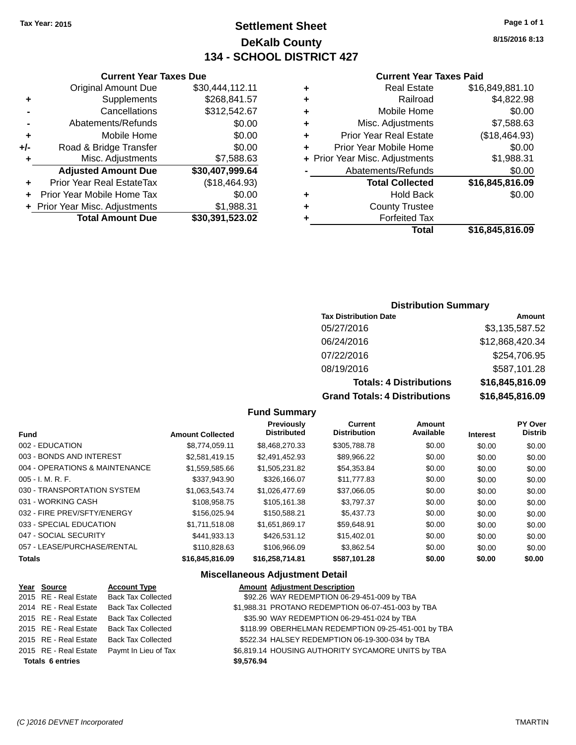# **Settlement Sheet Tax Year: 2015 Page 1 of 1 DeKalb County 134 - SCHOOL DISTRICT 427**

**8/15/2016 8:13**

#### **Current Year Taxes Paid**

| ٠ | <b>Real Estate</b>             | \$16,849,881.10 |
|---|--------------------------------|-----------------|
| ٠ | Railroad                       | \$4,822.98      |
| ٠ | Mobile Home                    | \$0.00          |
| ٠ | Misc. Adjustments              | \$7,588.63      |
| ٠ | <b>Prior Year Real Estate</b>  | (\$18,464.93)   |
| ٠ | Prior Year Mobile Home         | \$0.00          |
|   | + Prior Year Misc. Adjustments | \$1,988.31      |
|   | Abatements/Refunds             | \$0.00          |
|   | <b>Total Collected</b>         | \$16,845,816.09 |
| ٠ | <b>Hold Back</b>               | \$0.00          |
| ٠ | <b>County Trustee</b>          |                 |
|   | <b>Forfeited Tax</b>           |                 |
|   | Total                          | \$16,845,816.09 |

### **Current Year Taxes Due** Original Amount Due \$30,444,112.11 **+** Supplements \$268,841.57 **-** Cancellations \$312,542.67 **-** Abatements/Refunds \$0.00 **+** Mobile Home \$0.00 **+/-** Road & Bridge Transfer \$0.00 **+** Misc. Adjustments \$7,588.63 **Adjusted Amount Due \$30,407,999.64 +** Prior Year Real EstateTax (\$18,464.93)

| <b>Total Amount Due</b>        | \$30,391,523.02 |
|--------------------------------|-----------------|
| + Prior Year Misc. Adjustments | \$1,988.31      |
| + Prior Year Mobile Home Tax   | \$0.00          |

### **Distribution Summary**

| <b>Tax Distribution Date</b>         | Amount          |
|--------------------------------------|-----------------|
| 05/27/2016                           | \$3,135,587.52  |
| 06/24/2016                           | \$12,868,420.34 |
| 07/22/2016                           | \$254,706.95    |
| 08/19/2016                           | \$587,101.28    |
| <b>Totals: 4 Distributions</b>       | \$16,845,816.09 |
| <b>Grand Totals: 4 Distributions</b> | \$16,845,816.09 |

#### **Fund Summary**

| <b>Fund</b>                    | <b>Amount Collected</b> | Previously<br><b>Distributed</b> | <b>Current</b><br><b>Distribution</b> | <b>Amount</b><br>Available | <b>Interest</b> | <b>PY Over</b><br><b>Distrib</b> |
|--------------------------------|-------------------------|----------------------------------|---------------------------------------|----------------------------|-----------------|----------------------------------|
| 002 - EDUCATION                | \$8,774,059.11          | \$8,468,270.33                   | \$305,788.78                          | \$0.00                     | \$0.00          | \$0.00                           |
| 003 - BONDS AND INTEREST       | \$2.581.419.15          | \$2,491,452.93                   | \$89,966.22                           | \$0.00                     | \$0.00          | \$0.00                           |
| 004 - OPERATIONS & MAINTENANCE | \$1,559,585.66          | \$1,505,231.82                   | \$54,353.84                           | \$0.00                     | \$0.00          | \$0.00                           |
| $005 - I. M. R. F.$            | \$337.943.90            | \$326,166,07                     | \$11,777.83                           | \$0.00                     | \$0.00          | \$0.00                           |
| 030 - TRANSPORTATION SYSTEM    | \$1.063.543.74          | \$1,026,477.69                   | \$37,066.05                           | \$0.00                     | \$0.00          | \$0.00                           |
| 031 - WORKING CASH             | \$108,958.75            | \$105.161.38                     | \$3.797.37                            | \$0.00                     | \$0.00          | \$0.00                           |
| 032 - FIRE PREV/SFTY/ENERGY    | \$156,025.94            | \$150.588.21                     | \$5,437.73                            | \$0.00                     | \$0.00          | \$0.00                           |
| 033 - SPECIAL EDUCATION        | \$1,711,518,08          | \$1.651.869.17                   | \$59.648.91                           | \$0.00                     | \$0.00          | \$0.00                           |
| 047 - SOCIAL SECURITY          | \$441.933.13            | \$426,531.12                     | \$15,402.01                           | \$0.00                     | \$0.00          | \$0.00                           |
| 057 - LEASE/PURCHASE/RENTAL    | \$110,828,63            | \$106,966.09                     | \$3.862.54                            | \$0.00                     | \$0.00          | \$0.00                           |
| <b>Totals</b>                  | \$16,845,816.09         | \$16,258,714.81                  | \$587,101.28                          | \$0.00                     | \$0.00          | \$0.00                           |

### **Miscellaneous Adjustment Detail**

| Year Source             | <b>Account Type</b>       |            | <b>Amount Adjustment Description</b>                |
|-------------------------|---------------------------|------------|-----------------------------------------------------|
| 2015 RE - Real Estate   | <b>Back Tax Collected</b> |            | \$92.26 WAY REDEMPTION 06-29-451-009 by TBA         |
| 2014 RE - Real Estate   | <b>Back Tax Collected</b> |            | \$1,988.31 PROTANO REDEMPTION 06-07-451-003 by TBA  |
| 2015 RE - Real Estate   | <b>Back Tax Collected</b> |            | \$35.90 WAY REDEMPTION 06-29-451-024 by TBA         |
| 2015 RE - Real Estate   | <b>Back Tax Collected</b> |            | \$118.99 OBERHELMAN REDEMPTION 09-25-451-001 by TBA |
| 2015 RE - Real Estate   | <b>Back Tax Collected</b> |            | \$522.34 HALSEY REDEMPTION 06-19-300-034 by TBA     |
| 2015 RE - Real Estate   | Paymt In Lieu of Tax      |            | \$6,819.14 HOUSING AUTHORITY SYCAMORE UNITS by TBA  |
| <b>Totals 6 entries</b> |                           | \$9.576.94 |                                                     |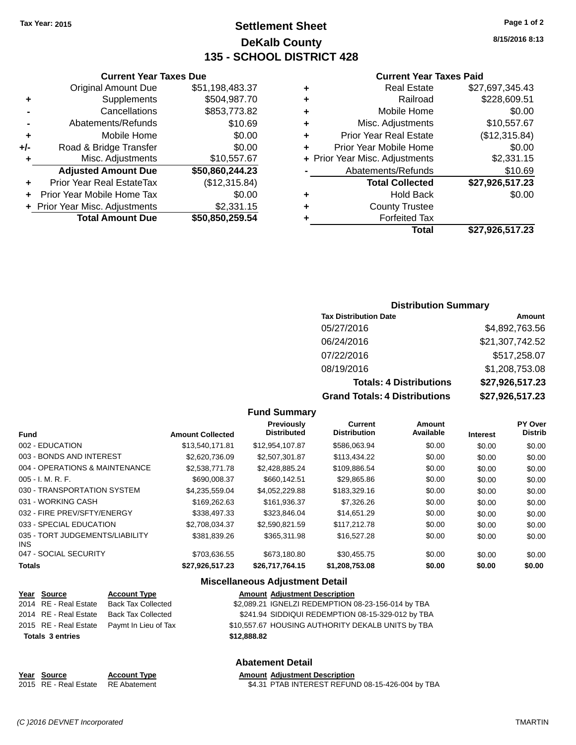# **Settlement Sheet Tax Year: 2015 Page 1 of 2 DeKalb County 135 - SCHOOL DISTRICT 428**

**8/15/2016 8:13**

#### **Current Year Taxes Paid**

| ٠ | <b>Real Estate</b>             | \$27,697,345.43 |
|---|--------------------------------|-----------------|
| ٠ | Railroad                       | \$228,609.51    |
| ٠ | Mobile Home                    | \$0.00          |
| ٠ | Misc. Adjustments              | \$10,557.67     |
| ٠ | <b>Prior Year Real Estate</b>  | (\$12,315.84)   |
| ÷ | Prior Year Mobile Home         | \$0.00          |
|   | + Prior Year Misc. Adjustments | \$2,331.15      |
|   | Abatements/Refunds             | \$10.69         |
|   | <b>Total Collected</b>         | \$27,926,517.23 |
| ٠ | <b>Hold Back</b>               | \$0.00          |
| ٠ | <b>County Trustee</b>          |                 |
|   | <b>Forfeited Tax</b>           |                 |
|   | Total                          | \$27,926,517.23 |

|     | <b>Current Year Taxes Due</b>    |                 |  |  |  |  |
|-----|----------------------------------|-----------------|--|--|--|--|
|     | <b>Original Amount Due</b>       | \$51,198,483.37 |  |  |  |  |
| ٠   | Supplements                      | \$504,987.70    |  |  |  |  |
|     | Cancellations                    | \$853,773.82    |  |  |  |  |
|     | Abatements/Refunds               | \$10.69         |  |  |  |  |
| ٠   | Mobile Home                      | \$0.00          |  |  |  |  |
| +/- | Road & Bridge Transfer           | \$0.00          |  |  |  |  |
| ٠   | Misc. Adjustments                | \$10,557.67     |  |  |  |  |
|     | <b>Adjusted Amount Due</b>       | \$50,860,244.23 |  |  |  |  |
| ٠   | <b>Prior Year Real EstateTax</b> | (\$12,315.84)   |  |  |  |  |
|     | Prior Year Mobile Home Tax       | \$0.00          |  |  |  |  |
|     | + Prior Year Misc. Adjustments   | \$2,331.15      |  |  |  |  |
|     | <b>Total Amount Due</b>          | \$50,850,259.54 |  |  |  |  |

### **Distribution Summary**

| <b>Tax Distribution Date</b>         | Amount          |
|--------------------------------------|-----------------|
| 05/27/2016                           | \$4,892,763.56  |
| 06/24/2016                           | \$21,307,742.52 |
| 07/22/2016                           | \$517,258.07    |
| 08/19/2016                           | \$1,208,753.08  |
| <b>Totals: 4 Distributions</b>       | \$27,926,517.23 |
| <b>Grand Totals: 4 Distributions</b> | \$27,926,517.23 |

#### **Fund Summary**

| <b>Fund</b>                             | <b>Amount Collected</b> | <b>Previously</b><br><b>Distributed</b> | Current<br><b>Distribution</b> | Amount<br>Available | <b>Interest</b> | <b>PY Over</b><br><b>Distrib</b> |
|-----------------------------------------|-------------------------|-----------------------------------------|--------------------------------|---------------------|-----------------|----------------------------------|
| 002 - EDUCATION                         | \$13,540,171.81         | \$12,954,107.87                         | \$586.063.94                   | \$0.00              | \$0.00          | \$0.00                           |
| 003 - BONDS AND INTEREST                | \$2,620,736.09          | \$2,507,301.87                          | \$113,434.22                   | \$0.00              | \$0.00          | \$0.00                           |
| 004 - OPERATIONS & MAINTENANCE          | \$2,538,771,78          | \$2.428.885.24                          | \$109.886.54                   | \$0.00              | \$0.00          | \$0.00                           |
| $005 - I. M. R. F.$                     | \$690,008.37            | \$660,142.51                            | \$29,865.86                    | \$0.00              | \$0.00          | \$0.00                           |
| 030 - TRANSPORTATION SYSTEM             | \$4.235.559.04          | \$4.052.229.88                          | \$183,329.16                   | \$0.00              | \$0.00          | \$0.00                           |
| 031 - WORKING CASH                      | \$169,262,63            | \$161,936.37                            | \$7,326.26                     | \$0.00              | \$0.00          | \$0.00                           |
| 032 - FIRE PREV/SFTY/ENERGY             | \$338,497.33            | \$323.846.04                            | \$14.651.29                    | \$0.00              | \$0.00          | \$0.00                           |
| 033 - SPECIAL EDUCATION                 | \$2,708,034.37          | \$2,590,821.59                          | \$117,212.78                   | \$0.00              | \$0.00          | \$0.00                           |
| 035 - TORT JUDGEMENTS/LIABILITY<br>INS. | \$381.839.26            | \$365,311.98                            | \$16,527.28                    | \$0.00              | \$0.00          | \$0.00                           |
| 047 - SOCIAL SECURITY                   | \$703,636.55            | \$673.180.80                            | \$30,455.75                    | \$0.00              | \$0.00          | \$0.00                           |
| <b>Totals</b>                           | \$27,926,517.23         | \$26,717,764.15                         | \$1,208,753.08                 | \$0.00              | \$0.00          | \$0.00                           |

### **Miscellaneous Adjustment Detail**

| <u>Year Source</u>      | <b>Account Type</b>                        |             | <b>Amount Adjustment Description</b>               |
|-------------------------|--------------------------------------------|-------------|----------------------------------------------------|
| 2014 RE - Real Estate   | Back Tax Collected                         |             | \$2,089.21 IGNELZI REDEMPTION 08-23-156-014 by TBA |
| 2014 RE - Real Estate   | Back Tax Collected                         |             | \$241.94 SIDDIQUI REDEMPTION 08-15-329-012 by TBA  |
|                         | 2015 RE - Real Estate Paymt In Lieu of Tax |             | \$10,557.67 HOUSING AUTHORITY DEKALB UNITS by TBA  |
| <b>Totals 3 entries</b> |                                            | \$12,888,82 |                                                    |
|                         |                                            |             |                                                    |

### **Abatement Detail**

| Year Source                        | <b>Account Type</b> | <b>Amount Adiustment Description</b> |
|------------------------------------|---------------------|--------------------------------------|
| 2015 RE - Real Estate RE Abatement |                     | \$4.31 PTAB INTEREST REFUN           |

PTAB INTEREST REFUND 08-15-426-004 by TBA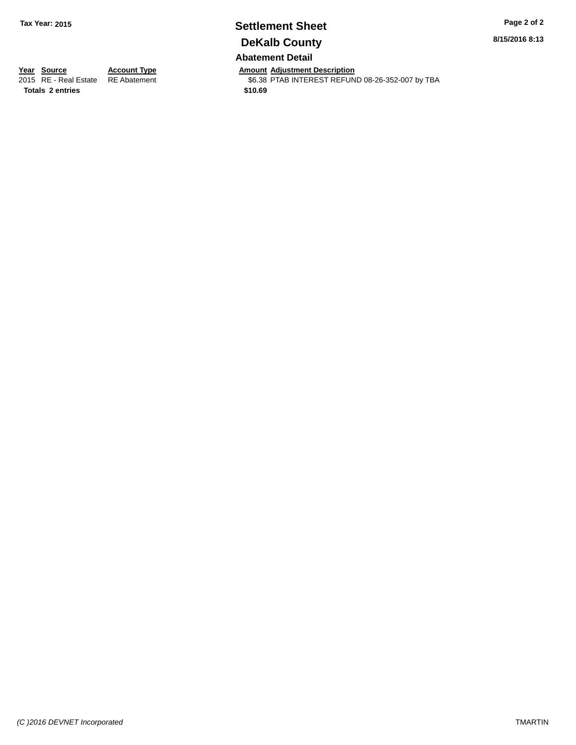# **Settlement Sheet Tax Year: 2015 Page 2 of 2 DeKalb County**

**8/15/2016 8:13**

### **Abatement Detail**

**Year Source Account Type Amount Adjustment Description**<br>2015 RE - Real Estate RE Abatement **Amount Adjustment REFUN** 

\$6.38 PTAB INTEREST REFUND 08-26-352-007 by TBA

**Totals \$10.69 2 entries**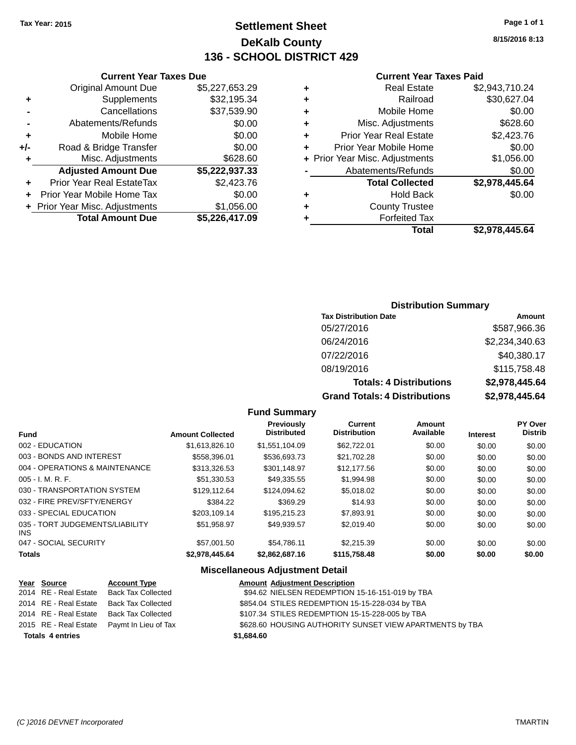# **Settlement Sheet Tax Year: 2015 Page 1 of 1 DeKalb County 136 - SCHOOL DISTRICT 429**

**8/15/2016 8:13**

### **Current Year Taxes Paid**

|     | <b>Current Year Taxes Due</b>  |                |     |
|-----|--------------------------------|----------------|-----|
|     | <b>Original Amount Due</b>     | \$5,227,653.29 |     |
|     | Supplements                    | \$32,195.34    |     |
|     | Cancellations                  | \$37,539.90    | ٠   |
|     | Abatements/Refunds             | \$0.00         |     |
|     | Mobile Home                    | \$0.00         |     |
| +/- | Road & Bridge Transfer         | \$0.00         |     |
|     | Misc. Adjustments              | \$628.60       | + P |
|     | <b>Adjusted Amount Due</b>     | \$5,222,937.33 |     |
|     | Prior Year Real EstateTax      | \$2,423.76     |     |
|     | Prior Year Mobile Home Tax     | \$0.00         |     |
|     | + Prior Year Misc. Adjustments | \$1,056.00     |     |
|     | <b>Total Amount Due</b>        | \$5,226,417.09 |     |
|     |                                |                |     |

|   | <b>Real Estate</b>             | \$2,943,710.24 |
|---|--------------------------------|----------------|
| ٠ | Railroad                       | \$30,627.04    |
| ٠ | Mobile Home                    | \$0.00         |
| ٠ | Misc. Adjustments              | \$628.60       |
| ٠ | <b>Prior Year Real Estate</b>  | \$2,423.76     |
| ÷ | Prior Year Mobile Home         | \$0.00         |
|   | + Prior Year Misc. Adjustments | \$1,056.00     |
|   | Abatements/Refunds             | \$0.00         |
|   | <b>Total Collected</b>         | \$2,978,445.64 |
| ٠ | <b>Hold Back</b>               | \$0.00         |
| ٠ | <b>County Trustee</b>          |                |
| ٠ | <b>Forfeited Tax</b>           |                |
|   | Total                          | \$2,978,445.64 |
|   |                                |                |

### **Distribution Summary**

| <b>Tax Distribution Date</b>         | Amount         |
|--------------------------------------|----------------|
| 05/27/2016                           | \$587,966.36   |
| 06/24/2016                           | \$2,234,340.63 |
| 07/22/2016                           | \$40,380.17    |
| 08/19/2016                           | \$115,758.48   |
| <b>Totals: 4 Distributions</b>       | \$2,978,445.64 |
| <b>Grand Totals: 4 Distributions</b> | \$2,978,445.64 |

### **Fund Summary**

| <b>Fund</b>                             | <b>Amount Collected</b> | <b>Previously</b><br><b>Distributed</b> | <b>Current</b><br><b>Distribution</b> | Amount<br>Available | <b>Interest</b> | PY Over<br><b>Distrib</b> |
|-----------------------------------------|-------------------------|-----------------------------------------|---------------------------------------|---------------------|-----------------|---------------------------|
| 002 - EDUCATION                         | \$1,613,826.10          | \$1,551,104.09                          | \$62,722.01                           | \$0.00              | \$0.00          | \$0.00                    |
| 003 - BONDS AND INTEREST                | \$558,396.01            | \$536,693.73                            | \$21,702.28                           | \$0.00              | \$0.00          | \$0.00                    |
| 004 - OPERATIONS & MAINTENANCE          | \$313,326.53            | \$301.148.97                            | \$12,177.56                           | \$0.00              | \$0.00          | \$0.00                    |
| $005 - I. M. R. F.$                     | \$51,330.53             | \$49.335.55                             | \$1,994.98                            | \$0.00              | \$0.00          | \$0.00                    |
| 030 - TRANSPORTATION SYSTEM             | \$129.112.64            | \$124.094.62                            | \$5,018.02                            | \$0.00              | \$0.00          | \$0.00                    |
| 032 - FIRE PREV/SFTY/ENERGY             | \$384.22                | \$369.29                                | \$14.93                               | \$0.00              | \$0.00          | \$0.00                    |
| 033 - SPECIAL EDUCATION                 | \$203.109.14            | \$195.215.23                            | \$7,893.91                            | \$0.00              | \$0.00          | \$0.00                    |
| 035 - TORT JUDGEMENTS/LIABILITY<br>INS. | \$51.958.97             | \$49.939.57                             | \$2,019.40                            | \$0.00              | \$0.00          | \$0.00                    |
| 047 - SOCIAL SECURITY                   | \$57,001.50             | \$54.786.11                             | \$2,215.39                            | \$0.00              | \$0.00          | \$0.00                    |
| <b>Totals</b>                           | \$2,978,445.64          | \$2.862.687.16                          | \$115,758.48                          | \$0.00              | \$0.00          | \$0.00                    |

### **Miscellaneous Adjustment Detail**

|                         | Year Source           | <b>Account Type</b>                        |            | <b>Amount Adjustment Description</b>                     |
|-------------------------|-----------------------|--------------------------------------------|------------|----------------------------------------------------------|
|                         | 2014 RE - Real Estate | Back Tax Collected                         |            | \$94.62 NIELSEN REDEMPTION 15-16-151-019 by TBA          |
|                         | 2014 RE - Real Estate | Back Tax Collected                         |            | \$854.04 STILES REDEMPTION 15-15-228-034 by TBA          |
|                         | 2014 RE - Real Estate | Back Tax Collected                         |            | \$107.34 STILES REDEMPTION 15-15-228-005 by TBA          |
|                         |                       | 2015 RE - Real Estate Paymt In Lieu of Tax |            | \$628.60 HOUSING AUTHORITY SUNSET VIEW APARTMENTS by TBA |
| <b>Totals 4 entries</b> |                       |                                            | \$1,684.60 |                                                          |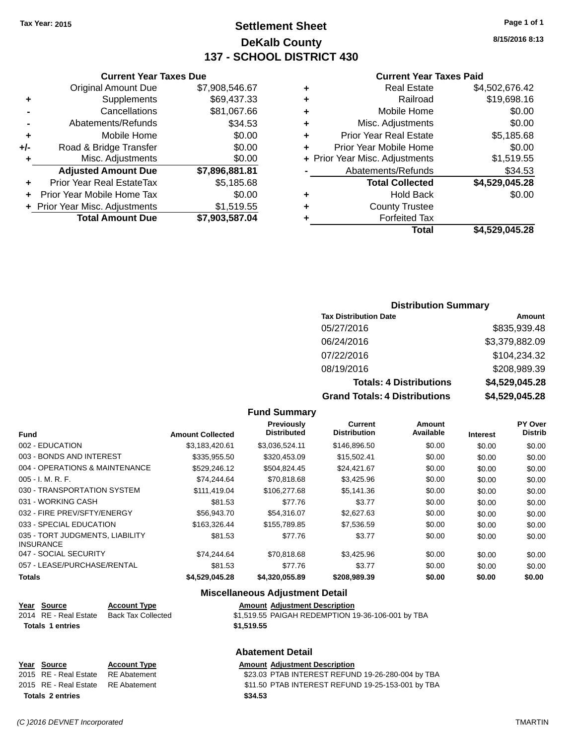# **Settlement Sheet Tax Year: 2015 Page 1 of 1 DeKalb County 137 - SCHOOL DISTRICT 430**

**Current Year Taxes Paid**

|   | Gullent I call Taxes I alu     |                |
|---|--------------------------------|----------------|
| ٠ | <b>Real Estate</b>             | \$4,502,676.42 |
| ٠ | Railroad                       | \$19,698.16    |
| ٠ | Mobile Home                    | \$0.00         |
| ٠ | Misc. Adjustments              | \$0.00         |
| ٠ | <b>Prior Year Real Estate</b>  | \$5,185.68     |
| ÷ | Prior Year Mobile Home         | \$0.00         |
|   | + Prior Year Misc. Adjustments | \$1,519.55     |
|   | Abatements/Refunds             | \$34.53        |
|   | <b>Total Collected</b>         | \$4,529,045.28 |
| ٠ | <b>Hold Back</b>               | \$0.00         |
| ٠ | <b>County Trustee</b>          |                |
| ٠ | <b>Forfeited Tax</b>           |                |
|   | Total                          | \$4.529.045.28 |
|   |                                |                |

### **Current Year Taxes Due** Original Amount Due \$7,908,546.67 **+** Supplements \$69,437.33 **-** Cancellations \$81,067.66 **-** Abatements/Refunds \$34.53 **+** Mobile Home \$0.00 **+/-** Road & Bridge Transfer \$0.00 **+** Misc. Adjustments \$0.00 **Adjusted Amount Due \$7,896,881.81 +** Prior Year Real EstateTax \$5,185.68 **+** Prior Year Mobile Home Tax \$0.00

**+ Prior Year Misc. Adjustments \$1,519.55** 

**Total Amount Due \$7,903,587.04**

#### **Distribution Summary**

| <b>Tax Distribution Date</b>         | Amount         |
|--------------------------------------|----------------|
| 05/27/2016                           | \$835,939.48   |
| 06/24/2016                           | \$3,379,882.09 |
| 07/22/2016                           | \$104,234.32   |
| 08/19/2016                           | \$208,989.39   |
| <b>Totals: 4 Distributions</b>       | \$4,529,045.28 |
| <b>Grand Totals: 4 Distributions</b> | \$4,529,045.28 |

#### **Fund Summary**

|                                                     |                         | Previously         | Current             | <b>Amount</b> |                 | PY Over        |
|-----------------------------------------------------|-------------------------|--------------------|---------------------|---------------|-----------------|----------------|
| <b>Fund</b>                                         | <b>Amount Collected</b> | <b>Distributed</b> | <b>Distribution</b> | Available     | <b>Interest</b> | <b>Distrib</b> |
| 002 - EDUCATION                                     | \$3,183,420.61          | \$3,036,524.11     | \$146,896.50        | \$0.00        | \$0.00          | \$0.00         |
| 003 - BONDS AND INTEREST                            | \$335,955.50            | \$320,453.09       | \$15,502.41         | \$0.00        | \$0.00          | \$0.00         |
| 004 - OPERATIONS & MAINTENANCE                      | \$529,246.12            | \$504,824.45       | \$24,421.67         | \$0.00        | \$0.00          | \$0.00         |
| $005 - I. M. R. F.$                                 | \$74,244.64             | \$70,818.68        | \$3,425.96          | \$0.00        | \$0.00          | \$0.00         |
| 030 - TRANSPORTATION SYSTEM                         | \$111.419.04            | \$106,277.68       | \$5,141.36          | \$0.00        | \$0.00          | \$0.00         |
| 031 - WORKING CASH                                  | \$81.53                 | \$77.76            | \$3.77              | \$0.00        | \$0.00          | \$0.00         |
| 032 - FIRE PREV/SFTY/ENERGY                         | \$56,943.70             | \$54,316.07        | \$2,627.63          | \$0.00        | \$0.00          | \$0.00         |
| 033 - SPECIAL EDUCATION                             | \$163.326.44            | \$155,789.85       | \$7,536.59          | \$0.00        | \$0.00          | \$0.00         |
| 035 - TORT JUDGMENTS, LIABILITY<br><b>INSURANCE</b> | \$81.53                 | \$77.76            | \$3.77              | \$0.00        | \$0.00          | \$0.00         |
| 047 - SOCIAL SECURITY                               | \$74.244.64             | \$70,818,68        | \$3,425.96          | \$0.00        | \$0.00          | \$0.00         |
| 057 - LEASE/PURCHASE/RENTAL                         | \$81.53                 | \$77.76            | \$3.77              | \$0.00        | \$0.00          | \$0.00         |
| <b>Totals</b>                                       | \$4,529,045.28          | \$4,320,055.89     | \$208,989.39        | \$0.00        | \$0.00          | \$0.00         |

### **Miscellaneous Adjustment Detail**

| Year Source             | <b>Account Type</b> | <b>Amount Adjustment Description</b>              |
|-------------------------|---------------------|---------------------------------------------------|
| 2014 RE - Real Estate   | Back Tax Collected  | \$1,519.55 PAIGAH REDEMPTION 19-36-106-001 by TBA |
| <b>Totals 1 entries</b> |                     | \$1,519.55                                        |
|                         |                     |                                                   |

### **Abatement Detail**

| Year Source             | <b>Account Type</b> | Amount  |
|-------------------------|---------------------|---------|
| 2015 RE - Real Estate   | RE Abatement        | \$23.03 |
| 2015 RE - Real Estate   | RE Abatement        | \$11.50 |
| <b>Totals 2 entries</b> |                     | \$34.53 |

**<u>Bunt Adjustment Description</u>** 3.03 PTAB INTEREST REFUND 19-26-280-004 by TBA 1.50 PTAB INTEREST REFUND 19-25-153-001 by TBA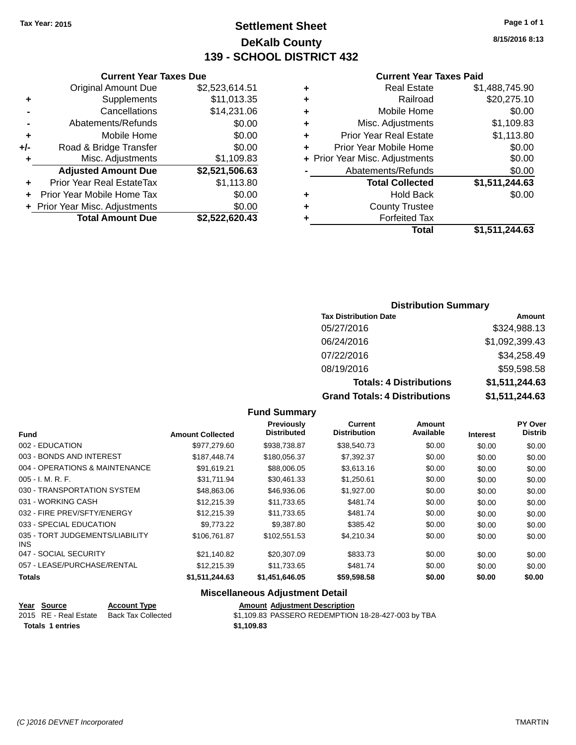# **Settlement Sheet Tax Year: 2015 Page 1 of 1 DeKalb County 139 - SCHOOL DISTRICT 432**

**8/15/2016 8:13**

### **Current Year Taxes Paid**

|     | <b>Current Year Taxes Due</b>  |                |      |
|-----|--------------------------------|----------------|------|
|     | <b>Original Amount Due</b>     | \$2,523,614.51 |      |
|     | Supplements                    | \$11,013.35    |      |
|     | Cancellations                  | \$14,231.06    | ٠    |
|     | Abatements/Refunds             | \$0.00         |      |
|     | Mobile Home                    | \$0.00         |      |
| +/- | Road & Bridge Transfer         | \$0.00         |      |
|     | Misc. Adjustments              | \$1,109.83     | + Pi |
|     | <b>Adjusted Amount Due</b>     | \$2,521,506.63 |      |
| ٠   | Prior Year Real EstateTax      | \$1,113.80     |      |
|     | Prior Year Mobile Home Tax     | \$0.00         |      |
|     | + Prior Year Misc. Adjustments | \$0.00         |      |
|     | <b>Total Amount Due</b>        | \$2,522,620.43 |      |
|     |                                |                |      |

|   | <b>Real Estate</b>             | \$1,488,745.90 |
|---|--------------------------------|----------------|
| ٠ | Railroad                       | \$20,275.10    |
| ٠ | Mobile Home                    | \$0.00         |
| ٠ | Misc. Adjustments              | \$1,109.83     |
| ٠ | <b>Prior Year Real Estate</b>  | \$1,113.80     |
| ÷ | Prior Year Mobile Home         | \$0.00         |
|   | + Prior Year Misc. Adjustments | \$0.00         |
|   | Abatements/Refunds             | \$0.00         |
|   | <b>Total Collected</b>         | \$1,511,244.63 |
| ٠ | <b>Hold Back</b>               | \$0.00         |
| ٠ | <b>County Trustee</b>          |                |
| ٠ | <b>Forfeited Tax</b>           |                |
|   | Total                          | \$1,511,244.63 |
|   |                                |                |

### **Distribution Summary**

| <b>Tax Distribution Date</b>         | Amount         |
|--------------------------------------|----------------|
| 05/27/2016                           | \$324,988.13   |
| 06/24/2016                           | \$1,092,399.43 |
| 07/22/2016                           | \$34,258.49    |
| 08/19/2016                           | \$59,598.58    |
| <b>Totals: 4 Distributions</b>       | \$1,511,244.63 |
| <b>Grand Totals: 4 Distributions</b> | \$1,511,244.63 |

### **Fund Summary**

|                                         |                         | Previously         | <b>Current</b>      | <b>Amount</b> |                 | PY Over        |
|-----------------------------------------|-------------------------|--------------------|---------------------|---------------|-----------------|----------------|
| <b>Fund</b>                             | <b>Amount Collected</b> | <b>Distributed</b> | <b>Distribution</b> | Available     | <b>Interest</b> | <b>Distrib</b> |
| 002 - EDUCATION                         | \$977,279.60            | \$938,738.87       | \$38,540.73         | \$0.00        | \$0.00          | \$0.00         |
| 003 - BONDS AND INTEREST                | \$187,448.74            | \$180,056.37       | \$7,392.37          | \$0.00        | \$0.00          | \$0.00         |
| 004 - OPERATIONS & MAINTENANCE          | \$91.619.21             | \$88,006.05        | \$3,613.16          | \$0.00        | \$0.00          | \$0.00         |
| $005 - I. M. R. F.$                     | \$31,711.94             | \$30,461.33        | \$1,250.61          | \$0.00        | \$0.00          | \$0.00         |
| 030 - TRANSPORTATION SYSTEM             | \$48,863.06             | \$46,936.06        | \$1,927.00          | \$0.00        | \$0.00          | \$0.00         |
| 031 - WORKING CASH                      | \$12,215.39             | \$11.733.65        | \$481.74            | \$0.00        | \$0.00          | \$0.00         |
| 032 - FIRE PREV/SFTY/ENERGY             | \$12,215.39             | \$11,733.65        | \$481.74            | \$0.00        | \$0.00          | \$0.00         |
| 033 - SPECIAL EDUCATION                 | \$9,773,22              | \$9.387.80         | \$385.42            | \$0.00        | \$0.00          | \$0.00         |
| 035 - TORT JUDGEMENTS/LIABILITY<br>INS. | \$106.761.87            | \$102.551.53       | \$4,210.34          | \$0.00        | \$0.00          | \$0.00         |
| 047 - SOCIAL SECURITY                   | \$21.140.82             | \$20,307.09        | \$833.73            | \$0.00        | \$0.00          | \$0.00         |
| 057 - LEASE/PURCHASE/RENTAL             | \$12,215.39             | \$11.733.65        | \$481.74            | \$0.00        | \$0.00          | \$0.00         |
| Totals                                  | \$1,511,244.63          | \$1,451,646.05     | \$59,598.58         | \$0.00        | \$0.00          | \$0.00         |

### **Miscellaneous Adjustment Detail**

|                  | Year Source           | <b>Account Type</b> | <b>Amount Adiustment Description</b>               |
|------------------|-----------------------|---------------------|----------------------------------------------------|
|                  | 2015 RE - Real Estate | Back Tax Collected  | \$1,109.83 PASSERO REDEMPTION 18-28-427-003 by TBA |
| Totals 1 entries |                       |                     | \$1.109.83                                         |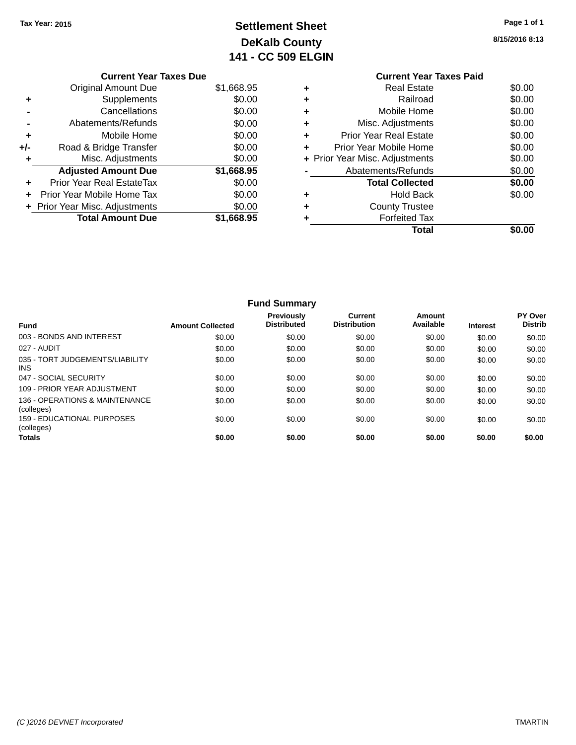# **Settlement Sheet Tax Year: 2015 Page 1 of 1 DeKalb County 141 - CC 509 ELGIN**

**8/15/2016 8:13**

|     | <b>Current Year Taxes Due</b>    |            |
|-----|----------------------------------|------------|
|     | <b>Original Amount Due</b>       | \$1,668.95 |
|     | Supplements                      | \$0.00     |
|     | Cancellations                    | \$0.00     |
|     | Abatements/Refunds               | \$0.00     |
| ٠   | Mobile Home                      | \$0.00     |
| +/- | Road & Bridge Transfer           | \$0.00     |
|     | Misc. Adjustments                | \$0.00     |
|     | <b>Adjusted Amount Due</b>       | \$1,668.95 |
| ٠   | <b>Prior Year Real EstateTax</b> | \$0.00     |
|     | Prior Year Mobile Home Tax       | \$0.00     |
|     | + Prior Year Misc. Adjustments   | \$0.00     |
|     | <b>Total Amount Due</b>          | \$1,668.95 |
|     |                                  |            |

### **Current Year Taxes Paid +** Real Estate \$0.00 **+** Railroad \$0.00 **+** Mobile Home \$0.00 **+** Misc. Adjustments \$0.00 **+** Prior Year Real Estate \$0.00 **+** Prior Year Mobile Home \$0.00<br> **+** Prior Year Misc. Adjustments \$0.00 **+ Prior Year Misc. Adjustments -** Abatements/Refunds \$0.00 **Total Collected \$0.00 +** Hold Back \$0.00 **+** County Trustee **+** Forfeited Tax **Total \$0.00**

|                                                 |                         | <b>Fund Summary</b>                     |                                |                     |                 |                                  |
|-------------------------------------------------|-------------------------|-----------------------------------------|--------------------------------|---------------------|-----------------|----------------------------------|
| <b>Fund</b>                                     | <b>Amount Collected</b> | <b>Previously</b><br><b>Distributed</b> | Current<br><b>Distribution</b> | Amount<br>Available | <b>Interest</b> | <b>PY Over</b><br><b>Distrib</b> |
| 003 - BONDS AND INTEREST                        | \$0.00                  | \$0.00                                  | \$0.00                         | \$0.00              | \$0.00          | \$0.00                           |
| 027 - AUDIT                                     | \$0.00                  | \$0.00                                  | \$0.00                         | \$0.00              | \$0.00          | \$0.00                           |
| 035 - TORT JUDGEMENTS/LIABILITY<br><b>INS</b>   | \$0.00                  | \$0.00                                  | \$0.00                         | \$0.00              | \$0.00          | \$0.00                           |
| 047 - SOCIAL SECURITY                           | \$0.00                  | \$0.00                                  | \$0.00                         | \$0.00              | \$0.00          | \$0.00                           |
| 109 - PRIOR YEAR ADJUSTMENT                     | \$0.00                  | \$0.00                                  | \$0.00                         | \$0.00              | \$0.00          | \$0.00                           |
| 136 - OPERATIONS & MAINTENANCE<br>(colleges)    | \$0.00                  | \$0.00                                  | \$0.00                         | \$0.00              | \$0.00          | \$0.00                           |
| <b>159 - EDUCATIONAL PURPOSES</b><br>(colleges) | \$0.00                  | \$0.00                                  | \$0.00                         | \$0.00              | \$0.00          | \$0.00                           |
| <b>Totals</b>                                   | \$0.00                  | \$0.00                                  | \$0.00                         | \$0.00              | \$0.00          | \$0.00                           |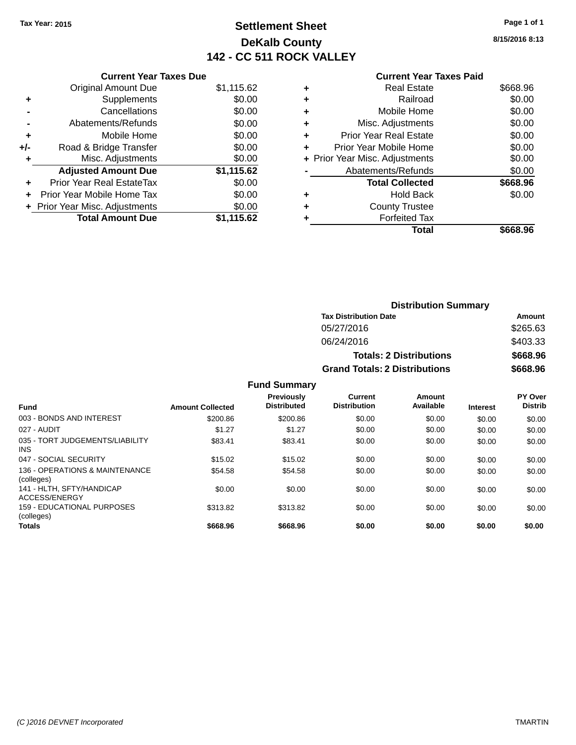# **Settlement Sheet Tax Year: 2015 Page 1 of 1 DeKalb County 142 - CC 511 ROCK VALLEY**

**8/15/2016 8:13**

|   | <b>Current Year Taxes Paid</b> |          |
|---|--------------------------------|----------|
| ٠ | <b>Real Estate</b>             | \$668.96 |
| ٠ | Railroad                       | \$0.00   |
| ٠ | Mobile Home                    | \$0.00   |
| ٠ | Misc. Adjustments              | \$0.00   |
| ٠ | <b>Prior Year Real Estate</b>  | \$0.00   |
| ٠ | Prior Year Mobile Home         | \$0.00   |
|   | + Prior Year Misc. Adjustments | \$0.00   |
|   | Abatements/Refunds             | \$0.00   |
|   | <b>Total Collected</b>         | \$668.96 |
|   | Hold Back                      | \$0.00   |
|   | <b>County Trustee</b>          |          |
|   | <b>Forfeited Tax</b>           |          |
|   | Total                          | \$668.96 |
|   |                                |          |

|     | <b>Current Year Taxes Due</b>  |            |
|-----|--------------------------------|------------|
|     | <b>Original Amount Due</b>     | \$1,115.62 |
| ٠   | Supplements                    | \$0.00     |
|     | Cancellations                  | \$0.00     |
|     | Abatements/Refunds             | \$0.00     |
| ٠   | Mobile Home                    | \$0.00     |
| +/- | Road & Bridge Transfer         | \$0.00     |
| ٠   | Misc. Adjustments              | \$0.00     |
|     | <b>Adjusted Amount Due</b>     | \$1,115.62 |
|     | Prior Year Real EstateTax      | \$0.00     |
|     | Prior Year Mobile Home Tax     | \$0.00     |
|     | + Prior Year Misc. Adjustments | \$0.00     |
|     | <b>Total Amount Due</b>        | \$1,115.62 |
|     |                                |            |

|                     | <b>Distribution Summary</b>          |                                |                |
|---------------------|--------------------------------------|--------------------------------|----------------|
|                     | <b>Tax Distribution Date</b>         |                                | <b>Amount</b>  |
|                     | 05/27/2016                           |                                | \$265.63       |
|                     | 06/24/2016                           |                                | \$403.33       |
|                     |                                      | <b>Totals: 2 Distributions</b> | \$668.96       |
|                     | <b>Grand Totals: 2 Distributions</b> |                                | \$668.96       |
| <b>Fund Summary</b> |                                      |                                |                |
| <b>Draviously</b>   | $P_{11}$ rrant                       | Amoint                         | <b>DV</b> Over |

| <b>Fund</b>                                  | <b>Amount Collected</b> | Previously<br><b>Distributed</b> | <b>Current</b><br><b>Distribution</b> | Amount<br>Available | <b>Interest</b> | PY Over<br><b>Distrib</b> |
|----------------------------------------------|-------------------------|----------------------------------|---------------------------------------|---------------------|-----------------|---------------------------|
| 003 - BONDS AND INTEREST                     | \$200.86                | \$200.86                         | \$0.00                                | \$0.00              | \$0.00          | \$0.00                    |
| 027 - AUDIT                                  | \$1.27                  | \$1.27                           | \$0.00                                | \$0.00              | \$0.00          | \$0.00                    |
| 035 - TORT JUDGEMENTS/LIABILITY<br>INS.      | \$83.41                 | \$83.41                          | \$0.00                                | \$0.00              | \$0.00          | \$0.00                    |
| 047 - SOCIAL SECURITY                        | \$15.02                 | \$15.02                          | \$0.00                                | \$0.00              | \$0.00          | \$0.00                    |
| 136 - OPERATIONS & MAINTENANCE<br>(colleges) | \$54.58                 | \$54.58                          | \$0.00                                | \$0.00              | \$0.00          | \$0.00                    |
| 141 - HLTH, SFTY/HANDICAP<br>ACCESS/ENERGY   | \$0.00                  | \$0.00                           | \$0.00                                | \$0.00              | \$0.00          | \$0.00                    |
| 159 - EDUCATIONAL PURPOSES<br>(colleges)     | \$313.82                | \$313.82                         | \$0.00                                | \$0.00              | \$0.00          | \$0.00                    |
| <b>Totals</b>                                | \$668.96                | \$668.96                         | \$0.00                                | \$0.00              | \$0.00          | \$0.00                    |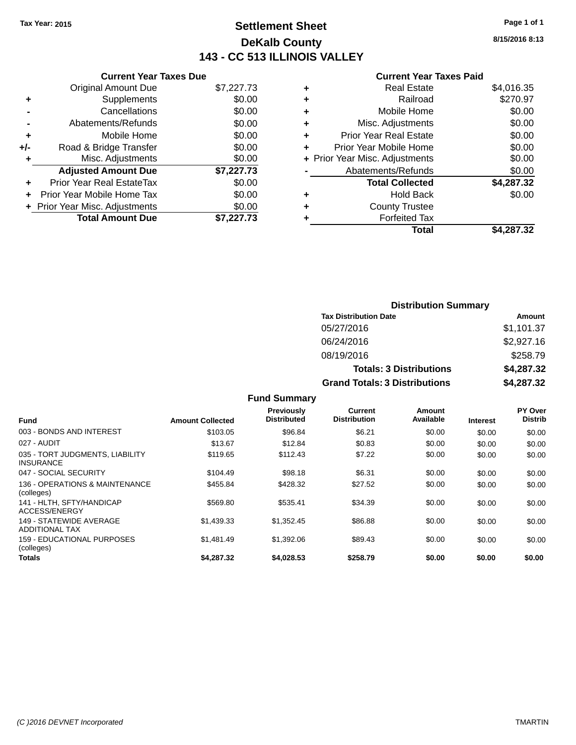# **Settlement Sheet Tax Year: 2015 Page 1 of 1 DeKalb County 143 - CC 513 ILLINOIS VALLEY**

**8/15/2016 8:13**

#### **Current Year Taxes Paid**

|     | <b>Current Year Taxes Due</b>  |            |
|-----|--------------------------------|------------|
|     | <b>Original Amount Due</b>     | \$7,227.73 |
| ٠   | Supplements                    | \$0.00     |
|     | Cancellations                  | \$0.00     |
|     | Abatements/Refunds             | \$0.00     |
| ٠   | Mobile Home                    | \$0.00     |
| +/- | Road & Bridge Transfer         | \$0.00     |
|     | Misc. Adjustments              | \$0.00     |
|     | <b>Adjusted Amount Due</b>     | \$7,227.73 |
| ÷   | Prior Year Real EstateTax      | \$0.00     |
|     | Prior Year Mobile Home Tax     | \$0.00     |
|     | + Prior Year Misc. Adjustments | \$0.00     |
|     | <b>Total Amount Due</b>        | \$7.227.73 |
|     |                                |            |

|   | <b>Real Estate</b>             | \$4,016.35 |
|---|--------------------------------|------------|
| ٠ | Railroad                       | \$270.97   |
| ٠ | Mobile Home                    | \$0.00     |
| ٠ | Misc. Adjustments              | \$0.00     |
| ٠ | <b>Prior Year Real Estate</b>  | \$0.00     |
| ٠ | Prior Year Mobile Home         | \$0.00     |
|   | + Prior Year Misc. Adjustments | \$0.00     |
|   | Abatements/Refunds             | \$0.00     |
|   | <b>Total Collected</b>         | \$4,287.32 |
| ٠ | <b>Hold Back</b>               | \$0.00     |
| ٠ | <b>County Trustee</b>          |            |
| ٠ | <b>Forfeited Tax</b>           |            |
|   | Total                          | \$4,287.32 |
|   |                                |            |

| <b>Distribution Summary</b>          |            |
|--------------------------------------|------------|
| <b>Tax Distribution Date</b>         | Amount     |
| 05/27/2016                           | \$1,101.37 |
| 06/24/2016                           | \$2,927.16 |
| 08/19/2016                           | \$258.79   |
| <b>Totals: 3 Distributions</b>       | \$4,287.32 |
| <b>Grand Totals: 3 Distributions</b> | \$4,287.32 |

**Fund Summary**

| <b>Fund</b>                                         | <b>Amount Collected</b> | <b>Previously</b><br><b>Distributed</b> | Current<br><b>Distribution</b> | Amount<br>Available | <b>Interest</b> | PY Over<br><b>Distrib</b> |
|-----------------------------------------------------|-------------------------|-----------------------------------------|--------------------------------|---------------------|-----------------|---------------------------|
| 003 - BONDS AND INTEREST                            | \$103.05                | \$96.84                                 | \$6.21                         | \$0.00              | \$0.00          | \$0.00                    |
| 027 - AUDIT                                         | \$13.67                 | \$12.84                                 | \$0.83                         | \$0.00              | \$0.00          | \$0.00                    |
| 035 - TORT JUDGMENTS, LIABILITY<br><b>INSURANCE</b> | \$119.65                | \$112.43                                | \$7.22                         | \$0.00              | \$0.00          | \$0.00                    |
| 047 - SOCIAL SECURITY                               | \$104.49                | \$98.18                                 | \$6.31                         | \$0.00              | \$0.00          | \$0.00                    |
| 136 - OPERATIONS & MAINTENANCE<br>(colleges)        | \$455.84                | \$428.32                                | \$27.52                        | \$0.00              | \$0.00          | \$0.00                    |
| 141 - HLTH, SFTY/HANDICAP<br>ACCESS/ENERGY          | \$569.80                | \$535.41                                | \$34.39                        | \$0.00              | \$0.00          | \$0.00                    |
| 149 - STATEWIDE AVERAGE<br><b>ADDITIONAL TAX</b>    | \$1.439.33              | \$1,352.45                              | \$86.88                        | \$0.00              | \$0.00          | \$0.00                    |
| 159 - EDUCATIONAL PURPOSES<br>(colleges)            | \$1.481.49              | \$1,392.06                              | \$89.43                        | \$0.00              | \$0.00          | \$0.00                    |
| <b>Totals</b>                                       | \$4.287.32              | \$4.028.53                              | \$258.79                       | \$0.00              | \$0.00          | \$0.00                    |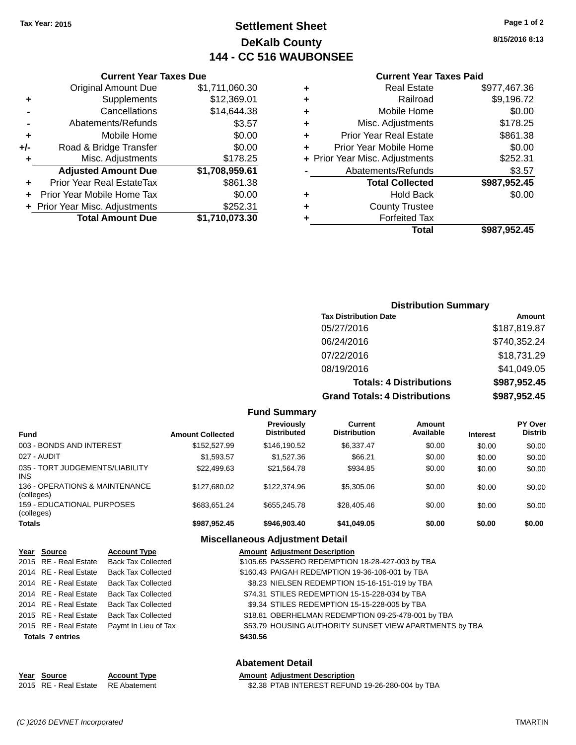# **Settlement Sheet Tax Year: 2015 Page 1 of 2 DeKalb County 144 - CC 516 WAUBONSEE**

**8/15/2016 8:13**

| <b>Current Year Taxes Paid</b> |  |  |  |
|--------------------------------|--|--|--|
|--------------------------------|--|--|--|

|     | <b>Current Year Taxes Due</b>  |                |  |  |
|-----|--------------------------------|----------------|--|--|
|     | <b>Original Amount Due</b>     | \$1,711,060.30 |  |  |
| ٠   | Supplements                    | \$12,369.01    |  |  |
|     | Cancellations                  | \$14,644.38    |  |  |
|     | Abatements/Refunds             | \$3.57         |  |  |
| ٠   | Mobile Home                    | \$0.00         |  |  |
| +/- | Road & Bridge Transfer         | \$0.00         |  |  |
| ٠   | Misc. Adjustments              | \$178.25       |  |  |
|     | <b>Adjusted Amount Due</b>     | \$1,708,959.61 |  |  |
| ٠   | Prior Year Real EstateTax      | \$861.38       |  |  |
| ٠   | Prior Year Mobile Home Tax     | \$0.00         |  |  |
|     | + Prior Year Misc. Adjustments | \$252.31       |  |  |
|     | <b>Total Amount Due</b>        | \$1,710,073.30 |  |  |

|   | <b>Real Estate</b>             | \$977,467.36 |
|---|--------------------------------|--------------|
| ٠ | Railroad                       | \$9,196.72   |
| ٠ | Mobile Home                    | \$0.00       |
| ٠ | Misc. Adjustments              | \$178.25     |
| ٠ | <b>Prior Year Real Estate</b>  | \$861.38     |
| ÷ | Prior Year Mobile Home         | \$0.00       |
|   | + Prior Year Misc. Adjustments | \$252.31     |
|   | Abatements/Refunds             | \$3.57       |
|   | <b>Total Collected</b>         | \$987,952.45 |
| ٠ | Hold Back                      | \$0.00       |
| ٠ | <b>County Trustee</b>          |              |
| ٠ | <b>Forfeited Tax</b>           |              |
|   | Total                          | \$987,952.45 |
|   |                                |              |

| <b>Distribution Summary</b>          |              |
|--------------------------------------|--------------|
| <b>Tax Distribution Date</b>         | Amount       |
| 05/27/2016                           | \$187,819.87 |
| 06/24/2016                           | \$740,352.24 |
| 07/22/2016                           | \$18,731.29  |
| 08/19/2016                           | \$41,049.05  |
| <b>Totals: 4 Distributions</b>       | \$987,952.45 |
| <b>Grand Totals: 4 Distributions</b> | \$987,952.45 |

|                                              |                         | <b>Fund Summary</b>                     |                                |                     |                 |                                  |
|----------------------------------------------|-------------------------|-----------------------------------------|--------------------------------|---------------------|-----------------|----------------------------------|
| Fund                                         | <b>Amount Collected</b> | <b>Previously</b><br><b>Distributed</b> | Current<br><b>Distribution</b> | Amount<br>Available | <b>Interest</b> | <b>PY Over</b><br><b>Distrib</b> |
| 003 - BONDS AND INTEREST                     | \$152,527.99            | \$146.190.52                            | \$6,337.47                     | \$0.00              | \$0.00          | \$0.00                           |
| 027 - AUDIT                                  | \$1.593.57              | \$1.527.36                              | \$66.21                        | \$0.00              | \$0.00          | \$0.00                           |
| 035 - TORT JUDGEMENTS/LIABILITY<br>INS       | \$22.499.63             | \$21.564.78                             | \$934.85                       | \$0.00              | \$0.00          | \$0.00                           |
| 136 - OPERATIONS & MAINTENANCE<br>(colleges) | \$127,680.02            | \$122,374.96                            | \$5,305.06                     | \$0.00              | \$0.00          | \$0.00                           |
| 159 - EDUCATIONAL PURPOSES<br>(colleges)     | \$683.651.24            | \$655,245.78                            | \$28,405.46                    | \$0.00              | \$0.00          | \$0.00                           |
| Totals                                       | \$987,952.45            | \$946.903.40                            | \$41,049.05                    | \$0.00              | \$0.00          | \$0.00                           |
|                                              | ---<br>. .              |                                         |                                |                     |                 |                                  |

### **Miscellaneous Adjustment Detail**

| Year Source             | <b>Account Type</b>       | <b>Amount Adjustment Description</b>                    |
|-------------------------|---------------------------|---------------------------------------------------------|
| 2015 RE - Real Estate   | <b>Back Tax Collected</b> | \$105.65 PASSERO REDEMPTION 18-28-427-003 by TBA        |
| 2014 RE - Real Estate   | <b>Back Tax Collected</b> | \$160.43 PAIGAH REDEMPTION 19-36-106-001 by TBA         |
| 2014 RE - Real Estate   | <b>Back Tax Collected</b> | \$8.23 NIELSEN REDEMPTION 15-16-151-019 by TBA          |
| 2014 RE - Real Estate   | <b>Back Tax Collected</b> | \$74.31 STILES REDEMPTION 15-15-228-034 by TBA          |
| 2014 RE - Real Estate   | <b>Back Tax Collected</b> | \$9.34 STILES REDEMPTION 15-15-228-005 by TBA           |
| 2015 RE - Real Estate   | <b>Back Tax Collected</b> | \$18.81 OBERHELMAN REDEMPTION 09-25-478-001 by TBA      |
| 2015 RE - Real Estate   | Paymt In Lieu of Tax      | \$53.79 HOUSING AUTHORITY SUNSET VIEW APARTMENTS by TBA |
| <b>Totals 7 entries</b> |                           | \$430.56                                                |
|                         |                           | <b>Abatement Detail</b>                                 |

| Year Source                        | <b>Account Type</b> | <b>Amount Adiustment Description</b>             |
|------------------------------------|---------------------|--------------------------------------------------|
| 2015 RE - Real Estate RE Abatement |                     | \$2.38 PTAB INTEREST REFUND 19-26-280-004 by TBA |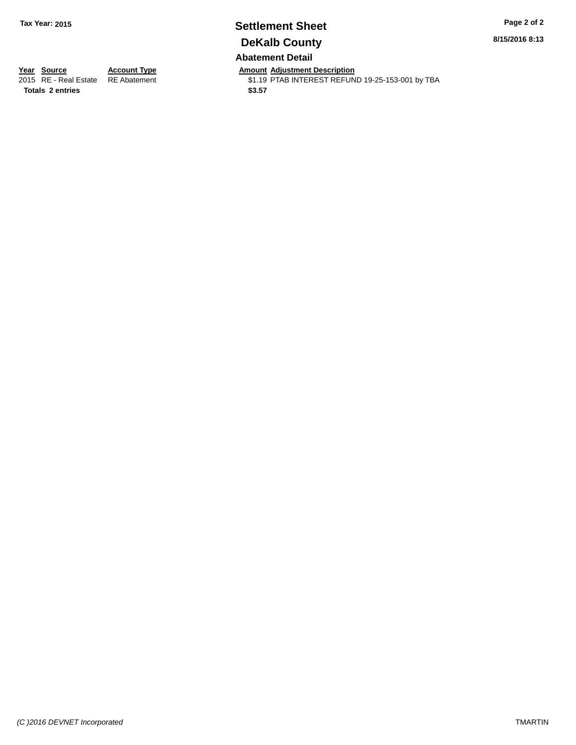### **Settlement Sheet Tax Year: 2015 Page 2 of 2 DeKalb County Abatement Detail**

**8/15/2016 8:13**

**Totals \$3.57 2 entries**

**Year Source Account Type Anneurs Amount Adjustment Description**<br>2015 RE - Real Estate RE Abatement **Alternative State State** State State State State \$1.19 PTAB INTEREST REFUND 19-25-153-001 by TBA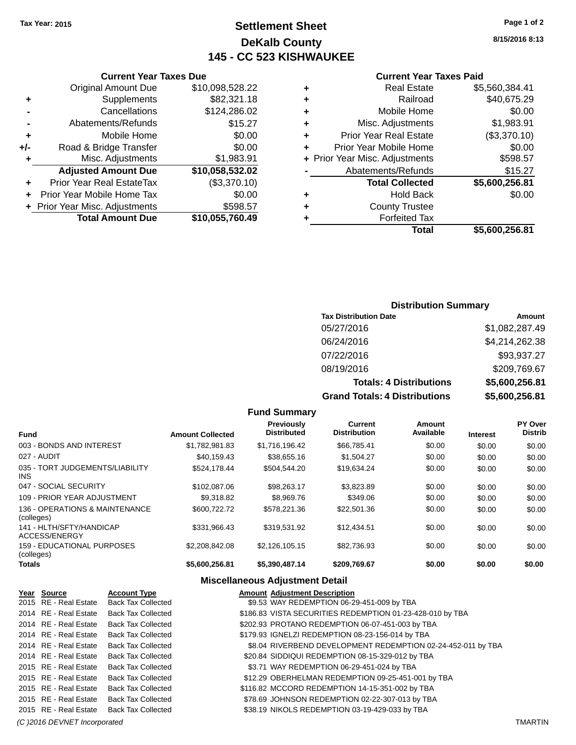# **Settlement Sheet Tax Year: 2015 Page 1 of 2 DeKalb County 145 - CC 523 KISHWAUKEE**

**8/15/2016 8:13**

|     | <b>Current Year Taxes Due</b>  |                 |  |  |
|-----|--------------------------------|-----------------|--|--|
|     | <b>Original Amount Due</b>     | \$10,098,528.22 |  |  |
| ٠   | Supplements                    | \$82,321.18     |  |  |
|     | Cancellations                  | \$124,286.02    |  |  |
|     | Abatements/Refunds             | \$15.27         |  |  |
| ÷   | Mobile Home                    | \$0.00          |  |  |
| +/- | Road & Bridge Transfer         | \$0.00          |  |  |
|     | Misc. Adjustments              | \$1,983.91      |  |  |
|     | <b>Adjusted Amount Due</b>     | \$10,058,532.02 |  |  |
|     | Prior Year Real EstateTax      | (\$3,370.10)    |  |  |
|     | Prior Year Mobile Home Tax     | \$0.00          |  |  |
|     | + Prior Year Misc. Adjustments | \$598.57        |  |  |
|     | <b>Total Amount Due</b>        | \$10,055,760.49 |  |  |
|     |                                |                 |  |  |

#### **Current Year Taxes Paid**

| ٠ | <b>Real Estate</b>             | \$5,560,384.41 |
|---|--------------------------------|----------------|
| ٠ | Railroad                       | \$40,675.29    |
| ٠ | Mobile Home                    | \$0.00         |
| ٠ | Misc. Adjustments              | \$1,983.91     |
| ٠ | <b>Prior Year Real Estate</b>  | (\$3,370.10)   |
| ٠ | Prior Year Mobile Home         | \$0.00         |
|   | + Prior Year Misc. Adjustments | \$598.57       |
|   | Abatements/Refunds             | \$15.27        |
|   | <b>Total Collected</b>         | \$5,600,256.81 |
| ٠ | Hold Back                      | \$0.00         |
| ٠ | <b>County Trustee</b>          |                |
| ٠ | <b>Forfeited Tax</b>           |                |
|   | Total                          | \$5,600,256.81 |
|   |                                |                |

### **Distribution Summary**

| <b>Tax Distribution Date</b>         | Amount         |
|--------------------------------------|----------------|
| 05/27/2016                           | \$1,082,287.49 |
| 06/24/2016                           | \$4,214,262.38 |
| 07/22/2016                           | \$93,937.27    |
| 08/19/2016                           | \$209,769.67   |
| <b>Totals: 4 Distributions</b>       | \$5,600,256.81 |
| <b>Grand Totals: 4 Distributions</b> | \$5,600,256.81 |

#### **Fund Summary Fund Interest Amount Collected Distributed PY Over Distrib Amount Available Current Distribution Previously** 003 - BONDS AND INTEREST \$1,782,981.83 \$1,716,196.42 \$66,785.41 \$0.00 \$0.00 \$0.00 027 - AUDIT \$40,159.43 \$38,655.16 \$1,504.27 \$0.00 \$0.00 \$0.00 035 - TORT JUDGEMENTS/LIABILITY INS \$524,178.44 \$504,544.20 \$19,634.24 \$0.00 \$0.00 \$0.00 047 - SOCIAL SECURITY 60.00 \$102,087.06 \$98,263.17 \$3,823.89 \$0.00 \$0.00 \$0.00 \$0.00 109 - PRIOR YEAR ADJUSTMENT  $$9,318.82$   $$8,969.76$   $$349.06$   $$0.00$   $$0.00$   $$0.00$ 136 - OPERATIONS & MAINTENANCE (colleges) \$600,722.72 \$578,221.36 \$22,501.36 \$0.00 \$0.00 \$0.00 \$0.00 141 - HLTH/SFTY/HANDICAP ACCESS/ENERGY \$331,966.43 \$319,531.92 \$12,434.51 \$0.00 \$0.00 \$0.00 159 - EDUCATIONAL PURPOSES (colleges) \$2,208,842.08 \$2,126,105.15 \$82,736.93 \$0.00 \$0.00 \$0.00 \$0.00 **Totals \$5,600,256.81 \$5,390,487.14 \$209,769.67 \$0.00 \$0.00 \$0.00**

#### **Miscellaneous Adjustment Detail**

| Year Source           | <b>Account Type</b>       | <b>Amount Adjustment Description</b>                         |
|-----------------------|---------------------------|--------------------------------------------------------------|
| 2015 RE - Real Estate | <b>Back Tax Collected</b> | \$9.53 WAY REDEMPTION 06-29-451-009 by TBA                   |
| 2014 RE - Real Estate | Back Tax Collected        | \$186.83 VISTA SECURITIES REDEMPTION 01-23-428-010 by TBA    |
| 2014 RE - Real Estate | <b>Back Tax Collected</b> | \$202.93 PROTANO REDEMPTION 06-07-451-003 by TBA             |
| 2014 RE - Real Estate | <b>Back Tax Collected</b> | \$179.93 IGNELZI REDEMPTION 08-23-156-014 by TBA             |
| 2014 RE - Real Estate | <b>Back Tax Collected</b> | \$8.04 RIVERBEND DEVELOPMENT REDEMPTION 02-24-452-011 by TBA |
| 2014 RE - Real Estate | <b>Back Tax Collected</b> | \$20.84 SIDDIQUI REDEMPTION 08-15-329-012 by TBA             |
| 2015 RE - Real Estate | <b>Back Tax Collected</b> | \$3.71 WAY REDEMPTION 06-29-451-024 by TBA                   |
| 2015 RE - Real Estate | <b>Back Tax Collected</b> | \$12.29 OBERHELMAN REDEMPTION 09-25-451-001 by TBA           |
| 2015 RE - Real Estate | Back Tax Collected        | \$116.82 MCCORD REDEMPTION 14-15-351-002 by TBA              |
| 2015 RE - Real Estate | Back Tax Collected        | \$78.69 JOHNSON REDEMPTION 02-22-307-013 by TBA              |
| 2015 RE - Real Estate | <b>Back Tax Collected</b> | \$38.19 NIKOLS REDEMPTION 03-19-429-033 by TBA               |

*(C )2016 DEVNET Incorporated* TMARTIN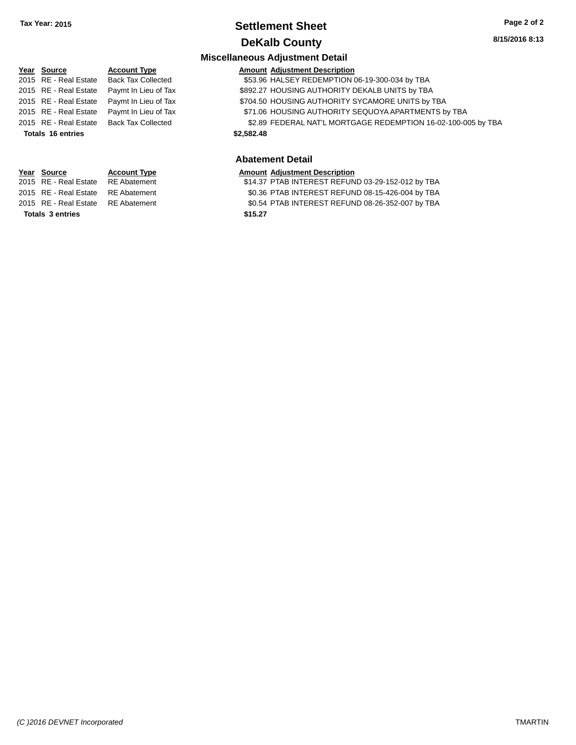### **Settlement Sheet Tax Year: 2015 Page 2 of 2 DeKalb County**

### **Miscellaneous Adjustment Detail**

| Year Source              | <b>Account Type</b>       | <b>Amount Adjustment Description</b>                          |  |  |
|--------------------------|---------------------------|---------------------------------------------------------------|--|--|
| 2015 RE - Real Estate    | <b>Back Tax Collected</b> | \$53.96 HALSEY REDEMPTION 06-19-300-034 by TBA                |  |  |
| 2015 RE - Real Estate    | Paymt In Lieu of Tax      | \$892.27 HOUSING AUTHORITY DEKALB UNITS by TBA                |  |  |
| 2015 RE - Real Estate    | Paymt In Lieu of Tax      | \$704.50 HOUSING AUTHORITY SYCAMORE UNITS by TBA              |  |  |
| 2015 RE - Real Estate    | Paymt In Lieu of Tax      | \$71.06 HOUSING AUTHORITY SEQUOYA APARTMENTS by TBA           |  |  |
| 2015 RE - Real Estate    | <b>Back Tax Collected</b> | \$2.89 FEDERAL NAT'L MORTGAGE REDEMPTION 16-02-100-005 by TBA |  |  |
| <b>Totals 16 entries</b> |                           | \$2,582,48                                                    |  |  |
|                          |                           |                                                               |  |  |
|                          |                           |                                                               |  |  |

### **Abatement Detail**

#### **Year** Source **Account Type Account Type Amount Adjustment Description**

2015 RE - Real Estate RE Abatement \$14.37 PTAB INTEREST REFUND 03-29-152-012 by TBA 2015 RE - Real Estate RE Abatement \$0.36 PTAB INTEREST REFUND 08-15-426-004 by TBA 2015 RE - Real Estate RE Abatement \$0.54 PTAB INTEREST REFUND 08-26-352-007 by TBA **Totals \$15.27 3 entries**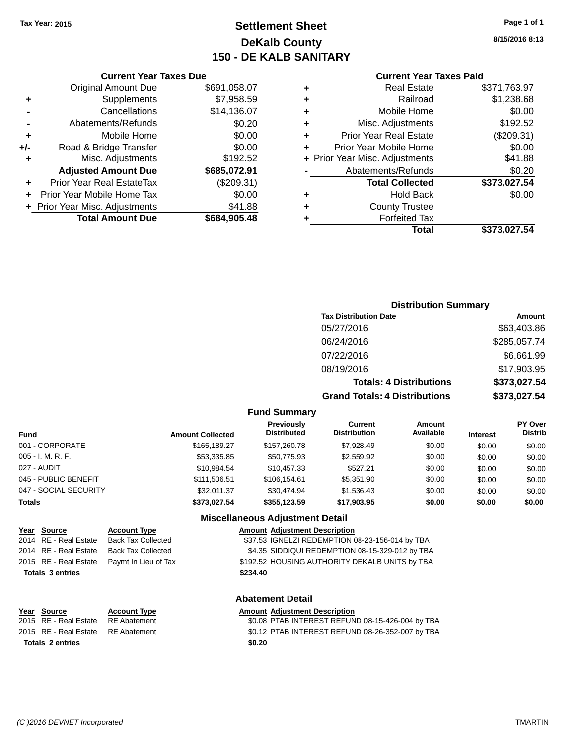# **Settlement Sheet Tax Year: 2015 Page 1 of 1 DeKalb County 150 - DE KALB SANITARY**

**8/15/2016 8:13**

| <b>Current Year Taxes Paid</b> |  |  |  |
|--------------------------------|--|--|--|
|--------------------------------|--|--|--|

|     | <b>Original Amount Due</b>     | \$691,058.07 |
|-----|--------------------------------|--------------|
|     |                                |              |
| ٠   | Supplements                    | \$7,958.59   |
|     | Cancellations                  | \$14,136.07  |
|     | Abatements/Refunds             | \$0.20       |
| ٠   | Mobile Home                    | \$0.00       |
| +/- | Road & Bridge Transfer         | \$0.00       |
| ٠   | Misc. Adjustments              | \$192.52     |
|     | <b>Adjusted Amount Due</b>     | \$685,072.91 |
| ٠   | Prior Year Real EstateTax      | (\$209.31)   |
| ÷   | Prior Year Mobile Home Tax     | \$0.00       |
|     | + Prior Year Misc. Adjustments | \$41.88      |
|     | <b>Total Amount Due</b>        | \$684,905.48 |
|     |                                |              |

**Current Year Taxes Due**

| ٠ | <b>Real Estate</b>             | \$371,763.97 |
|---|--------------------------------|--------------|
| ٠ | Railroad                       | \$1,238.68   |
| ٠ | Mobile Home                    | \$0.00       |
| ٠ | Misc. Adjustments              | \$192.52     |
| ٠ | <b>Prior Year Real Estate</b>  | (\$209.31)   |
| ٠ | Prior Year Mobile Home         | \$0.00       |
|   | + Prior Year Misc. Adjustments | \$41.88      |
|   | Abatements/Refunds             | \$0.20       |
|   | <b>Total Collected</b>         | \$373,027.54 |
| ٠ | Hold Back                      | \$0.00       |
| ٠ | <b>County Trustee</b>          |              |
| ٠ | <b>Forfeited Tax</b>           |              |
|   | Total                          | \$373,027.54 |
|   |                                |              |

### **Distribution Summary Tax Distribution Date Amount** 05/27/2016 \$63,403.86 06/24/2016 \$285,057.74 07/22/2016 \$6,661.99 08/19/2016 \$17,903.95 **Totals: 4 Distributions \$373,027.54 Grand Totals: 4 Distributions \$373,027.54**

#### **Fund Summary**

| <b>Fund</b>           | <b>Amount Collected</b> | <b>Previously</b><br><b>Distributed</b> | Current<br><b>Distribution</b> | <b>Amount</b><br>Available | <b>Interest</b> | <b>PY Over</b><br><b>Distrib</b> |
|-----------------------|-------------------------|-----------------------------------------|--------------------------------|----------------------------|-----------------|----------------------------------|
| 001 - CORPORATE       | \$165,189.27            | \$157,260.78                            | \$7,928.49                     | \$0.00                     | \$0.00          | \$0.00                           |
| 005 - I. M. R. F.     | \$53,335.85             | \$50.775.93                             | \$2,559.92                     | \$0.00                     | \$0.00          | \$0.00                           |
| 027 - AUDIT           | \$10.984.54             | \$10.457.33                             | \$527.21                       | \$0.00                     | \$0.00          | \$0.00                           |
| 045 - PUBLIC BENEFIT  | \$111,506.51            | \$106.154.61                            | \$5,351.90                     | \$0.00                     | \$0.00          | \$0.00                           |
| 047 - SOCIAL SECURITY | \$32,011.37             | \$30,474.94                             | \$1,536.43                     | \$0.00                     | \$0.00          | \$0.00                           |
| <b>Totals</b>         | \$373.027.54            | \$355.123.59                            | \$17.903.95                    | \$0.00                     | \$0.00          | \$0.00                           |

#### **Miscellaneous Adjustment Detail**

| <u>Year Source</u>      | <b>Account Type</b>                        |          | <b>Amount Adjustment Description</b>            |
|-------------------------|--------------------------------------------|----------|-------------------------------------------------|
| 2014 RE - Real Estate   | Back Tax Collected                         |          | \$37.53 IGNELZI REDEMPTION 08-23-156-014 by TBA |
| 2014 RE - Real Estate   | Back Tax Collected                         |          | \$4.35 SIDDIQUI REDEMPTION 08-15-329-012 by TBA |
|                         | 2015 RE - Real Estate Paymt In Lieu of Tax |          | \$192.52 HOUSING AUTHORITY DEKALB UNITS by TBA  |
| <b>Totals 3 entries</b> |                                            | \$234.40 |                                                 |
|                         |                                            |          |                                                 |

#### **Abatement Detail**

| Year Source                        | <b>Account Type</b> |        | <b>Amount Adiustment Description</b>             |
|------------------------------------|---------------------|--------|--------------------------------------------------|
| 2015 RE - Real Estate RE Abatement |                     |        | \$0.08 PTAB INTEREST REFUND 08-15-426-004 by TBA |
| 2015 RE - Real Estate RE Abatement |                     |        | \$0.12 PTAB INTEREST REFUND 08-26-352-007 by TBA |
| <b>Totals 2 entries</b>            |                     | \$0.20 |                                                  |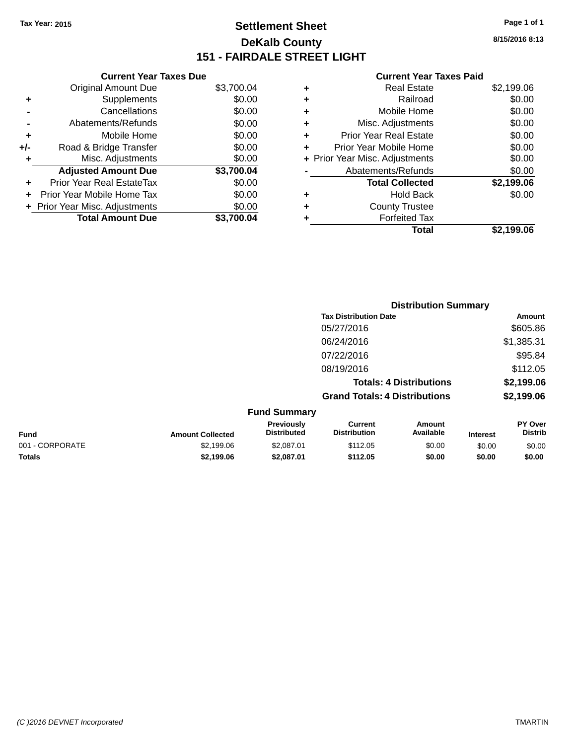# **Settlement Sheet Tax Year: 2015 Page 1 of 1 DeKalb County 151 - FAIRDALE STREET LIGHT**

**8/15/2016 8:13**

#### **Current Year Taxes Paid**

|     | <b>Current Year Taxes Due</b>  |            |
|-----|--------------------------------|------------|
|     | <b>Original Amount Due</b>     | \$3,700.04 |
| ٠   | Supplements                    | \$0.00     |
|     | Cancellations                  | \$0.00     |
|     | Abatements/Refunds             | \$0.00     |
| ٠   | Mobile Home                    | \$0.00     |
| +/- | Road & Bridge Transfer         | \$0.00     |
| ۰   | Misc. Adjustments              | \$0.00     |
|     | <b>Adjusted Amount Due</b>     | \$3,700.04 |
|     | Prior Year Real EstateTax      | \$0.00     |
|     | Prior Year Mobile Home Tax     | \$0.00     |
|     | + Prior Year Misc. Adjustments | \$0.00     |
|     | <b>Total Amount Due</b>        | \$3.700.04 |

| ٠ | <b>Real Estate</b>             | \$2,199.06 |
|---|--------------------------------|------------|
| ٠ | Railroad                       | \$0.00     |
| ٠ | Mobile Home                    | \$0.00     |
| ٠ | Misc. Adjustments              | \$0.00     |
| ٠ | <b>Prior Year Real Estate</b>  | \$0.00     |
| ÷ | Prior Year Mobile Home         | \$0.00     |
|   | + Prior Year Misc. Adjustments | \$0.00     |
|   | Abatements/Refunds             | \$0.00     |
|   | <b>Total Collected</b>         | \$2,199.06 |
| ٠ | <b>Hold Back</b>               | \$0.00     |
| ٠ | <b>County Trustee</b>          |            |
| ٠ | <b>Forfeited Tax</b>           |            |
|   | Total                          | \$2,199.06 |
|   |                                |            |

|                 |                         |                                  |                                       | <b>Distribution Summary</b>    |                 |                           |
|-----------------|-------------------------|----------------------------------|---------------------------------------|--------------------------------|-----------------|---------------------------|
|                 |                         |                                  | <b>Tax Distribution Date</b>          |                                |                 | <b>Amount</b>             |
|                 |                         |                                  | 05/27/2016                            |                                |                 | \$605.86                  |
|                 |                         |                                  | 06/24/2016                            |                                |                 | \$1,385.31                |
|                 |                         |                                  | 07/22/2016                            |                                |                 | \$95.84                   |
|                 |                         |                                  | 08/19/2016                            |                                |                 | \$112.05                  |
|                 |                         |                                  |                                       | <b>Totals: 4 Distributions</b> |                 | \$2,199.06                |
|                 |                         |                                  | <b>Grand Totals: 4 Distributions</b>  |                                |                 | \$2,199.06                |
|                 |                         | <b>Fund Summary</b>              |                                       |                                |                 |                           |
| <b>Fund</b>     | <b>Amount Collected</b> | Previously<br><b>Distributed</b> | <b>Current</b><br><b>Distribution</b> | Amount<br>Available            | <b>Interest</b> | PY Over<br><b>Distrib</b> |
| 001 - CORPORATE | \$2,199.06              | \$2,087.01                       | \$112.05                              | \$0.00                         | \$0.00          | \$0.00                    |
| Totals          | \$2,199.06              | \$2,087.01                       | \$112.05                              | \$0.00                         | \$0.00          | \$0.00                    |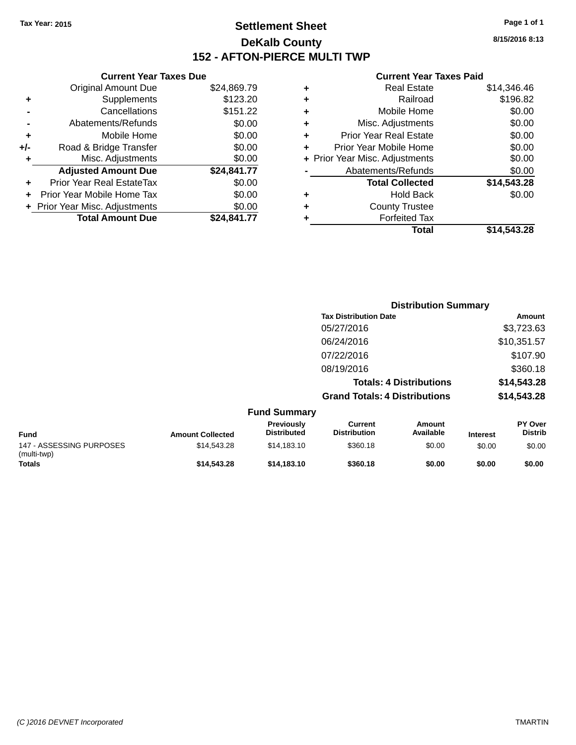# **Settlement Sheet Tax Year: 2015 Page 1 of 1 DeKalb County 152 - AFTON-PIERCE MULTI TWP**

**8/15/2016 8:13**

### **Current Year Taxes Paid**

|     | <b>Current Year Taxes Due</b>  |             |  |
|-----|--------------------------------|-------------|--|
|     | <b>Original Amount Due</b>     | \$24,869.79 |  |
| ٠   | Supplements                    | \$123.20    |  |
|     | Cancellations                  | \$151.22    |  |
|     | Abatements/Refunds             | \$0.00      |  |
|     | Mobile Home                    | \$0.00      |  |
| +/- | Road & Bridge Transfer         | \$0.00      |  |
| ٠   | Misc. Adjustments              | \$0.00      |  |
|     | <b>Adjusted Amount Due</b>     | \$24,841.77 |  |
| ٠   | Prior Year Real EstateTax      | \$0.00      |  |
|     | Prior Year Mobile Home Tax     | \$0.00      |  |
|     | + Prior Year Misc. Adjustments | \$0.00      |  |
|     | <b>Total Amount Due</b>        | \$24,841.77 |  |
|     |                                |             |  |

| ٠ | <b>Real Estate</b>             | \$14,346.46 |
|---|--------------------------------|-------------|
| ٠ | Railroad                       | \$196.82    |
| ٠ | Mobile Home                    | \$0.00      |
| ٠ | Misc. Adjustments              | \$0.00      |
| ٠ | <b>Prior Year Real Estate</b>  | \$0.00      |
| ÷ | Prior Year Mobile Home         | \$0.00      |
|   | + Prior Year Misc. Adjustments | \$0.00      |
|   | Abatements/Refunds             | \$0.00      |
|   | <b>Total Collected</b>         | \$14,543.28 |
| ٠ | <b>Hold Back</b>               | \$0.00      |
| ٠ | <b>County Trustee</b>          |             |
| ٠ | <b>Forfeited Tax</b>           |             |
|   | Total                          | \$14,543.28 |
|   |                                |             |

|                                         |                         |                                  | <b>Distribution Summary</b>           |                                |                 |                           |
|-----------------------------------------|-------------------------|----------------------------------|---------------------------------------|--------------------------------|-----------------|---------------------------|
|                                         |                         |                                  | <b>Tax Distribution Date</b>          |                                |                 | <b>Amount</b>             |
|                                         |                         |                                  | 05/27/2016                            |                                |                 | \$3,723.63                |
|                                         |                         |                                  | 06/24/2016                            |                                |                 | \$10,351.57               |
|                                         |                         |                                  | 07/22/2016                            |                                |                 | \$107.90                  |
|                                         |                         |                                  | 08/19/2016                            |                                |                 | \$360.18                  |
|                                         |                         |                                  |                                       | <b>Totals: 4 Distributions</b> |                 | \$14,543.28               |
|                                         |                         |                                  | <b>Grand Totals: 4 Distributions</b>  |                                |                 | \$14,543.28               |
|                                         |                         | <b>Fund Summary</b>              |                                       |                                |                 |                           |
| <b>Fund</b>                             | <b>Amount Collected</b> | Previously<br><b>Distributed</b> | <b>Current</b><br><b>Distribution</b> | <b>Amount</b><br>Available     | <b>Interest</b> | PY Over<br><b>Distrib</b> |
| 147 - ASSESSING PURPOSES<br>(multi-twp) | \$14,543.28             | \$14,183.10                      | \$360.18                              | \$0.00                         | \$0.00          | \$0.00                    |
| Totals                                  | \$14,543.28             | \$14,183.10                      | \$360.18                              | \$0.00                         | \$0.00          | \$0.00                    |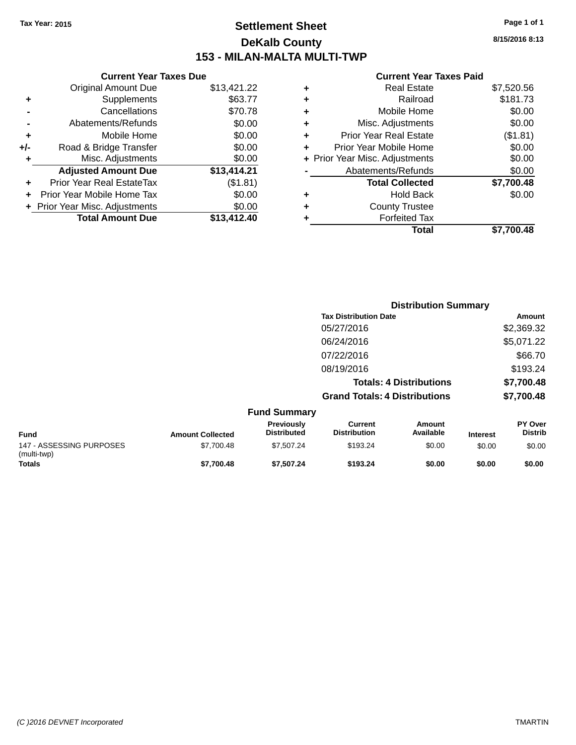# **Settlement Sheet Tax Year: 2015 Page 1 of 1 DeKalb County 153 - MILAN-MALTA MULTI-TWP**

**8/15/2016 8:13**

#### **Current Year Taxes Paid**

|     | <b>Current Year Taxes Due</b>  |             |
|-----|--------------------------------|-------------|
|     | <b>Original Amount Due</b>     | \$13,421.22 |
| ٠   | Supplements                    | \$63.77     |
|     | Cancellations                  | \$70.78     |
|     | Abatements/Refunds             | \$0.00      |
| ٠   | Mobile Home                    | \$0.00      |
| +/- | Road & Bridge Transfer         | \$0.00      |
| ٠   | Misc. Adjustments              | \$0.00      |
|     | <b>Adjusted Amount Due</b>     | \$13,414.21 |
| ٠   | Prior Year Real EstateTax      | (\$1.81)    |
|     | Prior Year Mobile Home Tax     | \$0.00      |
|     | + Prior Year Misc. Adjustments | \$0.00      |
|     | <b>Total Amount Due</b>        | \$13,412,40 |
|     |                                |             |

| ٠ | <b>Real Estate</b>             | \$7,520.56 |
|---|--------------------------------|------------|
| ٠ | Railroad                       | \$181.73   |
| ٠ | Mobile Home                    | \$0.00     |
| ٠ | Misc. Adjustments              | \$0.00     |
| ٠ | <b>Prior Year Real Estate</b>  | (\$1.81)   |
|   | Prior Year Mobile Home         | \$0.00     |
|   | + Prior Year Misc. Adjustments | \$0.00     |
|   | Abatements/Refunds             | \$0.00     |
|   | <b>Total Collected</b>         | \$7,700.48 |
| ٠ | Hold Back                      | \$0.00     |
| ٠ | <b>County Trustee</b>          |            |
| ٠ | <b>Forfeited Tax</b>           |            |
|   | Total                          | \$7,700.48 |
|   |                                |            |

|                                         |                         |                                  |                                       | <b>Distribution Summary</b>    |                 |                           |
|-----------------------------------------|-------------------------|----------------------------------|---------------------------------------|--------------------------------|-----------------|---------------------------|
|                                         |                         |                                  | <b>Tax Distribution Date</b>          |                                |                 | Amount                    |
|                                         |                         |                                  | 05/27/2016                            |                                |                 | \$2,369.32                |
|                                         |                         |                                  | 06/24/2016                            |                                |                 | \$5,071.22                |
|                                         |                         |                                  | 07/22/2016                            |                                |                 | \$66.70                   |
|                                         |                         |                                  | 08/19/2016                            |                                |                 | \$193.24                  |
|                                         |                         |                                  |                                       | <b>Totals: 4 Distributions</b> |                 | \$7,700.48                |
|                                         |                         |                                  | <b>Grand Totals: 4 Distributions</b>  |                                |                 | \$7,700.48                |
|                                         |                         | <b>Fund Summary</b>              |                                       |                                |                 |                           |
| <b>Fund</b>                             | <b>Amount Collected</b> | Previously<br><b>Distributed</b> | <b>Current</b><br><b>Distribution</b> | <b>Amount</b><br>Available     | <b>Interest</b> | PY Over<br><b>Distrib</b> |
| 147 - ASSESSING PURPOSES<br>(multi-twp) | \$7,700.48              | \$7,507.24                       | \$193.24                              | \$0.00                         | \$0.00          | \$0.00                    |
| Totals                                  | \$7,700.48              | \$7,507.24                       | \$193.24                              | \$0.00                         | \$0.00          | \$0.00                    |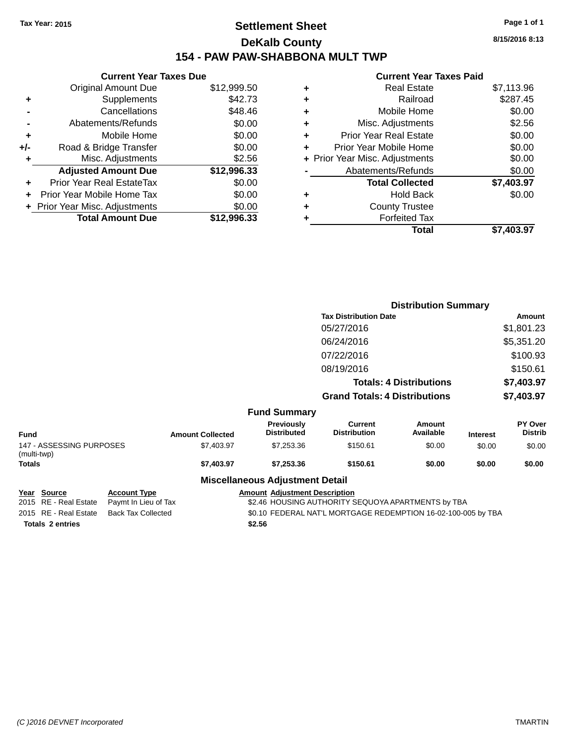# **Settlement Sheet Tax Year: 2015 Page 1 of 1 DeKalb County 154 - PAW PAW-SHABBONA MULT TWP**

| <b>Current Year Taxes Due</b> |                                |
|-------------------------------|--------------------------------|
| <b>Original Amount Due</b>    | \$12,999.50                    |
| Supplements                   | \$42.73                        |
| Cancellations                 | \$48.46                        |
| Abatements/Refunds            | \$0.00                         |
| Mobile Home                   | \$0.00                         |
| Road & Bridge Transfer        | \$0.00                         |
| Misc. Adjustments             | \$2.56                         |
| <b>Adjusted Amount Due</b>    | \$12,996.33                    |
| Prior Year Real EstateTax     | \$0.00                         |
| Prior Year Mobile Home Tax    | \$0.00                         |
|                               | \$0.00                         |
| <b>Total Amount Due</b>       | \$12.996.33                    |
|                               | + Prior Year Misc. Adjustments |

| <b>Current Year Taxes Paid</b> |                                |
|--------------------------------|--------------------------------|
| <b>Real Estate</b>             | \$7,113.96                     |
| Railroad                       | \$287.45                       |
| Mobile Home                    | \$0.00                         |
| Misc. Adjustments              | \$2.56                         |
| Prior Year Real Estate         | \$0.00                         |
| Prior Year Mobile Home         | \$0.00                         |
|                                | \$0.00                         |
| Abatements/Refunds             | \$0.00                         |
| <b>Total Collected</b>         | \$7,403.97                     |
| Hold Back                      | \$0.00                         |
| <b>County Trustee</b>          |                                |
| <b>Forfeited Tax</b>           |                                |
| Total                          | \$7.403.97                     |
|                                | + Prior Year Misc. Adjustments |

|                                         |                         |                                        | <b>Distribution Summary</b>           |                                |                 |                           |
|-----------------------------------------|-------------------------|----------------------------------------|---------------------------------------|--------------------------------|-----------------|---------------------------|
|                                         |                         |                                        | <b>Tax Distribution Date</b>          |                                |                 | Amount                    |
|                                         |                         |                                        | 05/27/2016                            |                                |                 | \$1,801.23                |
|                                         |                         |                                        | 06/24/2016                            |                                |                 | \$5,351.20                |
|                                         |                         |                                        | 07/22/2016                            |                                |                 | \$100.93                  |
|                                         |                         |                                        | 08/19/2016                            |                                |                 | \$150.61                  |
|                                         |                         |                                        |                                       | <b>Totals: 4 Distributions</b> |                 | \$7,403.97                |
|                                         |                         |                                        | <b>Grand Totals: 4 Distributions</b>  |                                |                 | \$7,403.97                |
|                                         |                         | <b>Fund Summary</b>                    |                                       |                                |                 |                           |
| <b>Fund</b>                             | <b>Amount Collected</b> | Previously<br><b>Distributed</b>       | <b>Current</b><br><b>Distribution</b> | <b>Amount</b><br>Available     | <b>Interest</b> | PY Over<br><b>Distrib</b> |
| 147 - ASSESSING PURPOSES<br>(multi-twp) | \$7,403.97              | \$7,253.36                             | \$150.61                              | \$0.00                         | \$0.00          | \$0.00                    |
| Totals                                  | \$7,403.97              | \$7,253.36                             | \$150.61                              | \$0.00                         | \$0.00          | \$0.00                    |
|                                         |                         | <b>Miscellaneous Adjustment Detail</b> |                                       |                                |                 |                           |
| $\sim$ $\sim$ $\sim$                    |                         |                                        |                                       |                                |                 |                           |

**Totals \$2.56 2 entries**

**Year Source Account Type Account Adjustment Description**<br>2015 RE - Real Estate Paymt In Lieu of Tax \$2.46 HOUSING AUTHORITY S \$2.46 HOUSING AUTHORITY SEQUOYA APARTMENTS by TBA 2015 RE - Real Estate Back Tax Collected \$0.10 FEDERAL NAT'L MORTGAGE REDEMPTION 16-02-100-005 by TBA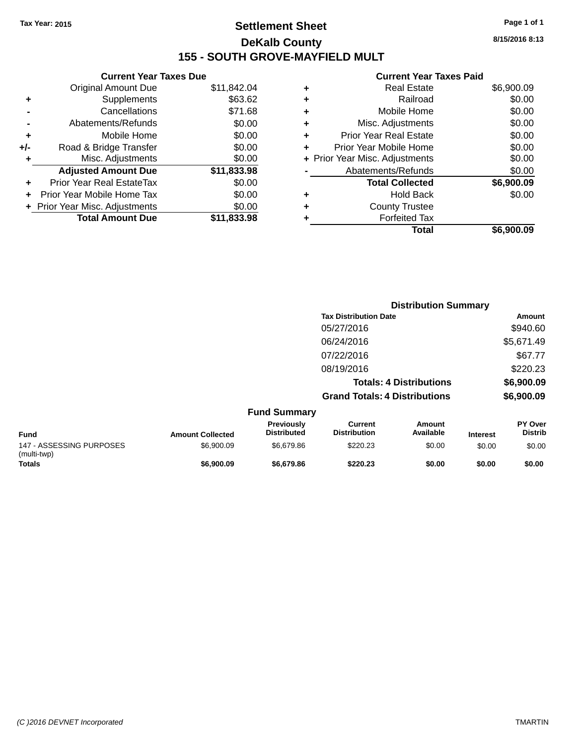# **Settlement Sheet Tax Year: 2015 Page 1 of 1 DeKalb County 155 - SOUTH GROVE-MAYFIELD MULT**

**Current Year Taxes Due** Original Amount Due \$11,842.04 **+** Supplements \$63.62 **-** Cancellations \$71.68 **-** Abatements/Refunds \$0.00 **+** Mobile Home \$0.00 **+/-** Road & Bridge Transfer \$0.00 **+** Misc. Adjustments \$0.00 **Adjusted Amount Due \$11,833.98 +** Prior Year Real EstateTax \$0.00 **+** Prior Year Mobile Home Tax \$0.00 **+ Prior Year Misc. Adjustments**  $$0.00$ **Total Amount Due \$11,833.98**

#### **Current Year Taxes Paid**

|   | <b>Real Estate</b>             | \$6,900.09 |
|---|--------------------------------|------------|
| ٠ | Railroad                       | \$0.00     |
| ٠ | Mobile Home                    | \$0.00     |
| ٠ | Misc. Adjustments              | \$0.00     |
| ٠ | <b>Prior Year Real Estate</b>  | \$0.00     |
| ٠ | Prior Year Mobile Home         | \$0.00     |
|   | + Prior Year Misc. Adjustments | \$0.00     |
|   | Abatements/Refunds             | \$0.00     |
|   | <b>Total Collected</b>         | \$6,900.09 |
| ٠ | <b>Hold Back</b>               | \$0.00     |
| ٠ | <b>County Trustee</b>          |            |
| ٠ | <b>Forfeited Tax</b>           |            |
|   | Total                          | \$6,900.09 |
|   |                                |            |

|                                         |                         |                                         |                                       | <b>Distribution Summary</b>    |                 |                           |  |
|-----------------------------------------|-------------------------|-----------------------------------------|---------------------------------------|--------------------------------|-----------------|---------------------------|--|
|                                         |                         |                                         | <b>Tax Distribution Date</b>          |                                |                 | Amount                    |  |
|                                         |                         |                                         | 05/27/2016                            |                                |                 | \$940.60                  |  |
|                                         |                         |                                         | 06/24/2016                            |                                |                 | \$5,671.49                |  |
|                                         |                         |                                         | 07/22/2016                            |                                |                 | \$67.77                   |  |
|                                         |                         |                                         | 08/19/2016                            |                                |                 | \$220.23                  |  |
|                                         |                         |                                         |                                       | <b>Totals: 4 Distributions</b> |                 | \$6,900.09                |  |
|                                         |                         |                                         | <b>Grand Totals: 4 Distributions</b>  |                                |                 | \$6,900.09                |  |
|                                         |                         | <b>Fund Summary</b>                     |                                       |                                |                 |                           |  |
| <b>Fund</b>                             | <b>Amount Collected</b> | <b>Previously</b><br><b>Distributed</b> | <b>Current</b><br><b>Distribution</b> | <b>Amount</b><br>Available     | <b>Interest</b> | PY Over<br><b>Distrib</b> |  |
| 147 - ASSESSING PURPOSES<br>(multi-twp) | \$6,900.09              | \$6,679.86                              | \$220.23                              | \$0.00                         | \$0.00          | \$0.00                    |  |
| <b>Totals</b>                           | \$6,900.09              | \$6,679.86                              | \$220.23                              | \$0.00                         | \$0.00          | \$0.00                    |  |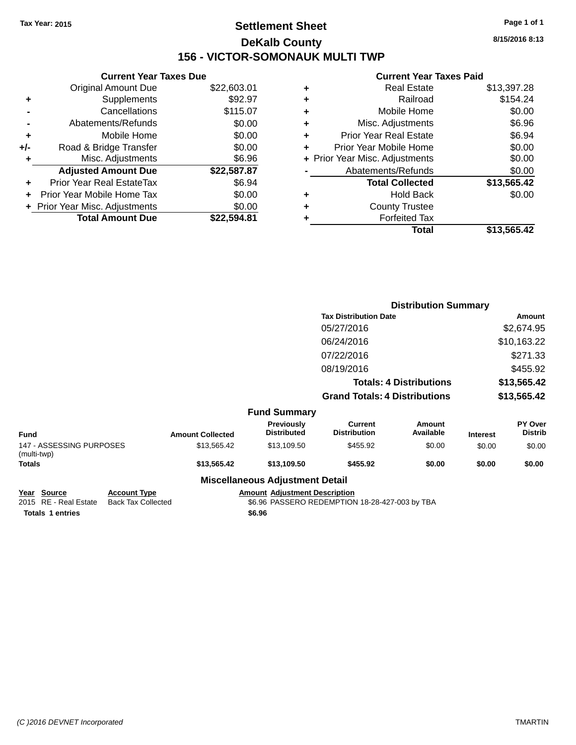# **Settlement Sheet Tax Year: 2015 Page 1 of 1 DeKalb County 156 - VICTOR-SOMONAUK MULTI TWP**

**8/15/2016 8:13**

### **Current Year Taxes Paid**

|     | <b>Current Year Taxes Due</b>  |             |
|-----|--------------------------------|-------------|
|     | <b>Original Amount Due</b>     | \$22,603.01 |
| ٠   | Supplements                    | \$92.97     |
|     | Cancellations                  | \$115.07    |
|     | Abatements/Refunds             | \$0.00      |
| ٠   | Mobile Home                    | \$0.00      |
| +/- | Road & Bridge Transfer         | \$0.00      |
|     | Misc. Adjustments              | \$6.96      |
|     | <b>Adjusted Amount Due</b>     | \$22,587.87 |
| ÷   | Prior Year Real EstateTax      | \$6.94      |
| ÷   | Prior Year Mobile Home Tax     | \$0.00      |
|     | + Prior Year Misc. Adjustments | \$0.00      |
|     | <b>Total Amount Due</b>        | \$22.594.81 |
|     |                                |             |

| ٠ | <b>Real Estate</b>             | \$13,397.28 |
|---|--------------------------------|-------------|
| ٠ | Railroad                       | \$154.24    |
| ٠ | Mobile Home                    | \$0.00      |
| ٠ | Misc. Adjustments              | \$6.96      |
| ٠ | <b>Prior Year Real Estate</b>  | \$6.94      |
|   | Prior Year Mobile Home         | \$0.00      |
|   | + Prior Year Misc. Adjustments | \$0.00      |
|   | Abatements/Refunds             | \$0.00      |
|   | <b>Total Collected</b>         | \$13,565.42 |
| ٠ | <b>Hold Back</b>               | \$0.00      |
| ٠ | <b>County Trustee</b>          |             |
| ٠ | <b>Forfeited Tax</b>           |             |
|   | Total                          | \$13,565.42 |
|   |                                |             |

|                                         |                     |                         |                                        | <b>Distribution Summary</b>           |                                |                 |                           |
|-----------------------------------------|---------------------|-------------------------|----------------------------------------|---------------------------------------|--------------------------------|-----------------|---------------------------|
|                                         |                     |                         |                                        | <b>Tax Distribution Date</b>          |                                |                 | Amount                    |
|                                         |                     |                         |                                        | 05/27/2016                            |                                |                 | \$2,674.95                |
|                                         |                     |                         |                                        | 06/24/2016                            |                                |                 | \$10,163.22               |
|                                         |                     |                         |                                        | 07/22/2016                            |                                |                 | \$271.33                  |
|                                         |                     |                         |                                        | 08/19/2016                            |                                |                 | \$455.92                  |
|                                         |                     |                         |                                        |                                       | <b>Totals: 4 Distributions</b> |                 | \$13,565.42               |
|                                         |                     |                         |                                        | <b>Grand Totals: 4 Distributions</b>  |                                |                 | \$13,565.42               |
|                                         |                     |                         | <b>Fund Summary</b>                    |                                       |                                |                 |                           |
| <b>Fund</b>                             |                     | <b>Amount Collected</b> | Previously<br><b>Distributed</b>       | <b>Current</b><br><b>Distribution</b> | <b>Amount</b><br>Available     | <b>Interest</b> | PY Over<br><b>Distrib</b> |
| 147 - ASSESSING PURPOSES<br>(multi-twp) |                     | \$13,565.42             | \$13,109.50                            | \$455.92                              | \$0.00                         | \$0.00          | \$0.00                    |
| Totals                                  |                     | \$13,565.42             | \$13,109.50                            | \$455.92                              | \$0.00                         | \$0.00          | \$0.00                    |
|                                         |                     |                         | <b>Miscellaneous Adjustment Detail</b> |                                       |                                |                 |                           |
| Year Source                             | <b>Account Type</b> |                         | <b>Amount Adjustment Description</b>   |                                       |                                |                 |                           |

**Totals \$6.96 1 entries**

\$6.96 PASSERO REDEMPTION 18-28-427-003 by TBA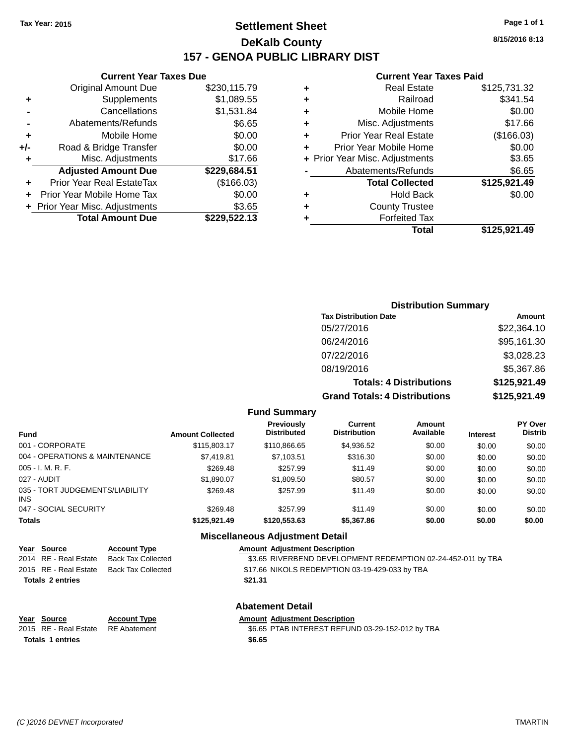# **Settlement Sheet Tax Year: 2015 Page 1 of 1 DeKalb County 157 - GENOA PUBLIC LIBRARY DIST**

**Current Year Taxes Due**

|     | <b>Original Amount Due</b>     | \$230,115.79 |
|-----|--------------------------------|--------------|
| ٠   | Supplements                    | \$1,089.55   |
|     | Cancellations                  | \$1,531.84   |
|     | Abatements/Refunds             | \$6.65       |
| ٠   | Mobile Home                    | \$0.00       |
| +/- | Road & Bridge Transfer         | \$0.00       |
| ٠   | Misc. Adjustments              | \$17.66      |
|     | <b>Adjusted Amount Due</b>     | \$229,684.51 |
|     | Prior Year Real EstateTax      | (\$166.03)   |
|     | Prior Year Mobile Home Tax     | \$0.00       |
|     | + Prior Year Misc. Adjustments | \$3.65       |
|     | <b>Total Amount Due</b>        | \$229.522.13 |

#### **Current Year Taxes Paid**

| ٠ | <b>Real Estate</b>             | \$125,731.32 |
|---|--------------------------------|--------------|
| ٠ | Railroad                       | \$341.54     |
| ٠ | Mobile Home                    | \$0.00       |
| ٠ | Misc. Adjustments              | \$17.66      |
| ٠ | <b>Prior Year Real Estate</b>  | (\$166.03)   |
| ٠ | Prior Year Mobile Home         | \$0.00       |
|   | + Prior Year Misc. Adjustments | \$3.65       |
|   | Abatements/Refunds             | \$6.65       |
|   | <b>Total Collected</b>         | \$125,921.49 |
| ٠ | <b>Hold Back</b>               | \$0.00       |
| ٠ | <b>County Trustee</b>          |              |
| ٠ | <b>Forfeited Tax</b>           |              |
|   | Total                          | \$125,921.49 |
|   |                                |              |

| <b>Distribution Summary</b>          |              |
|--------------------------------------|--------------|
| <b>Tax Distribution Date</b>         | Amount       |
| 05/27/2016                           | \$22,364.10  |
| 06/24/2016                           | \$95,161.30  |
| 07/22/2016                           | \$3,028.23   |
| 08/19/2016                           | \$5,367.86   |
| <b>Totals: 4 Distributions</b>       | \$125,921.49 |
| <b>Grand Totals: 4 Distributions</b> | \$125,921.49 |

#### **Fund Summary**

| Fund                                   | <b>Amount Collected</b> | <b>Previously</b><br><b>Distributed</b> | <b>Current</b><br><b>Distribution</b> | <b>Amount</b><br>Available | <b>Interest</b> | <b>PY Over</b><br><b>Distrib</b> |
|----------------------------------------|-------------------------|-----------------------------------------|---------------------------------------|----------------------------|-----------------|----------------------------------|
| 001 - CORPORATE                        | \$115,803.17            | \$110,866,65                            | \$4,936.52                            | \$0.00                     | \$0.00          | \$0.00                           |
| 004 - OPERATIONS & MAINTENANCE         | \$7,419.81              | \$7,103.51                              | \$316.30                              | \$0.00                     | \$0.00          | \$0.00                           |
| 005 - I. M. R. F.                      | \$269.48                | \$257.99                                | \$11.49                               | \$0.00                     | \$0.00          | \$0.00                           |
| 027 - AUDIT                            | \$1.890.07              | \$1,809.50                              | \$80.57                               | \$0.00                     | \$0.00          | \$0.00                           |
| 035 - TORT JUDGEMENTS/LIABILITY<br>INS | \$269.48                | \$257.99                                | \$11.49                               | \$0.00                     | \$0.00          | \$0.00                           |
| 047 - SOCIAL SECURITY                  | \$269.48                | \$257.99                                | \$11.49                               | \$0.00                     | \$0.00          | \$0.00                           |
| <b>Totals</b>                          | \$125.921.49            | \$120,553,63                            | \$5,367.86                            | \$0.00                     | \$0.00          | \$0.00                           |

#### **Miscellaneous Adjustment Detail**

| Year Source             | <b>Account Type</b> | <b>Amount Adiustment Description</b>                         |  |
|-------------------------|---------------------|--------------------------------------------------------------|--|
| 2014 RE - Real Estate   | Back Tax Collected  | \$3.65 RIVERBEND DEVELOPMENT REDEMPTION 02-24-452-011 by TBA |  |
| 2015 RE - Real Estate   | Back Tax Collected  | \$17.66 NIKOLS REDEMPTION 03-19-429-033 by TBA               |  |
| <b>Totals 2 entries</b> |                     | \$21.31                                                      |  |
|                         |                     |                                                              |  |

**Totals \$6.65 1 entries**

### **Abatement Detail**

**Year Source Account Type Account Adjustment Description** 

2015 RE - Real Estate RE Abatement \$6.65 PTAB INTEREST REFUND 03-29-152-012 by TBA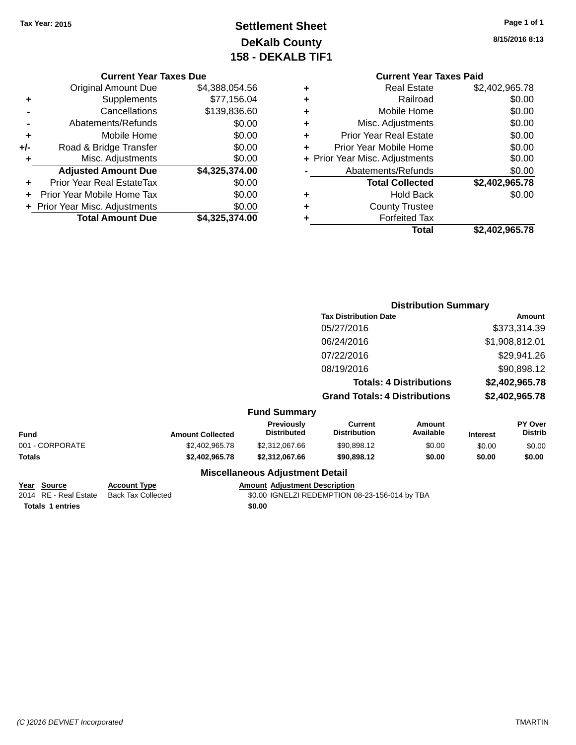# **Settlement Sheet Tax Year: 2015 Page 1 of 1 DeKalb County 158 - DEKALB TIF1**

**8/15/2016 8:13**

| Current Year Taxes Due |  |  |
|------------------------|--|--|

| $+/-$ | Road & Bridge Transfer           | \$0.00         |
|-------|----------------------------------|----------------|
|       |                                  |                |
| ٠     | Misc. Adjustments                | \$0.00         |
|       | <b>Adjusted Amount Due</b>       | \$4,325,374.00 |
|       | <b>Prior Year Real EstateTax</b> | \$0.00         |
| ÷     |                                  |                |
| ÷     | Prior Year Mobile Home Tax       | \$0.00         |
|       | + Prior Year Misc. Adjustments   | \$0.00         |
|       | <b>Total Amount Due</b>          | \$4,325,374.00 |

|   | <b>Current Year Taxes Paid</b> |                |
|---|--------------------------------|----------------|
|   | <b>Real Estate</b>             | \$2,402,965.78 |
|   | Railroad                       | \$0.00         |
| ٠ | Mobile Home                    | \$0.00         |
| ٠ | Misc. Adjustments              | \$0.00         |
| ٠ | <b>Prior Year Real Estate</b>  | \$0.00         |
| ٠ | Prior Year Mobile Home         | \$0.00         |
|   | + Prior Year Misc. Adjustments | \$0.00         |
|   | Abatements/Refunds             | \$0.00         |
|   | <b>Total Collected</b>         | \$2,402,965.78 |
|   | <b>Hold Back</b>               | \$0.00         |
|   | <b>County Trustee</b>          |                |
|   | <b>Forfeited Tax</b>           |                |
|   | Total                          | \$2.402.965.78 |
|   |                                |                |

|                 |                         |                                         | <b>Distribution Summary</b>           |                                |                 |                           |
|-----------------|-------------------------|-----------------------------------------|---------------------------------------|--------------------------------|-----------------|---------------------------|
|                 |                         |                                         | <b>Tax Distribution Date</b>          |                                |                 | Amount                    |
|                 |                         |                                         | 05/27/2016                            |                                |                 | \$373,314.39              |
|                 |                         |                                         | 06/24/2016                            |                                |                 | \$1,908,812.01            |
|                 |                         |                                         | 07/22/2016                            |                                |                 | \$29,941.26               |
|                 |                         |                                         | 08/19/2016                            |                                |                 | \$90,898.12               |
|                 |                         |                                         |                                       | <b>Totals: 4 Distributions</b> |                 | \$2,402,965.78            |
|                 |                         |                                         | <b>Grand Totals: 4 Distributions</b>  |                                |                 | \$2,402,965.78            |
|                 |                         | <b>Fund Summary</b>                     |                                       |                                |                 |                           |
| <b>Fund</b>     | <b>Amount Collected</b> | <b>Previously</b><br><b>Distributed</b> | <b>Current</b><br><b>Distribution</b> | Amount<br>Available            | <b>Interest</b> | PY Over<br><b>Distrib</b> |
| 001 - CORPORATE | \$2,402,965.78          | \$2,312,067.66                          | \$90,898.12                           | \$0.00                         | \$0.00          | \$0.00                    |
| Totals          | \$2,402,965.78          | \$2,312,067.66                          | \$90,898.12                           | \$0.00                         | \$0.00          | \$0.00                    |
|                 |                         | <b>Miscellaneous Adjustment Detail</b>  |                                       |                                |                 |                           |

| Year Source      | <b>Account Type</b>                      |        | <b>Amount Adiustment Description</b>           |
|------------------|------------------------------------------|--------|------------------------------------------------|
|                  | 2014 RE - Real Estate Back Tax Collected |        | \$0.00 IGNELZI REDEMPTION 08-23-156-014 by TBA |
| Totals 1 entries |                                          | \$0.00 |                                                |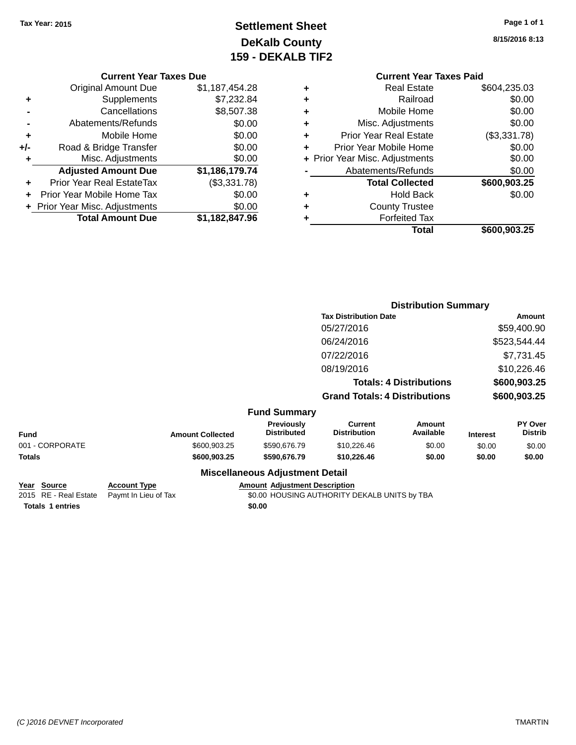# **Settlement Sheet Tax Year: 2015 Page 1 of 1 DeKalb County 159 - DEKALB TIF2**

**8/15/2016 8:13**

**Distribution Summary**

**Total Collected \$600,903.25**

**Total \$600,903.25**

**+** Hold Back \$0.00

| 54.28         |   | <b>Current Year Taxes Paid</b> |              |
|---------------|---|--------------------------------|--------------|
|               | ٠ | <b>Real Estate</b>             | \$604,235.03 |
| 32.84         | ٠ | Railroad                       | \$0.00       |
| 17.38         | ÷ | Mobile Home                    | \$0.00       |
| 0.005         | ÷ | Misc. Adjustments              | \$0.00       |
| 0.005         | ٠ | <b>Prior Year Real Estate</b>  | (\$3,331.78) |
| 0.005         | ÷ | Prior Year Mobile Home         | \$0.00       |
| 0.00          |   | + Prior Year Misc. Adjustments | \$0.00       |
| $\sqrt{9.74}$ |   | Abatements/Refunds             | \$0.00       |

**+** County Trustee **+** Forfeited Tax

|                | <b>Current Year Taxes Due</b> |                |
|----------------|-------------------------------|----------------|
|                | <b>Original Amount Due</b>    | \$1,187,454.28 |
| ٠              | <b>Supplements</b>            | \$7,232.84     |
| $\blacksquare$ | Cancellations                 | \$8,507.38     |
|                | Abatements/Refunds            | \$0.00         |

| ٠   | Mobile Home                    | \$0.00         |
|-----|--------------------------------|----------------|
| +/- | Road & Bridge Transfer         | \$0.00         |
| ÷   | Misc. Adjustments              | \$0.00         |
|     | <b>Adjusted Amount Due</b>     | \$1,186,179.74 |
| ÷   | Prior Year Real EstateTax      | (\$3,331.78)   |
|     | Prior Year Mobile Home Tax     | \$0.00         |
|     | + Prior Year Misc. Adjustments | \$0.00         |
|     | <b>Total Amount Due</b>        | \$1,182,847.96 |

|                 |                         |                                  | <b>Tax Distribution Date</b>          |                                |                 | Amount                    |
|-----------------|-------------------------|----------------------------------|---------------------------------------|--------------------------------|-----------------|---------------------------|
|                 |                         |                                  | 05/27/2016                            |                                |                 | \$59,400.90               |
|                 |                         |                                  | 06/24/2016                            |                                |                 | \$523,544.44              |
|                 |                         |                                  | 07/22/2016                            |                                |                 | \$7,731.45                |
|                 |                         |                                  | 08/19/2016                            |                                |                 | \$10,226.46               |
|                 |                         |                                  |                                       | <b>Totals: 4 Distributions</b> |                 | \$600,903.25              |
|                 |                         |                                  | <b>Grand Totals: 4 Distributions</b>  |                                |                 | \$600,903.25              |
|                 |                         | <b>Fund Summary</b>              |                                       |                                |                 |                           |
| <b>Fund</b>     | <b>Amount Collected</b> | Previously<br><b>Distributed</b> | <b>Current</b><br><b>Distribution</b> | <b>Amount</b><br>Available     | <b>Interest</b> | PY Over<br><b>Distrib</b> |
| 001 - CORPORATE | \$600,903.25            | \$590,676.79                     | \$10,226.46                           | \$0.00                         | \$0.00          | \$0.00                    |
| <b>Totals</b>   | \$600,903,25            | \$590,676.79                     | \$10.226.46                           | \$0.00                         | \$0.00          | \$0.00                    |

|                         |                      | <b>Miscellaneous Adjustment Detail</b>       |
|-------------------------|----------------------|----------------------------------------------|
| Year Source             | <b>Account Type</b>  | <b>Amount Adjustment Description</b>         |
| 2015 RE - Real Estate   | Paymt In Lieu of Tax | \$0.00 HOUSING AUTHORITY DEKALB UNITS by TBA |
| <b>Totals 1 entries</b> |                      | \$0.00                                       |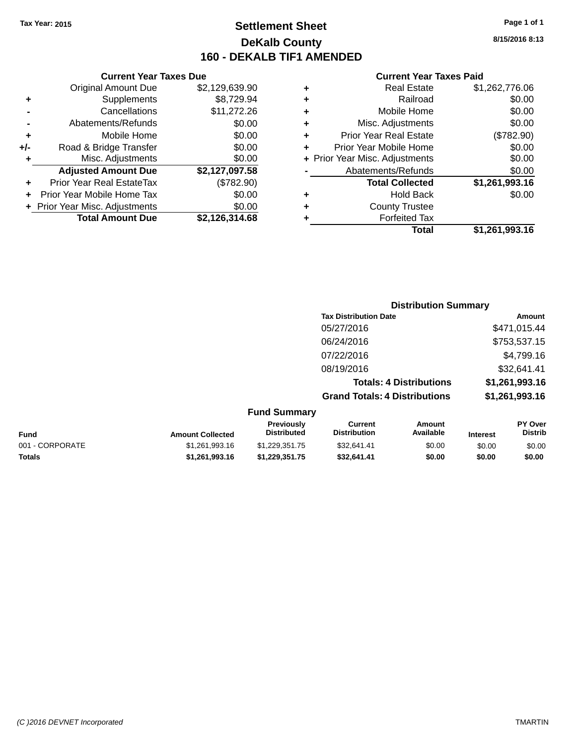# **Settlement Sheet Tax Year: 2015 Page 1 of 1 DeKalb County 160 - DEKALB TIF1 AMENDED**

**8/15/2016 8:13**

### **Current Year Taxes Paid**

|   | Total                          | \$1,261,993.16 |
|---|--------------------------------|----------------|
|   | <b>Forfeited Tax</b>           |                |
|   | <b>County Trustee</b>          |                |
|   | <b>Hold Back</b>               | \$0.00         |
|   | <b>Total Collected</b>         | \$1,261,993.16 |
|   | Abatements/Refunds             | \$0.00         |
|   | + Prior Year Misc. Adjustments | \$0.00         |
|   | Prior Year Mobile Home         | \$0.00         |
| ٠ | <b>Prior Year Real Estate</b>  | (\$782.90)     |
| ٠ | Misc. Adjustments              | \$0.00         |
|   | Mobile Home                    | \$0.00         |
|   | Railroad                       | \$0.00         |
| ٠ | <b>Real Estate</b>             | \$1,262,776.06 |

|     | <b>Current Year Taxes Due</b>    |                |
|-----|----------------------------------|----------------|
|     | <b>Original Amount Due</b>       | \$2,129,639.90 |
| ٠   | Supplements                      | \$8,729.94     |
|     | Cancellations                    | \$11,272.26    |
|     | Abatements/Refunds               | \$0.00         |
| ٠   | Mobile Home                      | \$0.00         |
| +/- | Road & Bridge Transfer           | \$0.00         |
| ٠   | Misc. Adjustments                | \$0.00         |
|     | <b>Adjusted Amount Due</b>       | \$2,127,097.58 |
| ÷   | <b>Prior Year Real EstateTax</b> | (\$782.90)     |
|     | Prior Year Mobile Home Tax       | \$0.00         |
|     | + Prior Year Misc. Adjustments   | \$0.00         |
|     | <b>Total Amount Due</b>          | \$2,126,314.68 |
|     |                                  |                |

|                     | <b>Distribution Summary</b>          |                |
|---------------------|--------------------------------------|----------------|
|                     | <b>Tax Distribution Date</b>         | Amount         |
|                     | 05/27/2016                           | \$471,015.44   |
|                     | 06/24/2016                           | \$753,537.15   |
|                     | 07/22/2016                           | \$4,799.16     |
|                     | 08/19/2016                           | \$32,641.41    |
|                     | <b>Totals: 4 Distributions</b>       | \$1,261,993.16 |
|                     | <b>Grand Totals: 4 Distributions</b> | \$1,261,993.16 |
| <b>Fund Summary</b> |                                      |                |

| <b>Fund</b>     | <b>Amount Collected</b> | <b>Previously</b><br><b>Distributed</b> | Current<br><b>Distribution</b> | Amount<br>Available | <b>Interest</b> | <b>PY Over</b><br><b>Distrib</b> |
|-----------------|-------------------------|-----------------------------------------|--------------------------------|---------------------|-----------------|----------------------------------|
| 001 - CORPORATE | \$1.261.993.16          | \$1.229.351.75                          | \$32.641.41                    | \$0.00              | \$0.00          | \$0.00                           |
| <b>Totals</b>   | \$1.261.993.16          | \$1.229.351.75                          | \$32.641.41                    | \$0.00              | \$0.00          | \$0.00                           |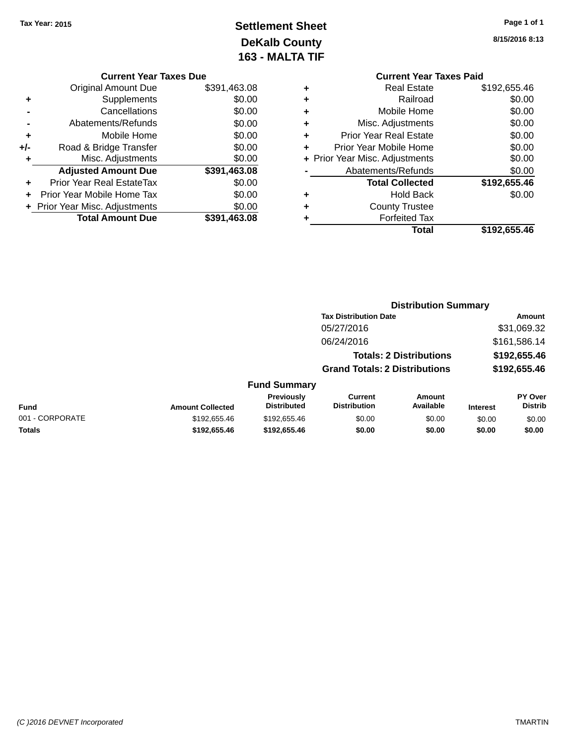# **Settlement Sheet Tax Year: 2015 Page 1 of 1 DeKalb County 163 - MALTA TIF**

**8/15/2016 8:13**

|   |                                | <b>Current Year Taxes Paid</b> |  |  |  |
|---|--------------------------------|--------------------------------|--|--|--|
| ٠ | <b>Real Estate</b>             | \$192,655.46                   |  |  |  |
| ٠ | Railroad                       | \$0.00                         |  |  |  |
| ٠ | Mobile Home                    | \$0.00                         |  |  |  |
| ٠ | Misc. Adjustments              | \$0.00                         |  |  |  |
| ٠ | <b>Prior Year Real Estate</b>  | \$0.00                         |  |  |  |
| ٠ | Prior Year Mobile Home         | \$0.00                         |  |  |  |
|   | + Prior Year Misc. Adjustments | \$0.00                         |  |  |  |
|   | Abatements/Refunds             | \$0.00                         |  |  |  |
|   | <b>Total Collected</b>         | \$192,655.46                   |  |  |  |
| ٠ | <b>Hold Back</b>               | \$0.00                         |  |  |  |
| ٠ | <b>County Trustee</b>          |                                |  |  |  |
| ٠ | <b>Forfeited Tax</b>           |                                |  |  |  |
|   | Total                          | \$192,655.46                   |  |  |  |
|   |                                |                                |  |  |  |

**Distribution Summary**

|     | <b>Current Year Taxes Due</b>  |              |
|-----|--------------------------------|--------------|
|     | Original Amount Due            | \$391,463.08 |
| ٠   | Supplements                    | \$0.00       |
|     | Cancellations                  | \$0.00       |
|     | Abatements/Refunds             | \$0.00       |
| ٠   | Mobile Home                    | \$0.00       |
| +/- | Road & Bridge Transfer         | \$0.00       |
| ٠   | Misc. Adjustments              | \$0.00       |
|     | <b>Adjusted Amount Due</b>     | \$391,463.08 |
|     | Prior Year Real EstateTax      | \$0.00       |
|     | Prior Year Mobile Home Tax     | \$0.00       |
|     | + Prior Year Misc. Adjustments | \$0.00       |
|     | <b>Total Amount Due</b>        | \$391,463.08 |

|                         |                                         |                                |                            |                                                                                                        | Amount                           |
|-------------------------|-----------------------------------------|--------------------------------|----------------------------|--------------------------------------------------------------------------------------------------------|----------------------------------|
|                         |                                         | 05/27/2016                     |                            |                                                                                                        | \$31,069.32                      |
|                         |                                         | 06/24/2016                     |                            |                                                                                                        | \$161,586.14                     |
|                         |                                         |                                |                            |                                                                                                        | \$192,655.46                     |
|                         |                                         |                                |                            |                                                                                                        | \$192,655.46                     |
|                         |                                         |                                |                            |                                                                                                        |                                  |
| <b>Amount Collected</b> | <b>Previously</b><br><b>Distributed</b> | Current<br><b>Distribution</b> | <b>Amount</b><br>Available | <b>Interest</b>                                                                                        | <b>PY Over</b><br><b>Distrib</b> |
| \$192,655.46            | \$192,655.46                            | \$0.00                         | \$0.00                     | \$0.00                                                                                                 | \$0.00                           |
| \$192,655.46            | \$192,655.46                            | \$0.00                         | \$0.00                     | \$0.00                                                                                                 | \$0.00                           |
|                         |                                         |                                | <b>Fund Summary</b>        | <b>Tax Distribution Date</b><br><b>Totals: 2 Distributions</b><br><b>Grand Totals: 2 Distributions</b> |                                  |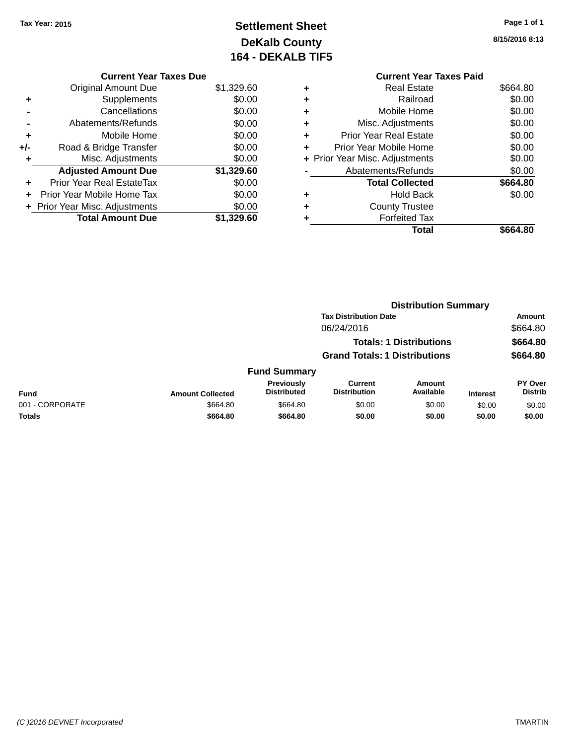# **Settlement Sheet Tax Year: 2015 Page 1 of 1 DeKalb County 164 - DEKALB TIF5**

**8/15/2016 8:13**

|       | <b>Current Year Taxes Due</b>  |            |
|-------|--------------------------------|------------|
|       | <b>Original Amount Due</b>     | \$1,329.60 |
| ٠     | Supplements                    | \$0.00     |
|       | Cancellations                  | \$0.00     |
|       | Abatements/Refunds             | \$0.00     |
| ٠     | Mobile Home                    | \$0.00     |
| $+/-$ | Road & Bridge Transfer         | \$0.00     |
|       | Misc. Adjustments              | \$0.00     |
|       | <b>Adjusted Amount Due</b>     | \$1,329.60 |
| ٠     | Prior Year Real EstateTax      | \$0.00     |
|       | Prior Year Mobile Home Tax     | \$0.00     |
|       | + Prior Year Misc. Adjustments | \$0.00     |
|       | <b>Total Amount Due</b>        | \$1.329.60 |

|   | <b>Current Year Taxes Paid</b> |          |
|---|--------------------------------|----------|
| ٠ | <b>Real Estate</b>             | \$664.80 |
| ٠ | Railroad                       | \$0.00   |
|   | Mobile Home                    | \$0.00   |
| ٠ | Misc. Adjustments              | \$0.00   |
| ٠ | <b>Prior Year Real Estate</b>  | \$0.00   |
| ٠ | Prior Year Mobile Home         | \$0.00   |
|   | + Prior Year Misc. Adjustments | \$0.00   |
|   | Abatements/Refunds             | \$0.00   |
|   | <b>Total Collected</b>         | \$664.80 |
| ٠ | <b>Hold Back</b>               | \$0.00   |
| ٠ | <b>County Trustee</b>          |          |
|   | <b>Forfeited Tax</b>           |          |
|   | Total                          | \$664.80 |
|   |                                |          |

|                                      |                                                                              |                                  | <b>Distribution Summary</b>           |                            |                 |                                  |
|--------------------------------------|------------------------------------------------------------------------------|----------------------------------|---------------------------------------|----------------------------|-----------------|----------------------------------|
|                                      | <b>Tax Distribution Date</b><br>06/24/2016<br><b>Totals: 1 Distributions</b> |                                  |                                       | Amount                     |                 |                                  |
|                                      |                                                                              |                                  |                                       | \$664.80<br>\$664.80       |                 |                                  |
|                                      |                                                                              |                                  |                                       |                            |                 |                                  |
| <b>Grand Totals: 1 Distributions</b> |                                                                              |                                  | \$664.80                              |                            |                 |                                  |
|                                      |                                                                              | <b>Fund Summary</b>              |                                       |                            |                 |                                  |
| <b>Fund</b>                          | <b>Amount Collected</b>                                                      | Previously<br><b>Distributed</b> | <b>Current</b><br><b>Distribution</b> | <b>Amount</b><br>Available | <b>Interest</b> | <b>PY Over</b><br><b>Distrib</b> |
| 001 - CORPORATE                      | \$664.80                                                                     | \$664.80                         | \$0.00                                | \$0.00                     | \$0.00          | \$0.00                           |
| Totals                               | \$664.80                                                                     | \$664.80                         | \$0.00                                | \$0.00                     | \$0.00          | \$0.00                           |
|                                      |                                                                              |                                  |                                       |                            |                 |                                  |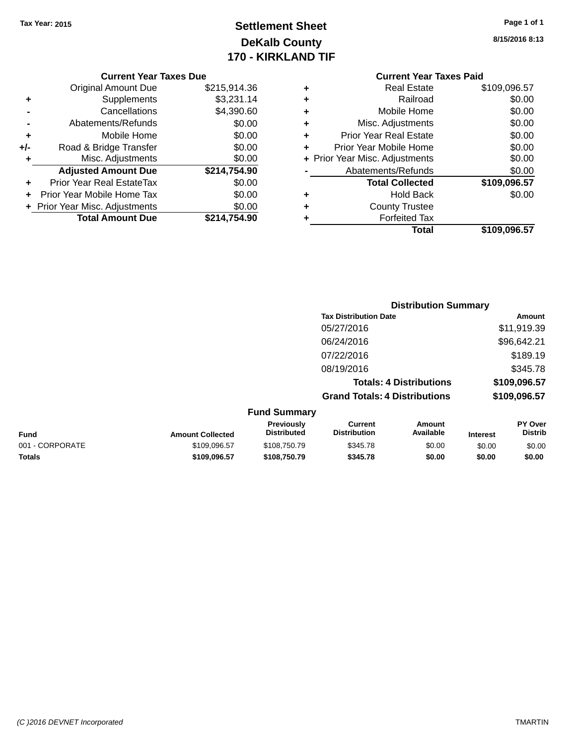### **Settlement Sheet Tax Year: 2015 Page 1 of 1 DeKalb County 170 - KIRKLAND TIF**

**8/15/2016 8:13**

|     | + Prior Year Misc. Adjustments<br><b>Total Amount Due</b> | \$0.00<br>\$214.754.90 |
|-----|-----------------------------------------------------------|------------------------|
|     |                                                           |                        |
|     | Prior Year Mobile Home Tax                                | \$0.00                 |
|     | <b>Prior Year Real EstateTax</b>                          | \$0.00                 |
|     | <b>Adjusted Amount Due</b>                                | \$214,754.90           |
| ٠   | Misc. Adjustments                                         | \$0.00                 |
| +/- | Road & Bridge Transfer                                    | \$0.00                 |
| ٠   | Mobile Home                                               | \$0.00                 |
|     | Abatements/Refunds                                        | \$0.00                 |
|     | Cancellations                                             | \$4,390.60             |
| ٠   | Supplements                                               | \$3,231.14             |
|     | <b>Original Amount Due</b>                                | \$215,914.36           |

| ٠ | <b>Real Estate</b>             | \$109,096.57 |
|---|--------------------------------|--------------|
| ٠ | Railroad                       | \$0.00       |
| ٠ | Mobile Home                    | \$0.00       |
| ٠ | Misc. Adjustments              | \$0.00       |
| ٠ | <b>Prior Year Real Estate</b>  | \$0.00       |
| ٠ | Prior Year Mobile Home         | \$0.00       |
|   | + Prior Year Misc. Adjustments | \$0.00       |
|   | Abatements/Refunds             | \$0.00       |
|   | <b>Total Collected</b>         | \$109,096.57 |
| ٠ | <b>Hold Back</b>               | \$0.00       |
| ٠ | <b>County Trustee</b>          |              |
| ٠ | <b>Forfeited Tax</b>           |              |
|   | Total                          | \$109,096.57 |
|   |                                |              |

|                     | <b>Distribution Summary</b>          |              |
|---------------------|--------------------------------------|--------------|
|                     | <b>Tax Distribution Date</b>         | Amount       |
|                     | 05/27/2016                           | \$11,919.39  |
|                     | 06/24/2016                           | \$96,642.21  |
|                     | 07/22/2016                           | \$189.19     |
|                     | 08/19/2016                           | \$345.78     |
|                     | <b>Totals: 4 Distributions</b>       | \$109,096.57 |
|                     | <b>Grand Totals: 4 Distributions</b> | \$109,096.57 |
| <b>Fund Summary</b> |                                      |              |

| <b>Fund</b>     | <b>Amount Collected</b> | <b>Previously</b><br><b>Distributed</b> | Current<br><b>Distribution</b> | Amount<br>Available | <b>Interest</b> | <b>PY Over</b><br><b>Distrib</b> |
|-----------------|-------------------------|-----------------------------------------|--------------------------------|---------------------|-----------------|----------------------------------|
| 001 - CORPORATE | \$109.096.57            | \$108,750.79                            | \$345.78                       | \$0.00              | \$0.00          | \$0.00                           |
| <b>Totals</b>   | \$109.096.57            | \$108.750.79                            | \$345.78                       | \$0.00              | \$0.00          | \$0.00                           |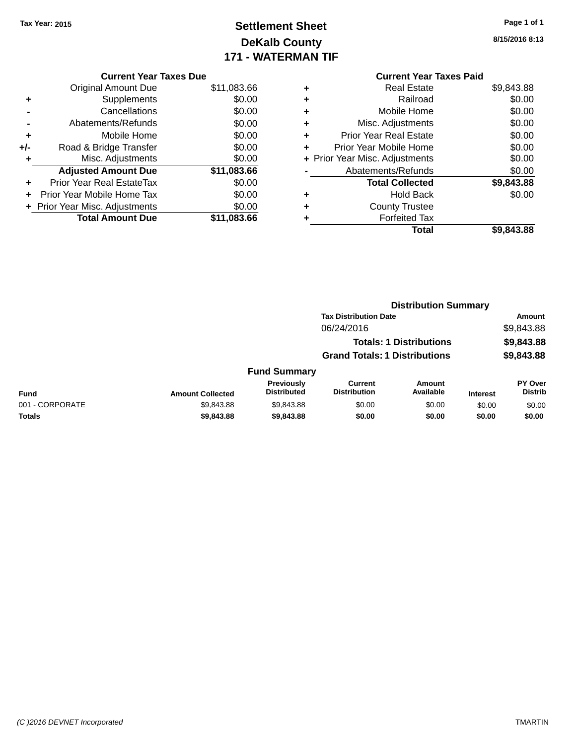### **Settlement Sheet Tax Year: 2015 Page 1 of 1 DeKalb County 171 - WATERMAN TIF**

**8/15/2016 8:13**

|     | <b>Current Year Taxes Due</b>  |             |
|-----|--------------------------------|-------------|
|     | <b>Original Amount Due</b>     | \$11,083.66 |
|     | Supplements                    | \$0.00      |
|     | Cancellations                  | \$0.00      |
|     | Abatements/Refunds             | \$0.00      |
| ٠   | Mobile Home                    | \$0.00      |
| +/- | Road & Bridge Transfer         | \$0.00      |
|     | Misc. Adjustments              | \$0.00      |
|     | <b>Adjusted Amount Due</b>     | \$11,083.66 |
| ٠   | Prior Year Real EstateTax      | \$0.00      |
| ٠   | Prior Year Mobile Home Tax     | \$0.00      |
|     | + Prior Year Misc. Adjustments | \$0.00      |
|     | <b>Total Amount Due</b>        | \$11.083.66 |

| ٠ | <b>Real Estate</b>             | \$9,843.88 |
|---|--------------------------------|------------|
| ÷ | Railroad                       | \$0.00     |
| ٠ | Mobile Home                    | \$0.00     |
| ٠ | Misc. Adjustments              | \$0.00     |
| ٠ | <b>Prior Year Real Estate</b>  | \$0.00     |
| ٠ | Prior Year Mobile Home         | \$0.00     |
|   | + Prior Year Misc. Adjustments | \$0.00     |
|   | Abatements/Refunds             | \$0.00     |
|   | <b>Total Collected</b>         | \$9,843.88 |
| ٠ | <b>Hold Back</b>               | \$0.00     |
| ٠ | <b>County Trustee</b>          |            |
| ٠ | <b>Forfeited Tax</b>           |            |
|   | Total                          | \$9,843.88 |
|   |                                |            |

|                 | <b>Distribution Summary</b> |                                         |                                       |                                |                 |                           |
|-----------------|-----------------------------|-----------------------------------------|---------------------------------------|--------------------------------|-----------------|---------------------------|
|                 |                             |                                         | <b>Tax Distribution Date</b>          |                                |                 | Amount                    |
|                 |                             |                                         | 06/24/2016                            |                                |                 | \$9,843.88                |
|                 |                             |                                         |                                       | <b>Totals: 1 Distributions</b> |                 | \$9,843.88                |
|                 |                             |                                         | <b>Grand Totals: 1 Distributions</b>  |                                |                 | \$9,843.88                |
|                 |                             | <b>Fund Summary</b>                     |                                       |                                |                 |                           |
| <b>Fund</b>     | <b>Amount Collected</b>     | <b>Previously</b><br><b>Distributed</b> | <b>Current</b><br><b>Distribution</b> | Amount<br>Available            | <b>Interest</b> | PY Over<br><b>Distrib</b> |
| 001 - CORPORATE | \$9,843.88                  | \$9,843.88                              | \$0.00                                | \$0.00                         | \$0.00          | \$0.00                    |
| Totals          | \$9,843.88                  | \$9,843.88                              | \$0.00                                | \$0.00                         | \$0.00          | \$0.00                    |
|                 |                             |                                         |                                       |                                |                 |                           |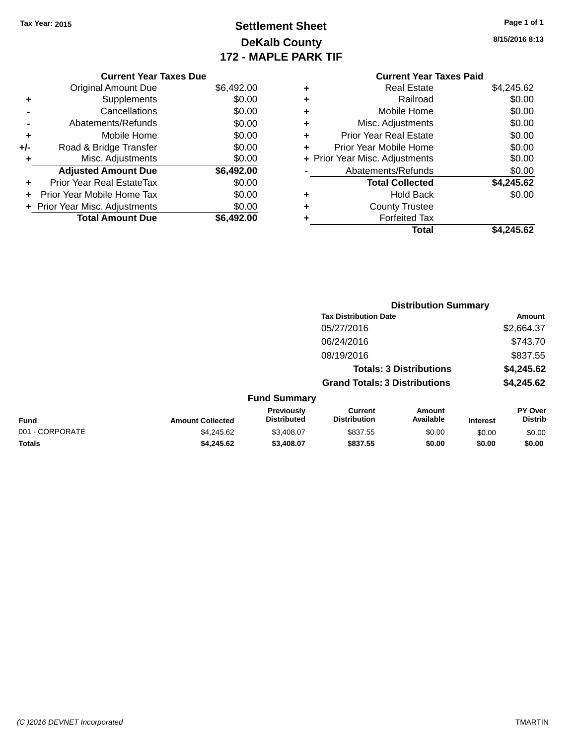### **Settlement Sheet Tax Year: 2015 Page 1 of 1 DeKalb County 172 - MAPLE PARK TIF**

**8/15/2016 8:13**

#### **Current Year Taxes Paid +** Real Estate \$4,245.62 **+** Railroad \$0.00 **+** Mobile Home \$0.00 **+** Misc. Adjustments \$0.00 **+** Prior Year Real Estate \$0.00 **+** Prior Year Mobile Home \$0.00 **+ Prior Year Misc. Adjustments**  $$0.00$ **-** Abatements/Refunds \$0.00 **Total Collected \$4,245.62 +** Hold Back \$0.00 **+** County Trustee **+** Forfeited Tax **Total \$4,245.62**

**Distribution Summary**

|     | <b>Current Year Taxes Due</b>  |            |
|-----|--------------------------------|------------|
|     | <b>Original Amount Due</b>     | \$6,492.00 |
| ٠   | Supplements                    | \$0.00     |
|     | Cancellations                  | \$0.00     |
|     | Abatements/Refunds             | \$0.00     |
| ٠   | Mobile Home                    | \$0.00     |
| +/- | Road & Bridge Transfer         | \$0.00     |
| ٠   | Misc. Adjustments              | \$0.00     |
|     | <b>Adjusted Amount Due</b>     | \$6,492.00 |
|     | Prior Year Real EstateTax      | \$0.00     |
|     | Prior Year Mobile Home Tax     | \$0.00     |
|     | + Prior Year Misc. Adjustments | \$0.00     |
|     | <b>Total Amount Due</b>        | \$6,492.00 |

|                 |                         |                                  | <b>Tax Distribution Date</b>          |                                |                 | Amount                    |
|-----------------|-------------------------|----------------------------------|---------------------------------------|--------------------------------|-----------------|---------------------------|
|                 |                         |                                  | 05/27/2016                            |                                |                 | \$2,664.37                |
|                 |                         |                                  | 06/24/2016                            |                                |                 | \$743.70                  |
|                 |                         |                                  | 08/19/2016                            |                                |                 | \$837.55                  |
|                 |                         |                                  |                                       | <b>Totals: 3 Distributions</b> |                 | \$4,245.62                |
|                 |                         |                                  | <b>Grand Totals: 3 Distributions</b>  |                                |                 | \$4,245.62                |
|                 |                         | <b>Fund Summary</b>              |                                       |                                |                 |                           |
| <b>Fund</b>     | <b>Amount Collected</b> | Previously<br><b>Distributed</b> | <b>Current</b><br><b>Distribution</b> | Amount<br>Available            | <b>Interest</b> | PY Over<br><b>Distrib</b> |
| 001 - CORPORATE | \$4,245.62              | \$3,408.07                       | \$837.55                              | \$0.00                         | \$0.00          | \$0.00                    |
| <b>Totals</b>   | \$4,245.62              | \$3,408.07                       | \$837.55                              | \$0.00                         | \$0.00          | \$0.00                    |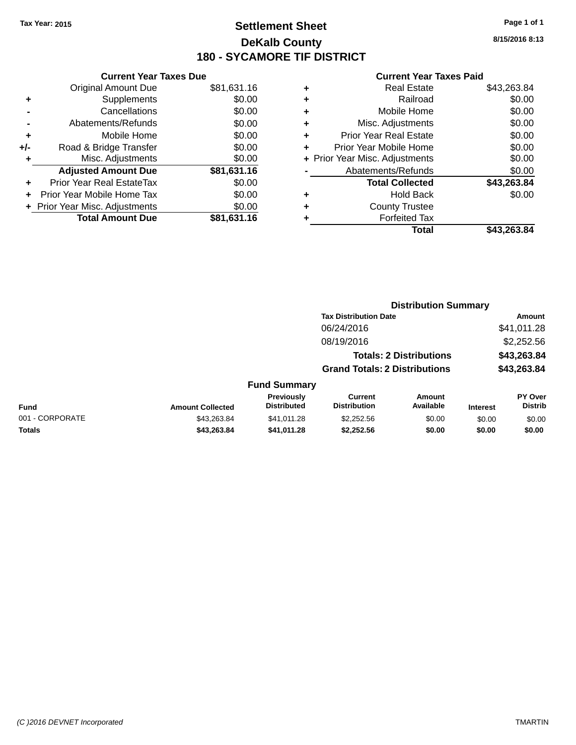### **Settlement Sheet Tax Year: 2015 Page 1 of 1 DeKalb County 180 - SYCAMORE TIF DISTRICT**

**8/15/2016 8:13**

|     | <b>Current Year Taxes Due</b>  |             |
|-----|--------------------------------|-------------|
|     | Original Amount Due            | \$81,631.16 |
| ٠   | Supplements                    | \$0.00      |
|     | Cancellations                  | \$0.00      |
|     | Abatements/Refunds             | \$0.00      |
| ٠   | Mobile Home                    | \$0.00      |
| +/- | Road & Bridge Transfer         | \$0.00      |
|     | Misc. Adjustments              | \$0.00      |
|     | <b>Adjusted Amount Due</b>     | \$81,631.16 |
|     | Prior Year Real EstateTax      | \$0.00      |
|     | Prior Year Mobile Home Tax     | \$0.00      |
|     | + Prior Year Misc. Adjustments | \$0.00      |
|     | <b>Total Amount Due</b>        | \$81,631.16 |
|     |                                |             |

| ٠ | <b>Real Estate</b>             | \$43,263.84 |
|---|--------------------------------|-------------|
| ٠ | Railroad                       | \$0.00      |
| ٠ | Mobile Home                    | \$0.00      |
| ٠ | Misc. Adjustments              | \$0.00      |
| ٠ | <b>Prior Year Real Estate</b>  | \$0.00      |
| ٠ | Prior Year Mobile Home         | \$0.00      |
|   | + Prior Year Misc. Adjustments | \$0.00      |
|   | Abatements/Refunds             | \$0.00      |
|   | <b>Total Collected</b>         | \$43,263.84 |
| ٠ | <b>Hold Back</b>               | \$0.00      |
| ٠ | <b>County Trustee</b>          |             |
| ٠ | <b>Forfeited Tax</b>           |             |
|   | Total                          | \$43,263.84 |
|   |                                |             |

|                 |                         |                                         | <b>Distribution Summary</b>           |                                |                 |                                  |
|-----------------|-------------------------|-----------------------------------------|---------------------------------------|--------------------------------|-----------------|----------------------------------|
|                 |                         |                                         | <b>Tax Distribution Date</b>          |                                |                 | <b>Amount</b>                    |
|                 |                         |                                         | 06/24/2016                            |                                |                 | \$41,011.28                      |
|                 |                         |                                         | 08/19/2016                            |                                |                 | \$2,252.56                       |
|                 |                         |                                         |                                       | <b>Totals: 2 Distributions</b> |                 | \$43,263.84                      |
|                 |                         |                                         | <b>Grand Totals: 2 Distributions</b>  |                                |                 | \$43,263.84                      |
|                 |                         | <b>Fund Summary</b>                     |                                       |                                |                 |                                  |
| <b>Fund</b>     | <b>Amount Collected</b> | <b>Previously</b><br><b>Distributed</b> | <b>Current</b><br><b>Distribution</b> | Amount<br>Available            | <b>Interest</b> | <b>PY Over</b><br><b>Distrib</b> |
| 001 - CORPORATE | \$43,263.84             | \$41,011.28                             | \$2,252.56                            | \$0.00                         | \$0.00          | \$0.00                           |
| <b>Totals</b>   | \$43,263.84             | \$41,011.28                             | \$2,252.56                            | \$0.00                         | \$0.00          | \$0.00                           |
|                 |                         |                                         |                                       |                                |                 |                                  |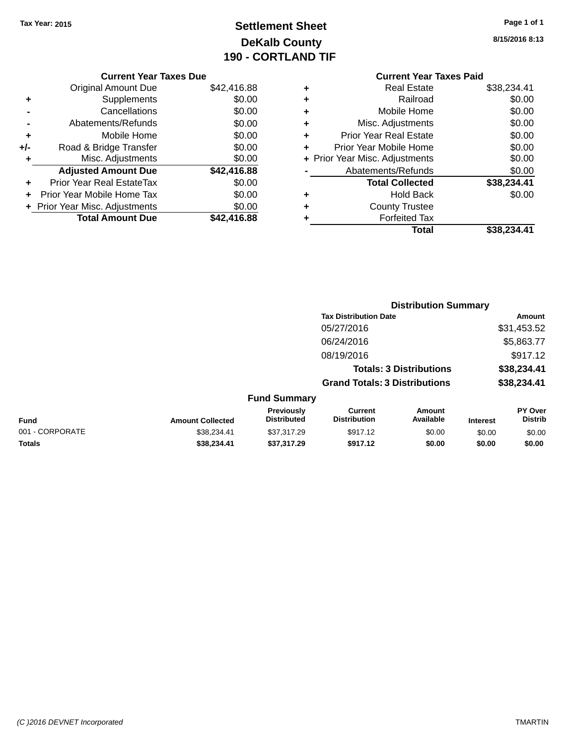### **Settlement Sheet Tax Year: 2015 Page 1 of 1 DeKalb County 190 - CORTLAND TIF**

| Page 1 of 1 |  |  |  |
|-------------|--|--|--|
|-------------|--|--|--|

**8/15/2016 8:13**

|                    |   |             | <b>Current Year Taxes Due</b>    |       |
|--------------------|---|-------------|----------------------------------|-------|
|                    | ٠ | \$42,416.88 | <b>Original Amount Due</b>       |       |
|                    | ٠ | \$0.00      | Supplements                      | ٠     |
|                    | ٠ | \$0.00      | Cancellations                    |       |
| Misc.              | ٠ | \$0.00      | Abatements/Refunds               |       |
| Prior Yea          | ٠ | \$0.00      | Mobile Home                      | ٠     |
| Prior Year         |   | \$0.00      | Road & Bridge Transfer           | $+/-$ |
| + Prior Year Misc. |   | \$0.00      | Misc. Adjustments                |       |
| Abatem             |   | \$42,416.88 | <b>Adjusted Amount Due</b>       |       |
| Toi                |   | \$0.00      | <b>Prior Year Real EstateTax</b> |       |
|                    |   | \$0.00      | Prior Year Mobile Home Tax       |       |
| Сc                 |   | \$0.00      | + Prior Year Misc. Adjustments   |       |
|                    |   | \$42,416.88 | <b>Total Amount Due</b>          |       |
|                    |   |             |                                  |       |

#### **Current Year Taxes Paid +** Real Estate \$38,234.41

|   | Total                          | \$38,234.41 |
|---|--------------------------------|-------------|
|   | <b>Forfeited Tax</b>           |             |
| ÷ | <b>County Trustee</b>          |             |
| ٠ | <b>Hold Back</b>               | \$0.00      |
|   | <b>Total Collected</b>         | \$38,234.41 |
|   | Abatements/Refunds             | \$0.00      |
|   | + Prior Year Misc. Adjustments | \$0.00      |
| ÷ | Prior Year Mobile Home         | \$0.00      |
|   | <b>Prior Year Real Estate</b>  | \$0.00      |
|   | Misc. Adjustments              | \$0.00      |
| ٠ | Mobile Home                    | \$0.00      |
| ÷ | Railroad                       | \$0.00      |
| T | noar Loiaio                    | ו ד.ד∪∟,טטש |

|                         |                                  | <b>Distribution Summary</b>           |                     |                                                                                                        |                           |
|-------------------------|----------------------------------|---------------------------------------|---------------------|--------------------------------------------------------------------------------------------------------|---------------------------|
|                         |                                  |                                       |                     |                                                                                                        | <b>Amount</b>             |
|                         |                                  | 05/27/2016                            |                     |                                                                                                        | \$31,453.52               |
|                         |                                  | 06/24/2016                            |                     |                                                                                                        | \$5,863.77                |
|                         |                                  | 08/19/2016                            |                     |                                                                                                        | \$917.12                  |
|                         |                                  |                                       |                     |                                                                                                        | \$38,234.41               |
|                         |                                  |                                       |                     |                                                                                                        | \$38,234.41               |
|                         |                                  |                                       |                     |                                                                                                        |                           |
| <b>Amount Collected</b> | Previously<br><b>Distributed</b> | <b>Current</b><br><b>Distribution</b> | Amount<br>Available | <b>Interest</b>                                                                                        | PY Over<br><b>Distrib</b> |
| \$38,234.41             | \$37,317.29                      | \$917.12                              | \$0.00              | \$0.00                                                                                                 | \$0.00                    |
| \$38.234.41             | \$37,317.29                      | \$917.12                              | \$0.00              | \$0.00                                                                                                 | \$0.00                    |
|                         |                                  | <b>Fund Summary</b>                   |                     | <b>Tax Distribution Date</b><br><b>Totals: 3 Distributions</b><br><b>Grand Totals: 3 Distributions</b> |                           |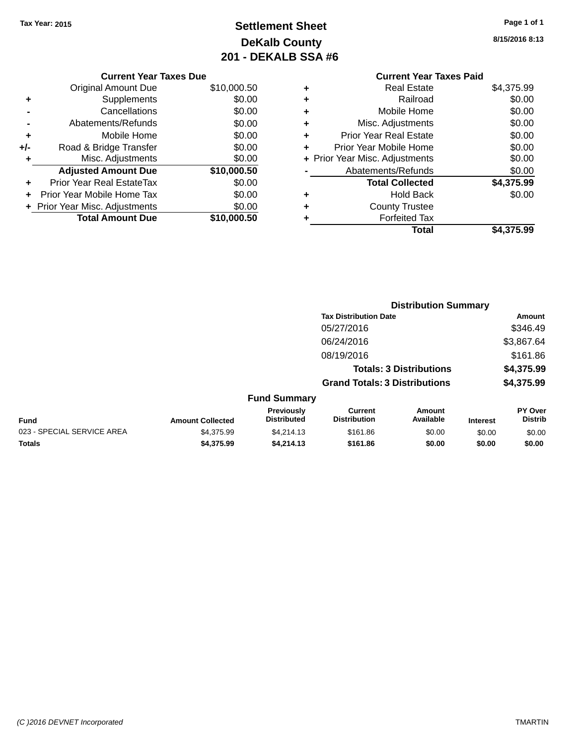### **Settlement Sheet Tax Year: 2015 Page 1 of 1 DeKalb County 201 - DEKALB SSA #6**

|     | <b>Current Year Taxes Due</b>  |             |  |  |  |  |  |
|-----|--------------------------------|-------------|--|--|--|--|--|
|     | <b>Original Amount Due</b>     | \$10,000.50 |  |  |  |  |  |
| ٠   | Supplements                    | \$0.00      |  |  |  |  |  |
|     | Cancellations                  | \$0.00      |  |  |  |  |  |
|     | Abatements/Refunds             | \$0.00      |  |  |  |  |  |
| ٠   | Mobile Home                    | \$0.00      |  |  |  |  |  |
| +/- | Road & Bridge Transfer         | \$0.00      |  |  |  |  |  |
| ٠   | Misc. Adjustments              | \$0.00      |  |  |  |  |  |
|     | <b>Adjusted Amount Due</b>     | \$10,000.50 |  |  |  |  |  |
| ÷   | Prior Year Real EstateTax      | \$0.00      |  |  |  |  |  |
|     | Prior Year Mobile Home Tax     | \$0.00      |  |  |  |  |  |
|     | + Prior Year Misc. Adjustments | \$0.00      |  |  |  |  |  |
|     | <b>Total Amount Due</b>        | \$10,000.50 |  |  |  |  |  |
|     |                                |             |  |  |  |  |  |

**8/15/2016 8:13**

|   | <b>Current Year Taxes Paid</b> |            |
|---|--------------------------------|------------|
| ٠ | <b>Real Estate</b>             | \$4,375.99 |
| ٠ | Railroad                       | \$0.00     |
|   | Mobile Home                    | \$0.00     |
| ٠ | Misc. Adjustments              | \$0.00     |
| ٠ | <b>Prior Year Real Estate</b>  | \$0.00     |
|   | Prior Year Mobile Home         | \$0.00     |
|   | + Prior Year Misc. Adjustments | \$0.00     |
|   | Abatements/Refunds             | \$0.00     |
|   | <b>Total Collected</b>         | \$4,375.99 |
| ٠ | <b>Hold Back</b>               | \$0.00     |
|   | <b>County Trustee</b>          |            |
|   | <b>Forfeited Tax</b>           |            |
|   | Total                          | \$4,375.99 |
|   |                                |            |

|                            |                         |                                  | <b>Distribution Summary</b>                                            |                     |                 |                           |  |
|----------------------------|-------------------------|----------------------------------|------------------------------------------------------------------------|---------------------|-----------------|---------------------------|--|
|                            |                         |                                  | <b>Tax Distribution Date</b>                                           |                     |                 | Amount                    |  |
|                            |                         |                                  | 05/27/2016                                                             |                     |                 | \$346.49                  |  |
|                            |                         |                                  | 06/24/2016                                                             |                     |                 | \$3,867.64                |  |
|                            |                         |                                  | 08/19/2016                                                             |                     |                 | \$161.86                  |  |
|                            |                         |                                  | <b>Totals: 3 Distributions</b><br><b>Grand Totals: 3 Distributions</b> |                     |                 | \$4,375.99                |  |
|                            |                         |                                  |                                                                        |                     |                 | \$4,375.99                |  |
|                            |                         | <b>Fund Summary</b>              |                                                                        |                     |                 |                           |  |
| <b>Fund</b>                | <b>Amount Collected</b> | Previously<br><b>Distributed</b> | <b>Current</b><br><b>Distribution</b>                                  | Amount<br>Available | <b>Interest</b> | PY Over<br><b>Distrib</b> |  |
| 023 - SPECIAL SERVICE AREA | \$4,375.99              | \$4,214.13                       | \$161.86                                                               | \$0.00              | \$0.00          | \$0.00                    |  |
| <b>Totals</b>              | \$4,375.99              | \$4,214.13                       | \$161.86                                                               | \$0.00              | \$0.00          | \$0.00                    |  |
|                            |                         |                                  |                                                                        |                     |                 |                           |  |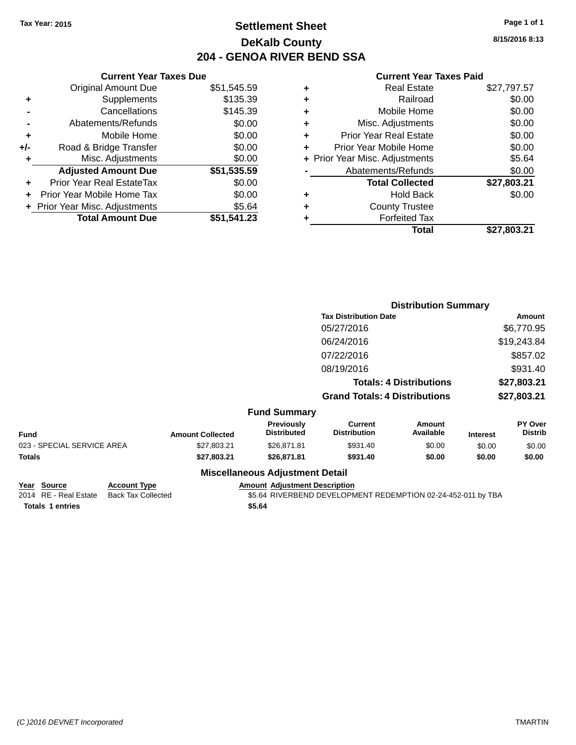### **Settlement Sheet Tax Year: 2015 Page 1 of 1 DeKalb County 204 - GENOA RIVER BEND SSA**

| <b>Current Year Taxes Due</b>  |             |  |  |  |  |  |
|--------------------------------|-------------|--|--|--|--|--|
| <b>Original Amount Due</b>     | \$51,545.59 |  |  |  |  |  |
| Supplements                    | \$135.39    |  |  |  |  |  |
| Cancellations                  | \$145.39    |  |  |  |  |  |
| Abatements/Refunds             | \$0.00      |  |  |  |  |  |
| Mobile Home                    | \$0.00      |  |  |  |  |  |
| Road & Bridge Transfer         | \$0.00      |  |  |  |  |  |
| Misc. Adjustments              | \$0.00      |  |  |  |  |  |
| <b>Adjusted Amount Due</b>     | \$51,535.59 |  |  |  |  |  |
| Prior Year Real EstateTax      | \$0.00      |  |  |  |  |  |
| Prior Year Mobile Home Tax     | \$0.00      |  |  |  |  |  |
| + Prior Year Misc. Adjustments | \$5.64      |  |  |  |  |  |
| <b>Total Amount Due</b>        | \$51,541.23 |  |  |  |  |  |
|                                |             |  |  |  |  |  |

|   | <b>Real Estate</b>             | \$27,797.57 |
|---|--------------------------------|-------------|
| ٠ | Railroad                       | \$0.00      |
| ٠ | Mobile Home                    | \$0.00      |
| ٠ | Misc. Adjustments              | \$0.00      |
| ٠ | <b>Prior Year Real Estate</b>  | \$0.00      |
| ٠ | Prior Year Mobile Home         | \$0.00      |
|   | + Prior Year Misc. Adjustments | \$5.64      |
|   | Abatements/Refunds             | \$0.00      |
|   | <b>Total Collected</b>         | \$27,803.21 |
| ٠ | <b>Hold Back</b>               | \$0.00      |
| ٠ | <b>County Trustee</b>          |             |
| ٠ | <b>Forfeited Tax</b>           |             |
|   | Total                          | \$27,803.21 |
|   |                                |             |

|                            | <b>Distribution Summary</b>          |                                  |                                       |                            |                 |                           |
|----------------------------|--------------------------------------|----------------------------------|---------------------------------------|----------------------------|-----------------|---------------------------|
|                            |                                      |                                  | <b>Tax Distribution Date</b>          |                            |                 | Amount                    |
|                            |                                      |                                  | 05/27/2016                            |                            |                 | \$6,770.95                |
|                            |                                      |                                  | 06/24/2016                            |                            |                 | \$19,243.84               |
|                            |                                      |                                  | 07/22/2016                            |                            |                 | \$857.02                  |
|                            |                                      |                                  | 08/19/2016                            |                            |                 | \$931.40                  |
|                            |                                      |                                  | <b>Totals: 4 Distributions</b>        |                            | \$27,803.21     |                           |
|                            | <b>Grand Totals: 4 Distributions</b> |                                  |                                       |                            | \$27,803.21     |                           |
|                            |                                      | <b>Fund Summary</b>              |                                       |                            |                 |                           |
| <b>Fund</b>                | <b>Amount Collected</b>              | Previously<br><b>Distributed</b> | <b>Current</b><br><b>Distribution</b> | <b>Amount</b><br>Available | <b>Interest</b> | PY Over<br><b>Distrib</b> |
| 023 - SPECIAL SERVICE AREA | \$27,803.21                          | \$26,871.81                      | \$931.40                              | \$0.00                     | \$0.00          | \$0.00                    |
| <b>Totals</b>              | \$27,803.21                          | \$26,871.81                      | \$931.40                              | \$0.00                     | \$0.00          | \$0.00                    |
|                            |                                      | Miccallangous Adiustmant Datail  |                                       |                            |                 |                           |

| Year Source             | <b>Account Type</b> | <b>Amount Adiustment Description</b>                         |
|-------------------------|---------------------|--------------------------------------------------------------|
| 2014 RE - Real Estate   | Back Tax Collected  | \$5.64 RIVERBEND DEVELOPMENT REDEMPTION 02-24-452-011 by TBA |
| <b>Totals 1 entries</b> |                     | \$5.64                                                       |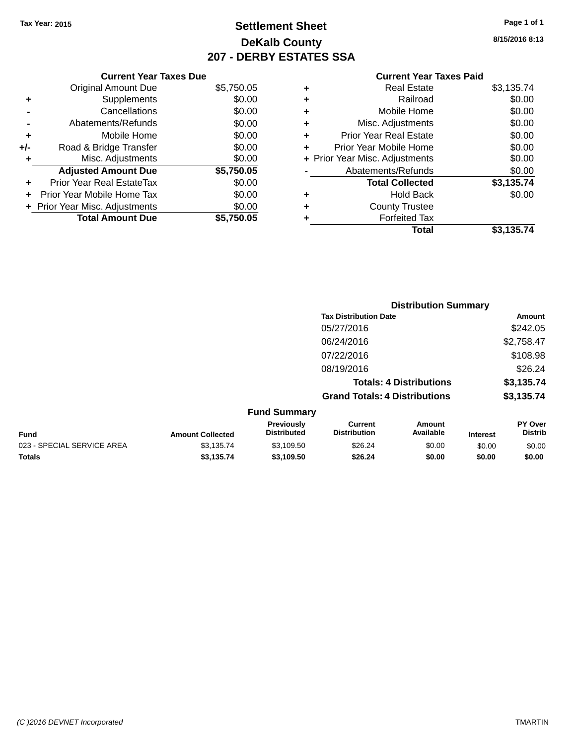### **Settlement Sheet Tax Year: 2015 Page 1 of 1 DeKalb County 207 - DERBY ESTATES SSA**

**8/15/2016 8:13**

|     | <b>Current Year Taxes Due</b>  |            |
|-----|--------------------------------|------------|
|     | <b>Original Amount Due</b>     | \$5,750.05 |
| ٠   | Supplements                    | \$0.00     |
|     | Cancellations                  | \$0.00     |
|     | Abatements/Refunds             | \$0.00     |
| ٠   | Mobile Home                    | \$0.00     |
| +/- | Road & Bridge Transfer         | \$0.00     |
| ٠   | Misc. Adjustments              | \$0.00     |
|     | <b>Adjusted Amount Due</b>     | \$5,750.05 |
| ÷   | Prior Year Real EstateTax      | \$0.00     |
|     | Prior Year Mobile Home Tax     | \$0.00     |
|     | + Prior Year Misc. Adjustments | \$0.00     |
|     | <b>Total Amount Due</b>        | \$5.750.05 |

| ٠ | <b>Real Estate</b>             | \$3,135.74 |
|---|--------------------------------|------------|
| ٠ | Railroad                       | \$0.00     |
| ٠ | Mobile Home                    | \$0.00     |
| ٠ | Misc. Adjustments              | \$0.00     |
| ٠ | <b>Prior Year Real Estate</b>  | \$0.00     |
| ÷ | Prior Year Mobile Home         | \$0.00     |
|   | + Prior Year Misc. Adjustments | \$0.00     |
|   | Abatements/Refunds             | \$0.00     |
|   | <b>Total Collected</b>         | \$3,135.74 |
| ٠ | <b>Hold Back</b>               | \$0.00     |
| ٠ | <b>County Trustee</b>          |            |
| ٠ | <b>Forfeited Tax</b>           |            |
|   | Total                          | \$3,135.74 |
|   |                                |            |

|                            |                         |                                  | <b>Distribution Summary</b>           |                                |                 |                           |
|----------------------------|-------------------------|----------------------------------|---------------------------------------|--------------------------------|-----------------|---------------------------|
|                            |                         |                                  | <b>Tax Distribution Date</b>          |                                |                 | Amount                    |
|                            |                         |                                  | 05/27/2016                            |                                |                 | \$242.05                  |
|                            |                         |                                  | 06/24/2016                            |                                |                 | \$2,758.47                |
|                            |                         |                                  | 07/22/2016                            |                                |                 | \$108.98                  |
|                            |                         |                                  | 08/19/2016                            |                                |                 | \$26.24                   |
|                            |                         |                                  |                                       | <b>Totals: 4 Distributions</b> |                 | \$3,135.74                |
|                            |                         |                                  | <b>Grand Totals: 4 Distributions</b>  |                                |                 | \$3,135.74                |
|                            |                         | <b>Fund Summary</b>              |                                       |                                |                 |                           |
| <b>Fund</b>                | <b>Amount Collected</b> | Previously<br><b>Distributed</b> | <b>Current</b><br><b>Distribution</b> | Amount<br>Available            | <b>Interest</b> | PY Over<br><b>Distrib</b> |
| 023 - SPECIAL SERVICE AREA | \$3,135.74              | \$3,109.50                       | \$26.24                               | \$0.00                         | \$0.00          | \$0.00                    |
| Totals                     | \$3,135.74              | \$3,109.50                       | \$26.24                               | \$0.00                         | \$0.00          | \$0.00                    |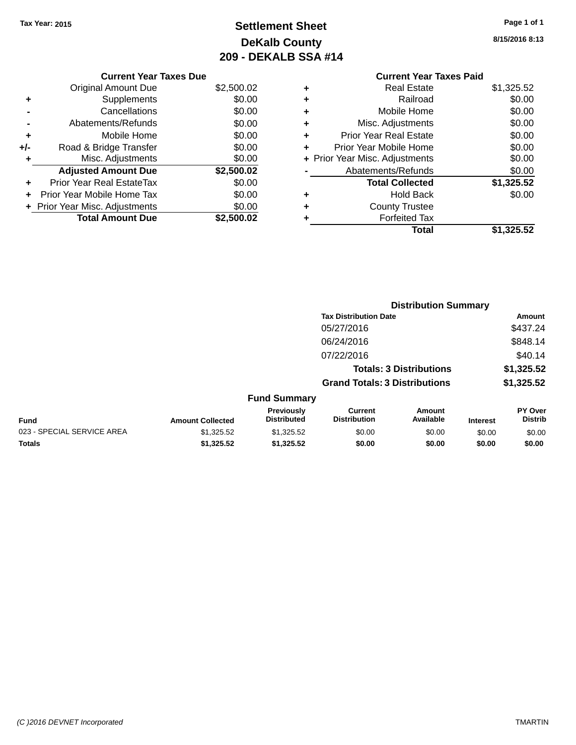### **Settlement Sheet Tax Year: 2015 Page 1 of 1 DeKalb County 209 - DEKALB SSA #14**

**8/15/2016 8:13**

#### **Current Year Taxes Due** Original Amount Due \$2,500.02 **+** Supplements \$0.00 **-** Cancellations \$0.00 **-** Abatements/Refunds \$0.00 **+** Mobile Home \$0.00 **+/-** Road & Bridge Transfer \$0.00

|   | $\cdots$                         |            |
|---|----------------------------------|------------|
| ٠ | Misc. Adjustments                | \$0.00     |
|   | <b>Adjusted Amount Due</b>       | \$2,500.02 |
| ٠ | <b>Prior Year Real EstateTax</b> | \$0.00     |
|   | + Prior Year Mobile Home Tax     | \$0.00     |
|   | + Prior Year Misc. Adjustments   | \$0.00     |
|   | <b>Total Amount Due</b>          | \$2,500.02 |
|   |                                  |            |

#### **Current Year Taxes Paid +** Real Estate \$1,325.52 **+** Railroad \$0.00 **+** Mobile Home \$0.00 **+** Misc. Adjustments \$0.00 **+** Prior Year Real Estate \$0.00 **+** Prior Year Mobile Home \$0.00<br> **+** Prior Year Misc. Adjustments \$0.00 **+ Prior Year Misc. Adjustments -** Abatements/Refunds **\$0.00**

|   | Total                  | \$1,325.52 |
|---|------------------------|------------|
| ٠ | <b>Forfeited Tax</b>   |            |
| ٠ | <b>County Trustee</b>  |            |
| ٠ | Hold Back              | \$0.00     |
|   | <b>Total Collected</b> | \$1,325.52 |
|   | AVAIGHIGHIS/INGIUHUS   | vv.vv      |

|                                  | <b>Distribution Summary</b>          |                                |  |                                  |
|----------------------------------|--------------------------------------|--------------------------------|--|----------------------------------|
|                                  | <b>Tax Distribution Date</b>         |                                |  | Amount                           |
|                                  | 05/27/2016                           |                                |  | \$437.24                         |
|                                  | 06/24/2016                           |                                |  | \$848.14                         |
|                                  | 07/22/2016                           |                                |  | \$40.14                          |
|                                  |                                      | <b>Totals: 3 Distributions</b> |  | \$1,325.52                       |
|                                  | <b>Grand Totals: 3 Distributions</b> |                                |  | \$1,325.52                       |
| <b>Fund Summary</b>              |                                      |                                |  |                                  |
| <b>Previously</b><br>Diotributed | Current<br>Diotribution              | Amount<br><b>Available</b>     |  | <b>PY Over</b><br><b>Diaseik</b> |

|                            |                         | Previouslv         | Current             | Amount           |                 | <b>PY Over</b> |
|----------------------------|-------------------------|--------------------|---------------------|------------------|-----------------|----------------|
| Fund                       | <b>Amount Collected</b> | <b>Distributed</b> | <b>Distribution</b> | <b>Available</b> | <b>Interest</b> | Distrib        |
| 023 - SPECIAL SERVICE AREA | \$1.325.52              | \$1.325.52         | \$0.00              | \$0.00           | \$0.00          | \$0.00         |
| <b>Totals</b>              | \$1.325.52              | \$1.325.52         | \$0.00              | \$0.00           | \$0.00          | \$0.00         |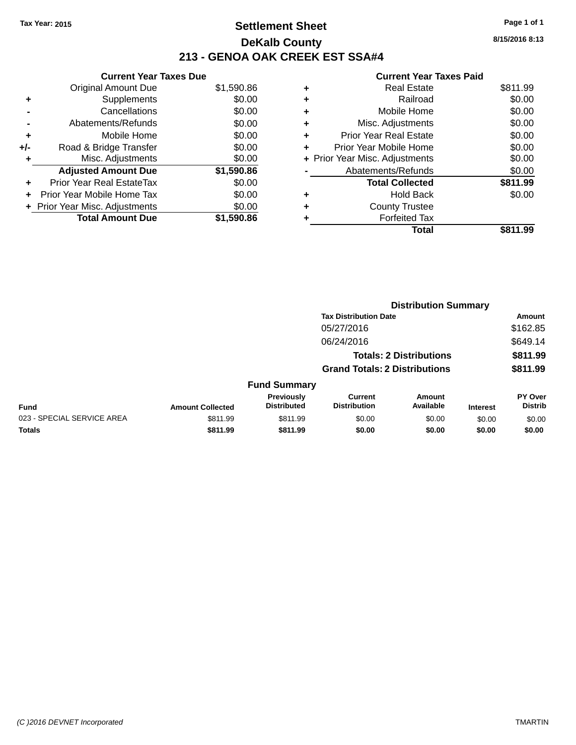### **Settlement Sheet Tax Year: 2015 Page 1 of 1 DeKalb County 213 - GENOA OAK CREEK EST SSA#4**

**8/15/2016 8:13**

|       | <b>Current Year Taxes Due</b>  |            |
|-------|--------------------------------|------------|
|       | Original Amount Due            | \$1,590.86 |
| ٠     | Supplements                    | \$0.00     |
|       | Cancellations                  | \$0.00     |
|       | Abatements/Refunds             | \$0.00     |
| ٠     | Mobile Home                    | \$0.00     |
| $+/-$ | Road & Bridge Transfer         | \$0.00     |
| ٠     | Misc. Adjustments              | \$0.00     |
|       | <b>Adjusted Amount Due</b>     | \$1,590.86 |
|       | Prior Year Real EstateTax      | \$0.00     |
|       | Prior Year Mobile Home Tax     | \$0.00     |
|       | + Prior Year Misc. Adjustments | \$0.00     |
|       | <b>Total Amount Due</b>        | \$1,590.86 |
|       |                                |            |

| ٠ | <b>Real Estate</b>             | \$811.99 |
|---|--------------------------------|----------|
| ٠ | Railroad                       | \$0.00   |
| ٠ | Mobile Home                    | \$0.00   |
| ٠ | Misc. Adjustments              | \$0.00   |
| ÷ | Prior Year Real Estate         | \$0.00   |
|   | Prior Year Mobile Home         | \$0.00   |
|   | + Prior Year Misc. Adjustments | \$0.00   |
|   | Abatements/Refunds             | \$0.00   |
|   | <b>Total Collected</b>         | \$811.99 |
| ٠ | Hold Back                      | \$0.00   |
| ٠ | <b>County Trustee</b>          |          |
|   | <b>Forfeited Tax</b>           |          |
|   | Total                          | \$811.99 |
|   |                                |          |

|                            |                         |                                  |                                       | <b>Distribution Summary</b>    |                 |                                  |
|----------------------------|-------------------------|----------------------------------|---------------------------------------|--------------------------------|-----------------|----------------------------------|
|                            |                         |                                  | <b>Tax Distribution Date</b>          |                                |                 | Amount                           |
|                            |                         |                                  | 05/27/2016                            |                                |                 | \$162.85                         |
|                            |                         |                                  | 06/24/2016                            |                                |                 | \$649.14                         |
|                            |                         |                                  |                                       | <b>Totals: 2 Distributions</b> |                 | \$811.99                         |
|                            |                         |                                  | <b>Grand Totals: 2 Distributions</b>  |                                |                 | \$811.99                         |
|                            |                         | <b>Fund Summary</b>              |                                       |                                |                 |                                  |
| <b>Fund</b>                | <b>Amount Collected</b> | Previously<br><b>Distributed</b> | <b>Current</b><br><b>Distribution</b> | <b>Amount</b><br>Available     | <b>Interest</b> | <b>PY Over</b><br><b>Distrib</b> |
| 023 - SPECIAL SERVICE AREA | \$811.99                | \$811.99                         | \$0.00                                | \$0.00                         | \$0.00          | \$0.00                           |
| <b>Totals</b>              | \$811.99                | \$811.99                         | \$0.00                                | \$0.00                         | \$0.00          | \$0.00                           |
|                            |                         |                                  |                                       |                                |                 |                                  |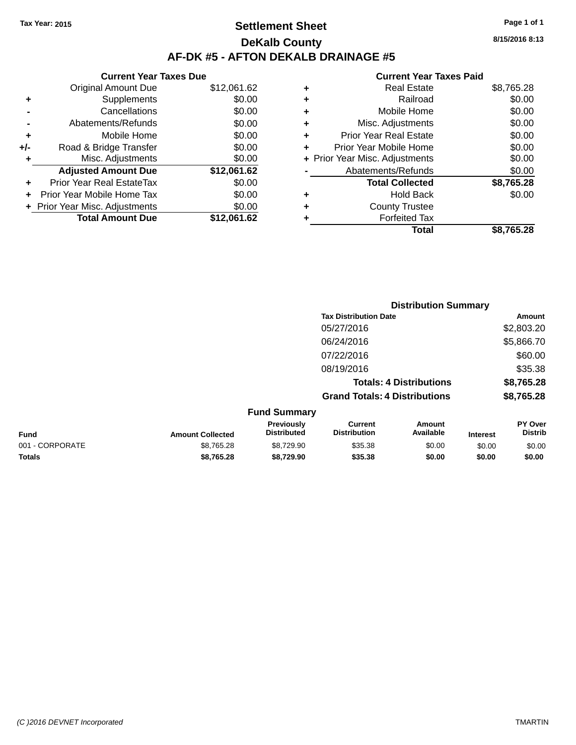### **Settlement Sheet Tax Year: 2015 Page 1 of 1 DeKalb County AF-DK #5 - AFTON DEKALB DRAINAGE #5**

| <b>Original Amount Due</b> | \$12,061.62                                                     |
|----------------------------|-----------------------------------------------------------------|
| Supplements                | \$0.00                                                          |
| Cancellations              | \$0.00                                                          |
| Abatements/Refunds         | \$0.00                                                          |
| Mobile Home                | \$0.00                                                          |
| Road & Bridge Transfer     | \$0.00                                                          |
| Misc. Adjustments          | \$0.00                                                          |
| <b>Adjusted Amount Due</b> | \$12,061.62                                                     |
| Prior Year Real EstateTax  | \$0.00                                                          |
| Prior Year Mobile Home Tax | \$0.00                                                          |
|                            | \$0.00                                                          |
| <b>Total Amount Due</b>    | \$12.061.62                                                     |
|                            | <b>Current Year Taxes Due</b><br>+ Prior Year Misc. Adjustments |

|   | Real Estate                    | \$8,765.28 |
|---|--------------------------------|------------|
| ٠ | Railroad                       | \$0.00     |
| ٠ | Mobile Home                    | \$0.00     |
| ٠ | Misc. Adjustments              | \$0.00     |
| ٠ | <b>Prior Year Real Estate</b>  | \$0.00     |
| ٠ | Prior Year Mobile Home         | \$0.00     |
|   | + Prior Year Misc. Adjustments | \$0.00     |
|   | Abatements/Refunds             | \$0.00     |
|   | <b>Total Collected</b>         | \$8,765.28 |
| ٠ | <b>Hold Back</b>               | \$0.00     |
| ٠ | <b>County Trustee</b>          |            |
| ٠ | <b>Forfeited Tax</b>           |            |
|   | Total                          | \$8,765.28 |
|   |                                |            |

|                 |                         |                                  | <b>Distribution Summary</b>           |                                |                 |                           |
|-----------------|-------------------------|----------------------------------|---------------------------------------|--------------------------------|-----------------|---------------------------|
|                 |                         |                                  | <b>Tax Distribution Date</b>          |                                |                 | <b>Amount</b>             |
|                 |                         |                                  | 05/27/2016                            |                                |                 | \$2,803.20                |
|                 |                         |                                  | 06/24/2016                            |                                |                 | \$5,866.70                |
|                 |                         |                                  | 07/22/2016                            |                                |                 | \$60.00                   |
|                 |                         |                                  | 08/19/2016                            |                                |                 | \$35.38                   |
|                 |                         |                                  |                                       | <b>Totals: 4 Distributions</b> |                 | \$8,765.28                |
|                 |                         |                                  | <b>Grand Totals: 4 Distributions</b>  |                                |                 | \$8,765.28                |
|                 |                         | <b>Fund Summary</b>              |                                       |                                |                 |                           |
| <b>Fund</b>     | <b>Amount Collected</b> | Previously<br><b>Distributed</b> | <b>Current</b><br><b>Distribution</b> | <b>Amount</b><br>Available     | <b>Interest</b> | PY Over<br><b>Distrib</b> |
| 001 - CORPORATE | \$8,765.28              | \$8,729.90                       | \$35.38                               | \$0.00                         | \$0.00          | \$0.00                    |
| <b>Totals</b>   | \$8,765.28              | \$8,729.90                       | \$35.38                               | \$0.00                         | \$0.00          | \$0.00                    |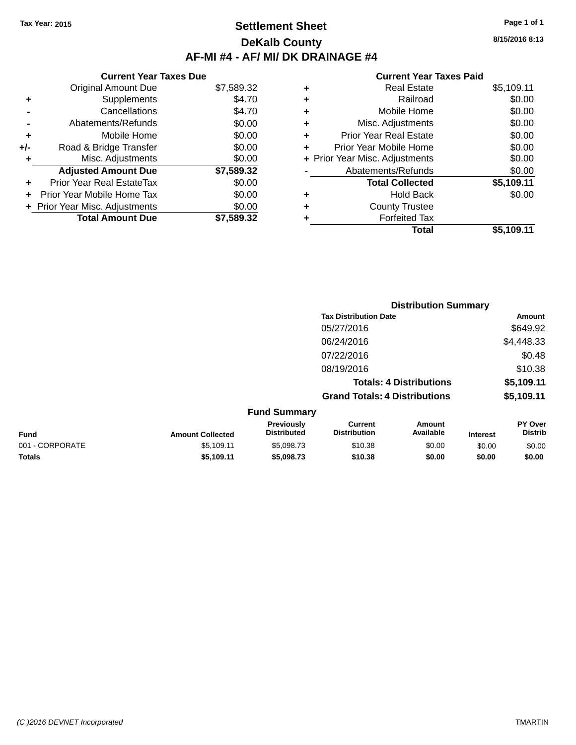### **Settlement Sheet Tax Year: 2015 Page 1 of 1 DeKalb County AF-MI #4 - AF/ MI/ DK DRAINAGE #4**

**Current Year Taxes Due** Original Amount Due \$7,589.32 **+** Supplements \$4.70 **-** Cancellations \$4.70 **-** Abatements/Refunds \$0.00 **+** Mobile Home \$0.00 **+/-** Road & Bridge Transfer \$0.00 **+** Misc. Adjustments \$0.00 **Adjusted Amount Due \$7,589.32 +** Prior Year Real EstateTax \$0.00 **+** Prior Year Mobile Home Tax \$0.00 **+ Prior Year Misc. Adjustments**  $$0.00$ **Total Amount Due \$7,589.32**

#### **Current Year Taxes Paid**

|   | <b>Real Estate</b>             | \$5,109.11 |
|---|--------------------------------|------------|
| ٠ | Railroad                       | \$0.00     |
| ٠ | Mobile Home                    | \$0.00     |
| ٠ | Misc. Adjustments              | \$0.00     |
| ٠ | <b>Prior Year Real Estate</b>  | \$0.00     |
|   | Prior Year Mobile Home         | \$0.00     |
|   | + Prior Year Misc. Adjustments | \$0.00     |
|   | Abatements/Refunds             | \$0.00     |
|   | <b>Total Collected</b>         | \$5,109.11 |
| ٠ | <b>Hold Back</b>               | \$0.00     |
|   | <b>County Trustee</b>          |            |
| ٠ | <b>Forfeited Tax</b>           |            |
|   | Total                          | \$5,109.11 |
|   |                                |            |

|                 |                         |                                  | <b>Distribution Summary</b>           |                                |                 |                                  |
|-----------------|-------------------------|----------------------------------|---------------------------------------|--------------------------------|-----------------|----------------------------------|
|                 |                         |                                  | <b>Tax Distribution Date</b>          |                                |                 | Amount                           |
|                 |                         |                                  | 05/27/2016                            |                                |                 | \$649.92                         |
|                 |                         |                                  | 06/24/2016                            |                                |                 | \$4,448.33                       |
|                 |                         |                                  | 07/22/2016                            |                                |                 | \$0.48                           |
|                 |                         |                                  | 08/19/2016                            |                                |                 | \$10.38                          |
|                 |                         |                                  |                                       | <b>Totals: 4 Distributions</b> |                 | \$5,109.11                       |
|                 |                         |                                  | <b>Grand Totals: 4 Distributions</b>  |                                |                 | \$5,109.11                       |
|                 |                         | <b>Fund Summary</b>              |                                       |                                |                 |                                  |
| <b>Fund</b>     | <b>Amount Collected</b> | Previously<br><b>Distributed</b> | <b>Current</b><br><b>Distribution</b> | Amount<br>Available            | <b>Interest</b> | <b>PY Over</b><br><b>Distrib</b> |
| 001 - CORPORATE | \$5,109.11              | \$5,098.73                       | \$10.38                               | \$0.00                         | \$0.00          | \$0.00                           |
| <b>Totals</b>   | \$5,109.11              | \$5,098.73                       | \$10.38                               | \$0.00                         | \$0.00          | \$0.00                           |

**8/15/2016 8:13**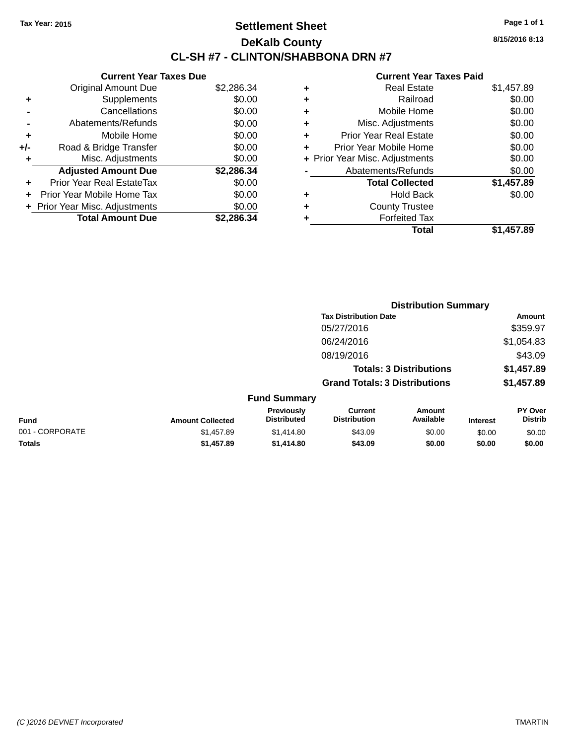### **Settlement Sheet Tax Year: 2015 Page 1 of 1 DeKalb County CL-SH #7 - CLINTON/SHABBONA DRN #7**

**8/15/2016 8:13**

|     | <b>Current Year Taxes Due</b>     |            |
|-----|-----------------------------------|------------|
|     | <b>Original Amount Due</b>        | \$2,286.34 |
| ٠   | Supplements                       | \$0.00     |
|     | Cancellations                     | \$0.00     |
|     | Abatements/Refunds                | \$0.00     |
| ٠   | Mobile Home                       | \$0.00     |
| +/- | Road & Bridge Transfer            | \$0.00     |
| ٠   | Misc. Adjustments                 | \$0.00     |
|     | <b>Adjusted Amount Due</b>        | \$2,286.34 |
| ÷   | Prior Year Real EstateTax         | \$0.00     |
| ÷   | <b>Prior Year Mobile Home Tax</b> | \$0.00     |
|     | + Prior Year Misc. Adjustments    | \$0.00     |
|     | <b>Total Amount Due</b>           | \$2.286.34 |

|   | <b>Real Estate</b>             | \$1,457.89 |
|---|--------------------------------|------------|
| ٠ | Railroad                       | \$0.00     |
| ٠ | Mobile Home                    | \$0.00     |
| ٠ | Misc. Adjustments              | \$0.00     |
| ÷ | <b>Prior Year Real Estate</b>  | \$0.00     |
| ÷ | Prior Year Mobile Home         | \$0.00     |
|   | + Prior Year Misc. Adjustments | \$0.00     |
|   | Abatements/Refunds             | \$0.00     |
|   | <b>Total Collected</b>         | \$1,457.89 |
| ٠ | <b>Hold Back</b>               | \$0.00     |
|   | <b>County Trustee</b>          |            |
| ٠ | <b>Forfeited Tax</b>           |            |
|   | Total                          | \$1,457.89 |
|   |                                |            |

|                 |                         |                                  | <b>Distribution Summary</b>           |                                |                 |                           |
|-----------------|-------------------------|----------------------------------|---------------------------------------|--------------------------------|-----------------|---------------------------|
|                 |                         |                                  | <b>Tax Distribution Date</b>          |                                |                 | Amount                    |
|                 |                         |                                  | 05/27/2016                            |                                |                 | \$359.97                  |
|                 |                         |                                  | 06/24/2016                            |                                |                 | \$1,054.83                |
|                 |                         |                                  | 08/19/2016                            |                                |                 | \$43.09                   |
|                 |                         |                                  |                                       | <b>Totals: 3 Distributions</b> |                 | \$1,457.89                |
|                 |                         |                                  | <b>Grand Totals: 3 Distributions</b>  |                                |                 | \$1,457.89                |
|                 |                         | <b>Fund Summary</b>              |                                       |                                |                 |                           |
| Fund            | <b>Amount Collected</b> | Previously<br><b>Distributed</b> | <b>Current</b><br><b>Distribution</b> | Amount<br>Available            | <b>Interest</b> | PY Over<br><b>Distrib</b> |
| 001 - CORPORATE | \$1,457.89              | \$1,414.80                       | \$43.09                               | \$0.00                         | \$0.00          | \$0.00                    |
| <b>Totals</b>   | \$1,457.89              | \$1,414.80                       | \$43.09                               | \$0.00                         | \$0.00          | \$0.00                    |
|                 |                         |                                  |                                       |                                |                 |                           |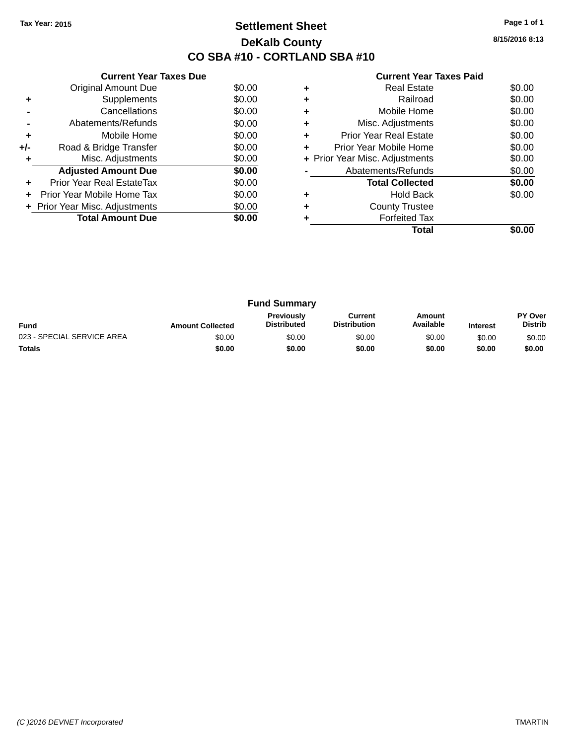### **Settlement Sheet Tax Year: 2015 Page 1 of 1 DeKalb County CO SBA #10 - CORTLAND SBA #10**

**8/15/2016 8:13**

|     | <b>Current Year Taxes Due</b>  |        |
|-----|--------------------------------|--------|
|     | <b>Original Amount Due</b>     | \$0.00 |
| ٠   | Supplements                    | \$0.00 |
|     | Cancellations                  | \$0.00 |
|     | Abatements/Refunds             | \$0.00 |
| ٠   | Mobile Home                    | \$0.00 |
| +/- | Road & Bridge Transfer         | \$0.00 |
| ٠   | Misc. Adjustments              | \$0.00 |
|     | <b>Adjusted Amount Due</b>     | \$0.00 |
| ÷   | Prior Year Real EstateTax      | \$0.00 |
|     | Prior Year Mobile Home Tax     | \$0.00 |
|     | + Prior Year Misc. Adjustments | \$0.00 |
|     | <b>Total Amount Due</b>        | \$0.00 |
|     |                                |        |

|   | <b>Real Estate</b>             | \$0.00 |
|---|--------------------------------|--------|
|   | Railroad                       | \$0.00 |
| ٠ | Mobile Home                    | \$0.00 |
| ٠ | Misc. Adjustments              | \$0.00 |
| ٠ | Prior Year Real Estate         | \$0.00 |
|   | Prior Year Mobile Home         | \$0.00 |
|   | + Prior Year Misc. Adjustments | \$0.00 |
|   | Abatements/Refunds             | \$0.00 |
|   | <b>Total Collected</b>         | \$0.00 |
|   | <b>Hold Back</b>               | \$0.00 |
| ٠ | <b>County Trustee</b>          |        |
|   | <b>Forfeited Tax</b>           |        |
|   | Total                          |        |

| <b>Fund Summary</b>        |                         |                                         |                                |                     |                 |                           |
|----------------------------|-------------------------|-----------------------------------------|--------------------------------|---------------------|-----------------|---------------------------|
| <b>Fund</b>                | <b>Amount Collected</b> | <b>Previously</b><br><b>Distributed</b> | Current<br><b>Distribution</b> | Amount<br>Available | <b>Interest</b> | PY Over<br><b>Distrib</b> |
| 023 - SPECIAL SERVICE AREA | \$0.00                  | \$0.00                                  | \$0.00                         | \$0.00              | \$0.00          | \$0.00                    |
| <b>Totals</b>              | \$0.00                  | \$0.00                                  | \$0.00                         | \$0.00              | \$0.00          | \$0.00                    |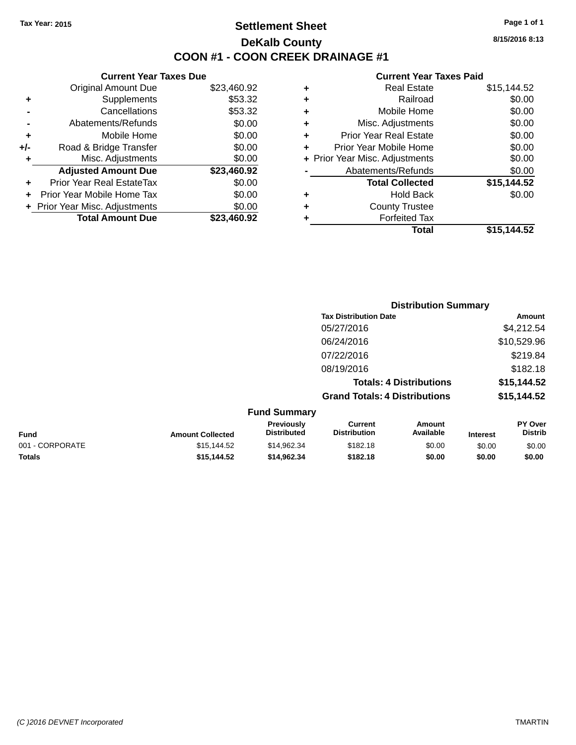### **Settlement Sheet Tax Year: 2015 Page 1 of 1 DeKalb County COON #1 - COON CREEK DRAINAGE #1**

**8/15/2016 8:13**

| <b>Original Amount Due</b>   | \$23,460.92                   |
|------------------------------|-------------------------------|
| Supplements                  | \$53.32                       |
| Cancellations                | \$53.32                       |
| Abatements/Refunds           | \$0.00                        |
| Mobile Home                  | \$0.00                        |
| Road & Bridge Transfer       | \$0.00                        |
| Misc. Adjustments            | \$0.00                        |
| <b>Adjusted Amount Due</b>   | \$23,460.92                   |
| Prior Year Real EstateTax    | \$0.00                        |
| Prior Year Mobile Home Tax   | \$0.00                        |
| Prior Year Misc. Adjustments | \$0.00                        |
| <b>Total Amount Due</b>      | \$23.460.92                   |
|                              | <b>Current Year Taxes Due</b> |

| ٠ | <b>Real Estate</b>             | \$15,144.52 |
|---|--------------------------------|-------------|
| ٠ | Railroad                       | \$0.00      |
| ٠ | Mobile Home                    | \$0.00      |
| ٠ | Misc. Adjustments              | \$0.00      |
| ٠ | <b>Prior Year Real Estate</b>  | \$0.00      |
| ٠ | Prior Year Mobile Home         | \$0.00      |
|   | + Prior Year Misc. Adjustments | \$0.00      |
|   | Abatements/Refunds             | \$0.00      |
|   | <b>Total Collected</b>         | \$15,144.52 |
| ٠ | <b>Hold Back</b>               | \$0.00      |
| ٠ | <b>County Trustee</b>          |             |
| ٠ | <b>Forfeited Tax</b>           |             |
|   | Total                          | \$15,144.52 |
|   |                                |             |

|                                       | <b>Distribution Summary</b>          |                                |                           |  |
|---------------------------------------|--------------------------------------|--------------------------------|---------------------------|--|
|                                       | <b>Tax Distribution Date</b>         |                                | Amount                    |  |
|                                       | 05/27/2016                           |                                | \$4,212.54                |  |
|                                       | 06/24/2016                           |                                | \$10,529.96               |  |
|                                       | 07/22/2016                           |                                | \$219.84                  |  |
|                                       | 08/19/2016                           |                                | \$182.18                  |  |
|                                       |                                      | <b>Totals: 4 Distributions</b> | \$15,144.52               |  |
|                                       | <b>Grand Totals: 4 Distributions</b> |                                | \$15,144.52               |  |
| <b>Fund Summary</b>                   |                                      |                                |                           |  |
| <b>Previously</b><br>Diotributed<br>. | Current<br>Diotribution              | Amount<br>A                    | <b>PY Over</b><br>Diotrib |  |

| Fund            | <b>Amount Collected</b> | <b>Previously</b><br><b>Distributed</b> | Current<br><b>Distribution</b> | Amount<br>Available | <b>Interest</b> | <b>PY Over</b><br>Distrib |
|-----------------|-------------------------|-----------------------------------------|--------------------------------|---------------------|-----------------|---------------------------|
| 001 - CORPORATE | \$15.144.52             | \$14.962.34                             | \$182.18                       | \$0.00              | \$0.00          | \$0.00                    |
| <b>Totals</b>   | \$15,144.52             | \$14.962.34                             | \$182.18                       | \$0.00              | \$0.00          | \$0.00                    |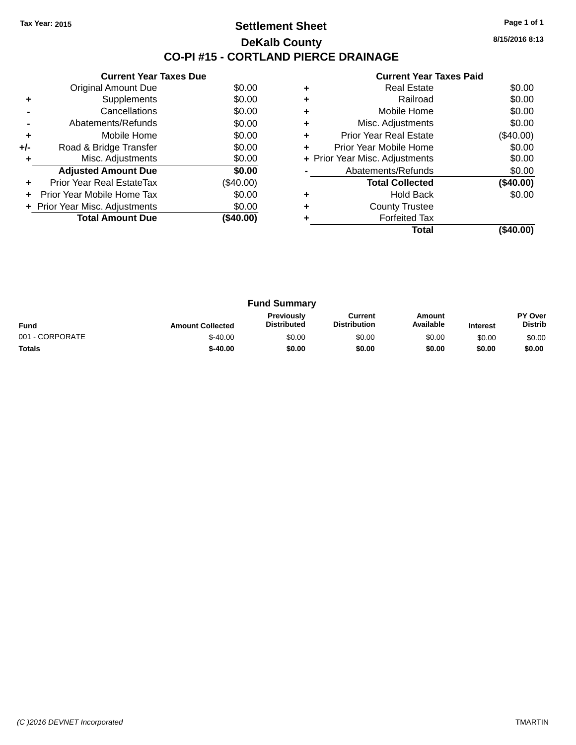#### **Settlement Sheet Tax Year: 2015 Page 1 of 1 DeKalb County CO-PI #15 - CORTLAND PIERCE DRAINAGE**

**8/15/2016 8:13**

|    | <b>Current Year Taxes Paid</b> |           |
|----|--------------------------------|-----------|
| ٠  | <b>Real Estate</b>             | \$0.00    |
| ÷. | Railroad                       | \$0.00    |
| ÷  | Mobile Home                    | \$0.00    |
| ٠  | Misc. Adjustments              | \$0.00    |
|    | Prior Year Real Estate         | (\$40.00) |

|     | <b>Original Amount Due</b>     | \$0.00      |
|-----|--------------------------------|-------------|
| ٠   | Supplements                    | \$0.00      |
|     | Cancellations                  | \$0.00      |
|     | Abatements/Refunds             | \$0.00      |
| ٠   | Mobile Home                    | \$0.00      |
| +/- | Road & Bridge Transfer         | \$0.00      |
| ٠   | Misc. Adjustments              | \$0.00      |
|     | <b>Adjusted Amount Due</b>     | \$0.00      |
|     | Prior Year Real EstateTax      | $(\$40.00)$ |
| ÷   | Prior Year Mobile Home Tax     | \$0.00      |
|     | + Prior Year Misc. Adjustments | \$0.00      |
|     | <b>Total Amount Due</b>        | (\$40.00)   |
|     |                                |             |

**Current Year Taxes Due**

|   | <b>Real Estate</b>             | \$0.00      |
|---|--------------------------------|-------------|
| ٠ | Railroad                       | \$0.00      |
| ٠ | Mobile Home                    | \$0.00      |
| ٠ | Misc. Adjustments              | \$0.00      |
| ٠ | <b>Prior Year Real Estate</b>  | $(\$40.00)$ |
| ٠ | Prior Year Mobile Home         | \$0.00      |
|   | + Prior Year Misc. Adjustments | \$0.00      |
|   | Abatements/Refunds             | \$0.00      |
|   | <b>Total Collected</b>         | (\$40.00)   |
| ٠ | <b>Hold Back</b>               | \$0.00      |
| ٠ | <b>County Trustee</b>          |             |
|   | <b>Forfeited Tax</b>           |             |
|   | Total                          |             |

| <b>Fund Summary</b> |                         |                                         |                                |                     |                 |                           |
|---------------------|-------------------------|-----------------------------------------|--------------------------------|---------------------|-----------------|---------------------------|
| <b>Fund</b>         | <b>Amount Collected</b> | <b>Previously</b><br><b>Distributed</b> | Current<br><b>Distribution</b> | Amount<br>Available | <b>Interest</b> | PY Over<br><b>Distrib</b> |
| 001 - CORPORATE     | $$-40.00$               | \$0.00                                  | \$0.00                         | \$0.00              | \$0.00          | \$0.00                    |
| <b>Totals</b>       | $$-40.00$               | \$0.00                                  | \$0.00                         | \$0.00              | \$0.00          | \$0.00                    |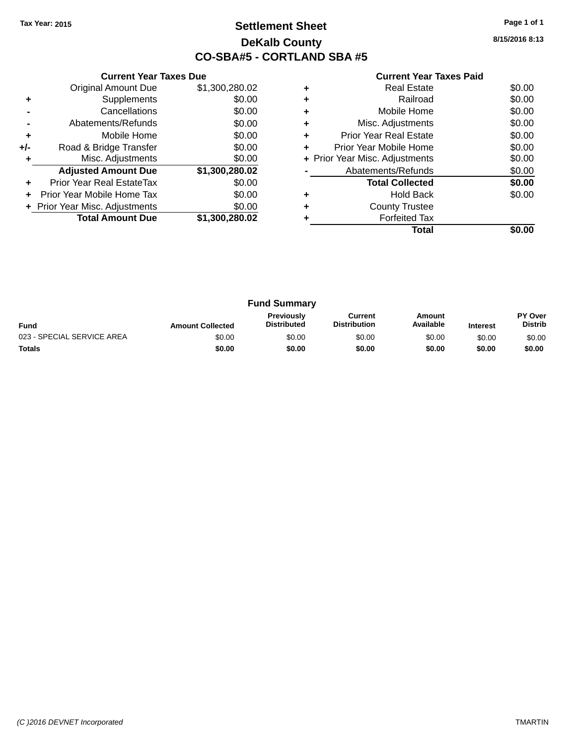### **Settlement Sheet Tax Year: 2015 Page 1 of 1 DeKalb County CO-SBA#5 - CORTLAND SBA #5**

**8/15/2016 8:13**

|     | <b>Current Year Taxes Due</b>  |                |  |  |
|-----|--------------------------------|----------------|--|--|
|     | <b>Original Amount Due</b>     | \$1,300,280.02 |  |  |
| ٠   | Supplements                    | \$0.00         |  |  |
|     | Cancellations                  | \$0.00         |  |  |
|     | Abatements/Refunds             | \$0.00         |  |  |
| ٠   | Mobile Home                    | \$0.00         |  |  |
| +/- | Road & Bridge Transfer         | \$0.00         |  |  |
| ٠   | Misc. Adjustments              | \$0.00         |  |  |
|     | <b>Adjusted Amount Due</b>     | \$1,300,280.02 |  |  |
| ٠   | Prior Year Real EstateTax      | \$0.00         |  |  |
| ÷   | Prior Year Mobile Home Tax     | \$0.00         |  |  |
|     | + Prior Year Misc. Adjustments | \$0.00         |  |  |
|     | <b>Total Amount Due</b>        | \$1,300,280.02 |  |  |
|     |                                |                |  |  |

|   | Total                          |        |
|---|--------------------------------|--------|
|   | <b>Forfeited Tax</b>           |        |
|   | <b>County Trustee</b>          |        |
| ٠ | <b>Hold Back</b>               | \$0.00 |
|   | <b>Total Collected</b>         | \$0.00 |
|   | Abatements/Refunds             | \$0.00 |
|   | + Prior Year Misc. Adjustments | \$0.00 |
| ٠ | Prior Year Mobile Home         | \$0.00 |
| ٠ | <b>Prior Year Real Estate</b>  | \$0.00 |
| ٠ | Misc. Adjustments              | \$0.00 |
| ٠ | Mobile Home                    | \$0.00 |
| ٠ | Railroad                       | \$0.00 |
|   | <b>Real Estate</b>             | \$0.00 |

| <b>Fund Summary</b>        |                         |                                         |                                |                     |                 |                                  |
|----------------------------|-------------------------|-----------------------------------------|--------------------------------|---------------------|-----------------|----------------------------------|
| <b>Fund</b>                | <b>Amount Collected</b> | <b>Previously</b><br><b>Distributed</b> | Current<br><b>Distribution</b> | Amount<br>Available | <b>Interest</b> | <b>PY Over</b><br><b>Distrib</b> |
| 023 - SPECIAL SERVICE AREA | \$0.00                  | \$0.00                                  | \$0.00                         | \$0.00              | \$0.00          | \$0.00                           |
| <b>Totals</b>              | \$0.00                  | \$0.00                                  | \$0.00                         | \$0.00              | \$0.00          | \$0.00                           |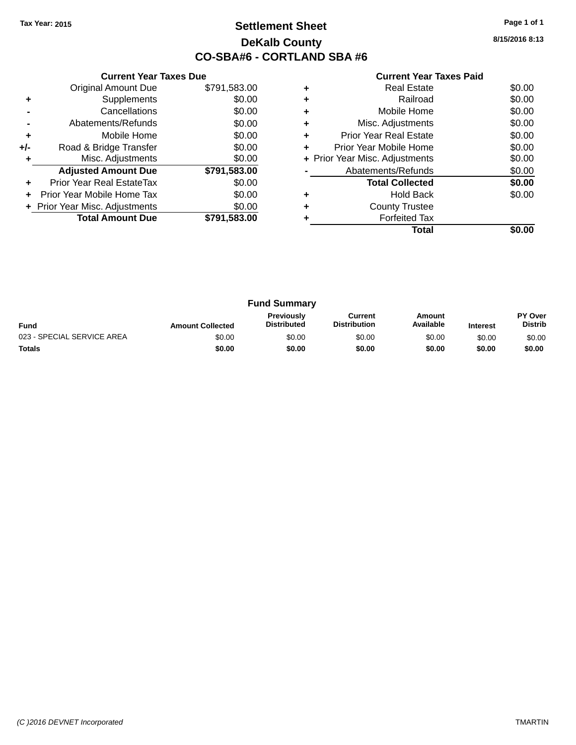### **Settlement Sheet Tax Year: 2015 Page 1 of 1 DeKalb County CO-SBA#6 - CORTLAND SBA #6**

**8/15/2016 8:13**

|     | <b>Current Year Taxes Due</b>  |              |  |  |
|-----|--------------------------------|--------------|--|--|
|     | <b>Original Amount Due</b>     | \$791,583.00 |  |  |
| ٠   | Supplements                    | \$0.00       |  |  |
|     | Cancellations                  | \$0.00       |  |  |
|     | Abatements/Refunds             | \$0.00       |  |  |
| ÷   | \$0.00<br>Mobile Home          |              |  |  |
| +/- | Road & Bridge Transfer         | \$0.00       |  |  |
|     | Misc. Adjustments              | \$0.00       |  |  |
|     | <b>Adjusted Amount Due</b>     | \$791,583.00 |  |  |
|     | Prior Year Real EstateTax      | \$0.00       |  |  |
|     | Prior Year Mobile Home Tax     | \$0.00       |  |  |
|     | + Prior Year Misc. Adjustments | \$0.00       |  |  |
|     | <b>Total Amount Due</b>        | \$791,583.00 |  |  |
|     |                                |              |  |  |

|   | <b>Real Estate</b>             | \$0.00 |
|---|--------------------------------|--------|
| ٠ | Railroad                       | \$0.00 |
| ٠ | Mobile Home                    | \$0.00 |
| ٠ | Misc. Adjustments              | \$0.00 |
| ٠ | Prior Year Real Estate         | \$0.00 |
|   | Prior Year Mobile Home         | \$0.00 |
|   | + Prior Year Misc. Adjustments | \$0.00 |
|   | Abatements/Refunds             | \$0.00 |
|   | <b>Total Collected</b>         | \$0.00 |
|   | <b>Hold Back</b>               | \$0.00 |
|   | <b>County Trustee</b>          |        |
|   | <b>Forfeited Tax</b>           |        |
|   | Total                          |        |

| <b>Fund Summary</b>        |                         |                                  |                                |                     |                 |                                  |
|----------------------------|-------------------------|----------------------------------|--------------------------------|---------------------|-----------------|----------------------------------|
| <b>Fund</b>                | <b>Amount Collected</b> | Previously<br><b>Distributed</b> | Current<br><b>Distribution</b> | Amount<br>Available | <b>Interest</b> | <b>PY Over</b><br><b>Distrib</b> |
| 023 - SPECIAL SERVICE AREA | \$0.00                  | \$0.00                           | \$0.00                         | \$0.00              | \$0.00          | \$0.00                           |
| <b>Totals</b>              | \$0.00                  | \$0.00                           | \$0.00                         | \$0.00              | \$0.00          | \$0.00                           |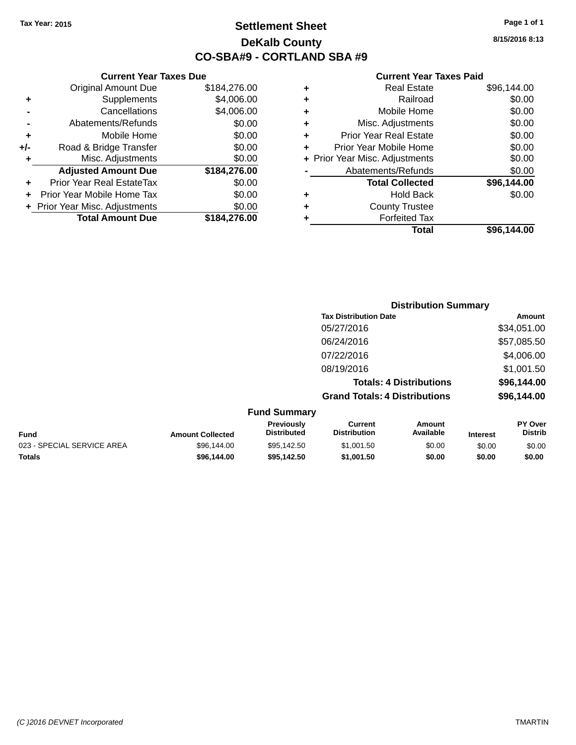### **Settlement Sheet Tax Year: 2015 Page 1 of 1 DeKalb County CO-SBA#9 - CORTLAND SBA #9**

**8/15/2016 8:13**

#### **Current Year Taxes Paid**

| ٠ | <b>Real Estate</b>             | \$96,144.00 |
|---|--------------------------------|-------------|
| ٠ | Railroad                       | \$0.00      |
| ٠ | Mobile Home                    | \$0.00      |
| ٠ | Misc. Adjustments              | \$0.00      |
| ٠ | <b>Prior Year Real Estate</b>  | \$0.00      |
|   | Prior Year Mobile Home         | \$0.00      |
|   | + Prior Year Misc. Adjustments | \$0.00      |
|   | Abatements/Refunds             | \$0.00      |
|   | <b>Total Collected</b>         | \$96,144.00 |
| ٠ | <b>Hold Back</b>               | \$0.00      |
| ٠ | <b>County Trustee</b>          |             |
|   | <b>Forfeited Tax</b>           |             |
|   | Total                          | \$96,144.00 |
|   |                                |             |

|                            |                         |                                         | <b>Distribution Summary</b>           |                                |                 |                           |
|----------------------------|-------------------------|-----------------------------------------|---------------------------------------|--------------------------------|-----------------|---------------------------|
|                            |                         |                                         | <b>Tax Distribution Date</b>          |                                |                 | <b>Amount</b>             |
|                            |                         |                                         | 05/27/2016                            |                                |                 | \$34,051.00               |
|                            |                         |                                         | 06/24/2016                            |                                |                 | \$57,085.50               |
|                            |                         |                                         | 07/22/2016                            |                                |                 | \$4,006.00                |
|                            |                         |                                         | 08/19/2016                            |                                |                 | \$1,001.50                |
|                            |                         |                                         |                                       | <b>Totals: 4 Distributions</b> |                 | \$96,144.00               |
|                            |                         |                                         | <b>Grand Totals: 4 Distributions</b>  |                                |                 | \$96,144.00               |
|                            |                         | <b>Fund Summary</b>                     |                                       |                                |                 |                           |
| <b>Fund</b>                | <b>Amount Collected</b> | <b>Previously</b><br><b>Distributed</b> | <b>Current</b><br><b>Distribution</b> | Amount<br>Available            | <b>Interest</b> | PY Over<br><b>Distrib</b> |
| 023 - SPECIAL SERVICE AREA | \$96,144.00             | \$95,142.50                             | \$1,001.50                            | \$0.00                         | \$0.00          | \$0.00                    |
| <b>Totals</b>              | \$96,144.00             | \$95,142.50                             | \$1,001.50                            | \$0.00                         | \$0.00          | \$0.00                    |

|     | <b>Current Year Taxes Due</b>    |              |  |  |  |
|-----|----------------------------------|--------------|--|--|--|
|     | <b>Original Amount Due</b>       | \$184,276.00 |  |  |  |
| ٠   | Supplements                      | \$4,006.00   |  |  |  |
|     | Cancellations                    | \$4,006.00   |  |  |  |
|     | Abatements/Refunds               | \$0.00       |  |  |  |
| ٠   | Mobile Home                      | \$0.00       |  |  |  |
| +/- | Road & Bridge Transfer           | \$0.00       |  |  |  |
|     | Misc. Adjustments                | \$0.00       |  |  |  |
|     | <b>Adjusted Amount Due</b>       | \$184,276.00 |  |  |  |
|     | <b>Prior Year Real EstateTax</b> | \$0.00       |  |  |  |
|     | Prior Year Mobile Home Tax       | \$0.00       |  |  |  |
|     | + Prior Year Misc. Adjustments   | \$0.00       |  |  |  |
|     | <b>Total Amount Due</b>          | \$184.276.00 |  |  |  |

*(C )2016 DEVNET Incorporated* TMARTIN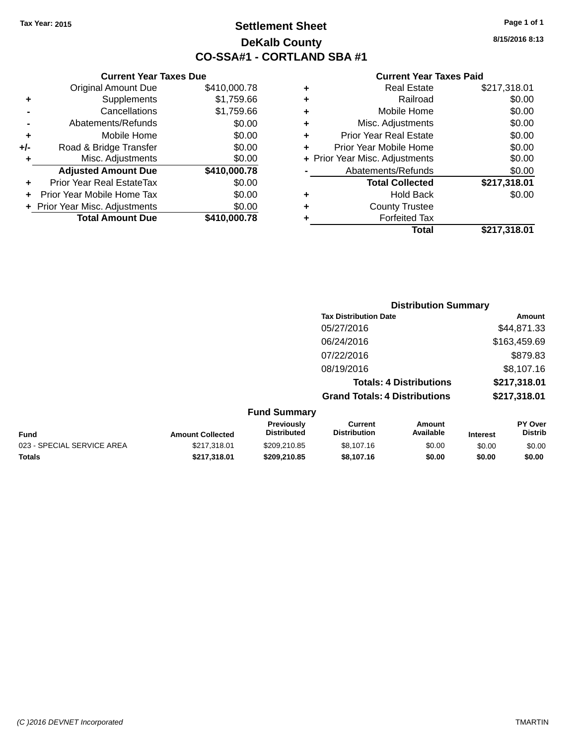### **Settlement Sheet Tax Year: 2015 Page 1 of 1 DeKalb County CO-SSA#1 - CORTLAND SBA #1**

**8/15/2016 8:13**

|     | <b>Current Year Taxes Due</b>  |              |  |  |  |  |  |
|-----|--------------------------------|--------------|--|--|--|--|--|
|     | <b>Original Amount Due</b>     | \$410,000.78 |  |  |  |  |  |
| ٠   | Supplements                    | \$1,759.66   |  |  |  |  |  |
|     | Cancellations                  | \$1,759.66   |  |  |  |  |  |
|     | Abatements/Refunds             | \$0.00       |  |  |  |  |  |
| ٠   | Mobile Home                    | \$0.00       |  |  |  |  |  |
| +/- | Road & Bridge Transfer         | \$0.00       |  |  |  |  |  |
| ٠   | Misc. Adjustments              | \$0.00       |  |  |  |  |  |
|     | <b>Adjusted Amount Due</b>     | \$410,000.78 |  |  |  |  |  |
| ٠   | Prior Year Real EstateTax      | \$0.00       |  |  |  |  |  |
|     | Prior Year Mobile Home Tax     | \$0.00       |  |  |  |  |  |
|     | + Prior Year Misc. Adjustments | \$0.00       |  |  |  |  |  |
|     | <b>Total Amount Due</b>        | \$410,000.78 |  |  |  |  |  |
|     |                                |              |  |  |  |  |  |

|   | <b>Real Estate</b>             | \$217,318.01 |
|---|--------------------------------|--------------|
| ٠ | Railroad                       | \$0.00       |
| ٠ | Mobile Home                    | \$0.00       |
| ٠ | Misc. Adjustments              | \$0.00       |
| ٠ | <b>Prior Year Real Estate</b>  | \$0.00       |
| ÷ | Prior Year Mobile Home         | \$0.00       |
|   | + Prior Year Misc. Adjustments | \$0.00       |
|   | Abatements/Refunds             | \$0.00       |
|   | <b>Total Collected</b>         | \$217,318.01 |
| ٠ | <b>Hold Back</b>               | \$0.00       |
| ٠ | <b>County Trustee</b>          |              |
| ٠ | <b>Forfeited Tax</b>           |              |
|   | Total                          | \$217,318.01 |
|   |                                |              |

|                     | <b>Distribution Summary</b>          |              |
|---------------------|--------------------------------------|--------------|
|                     | <b>Tax Distribution Date</b>         | Amount       |
|                     | 05/27/2016                           | \$44,871.33  |
|                     | 06/24/2016                           | \$163,459.69 |
|                     | 07/22/2016                           | \$879.83     |
|                     | 08/19/2016                           | \$8,107.16   |
|                     | <b>Totals: 4 Distributions</b>       | \$217,318.01 |
|                     | <b>Grand Totals: 4 Distributions</b> | \$217,318.01 |
| <b>Fund Summary</b> |                                      |              |

| Fund                       | <b>Amount Collected</b> | <b>Previously</b><br>Distributed | Current<br><b>Distribution</b> | Amount<br>Available | <b>Interest</b> | <b>PY Over</b><br>Distrib |
|----------------------------|-------------------------|----------------------------------|--------------------------------|---------------------|-----------------|---------------------------|
| 023 - SPECIAL SERVICE AREA | \$217.318.01            | \$209.210.85                     | \$8,107.16                     | \$0.00              | \$0.00          | \$0.00                    |
| Totals                     | \$217.318.01            | \$209,210.85                     | \$8,107.16                     | \$0.00              | \$0.00          | \$0.00                    |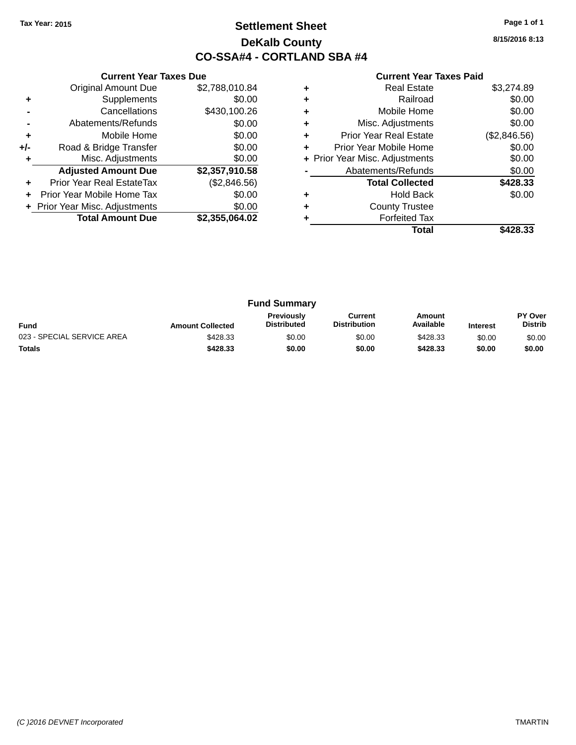### **Settlement Sheet Tax Year: 2015 Page 1 of 1 DeKalb County CO-SSA#4 - CORTLAND SBA #4**

**8/15/2016 8:13**

|     | <b>Current Year Taxes Due</b>  |                |
|-----|--------------------------------|----------------|
|     | <b>Original Amount Due</b>     | \$2,788,010.84 |
| ٠   | Supplements                    | \$0.00         |
|     | Cancellations                  | \$430,100.26   |
|     | Abatements/Refunds             | \$0.00         |
| ÷   | Mobile Home                    | \$0.00         |
| +/- | Road & Bridge Transfer         | \$0.00         |
| ٠   | Misc. Adjustments              | \$0.00         |
|     | <b>Adjusted Amount Due</b>     | \$2,357,910.58 |
| ÷   | Prior Year Real EstateTax      | (\$2,846.56)   |
| ÷   | Prior Year Mobile Home Tax     | \$0.00         |
|     | + Prior Year Misc. Adjustments | \$0.00         |
|     | <b>Total Amount Due</b>        | \$2.355.064.02 |
|     |                                |                |

| ٠ | <b>Real Estate</b>             | \$3.274.89   |
|---|--------------------------------|--------------|
|   | Railroad                       | \$0.00       |
| ٠ | Mobile Home                    | \$0.00       |
| ٠ | Misc. Adjustments              | \$0.00       |
| ٠ | <b>Prior Year Real Estate</b>  | (\$2,846.56) |
| ٠ | Prior Year Mobile Home         | \$0.00       |
|   | + Prior Year Misc. Adjustments | \$0.00       |
|   | Abatements/Refunds             | \$0.00       |
|   | <b>Total Collected</b>         | \$428.33     |
| ٠ | <b>Hold Back</b>               | \$0.00       |
| ٠ | <b>County Trustee</b>          |              |
|   | <b>Forfeited Tax</b>           |              |
|   | Total                          | \$428.33     |

| <b>Fund Summary</b>        |                         |                                         |                                |                     |                 |                           |
|----------------------------|-------------------------|-----------------------------------------|--------------------------------|---------------------|-----------------|---------------------------|
| <b>Fund</b>                | <b>Amount Collected</b> | <b>Previously</b><br><b>Distributed</b> | Current<br><b>Distribution</b> | Amount<br>Available | <b>Interest</b> | PY Over<br><b>Distrib</b> |
| 023 - SPECIAL SERVICE AREA | \$428.33                | \$0.00                                  | \$0.00                         | \$428.33            | \$0.00          | \$0.00                    |
| <b>Totals</b>              | \$428.33                | \$0.00                                  | \$0.00                         | \$428.33            | \$0.00          | \$0.00                    |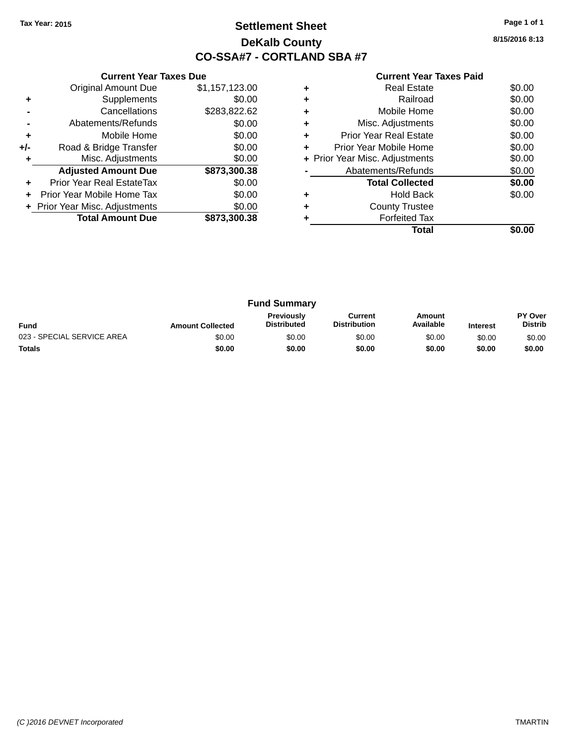### **Settlement Sheet Tax Year: 2015 Page 1 of 1 DeKalb County CO-SSA#7 - CORTLAND SBA #7**

**8/15/2016 8:13**

|     | <b>Current Year Taxes Due</b>  |                |  |  |  |  |
|-----|--------------------------------|----------------|--|--|--|--|
|     | <b>Original Amount Due</b>     | \$1,157,123.00 |  |  |  |  |
| ٠   | Supplements                    | \$0.00         |  |  |  |  |
|     | Cancellations                  | \$283,822.62   |  |  |  |  |
|     | Abatements/Refunds             | \$0.00         |  |  |  |  |
| ٠   | Mobile Home                    | \$0.00         |  |  |  |  |
| +/- | Road & Bridge Transfer         | \$0.00         |  |  |  |  |
| ٠   | Misc. Adjustments              | \$0.00         |  |  |  |  |
|     | <b>Adjusted Amount Due</b>     | \$873,300.38   |  |  |  |  |
| ٠   | Prior Year Real EstateTax      | \$0.00         |  |  |  |  |
| ÷   | Prior Year Mobile Home Tax     | \$0.00         |  |  |  |  |
|     | + Prior Year Misc. Adjustments | \$0.00         |  |  |  |  |
|     | <b>Total Amount Due</b>        | \$873,300.38   |  |  |  |  |
|     |                                |                |  |  |  |  |

|   | <b>Real Estate</b>             | \$0.00 |
|---|--------------------------------|--------|
|   | Railroad                       | \$0.00 |
| ٠ | Mobile Home                    | \$0.00 |
| ٠ | Misc. Adjustments              | \$0.00 |
| ٠ | <b>Prior Year Real Estate</b>  | \$0.00 |
| ٠ | Prior Year Mobile Home         | \$0.00 |
|   | + Prior Year Misc. Adjustments | \$0.00 |
|   | Abatements/Refunds             | \$0.00 |
|   | <b>Total Collected</b>         | \$0.00 |
|   | <b>Hold Back</b>               | \$0.00 |
|   | <b>County Trustee</b>          |        |
|   | <b>Forfeited Tax</b>           |        |
|   | Total                          |        |

| <b>Fund Summary</b>        |                         |                                  |                                |                     |                 |                                  |
|----------------------------|-------------------------|----------------------------------|--------------------------------|---------------------|-----------------|----------------------------------|
| <b>Fund</b>                | <b>Amount Collected</b> | Previously<br><b>Distributed</b> | Current<br><b>Distribution</b> | Amount<br>Available | <b>Interest</b> | <b>PY Over</b><br><b>Distrib</b> |
| 023 - SPECIAL SERVICE AREA | \$0.00                  | \$0.00                           | \$0.00                         | \$0.00              | \$0.00          | \$0.00                           |
| <b>Totals</b>              | \$0.00                  | \$0.00                           | \$0.00                         | \$0.00              | \$0.00          | \$0.00                           |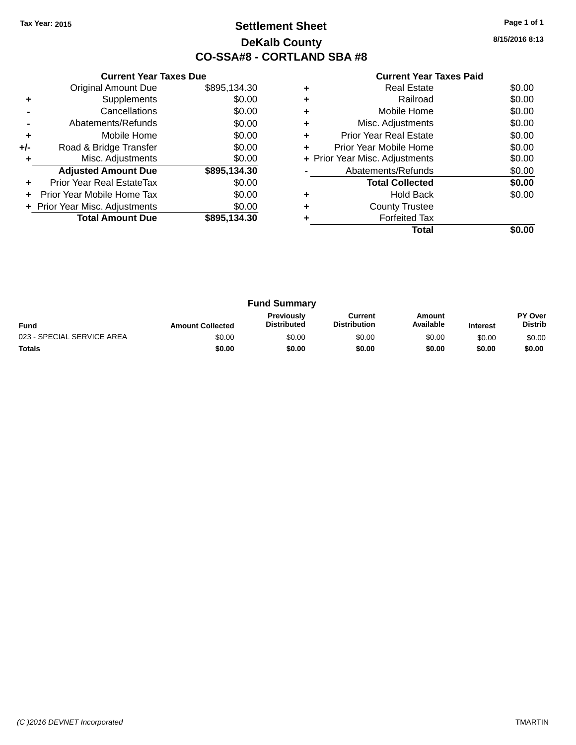### **Settlement Sheet Tax Year: 2015 Page 1 of 1 DeKalb County CO-SSA#8 - CORTLAND SBA #8**

**8/15/2016 8:13**

| <b>Current Year Taxes Paid</b> |  |  |  |
|--------------------------------|--|--|--|
|--------------------------------|--|--|--|

|     | <b>Current Year Taxes Due</b>  |              |  |  |  |
|-----|--------------------------------|--------------|--|--|--|
|     | <b>Original Amount Due</b>     | \$895,134.30 |  |  |  |
| ٠   | Supplements                    | \$0.00       |  |  |  |
|     | Cancellations                  | \$0.00       |  |  |  |
|     | Abatements/Refunds             | \$0.00       |  |  |  |
| ٠   | Mobile Home                    | \$0.00       |  |  |  |
| +/- | Road & Bridge Transfer         | \$0.00       |  |  |  |
| ٠   | Misc. Adjustments              | \$0.00       |  |  |  |
|     | <b>Adjusted Amount Due</b>     | \$895,134.30 |  |  |  |
| ÷   | Prior Year Real EstateTax      | \$0.00       |  |  |  |
|     | Prior Year Mobile Home Tax     | \$0.00       |  |  |  |
|     | + Prior Year Misc. Adjustments | \$0.00       |  |  |  |
|     | <b>Total Amount Due</b>        | \$895,134.30 |  |  |  |
|     |                                |              |  |  |  |

| ٠ | Real Estate                    | \$0.00 |
|---|--------------------------------|--------|
|   | Railroad                       | \$0.00 |
| ٠ | Mobile Home                    | \$0.00 |
| ٠ | Misc. Adjustments              | \$0.00 |
| ٠ | <b>Prior Year Real Estate</b>  | \$0.00 |
| ٠ | Prior Year Mobile Home         | \$0.00 |
|   | + Prior Year Misc. Adjustments | \$0.00 |
|   | Abatements/Refunds             | \$0.00 |
|   | <b>Total Collected</b>         | \$0.00 |
|   | <b>Hold Back</b>               | \$0.00 |
| ٠ | <b>County Trustee</b>          |        |
|   | <b>Forfeited Tax</b>           |        |
|   | Total                          |        |

| <b>Fund Summary</b>        |                         |                                         |                                |                     |                 |                                  |
|----------------------------|-------------------------|-----------------------------------------|--------------------------------|---------------------|-----------------|----------------------------------|
| <b>Fund</b>                | <b>Amount Collected</b> | <b>Previously</b><br><b>Distributed</b> | Current<br><b>Distribution</b> | Amount<br>Available | <b>Interest</b> | <b>PY Over</b><br><b>Distrib</b> |
| 023 - SPECIAL SERVICE AREA | \$0.00                  | \$0.00                                  | \$0.00                         | \$0.00              | \$0.00          | \$0.00                           |
| <b>Totals</b>              | \$0.00                  | \$0.00                                  | \$0.00                         | \$0.00              | \$0.00          | \$0.00                           |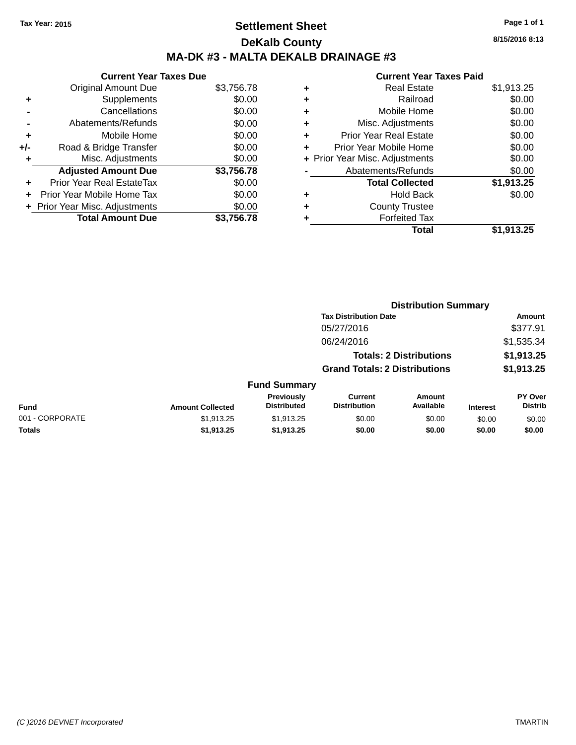### **Settlement Sheet Tax Year: 2015 Page 1 of 1 DeKalb County MA-DK #3 - MALTA DEKALB DRAINAGE #3**

|     | <b>Current Year Taxes Due</b>  |            |
|-----|--------------------------------|------------|
|     | <b>Original Amount Due</b>     | \$3,756.78 |
| ٠   | Supplements                    | \$0.00     |
|     | Cancellations                  | \$0.00     |
|     | Abatements/Refunds             | \$0.00     |
| ٠   | Mobile Home                    | \$0.00     |
| +/- | Road & Bridge Transfer         | \$0.00     |
| ٠   | Misc. Adjustments              | \$0.00     |
|     | <b>Adjusted Amount Due</b>     | \$3,756.78 |
| ٠   | Prior Year Real EstateTax      | \$0.00     |
|     | Prior Year Mobile Home Tax     | \$0.00     |
|     | + Prior Year Misc. Adjustments | \$0.00     |
|     | <b>Total Amount Due</b>        | \$3,756.78 |

|   | <b>Real Estate</b>             | \$1,913.25 |
|---|--------------------------------|------------|
| ٠ | Railroad                       | \$0.00     |
| ٠ | Mobile Home                    | \$0.00     |
| ٠ | Misc. Adjustments              | \$0.00     |
| ٠ | <b>Prior Year Real Estate</b>  | \$0.00     |
| ٠ | Prior Year Mobile Home         | \$0.00     |
|   | + Prior Year Misc. Adjustments | \$0.00     |
|   | Abatements/Refunds             | \$0.00     |
|   | <b>Total Collected</b>         | \$1,913.25 |
|   | <b>Hold Back</b>               | \$0.00     |
| ٠ | <b>County Trustee</b>          |            |
| ٠ | <b>Forfeited Tax</b>           |            |
|   | <b>Total</b>                   | \$1,913.25 |
|   |                                |            |

|                         | <b>Distribution Summary</b>             |                                       |                     |                                |                           |  |
|-------------------------|-----------------------------------------|---------------------------------------|---------------------|--------------------------------|---------------------------|--|
|                         |                                         | <b>Tax Distribution Date</b>          |                     |                                | <b>Amount</b>             |  |
|                         |                                         | 05/27/2016                            |                     |                                | \$377.91                  |  |
|                         |                                         | 06/24/2016                            |                     |                                | \$1,535.34                |  |
|                         |                                         |                                       |                     |                                | \$1,913.25                |  |
|                         | <b>Grand Totals: 2 Distributions</b>    |                                       |                     | \$1,913.25                     |                           |  |
|                         |                                         |                                       |                     |                                |                           |  |
| <b>Amount Collected</b> | <b>Previously</b><br><b>Distributed</b> | <b>Current</b><br><b>Distribution</b> | Amount<br>Available | <b>Interest</b>                | PY Over<br><b>Distrib</b> |  |
| \$1,913.25              | \$1,913.25                              | \$0.00                                | \$0.00              | \$0.00                         | \$0.00                    |  |
| \$1.913.25              | \$1,913.25                              | \$0.00                                | \$0.00              | \$0.00                         | \$0.00                    |  |
|                         |                                         |                                       | <b>Fund Summary</b> | <b>Totals: 2 Distributions</b> |                           |  |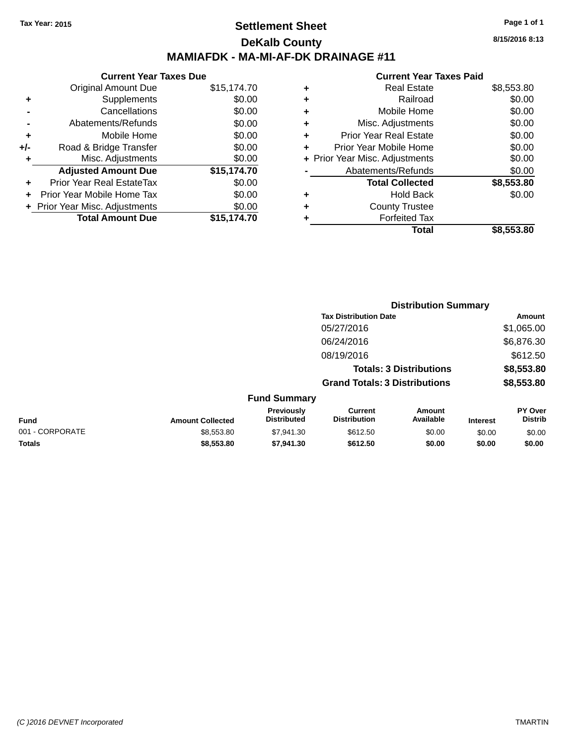### **Settlement Sheet Tax Year: 2015 Page 1 of 1 DeKalb County MAMIAFDK - MA-MI-AF-DK DRAINAGE #11**

|     | <b>Current Year Taxes Due</b>  |             |
|-----|--------------------------------|-------------|
|     | <b>Original Amount Due</b>     | \$15,174.70 |
| ٠   | Supplements                    | \$0.00      |
|     | Cancellations                  | \$0.00      |
|     | Abatements/Refunds             | \$0.00      |
| ÷   | Mobile Home                    | \$0.00      |
| +/- | Road & Bridge Transfer         | \$0.00      |
| ٠   | Misc. Adjustments              | \$0.00      |
|     | <b>Adjusted Amount Due</b>     | \$15,174.70 |
| ٠   | Prior Year Real EstateTax      | \$0.00      |
|     | Prior Year Mobile Home Tax     | \$0.00      |
|     | + Prior Year Misc. Adjustments | \$0.00      |
|     | <b>Total Amount Due</b>        | \$15,174.70 |

#### **Current Year Taxes Paid**

|   | <b>Real Estate</b>             | \$8,553.80 |
|---|--------------------------------|------------|
| ٠ | Railroad                       | \$0.00     |
| ٠ | Mobile Home                    | \$0.00     |
| ٠ | Misc. Adjustments              | \$0.00     |
| ٠ | <b>Prior Year Real Estate</b>  | \$0.00     |
| ٠ | Prior Year Mobile Home         | \$0.00     |
|   | + Prior Year Misc. Adjustments | \$0.00     |
|   | Abatements/Refunds             | \$0.00     |
|   | <b>Total Collected</b>         | \$8,553.80 |
| ٠ | <b>Hold Back</b>               | \$0.00     |
| ٠ | <b>County Trustee</b>          |            |
|   | <b>Forfeited Tax</b>           |            |
|   | Total                          | \$8,553.80 |
|   |                                |            |

|                 |                         | <b>Distribution Summary</b>      |                                       |                     |                 |                           |  |
|-----------------|-------------------------|----------------------------------|---------------------------------------|---------------------|-----------------|---------------------------|--|
|                 |                         |                                  | <b>Tax Distribution Date</b>          |                     |                 | Amount                    |  |
|                 |                         |                                  | 05/27/2016                            |                     |                 | \$1,065.00                |  |
|                 |                         |                                  | 06/24/2016                            |                     |                 | \$6,876.30                |  |
|                 |                         |                                  | 08/19/2016                            |                     |                 | \$612.50                  |  |
|                 |                         |                                  | <b>Totals: 3 Distributions</b>        |                     |                 | \$8,553.80                |  |
|                 |                         |                                  | <b>Grand Totals: 3 Distributions</b>  |                     |                 | \$8,553.80                |  |
|                 |                         | <b>Fund Summary</b>              |                                       |                     |                 |                           |  |
| Fund            | <b>Amount Collected</b> | Previously<br><b>Distributed</b> | <b>Current</b><br><b>Distribution</b> | Amount<br>Available | <b>Interest</b> | PY Over<br><b>Distrib</b> |  |
| 001 - CORPORATE | \$8,553.80              | \$7,941.30                       | \$612.50                              | \$0.00              | \$0.00          | \$0.00                    |  |
| <b>Totals</b>   | \$8,553.80              | \$7,941.30                       | \$612.50                              | \$0.00              | \$0.00          | \$0.00                    |  |

**8/15/2016 8:13**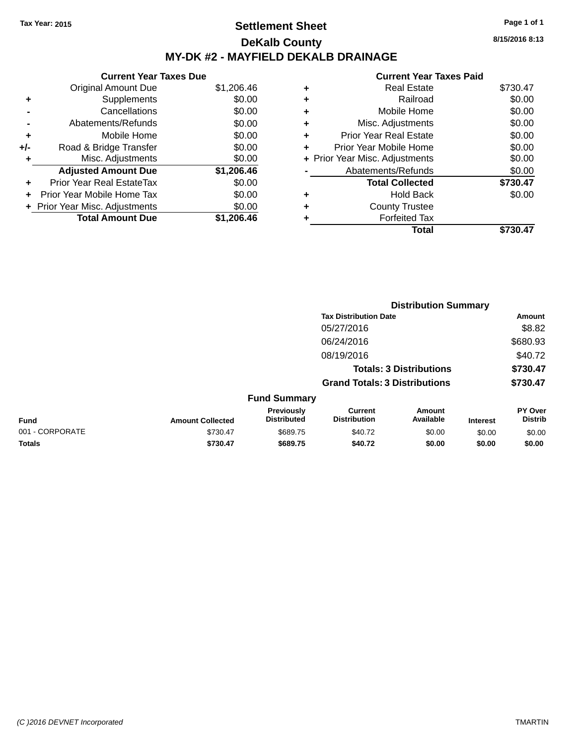### **Settlement Sheet Tax Year: 2015 Page 1 of 1 DeKalb County MY-DK #2 - MAYFIELD DEKALB DRAINAGE**

|       | <b>Current Year Taxes Due</b>    |            |  |  |  |
|-------|----------------------------------|------------|--|--|--|
|       | <b>Original Amount Due</b>       | \$1,206.46 |  |  |  |
| ٠     | Supplements                      | \$0.00     |  |  |  |
|       | Cancellations                    | \$0.00     |  |  |  |
|       | Abatements/Refunds               | \$0.00     |  |  |  |
| ٠     | Mobile Home                      | \$0.00     |  |  |  |
| $+/-$ | Road & Bridge Transfer           | \$0.00     |  |  |  |
| ٠     | Misc. Adjustments                | \$0.00     |  |  |  |
|       | <b>Adjusted Amount Due</b>       | \$1,206.46 |  |  |  |
| ٠     | <b>Prior Year Real EstateTax</b> | \$0.00     |  |  |  |
|       | Prior Year Mobile Home Tax       | \$0.00     |  |  |  |
|       | + Prior Year Misc. Adjustments   | \$0.00     |  |  |  |
|       | <b>Total Amount Due</b>          | \$1,206.46 |  |  |  |

|   | <b>Current Year Taxes Paid</b> |          |
|---|--------------------------------|----------|
| ٠ | <b>Real Estate</b>             | \$730.47 |
| ٠ | Railroad                       | \$0.00   |
| ٠ | Mobile Home                    | \$0.00   |
| ٠ | Misc. Adjustments              | \$0.00   |
| ٠ | <b>Prior Year Real Estate</b>  | \$0.00   |
| ٠ | Prior Year Mobile Home         | \$0.00   |
|   | + Prior Year Misc. Adjustments | \$0.00   |
|   | Abatements/Refunds             | \$0.00   |
|   | <b>Total Collected</b>         | \$730.47 |
| ٠ | Hold Back                      | \$0.00   |
|   | <b>County Trustee</b>          |          |
|   | <b>Forfeited Tax</b>           |          |
|   | Total                          | \$730.47 |

|                 |                         |                                  | <b>Distribution Summary</b>           |                                |                 |                           |
|-----------------|-------------------------|----------------------------------|---------------------------------------|--------------------------------|-----------------|---------------------------|
|                 |                         |                                  | <b>Tax Distribution Date</b>          |                                |                 | Amount                    |
|                 |                         |                                  | 05/27/2016                            |                                |                 | \$8.82                    |
|                 |                         |                                  | 06/24/2016                            |                                |                 | \$680.93                  |
|                 |                         |                                  | 08/19/2016                            |                                |                 | \$40.72                   |
|                 |                         |                                  |                                       | <b>Totals: 3 Distributions</b> |                 | \$730.47                  |
|                 |                         |                                  | <b>Grand Totals: 3 Distributions</b>  |                                |                 | \$730.47                  |
|                 |                         | <b>Fund Summary</b>              |                                       |                                |                 |                           |
| <b>Fund</b>     | <b>Amount Collected</b> | Previously<br><b>Distributed</b> | <b>Current</b><br><b>Distribution</b> | Amount<br>Available            | <b>Interest</b> | PY Over<br><b>Distrib</b> |
| 001 - CORPORATE | \$730.47                | \$689.75                         | \$40.72                               | \$0.00                         | \$0.00          | \$0.00                    |
| <b>Totals</b>   | \$730.47                | \$689.75                         | \$40.72                               | \$0.00                         | \$0.00          | \$0.00                    |
|                 |                         |                                  |                                       |                                |                 |                           |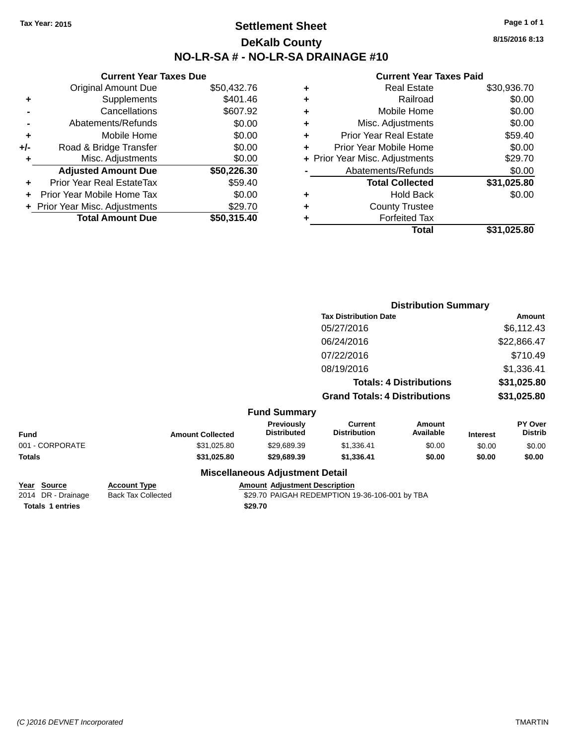### **Settlement Sheet Tax Year: 2015 Page 1 of 1 DeKalb County NO-LR-SA # - NO-LR-SA DRAINAGE #10**

**8/15/2016 8:13**

#### **Current Year Taxes Paid**

| <b>Current Year Taxes Due</b> |             |  |  |  |
|-------------------------------|-------------|--|--|--|
| <b>Original Amount Due</b>    | \$50,432.76 |  |  |  |
| Supplements                   | \$401.46    |  |  |  |
| Cancellations                 | \$607.92    |  |  |  |
| Abatements/Refunds            | \$0.00      |  |  |  |
| Mobile Home                   | \$0.00      |  |  |  |
| Road & Bridge Transfer        | \$0.00      |  |  |  |
| Misc. Adjustments             | \$0.00      |  |  |  |
| <b>Adjusted Amount Due</b>    | \$50,226.30 |  |  |  |
| Prior Year Real EstateTax     | \$59.40     |  |  |  |
| Prior Year Mobile Home Tax    | \$0.00      |  |  |  |
| Prior Year Misc. Adjustments  | \$29.70     |  |  |  |
| <b>Total Amount Due</b>       | \$50,315.40 |  |  |  |
|                               |             |  |  |  |

|   | <b>Real Estate</b>             | \$30,936.70 |
|---|--------------------------------|-------------|
| ٠ | Railroad                       | \$0.00      |
| ٠ | Mobile Home                    | \$0.00      |
| ٠ | Misc. Adjustments              | \$0.00      |
| ٠ | <b>Prior Year Real Estate</b>  | \$59.40     |
| ٠ | Prior Year Mobile Home         | \$0.00      |
|   | + Prior Year Misc. Adjustments | \$29.70     |
|   | Abatements/Refunds             | \$0.00      |
|   | <b>Total Collected</b>         | \$31,025.80 |
| ٠ | <b>Hold Back</b>               | \$0.00      |
| ٠ | <b>County Trustee</b>          |             |
| ٠ | <b>Forfeited Tax</b>           |             |
|   | Total                          | \$31,025.80 |
|   |                                |             |

|                 |                         |                                        | <b>Distribution Summary</b>           |                                |                 |                           |
|-----------------|-------------------------|----------------------------------------|---------------------------------------|--------------------------------|-----------------|---------------------------|
|                 |                         |                                        | <b>Tax Distribution Date</b>          |                                |                 | Amount                    |
|                 |                         |                                        | 05/27/2016                            |                                |                 | \$6,112.43                |
|                 |                         |                                        | 06/24/2016                            |                                |                 | \$22,866.47               |
|                 |                         |                                        | 07/22/2016                            |                                |                 | \$710.49                  |
|                 |                         |                                        | 08/19/2016                            |                                |                 | \$1,336.41                |
|                 |                         |                                        |                                       | <b>Totals: 4 Distributions</b> |                 | \$31,025.80               |
|                 |                         |                                        | <b>Grand Totals: 4 Distributions</b>  |                                |                 | \$31,025.80               |
|                 |                         | <b>Fund Summary</b>                    |                                       |                                |                 |                           |
| <b>Fund</b>     | <b>Amount Collected</b> | Previously<br><b>Distributed</b>       | <b>Current</b><br><b>Distribution</b> | <b>Amount</b><br>Available     | <b>Interest</b> | PY Over<br><b>Distrib</b> |
| 001 - CORPORATE | \$31,025.80             | \$29,689.39                            | \$1,336.41                            | \$0.00                         | \$0.00          | \$0.00                    |
| <b>Totals</b>   | \$31,025.80             | \$29,689.39                            | \$1,336.41                            | \$0.00                         | \$0.00          | \$0.00                    |
|                 |                         | <b>Miscellaneous Adjustment Detail</b> |                                       |                                |                 |                           |

| Year Source             | <b>Account Type</b>       | <b>Amount Adiustme</b> |
|-------------------------|---------------------------|------------------------|
| 2014 DR - Drainage      | <b>Back Tax Collected</b> | \$29.70 PAIGAH         |
| <b>Totals 1 entries</b> |                           | \$29.70                |

**<u>Ent Description</u>** REDEMPTION 19-36-106-001 by TBA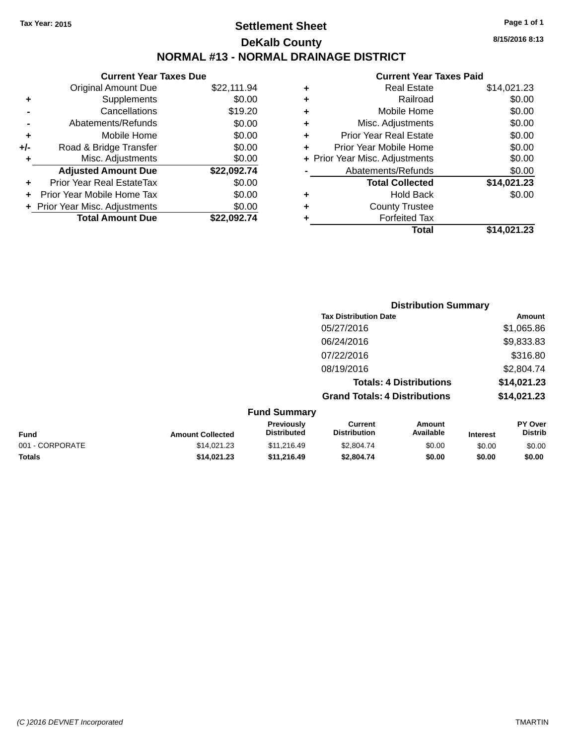### **Settlement Sheet Tax Year: 2015 Page 1 of 1 DeKalb County NORMAL #13 - NORMAL DRAINAGE DISTRICT**

|       | <b>Current Year Taxes Due</b>  |             |
|-------|--------------------------------|-------------|
|       | <b>Original Amount Due</b>     | \$22,111.94 |
| ٠     | Supplements                    | \$0.00      |
|       | Cancellations                  | \$19.20     |
|       | Abatements/Refunds             | \$0.00      |
| ٠     | Mobile Home                    | \$0.00      |
| $+/-$ | Road & Bridge Transfer         | \$0.00      |
| ٠     | Misc. Adjustments              | \$0.00      |
|       | <b>Adjusted Amount Due</b>     | \$22,092.74 |
| ÷     | Prior Year Real EstateTax      | \$0.00      |
|       | Prior Year Mobile Home Tax     | \$0.00      |
|       | + Prior Year Misc. Adjustments | \$0.00      |
|       | <b>Total Amount Due</b>        | \$22.092.74 |
|       |                                |             |

|   | <b>Current Year Taxes Paid</b> |             |  |  |  |
|---|--------------------------------|-------------|--|--|--|
| ٠ | <b>Real Estate</b>             | \$14,021.23 |  |  |  |
| ٠ | Railroad                       | \$0.00      |  |  |  |
| ٠ | Mobile Home                    | \$0.00      |  |  |  |
| ٠ | Misc. Adjustments              | \$0.00      |  |  |  |
| ٠ | <b>Prior Year Real Estate</b>  | \$0.00      |  |  |  |
| ٠ | Prior Year Mobile Home         | \$0.00      |  |  |  |
|   | + Prior Year Misc. Adjustments | \$0.00      |  |  |  |
|   | Abatements/Refunds             | \$0.00      |  |  |  |
|   | <b>Total Collected</b>         | \$14,021.23 |  |  |  |
| ٠ | <b>Hold Back</b>               | \$0.00      |  |  |  |
| ٠ | <b>County Trustee</b>          |             |  |  |  |
|   | <b>Forfeited Tax</b>           |             |  |  |  |
|   | Total                          | \$14.021.23 |  |  |  |
|   |                                |             |  |  |  |

|                     | <b>Distribution Summary</b>          |                                |                |  |
|---------------------|--------------------------------------|--------------------------------|----------------|--|
|                     | <b>Tax Distribution Date</b>         |                                | Amount         |  |
|                     | 05/27/2016                           |                                | \$1,065.86     |  |
|                     | 06/24/2016                           |                                | \$9,833.83     |  |
|                     | 07/22/2016                           |                                | \$316.80       |  |
|                     | 08/19/2016                           |                                | \$2,804.74     |  |
|                     |                                      | <b>Totals: 4 Distributions</b> | \$14,021.23    |  |
|                     | <b>Grand Totals: 4 Distributions</b> |                                | \$14,021.23    |  |
| <b>Fund Summary</b> |                                      |                                |                |  |
| <b>Previously</b>   | <b>Current</b>                       | <b>Amount</b>                  | <b>PY Over</b> |  |

| <b>Fund</b>     | <b>Amount Collected</b> | <b>FICVIOUSIV</b><br><b>Distributed</b> | <b>UULLEIIL</b><br>Distribution | AIIVUII<br>Available | <b>Interest</b> | г і мег<br><b>Distrib</b> |
|-----------------|-------------------------|-----------------------------------------|---------------------------------|----------------------|-----------------|---------------------------|
| 001 - CORPORATE | \$14.021.23             | \$11.216.49                             | \$2,804.74                      | \$0.00               | \$0.00          | \$0.00                    |
| <b>Totals</b>   | \$14.021.23             | \$11,216,49                             | \$2,804.74                      | \$0.00               | \$0.00          | \$0.00                    |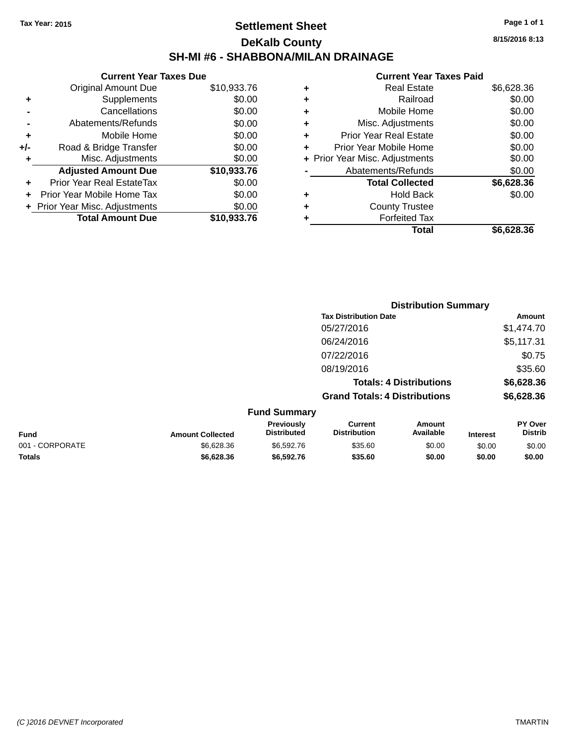### **Settlement Sheet Tax Year: 2015 Page 1 of 1 DeKalb County SH-MI #6 - SHABBONA/MILAN DRAINAGE**

**8/15/2016 8:13**

|     | <b>Current Year Taxes Due</b> |             |  |  |  |
|-----|-------------------------------|-------------|--|--|--|
|     | <b>Original Amount Due</b>    | \$10,933.76 |  |  |  |
| ٠   | Supplements                   | \$0.00      |  |  |  |
|     | Cancellations                 | \$0.00      |  |  |  |
|     | Abatements/Refunds            | \$0.00      |  |  |  |
| ٠   | Mobile Home                   | \$0.00      |  |  |  |
| +/- | Road & Bridge Transfer        | \$0.00      |  |  |  |
| ٠   | Misc. Adjustments             | \$0.00      |  |  |  |
|     | <b>Adjusted Amount Due</b>    | \$10,933.76 |  |  |  |
| ÷   | Prior Year Real EstateTax     | \$0.00      |  |  |  |
|     | Prior Year Mobile Home Tax    | \$0.00      |  |  |  |
|     | Prior Year Misc. Adjustments  | \$0.00      |  |  |  |
|     | <b>Total Amount Due</b>       | \$10.933.76 |  |  |  |

| ٠ | <b>Real Estate</b>             | \$6,628.36 |
|---|--------------------------------|------------|
| ٠ | Railroad                       | \$0.00     |
| ٠ | Mobile Home                    | \$0.00     |
| ٠ | Misc. Adjustments              | \$0.00     |
| ٠ | <b>Prior Year Real Estate</b>  | \$0.00     |
| ٠ | Prior Year Mobile Home         | \$0.00     |
|   | + Prior Year Misc. Adjustments | \$0.00     |
|   | Abatements/Refunds             | \$0.00     |
|   | <b>Total Collected</b>         | \$6,628.36 |
| ٠ | <b>Hold Back</b>               | \$0.00     |
| ٠ | <b>County Trustee</b>          |            |
| ٠ | <b>Forfeited Tax</b>           |            |
|   | <b>Total</b>                   | \$6.628.36 |
|   |                                |            |

|                 |                         |                                  |                                       | <b>Distribution Summary</b>    |                 |                           |
|-----------------|-------------------------|----------------------------------|---------------------------------------|--------------------------------|-----------------|---------------------------|
|                 |                         |                                  | <b>Tax Distribution Date</b>          |                                |                 | Amount                    |
|                 |                         |                                  | 05/27/2016                            |                                |                 | \$1,474.70                |
|                 |                         |                                  | 06/24/2016                            |                                |                 | \$5,117.31                |
|                 |                         |                                  | 07/22/2016                            |                                |                 | \$0.75                    |
|                 |                         |                                  | 08/19/2016                            |                                |                 | \$35.60                   |
|                 |                         |                                  |                                       | <b>Totals: 4 Distributions</b> |                 | \$6,628.36                |
|                 |                         |                                  | <b>Grand Totals: 4 Distributions</b>  |                                |                 | \$6,628.36                |
|                 |                         | <b>Fund Summary</b>              |                                       |                                |                 |                           |
| <b>Fund</b>     | <b>Amount Collected</b> | Previously<br><b>Distributed</b> | <b>Current</b><br><b>Distribution</b> | Amount<br>Available            | <b>Interest</b> | PY Over<br><b>Distrib</b> |
| 001 - CORPORATE | \$6,628.36              | \$6,592.76                       | \$35.60                               | \$0.00                         | \$0.00          | \$0.00                    |
| <b>Totals</b>   | \$6,628.36              | \$6,592.76                       | \$35.60                               | \$0.00                         | \$0.00          | \$0.00                    |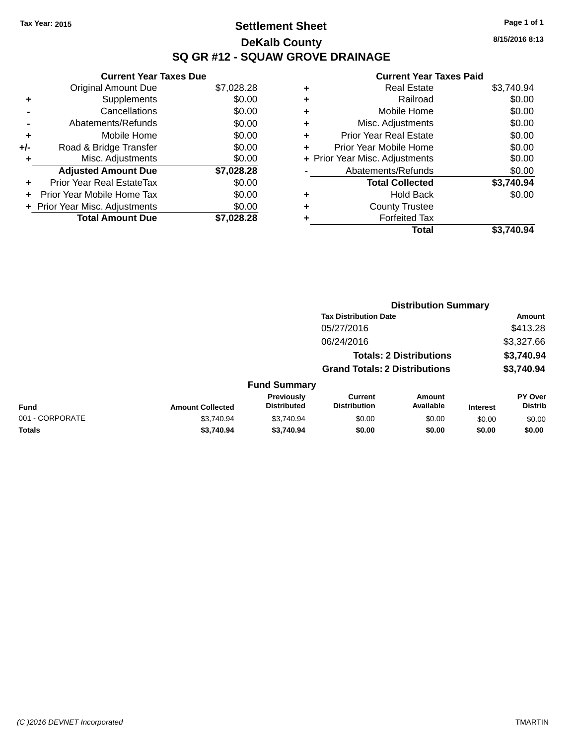### **Settlement Sheet Tax Year: 2015 Page 1 of 1 DeKalb County SQ GR #12 - SQUAW GROVE DRAINAGE**

**8/15/2016 8:13**

|     | <b>Current Year Taxes Due</b>  |            |  |  |  |  |
|-----|--------------------------------|------------|--|--|--|--|
|     | <b>Original Amount Due</b>     | \$7,028.28 |  |  |  |  |
| ٠   | Supplements                    | \$0.00     |  |  |  |  |
|     | Cancellations                  | \$0.00     |  |  |  |  |
|     | Abatements/Refunds             | \$0.00     |  |  |  |  |
| ÷   | Mobile Home                    | \$0.00     |  |  |  |  |
| +/- | Road & Bridge Transfer         | \$0.00     |  |  |  |  |
|     | Misc. Adjustments              | \$0.00     |  |  |  |  |
|     | <b>Adjusted Amount Due</b>     | \$7,028.28 |  |  |  |  |
| ÷   | Prior Year Real EstateTax      | \$0.00     |  |  |  |  |
| ÷   | Prior Year Mobile Home Tax     | \$0.00     |  |  |  |  |
|     | + Prior Year Misc. Adjustments | \$0.00     |  |  |  |  |
|     | <b>Total Amount Due</b>        | \$7.028.28 |  |  |  |  |

|   | <b>Real Estate</b>             | \$3,740.94 |
|---|--------------------------------|------------|
| ٠ | Railroad                       | \$0.00     |
| ٠ | Mobile Home                    | \$0.00     |
| ٠ | Misc. Adjustments              | \$0.00     |
| ٠ | <b>Prior Year Real Estate</b>  | \$0.00     |
|   | Prior Year Mobile Home         | \$0.00     |
|   | + Prior Year Misc. Adjustments | \$0.00     |
|   | Abatements/Refunds             | \$0.00     |
|   | <b>Total Collected</b>         | \$3,740.94 |
| ٠ | <b>Hold Back</b>               | \$0.00     |
| ٠ | <b>County Trustee</b>          |            |
| ٠ | <b>Forfeited Tax</b>           |            |
|   | Total                          | \$3.740.94 |
|   |                                |            |

|                 | <b>Distribution Summary</b> |                                  |                                       |                                |                 |                           |  |
|-----------------|-----------------------------|----------------------------------|---------------------------------------|--------------------------------|-----------------|---------------------------|--|
|                 |                             |                                  | <b>Tax Distribution Date</b>          |                                |                 | Amount                    |  |
|                 |                             |                                  | 05/27/2016                            |                                |                 | \$413.28                  |  |
|                 |                             |                                  | 06/24/2016                            |                                |                 | \$3,327.66                |  |
|                 |                             |                                  |                                       | <b>Totals: 2 Distributions</b> |                 | \$3,740.94                |  |
|                 |                             |                                  | <b>Grand Totals: 2 Distributions</b>  |                                |                 | \$3,740.94                |  |
|                 |                             | <b>Fund Summary</b>              |                                       |                                |                 |                           |  |
| <b>Fund</b>     | <b>Amount Collected</b>     | Previously<br><b>Distributed</b> | <b>Current</b><br><b>Distribution</b> | Amount<br>Available            | <b>Interest</b> | PY Over<br><b>Distrib</b> |  |
| 001 - CORPORATE | \$3.740.94                  | \$3.740.94                       | \$0.00                                | \$0.00                         | \$0.00          | \$0.00                    |  |
| <b>Totals</b>   | \$3,740.94                  | \$3,740.94                       | \$0.00                                | \$0.00                         | \$0.00          | \$0.00                    |  |
|                 |                             |                                  |                                       |                                |                 |                           |  |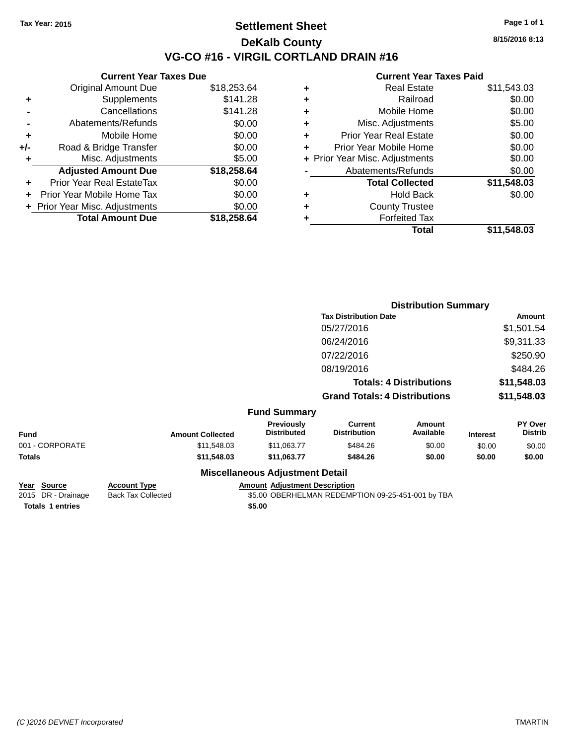#### **Settlement Sheet Tax Year: 2015 Page 1 of 1 DeKalb County VG-CO #16 - VIRGIL CORTLAND DRAIN #16**

**8/15/2016 8:13**

| \$18,253.64<br>\$141.28 |
|-------------------------|
|                         |
|                         |
| \$141.28                |
| \$0.00                  |
| \$0.00                  |
| \$0.00                  |
| \$5.00                  |
| \$18,258.64             |
| \$0.00                  |
| \$0.00                  |
| \$0.00                  |
| \$18,258,64             |
|                         |

|   | <b>Total</b>                   | \$11,548.03 |
|---|--------------------------------|-------------|
|   | <b>Forfeited Tax</b>           |             |
| ٠ | <b>County Trustee</b>          |             |
| ٠ | Hold Back                      | \$0.00      |
|   | <b>Total Collected</b>         | \$11,548.03 |
|   | Abatements/Refunds             | \$0.00      |
|   | + Prior Year Misc. Adjustments | \$0.00      |
| ٠ | Prior Year Mobile Home         | \$0.00      |
| ÷ | <b>Prior Year Real Estate</b>  | \$0.00      |
| ٠ | Misc. Adjustments              | \$5.00      |
| ٠ | Mobile Home                    | \$0.00      |
| ٠ | Railroad                       | \$0.00      |
| ٠ | <b>Real Estate</b>             | \$11,543.03 |
|   |                                |             |

|                 |                         |                                        | <b>Distribution Summary</b>           |                                |                 |                           |
|-----------------|-------------------------|----------------------------------------|---------------------------------------|--------------------------------|-----------------|---------------------------|
|                 |                         |                                        | <b>Tax Distribution Date</b>          |                                | Amount          |                           |
|                 |                         |                                        | 05/27/2016                            |                                |                 | \$1,501.54                |
|                 |                         |                                        | 06/24/2016                            |                                |                 | \$9,311.33                |
|                 |                         |                                        | 07/22/2016                            |                                |                 | \$250.90                  |
|                 |                         |                                        | 08/19/2016                            |                                |                 | \$484.26                  |
|                 |                         |                                        |                                       | <b>Totals: 4 Distributions</b> |                 | \$11,548.03               |
|                 |                         |                                        | <b>Grand Totals: 4 Distributions</b>  |                                |                 | \$11,548.03               |
|                 |                         | <b>Fund Summary</b>                    |                                       |                                |                 |                           |
| <b>Fund</b>     | <b>Amount Collected</b> | Previously<br><b>Distributed</b>       | <b>Current</b><br><b>Distribution</b> | Amount<br>Available            | <b>Interest</b> | PY Over<br><b>Distrib</b> |
| 001 - CORPORATE | \$11,548.03             | \$11,063.77                            | \$484.26                              | \$0.00                         | \$0.00          | \$0.00                    |
| <b>Totals</b>   | \$11,548.03             | \$11,063.77                            | \$484.26                              | \$0.00                         | \$0.00          | \$0.00                    |
|                 |                         | <b>Miscellaneous Adjustment Detail</b> |                                       |                                |                 |                           |

| Year Source             | <b>Account Type</b> | <b>Amount Adiustment Description</b>              |
|-------------------------|---------------------|---------------------------------------------------|
| 2015 DR - Drainage      | Back Tax Collected  | \$5.00 OBERHELMAN REDEMPTION 09-25-451-001 by TBA |
| <b>Totals 1 entries</b> |                     | \$5.00                                            |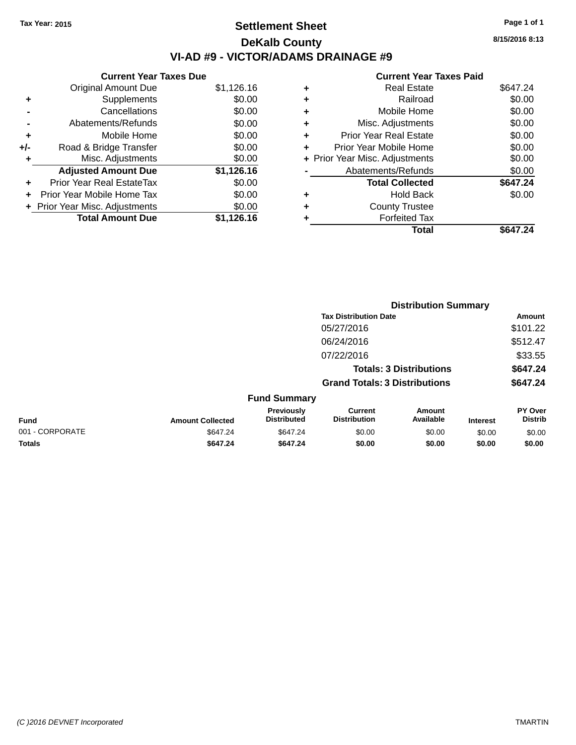### **Settlement Sheet Tax Year: 2015 Page 1 of 1 DeKalb County VI-AD #9 - VICTOR/ADAMS DRAINAGE #9**

|       | <b>Current Year Taxes Due</b>  |            |  |  |  |  |
|-------|--------------------------------|------------|--|--|--|--|
|       | <b>Original Amount Due</b>     | \$1,126.16 |  |  |  |  |
| ٠     | Supplements                    | \$0.00     |  |  |  |  |
|       | Cancellations                  | \$0.00     |  |  |  |  |
|       | Abatements/Refunds             | \$0.00     |  |  |  |  |
| ٠     | Mobile Home                    | \$0.00     |  |  |  |  |
| $+/-$ | Road & Bridge Transfer         | \$0.00     |  |  |  |  |
| ٠     | Misc. Adjustments              | \$0.00     |  |  |  |  |
|       | <b>Adjusted Amount Due</b>     | \$1,126.16 |  |  |  |  |
| ٠     | Prior Year Real EstateTax      | \$0.00     |  |  |  |  |
|       | Prior Year Mobile Home Tax     | \$0.00     |  |  |  |  |
|       | + Prior Year Misc. Adjustments | \$0.00     |  |  |  |  |
|       | <b>Total Amount Due</b>        | \$1,126.16 |  |  |  |  |

| ٠ | <b>Real Estate</b>             | \$647.24 |
|---|--------------------------------|----------|
| ٠ | Railroad                       | \$0.00   |
| ٠ | Mobile Home                    | \$0.00   |
| ٠ | Misc. Adjustments              | \$0.00   |
| ٠ | <b>Prior Year Real Estate</b>  | \$0.00   |
| ٠ | Prior Year Mobile Home         | \$0.00   |
|   | + Prior Year Misc. Adjustments | \$0.00   |
|   | Abatements/Refunds             | \$0.00   |
|   | <b>Total Collected</b>         | \$647.24 |
| ٠ | <b>Hold Back</b>               | \$0.00   |
| ٠ | <b>County Trustee</b>          |          |
|   | <b>Forfeited Tax</b>           |          |
|   | Total                          | \$647.24 |
|   |                                |          |

|                 |                         |                                  |                                       | <b>Distribution Summary</b> |                 |                                  |
|-----------------|-------------------------|----------------------------------|---------------------------------------|-----------------------------|-----------------|----------------------------------|
|                 |                         |                                  | <b>Tax Distribution Date</b>          |                             |                 | Amount                           |
|                 |                         |                                  | 05/27/2016                            |                             |                 | \$101.22                         |
|                 |                         |                                  | 06/24/2016                            |                             |                 | \$512.47                         |
|                 |                         |                                  | 07/22/2016                            |                             |                 | \$33.55                          |
|                 |                         |                                  | <b>Totals: 3 Distributions</b>        |                             |                 | \$647.24                         |
|                 |                         |                                  | <b>Grand Totals: 3 Distributions</b>  |                             |                 | \$647.24                         |
|                 |                         | <b>Fund Summary</b>              |                                       |                             |                 |                                  |
| <b>Fund</b>     | <b>Amount Collected</b> | Previously<br><b>Distributed</b> | <b>Current</b><br><b>Distribution</b> | Amount<br>Available         | <b>Interest</b> | <b>PY Over</b><br><b>Distrib</b> |
| 001 - CORPORATE | \$647.24                | \$647.24                         | \$0.00                                | \$0.00                      | \$0.00          | \$0.00                           |
| <b>Totals</b>   | \$647.24                | \$647.24                         | \$0.00                                | \$0.00                      | \$0.00          | \$0.00                           |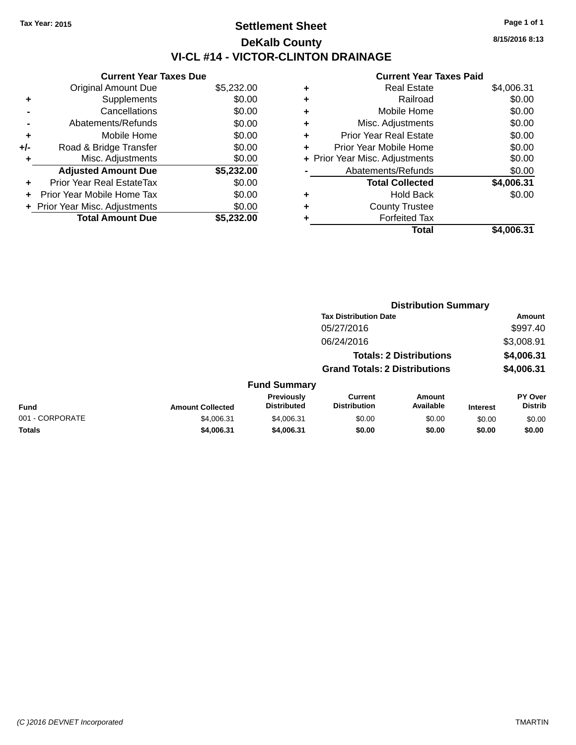### **Settlement Sheet Tax Year: 2015 Page 1 of 1 DeKalb County VI-CL #14 - VICTOR-CLINTON DRAINAGE**

**Current Year Taxes Due** Original Amount Due \$5,232.00 **+** Supplements \$0.00 **-** Cancellations \$0.00 **-** Abatements/Refunds \$0.00 **+** Mobile Home \$0.00 **+/-** Road & Bridge Transfer \$0.00<br> **+** Misc. Adjustments \$0.00 **+** Misc. Adjustments **Adjusted Amount Due \$5,232.00 +** Prior Year Real EstateTax \$0.00 **+** Prior Year Mobile Home Tax \$0.00 **+ Prior Year Misc. Adjustments**  $$0.00$ **Total Amount Due \$5,232.00**

|   | <b>Real Estate</b>             | \$4,006.31 |
|---|--------------------------------|------------|
| ٠ | Railroad                       | \$0.00     |
| ٠ | Mobile Home                    | \$0.00     |
| ٠ | Misc. Adjustments              | \$0.00     |
| ٠ | <b>Prior Year Real Estate</b>  | \$0.00     |
|   | Prior Year Mobile Home         | \$0.00     |
|   | + Prior Year Misc. Adjustments | \$0.00     |
|   | Abatements/Refunds             | \$0.00     |
|   | <b>Total Collected</b>         | \$4,006.31 |
| ٠ | <b>Hold Back</b>               | \$0.00     |
| ٠ | <b>County Trustee</b>          |            |
|   | <b>Forfeited Tax</b>           |            |
|   | Total                          | \$4,006.31 |
|   |                                |            |

|                 |                         |                                         | <b>Distribution Summary</b><br><b>Tax Distribution Date</b>            |                            |                 | Amount                    |
|-----------------|-------------------------|-----------------------------------------|------------------------------------------------------------------------|----------------------------|-----------------|---------------------------|
|                 |                         |                                         |                                                                        |                            |                 |                           |
|                 |                         |                                         | 05/27/2016                                                             |                            |                 | \$997.40                  |
|                 |                         |                                         | 06/24/2016                                                             |                            |                 | \$3,008.91                |
|                 |                         |                                         | <b>Totals: 2 Distributions</b><br><b>Grand Totals: 2 Distributions</b> |                            |                 | \$4,006.31<br>\$4,006.31  |
|                 |                         |                                         |                                                                        |                            |                 |                           |
|                 |                         | <b>Fund Summary</b>                     |                                                                        |                            |                 |                           |
| <b>Fund</b>     | <b>Amount Collected</b> | <b>Previously</b><br><b>Distributed</b> | <b>Current</b><br><b>Distribution</b>                                  | <b>Amount</b><br>Available | <b>Interest</b> | PY Over<br><b>Distrib</b> |
| 001 - CORPORATE | \$4,006.31              | \$4,006.31                              | \$0.00                                                                 | \$0.00                     | \$0.00          | \$0.00                    |
| <b>Totals</b>   | \$4,006.31              | \$4,006.31                              | \$0.00                                                                 | \$0.00                     | \$0.00          | \$0.00                    |